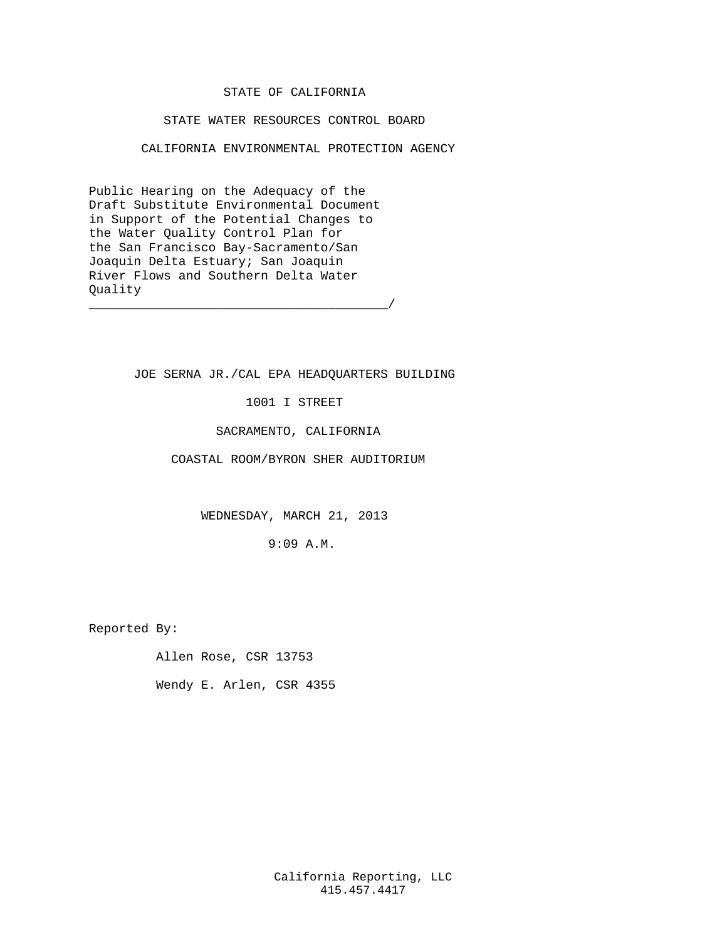## STATE OF CALIFORNIA

### STATE WATER RESOURCES CONTROL BOARD

CALIFORNIA ENVIRONMENTAL PROTECTION AGENCY

Public Hearing on the Adequacy of the Draft Substitute Environmental Document in Support of the Potential Changes to the Water Quality Control Plan for the San Francisco Bay-Sacramento/San Joaquin Delta Estuary; San Joaquin River Flows and Southern Delta Water Quality \_\_\_\_\_\_\_\_\_\_\_\_\_\_\_\_\_\_\_\_\_\_\_\_\_\_\_\_\_\_\_\_\_\_\_\_\_\_\_\_/

JOE SERNA JR./CAL EPA HEADQUARTERS BUILDING

1001 I STREET

SACRAMENTO, CALIFORNIA

COASTAL ROOM/BYRON SHER AUDITORIUM

WEDNESDAY, MARCH 21, 2013

9:09 A.M.

Reported By:

Allen Rose, CSR 13753

Wendy E. Arlen, CSR 4355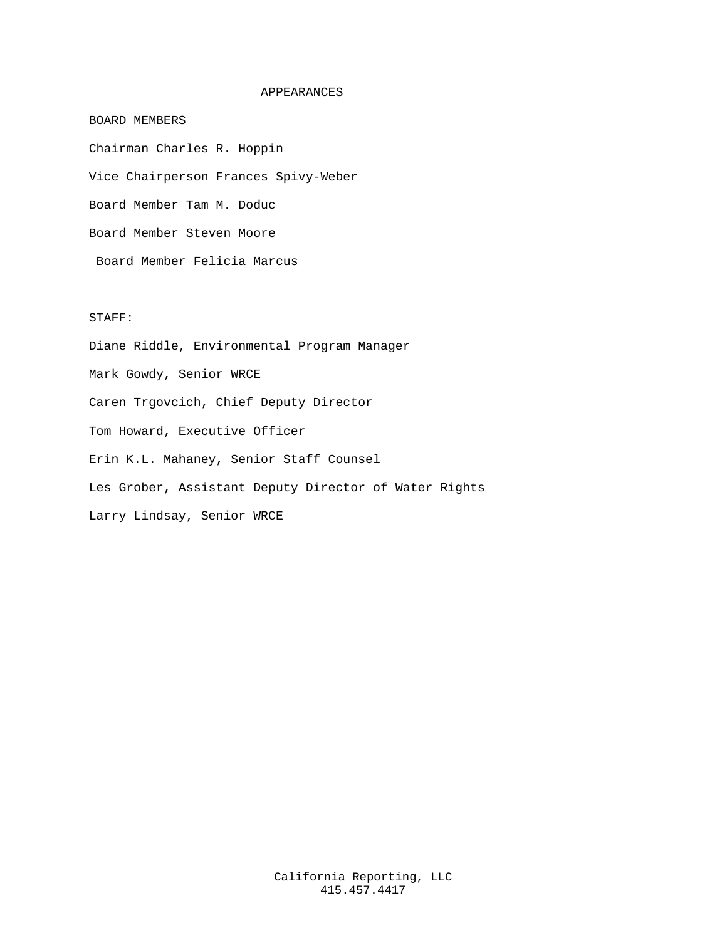### APPEARANCES

Chairman Charles R. Hoppin Vice Chairperson Frances Spivy-Weber Board Member Tam M. Doduc Board Member Steven Moore Board Member Felicia Marcus

### STAFF:

BOARD MEMBERS

Diane Riddle, Environmental Program Manager Mark Gowdy, Senior WRCE Caren Trgovcich, Chief Deputy Director Tom Howard, Executive Officer Erin K.L. Mahaney, Senior Staff Counsel Les Grober, Assistant Deputy Director of Water Rights Larry Lindsay, Senior WRCE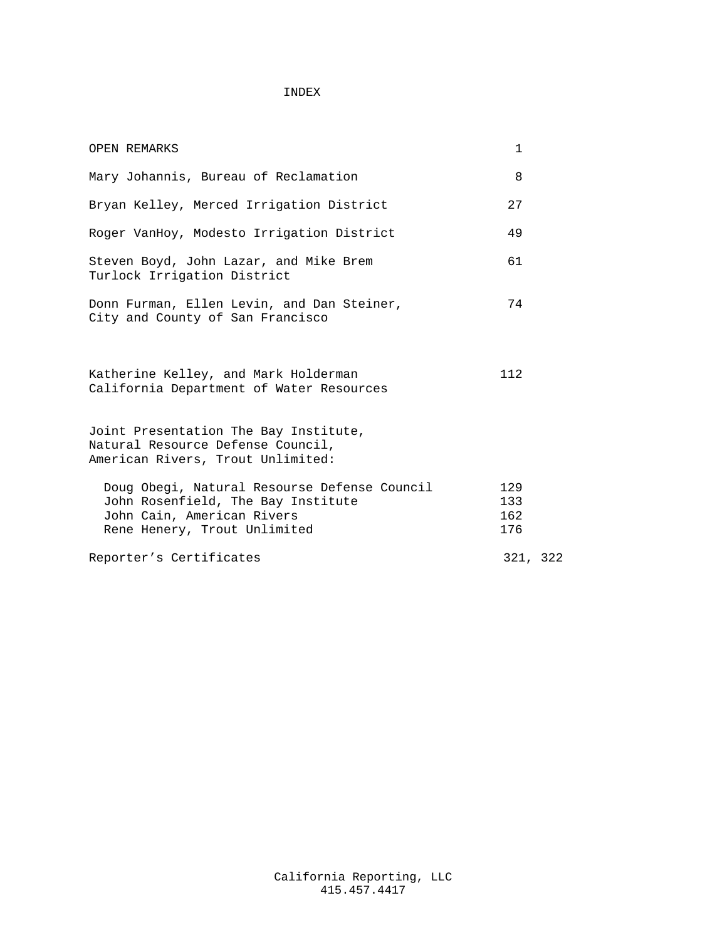# INDEX

| <b>OPEN REMARKS</b>                                                                                                                              | $\mathbf{1}$             |  |
|--------------------------------------------------------------------------------------------------------------------------------------------------|--------------------------|--|
| Mary Johannis, Bureau of Reclamation                                                                                                             | 8                        |  |
| Bryan Kelley, Merced Irrigation District                                                                                                         | 27                       |  |
| Roger VanHoy, Modesto Irrigation District                                                                                                        | 49                       |  |
| Steven Boyd, John Lazar, and Mike Brem<br>Turlock Irrigation District                                                                            | 61                       |  |
| Donn Furman, Ellen Levin, and Dan Steiner,<br>City and County of San Francisco                                                                   | 74                       |  |
| Katherine Kelley, and Mark Holderman<br>California Department of Water Resources                                                                 | 112                      |  |
| Joint Presentation The Bay Institute,<br>Natural Resource Defense Council,<br>American Rivers, Trout Unlimited:                                  |                          |  |
| Doug Obegi, Natural Resourse Defense Council<br>John Rosenfield, The Bay Institute<br>John Cain, American Rivers<br>Rene Henery, Trout Unlimited | 129<br>133<br>162<br>176 |  |
| Reporter's Certificates                                                                                                                          | 321, 322                 |  |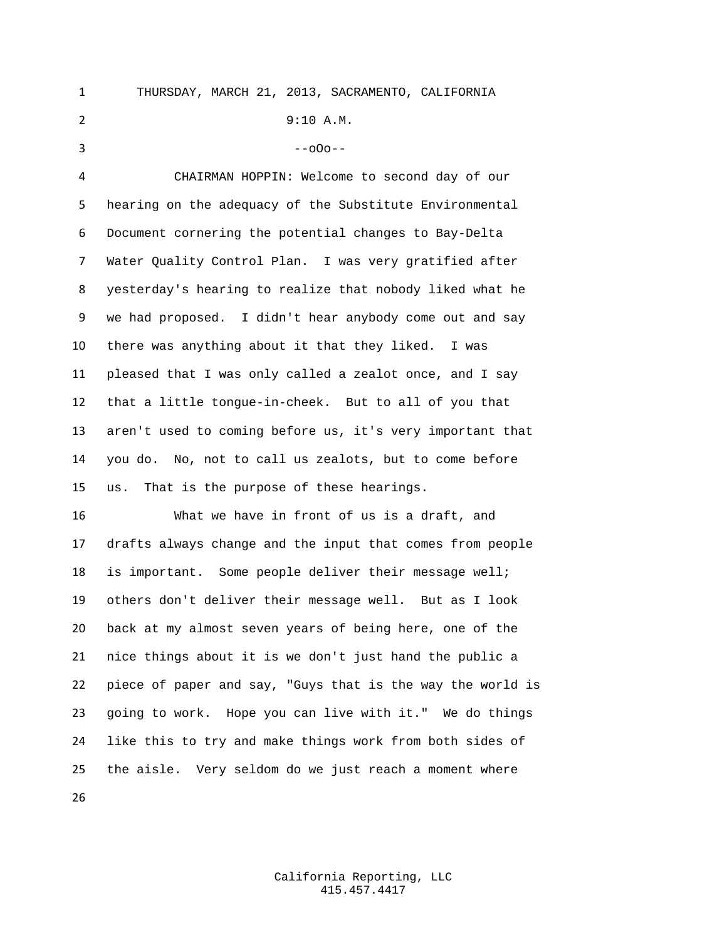THURSDAY, MARCH 21, 2013, SACRAMENTO, CALIFORNIA 9:10 A.M.  $3 - -000 = -$  CHAIRMAN HOPPIN: Welcome to second day of our hearing on the adequacy of the Substitute Environmental Document cornering the potential changes to Bay-Delta Water Quality Control Plan. I was very gratified after yesterday's hearing to realize that nobody liked what he we had proposed. I didn't hear anybody come out and say there was anything about it that they liked. I was pleased that I was only called a zealot once, and I say that a little tongue-in-cheek. But to all of you that aren't used to coming before us, it's very important that you do. No, not to call us zealots, but to come before

us. That is the purpose of these hearings.

 What we have in front of us is a draft, and drafts always change and the input that comes from people is important. Some people deliver their message well; others don't deliver their message well. But as I look back at my almost seven years of being here, one of the nice things about it is we don't just hand the public a piece of paper and say, "Guys that is the way the world is going to work. Hope you can live with it." We do things like this to try and make things work from both sides of the aisle. Very seldom do we just reach a moment where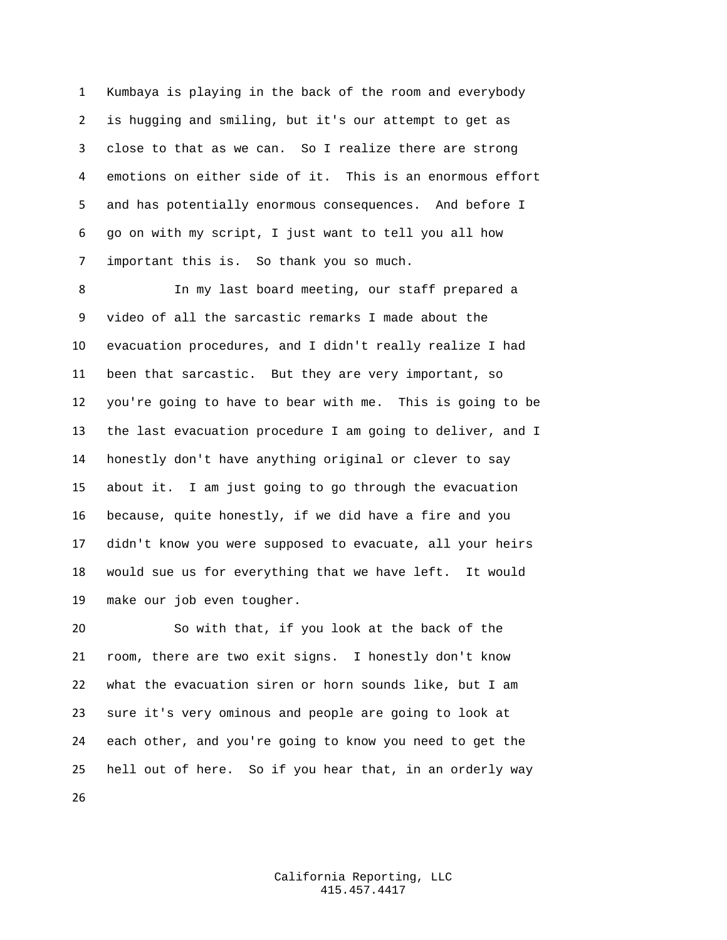Kumbaya is playing in the back of the room and everybody is hugging and smiling, but it's our attempt to get as close to that as we can. So I realize there are strong emotions on either side of it. This is an enormous effort and has potentially enormous consequences. And before I go on with my script, I just want to tell you all how important this is. So thank you so much.

 In my last board meeting, our staff prepared a video of all the sarcastic remarks I made about the evacuation procedures, and I didn't really realize I had been that sarcastic. But they are very important, so you're going to have to bear with me. This is going to be the last evacuation procedure I am going to deliver, and I honestly don't have anything original or clever to say about it. I am just going to go through the evacuation because, quite honestly, if we did have a fire and you didn't know you were supposed to evacuate, all your heirs would sue us for everything that we have left. It would make our job even tougher.

 So with that, if you look at the back of the room, there are two exit signs. I honestly don't know what the evacuation siren or horn sounds like, but I am sure it's very ominous and people are going to look at each other, and you're going to know you need to get the hell out of here. So if you hear that, in an orderly way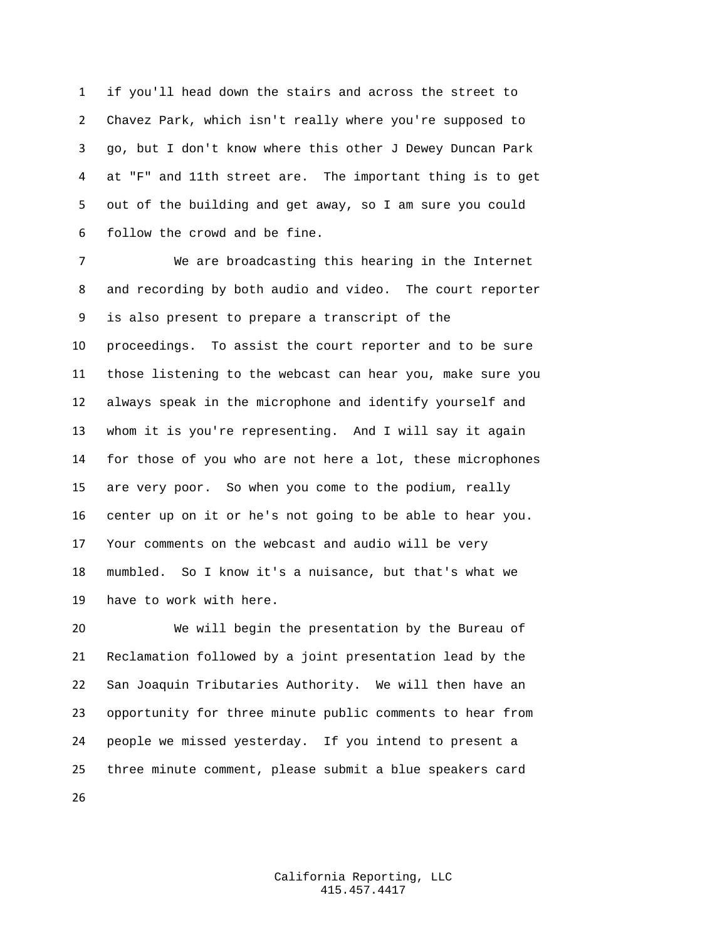if you'll head down the stairs and across the street to Chavez Park, which isn't really where you're supposed to go, but I don't know where this other J Dewey Duncan Park at "F" and 11th street are. The important thing is to get out of the building and get away, so I am sure you could follow the crowd and be fine.

 We are broadcasting this hearing in the Internet and recording by both audio and video. The court reporter is also present to prepare a transcript of the proceedings. To assist the court reporter and to be sure those listening to the webcast can hear you, make sure you always speak in the microphone and identify yourself and whom it is you're representing. And I will say it again for those of you who are not here a lot, these microphones are very poor. So when you come to the podium, really center up on it or he's not going to be able to hear you. Your comments on the webcast and audio will be very mumbled. So I know it's a nuisance, but that's what we have to work with here.

 We will begin the presentation by the Bureau of Reclamation followed by a joint presentation lead by the San Joaquin Tributaries Authority. We will then have an opportunity for three minute public comments to hear from people we missed yesterday. If you intend to present a three minute comment, please submit a blue speakers card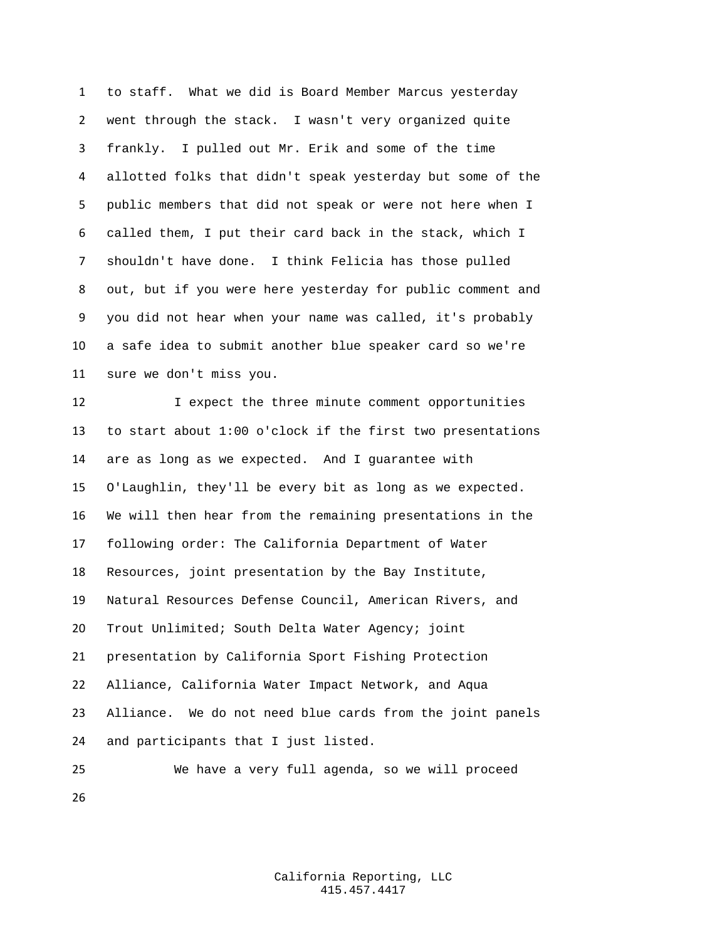to staff. What we did is Board Member Marcus yesterday went through the stack. I wasn't very organized quite frankly. I pulled out Mr. Erik and some of the time allotted folks that didn't speak yesterday but some of the public members that did not speak or were not here when I called them, I put their card back in the stack, which I shouldn't have done. I think Felicia has those pulled out, but if you were here yesterday for public comment and you did not hear when your name was called, it's probably a safe idea to submit another blue speaker card so we're sure we don't miss you.

12 I expect the three minute comment opportunities to start about 1:00 o'clock if the first two presentations are as long as we expected. And I guarantee with O'Laughlin, they'll be every bit as long as we expected. We will then hear from the remaining presentations in the following order: The California Department of Water Resources, joint presentation by the Bay Institute, Natural Resources Defense Council, American Rivers, and Trout Unlimited; South Delta Water Agency; joint presentation by California Sport Fishing Protection Alliance, California Water Impact Network, and Aqua Alliance. We do not need blue cards from the joint panels and participants that I just listed.

 We have a very full agenda, so we will proceed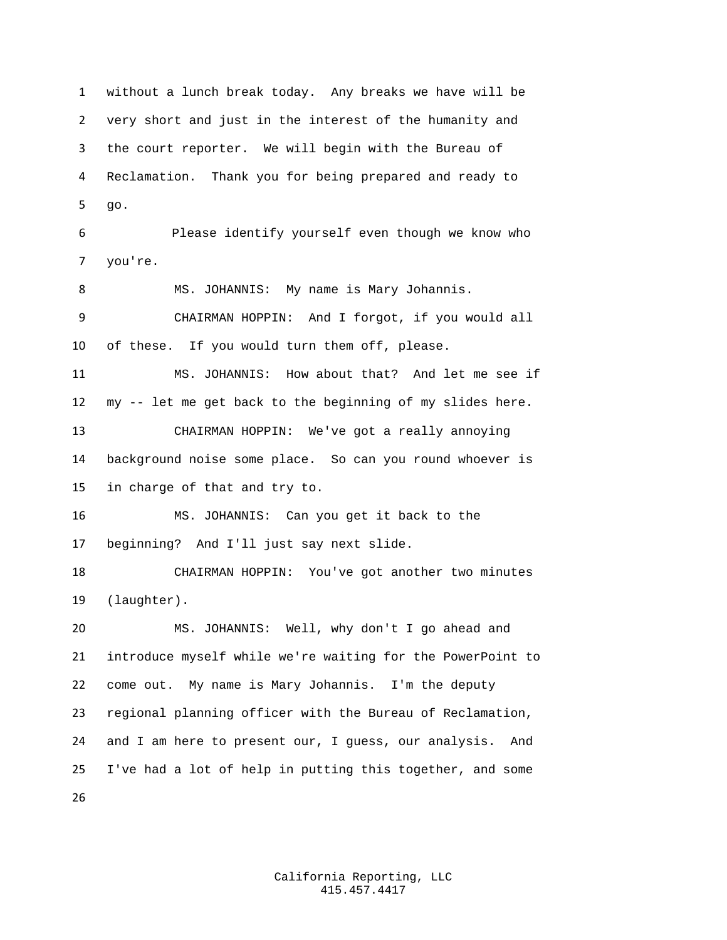without a lunch break today. Any breaks we have will be very short and just in the interest of the humanity and the court reporter. We will begin with the Bureau of Reclamation. Thank you for being prepared and ready to go. Please identify yourself even though we know who you're. MS. JOHANNIS: My name is Mary Johannis. CHAIRMAN HOPPIN: And I forgot, if you would all of these. If you would turn them off, please. MS. JOHANNIS: How about that? And let me see if my -- let me get back to the beginning of my slides here. CHAIRMAN HOPPIN: We've got a really annoying background noise some place. So can you round whoever is in charge of that and try to. MS. JOHANNIS: Can you get it back to the beginning? And I'll just say next slide. CHAIRMAN HOPPIN: You've got another two minutes (laughter). MS. JOHANNIS: Well, why don't I go ahead and introduce myself while we're waiting for the PowerPoint to come out. My name is Mary Johannis. I'm the deputy regional planning officer with the Bureau of Reclamation, and I am here to present our, I guess, our analysis. And I've had a lot of help in putting this together, and some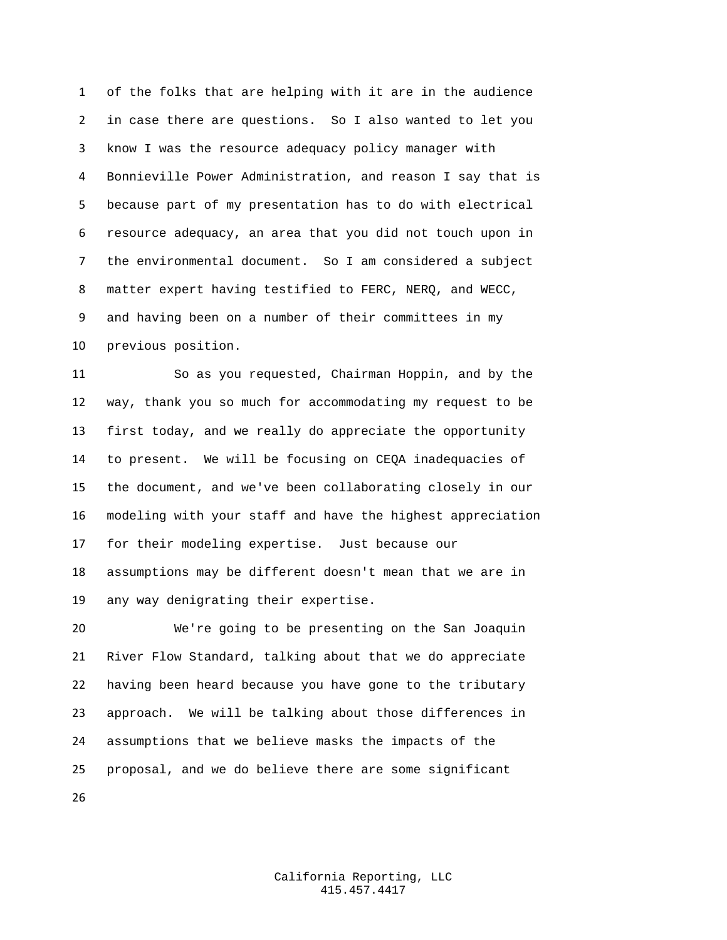of the folks that are helping with it are in the audience in case there are questions. So I also wanted to let you know I was the resource adequacy policy manager with Bonnieville Power Administration, and reason I say that is because part of my presentation has to do with electrical resource adequacy, an area that you did not touch upon in the environmental document. So I am considered a subject matter expert having testified to FERC, NERQ, and WECC, and having been on a number of their committees in my previous position.

 So as you requested, Chairman Hoppin, and by the way, thank you so much for accommodating my request to be first today, and we really do appreciate the opportunity to present. We will be focusing on CEQA inadequacies of the document, and we've been collaborating closely in our modeling with your staff and have the highest appreciation for their modeling expertise. Just because our assumptions may be different doesn't mean that we are in any way denigrating their expertise.

 We're going to be presenting on the San Joaquin River Flow Standard, talking about that we do appreciate having been heard because you have gone to the tributary approach. We will be talking about those differences in assumptions that we believe masks the impacts of the proposal, and we do believe there are some significant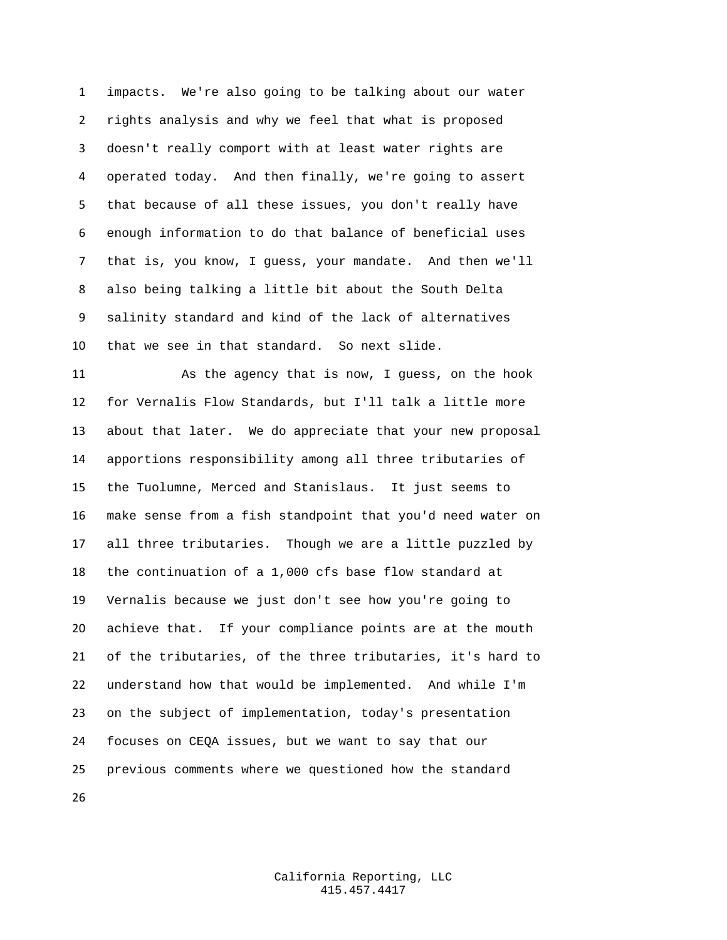impacts. We're also going to be talking about our water rights analysis and why we feel that what is proposed doesn't really comport with at least water rights are operated today. And then finally, we're going to assert that because of all these issues, you don't really have enough information to do that balance of beneficial uses that is, you know, I guess, your mandate. And then we'll also being talking a little bit about the South Delta salinity standard and kind of the lack of alternatives that we see in that standard. So next slide.

 As the agency that is now, I guess, on the hook for Vernalis Flow Standards, but I'll talk a little more about that later. We do appreciate that your new proposal apportions responsibility among all three tributaries of the Tuolumne, Merced and Stanislaus. It just seems to make sense from a fish standpoint that you'd need water on all three tributaries. Though we are a little puzzled by the continuation of a 1,000 cfs base flow standard at Vernalis because we just don't see how you're going to achieve that. If your compliance points are at the mouth of the tributaries, of the three tributaries, it's hard to understand how that would be implemented. And while I'm on the subject of implementation, today's presentation focuses on CEQA issues, but we want to say that our previous comments where we questioned how the standard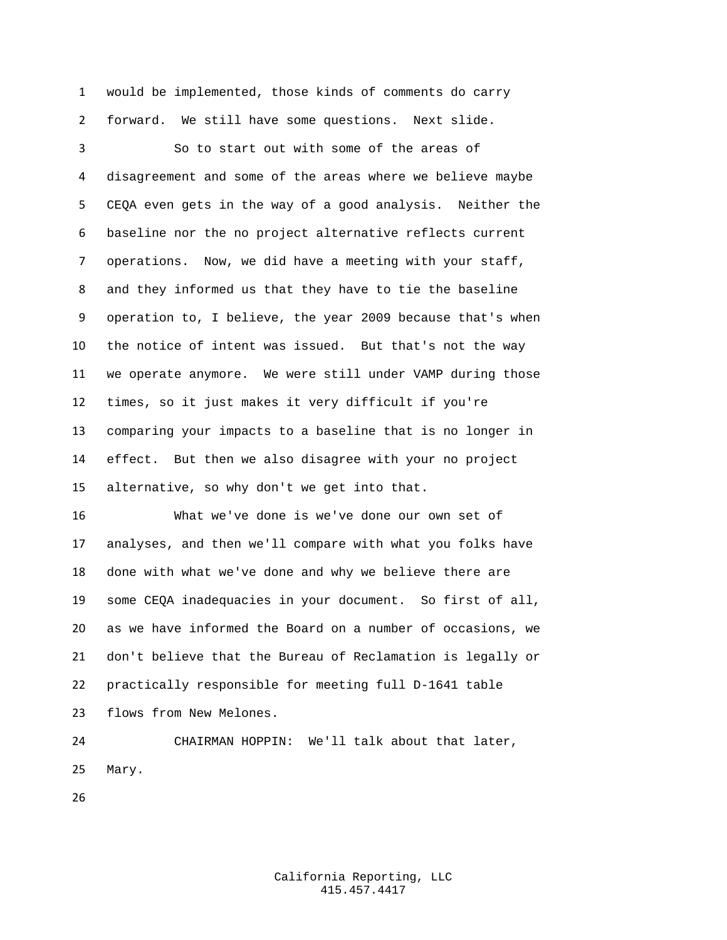would be implemented, those kinds of comments do carry forward. We still have some questions. Next slide.

 So to start out with some of the areas of disagreement and some of the areas where we believe maybe CEQA even gets in the way of a good analysis. Neither the baseline nor the no project alternative reflects current operations. Now, we did have a meeting with your staff, and they informed us that they have to tie the baseline operation to, I believe, the year 2009 because that's when the notice of intent was issued. But that's not the way we operate anymore. We were still under VAMP during those times, so it just makes it very difficult if you're comparing your impacts to a baseline that is no longer in effect. But then we also disagree with your no project alternative, so why don't we get into that.

 What we've done is we've done our own set of analyses, and then we'll compare with what you folks have done with what we've done and why we believe there are some CEQA inadequacies in your document. So first of all, as we have informed the Board on a number of occasions, we don't believe that the Bureau of Reclamation is legally or practically responsible for meeting full D-1641 table flows from New Melones.

 CHAIRMAN HOPPIN: We'll talk about that later, Mary.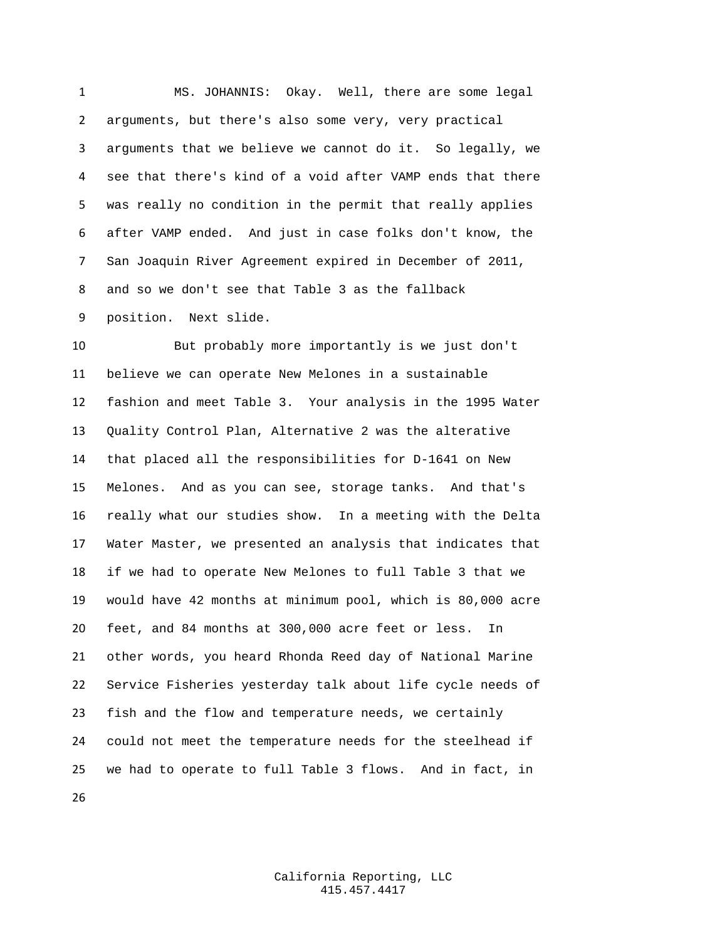MS. JOHANNIS: Okay. Well, there are some legal arguments, but there's also some very, very practical arguments that we believe we cannot do it. So legally, we see that there's kind of a void after VAMP ends that there was really no condition in the permit that really applies after VAMP ended. And just in case folks don't know, the San Joaquin River Agreement expired in December of 2011, and so we don't see that Table 3 as the fallback position. Next slide.

 But probably more importantly is we just don't believe we can operate New Melones in a sustainable fashion and meet Table 3. Your analysis in the 1995 Water Quality Control Plan, Alternative 2 was the alterative that placed all the responsibilities for D-1641 on New Melones. And as you can see, storage tanks. And that's really what our studies show. In a meeting with the Delta Water Master, we presented an analysis that indicates that if we had to operate New Melones to full Table 3 that we would have 42 months at minimum pool, which is 80,000 acre feet, and 84 months at 300,000 acre feet or less. In other words, you heard Rhonda Reed day of National Marine Service Fisheries yesterday talk about life cycle needs of fish and the flow and temperature needs, we certainly could not meet the temperature needs for the steelhead if we had to operate to full Table 3 flows. And in fact, in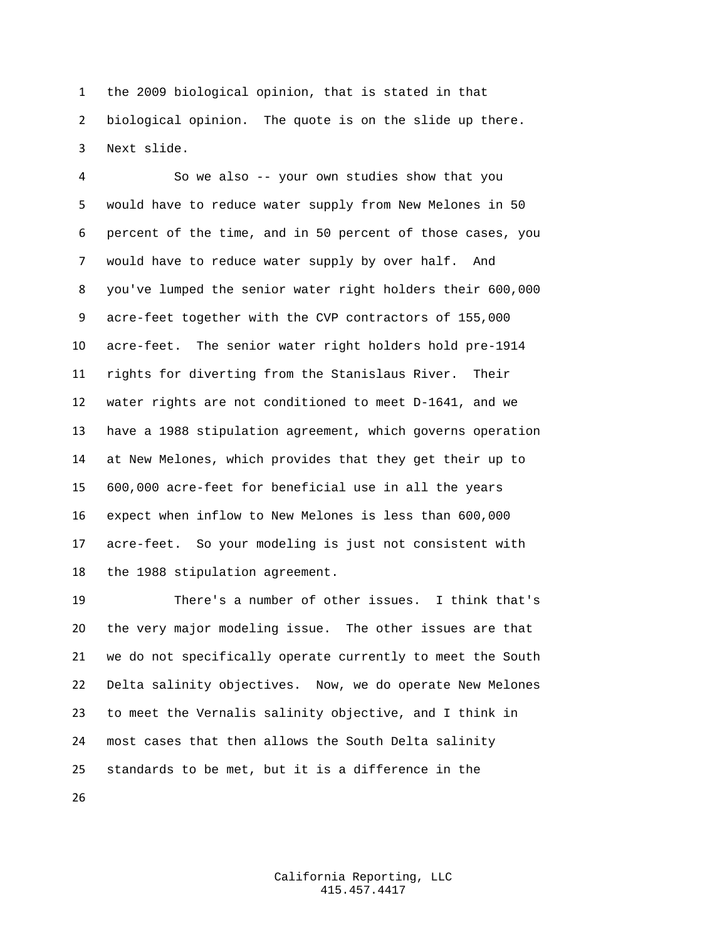the 2009 biological opinion, that is stated in that biological opinion. The quote is on the slide up there. Next slide.

 So we also -- your own studies show that you would have to reduce water supply from New Melones in 50 percent of the time, and in 50 percent of those cases, you would have to reduce water supply by over half. And you've lumped the senior water right holders their 600,000 acre-feet together with the CVP contractors of 155,000 acre-feet. The senior water right holders hold pre-1914 rights for diverting from the Stanislaus River. Their water rights are not conditioned to meet D-1641, and we have a 1988 stipulation agreement, which governs operation at New Melones, which provides that they get their up to 600,000 acre-feet for beneficial use in all the years expect when inflow to New Melones is less than 600,000 acre-feet. So your modeling is just not consistent with the 1988 stipulation agreement.

 There's a number of other issues. I think that's the very major modeling issue. The other issues are that we do not specifically operate currently to meet the South Delta salinity objectives. Now, we do operate New Melones to meet the Vernalis salinity objective, and I think in most cases that then allows the South Delta salinity standards to be met, but it is a difference in the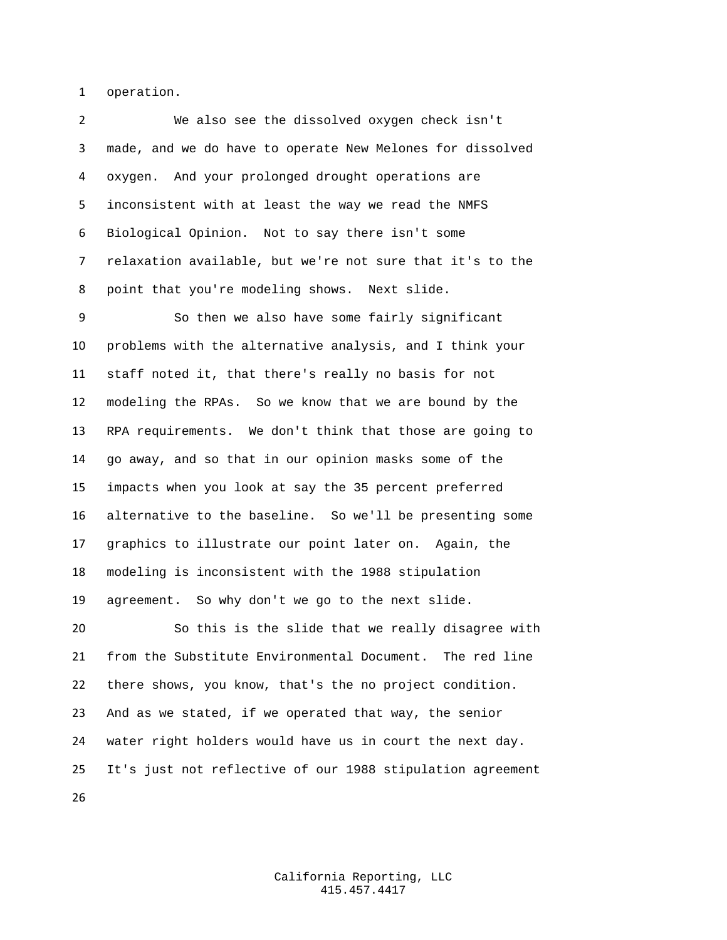operation.

 We also see the dissolved oxygen check isn't made, and we do have to operate New Melones for dissolved oxygen. And your prolonged drought operations are inconsistent with at least the way we read the NMFS Biological Opinion. Not to say there isn't some relaxation available, but we're not sure that it's to the point that you're modeling shows. Next slide. So then we also have some fairly significant problems with the alternative analysis, and I think your staff noted it, that there's really no basis for not modeling the RPAs. So we know that we are bound by the RPA requirements. We don't think that those are going to go away, and so that in our opinion masks some of the impacts when you look at say the 35 percent preferred alternative to the baseline. So we'll be presenting some graphics to illustrate our point later on. Again, the modeling is inconsistent with the 1988 stipulation agreement. So why don't we go to the next slide. So this is the slide that we really disagree with from the Substitute Environmental Document. The red line there shows, you know, that's the no project condition. And as we stated, if we operated that way, the senior water right holders would have us in court the next day. It's just not reflective of our 1988 stipulation agreement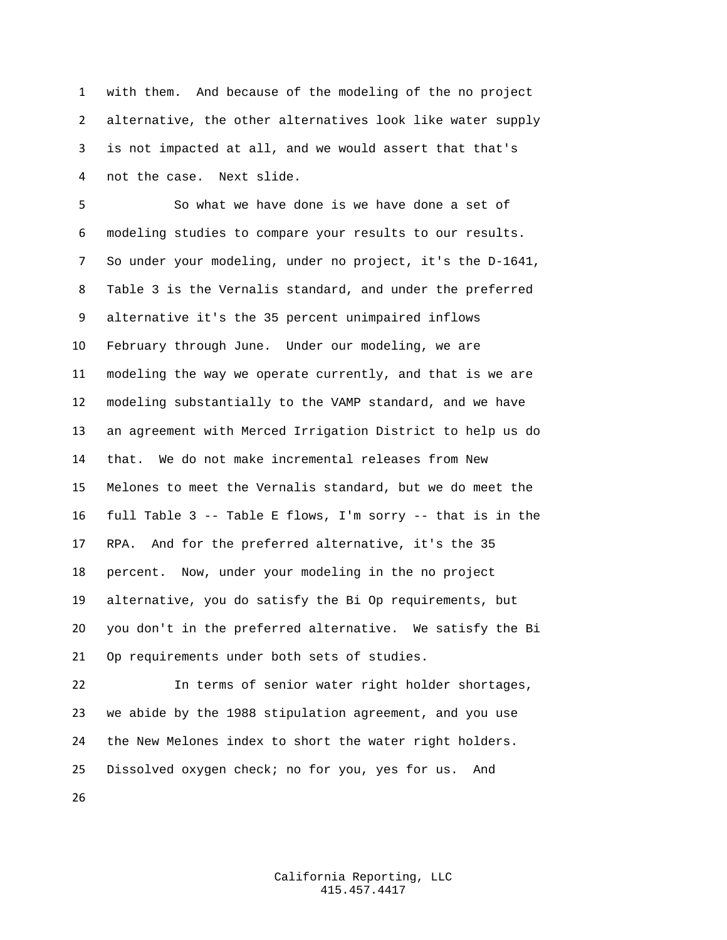with them. And because of the modeling of the no project alternative, the other alternatives look like water supply is not impacted at all, and we would assert that that's not the case. Next slide.

 So what we have done is we have done a set of modeling studies to compare your results to our results. So under your modeling, under no project, it's the D-1641, Table 3 is the Vernalis standard, and under the preferred alternative it's the 35 percent unimpaired inflows February through June. Under our modeling, we are modeling the way we operate currently, and that is we are modeling substantially to the VAMP standard, and we have an agreement with Merced Irrigation District to help us do that. We do not make incremental releases from New Melones to meet the Vernalis standard, but we do meet the full Table 3 -- Table E flows, I'm sorry -- that is in the RPA. And for the preferred alternative, it's the 35 percent. Now, under your modeling in the no project alternative, you do satisfy the Bi Op requirements, but you don't in the preferred alternative. We satisfy the Bi Op requirements under both sets of studies.

 In terms of senior water right holder shortages, we abide by the 1988 stipulation agreement, and you use the New Melones index to short the water right holders. Dissolved oxygen check; no for you, yes for us. And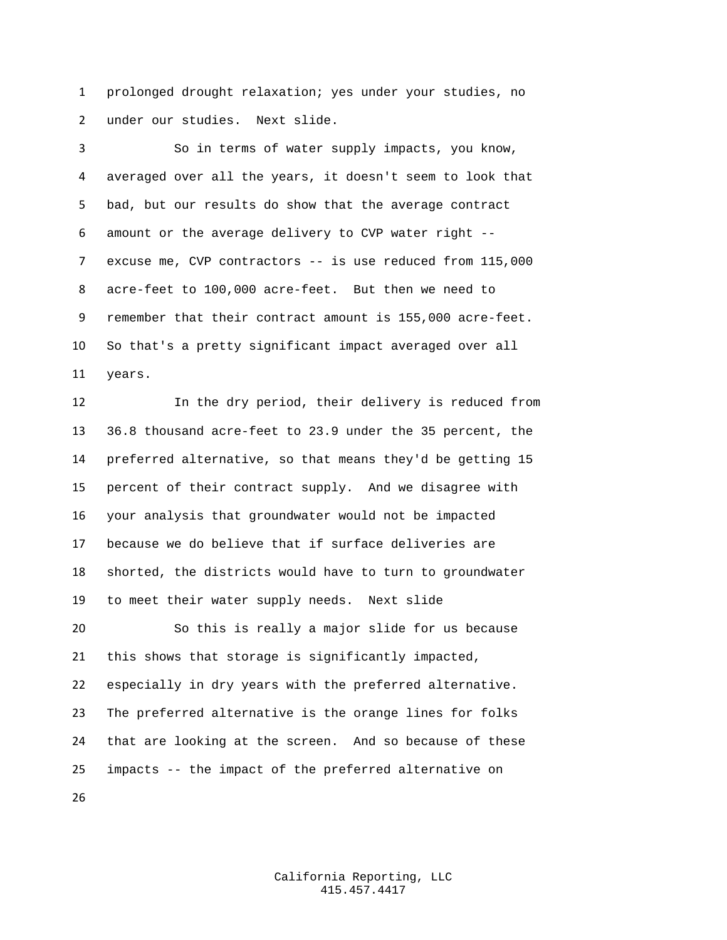prolonged drought relaxation; yes under your studies, no under our studies. Next slide.

 So in terms of water supply impacts, you know, averaged over all the years, it doesn't seem to look that bad, but our results do show that the average contract amount or the average delivery to CVP water right -- excuse me, CVP contractors -- is use reduced from 115,000 acre-feet to 100,000 acre-feet. But then we need to remember that their contract amount is 155,000 acre-feet. So that's a pretty significant impact averaged over all years.

 In the dry period, their delivery is reduced from 36.8 thousand acre-feet to 23.9 under the 35 percent, the preferred alternative, so that means they'd be getting 15 percent of their contract supply. And we disagree with your analysis that groundwater would not be impacted because we do believe that if surface deliveries are shorted, the districts would have to turn to groundwater to meet their water supply needs. Next slide So this is really a major slide for us because this shows that storage is significantly impacted, especially in dry years with the preferred alternative. The preferred alternative is the orange lines for folks that are looking at the screen. And so because of these impacts -- the impact of the preferred alternative on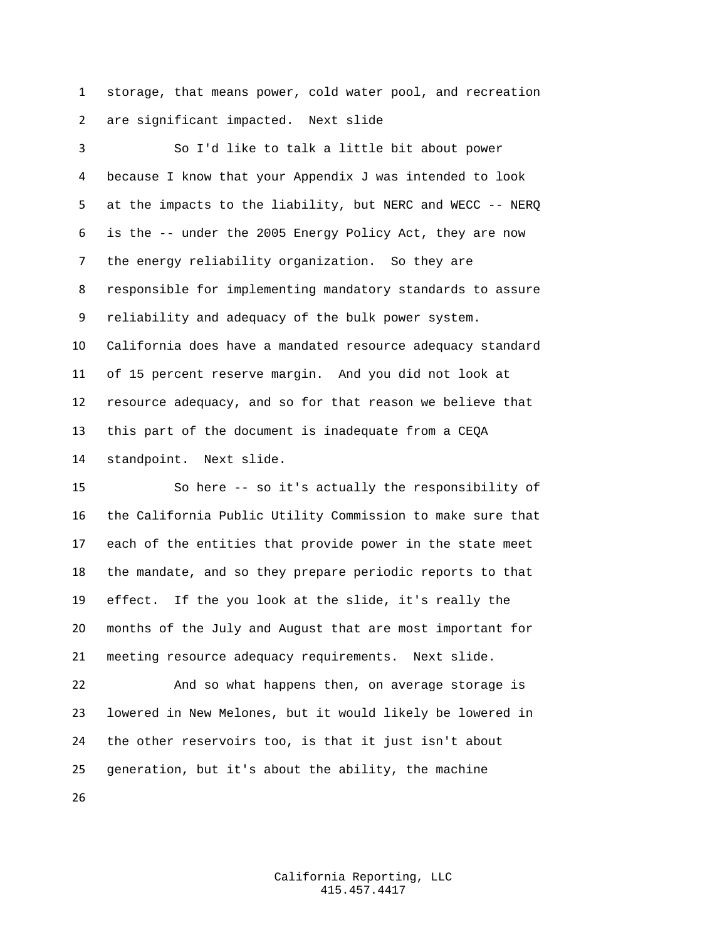storage, that means power, cold water pool, and recreation are significant impacted. Next slide

 So I'd like to talk a little bit about power because I know that your Appendix J was intended to look at the impacts to the liability, but NERC and WECC -- NERQ is the -- under the 2005 Energy Policy Act, they are now the energy reliability organization. So they are responsible for implementing mandatory standards to assure reliability and adequacy of the bulk power system. California does have a mandated resource adequacy standard of 15 percent reserve margin. And you did not look at resource adequacy, and so for that reason we believe that this part of the document is inadequate from a CEQA standpoint. Next slide.

 So here -- so it's actually the responsibility of the California Public Utility Commission to make sure that each of the entities that provide power in the state meet the mandate, and so they prepare periodic reports to that effect. If the you look at the slide, it's really the months of the July and August that are most important for meeting resource adequacy requirements. Next slide.

 And so what happens then, on average storage is lowered in New Melones, but it would likely be lowered in the other reservoirs too, is that it just isn't about generation, but it's about the ability, the machine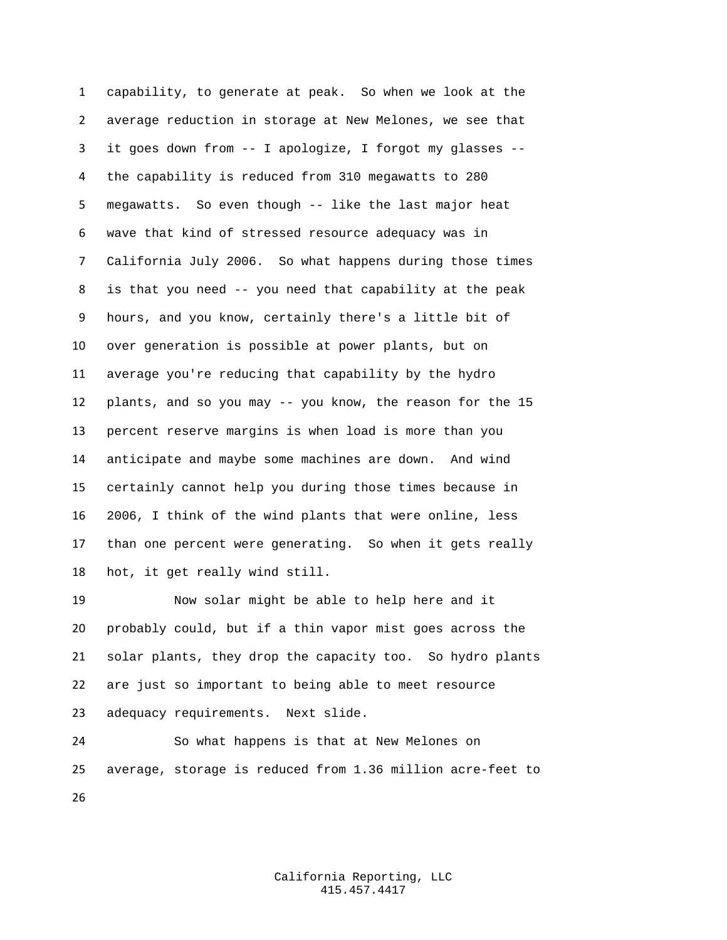capability, to generate at peak. So when we look at the average reduction in storage at New Melones, we see that it goes down from -- I apologize, I forgot my glasses -- the capability is reduced from 310 megawatts to 280 megawatts. So even though -- like the last major heat wave that kind of stressed resource adequacy was in California July 2006. So what happens during those times is that you need -- you need that capability at the peak hours, and you know, certainly there's a little bit of over generation is possible at power plants, but on average you're reducing that capability by the hydro plants, and so you may -- you know, the reason for the 15 percent reserve margins is when load is more than you anticipate and maybe some machines are down. And wind certainly cannot help you during those times because in 2006, I think of the wind plants that were online, less than one percent were generating. So when it gets really hot, it get really wind still.

 Now solar might be able to help here and it probably could, but if a thin vapor mist goes across the solar plants, they drop the capacity too. So hydro plants are just so important to being able to meet resource adequacy requirements. Next slide.

 So what happens is that at New Melones on average, storage is reduced from 1.36 million acre-feet to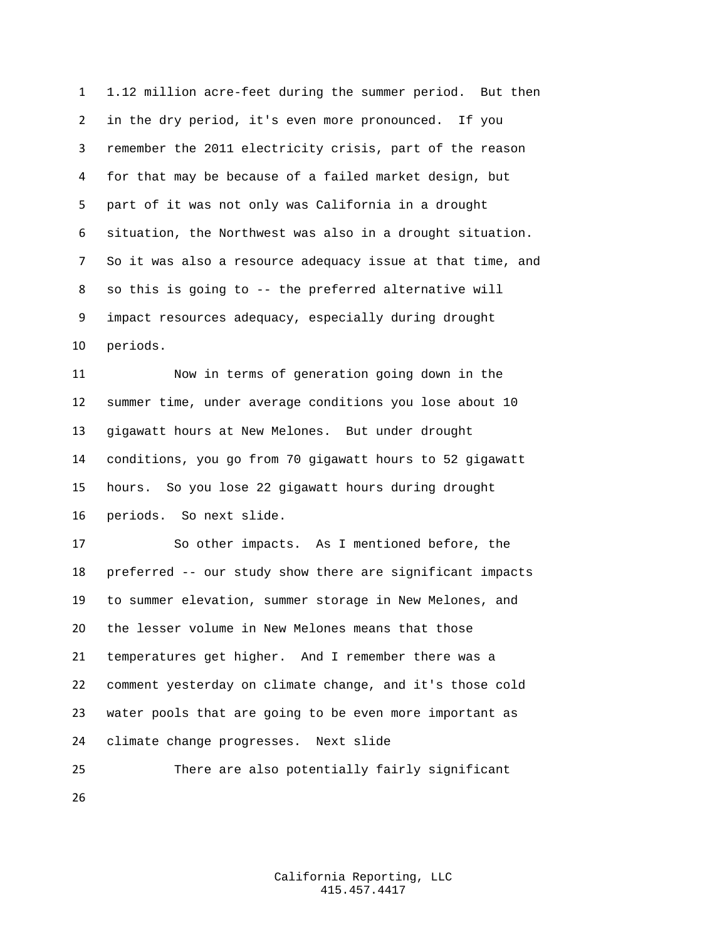1.12 million acre-feet during the summer period. But then in the dry period, it's even more pronounced. If you remember the 2011 electricity crisis, part of the reason for that may be because of a failed market design, but part of it was not only was California in a drought situation, the Northwest was also in a drought situation. So it was also a resource adequacy issue at that time, and so this is going to -- the preferred alternative will impact resources adequacy, especially during drought periods.

 Now in terms of generation going down in the summer time, under average conditions you lose about 10 gigawatt hours at New Melones. But under drought conditions, you go from 70 gigawatt hours to 52 gigawatt hours. So you lose 22 gigawatt hours during drought periods. So next slide.

 So other impacts. As I mentioned before, the preferred -- our study show there are significant impacts to summer elevation, summer storage in New Melones, and the lesser volume in New Melones means that those temperatures get higher. And I remember there was a comment yesterday on climate change, and it's those cold water pools that are going to be even more important as climate change progresses. Next slide

 There are also potentially fairly significant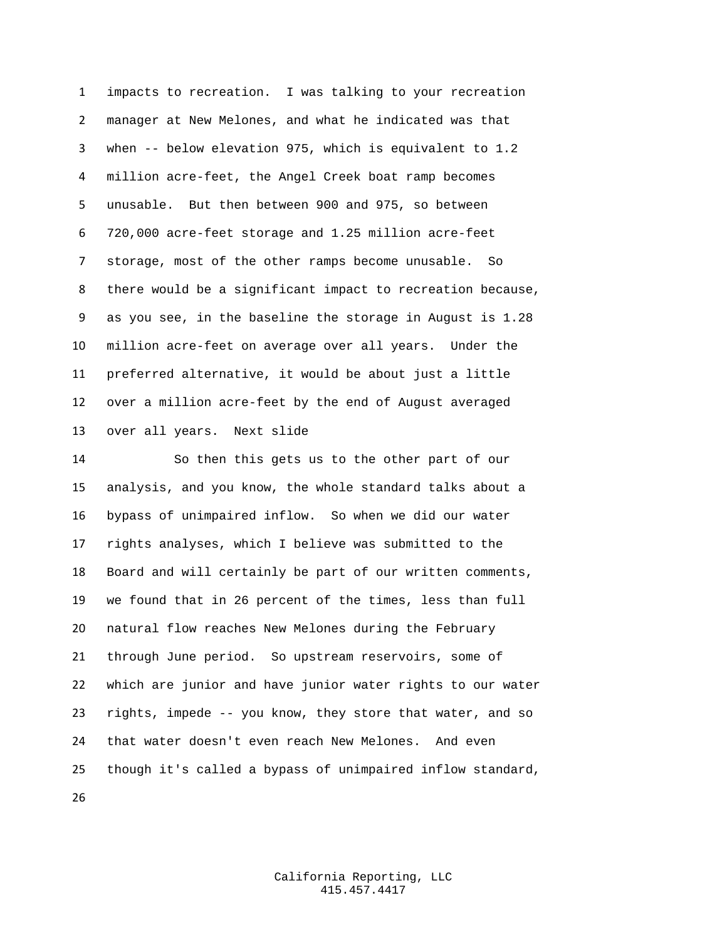impacts to recreation. I was talking to your recreation manager at New Melones, and what he indicated was that when -- below elevation 975, which is equivalent to 1.2 million acre-feet, the Angel Creek boat ramp becomes unusable. But then between 900 and 975, so between 720,000 acre-feet storage and 1.25 million acre-feet storage, most of the other ramps become unusable. So there would be a significant impact to recreation because, as you see, in the baseline the storage in August is 1.28 million acre-feet on average over all years. Under the preferred alternative, it would be about just a little over a million acre-feet by the end of August averaged over all years. Next slide

 So then this gets us to the other part of our analysis, and you know, the whole standard talks about a bypass of unimpaired inflow. So when we did our water rights analyses, which I believe was submitted to the Board and will certainly be part of our written comments, we found that in 26 percent of the times, less than full natural flow reaches New Melones during the February through June period. So upstream reservoirs, some of which are junior and have junior water rights to our water rights, impede -- you know, they store that water, and so that water doesn't even reach New Melones. And even though it's called a bypass of unimpaired inflow standard,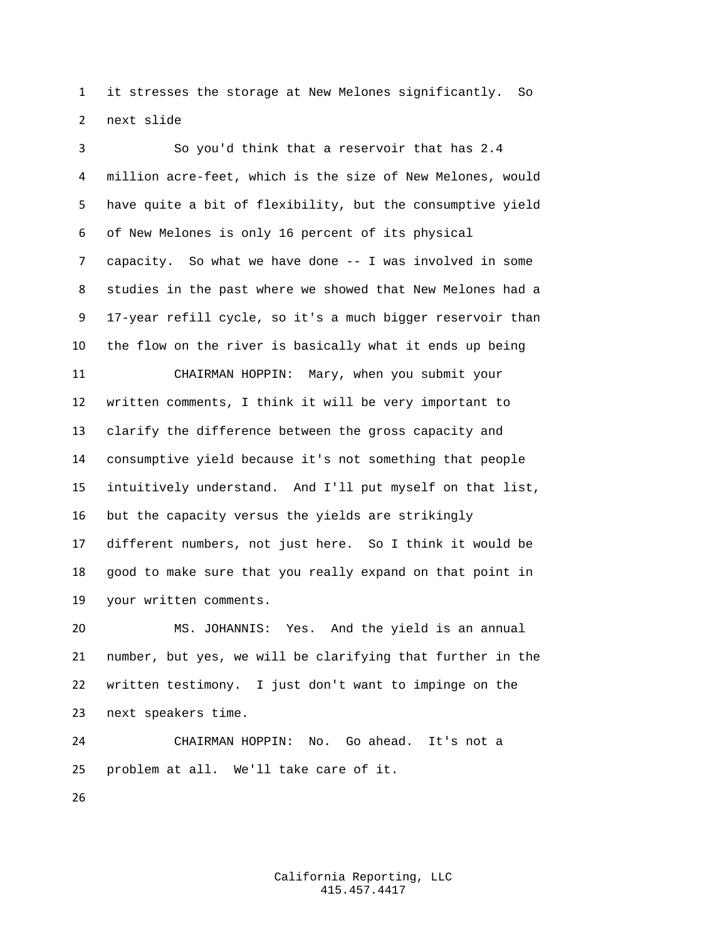it stresses the storage at New Melones significantly. So next slide

 So you'd think that a reservoir that has 2.4 million acre-feet, which is the size of New Melones, would have quite a bit of flexibility, but the consumptive yield of New Melones is only 16 percent of its physical capacity. So what we have done -- I was involved in some studies in the past where we showed that New Melones had a 17-year refill cycle, so it's a much bigger reservoir than the flow on the river is basically what it ends up being CHAIRMAN HOPPIN: Mary, when you submit your written comments, I think it will be very important to clarify the difference between the gross capacity and consumptive yield because it's not something that people intuitively understand. And I'll put myself on that list, but the capacity versus the yields are strikingly different numbers, not just here. So I think it would be good to make sure that you really expand on that point in your written comments. MS. JOHANNIS: Yes. And the yield is an annual

 number, but yes, we will be clarifying that further in the written testimony. I just don't want to impinge on the next speakers time.

 CHAIRMAN HOPPIN: No. Go ahead. It's not a problem at all. We'll take care of it.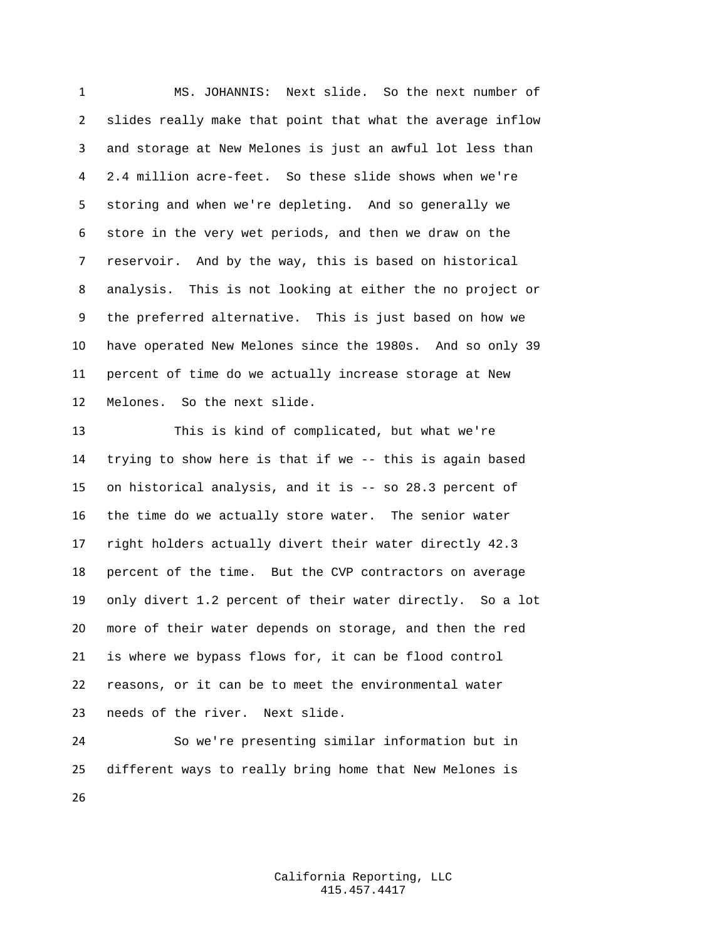MS. JOHANNIS: Next slide. So the next number of slides really make that point that what the average inflow and storage at New Melones is just an awful lot less than 2.4 million acre-feet. So these slide shows when we're storing and when we're depleting. And so generally we store in the very wet periods, and then we draw on the reservoir. And by the way, this is based on historical analysis. This is not looking at either the no project or the preferred alternative. This is just based on how we have operated New Melones since the 1980s. And so only 39 percent of time do we actually increase storage at New Melones. So the next slide.

 This is kind of complicated, but what we're trying to show here is that if we -- this is again based on historical analysis, and it is -- so 28.3 percent of the time do we actually store water. The senior water right holders actually divert their water directly 42.3 percent of the time. But the CVP contractors on average only divert 1.2 percent of their water directly. So a lot more of their water depends on storage, and then the red is where we bypass flows for, it can be flood control reasons, or it can be to meet the environmental water needs of the river. Next slide.

 So we're presenting similar information but in different ways to really bring home that New Melones is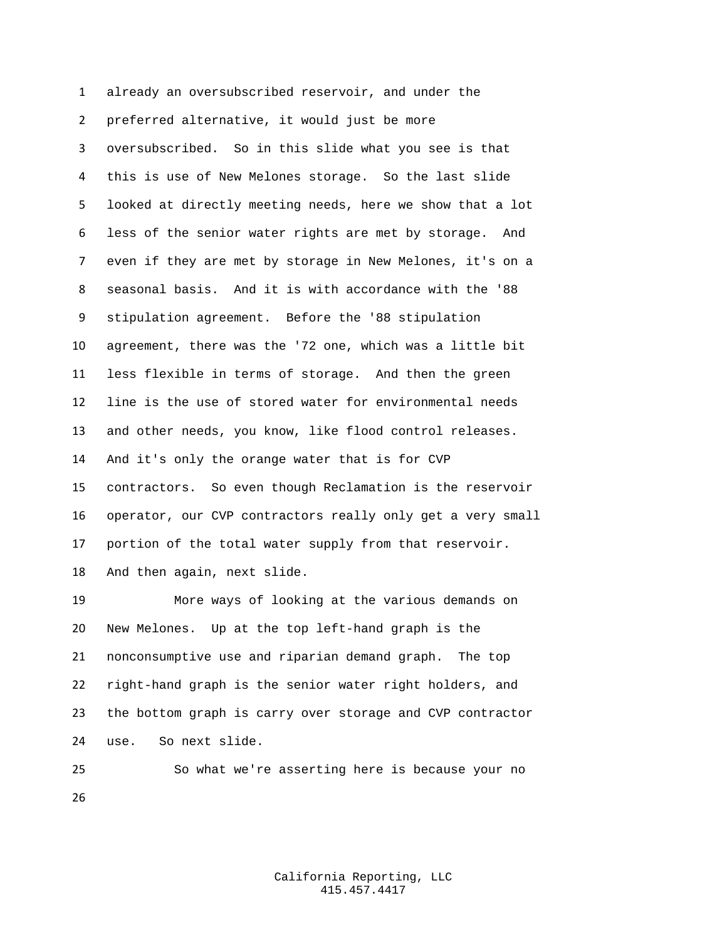already an oversubscribed reservoir, and under the preferred alternative, it would just be more oversubscribed. So in this slide what you see is that this is use of New Melones storage. So the last slide looked at directly meeting needs, here we show that a lot less of the senior water rights are met by storage. And even if they are met by storage in New Melones, it's on a seasonal basis. And it is with accordance with the '88 stipulation agreement. Before the '88 stipulation agreement, there was the '72 one, which was a little bit less flexible in terms of storage. And then the green line is the use of stored water for environmental needs and other needs, you know, like flood control releases. And it's only the orange water that is for CVP contractors. So even though Reclamation is the reservoir operator, our CVP contractors really only get a very small portion of the total water supply from that reservoir. And then again, next slide.

 More ways of looking at the various demands on New Melones. Up at the top left-hand graph is the nonconsumptive use and riparian demand graph. The top right-hand graph is the senior water right holders, and the bottom graph is carry over storage and CVP contractor use. So next slide.

 So what we're asserting here is because your no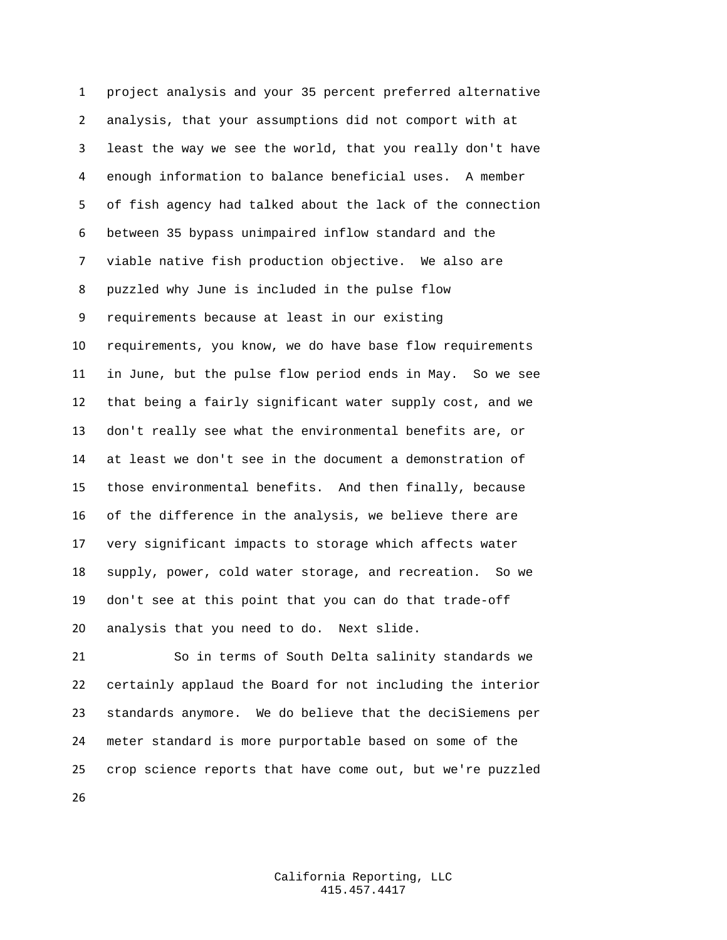project analysis and your 35 percent preferred alternative analysis, that your assumptions did not comport with at least the way we see the world, that you really don't have enough information to balance beneficial uses. A member of fish agency had talked about the lack of the connection between 35 bypass unimpaired inflow standard and the viable native fish production objective. We also are puzzled why June is included in the pulse flow requirements because at least in our existing requirements, you know, we do have base flow requirements in June, but the pulse flow period ends in May. So we see that being a fairly significant water supply cost, and we don't really see what the environmental benefits are, or at least we don't see in the document a demonstration of those environmental benefits. And then finally, because of the difference in the analysis, we believe there are very significant impacts to storage which affects water supply, power, cold water storage, and recreation. So we don't see at this point that you can do that trade-off analysis that you need to do. Next slide.

 So in terms of South Delta salinity standards we certainly applaud the Board for not including the interior standards anymore. We do believe that the deciSiemens per meter standard is more purportable based on some of the crop science reports that have come out, but we're puzzled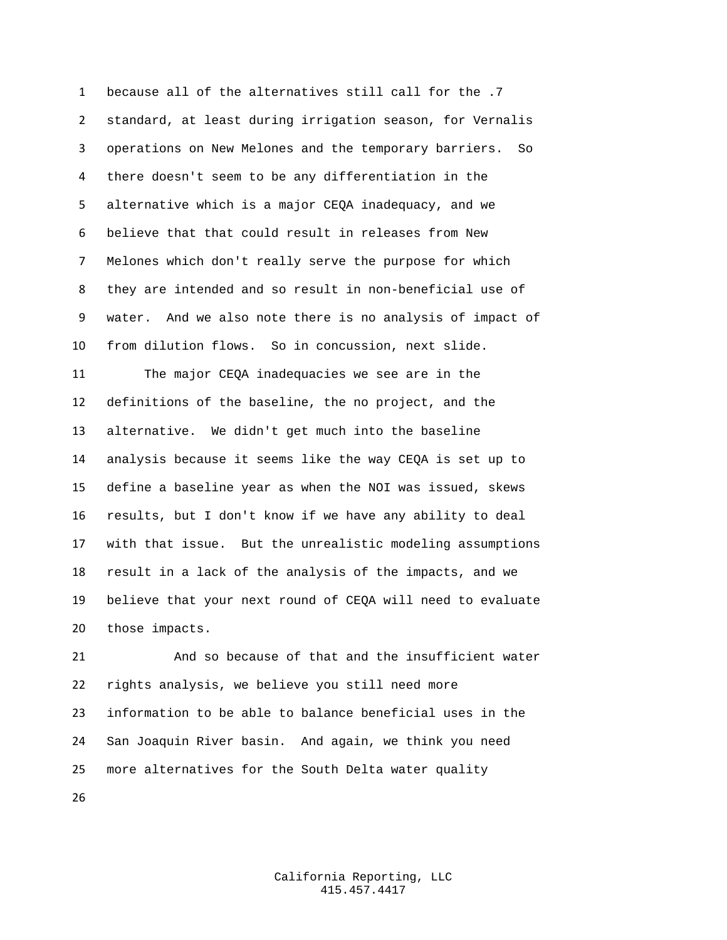because all of the alternatives still call for the .7 standard, at least during irrigation season, for Vernalis operations on New Melones and the temporary barriers. So there doesn't seem to be any differentiation in the alternative which is a major CEQA inadequacy, and we believe that that could result in releases from New Melones which don't really serve the purpose for which they are intended and so result in non-beneficial use of water. And we also note there is no analysis of impact of from dilution flows. So in concussion, next slide. The major CEQA inadequacies we see are in the

 definitions of the baseline, the no project, and the alternative. We didn't get much into the baseline analysis because it seems like the way CEQA is set up to define a baseline year as when the NOI was issued, skews results, but I don't know if we have any ability to deal with that issue. But the unrealistic modeling assumptions result in a lack of the analysis of the impacts, and we believe that your next round of CEQA will need to evaluate those impacts.

 And so because of that and the insufficient water rights analysis, we believe you still need more information to be able to balance beneficial uses in the San Joaquin River basin. And again, we think you need more alternatives for the South Delta water quality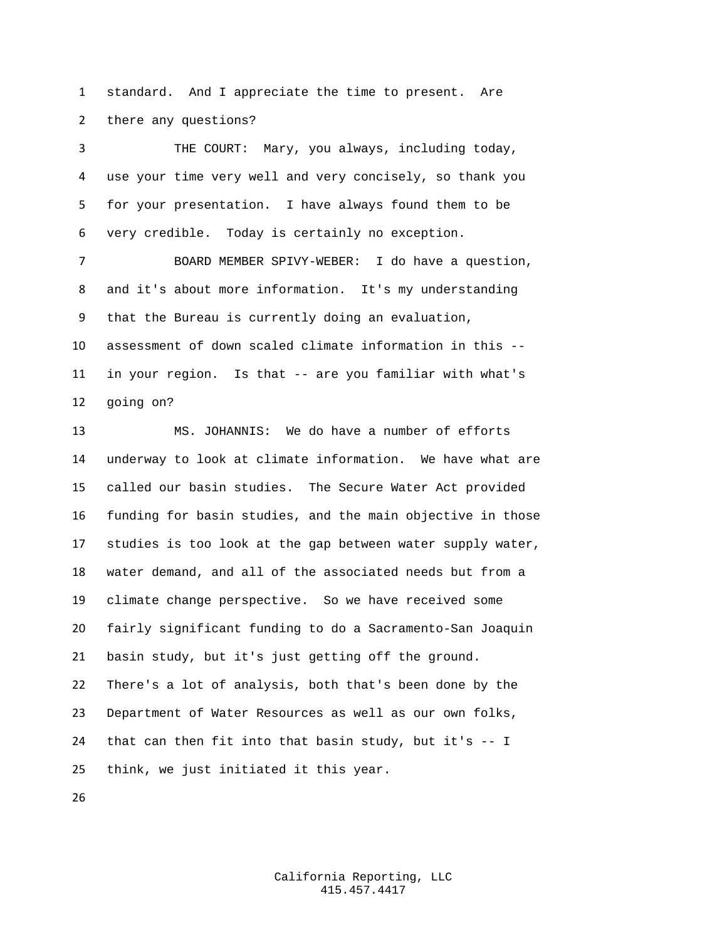standard. And I appreciate the time to present. Are there any questions?

 THE COURT: Mary, you always, including today, use your time very well and very concisely, so thank you for your presentation. I have always found them to be very credible. Today is certainly no exception.

 BOARD MEMBER SPIVY-WEBER: I do have a question, and it's about more information. It's my understanding that the Bureau is currently doing an evaluation, assessment of down scaled climate information in this -- in your region. Is that -- are you familiar with what's going on?

 MS. JOHANNIS: We do have a number of efforts underway to look at climate information. We have what are called our basin studies. The Secure Water Act provided funding for basin studies, and the main objective in those studies is too look at the gap between water supply water, water demand, and all of the associated needs but from a climate change perspective. So we have received some fairly significant funding to do a Sacramento-San Joaquin basin study, but it's just getting off the ground. There's a lot of analysis, both that's been done by the Department of Water Resources as well as our own folks, that can then fit into that basin study, but it's -- I think, we just initiated it this year.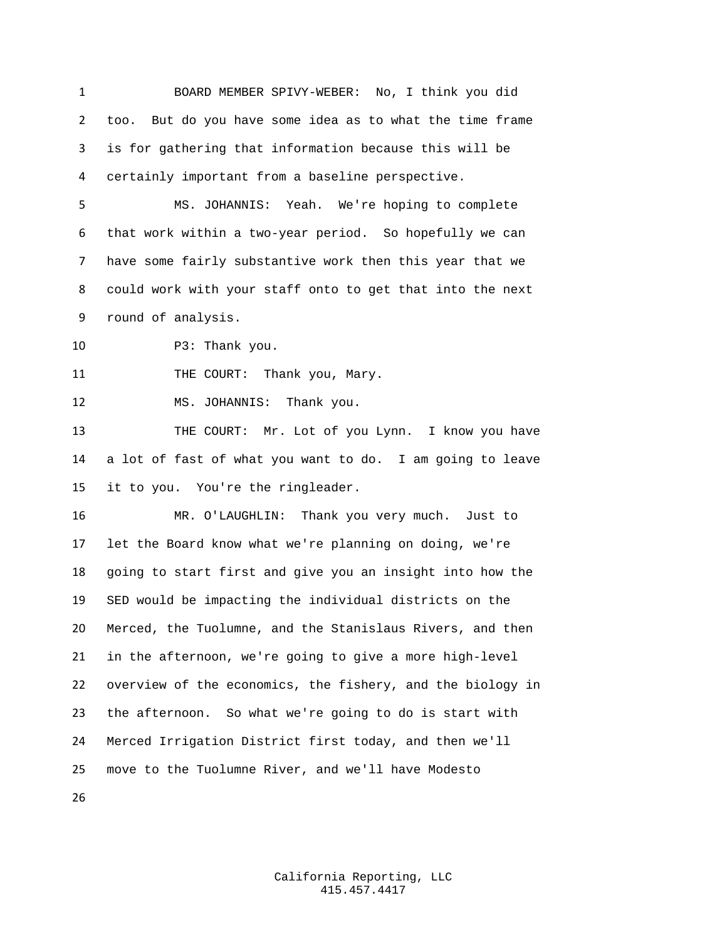BOARD MEMBER SPIVY-WEBER: No, I think you did too. But do you have some idea as to what the time frame is for gathering that information because this will be certainly important from a baseline perspective.

 MS. JOHANNIS: Yeah. We're hoping to complete that work within a two-year period. So hopefully we can have some fairly substantive work then this year that we could work with your staff onto to get that into the next round of analysis.

10 P3: Thank you.

11 THE COURT: Thank you, Mary.

MS. JOHANNIS: Thank you.

 THE COURT: Mr. Lot of you Lynn. I know you have a lot of fast of what you want to do. I am going to leave it to you. You're the ringleader.

 MR. O'LAUGHLIN: Thank you very much. Just to let the Board know what we're planning on doing, we're going to start first and give you an insight into how the SED would be impacting the individual districts on the Merced, the Tuolumne, and the Stanislaus Rivers, and then in the afternoon, we're going to give a more high-level overview of the economics, the fishery, and the biology in the afternoon. So what we're going to do is start with Merced Irrigation District first today, and then we'll move to the Tuolumne River, and we'll have Modesto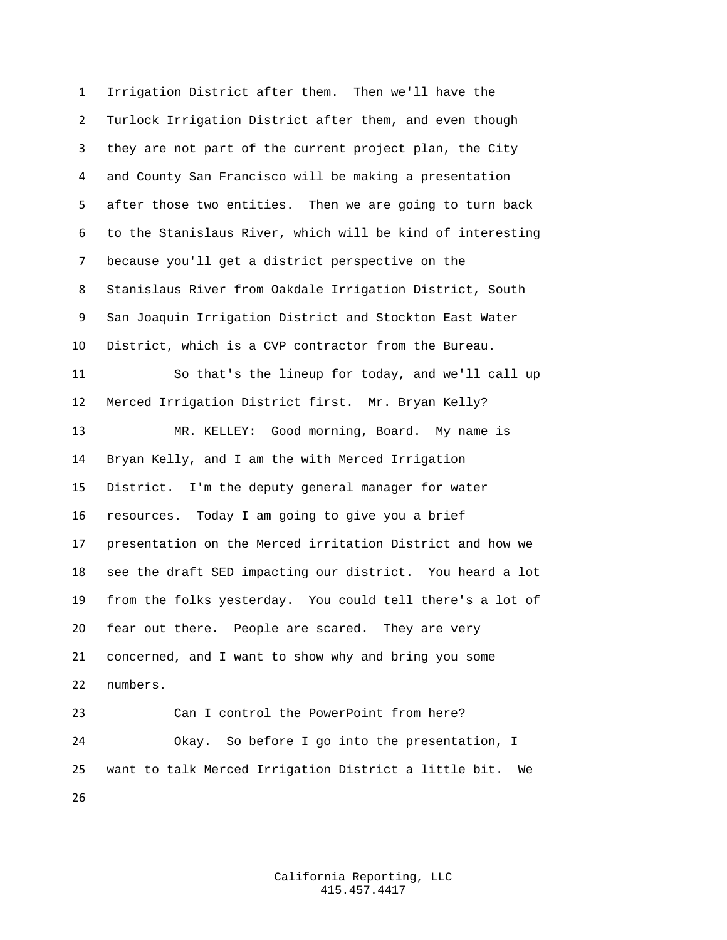Irrigation District after them. Then we'll have the Turlock Irrigation District after them, and even though they are not part of the current project plan, the City and County San Francisco will be making a presentation after those two entities. Then we are going to turn back to the Stanislaus River, which will be kind of interesting because you'll get a district perspective on the Stanislaus River from Oakdale Irrigation District, South San Joaquin Irrigation District and Stockton East Water District, which is a CVP contractor from the Bureau. So that's the lineup for today, and we'll call up Merced Irrigation District first. Mr. Bryan Kelly? MR. KELLEY: Good morning, Board. My name is Bryan Kelly, and I am the with Merced Irrigation District. I'm the deputy general manager for water resources. Today I am going to give you a brief presentation on the Merced irritation District and how we see the draft SED impacting our district. You heard a lot from the folks yesterday. You could tell there's a lot of fear out there. People are scared. They are very concerned, and I want to show why and bring you some numbers. Can I control the PowerPoint from here? Okay. So before I go into the presentation, I want to talk Merced Irrigation District a little bit. We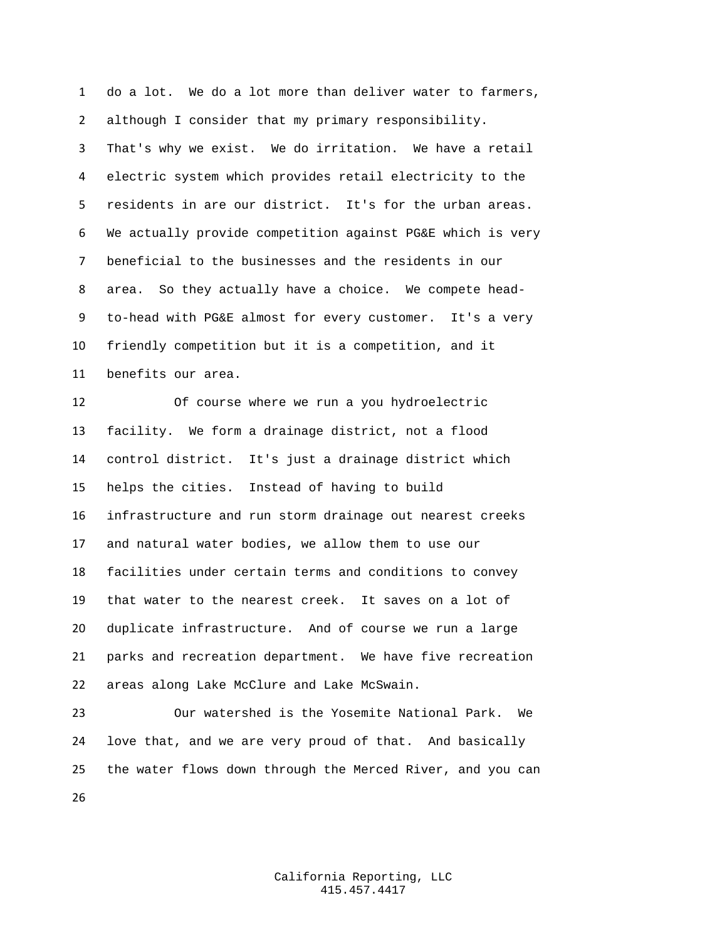do a lot. We do a lot more than deliver water to farmers, although I consider that my primary responsibility. That's why we exist. We do irritation. We have a retail electric system which provides retail electricity to the residents in are our district. It's for the urban areas. We actually provide competition against PG&E which is very beneficial to the businesses and the residents in our area. So they actually have a choice. We compete head- to-head with PG&E almost for every customer. It's a very friendly competition but it is a competition, and it benefits our area.

 Of course where we run a you hydroelectric facility. We form a drainage district, not a flood control district. It's just a drainage district which helps the cities. Instead of having to build infrastructure and run storm drainage out nearest creeks and natural water bodies, we allow them to use our facilities under certain terms and conditions to convey that water to the nearest creek. It saves on a lot of duplicate infrastructure. And of course we run a large parks and recreation department. We have five recreation areas along Lake McClure and Lake McSwain.

 Our watershed is the Yosemite National Park. We love that, and we are very proud of that. And basically the water flows down through the Merced River, and you can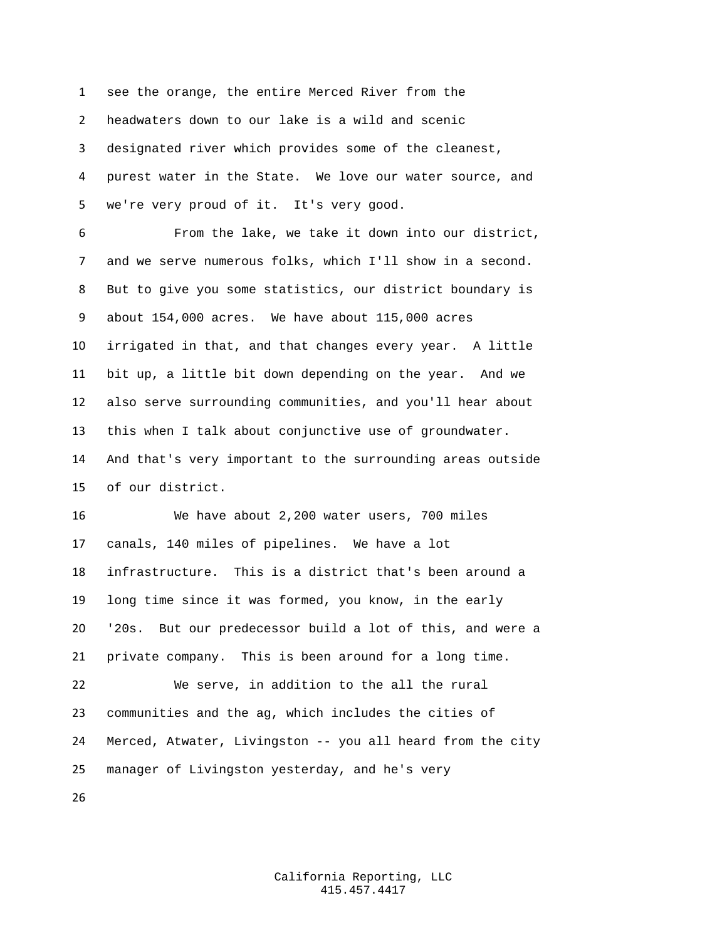see the orange, the entire Merced River from the headwaters down to our lake is a wild and scenic designated river which provides some of the cleanest, purest water in the State. We love our water source, and we're very proud of it. It's very good.

 From the lake, we take it down into our district, and we serve numerous folks, which I'll show in a second. But to give you some statistics, our district boundary is about 154,000 acres. We have about 115,000 acres irrigated in that, and that changes every year. A little bit up, a little bit down depending on the year. And we also serve surrounding communities, and you'll hear about this when I talk about conjunctive use of groundwater. And that's very important to the surrounding areas outside of our district.

 We have about 2,200 water users, 700 miles canals, 140 miles of pipelines. We have a lot infrastructure. This is a district that's been around a long time since it was formed, you know, in the early '20s. But our predecessor build a lot of this, and were a private company. This is been around for a long time. We serve, in addition to the all the rural communities and the ag, which includes the cities of Merced, Atwater, Livingston -- you all heard from the city manager of Livingston yesterday, and he's very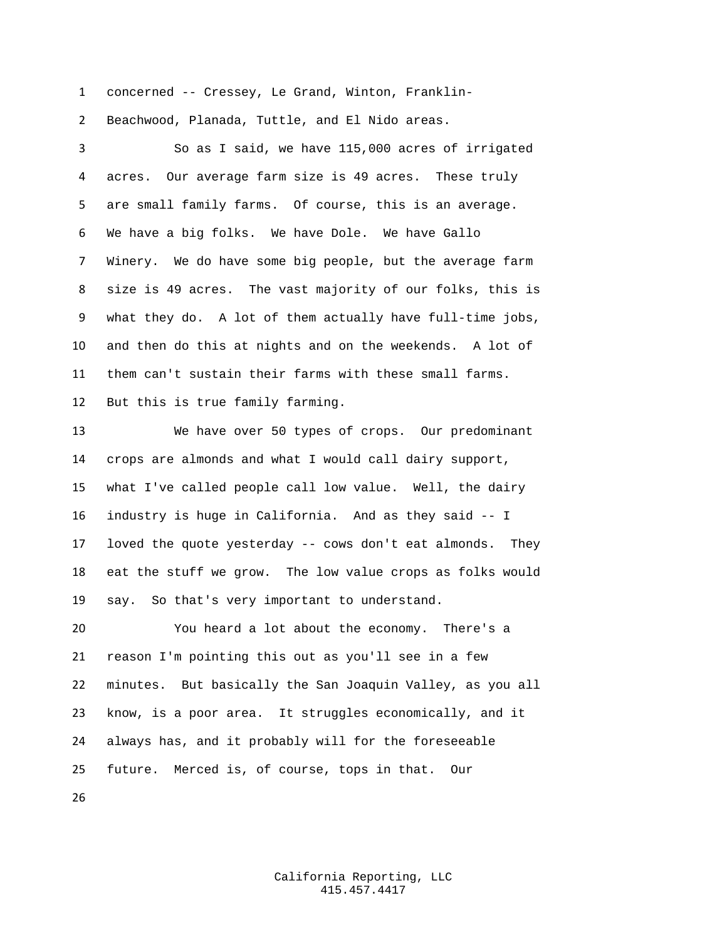concerned -- Cressey, Le Grand, Winton, Franklin-

Beachwood, Planada, Tuttle, and El Nido areas.

 So as I said, we have 115,000 acres of irrigated acres. Our average farm size is 49 acres. These truly are small family farms. Of course, this is an average. We have a big folks. We have Dole. We have Gallo Winery. We do have some big people, but the average farm size is 49 acres. The vast majority of our folks, this is what they do. A lot of them actually have full-time jobs, and then do this at nights and on the weekends. A lot of them can't sustain their farms with these small farms. But this is true family farming.

 We have over 50 types of crops. Our predominant crops are almonds and what I would call dairy support, what I've called people call low value. Well, the dairy industry is huge in California. And as they said -- I loved the quote yesterday -- cows don't eat almonds. They eat the stuff we grow. The low value crops as folks would say. So that's very important to understand.

 You heard a lot about the economy. There's a reason I'm pointing this out as you'll see in a few minutes. But basically the San Joaquin Valley, as you all know, is a poor area. It struggles economically, and it always has, and it probably will for the foreseeable future. Merced is, of course, tops in that. Our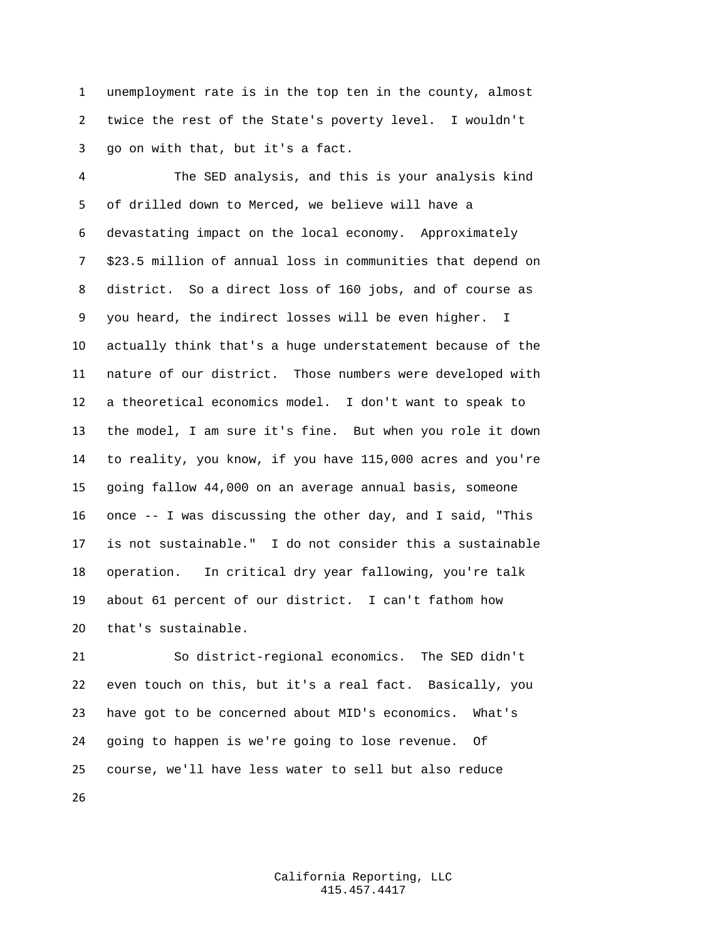unemployment rate is in the top ten in the county, almost twice the rest of the State's poverty level. I wouldn't go on with that, but it's a fact.

 The SED analysis, and this is your analysis kind of drilled down to Merced, we believe will have a devastating impact on the local economy. Approximately \$23.5 million of annual loss in communities that depend on district. So a direct loss of 160 jobs, and of course as you heard, the indirect losses will be even higher. I actually think that's a huge understatement because of the nature of our district. Those numbers were developed with a theoretical economics model. I don't want to speak to the model, I am sure it's fine. But when you role it down to reality, you know, if you have 115,000 acres and you're going fallow 44,000 on an average annual basis, someone once -- I was discussing the other day, and I said, "This is not sustainable." I do not consider this a sustainable operation. In critical dry year fallowing, you're talk about 61 percent of our district. I can't fathom how that's sustainable.

 So district-regional economics. The SED didn't even touch on this, but it's a real fact. Basically, you have got to be concerned about MID's economics. What's going to happen is we're going to lose revenue. Of course, we'll have less water to sell but also reduce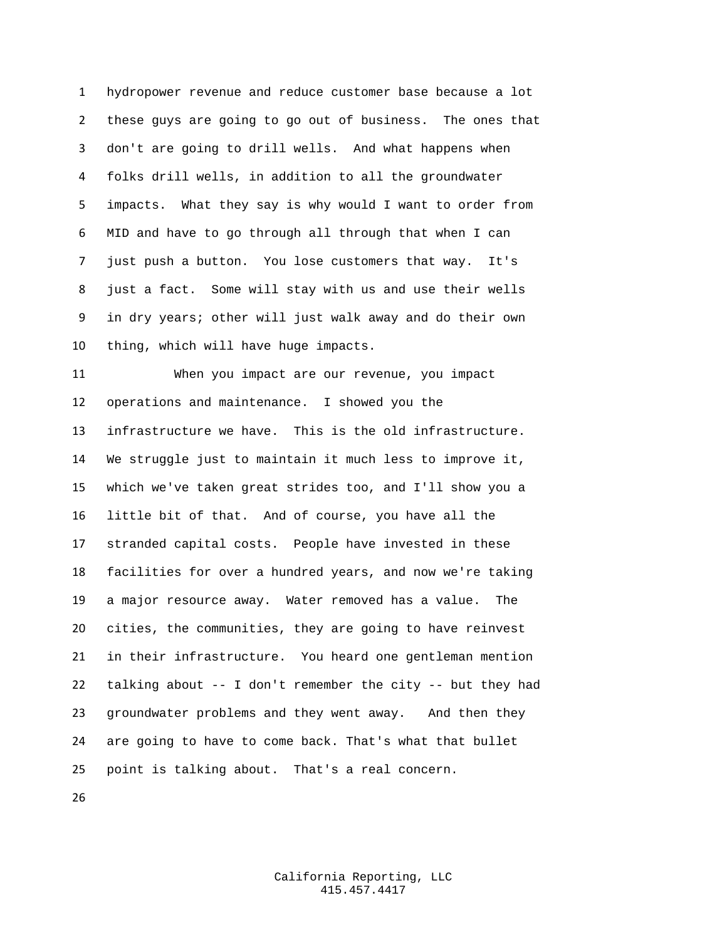hydropower revenue and reduce customer base because a lot these guys are going to go out of business. The ones that don't are going to drill wells. And what happens when folks drill wells, in addition to all the groundwater impacts. What they say is why would I want to order from MID and have to go through all through that when I can just push a button. You lose customers that way. It's just a fact. Some will stay with us and use their wells in dry years; other will just walk away and do their own thing, which will have huge impacts.

 When you impact are our revenue, you impact operations and maintenance. I showed you the infrastructure we have. This is the old infrastructure. We struggle just to maintain it much less to improve it, which we've taken great strides too, and I'll show you a little bit of that. And of course, you have all the stranded capital costs. People have invested in these facilities for over a hundred years, and now we're taking a major resource away. Water removed has a value. The cities, the communities, they are going to have reinvest in their infrastructure. You heard one gentleman mention talking about -- I don't remember the city -- but they had groundwater problems and they went away. And then they are going to have to come back. That's what that bullet point is talking about. That's a real concern.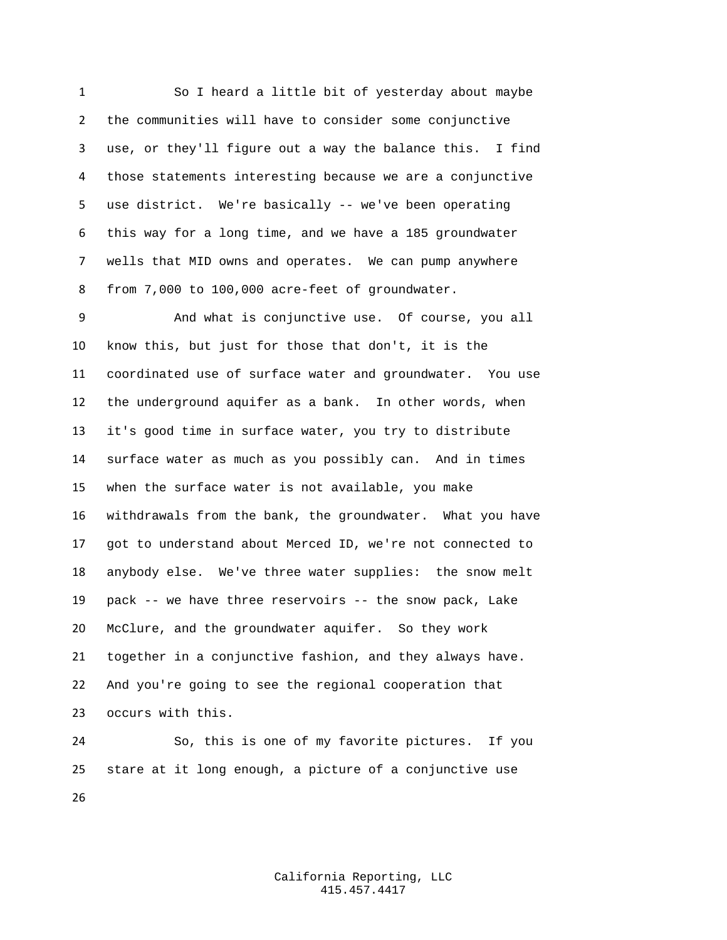So I heard a little bit of yesterday about maybe the communities will have to consider some conjunctive use, or they'll figure out a way the balance this. I find those statements interesting because we are a conjunctive use district. We're basically -- we've been operating this way for a long time, and we have a 185 groundwater wells that MID owns and operates. We can pump anywhere from 7,000 to 100,000 acre-feet of groundwater.

 And what is conjunctive use. Of course, you all know this, but just for those that don't, it is the coordinated use of surface water and groundwater. You use the underground aquifer as a bank. In other words, when it's good time in surface water, you try to distribute surface water as much as you possibly can. And in times when the surface water is not available, you make withdrawals from the bank, the groundwater. What you have got to understand about Merced ID, we're not connected to anybody else. We've three water supplies: the snow melt pack -- we have three reservoirs -- the snow pack, Lake McClure, and the groundwater aquifer. So they work together in a conjunctive fashion, and they always have. And you're going to see the regional cooperation that occurs with this.

 So, this is one of my favorite pictures. If you stare at it long enough, a picture of a conjunctive use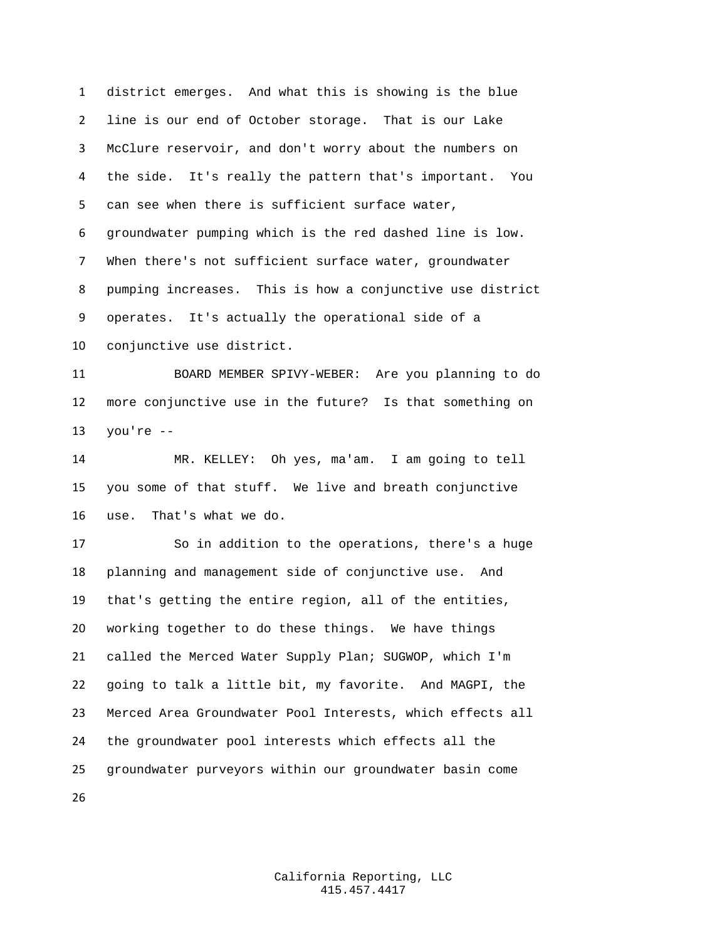district emerges. And what this is showing is the blue line is our end of October storage. That is our Lake McClure reservoir, and don't worry about the numbers on the side. It's really the pattern that's important. You can see when there is sufficient surface water, groundwater pumping which is the red dashed line is low. When there's not sufficient surface water, groundwater pumping increases. This is how a conjunctive use district operates. It's actually the operational side of a conjunctive use district.

 BOARD MEMBER SPIVY-WEBER: Are you planning to do more conjunctive use in the future? Is that something on you're --

 MR. KELLEY: Oh yes, ma'am. I am going to tell you some of that stuff. We live and breath conjunctive use. That's what we do.

 So in addition to the operations, there's a huge planning and management side of conjunctive use. And that's getting the entire region, all of the entities, working together to do these things. We have things called the Merced Water Supply Plan; SUGWOP, which I'm going to talk a little bit, my favorite. And MAGPI, the Merced Area Groundwater Pool Interests, which effects all the groundwater pool interests which effects all the groundwater purveyors within our groundwater basin come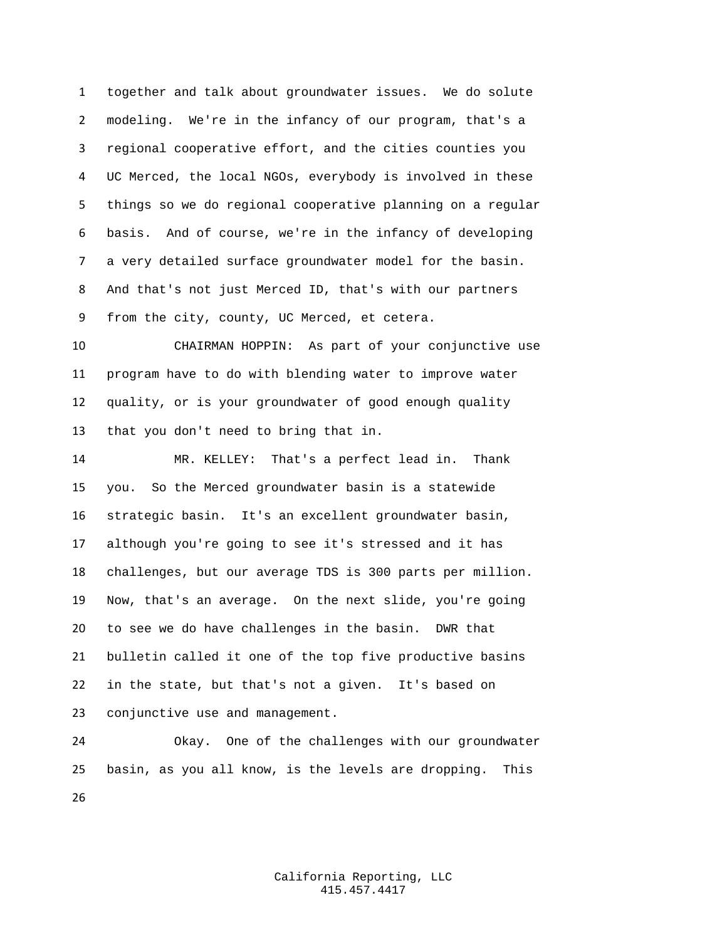together and talk about groundwater issues. We do solute modeling. We're in the infancy of our program, that's a regional cooperative effort, and the cities counties you UC Merced, the local NGOs, everybody is involved in these things so we do regional cooperative planning on a regular basis. And of course, we're in the infancy of developing a very detailed surface groundwater model for the basin. And that's not just Merced ID, that's with our partners from the city, county, UC Merced, et cetera.

 CHAIRMAN HOPPIN: As part of your conjunctive use program have to do with blending water to improve water quality, or is your groundwater of good enough quality that you don't need to bring that in.

 MR. KELLEY: That's a perfect lead in. Thank you. So the Merced groundwater basin is a statewide strategic basin. It's an excellent groundwater basin, although you're going to see it's stressed and it has challenges, but our average TDS is 300 parts per million. Now, that's an average. On the next slide, you're going to see we do have challenges in the basin. DWR that bulletin called it one of the top five productive basins in the state, but that's not a given. It's based on conjunctive use and management.

 Okay. One of the challenges with our groundwater basin, as you all know, is the levels are dropping. This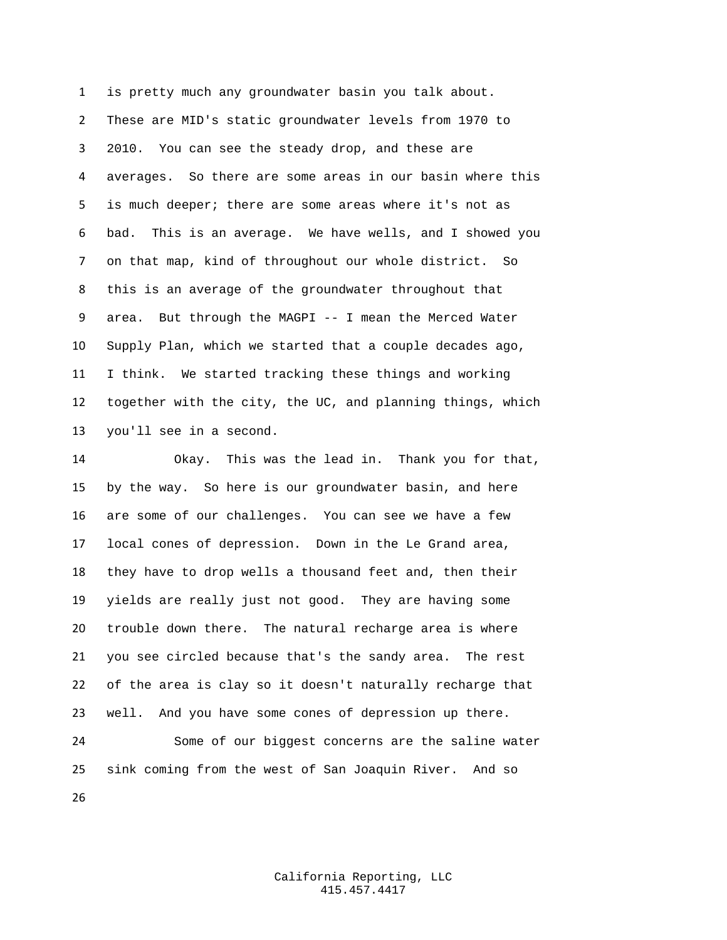is pretty much any groundwater basin you talk about. These are MID's static groundwater levels from 1970 to 2010. You can see the steady drop, and these are averages. So there are some areas in our basin where this is much deeper; there are some areas where it's not as bad. This is an average. We have wells, and I showed you on that map, kind of throughout our whole district. So this is an average of the groundwater throughout that area. But through the MAGPI -- I mean the Merced Water Supply Plan, which we started that a couple decades ago, I think. We started tracking these things and working together with the city, the UC, and planning things, which you'll see in a second.

 Okay. This was the lead in. Thank you for that, by the way. So here is our groundwater basin, and here are some of our challenges. You can see we have a few local cones of depression. Down in the Le Grand area, they have to drop wells a thousand feet and, then their yields are really just not good. They are having some trouble down there. The natural recharge area is where you see circled because that's the sandy area. The rest of the area is clay so it doesn't naturally recharge that well. And you have some cones of depression up there.

 Some of our biggest concerns are the saline water sink coming from the west of San Joaquin River. And so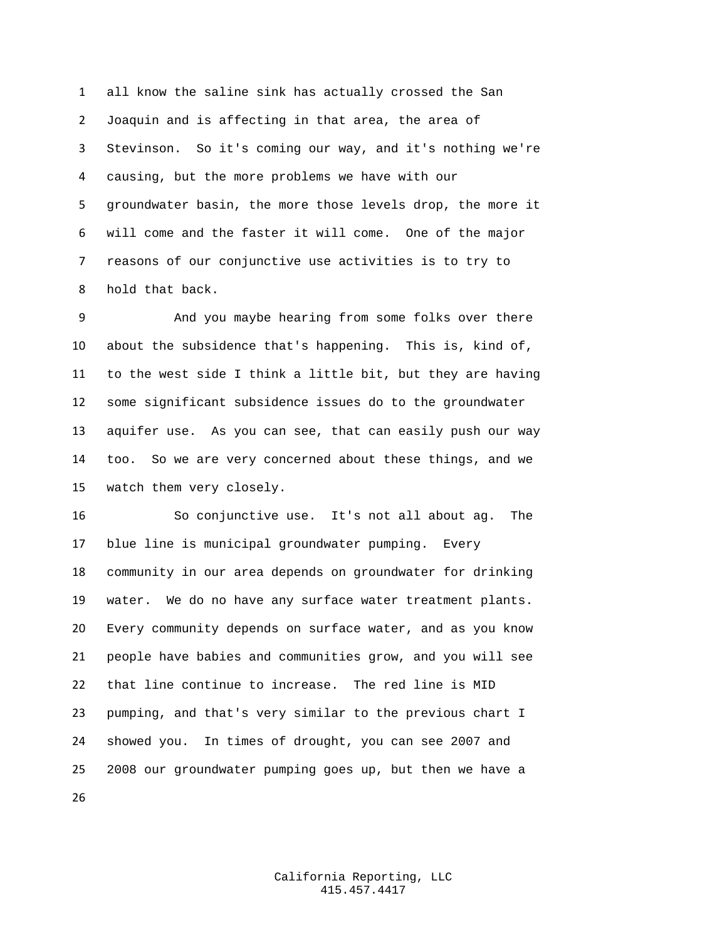all know the saline sink has actually crossed the San Joaquin and is affecting in that area, the area of Stevinson. So it's coming our way, and it's nothing we're causing, but the more problems we have with our groundwater basin, the more those levels drop, the more it will come and the faster it will come. One of the major reasons of our conjunctive use activities is to try to hold that back.

 And you maybe hearing from some folks over there about the subsidence that's happening. This is, kind of, to the west side I think a little bit, but they are having some significant subsidence issues do to the groundwater aquifer use. As you can see, that can easily push our way too. So we are very concerned about these things, and we watch them very closely.

 So conjunctive use. It's not all about ag. The blue line is municipal groundwater pumping. Every community in our area depends on groundwater for drinking water. We do no have any surface water treatment plants. Every community depends on surface water, and as you know people have babies and communities grow, and you will see that line continue to increase. The red line is MID pumping, and that's very similar to the previous chart I showed you. In times of drought, you can see 2007 and 2008 our groundwater pumping goes up, but then we have a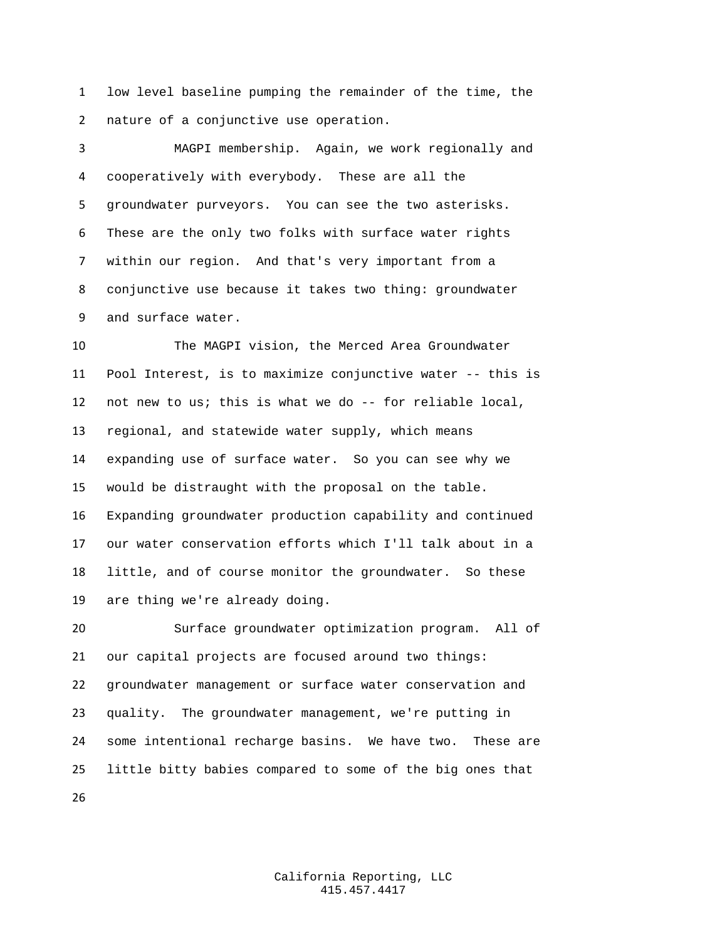low level baseline pumping the remainder of the time, the nature of a conjunctive use operation.

 MAGPI membership. Again, we work regionally and cooperatively with everybody. These are all the groundwater purveyors. You can see the two asterisks. These are the only two folks with surface water rights within our region. And that's very important from a conjunctive use because it takes two thing: groundwater and surface water.

 The MAGPI vision, the Merced Area Groundwater Pool Interest, is to maximize conjunctive water -- this is not new to us; this is what we do -- for reliable local, regional, and statewide water supply, which means expanding use of surface water. So you can see why we would be distraught with the proposal on the table. Expanding groundwater production capability and continued our water conservation efforts which I'll talk about in a little, and of course monitor the groundwater. So these are thing we're already doing.

 Surface groundwater optimization program. All of our capital projects are focused around two things: groundwater management or surface water conservation and quality. The groundwater management, we're putting in some intentional recharge basins. We have two. These are little bitty babies compared to some of the big ones that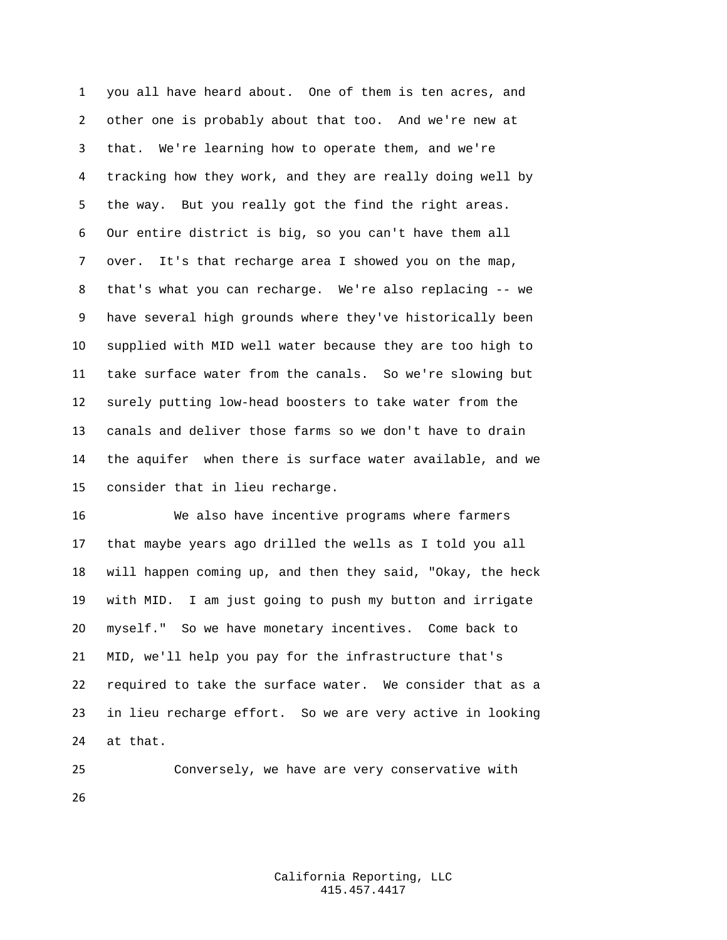you all have heard about. One of them is ten acres, and other one is probably about that too. And we're new at that. We're learning how to operate them, and we're tracking how they work, and they are really doing well by the way. But you really got the find the right areas. Our entire district is big, so you can't have them all over. It's that recharge area I showed you on the map, that's what you can recharge. We're also replacing -- we have several high grounds where they've historically been supplied with MID well water because they are too high to take surface water from the canals. So we're slowing but surely putting low-head boosters to take water from the canals and deliver those farms so we don't have to drain the aquifer when there is surface water available, and we consider that in lieu recharge.

 We also have incentive programs where farmers that maybe years ago drilled the wells as I told you all will happen coming up, and then they said, "Okay, the heck with MID. I am just going to push my button and irrigate myself." So we have monetary incentives. Come back to MID, we'll help you pay for the infrastructure that's required to take the surface water. We consider that as a in lieu recharge effort. So we are very active in looking at that.

 Conversely, we have are very conservative with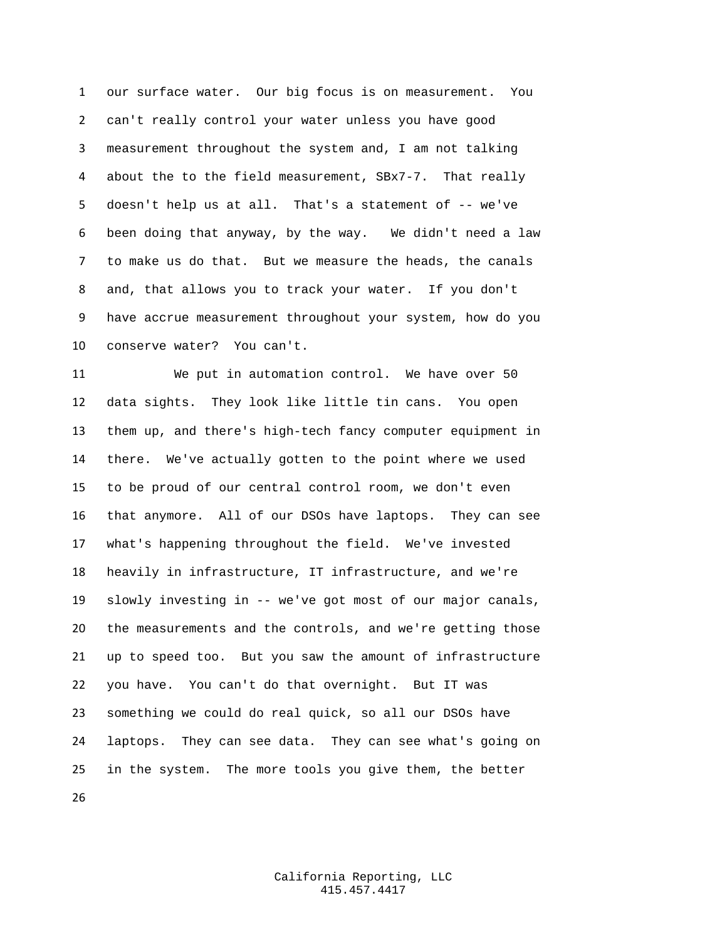our surface water. Our big focus is on measurement. You can't really control your water unless you have good measurement throughout the system and, I am not talking about the to the field measurement, SBx7-7. That really doesn't help us at all. That's a statement of -- we've been doing that anyway, by the way. We didn't need a law to make us do that. But we measure the heads, the canals and, that allows you to track your water. If you don't have accrue measurement throughout your system, how do you conserve water? You can't.

 We put in automation control. We have over 50 data sights. They look like little tin cans. You open them up, and there's high-tech fancy computer equipment in there. We've actually gotten to the point where we used to be proud of our central control room, we don't even that anymore. All of our DSOs have laptops. They can see what's happening throughout the field. We've invested heavily in infrastructure, IT infrastructure, and we're slowly investing in -- we've got most of our major canals, the measurements and the controls, and we're getting those up to speed too. But you saw the amount of infrastructure you have. You can't do that overnight. But IT was something we could do real quick, so all our DSOs have laptops. They can see data. They can see what's going on in the system. The more tools you give them, the better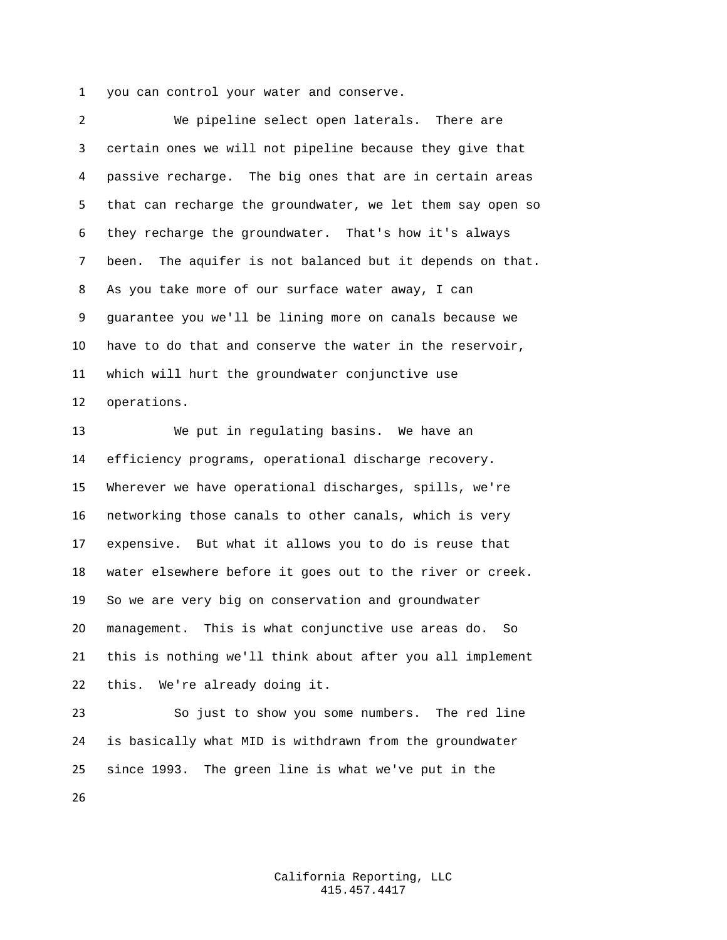you can control your water and conserve.

 We pipeline select open laterals. There are certain ones we will not pipeline because they give that passive recharge. The big ones that are in certain areas that can recharge the groundwater, we let them say open so they recharge the groundwater. That's how it's always been. The aquifer is not balanced but it depends on that. As you take more of our surface water away, I can guarantee you we'll be lining more on canals because we have to do that and conserve the water in the reservoir, which will hurt the groundwater conjunctive use operations.

 We put in regulating basins. We have an efficiency programs, operational discharge recovery. Wherever we have operational discharges, spills, we're networking those canals to other canals, which is very expensive. But what it allows you to do is reuse that water elsewhere before it goes out to the river or creek. So we are very big on conservation and groundwater management. This is what conjunctive use areas do. So this is nothing we'll think about after you all implement this. We're already doing it.

 So just to show you some numbers. The red line is basically what MID is withdrawn from the groundwater since 1993. The green line is what we've put in the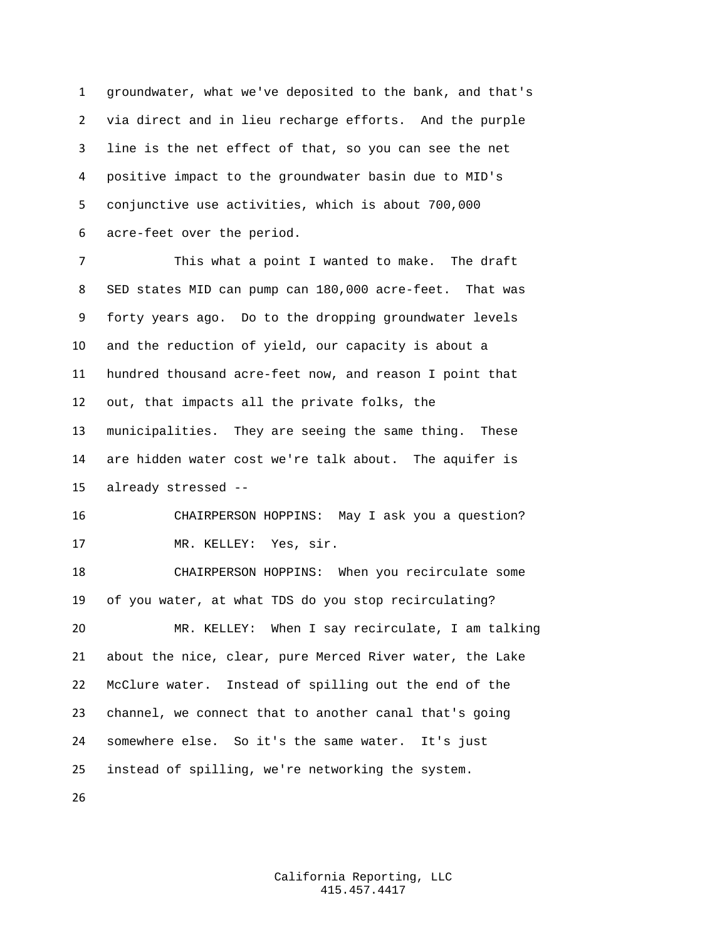groundwater, what we've deposited to the bank, and that's via direct and in lieu recharge efforts. And the purple line is the net effect of that, so you can see the net positive impact to the groundwater basin due to MID's conjunctive use activities, which is about 700,000 acre-feet over the period.

 This what a point I wanted to make. The draft SED states MID can pump can 180,000 acre-feet. That was forty years ago. Do to the dropping groundwater levels and the reduction of yield, our capacity is about a hundred thousand acre-feet now, and reason I point that out, that impacts all the private folks, the municipalities. They are seeing the same thing. These are hidden water cost we're talk about. The aquifer is already stressed --

 CHAIRPERSON HOPPINS: May I ask you a question? MR. KELLEY: Yes, sir.

 CHAIRPERSON HOPPINS: When you recirculate some of you water, at what TDS do you stop recirculating? MR. KELLEY: When I say recirculate, I am talking about the nice, clear, pure Merced River water, the Lake McClure water. Instead of spilling out the end of the channel, we connect that to another canal that's going somewhere else. So it's the same water. It's just instead of spilling, we're networking the system.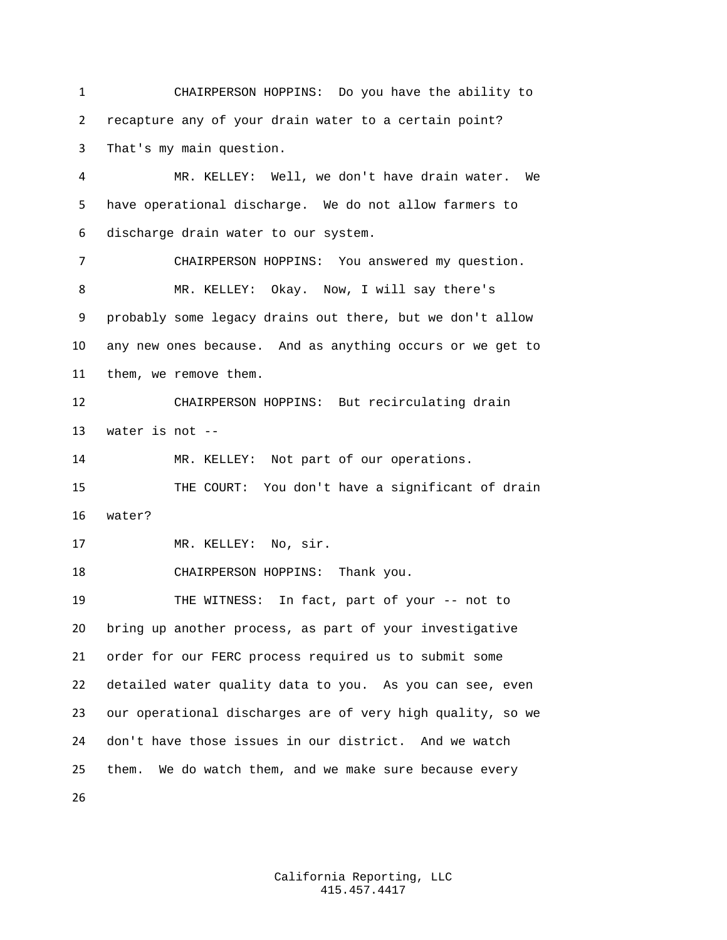CHAIRPERSON HOPPINS: Do you have the ability to recapture any of your drain water to a certain point? That's my main question.

 MR. KELLEY: Well, we don't have drain water. We have operational discharge. We do not allow farmers to discharge drain water to our system. CHAIRPERSON HOPPINS: You answered my question. MR. KELLEY: Okay. Now, I will say there's probably some legacy drains out there, but we don't allow any new ones because. And as anything occurs or we get to them, we remove them. CHAIRPERSON HOPPINS: But recirculating drain water is not -- MR. KELLEY: Not part of our operations. THE COURT: You don't have a significant of drain water? MR. KELLEY: No, sir. CHAIRPERSON HOPPINS: Thank you. THE WITNESS: In fact, part of your -- not to bring up another process, as part of your investigative order for our FERC process required us to submit some detailed water quality data to you. As you can see, even our operational discharges are of very high quality, so we don't have those issues in our district. And we watch them. We do watch them, and we make sure because every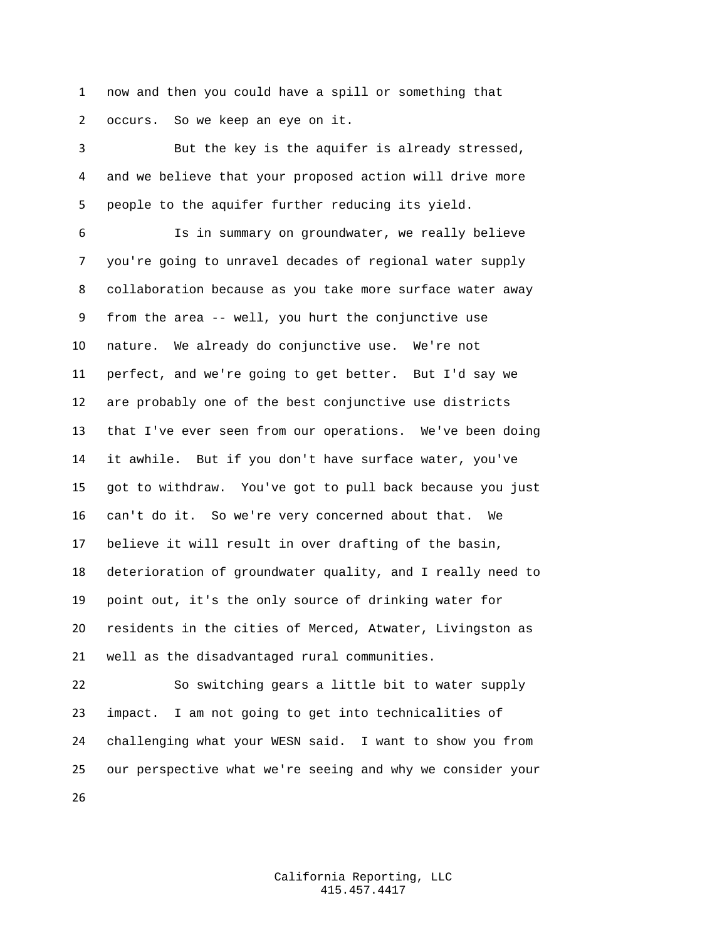now and then you could have a spill or something that occurs. So we keep an eye on it.

 But the key is the aquifer is already stressed, and we believe that your proposed action will drive more people to the aquifer further reducing its yield.

 Is in summary on groundwater, we really believe you're going to unravel decades of regional water supply collaboration because as you take more surface water away from the area -- well, you hurt the conjunctive use nature. We already do conjunctive use. We're not perfect, and we're going to get better. But I'd say we are probably one of the best conjunctive use districts that I've ever seen from our operations. We've been doing it awhile. But if you don't have surface water, you've got to withdraw. You've got to pull back because you just can't do it. So we're very concerned about that. We believe it will result in over drafting of the basin, deterioration of groundwater quality, and I really need to point out, it's the only source of drinking water for residents in the cities of Merced, Atwater, Livingston as well as the disadvantaged rural communities.

 So switching gears a little bit to water supply impact. I am not going to get into technicalities of challenging what your WESN said. I want to show you from our perspective what we're seeing and why we consider your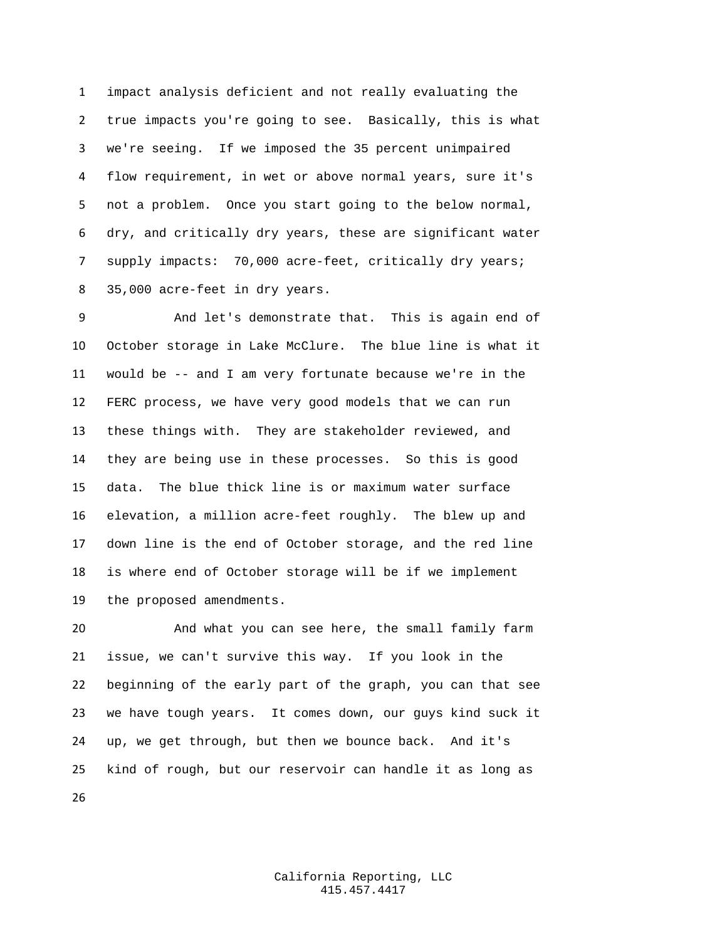impact analysis deficient and not really evaluating the true impacts you're going to see. Basically, this is what we're seeing. If we imposed the 35 percent unimpaired flow requirement, in wet or above normal years, sure it's not a problem. Once you start going to the below normal, dry, and critically dry years, these are significant water supply impacts: 70,000 acre-feet, critically dry years; 35,000 acre-feet in dry years.

 And let's demonstrate that. This is again end of October storage in Lake McClure. The blue line is what it would be -- and I am very fortunate because we're in the FERC process, we have very good models that we can run these things with. They are stakeholder reviewed, and they are being use in these processes. So this is good data. The blue thick line is or maximum water surface elevation, a million acre-feet roughly. The blew up and down line is the end of October storage, and the red line is where end of October storage will be if we implement the proposed amendments.

 And what you can see here, the small family farm issue, we can't survive this way. If you look in the beginning of the early part of the graph, you can that see we have tough years. It comes down, our guys kind suck it up, we get through, but then we bounce back. And it's kind of rough, but our reservoir can handle it as long as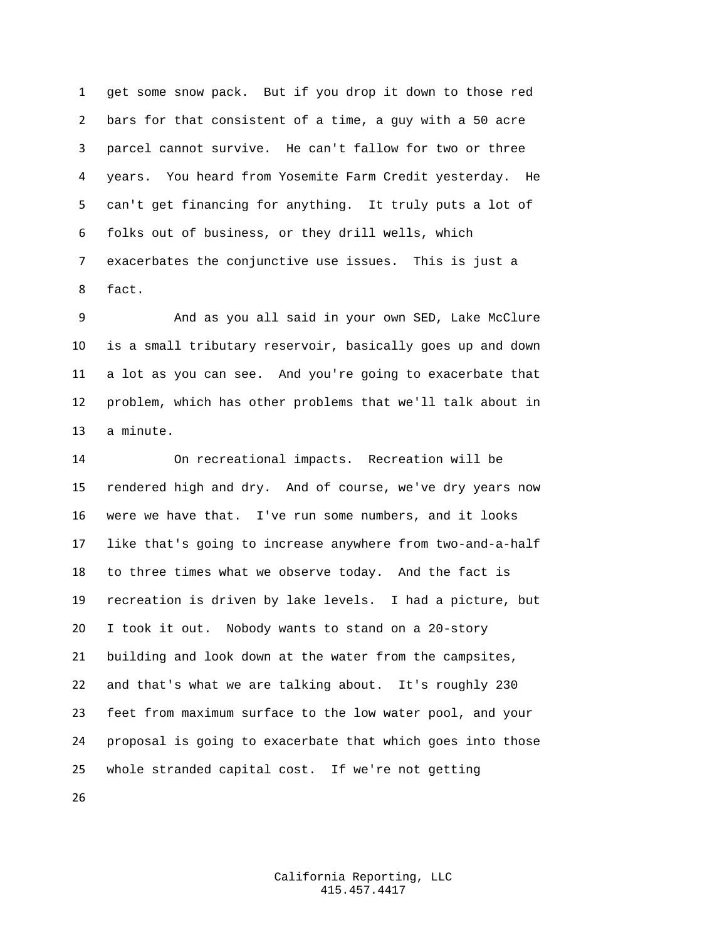get some snow pack. But if you drop it down to those red bars for that consistent of a time, a guy with a 50 acre parcel cannot survive. He can't fallow for two or three years. You heard from Yosemite Farm Credit yesterday. He can't get financing for anything. It truly puts a lot of folks out of business, or they drill wells, which exacerbates the conjunctive use issues. This is just a fact.

 And as you all said in your own SED, Lake McClure is a small tributary reservoir, basically goes up and down a lot as you can see. And you're going to exacerbate that problem, which has other problems that we'll talk about in a minute.

 On recreational impacts. Recreation will be rendered high and dry. And of course, we've dry years now were we have that. I've run some numbers, and it looks like that's going to increase anywhere from two-and-a-half to three times what we observe today. And the fact is recreation is driven by lake levels. I had a picture, but I took it out. Nobody wants to stand on a 20-story building and look down at the water from the campsites, and that's what we are talking about. It's roughly 230 feet from maximum surface to the low water pool, and your proposal is going to exacerbate that which goes into those whole stranded capital cost. If we're not getting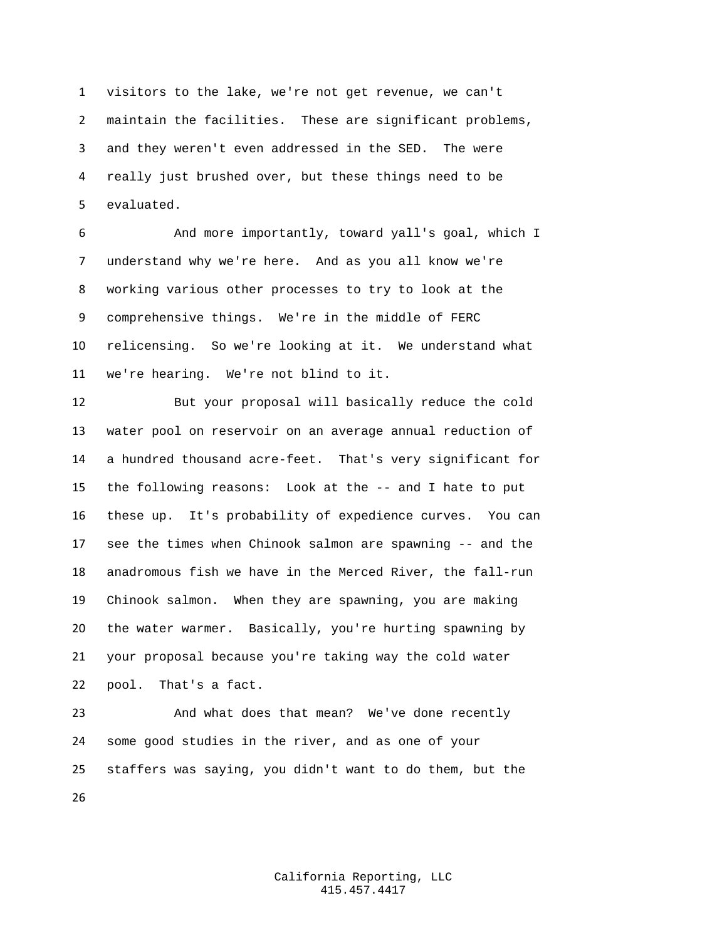visitors to the lake, we're not get revenue, we can't maintain the facilities. These are significant problems, and they weren't even addressed in the SED. The were really just brushed over, but these things need to be evaluated.

 And more importantly, toward yall's goal, which I understand why we're here. And as you all know we're working various other processes to try to look at the comprehensive things. We're in the middle of FERC relicensing. So we're looking at it. We understand what we're hearing. We're not blind to it.

 But your proposal will basically reduce the cold water pool on reservoir on an average annual reduction of a hundred thousand acre-feet. That's very significant for the following reasons: Look at the -- and I hate to put these up. It's probability of expedience curves. You can see the times when Chinook salmon are spawning -- and the anadromous fish we have in the Merced River, the fall-run Chinook salmon. When they are spawning, you are making the water warmer. Basically, you're hurting spawning by your proposal because you're taking way the cold water pool. That's a fact.

 And what does that mean? We've done recently some good studies in the river, and as one of your staffers was saying, you didn't want to do them, but the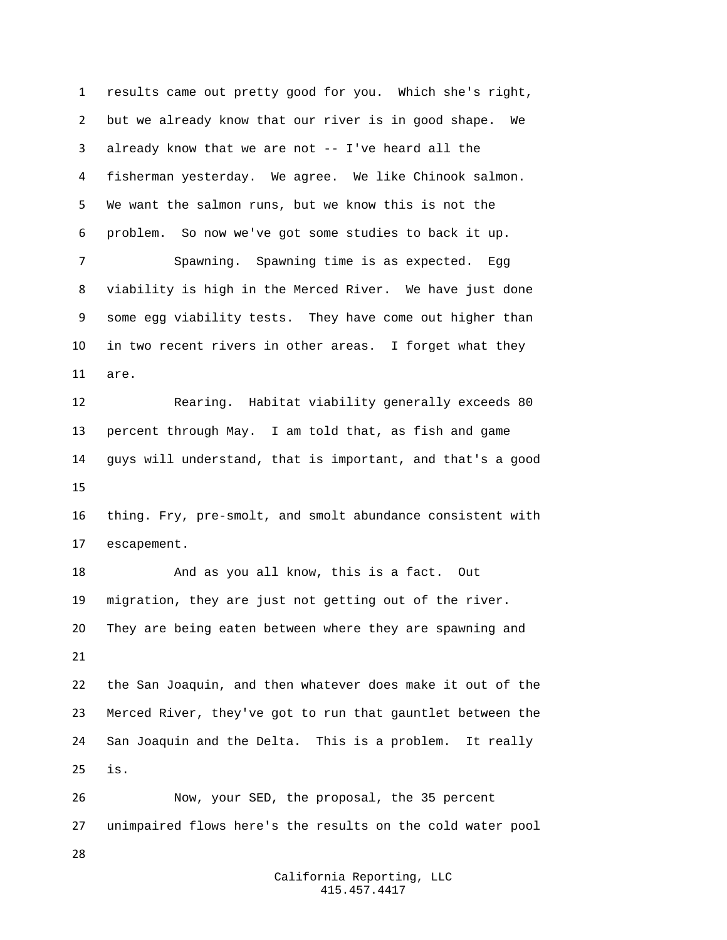results came out pretty good for you. Which she's right, but we already know that our river is in good shape. We already know that we are not -- I've heard all the fisherman yesterday. We agree. We like Chinook salmon. We want the salmon runs, but we know this is not the problem. So now we've got some studies to back it up. Spawning. Spawning time is as expected. Egg viability is high in the Merced River. We have just done some egg viability tests. They have come out higher than in two recent rivers in other areas. I forget what they are. Rearing. Habitat viability generally exceeds 80 percent through May. I am told that, as fish and game guys will understand, that is important, and that's a good thing. Fry, pre-smolt, and smolt abundance consistent with escapement. And as you all know, this is a fact. Out migration, they are just not getting out of the river. They are being eaten between where they are spawning and the San Joaquin, and then whatever does make it out of the Merced River, they've got to run that gauntlet between the San Joaquin and the Delta. This is a problem. It really is. Now, your SED, the proposal, the 35 percent unimpaired flows here's the results on the cold water pool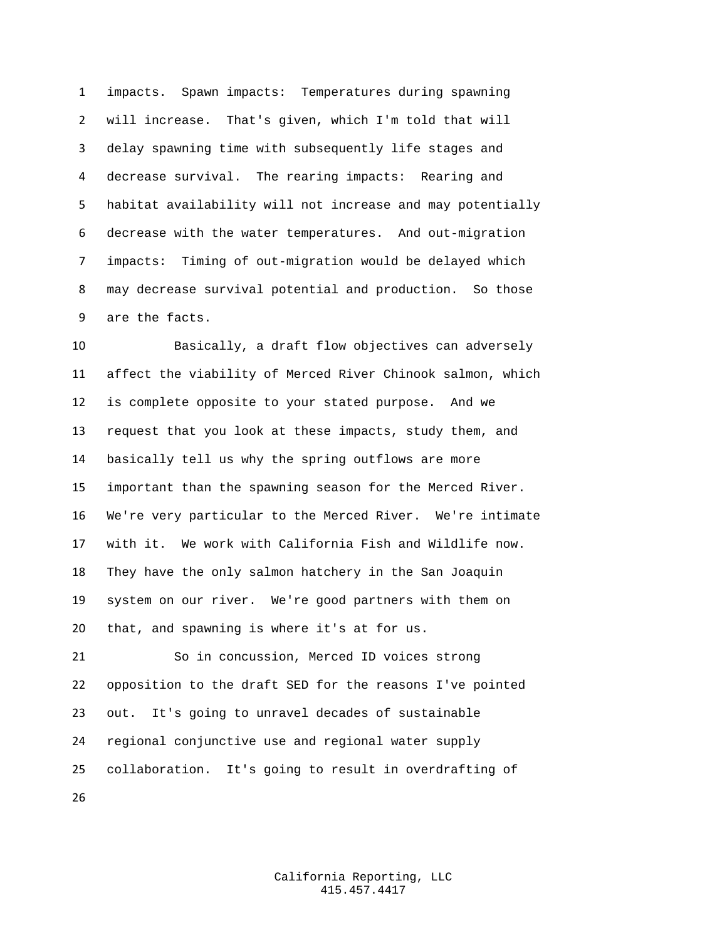impacts. Spawn impacts: Temperatures during spawning will increase. That's given, which I'm told that will delay spawning time with subsequently life stages and decrease survival. The rearing impacts: Rearing and habitat availability will not increase and may potentially decrease with the water temperatures. And out-migration impacts: Timing of out-migration would be delayed which may decrease survival potential and production. So those are the facts.

 Basically, a draft flow objectives can adversely affect the viability of Merced River Chinook salmon, which is complete opposite to your stated purpose. And we request that you look at these impacts, study them, and basically tell us why the spring outflows are more important than the spawning season for the Merced River. We're very particular to the Merced River. We're intimate with it. We work with California Fish and Wildlife now. They have the only salmon hatchery in the San Joaquin system on our river. We're good partners with them on that, and spawning is where it's at for us.

 So in concussion, Merced ID voices strong opposition to the draft SED for the reasons I've pointed out. It's going to unravel decades of sustainable regional conjunctive use and regional water supply collaboration. It's going to result in overdrafting of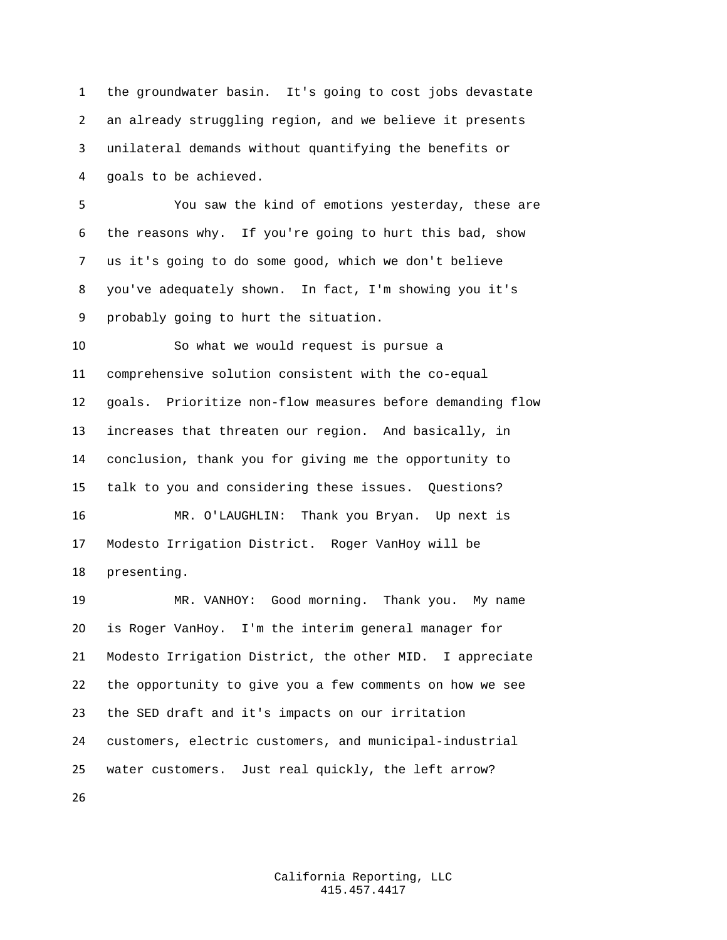the groundwater basin. It's going to cost jobs devastate an already struggling region, and we believe it presents unilateral demands without quantifying the benefits or goals to be achieved.

 You saw the kind of emotions yesterday, these are the reasons why. If you're going to hurt this bad, show us it's going to do some good, which we don't believe you've adequately shown. In fact, I'm showing you it's probably going to hurt the situation.

 So what we would request is pursue a comprehensive solution consistent with the co-equal goals. Prioritize non-flow measures before demanding flow increases that threaten our region. And basically, in conclusion, thank you for giving me the opportunity to talk to you and considering these issues. Questions?

 MR. O'LAUGHLIN: Thank you Bryan. Up next is Modesto Irrigation District. Roger VanHoy will be presenting.

 MR. VANHOY: Good morning. Thank you. My name is Roger VanHoy. I'm the interim general manager for Modesto Irrigation District, the other MID. I appreciate the opportunity to give you a few comments on how we see the SED draft and it's impacts on our irritation customers, electric customers, and municipal-industrial water customers. Just real quickly, the left arrow?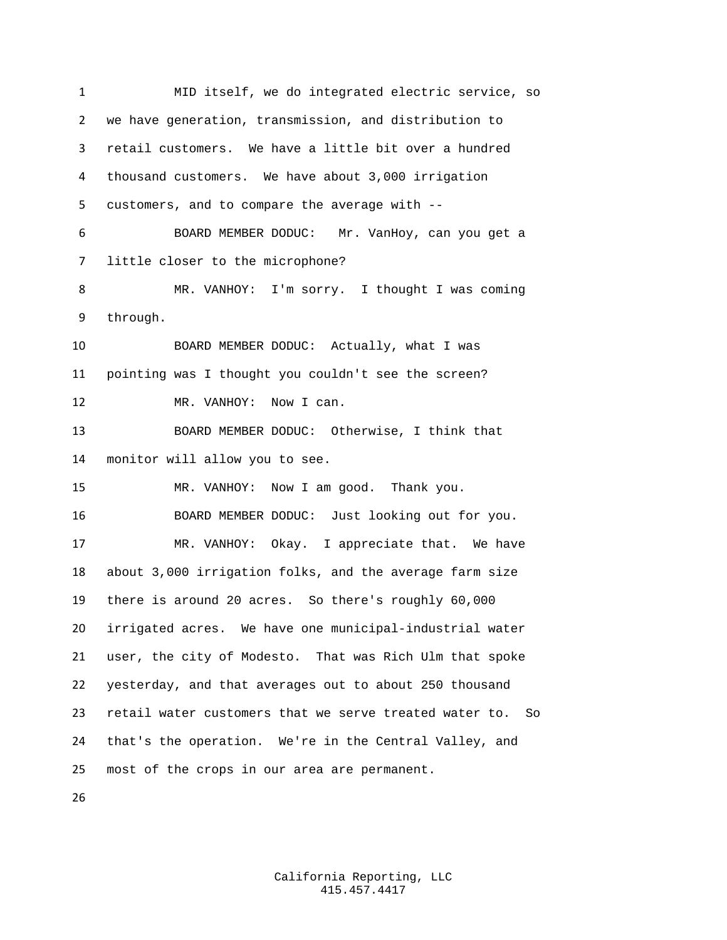MID itself, we do integrated electric service, so we have generation, transmission, and distribution to retail customers. We have a little bit over a hundred thousand customers. We have about 3,000 irrigation customers, and to compare the average with -- BOARD MEMBER DODUC: Mr. VanHoy, can you get a little closer to the microphone? MR. VANHOY: I'm sorry. I thought I was coming through. BOARD MEMBER DODUC: Actually, what I was pointing was I thought you couldn't see the screen? 12 MR. VANHOY: Now I can. BOARD MEMBER DODUC: Otherwise, I think that monitor will allow you to see. MR. VANHOY: Now I am good. Thank you. BOARD MEMBER DODUC: Just looking out for you. MR. VANHOY: Okay. I appreciate that. We have about 3,000 irrigation folks, and the average farm size there is around 20 acres. So there's roughly 60,000 irrigated acres. We have one municipal-industrial water user, the city of Modesto. That was Rich Ulm that spoke yesterday, and that averages out to about 250 thousand retail water customers that we serve treated water to. So that's the operation. We're in the Central Valley, and most of the crops in our area are permanent.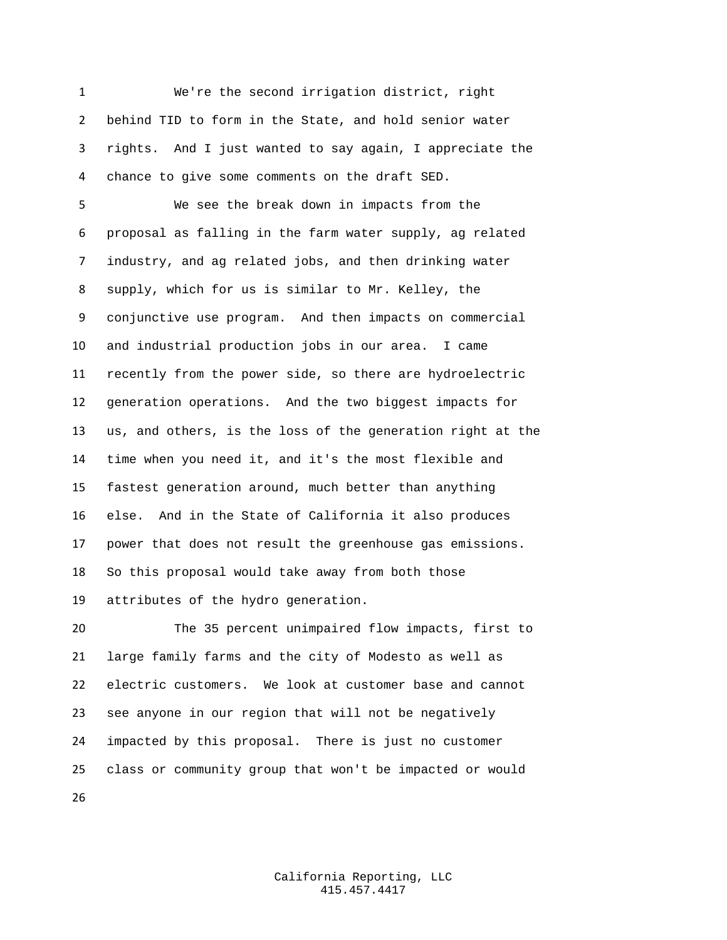We're the second irrigation district, right behind TID to form in the State, and hold senior water rights. And I just wanted to say again, I appreciate the chance to give some comments on the draft SED.

 We see the break down in impacts from the proposal as falling in the farm water supply, ag related industry, and ag related jobs, and then drinking water supply, which for us is similar to Mr. Kelley, the conjunctive use program. And then impacts on commercial and industrial production jobs in our area. I came recently from the power side, so there are hydroelectric generation operations. And the two biggest impacts for us, and others, is the loss of the generation right at the time when you need it, and it's the most flexible and fastest generation around, much better than anything else. And in the State of California it also produces power that does not result the greenhouse gas emissions. So this proposal would take away from both those attributes of the hydro generation.

 The 35 percent unimpaired flow impacts, first to large family farms and the city of Modesto as well as electric customers. We look at customer base and cannot see anyone in our region that will not be negatively impacted by this proposal. There is just no customer class or community group that won't be impacted or would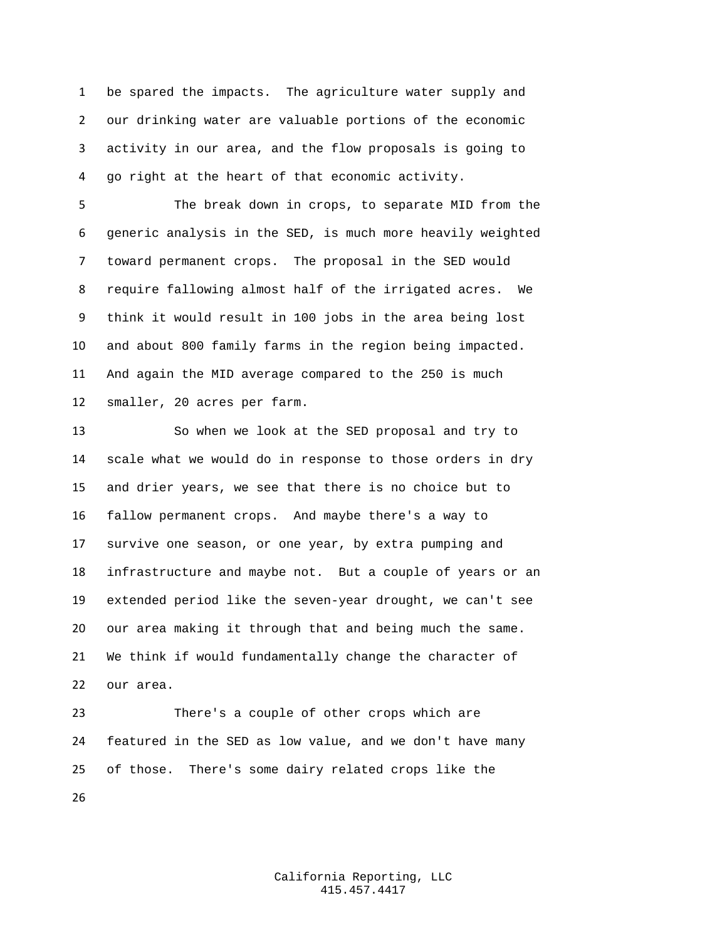be spared the impacts. The agriculture water supply and our drinking water are valuable portions of the economic activity in our area, and the flow proposals is going to go right at the heart of that economic activity.

 The break down in crops, to separate MID from the generic analysis in the SED, is much more heavily weighted toward permanent crops. The proposal in the SED would require fallowing almost half of the irrigated acres. We think it would result in 100 jobs in the area being lost and about 800 family farms in the region being impacted. And again the MID average compared to the 250 is much smaller, 20 acres per farm.

 So when we look at the SED proposal and try to scale what we would do in response to those orders in dry and drier years, we see that there is no choice but to fallow permanent crops. And maybe there's a way to survive one season, or one year, by extra pumping and infrastructure and maybe not. But a couple of years or an extended period like the seven-year drought, we can't see our area making it through that and being much the same. We think if would fundamentally change the character of our area.

 There's a couple of other crops which are featured in the SED as low value, and we don't have many of those. There's some dairy related crops like the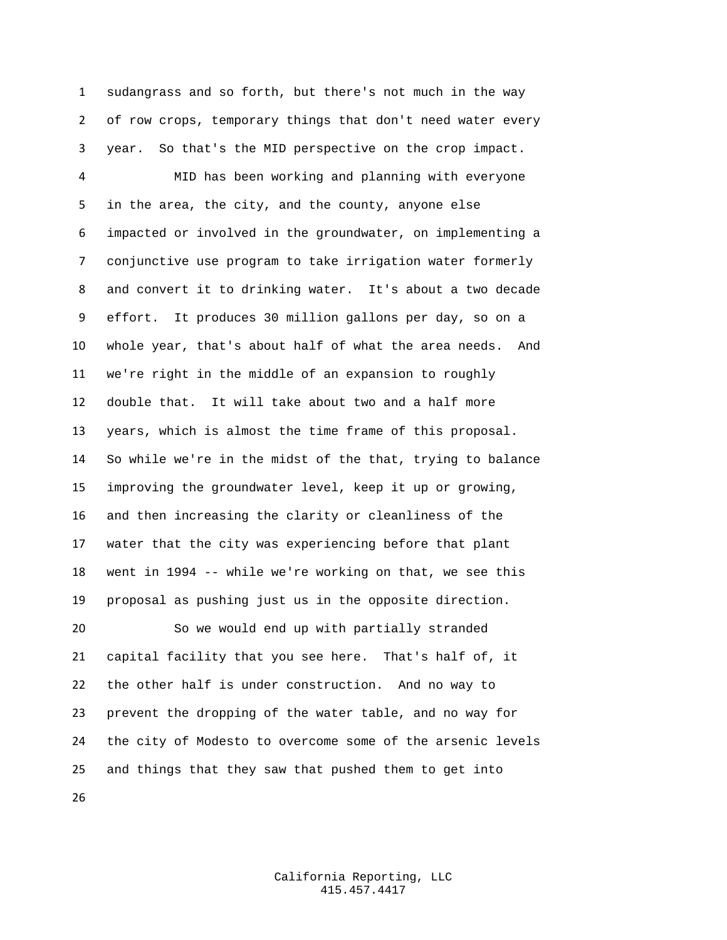sudangrass and so forth, but there's not much in the way of row crops, temporary things that don't need water every year. So that's the MID perspective on the crop impact.

 MID has been working and planning with everyone in the area, the city, and the county, anyone else impacted or involved in the groundwater, on implementing a conjunctive use program to take irrigation water formerly and convert it to drinking water. It's about a two decade effort. It produces 30 million gallons per day, so on a whole year, that's about half of what the area needs. And we're right in the middle of an expansion to roughly double that. It will take about two and a half more years, which is almost the time frame of this proposal. So while we're in the midst of the that, trying to balance improving the groundwater level, keep it up or growing, and then increasing the clarity or cleanliness of the water that the city was experiencing before that plant went in 1994 -- while we're working on that, we see this proposal as pushing just us in the opposite direction. So we would end up with partially stranded capital facility that you see here. That's half of, it the other half is under construction. And no way to prevent the dropping of the water table, and no way for the city of Modesto to overcome some of the arsenic levels

and things that they saw that pushed them to get into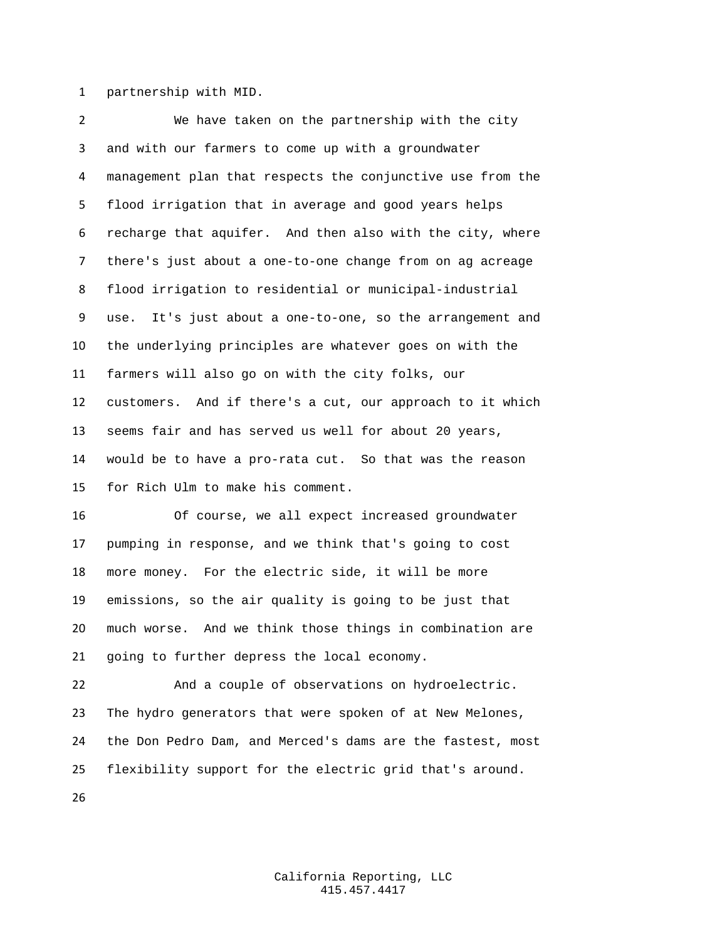partnership with MID.

 We have taken on the partnership with the city and with our farmers to come up with a groundwater management plan that respects the conjunctive use from the flood irrigation that in average and good years helps recharge that aquifer. And then also with the city, where there's just about a one-to-one change from on ag acreage flood irrigation to residential or municipal-industrial use. It's just about a one-to-one, so the arrangement and the underlying principles are whatever goes on with the farmers will also go on with the city folks, our customers. And if there's a cut, our approach to it which seems fair and has served us well for about 20 years, would be to have a pro-rata cut. So that was the reason for Rich Ulm to make his comment.

 Of course, we all expect increased groundwater pumping in response, and we think that's going to cost more money. For the electric side, it will be more emissions, so the air quality is going to be just that much worse. And we think those things in combination are going to further depress the local economy.

 And a couple of observations on hydroelectric. The hydro generators that were spoken of at New Melones, the Don Pedro Dam, and Merced's dams are the fastest, most flexibility support for the electric grid that's around.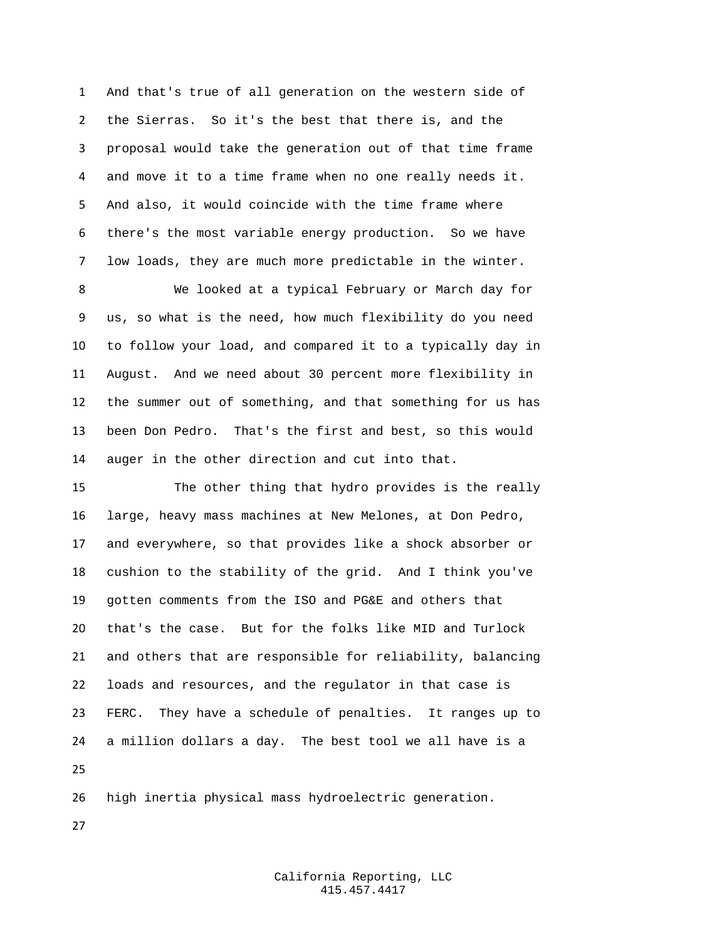And that's true of all generation on the western side of the Sierras. So it's the best that there is, and the proposal would take the generation out of that time frame and move it to a time frame when no one really needs it. And also, it would coincide with the time frame where there's the most variable energy production. So we have low loads, they are much more predictable in the winter.

 We looked at a typical February or March day for us, so what is the need, how much flexibility do you need to follow your load, and compared it to a typically day in August. And we need about 30 percent more flexibility in the summer out of something, and that something for us has been Don Pedro. That's the first and best, so this would auger in the other direction and cut into that.

 The other thing that hydro provides is the really large, heavy mass machines at New Melones, at Don Pedro, and everywhere, so that provides like a shock absorber or cushion to the stability of the grid. And I think you've gotten comments from the ISO and PG&E and others that that's the case. But for the folks like MID and Turlock and others that are responsible for reliability, balancing loads and resources, and the regulator in that case is FERC. They have a schedule of penalties. It ranges up to a million dollars a day. The best tool we all have is a 

high inertia physical mass hydroelectric generation.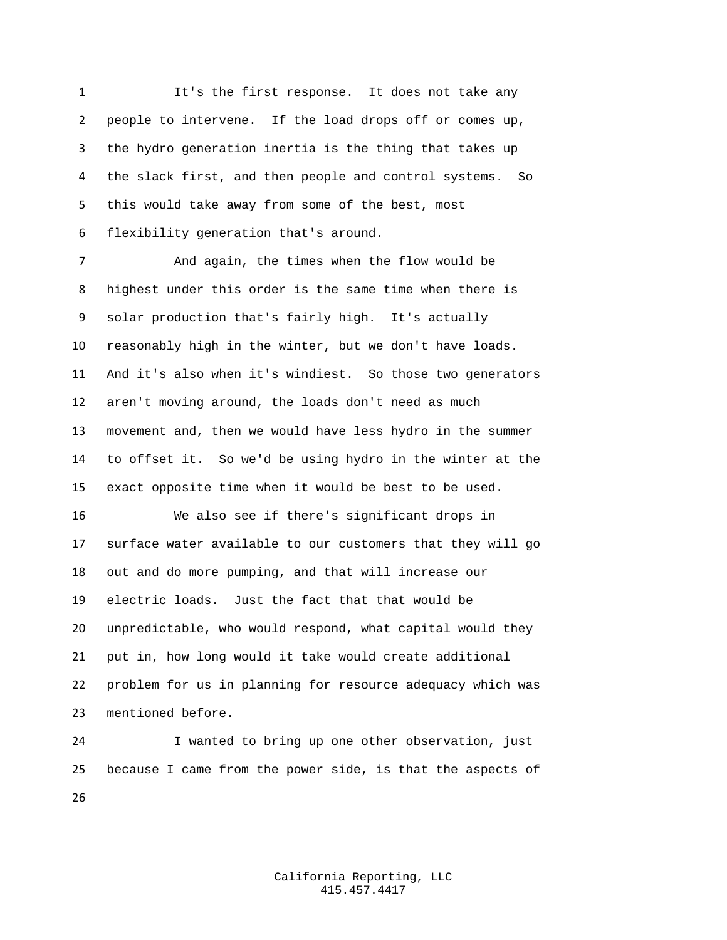1 It's the first response. It does not take any people to intervene. If the load drops off or comes up, the hydro generation inertia is the thing that takes up the slack first, and then people and control systems. So this would take away from some of the best, most flexibility generation that's around.

 And again, the times when the flow would be highest under this order is the same time when there is solar production that's fairly high. It's actually reasonably high in the winter, but we don't have loads. And it's also when it's windiest. So those two generators aren't moving around, the loads don't need as much movement and, then we would have less hydro in the summer to offset it. So we'd be using hydro in the winter at the exact opposite time when it would be best to be used.

 We also see if there's significant drops in surface water available to our customers that they will go out and do more pumping, and that will increase our electric loads. Just the fact that that would be unpredictable, who would respond, what capital would they put in, how long would it take would create additional problem for us in planning for resource adequacy which was mentioned before.

 I wanted to bring up one other observation, just because I came from the power side, is that the aspects of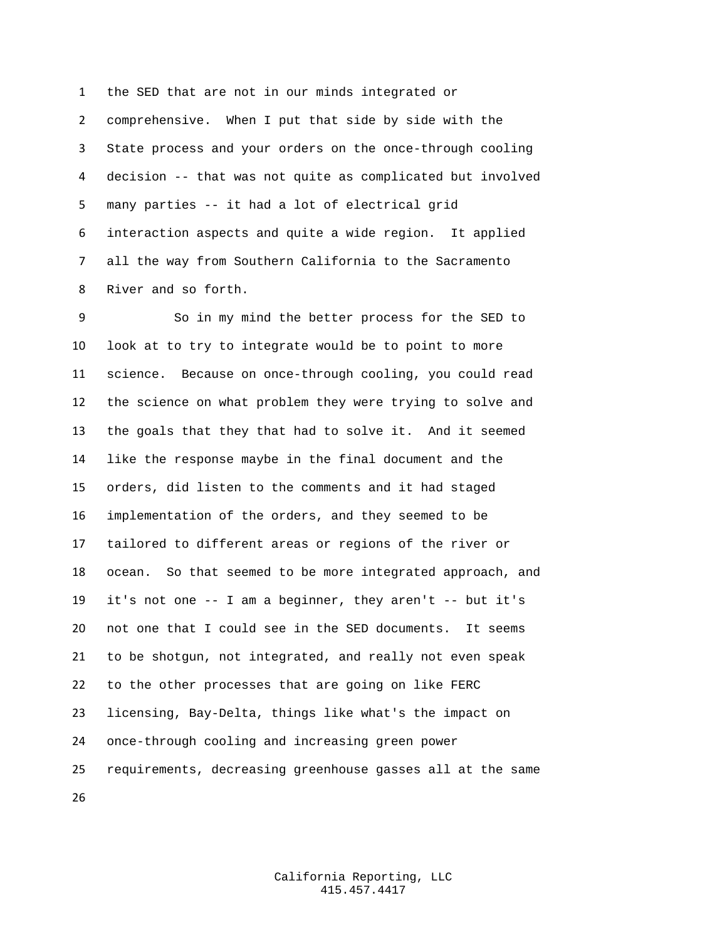the SED that are not in our minds integrated or comprehensive. When I put that side by side with the State process and your orders on the once-through cooling decision -- that was not quite as complicated but involved many parties -- it had a lot of electrical grid interaction aspects and quite a wide region. It applied all the way from Southern California to the Sacramento River and so forth.

 So in my mind the better process for the SED to look at to try to integrate would be to point to more science. Because on once-through cooling, you could read the science on what problem they were trying to solve and the goals that they that had to solve it. And it seemed like the response maybe in the final document and the orders, did listen to the comments and it had staged implementation of the orders, and they seemed to be tailored to different areas or regions of the river or ocean. So that seemed to be more integrated approach, and it's not one -- I am a beginner, they aren't -- but it's not one that I could see in the SED documents. It seems to be shotgun, not integrated, and really not even speak to the other processes that are going on like FERC licensing, Bay-Delta, things like what's the impact on once-through cooling and increasing green power requirements, decreasing greenhouse gasses all at the same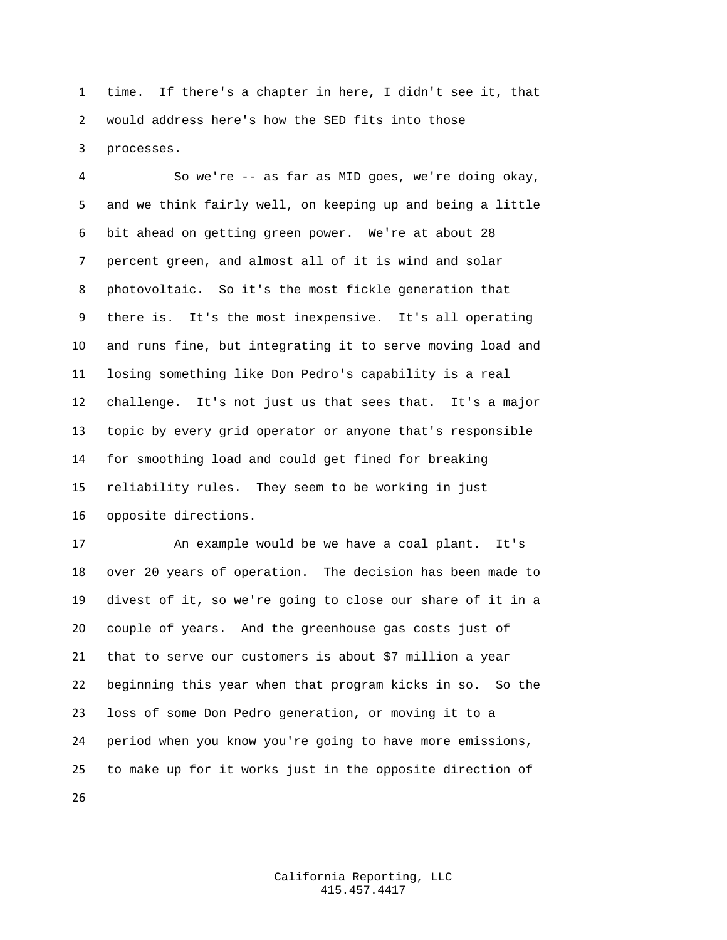time. If there's a chapter in here, I didn't see it, that would address here's how the SED fits into those processes.

 So we're -- as far as MID goes, we're doing okay, and we think fairly well, on keeping up and being a little bit ahead on getting green power. We're at about 28 percent green, and almost all of it is wind and solar photovoltaic. So it's the most fickle generation that there is. It's the most inexpensive. It's all operating and runs fine, but integrating it to serve moving load and losing something like Don Pedro's capability is a real challenge. It's not just us that sees that. It's a major topic by every grid operator or anyone that's responsible for smoothing load and could get fined for breaking reliability rules. They seem to be working in just opposite directions.

 An example would be we have a coal plant. It's over 20 years of operation. The decision has been made to divest of it, so we're going to close our share of it in a couple of years. And the greenhouse gas costs just of that to serve our customers is about \$7 million a year beginning this year when that program kicks in so. So the loss of some Don Pedro generation, or moving it to a period when you know you're going to have more emissions, to make up for it works just in the opposite direction of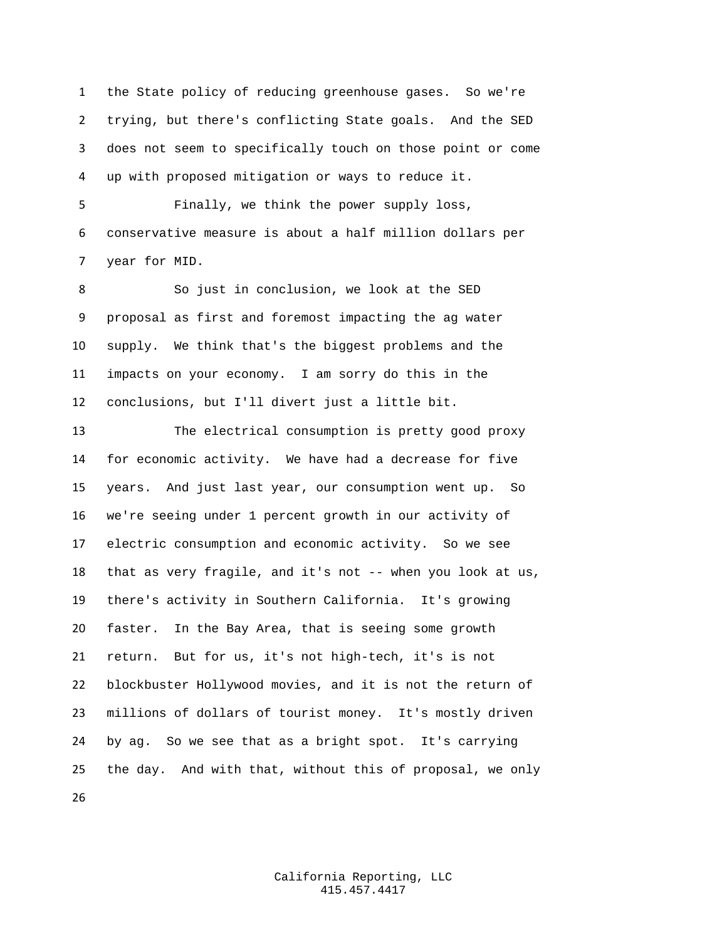the State policy of reducing greenhouse gases. So we're trying, but there's conflicting State goals. And the SED does not seem to specifically touch on those point or come up with proposed mitigation or ways to reduce it.

 Finally, we think the power supply loss, conservative measure is about a half million dollars per year for MID.

 So just in conclusion, we look at the SED proposal as first and foremost impacting the ag water supply. We think that's the biggest problems and the impacts on your economy. I am sorry do this in the conclusions, but I'll divert just a little bit.

 The electrical consumption is pretty good proxy for economic activity. We have had a decrease for five years. And just last year, our consumption went up. So we're seeing under 1 percent growth in our activity of electric consumption and economic activity. So we see that as very fragile, and it's not -- when you look at us, there's activity in Southern California. It's growing faster. In the Bay Area, that is seeing some growth return. But for us, it's not high-tech, it's is not blockbuster Hollywood movies, and it is not the return of millions of dollars of tourist money. It's mostly driven by ag. So we see that as a bright spot. It's carrying the day. And with that, without this of proposal, we only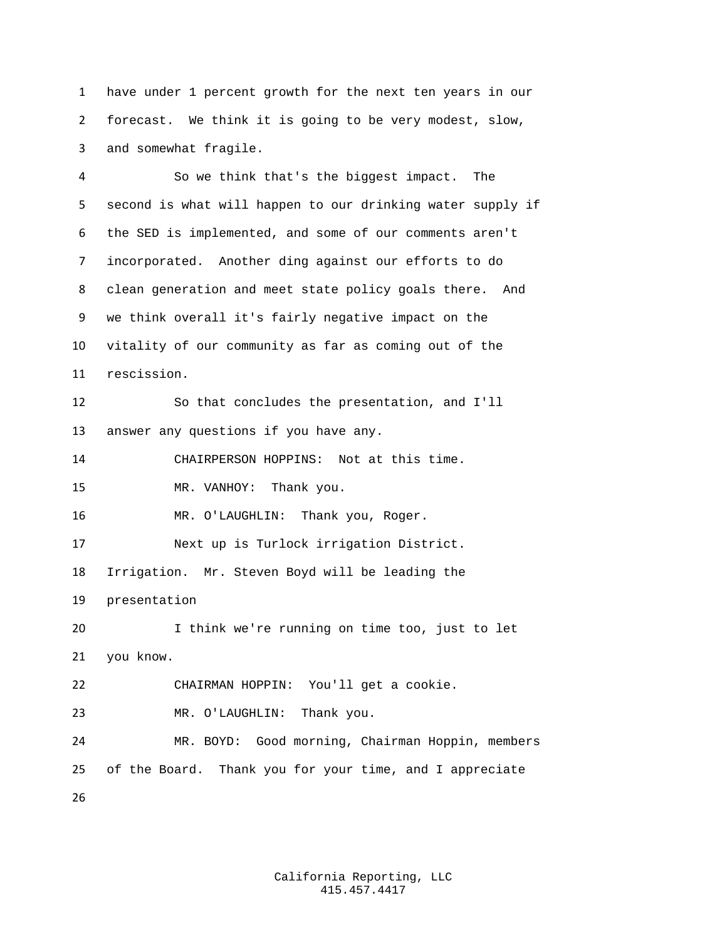have under 1 percent growth for the next ten years in our forecast. We think it is going to be very modest, slow, and somewhat fragile.

 So we think that's the biggest impact. The second is what will happen to our drinking water supply if the SED is implemented, and some of our comments aren't incorporated. Another ding against our efforts to do clean generation and meet state policy goals there. And we think overall it's fairly negative impact on the vitality of our community as far as coming out of the rescission. So that concludes the presentation, and I'll answer any questions if you have any. CHAIRPERSON HOPPINS: Not at this time. MR. VANHOY: Thank you. 16 MR. O'LAUGHLIN: Thank you, Roger. Next up is Turlock irrigation District. Irrigation. Mr. Steven Boyd will be leading the presentation I think we're running on time too, just to let you know. CHAIRMAN HOPPIN: You'll get a cookie. MR. O'LAUGHLIN: Thank you. MR. BOYD: Good morning, Chairman Hoppin, members of the Board. Thank you for your time, and I appreciate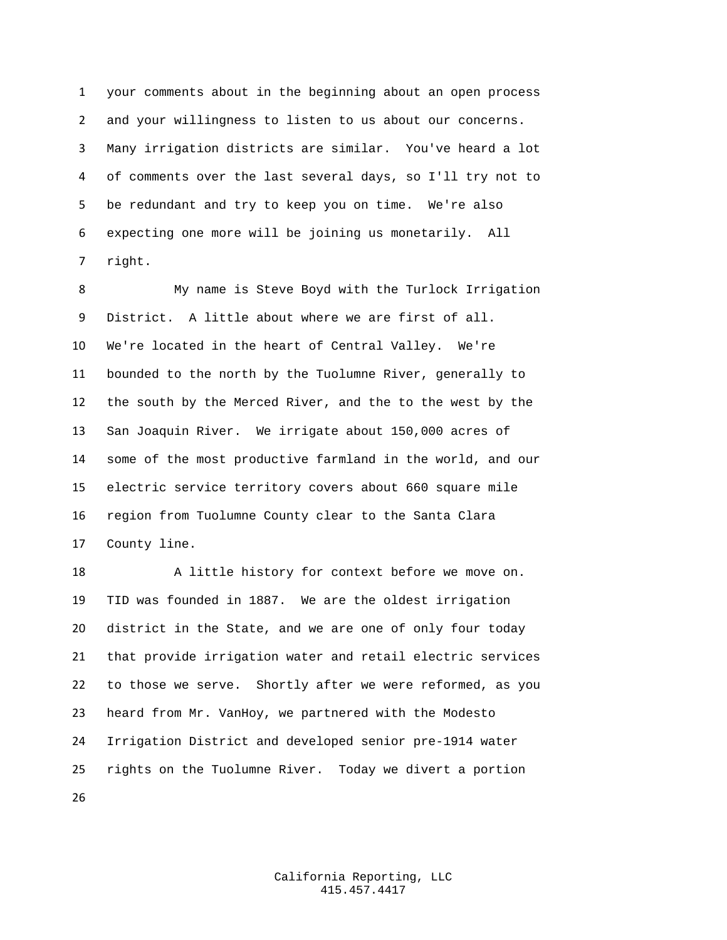your comments about in the beginning about an open process and your willingness to listen to us about our concerns. Many irrigation districts are similar. You've heard a lot of comments over the last several days, so I'll try not to be redundant and try to keep you on time. We're also expecting one more will be joining us monetarily. All right.

 My name is Steve Boyd with the Turlock Irrigation District. A little about where we are first of all. We're located in the heart of Central Valley. We're bounded to the north by the Tuolumne River, generally to the south by the Merced River, and the to the west by the San Joaquin River. We irrigate about 150,000 acres of some of the most productive farmland in the world, and our electric service territory covers about 660 square mile region from Tuolumne County clear to the Santa Clara County line.

18 A little history for context before we move on. TID was founded in 1887. We are the oldest irrigation district in the State, and we are one of only four today that provide irrigation water and retail electric services to those we serve. Shortly after we were reformed, as you heard from Mr. VanHoy, we partnered with the Modesto Irrigation District and developed senior pre-1914 water rights on the Tuolumne River. Today we divert a portion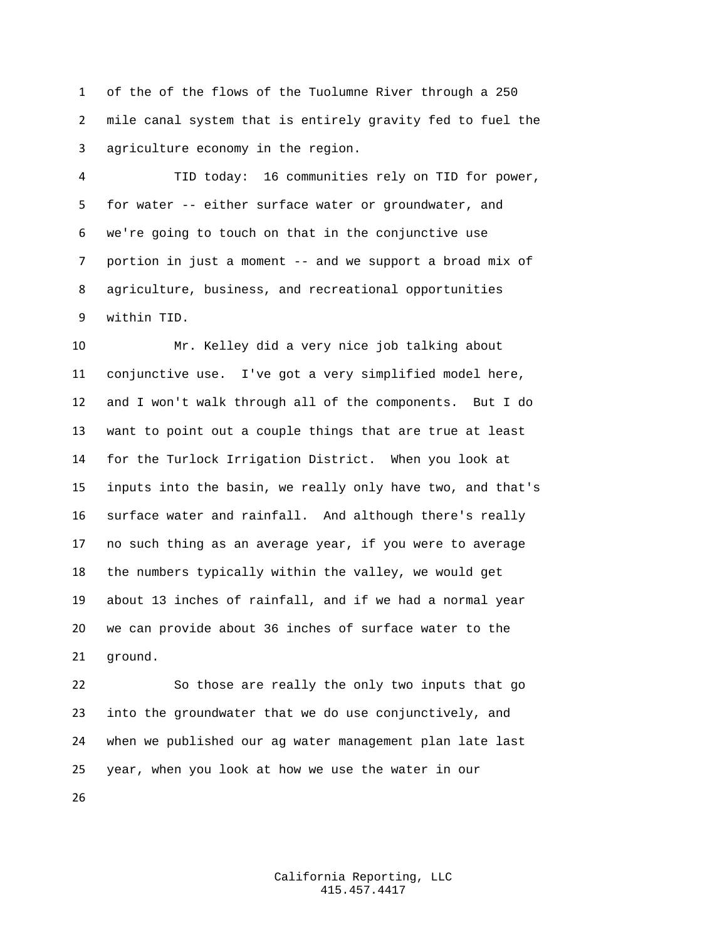of the of the flows of the Tuolumne River through a 250 mile canal system that is entirely gravity fed to fuel the agriculture economy in the region.

 TID today: 16 communities rely on TID for power, for water -- either surface water or groundwater, and we're going to touch on that in the conjunctive use portion in just a moment -- and we support a broad mix of agriculture, business, and recreational opportunities within TID.

 Mr. Kelley did a very nice job talking about conjunctive use. I've got a very simplified model here, and I won't walk through all of the components. But I do want to point out a couple things that are true at least for the Turlock Irrigation District. When you look at inputs into the basin, we really only have two, and that's surface water and rainfall. And although there's really no such thing as an average year, if you were to average the numbers typically within the valley, we would get about 13 inches of rainfall, and if we had a normal year we can provide about 36 inches of surface water to the ground.

 So those are really the only two inputs that go into the groundwater that we do use conjunctively, and when we published our ag water management plan late last year, when you look at how we use the water in our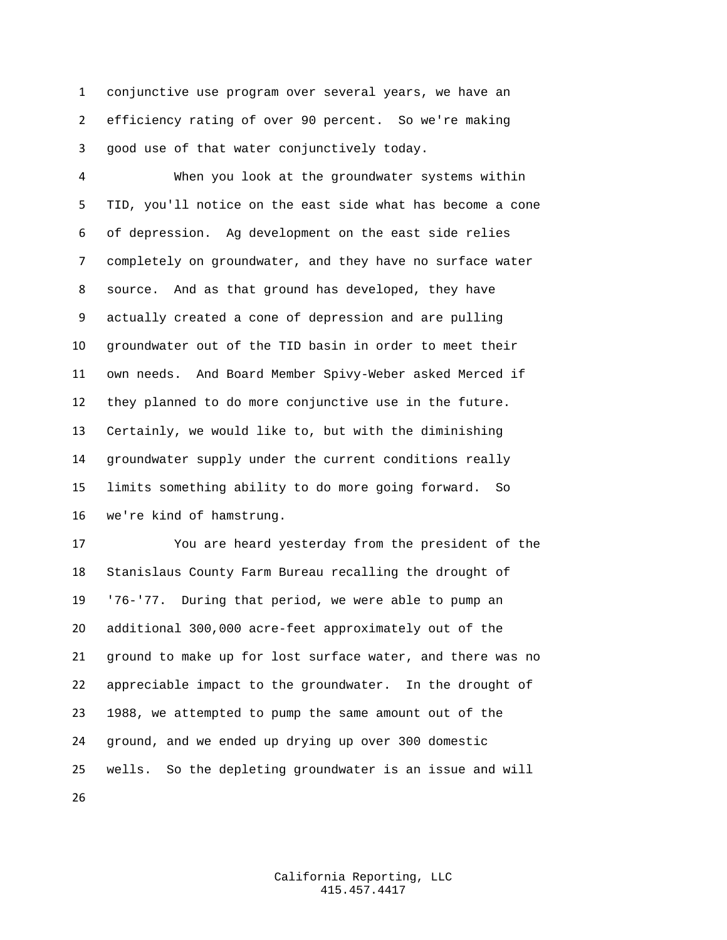conjunctive use program over several years, we have an efficiency rating of over 90 percent. So we're making good use of that water conjunctively today.

 When you look at the groundwater systems within TID, you'll notice on the east side what has become a cone of depression. Ag development on the east side relies completely on groundwater, and they have no surface water source. And as that ground has developed, they have actually created a cone of depression and are pulling groundwater out of the TID basin in order to meet their own needs. And Board Member Spivy-Weber asked Merced if they planned to do more conjunctive use in the future. Certainly, we would like to, but with the diminishing groundwater supply under the current conditions really limits something ability to do more going forward. So we're kind of hamstrung.

 You are heard yesterday from the president of the Stanislaus County Farm Bureau recalling the drought of '76-'77. During that period, we were able to pump an additional 300,000 acre-feet approximately out of the ground to make up for lost surface water, and there was no appreciable impact to the groundwater. In the drought of 1988, we attempted to pump the same amount out of the ground, and we ended up drying up over 300 domestic wells. So the depleting groundwater is an issue and will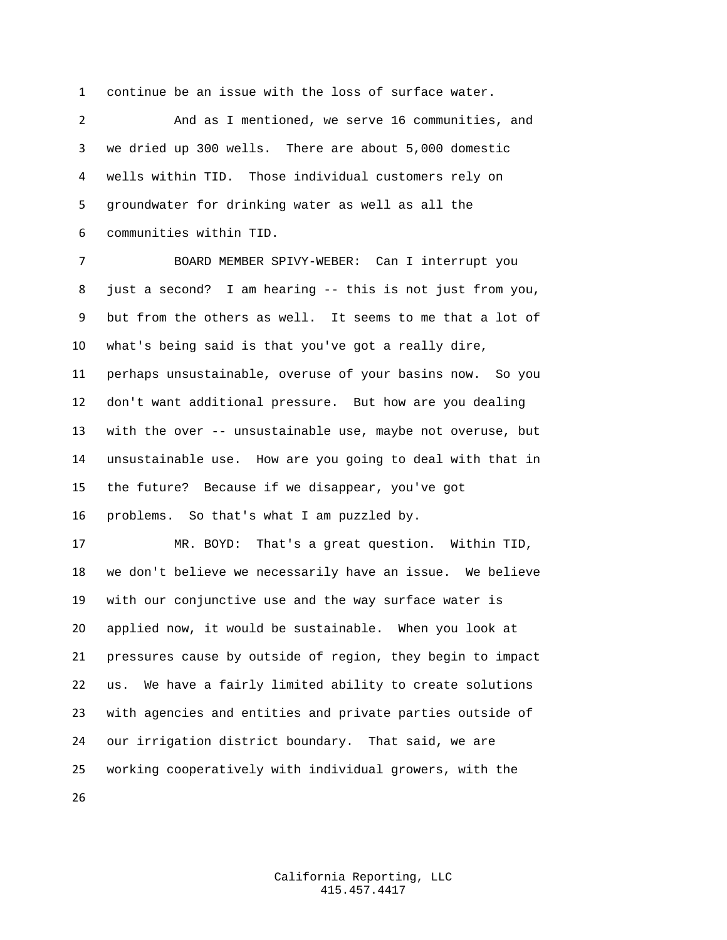continue be an issue with the loss of surface water.

 And as I mentioned, we serve 16 communities, and we dried up 300 wells. There are about 5,000 domestic wells within TID. Those individual customers rely on groundwater for drinking water as well as all the communities within TID.

 BOARD MEMBER SPIVY-WEBER: Can I interrupt you just a second? I am hearing -- this is not just from you, but from the others as well. It seems to me that a lot of what's being said is that you've got a really dire, perhaps unsustainable, overuse of your basins now. So you don't want additional pressure. But how are you dealing with the over -- unsustainable use, maybe not overuse, but unsustainable use. How are you going to deal with that in the future? Because if we disappear, you've got problems. So that's what I am puzzled by.

 MR. BOYD: That's a great question. Within TID, we don't believe we necessarily have an issue. We believe with our conjunctive use and the way surface water is applied now, it would be sustainable. When you look at pressures cause by outside of region, they begin to impact us. We have a fairly limited ability to create solutions with agencies and entities and private parties outside of our irrigation district boundary. That said, we are working cooperatively with individual growers, with the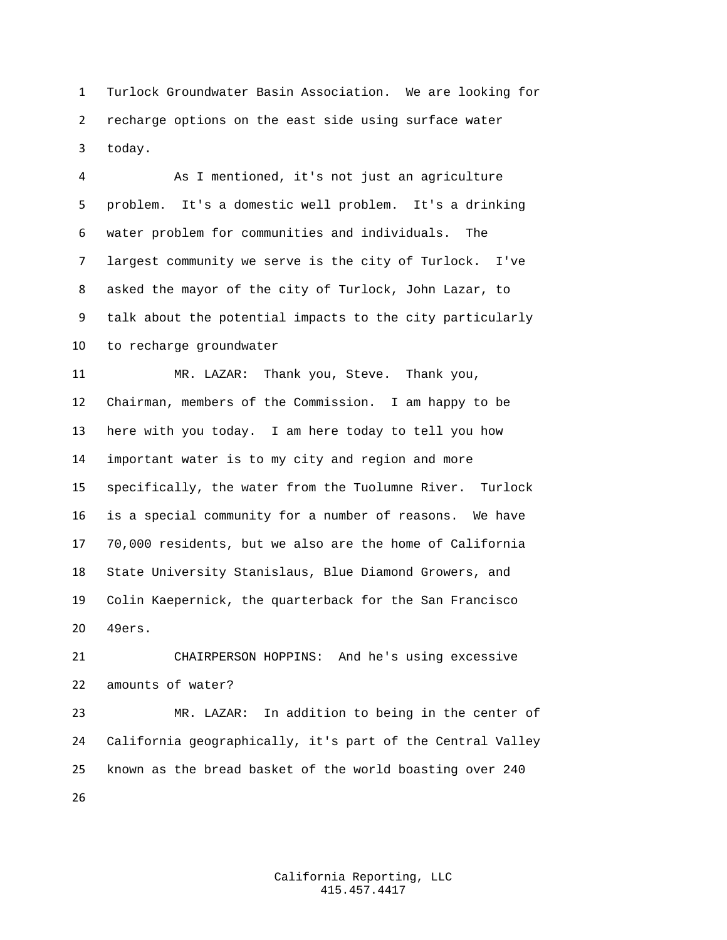Turlock Groundwater Basin Association. We are looking for recharge options on the east side using surface water today.

 As I mentioned, it's not just an agriculture problem. It's a domestic well problem. It's a drinking water problem for communities and individuals. The largest community we serve is the city of Turlock. I've asked the mayor of the city of Turlock, John Lazar, to talk about the potential impacts to the city particularly to recharge groundwater

 MR. LAZAR: Thank you, Steve. Thank you, Chairman, members of the Commission. I am happy to be here with you today. I am here today to tell you how important water is to my city and region and more specifically, the water from the Tuolumne River. Turlock is a special community for a number of reasons. We have 70,000 residents, but we also are the home of California State University Stanislaus, Blue Diamond Growers, and Colin Kaepernick, the quarterback for the San Francisco 49ers.

 CHAIRPERSON HOPPINS: And he's using excessive amounts of water?

 MR. LAZAR: In addition to being in the center of California geographically, it's part of the Central Valley known as the bread basket of the world boasting over 240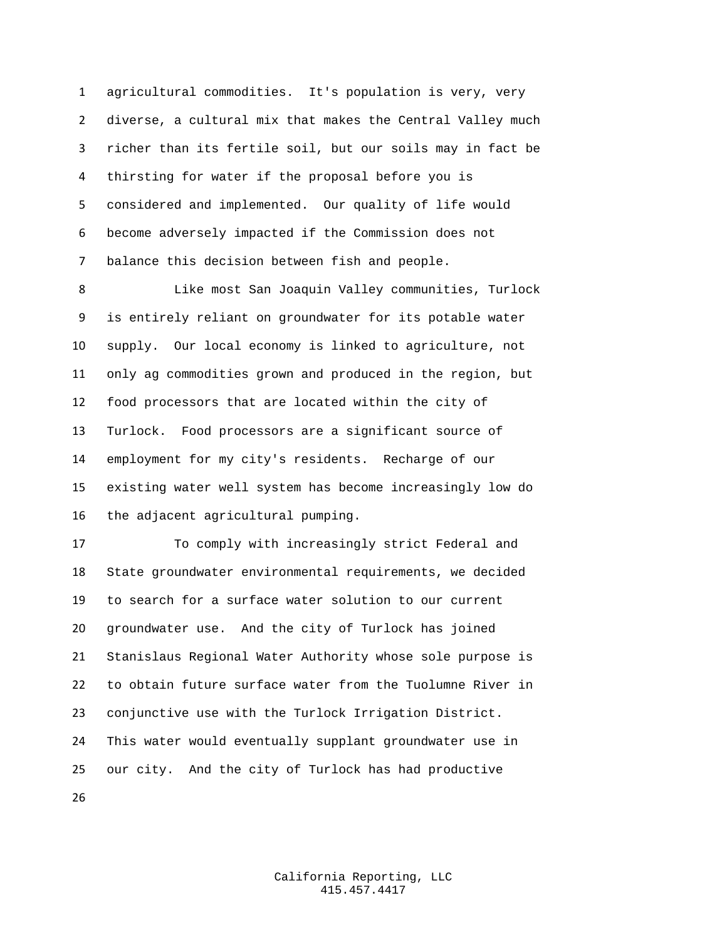agricultural commodities. It's population is very, very diverse, a cultural mix that makes the Central Valley much richer than its fertile soil, but our soils may in fact be thirsting for water if the proposal before you is considered and implemented. Our quality of life would become adversely impacted if the Commission does not balance this decision between fish and people.

 Like most San Joaquin Valley communities, Turlock is entirely reliant on groundwater for its potable water supply. Our local economy is linked to agriculture, not only ag commodities grown and produced in the region, but food processors that are located within the city of Turlock. Food processors are a significant source of employment for my city's residents. Recharge of our existing water well system has become increasingly low do the adjacent agricultural pumping.

 To comply with increasingly strict Federal and State groundwater environmental requirements, we decided to search for a surface water solution to our current groundwater use. And the city of Turlock has joined Stanislaus Regional Water Authority whose sole purpose is to obtain future surface water from the Tuolumne River in conjunctive use with the Turlock Irrigation District. This water would eventually supplant groundwater use in our city. And the city of Turlock has had productive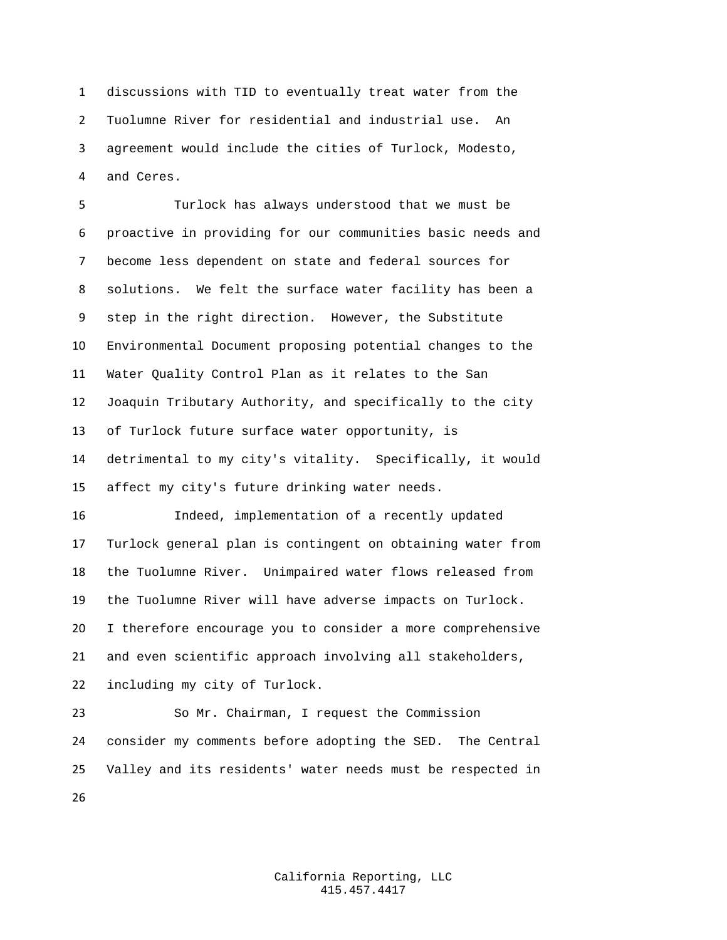discussions with TID to eventually treat water from the Tuolumne River for residential and industrial use. An agreement would include the cities of Turlock, Modesto, and Ceres.

 Turlock has always understood that we must be proactive in providing for our communities basic needs and become less dependent on state and federal sources for solutions. We felt the surface water facility has been a step in the right direction. However, the Substitute Environmental Document proposing potential changes to the Water Quality Control Plan as it relates to the San Joaquin Tributary Authority, and specifically to the city of Turlock future surface water opportunity, is detrimental to my city's vitality. Specifically, it would affect my city's future drinking water needs.

 Indeed, implementation of a recently updated Turlock general plan is contingent on obtaining water from the Tuolumne River. Unimpaired water flows released from the Tuolumne River will have adverse impacts on Turlock. I therefore encourage you to consider a more comprehensive and even scientific approach involving all stakeholders, including my city of Turlock.

 So Mr. Chairman, I request the Commission consider my comments before adopting the SED. The Central Valley and its residents' water needs must be respected in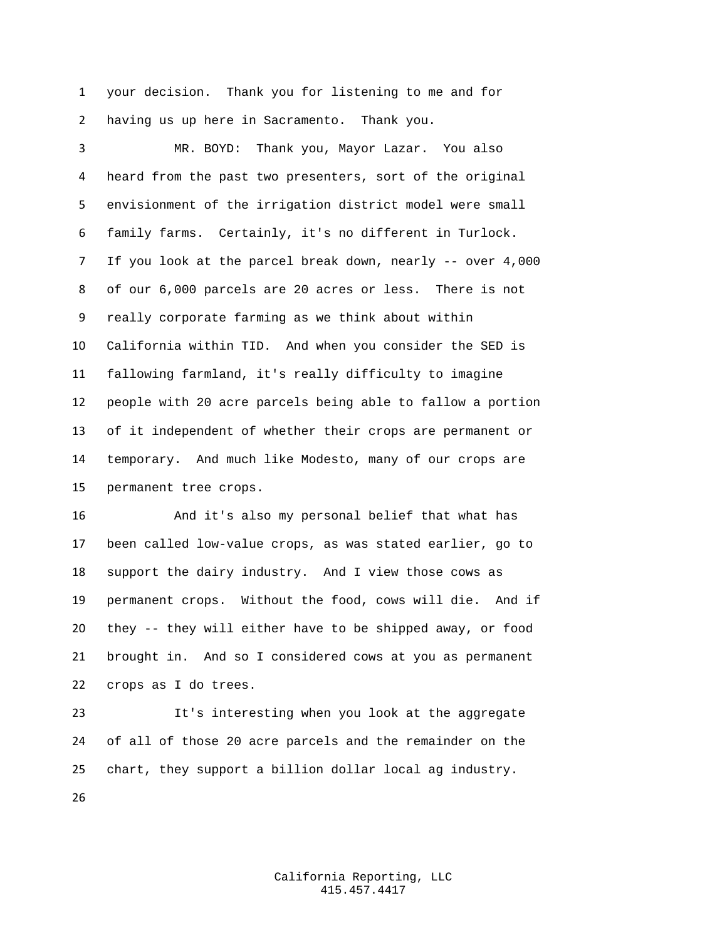your decision. Thank you for listening to me and for having us up here in Sacramento. Thank you.

 MR. BOYD: Thank you, Mayor Lazar. You also heard from the past two presenters, sort of the original envisionment of the irrigation district model were small family farms. Certainly, it's no different in Turlock. If you look at the parcel break down, nearly -- over 4,000 of our 6,000 parcels are 20 acres or less. There is not really corporate farming as we think about within California within TID. And when you consider the SED is fallowing farmland, it's really difficulty to imagine people with 20 acre parcels being able to fallow a portion of it independent of whether their crops are permanent or temporary. And much like Modesto, many of our crops are permanent tree crops.

 And it's also my personal belief that what has been called low-value crops, as was stated earlier, go to support the dairy industry. And I view those cows as permanent crops. Without the food, cows will die. And if they -- they will either have to be shipped away, or food brought in. And so I considered cows at you as permanent crops as I do trees.

 It's interesting when you look at the aggregate of all of those 20 acre parcels and the remainder on the chart, they support a billion dollar local ag industry.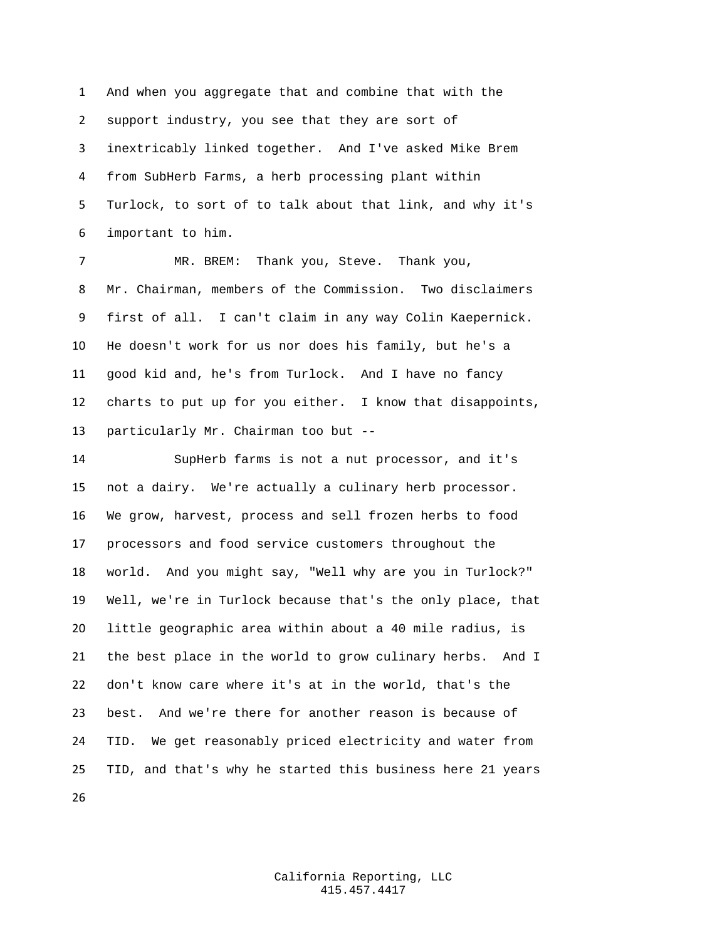And when you aggregate that and combine that with the support industry, you see that they are sort of inextricably linked together. And I've asked Mike Brem from SubHerb Farms, a herb processing plant within Turlock, to sort of to talk about that link, and why it's important to him.

 MR. BREM: Thank you, Steve. Thank you, Mr. Chairman, members of the Commission. Two disclaimers first of all. I can't claim in any way Colin Kaepernick. He doesn't work for us nor does his family, but he's a good kid and, he's from Turlock. And I have no fancy charts to put up for you either. I know that disappoints, particularly Mr. Chairman too but --

 SupHerb farms is not a nut processor, and it's not a dairy. We're actually a culinary herb processor. We grow, harvest, process and sell frozen herbs to food processors and food service customers throughout the world. And you might say, "Well why are you in Turlock?" Well, we're in Turlock because that's the only place, that little geographic area within about a 40 mile radius, is the best place in the world to grow culinary herbs. And I don't know care where it's at in the world, that's the best. And we're there for another reason is because of TID. We get reasonably priced electricity and water from TID, and that's why he started this business here 21 years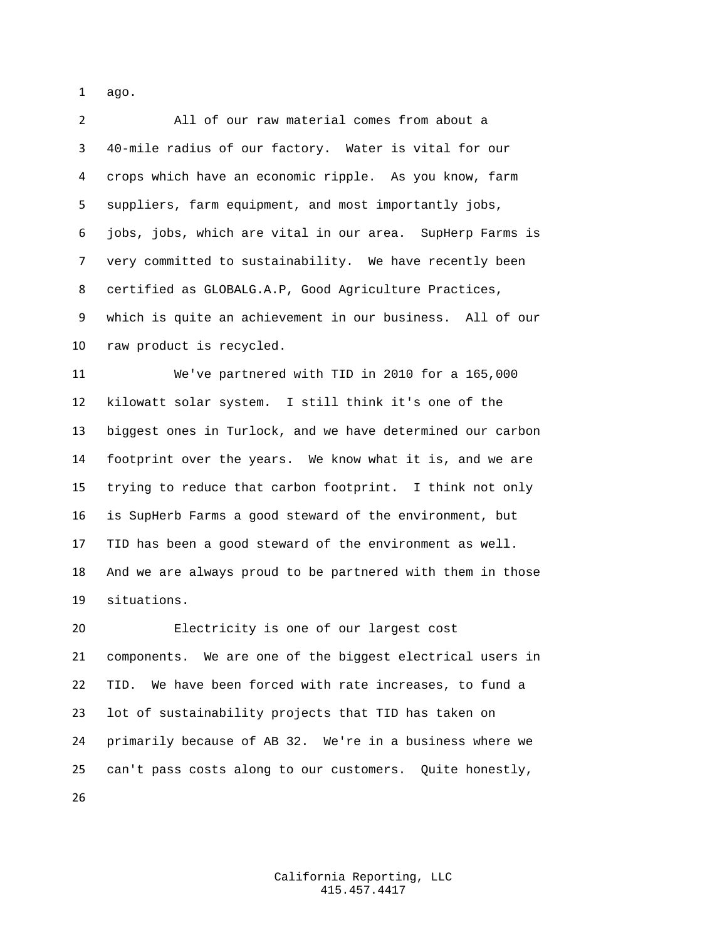ago.

 All of our raw material comes from about a 40-mile radius of our factory. Water is vital for our crops which have an economic ripple. As you know, farm suppliers, farm equipment, and most importantly jobs, jobs, jobs, which are vital in our area. SupHerp Farms is very committed to sustainability. We have recently been certified as GLOBALG.A.P, Good Agriculture Practices, which is quite an achievement in our business. All of our raw product is recycled.

 We've partnered with TID in 2010 for a 165,000 kilowatt solar system. I still think it's one of the biggest ones in Turlock, and we have determined our carbon footprint over the years. We know what it is, and we are trying to reduce that carbon footprint. I think not only is SupHerb Farms a good steward of the environment, but TID has been a good steward of the environment as well. And we are always proud to be partnered with them in those situations.

 Electricity is one of our largest cost components. We are one of the biggest electrical users in TID. We have been forced with rate increases, to fund a lot of sustainability projects that TID has taken on primarily because of AB 32. We're in a business where we can't pass costs along to our customers. Quite honestly,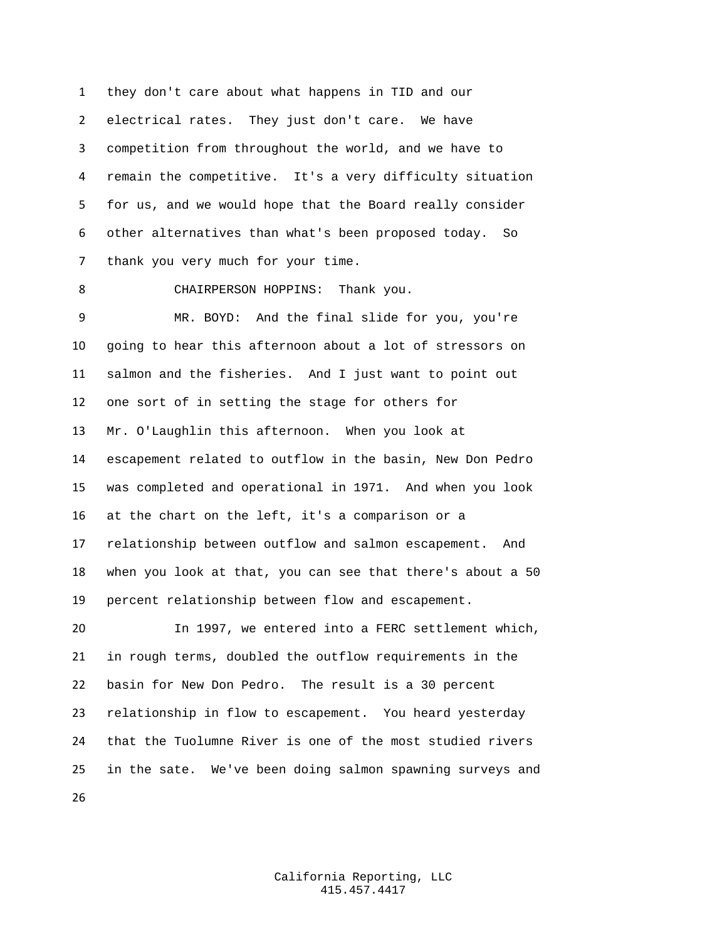they don't care about what happens in TID and our electrical rates. They just don't care. We have competition from throughout the world, and we have to remain the competitive. It's a very difficulty situation for us, and we would hope that the Board really consider other alternatives than what's been proposed today. So thank you very much for your time.

CHAIRPERSON HOPPINS: Thank you.

 MR. BOYD: And the final slide for you, you're going to hear this afternoon about a lot of stressors on salmon and the fisheries. And I just want to point out one sort of in setting the stage for others for Mr. O'Laughlin this afternoon. When you look at escapement related to outflow in the basin, New Don Pedro was completed and operational in 1971. And when you look at the chart on the left, it's a comparison or a relationship between outflow and salmon escapement. And when you look at that, you can see that there's about a 50 percent relationship between flow and escapement. In 1997, we entered into a FERC settlement which,

 in rough terms, doubled the outflow requirements in the basin for New Don Pedro. The result is a 30 percent relationship in flow to escapement. You heard yesterday that the Tuolumne River is one of the most studied rivers in the sate. We've been doing salmon spawning surveys and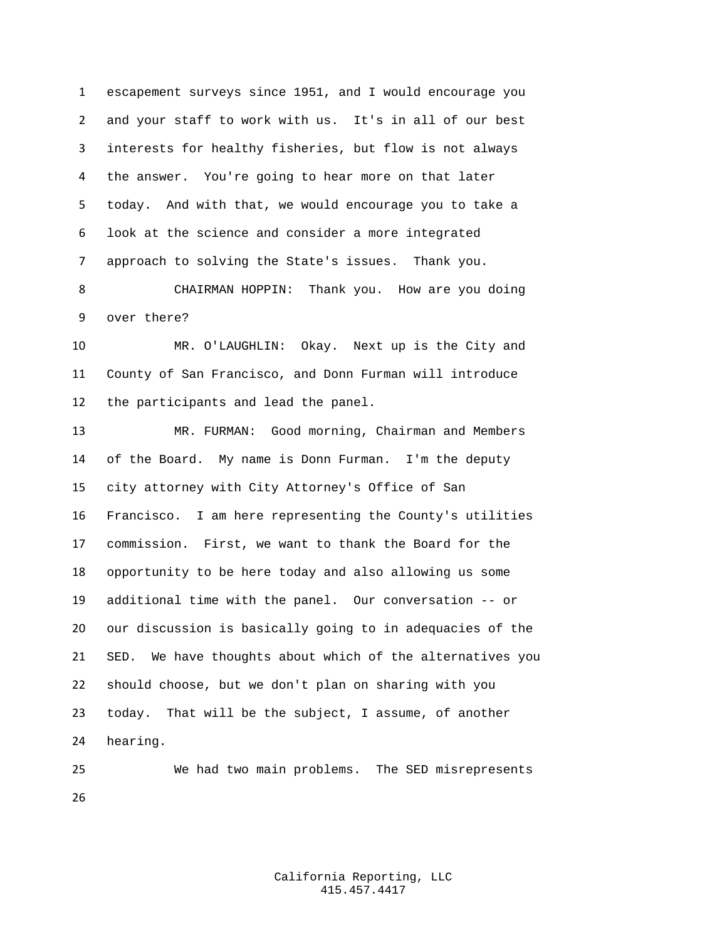escapement surveys since 1951, and I would encourage you and your staff to work with us. It's in all of our best interests for healthy fisheries, but flow is not always the answer. You're going to hear more on that later today. And with that, we would encourage you to take a look at the science and consider a more integrated approach to solving the State's issues. Thank you.

 CHAIRMAN HOPPIN: Thank you. How are you doing over there?

 MR. O'LAUGHLIN: Okay. Next up is the City and County of San Francisco, and Donn Furman will introduce the participants and lead the panel.

 MR. FURMAN: Good morning, Chairman and Members of the Board. My name is Donn Furman. I'm the deputy city attorney with City Attorney's Office of San Francisco. I am here representing the County's utilities commission. First, we want to thank the Board for the opportunity to be here today and also allowing us some additional time with the panel. Our conversation -- or our discussion is basically going to in adequacies of the SED. We have thoughts about which of the alternatives you should choose, but we don't plan on sharing with you today. That will be the subject, I assume, of another hearing.

 We had two main problems. The SED misrepresents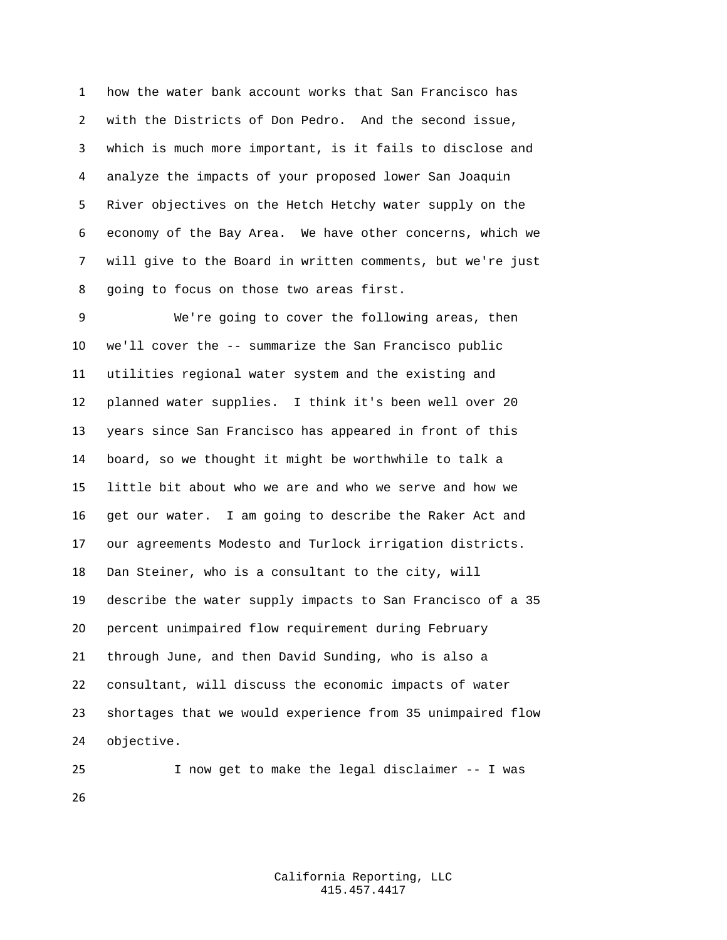how the water bank account works that San Francisco has with the Districts of Don Pedro. And the second issue, which is much more important, is it fails to disclose and analyze the impacts of your proposed lower San Joaquin River objectives on the Hetch Hetchy water supply on the economy of the Bay Area. We have other concerns, which we will give to the Board in written comments, but we're just going to focus on those two areas first.

 We're going to cover the following areas, then we'll cover the -- summarize the San Francisco public utilities regional water system and the existing and planned water supplies. I think it's been well over 20 years since San Francisco has appeared in front of this board, so we thought it might be worthwhile to talk a little bit about who we are and who we serve and how we get our water. I am going to describe the Raker Act and our agreements Modesto and Turlock irrigation districts. Dan Steiner, who is a consultant to the city, will describe the water supply impacts to San Francisco of a 35 percent unimpaired flow requirement during February through June, and then David Sunding, who is also a consultant, will discuss the economic impacts of water shortages that we would experience from 35 unimpaired flow objective.

 I now get to make the legal disclaimer -- I was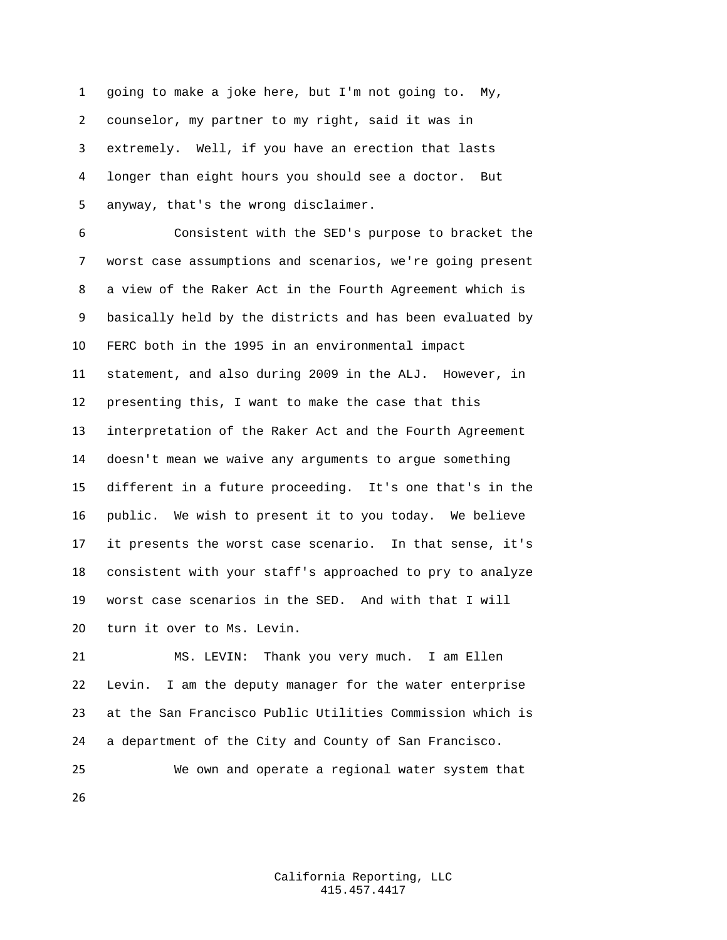going to make a joke here, but I'm not going to. My, counselor, my partner to my right, said it was in extremely. Well, if you have an erection that lasts longer than eight hours you should see a doctor. But anyway, that's the wrong disclaimer.

 Consistent with the SED's purpose to bracket the worst case assumptions and scenarios, we're going present a view of the Raker Act in the Fourth Agreement which is basically held by the districts and has been evaluated by FERC both in the 1995 in an environmental impact statement, and also during 2009 in the ALJ. However, in presenting this, I want to make the case that this interpretation of the Raker Act and the Fourth Agreement doesn't mean we waive any arguments to argue something different in a future proceeding. It's one that's in the public. We wish to present it to you today. We believe it presents the worst case scenario. In that sense, it's consistent with your staff's approached to pry to analyze worst case scenarios in the SED. And with that I will turn it over to Ms. Levin.

 MS. LEVIN: Thank you very much. I am Ellen Levin. I am the deputy manager for the water enterprise at the San Francisco Public Utilities Commission which is a department of the City and County of San Francisco.

 We own and operate a regional water system that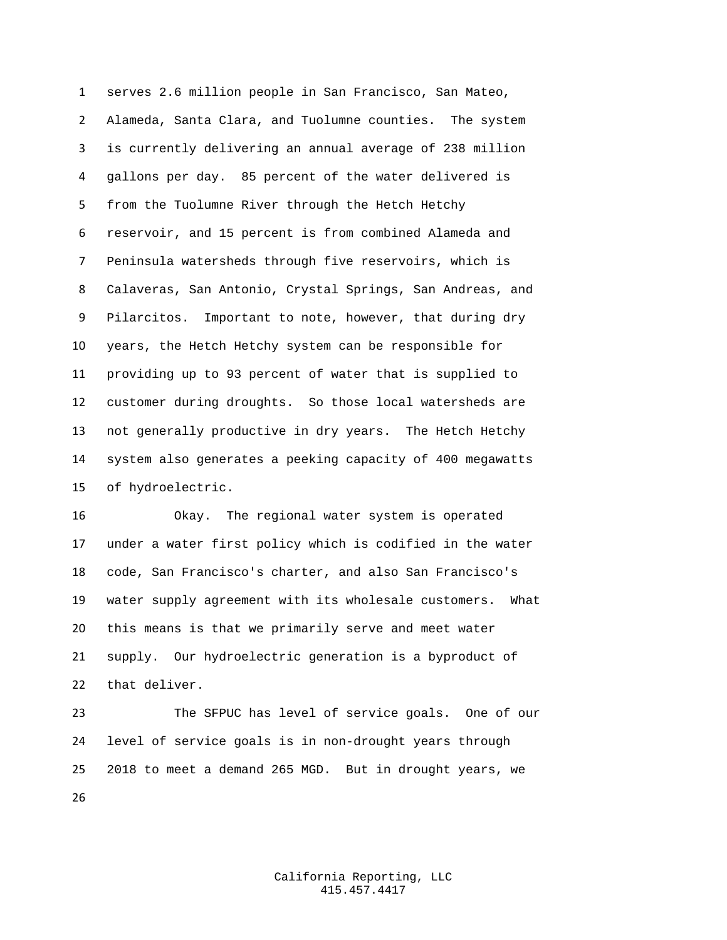serves 2.6 million people in San Francisco, San Mateo, Alameda, Santa Clara, and Tuolumne counties. The system is currently delivering an annual average of 238 million gallons per day. 85 percent of the water delivered is from the Tuolumne River through the Hetch Hetchy reservoir, and 15 percent is from combined Alameda and Peninsula watersheds through five reservoirs, which is Calaveras, San Antonio, Crystal Springs, San Andreas, and Pilarcitos. Important to note, however, that during dry years, the Hetch Hetchy system can be responsible for providing up to 93 percent of water that is supplied to customer during droughts. So those local watersheds are not generally productive in dry years. The Hetch Hetchy system also generates a peeking capacity of 400 megawatts of hydroelectric.

 Okay. The regional water system is operated under a water first policy which is codified in the water code, San Francisco's charter, and also San Francisco's water supply agreement with its wholesale customers. What this means is that we primarily serve and meet water supply. Our hydroelectric generation is a byproduct of that deliver.

 The SFPUC has level of service goals. One of our level of service goals is in non-drought years through 2018 to meet a demand 265 MGD. But in drought years, we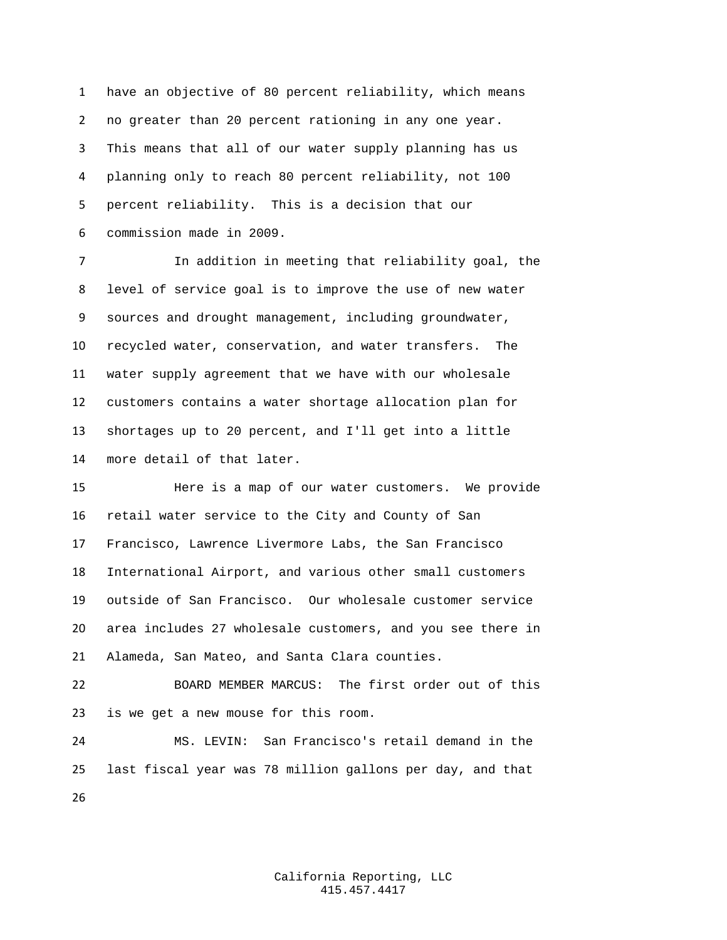have an objective of 80 percent reliability, which means no greater than 20 percent rationing in any one year. This means that all of our water supply planning has us planning only to reach 80 percent reliability, not 100 percent reliability. This is a decision that our commission made in 2009.

 In addition in meeting that reliability goal, the level of service goal is to improve the use of new water sources and drought management, including groundwater, recycled water, conservation, and water transfers. The water supply agreement that we have with our wholesale customers contains a water shortage allocation plan for shortages up to 20 percent, and I'll get into a little more detail of that later.

 Here is a map of our water customers. We provide retail water service to the City and County of San Francisco, Lawrence Livermore Labs, the San Francisco International Airport, and various other small customers outside of San Francisco. Our wholesale customer service area includes 27 wholesale customers, and you see there in Alameda, San Mateo, and Santa Clara counties.

 BOARD MEMBER MARCUS: The first order out of this is we get a new mouse for this room.

 MS. LEVIN: San Francisco's retail demand in the last fiscal year was 78 million gallons per day, and that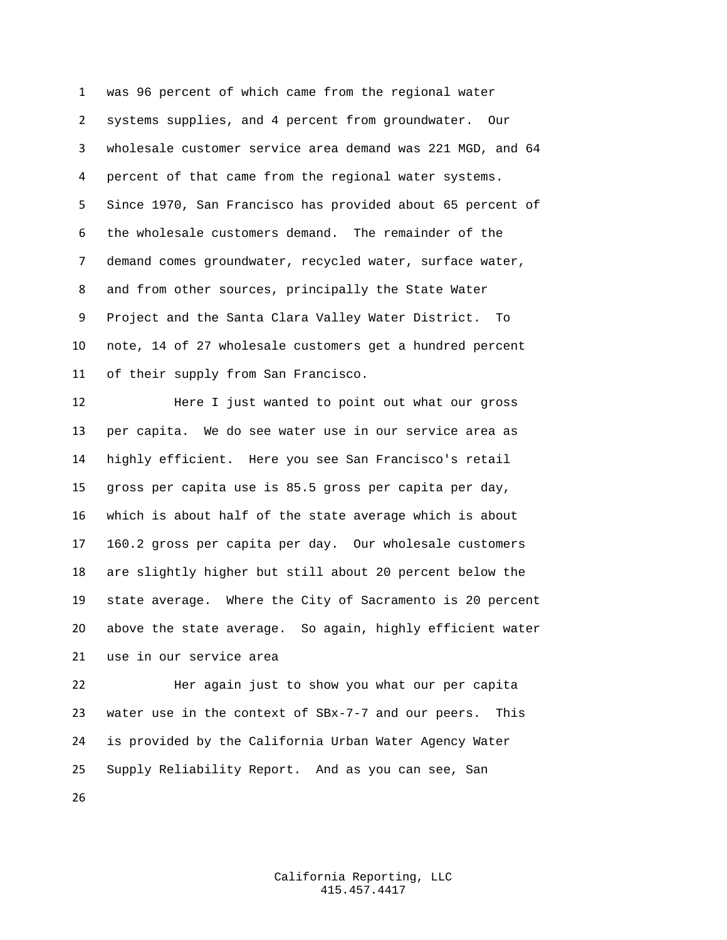was 96 percent of which came from the regional water systems supplies, and 4 percent from groundwater. Our wholesale customer service area demand was 221 MGD, and 64 percent of that came from the regional water systems. Since 1970, San Francisco has provided about 65 percent of the wholesale customers demand. The remainder of the demand comes groundwater, recycled water, surface water, and from other sources, principally the State Water Project and the Santa Clara Valley Water District. To note, 14 of 27 wholesale customers get a hundred percent of their supply from San Francisco.

 Here I just wanted to point out what our gross per capita. We do see water use in our service area as highly efficient. Here you see San Francisco's retail gross per capita use is 85.5 gross per capita per day, which is about half of the state average which is about 160.2 gross per capita per day. Our wholesale customers are slightly higher but still about 20 percent below the state average. Where the City of Sacramento is 20 percent above the state average. So again, highly efficient water use in our service area

 Her again just to show you what our per capita water use in the context of SBx-7-7 and our peers. This is provided by the California Urban Water Agency Water Supply Reliability Report. And as you can see, San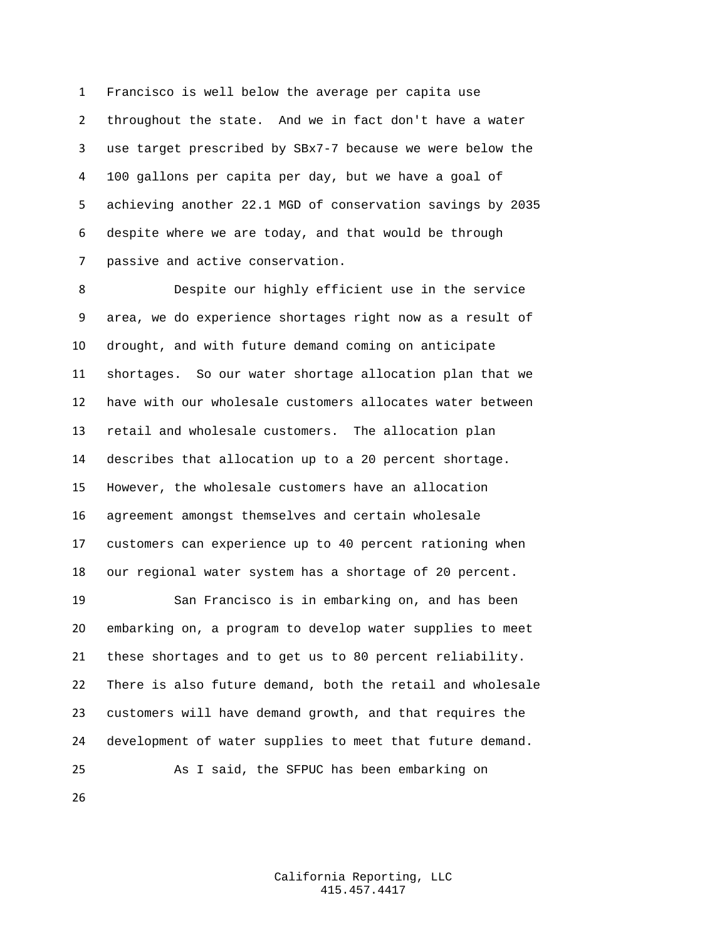Francisco is well below the average per capita use throughout the state. And we in fact don't have a water use target prescribed by SBx7-7 because we were below the 100 gallons per capita per day, but we have a goal of achieving another 22.1 MGD of conservation savings by 2035 despite where we are today, and that would be through passive and active conservation.

 Despite our highly efficient use in the service area, we do experience shortages right now as a result of drought, and with future demand coming on anticipate shortages. So our water shortage allocation plan that we have with our wholesale customers allocates water between retail and wholesale customers. The allocation plan describes that allocation up to a 20 percent shortage. However, the wholesale customers have an allocation agreement amongst themselves and certain wholesale customers can experience up to 40 percent rationing when our regional water system has a shortage of 20 percent.

 San Francisco is in embarking on, and has been embarking on, a program to develop water supplies to meet these shortages and to get us to 80 percent reliability. There is also future demand, both the retail and wholesale customers will have demand growth, and that requires the development of water supplies to meet that future demand. As I said, the SFPUC has been embarking on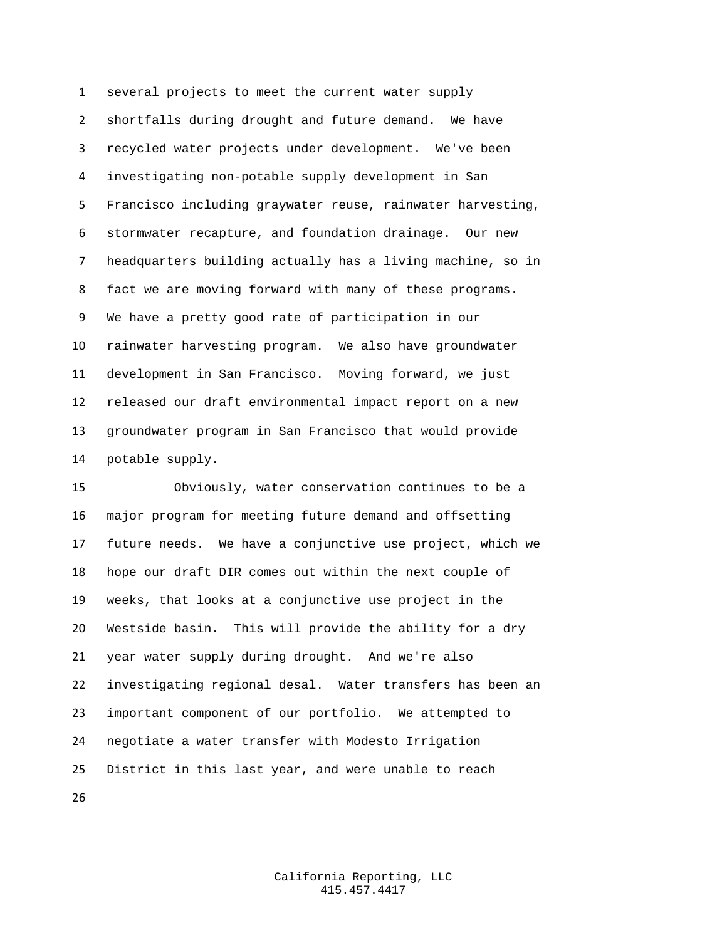several projects to meet the current water supply shortfalls during drought and future demand. We have recycled water projects under development. We've been investigating non-potable supply development in San Francisco including graywater reuse, rainwater harvesting, stormwater recapture, and foundation drainage. Our new headquarters building actually has a living machine, so in fact we are moving forward with many of these programs. We have a pretty good rate of participation in our rainwater harvesting program. We also have groundwater development in San Francisco. Moving forward, we just released our draft environmental impact report on a new groundwater program in San Francisco that would provide potable supply.

 Obviously, water conservation continues to be a major program for meeting future demand and offsetting future needs. We have a conjunctive use project, which we hope our draft DIR comes out within the next couple of weeks, that looks at a conjunctive use project in the Westside basin. This will provide the ability for a dry year water supply during drought. And we're also investigating regional desal. Water transfers has been an important component of our portfolio. We attempted to negotiate a water transfer with Modesto Irrigation District in this last year, and were unable to reach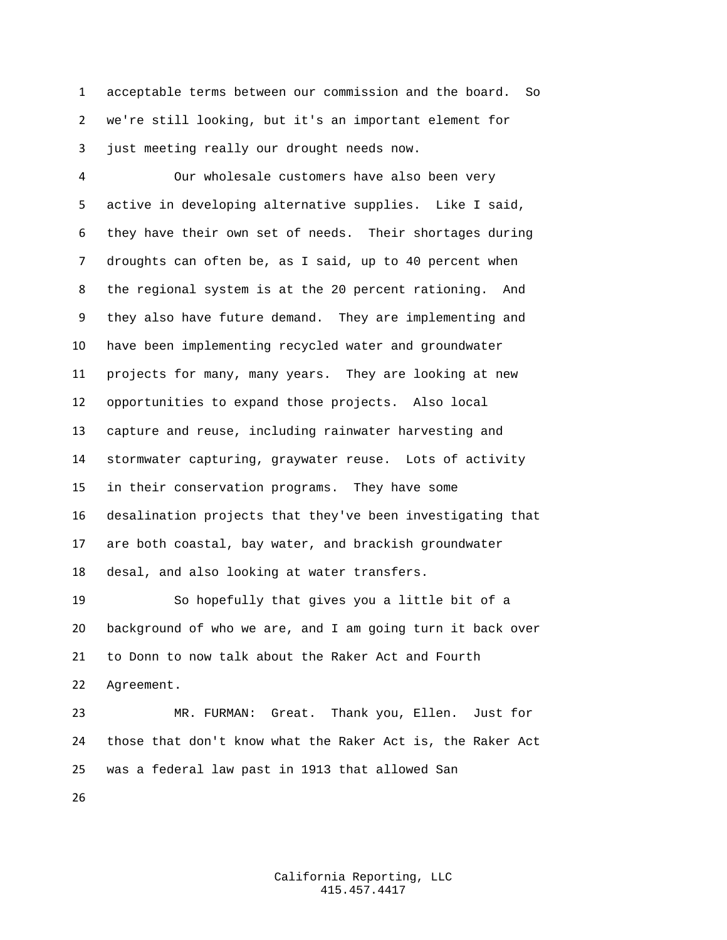acceptable terms between our commission and the board. So we're still looking, but it's an important element for just meeting really our drought needs now.

 Our wholesale customers have also been very active in developing alternative supplies. Like I said, they have their own set of needs. Their shortages during droughts can often be, as I said, up to 40 percent when the regional system is at the 20 percent rationing. And they also have future demand. They are implementing and have been implementing recycled water and groundwater projects for many, many years. They are looking at new opportunities to expand those projects. Also local capture and reuse, including rainwater harvesting and stormwater capturing, graywater reuse. Lots of activity in their conservation programs. They have some desalination projects that they've been investigating that are both coastal, bay water, and brackish groundwater desal, and also looking at water transfers.

 So hopefully that gives you a little bit of a background of who we are, and I am going turn it back over to Donn to now talk about the Raker Act and Fourth Agreement.

 MR. FURMAN: Great. Thank you, Ellen. Just for those that don't know what the Raker Act is, the Raker Act was a federal law past in 1913 that allowed San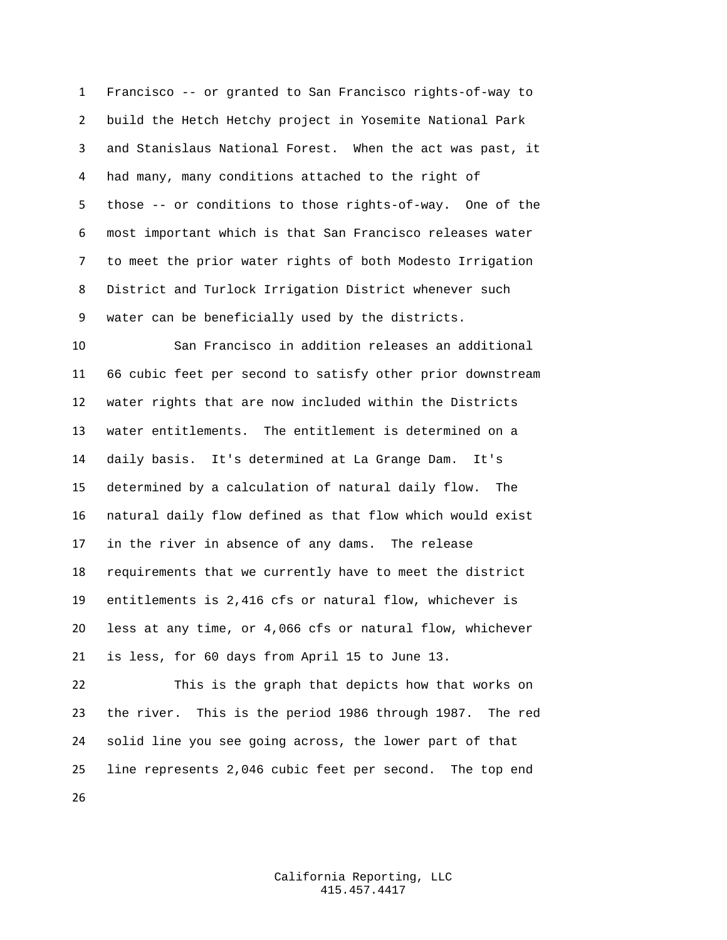Francisco -- or granted to San Francisco rights-of-way to build the Hetch Hetchy project in Yosemite National Park and Stanislaus National Forest. When the act was past, it had many, many conditions attached to the right of those -- or conditions to those rights-of-way. One of the most important which is that San Francisco releases water to meet the prior water rights of both Modesto Irrigation District and Turlock Irrigation District whenever such water can be beneficially used by the districts.

 San Francisco in addition releases an additional 66 cubic feet per second to satisfy other prior downstream water rights that are now included within the Districts water entitlements. The entitlement is determined on a daily basis. It's determined at La Grange Dam. It's determined by a calculation of natural daily flow. The natural daily flow defined as that flow which would exist in the river in absence of any dams. The release requirements that we currently have to meet the district entitlements is 2,416 cfs or natural flow, whichever is less at any time, or 4,066 cfs or natural flow, whichever is less, for 60 days from April 15 to June 13.

 This is the graph that depicts how that works on the river. This is the period 1986 through 1987. The red solid line you see going across, the lower part of that line represents 2,046 cubic feet per second. The top end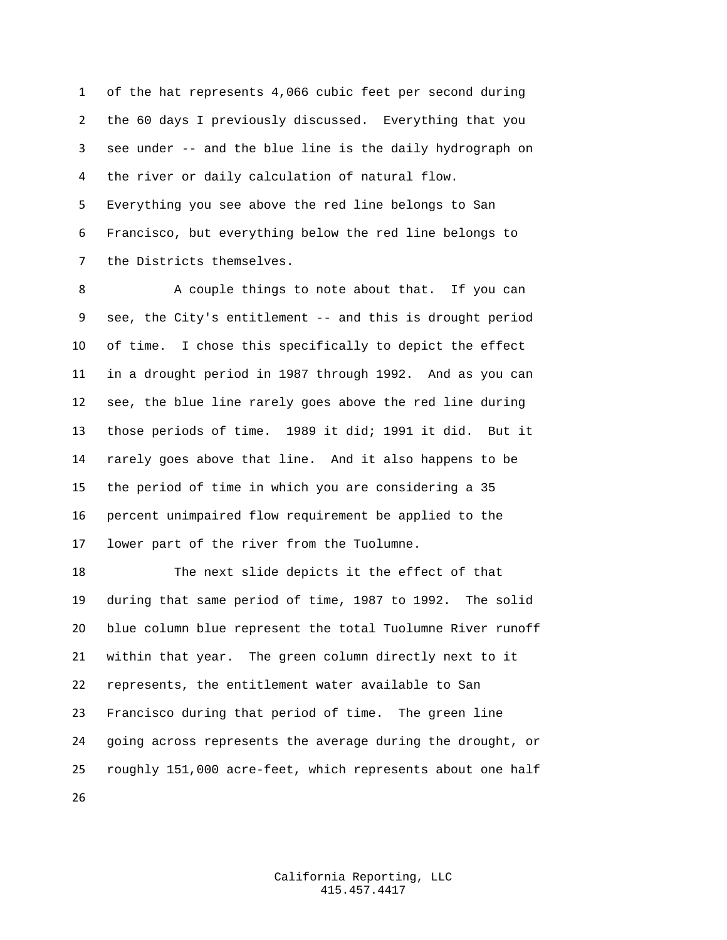of the hat represents 4,066 cubic feet per second during the 60 days I previously discussed. Everything that you see under -- and the blue line is the daily hydrograph on the river or daily calculation of natural flow. Everything you see above the red line belongs to San Francisco, but everything below the red line belongs to the Districts themselves.

8 A couple things to note about that. If you can see, the City's entitlement -- and this is drought period of time. I chose this specifically to depict the effect in a drought period in 1987 through 1992. And as you can see, the blue line rarely goes above the red line during those periods of time. 1989 it did; 1991 it did. But it rarely goes above that line. And it also happens to be the period of time in which you are considering a 35 percent unimpaired flow requirement be applied to the lower part of the river from the Tuolumne.

 The next slide depicts it the effect of that during that same period of time, 1987 to 1992. The solid blue column blue represent the total Tuolumne River runoff within that year. The green column directly next to it represents, the entitlement water available to San Francisco during that period of time. The green line going across represents the average during the drought, or roughly 151,000 acre-feet, which represents about one half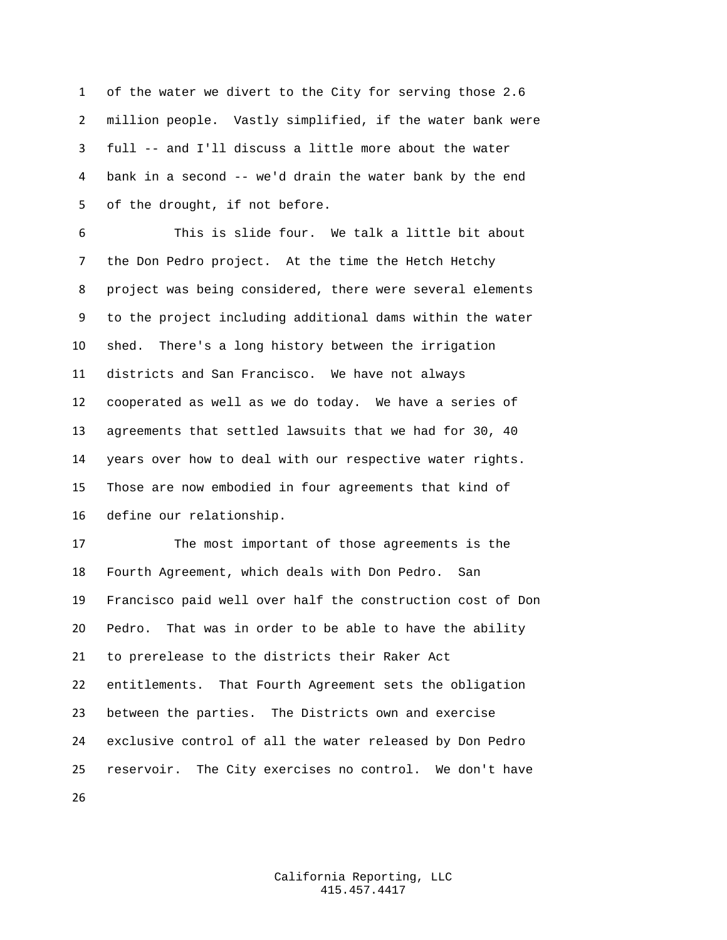of the water we divert to the City for serving those 2.6 million people. Vastly simplified, if the water bank were full -- and I'll discuss a little more about the water bank in a second -- we'd drain the water bank by the end of the drought, if not before.

 This is slide four. We talk a little bit about the Don Pedro project. At the time the Hetch Hetchy project was being considered, there were several elements to the project including additional dams within the water shed. There's a long history between the irrigation districts and San Francisco. We have not always cooperated as well as we do today. We have a series of agreements that settled lawsuits that we had for 30, 40 years over how to deal with our respective water rights. Those are now embodied in four agreements that kind of define our relationship.

 The most important of those agreements is the Fourth Agreement, which deals with Don Pedro. San Francisco paid well over half the construction cost of Don Pedro. That was in order to be able to have the ability to prerelease to the districts their Raker Act entitlements. That Fourth Agreement sets the obligation between the parties. The Districts own and exercise exclusive control of all the water released by Don Pedro reservoir. The City exercises no control. We don't have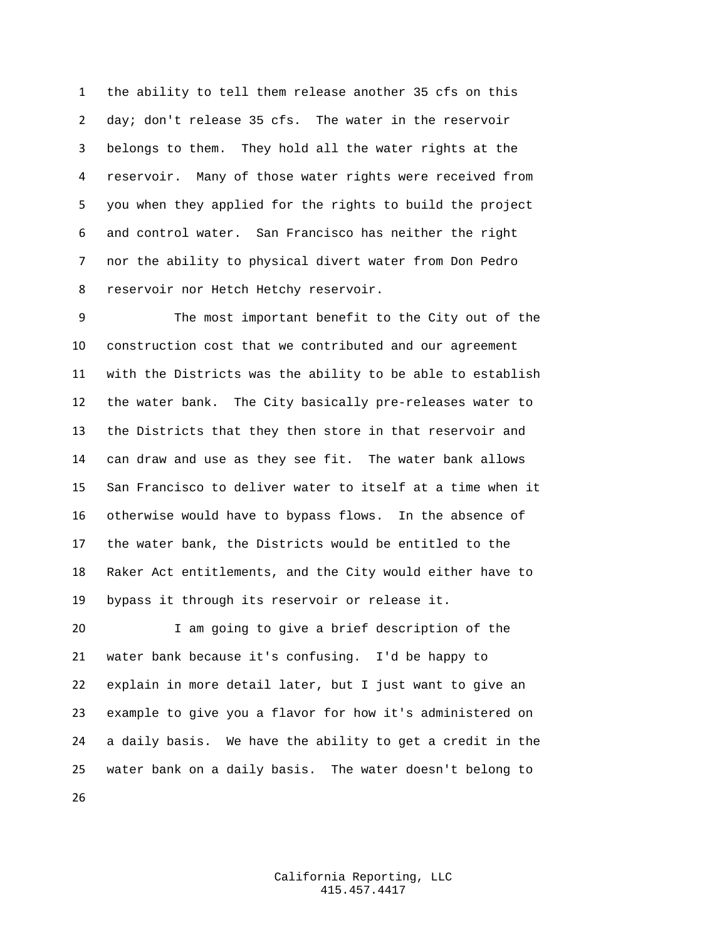the ability to tell them release another 35 cfs on this day; don't release 35 cfs. The water in the reservoir belongs to them. They hold all the water rights at the reservoir. Many of those water rights were received from you when they applied for the rights to build the project and control water. San Francisco has neither the right nor the ability to physical divert water from Don Pedro reservoir nor Hetch Hetchy reservoir.

 The most important benefit to the City out of the construction cost that we contributed and our agreement with the Districts was the ability to be able to establish the water bank. The City basically pre-releases water to the Districts that they then store in that reservoir and can draw and use as they see fit. The water bank allows San Francisco to deliver water to itself at a time when it otherwise would have to bypass flows. In the absence of the water bank, the Districts would be entitled to the Raker Act entitlements, and the City would either have to bypass it through its reservoir or release it.

 I am going to give a brief description of the water bank because it's confusing. I'd be happy to explain in more detail later, but I just want to give an example to give you a flavor for how it's administered on a daily basis. We have the ability to get a credit in the water bank on a daily basis. The water doesn't belong to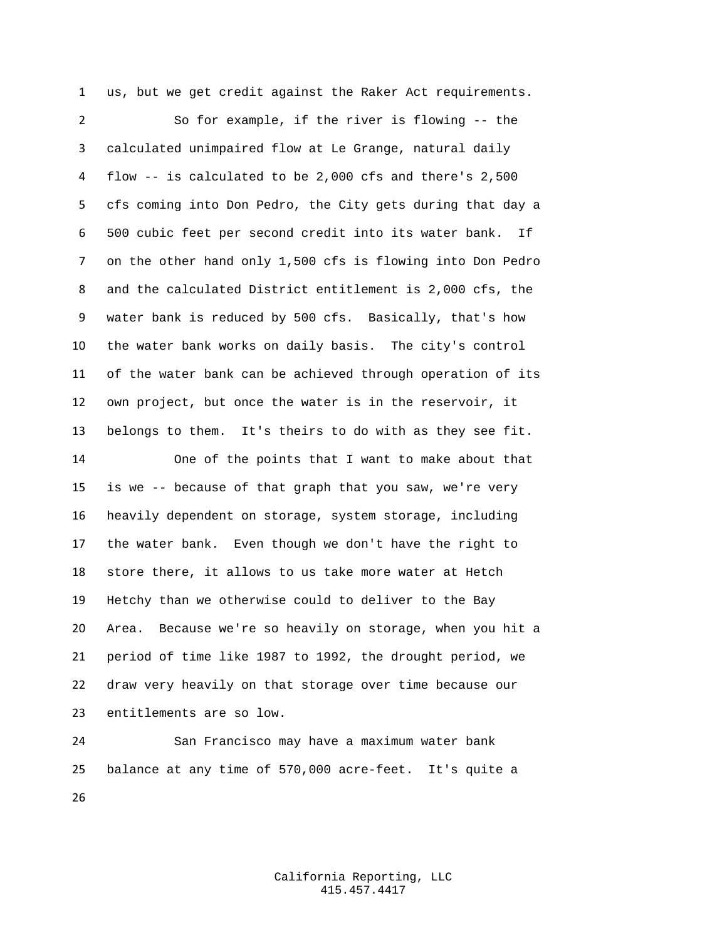us, but we get credit against the Raker Act requirements.

 So for example, if the river is flowing -- the calculated unimpaired flow at Le Grange, natural daily flow -- is calculated to be 2,000 cfs and there's 2,500 cfs coming into Don Pedro, the City gets during that day a 500 cubic feet per second credit into its water bank. If on the other hand only 1,500 cfs is flowing into Don Pedro and the calculated District entitlement is 2,000 cfs, the water bank is reduced by 500 cfs. Basically, that's how the water bank works on daily basis. The city's control of the water bank can be achieved through operation of its own project, but once the water is in the reservoir, it belongs to them. It's theirs to do with as they see fit. One of the points that I want to make about that

 is we -- because of that graph that you saw, we're very heavily dependent on storage, system storage, including the water bank. Even though we don't have the right to store there, it allows to us take more water at Hetch Hetchy than we otherwise could to deliver to the Bay Area. Because we're so heavily on storage, when you hit a period of time like 1987 to 1992, the drought period, we draw very heavily on that storage over time because our entitlements are so low.

 San Francisco may have a maximum water bank balance at any time of 570,000 acre-feet. It's quite a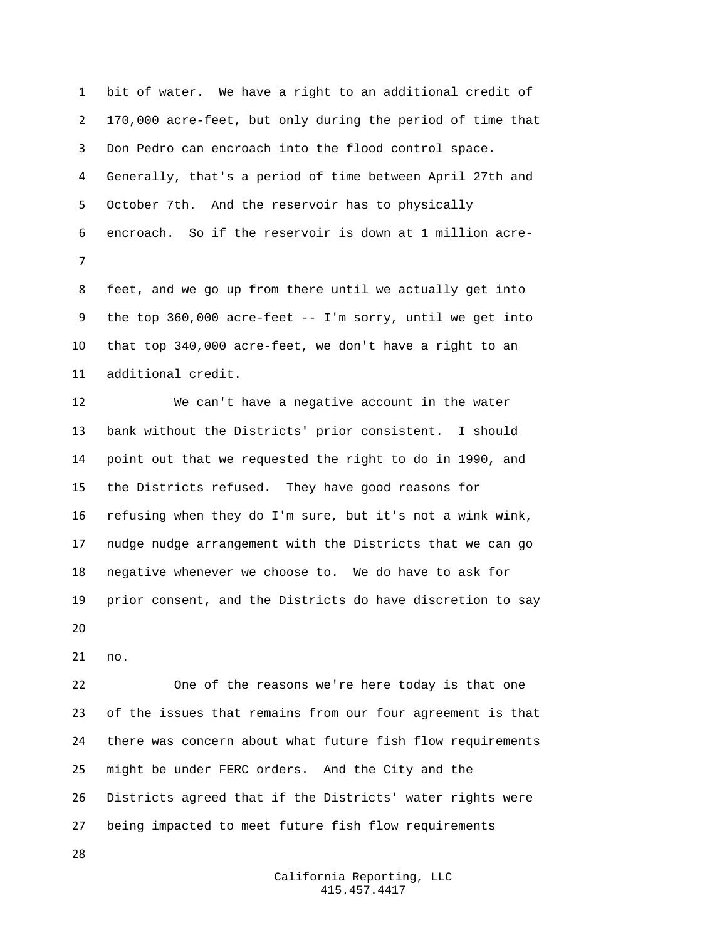bit of water. We have a right to an additional credit of 170,000 acre-feet, but only during the period of time that Don Pedro can encroach into the flood control space. Generally, that's a period of time between April 27th and October 7th. And the reservoir has to physically encroach. So if the reservoir is down at 1 million acre-

 feet, and we go up from there until we actually get into the top 360,000 acre-feet -- I'm sorry, until we get into that top 340,000 acre-feet, we don't have a right to an additional credit.

 We can't have a negative account in the water bank without the Districts' prior consistent. I should point out that we requested the right to do in 1990, and the Districts refused. They have good reasons for refusing when they do I'm sure, but it's not a wink wink, nudge nudge arrangement with the Districts that we can go negative whenever we choose to. We do have to ask for prior consent, and the Districts do have discretion to say 

no.

 One of the reasons we're here today is that one of the issues that remains from our four agreement is that there was concern about what future fish flow requirements might be under FERC orders. And the City and the Districts agreed that if the Districts' water rights were being impacted to meet future fish flow requirements

> California Reporting, LLC 415.457.4417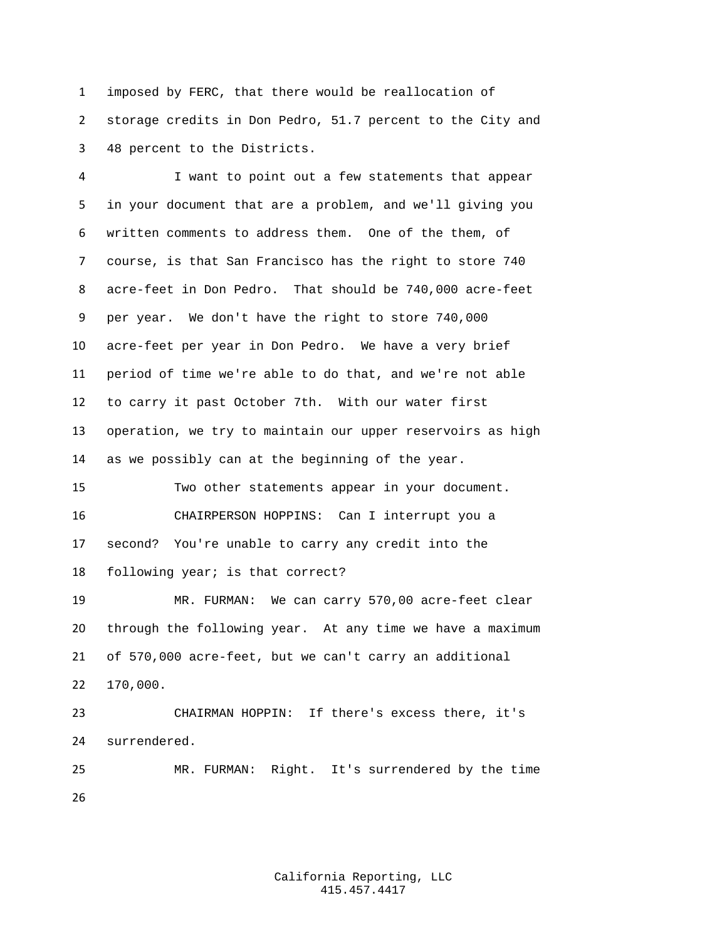imposed by FERC, that there would be reallocation of storage credits in Don Pedro, 51.7 percent to the City and 48 percent to the Districts.

 I want to point out a few statements that appear in your document that are a problem, and we'll giving you written comments to address them. One of the them, of course, is that San Francisco has the right to store 740 acre-feet in Don Pedro. That should be 740,000 acre-feet per year. We don't have the right to store 740,000 acre-feet per year in Don Pedro. We have a very brief period of time we're able to do that, and we're not able to carry it past October 7th. With our water first operation, we try to maintain our upper reservoirs as high as we possibly can at the beginning of the year. Two other statements appear in your document. CHAIRPERSON HOPPINS: Can I interrupt you a second? You're unable to carry any credit into the

following year; is that correct?

 MR. FURMAN: We can carry 570,00 acre-feet clear through the following year. At any time we have a maximum of 570,000 acre-feet, but we can't carry an additional 170,000.

 CHAIRMAN HOPPIN: If there's excess there, it's surrendered. MR. FURMAN: Right. It's surrendered by the time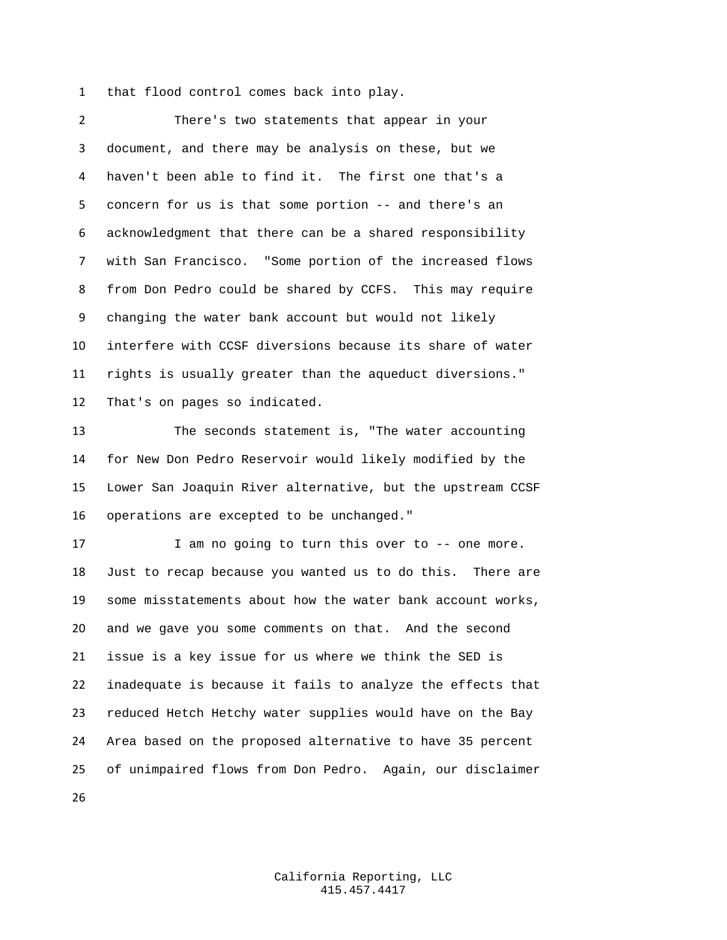that flood control comes back into play.

 There's two statements that appear in your document, and there may be analysis on these, but we haven't been able to find it. The first one that's a concern for us is that some portion -- and there's an acknowledgment that there can be a shared responsibility with San Francisco. "Some portion of the increased flows from Don Pedro could be shared by CCFS. This may require changing the water bank account but would not likely interfere with CCSF diversions because its share of water rights is usually greater than the aqueduct diversions." That's on pages so indicated.

 The seconds statement is, "The water accounting for New Don Pedro Reservoir would likely modified by the Lower San Joaquin River alternative, but the upstream CCSF operations are excepted to be unchanged."

 I am no going to turn this over to -- one more. Just to recap because you wanted us to do this. There are some misstatements about how the water bank account works, and we gave you some comments on that. And the second issue is a key issue for us where we think the SED is inadequate is because it fails to analyze the effects that reduced Hetch Hetchy water supplies would have on the Bay Area based on the proposed alternative to have 35 percent of unimpaired flows from Don Pedro. Again, our disclaimer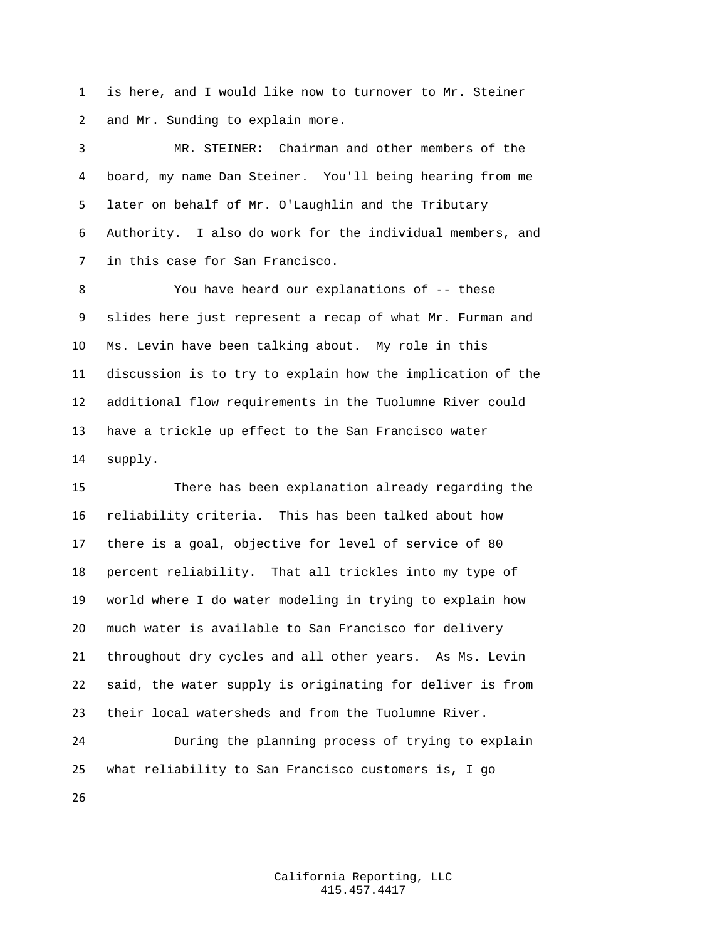is here, and I would like now to turnover to Mr. Steiner and Mr. Sunding to explain more.

 MR. STEINER: Chairman and other members of the board, my name Dan Steiner. You'll being hearing from me later on behalf of Mr. O'Laughlin and the Tributary Authority. I also do work for the individual members, and in this case for San Francisco.

 You have heard our explanations of -- these slides here just represent a recap of what Mr. Furman and Ms. Levin have been talking about. My role in this discussion is to try to explain how the implication of the additional flow requirements in the Tuolumne River could have a trickle up effect to the San Francisco water supply.

 There has been explanation already regarding the reliability criteria. This has been talked about how there is a goal, objective for level of service of 80 percent reliability. That all trickles into my type of world where I do water modeling in trying to explain how much water is available to San Francisco for delivery throughout dry cycles and all other years. As Ms. Levin said, the water supply is originating for deliver is from their local watersheds and from the Tuolumne River.

 During the planning process of trying to explain what reliability to San Francisco customers is, I go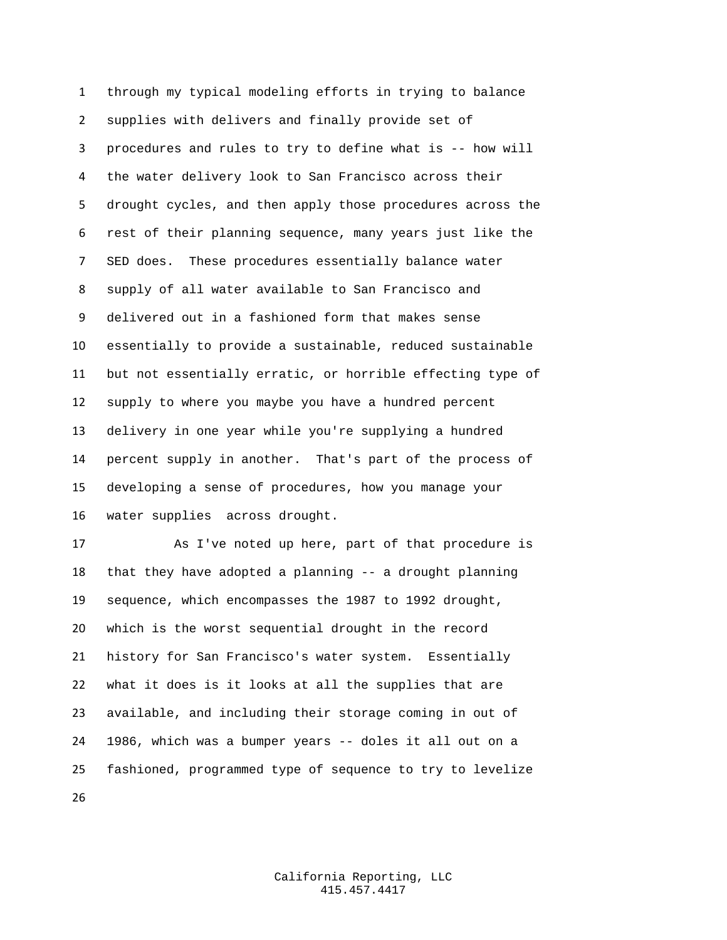through my typical modeling efforts in trying to balance supplies with delivers and finally provide set of procedures and rules to try to define what is -- how will the water delivery look to San Francisco across their drought cycles, and then apply those procedures across the rest of their planning sequence, many years just like the SED does. These procedures essentially balance water supply of all water available to San Francisco and delivered out in a fashioned form that makes sense essentially to provide a sustainable, reduced sustainable but not essentially erratic, or horrible effecting type of supply to where you maybe you have a hundred percent delivery in one year while you're supplying a hundred percent supply in another. That's part of the process of developing a sense of procedures, how you manage your water supplies across drought.

 As I've noted up here, part of that procedure is that they have adopted a planning -- a drought planning sequence, which encompasses the 1987 to 1992 drought, which is the worst sequential drought in the record history for San Francisco's water system. Essentially what it does is it looks at all the supplies that are available, and including their storage coming in out of 1986, which was a bumper years -- doles it all out on a fashioned, programmed type of sequence to try to levelize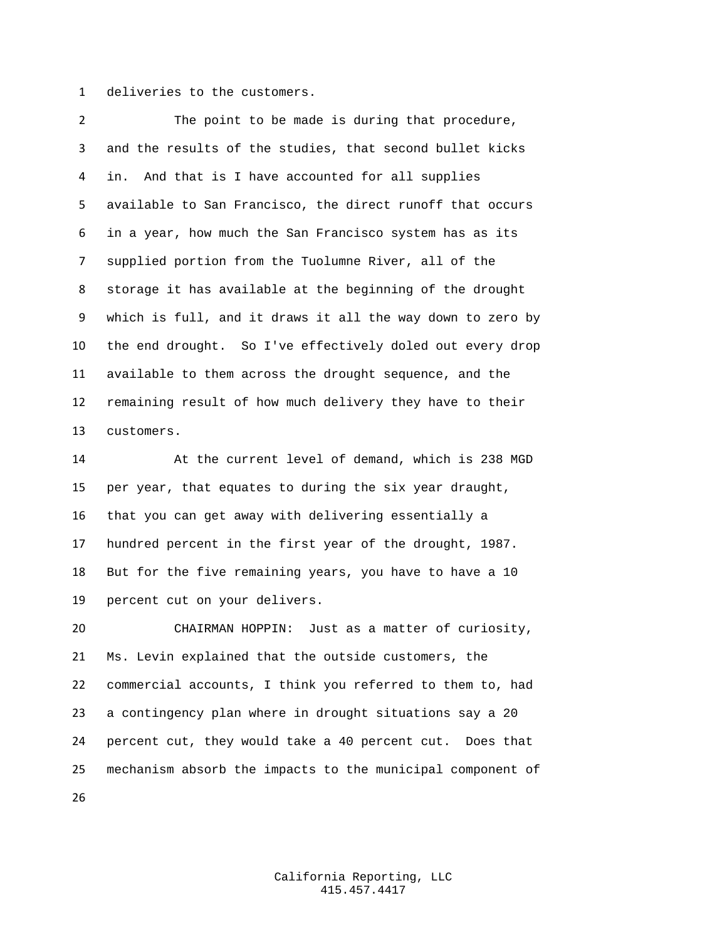deliveries to the customers.

 The point to be made is during that procedure, and the results of the studies, that second bullet kicks in. And that is I have accounted for all supplies available to San Francisco, the direct runoff that occurs in a year, how much the San Francisco system has as its supplied portion from the Tuolumne River, all of the storage it has available at the beginning of the drought which is full, and it draws it all the way down to zero by the end drought. So I've effectively doled out every drop available to them across the drought sequence, and the remaining result of how much delivery they have to their customers.

 At the current level of demand, which is 238 MGD per year, that equates to during the six year draught, that you can get away with delivering essentially a hundred percent in the first year of the drought, 1987. But for the five remaining years, you have to have a 10 percent cut on your delivers.

 CHAIRMAN HOPPIN: Just as a matter of curiosity, Ms. Levin explained that the outside customers, the commercial accounts, I think you referred to them to, had a contingency plan where in drought situations say a 20 percent cut, they would take a 40 percent cut. Does that mechanism absorb the impacts to the municipal component of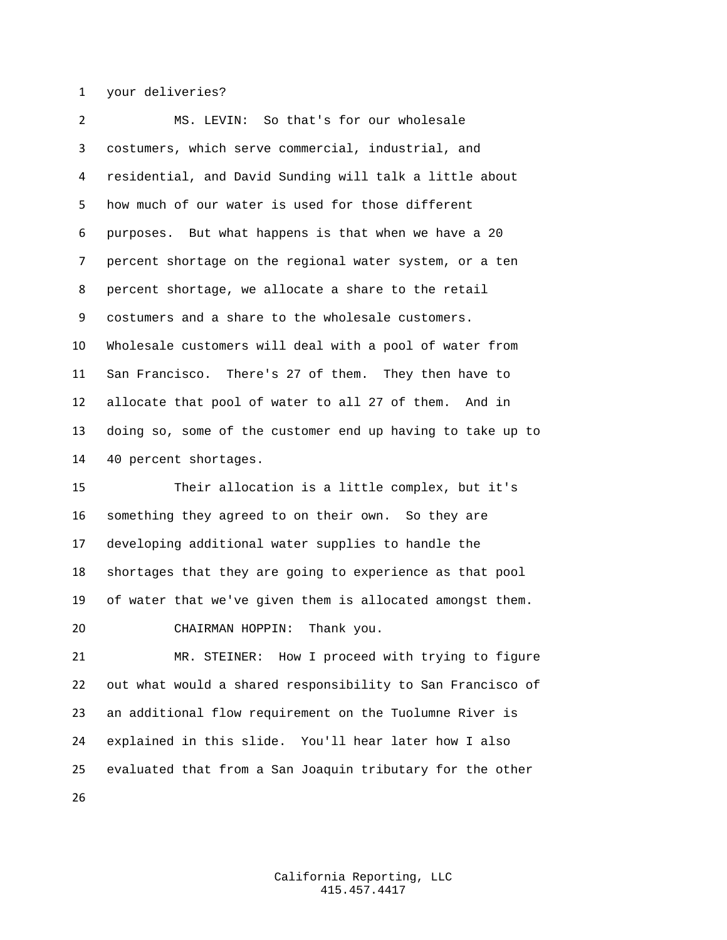your deliveries?

 MS. LEVIN: So that's for our wholesale costumers, which serve commercial, industrial, and residential, and David Sunding will talk a little about how much of our water is used for those different purposes. But what happens is that when we have a 20 percent shortage on the regional water system, or a ten percent shortage, we allocate a share to the retail costumers and a share to the wholesale customers. Wholesale customers will deal with a pool of water from San Francisco. There's 27 of them. They then have to allocate that pool of water to all 27 of them. And in doing so, some of the customer end up having to take up to 40 percent shortages.

 Their allocation is a little complex, but it's something they agreed to on their own. So they are developing additional water supplies to handle the shortages that they are going to experience as that pool of water that we've given them is allocated amongst them. CHAIRMAN HOPPIN: Thank you.

 MR. STEINER: How I proceed with trying to figure out what would a shared responsibility to San Francisco of an additional flow requirement on the Tuolumne River is explained in this slide. You'll hear later how I also evaluated that from a San Joaquin tributary for the other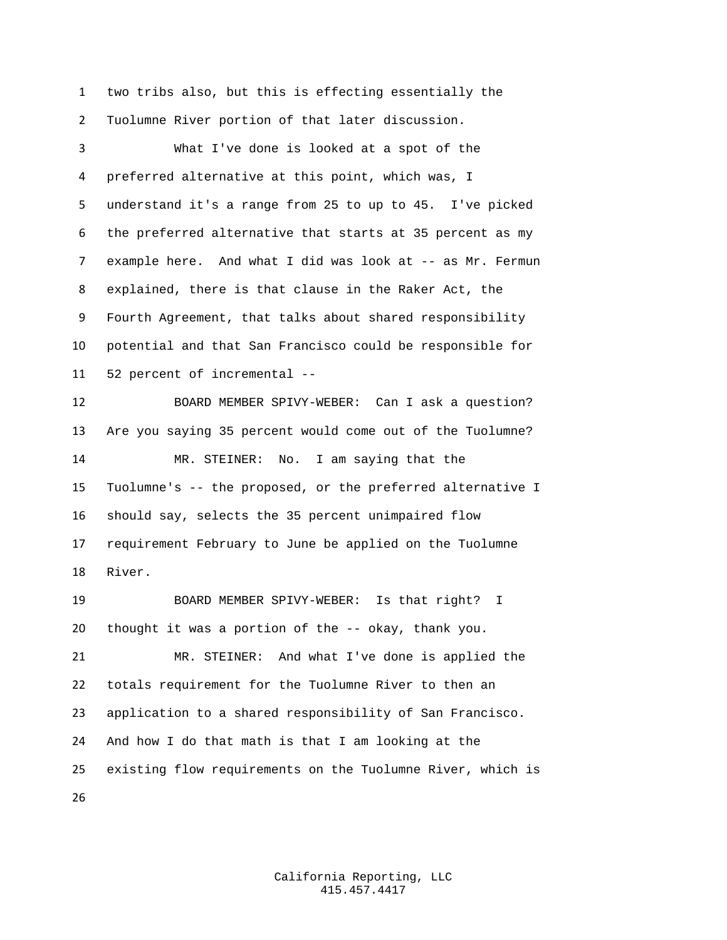two tribs also, but this is effecting essentially the Tuolumne River portion of that later discussion.

 What I've done is looked at a spot of the preferred alternative at this point, which was, I understand it's a range from 25 to up to 45. I've picked the preferred alternative that starts at 35 percent as my example here. And what I did was look at -- as Mr. Fermun explained, there is that clause in the Raker Act, the Fourth Agreement, that talks about shared responsibility potential and that San Francisco could be responsible for 52 percent of incremental -- BOARD MEMBER SPIVY-WEBER: Can I ask a question? Are you saying 35 percent would come out of the Tuolumne? MR. STEINER: No. I am saying that the Tuolumne's -- the proposed, or the preferred alternative I should say, selects the 35 percent unimpaired flow requirement February to June be applied on the Tuolumne River. BOARD MEMBER SPIVY-WEBER: Is that right? I thought it was a portion of the -- okay, thank you. MR. STEINER: And what I've done is applied the totals requirement for the Tuolumne River to then an application to a shared responsibility of San Francisco. And how I do that math is that I am looking at the existing flow requirements on the Tuolumne River, which is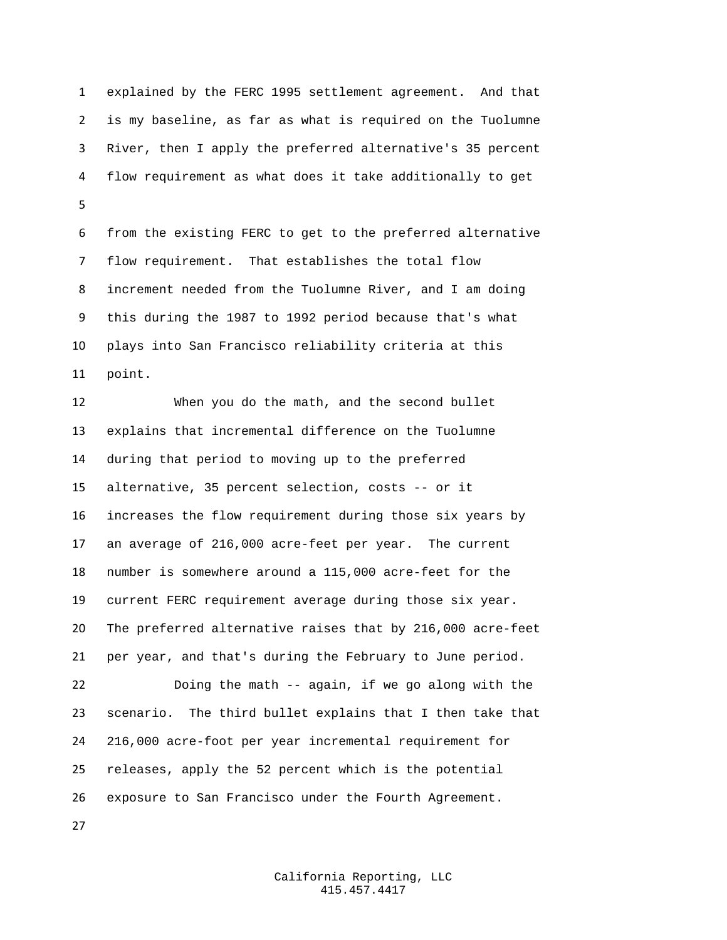explained by the FERC 1995 settlement agreement. And that is my baseline, as far as what is required on the Tuolumne River, then I apply the preferred alternative's 35 percent flow requirement as what does it take additionally to get 

 from the existing FERC to get to the preferred alternative flow requirement. That establishes the total flow increment needed from the Tuolumne River, and I am doing this during the 1987 to 1992 period because that's what plays into San Francisco reliability criteria at this point.

 When you do the math, and the second bullet explains that incremental difference on the Tuolumne during that period to moving up to the preferred alternative, 35 percent selection, costs -- or it increases the flow requirement during those six years by an average of 216,000 acre-feet per year. The current number is somewhere around a 115,000 acre-feet for the current FERC requirement average during those six year. The preferred alternative raises that by 216,000 acre-feet per year, and that's during the February to June period.

 Doing the math -- again, if we go along with the scenario. The third bullet explains that I then take that 216,000 acre-foot per year incremental requirement for releases, apply the 52 percent which is the potential exposure to San Francisco under the Fourth Agreement.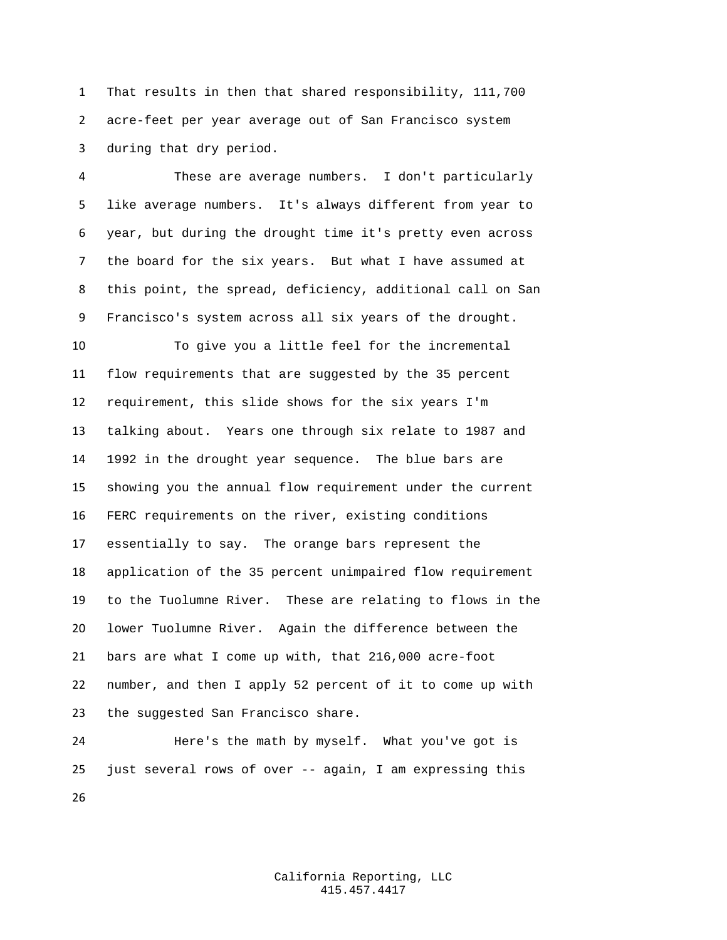That results in then that shared responsibility, 111,700 acre-feet per year average out of San Francisco system during that dry period.

 These are average numbers. I don't particularly like average numbers. It's always different from year to year, but during the drought time it's pretty even across the board for the six years. But what I have assumed at this point, the spread, deficiency, additional call on San Francisco's system across all six years of the drought.

 To give you a little feel for the incremental flow requirements that are suggested by the 35 percent requirement, this slide shows for the six years I'm talking about. Years one through six relate to 1987 and 1992 in the drought year sequence. The blue bars are showing you the annual flow requirement under the current FERC requirements on the river, existing conditions essentially to say. The orange bars represent the application of the 35 percent unimpaired flow requirement to the Tuolumne River. These are relating to flows in the lower Tuolumne River. Again the difference between the bars are what I come up with, that 216,000 acre-foot number, and then I apply 52 percent of it to come up with the suggested San Francisco share.

 Here's the math by myself. What you've got is just several rows of over -- again, I am expressing this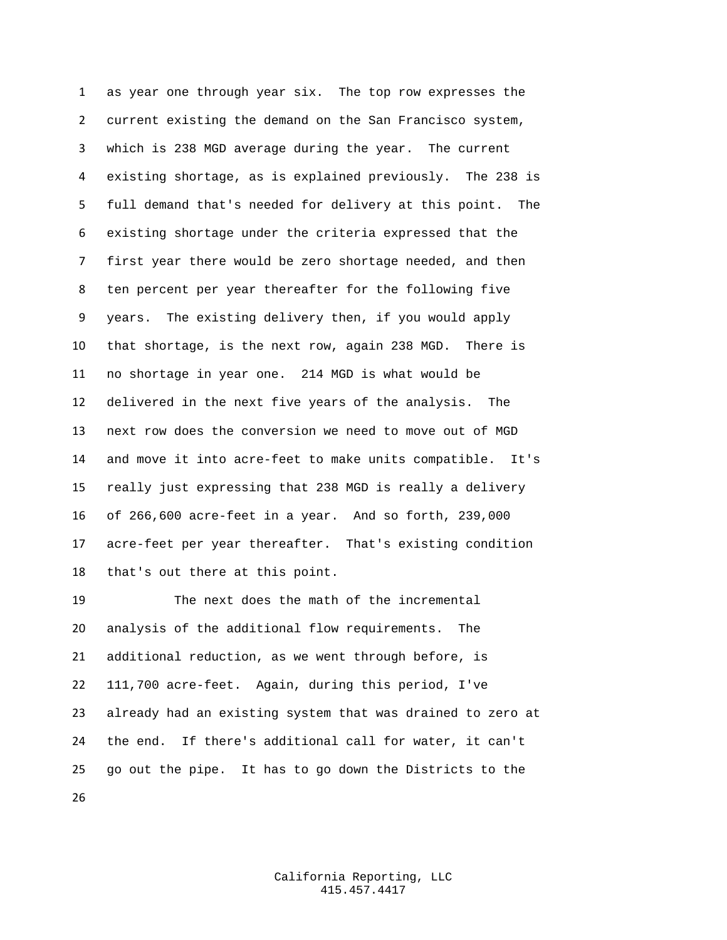as year one through year six. The top row expresses the current existing the demand on the San Francisco system, which is 238 MGD average during the year. The current existing shortage, as is explained previously. The 238 is full demand that's needed for delivery at this point. The existing shortage under the criteria expressed that the first year there would be zero shortage needed, and then ten percent per year thereafter for the following five years. The existing delivery then, if you would apply that shortage, is the next row, again 238 MGD. There is no shortage in year one. 214 MGD is what would be delivered in the next five years of the analysis. The next row does the conversion we need to move out of MGD and move it into acre-feet to make units compatible. It's really just expressing that 238 MGD is really a delivery of 266,600 acre-feet in a year. And so forth, 239,000 acre-feet per year thereafter. That's existing condition that's out there at this point.

 The next does the math of the incremental analysis of the additional flow requirements. The additional reduction, as we went through before, is 111,700 acre-feet. Again, during this period, I've already had an existing system that was drained to zero at the end. If there's additional call for water, it can't go out the pipe. It has to go down the Districts to the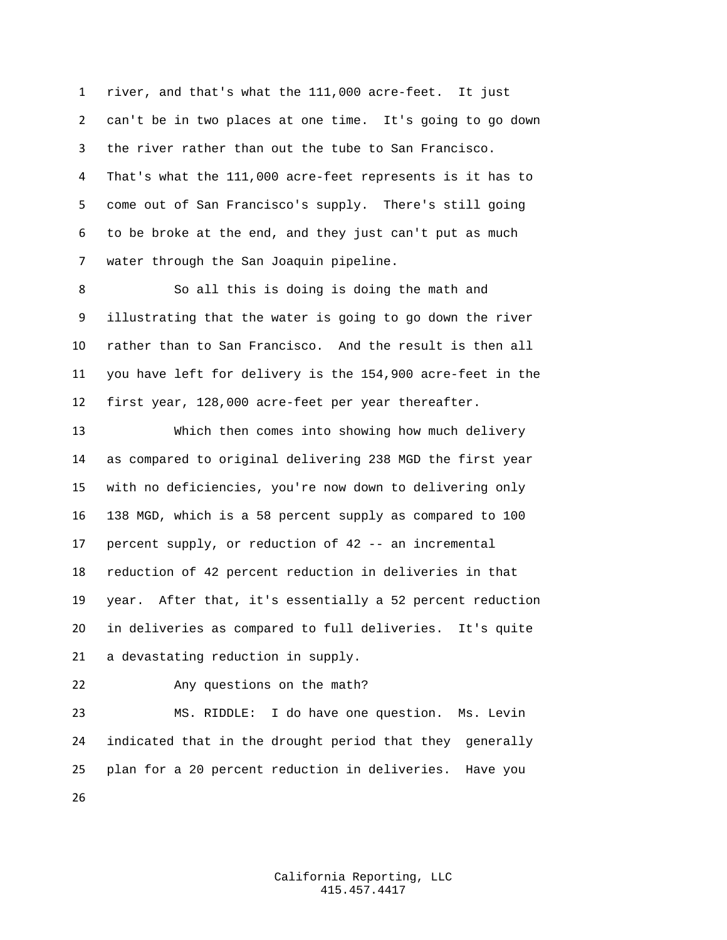river, and that's what the 111,000 acre-feet. It just can't be in two places at one time. It's going to go down the river rather than out the tube to San Francisco. That's what the 111,000 acre-feet represents is it has to come out of San Francisco's supply. There's still going to be broke at the end, and they just can't put as much water through the San Joaquin pipeline.

 So all this is doing is doing the math and illustrating that the water is going to go down the river rather than to San Francisco. And the result is then all you have left for delivery is the 154,900 acre-feet in the first year, 128,000 acre-feet per year thereafter.

 Which then comes into showing how much delivery as compared to original delivering 238 MGD the first year with no deficiencies, you're now down to delivering only 138 MGD, which is a 58 percent supply as compared to 100 percent supply, or reduction of 42 -- an incremental reduction of 42 percent reduction in deliveries in that year. After that, it's essentially a 52 percent reduction in deliveries as compared to full deliveries. It's quite a devastating reduction in supply.

Any questions on the math?

 MS. RIDDLE: I do have one question. Ms. Levin indicated that in the drought period that they generally plan for a 20 percent reduction in deliveries. Have you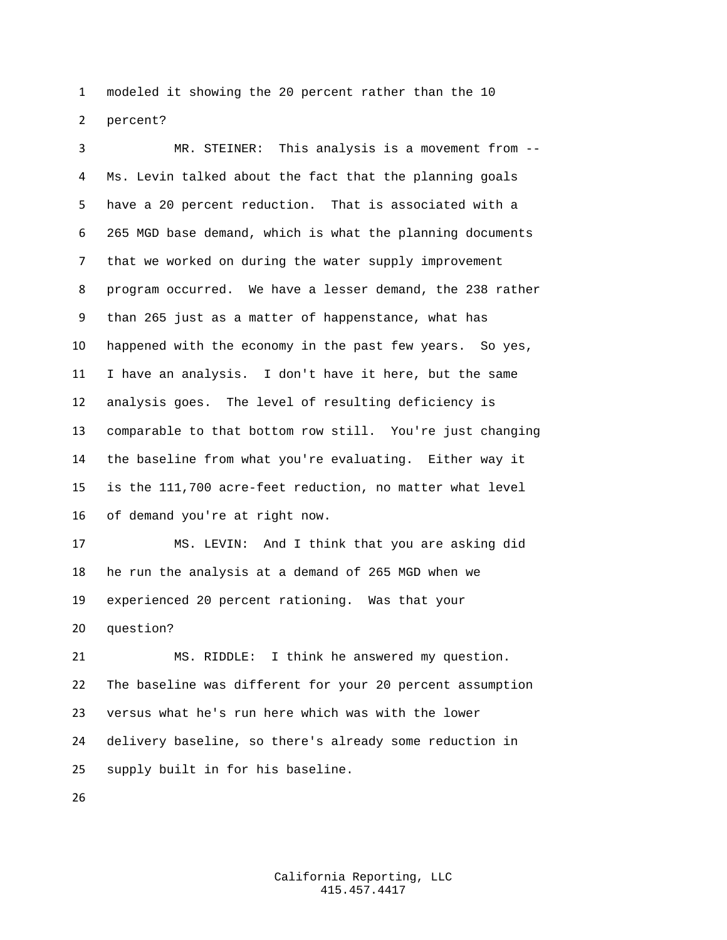modeled it showing the 20 percent rather than the 10 percent?

 MR. STEINER: This analysis is a movement from -- Ms. Levin talked about the fact that the planning goals have a 20 percent reduction. That is associated with a 265 MGD base demand, which is what the planning documents that we worked on during the water supply improvement program occurred. We have a lesser demand, the 238 rather than 265 just as a matter of happenstance, what has happened with the economy in the past few years. So yes, I have an analysis. I don't have it here, but the same analysis goes. The level of resulting deficiency is comparable to that bottom row still. You're just changing the baseline from what you're evaluating. Either way it is the 111,700 acre-feet reduction, no matter what level of demand you're at right now.

 MS. LEVIN: And I think that you are asking did he run the analysis at a demand of 265 MGD when we experienced 20 percent rationing. Was that your question?

 MS. RIDDLE: I think he answered my question. The baseline was different for your 20 percent assumption versus what he's run here which was with the lower delivery baseline, so there's already some reduction in supply built in for his baseline.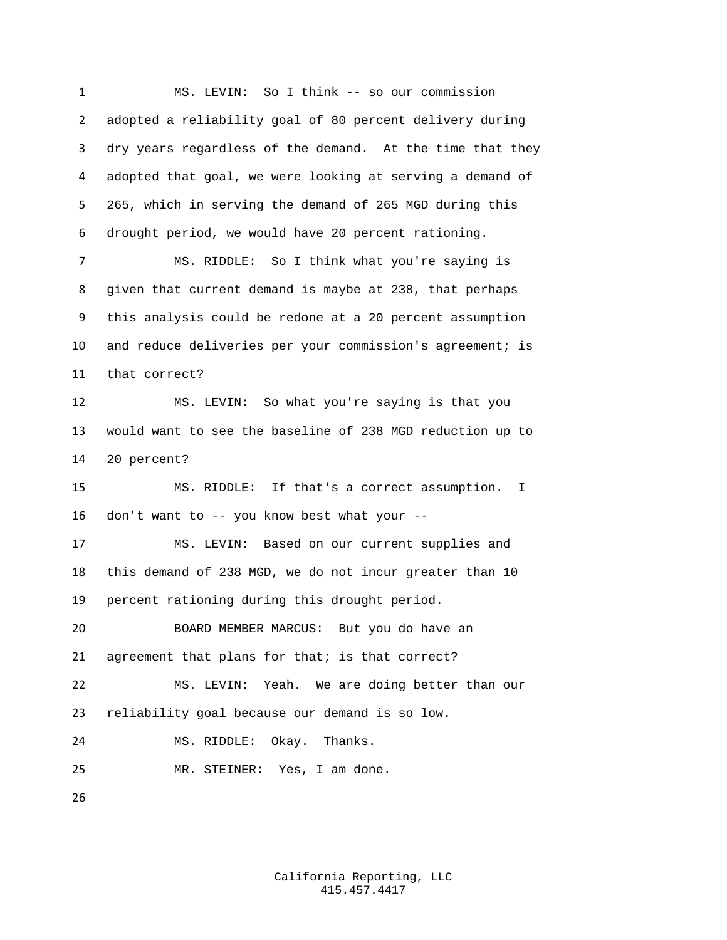MS. LEVIN: So I think -- so our commission adopted a reliability goal of 80 percent delivery during dry years regardless of the demand. At the time that they adopted that goal, we were looking at serving a demand of 265, which in serving the demand of 265 MGD during this drought period, we would have 20 percent rationing. MS. RIDDLE: So I think what you're saying is given that current demand is maybe at 238, that perhaps this analysis could be redone at a 20 percent assumption and reduce deliveries per your commission's agreement; is that correct? MS. LEVIN: So what you're saying is that you would want to see the baseline of 238 MGD reduction up to 20 percent? MS. RIDDLE: If that's a correct assumption. I don't want to -- you know best what your -- MS. LEVIN: Based on our current supplies and this demand of 238 MGD, we do not incur greater than 10 percent rationing during this drought period. BOARD MEMBER MARCUS: But you do have an 21 agreement that plans for that; is that correct? MS. LEVIN: Yeah. We are doing better than our reliability goal because our demand is so low. MS. RIDDLE: Okay. Thanks. MR. STEINER: Yes, I am done.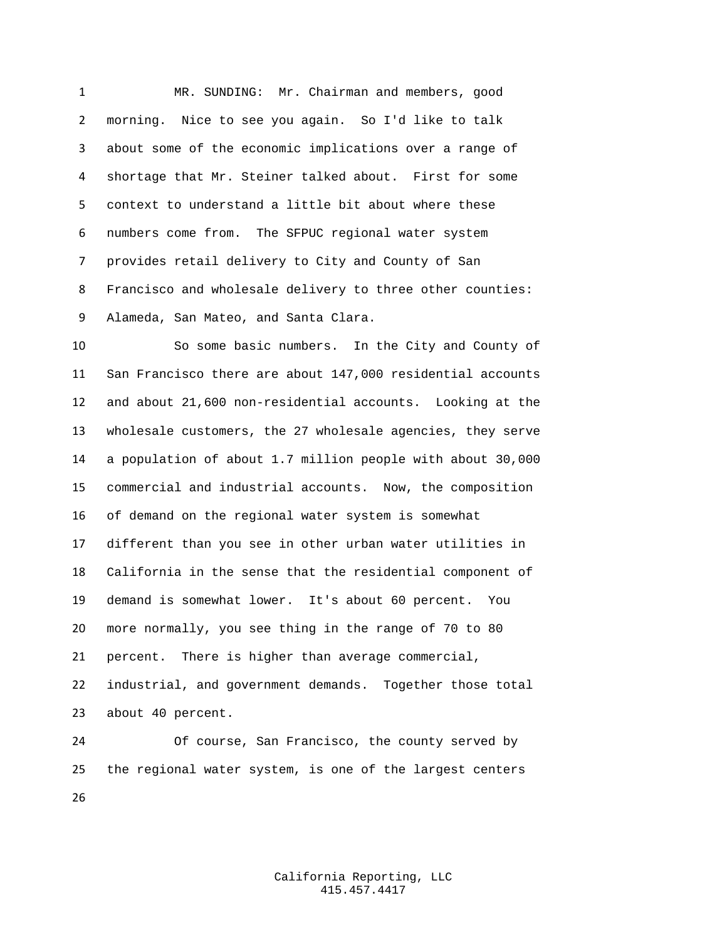MR. SUNDING: Mr. Chairman and members, good morning. Nice to see you again. So I'd like to talk about some of the economic implications over a range of shortage that Mr. Steiner talked about. First for some context to understand a little bit about where these numbers come from. The SFPUC regional water system provides retail delivery to City and County of San Francisco and wholesale delivery to three other counties: Alameda, San Mateo, and Santa Clara.

 So some basic numbers. In the City and County of San Francisco there are about 147,000 residential accounts and about 21,600 non-residential accounts. Looking at the wholesale customers, the 27 wholesale agencies, they serve a population of about 1.7 million people with about 30,000 commercial and industrial accounts. Now, the composition of demand on the regional water system is somewhat different than you see in other urban water utilities in California in the sense that the residential component of demand is somewhat lower. It's about 60 percent. You more normally, you see thing in the range of 70 to 80 percent. There is higher than average commercial, industrial, and government demands. Together those total about 40 percent.

 Of course, San Francisco, the county served by the regional water system, is one of the largest centers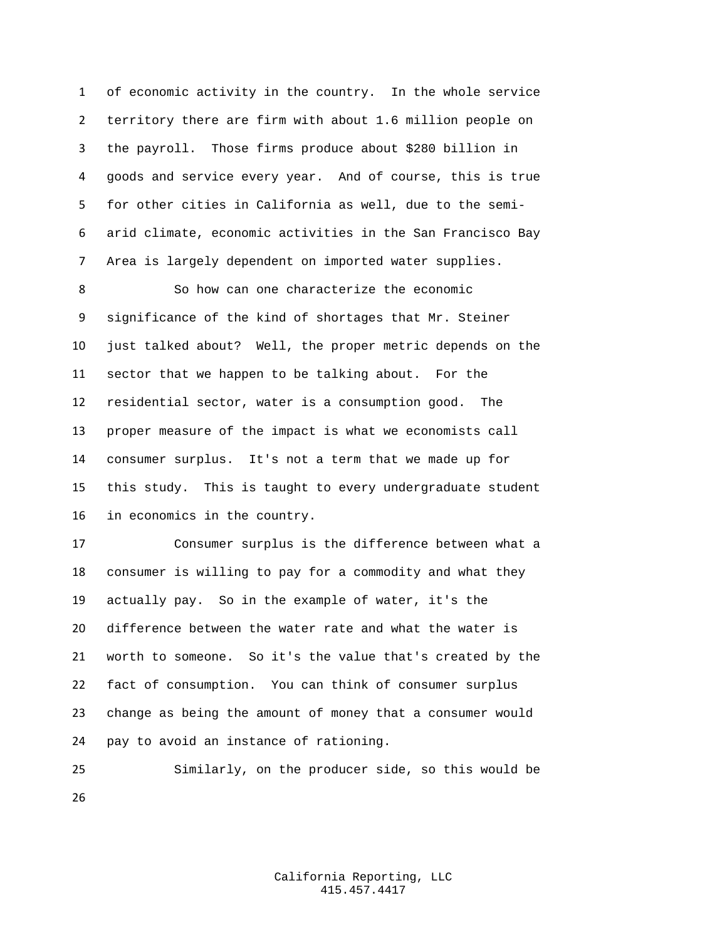of economic activity in the country. In the whole service territory there are firm with about 1.6 million people on the payroll. Those firms produce about \$280 billion in goods and service every year. And of course, this is true for other cities in California as well, due to the semi- arid climate, economic activities in the San Francisco Bay Area is largely dependent on imported water supplies.

8 So how can one characterize the economic significance of the kind of shortages that Mr. Steiner just talked about? Well, the proper metric depends on the sector that we happen to be talking about. For the residential sector, water is a consumption good. The proper measure of the impact is what we economists call consumer surplus. It's not a term that we made up for this study. This is taught to every undergraduate student in economics in the country.

 Consumer surplus is the difference between what a consumer is willing to pay for a commodity and what they actually pay. So in the example of water, it's the difference between the water rate and what the water is worth to someone. So it's the value that's created by the fact of consumption. You can think of consumer surplus change as being the amount of money that a consumer would pay to avoid an instance of rationing.

 Similarly, on the producer side, so this would be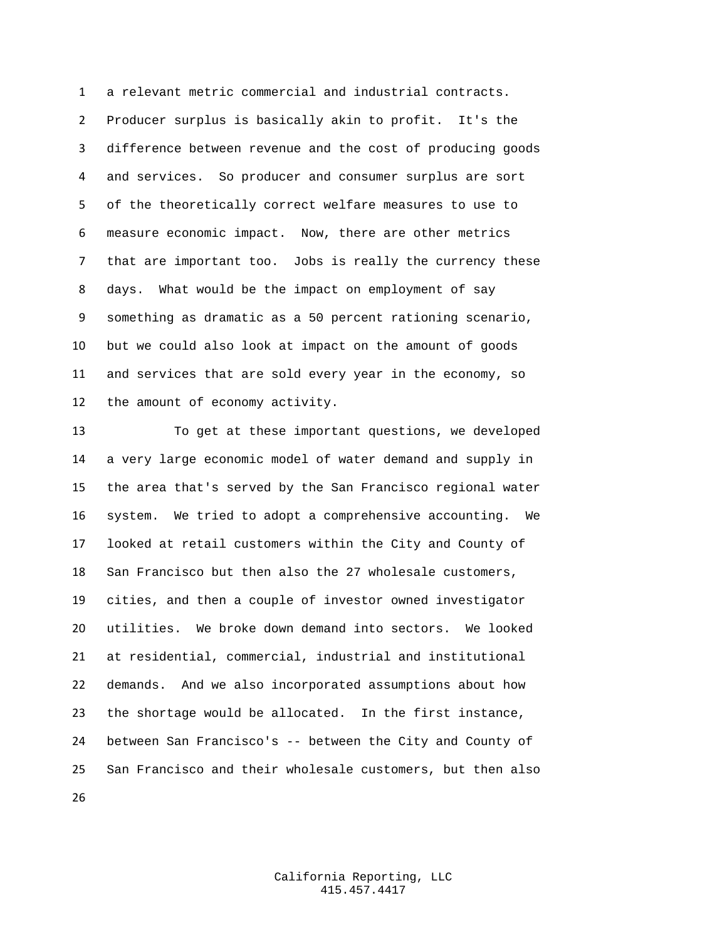a relevant metric commercial and industrial contracts. Producer surplus is basically akin to profit. It's the difference between revenue and the cost of producing goods and services. So producer and consumer surplus are sort of the theoretically correct welfare measures to use to measure economic impact. Now, there are other metrics that are important too. Jobs is really the currency these days. What would be the impact on employment of say something as dramatic as a 50 percent rationing scenario, but we could also look at impact on the amount of goods and services that are sold every year in the economy, so the amount of economy activity.

 To get at these important questions, we developed a very large economic model of water demand and supply in the area that's served by the San Francisco regional water system. We tried to adopt a comprehensive accounting. We looked at retail customers within the City and County of San Francisco but then also the 27 wholesale customers, cities, and then a couple of investor owned investigator utilities. We broke down demand into sectors. We looked at residential, commercial, industrial and institutional demands. And we also incorporated assumptions about how the shortage would be allocated. In the first instance, between San Francisco's -- between the City and County of San Francisco and their wholesale customers, but then also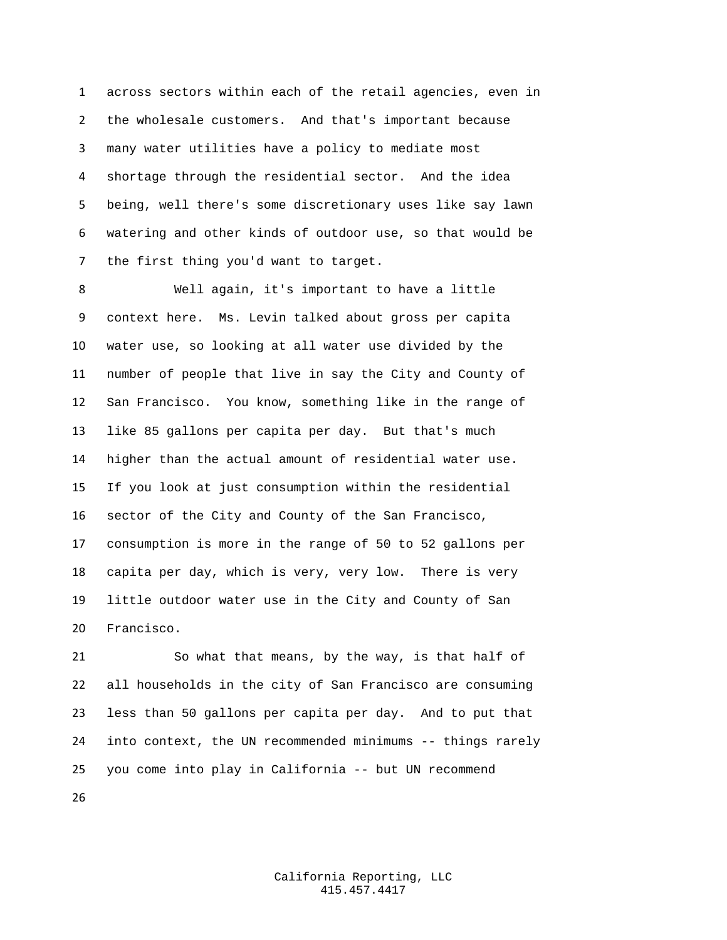across sectors within each of the retail agencies, even in the wholesale customers. And that's important because many water utilities have a policy to mediate most shortage through the residential sector. And the idea being, well there's some discretionary uses like say lawn watering and other kinds of outdoor use, so that would be the first thing you'd want to target.

 Well again, it's important to have a little context here. Ms. Levin talked about gross per capita water use, so looking at all water use divided by the number of people that live in say the City and County of San Francisco. You know, something like in the range of like 85 gallons per capita per day. But that's much higher than the actual amount of residential water use. If you look at just consumption within the residential sector of the City and County of the San Francisco, consumption is more in the range of 50 to 52 gallons per capita per day, which is very, very low. There is very little outdoor water use in the City and County of San Francisco.

 So what that means, by the way, is that half of all households in the city of San Francisco are consuming less than 50 gallons per capita per day. And to put that into context, the UN recommended minimums -- things rarely you come into play in California -- but UN recommend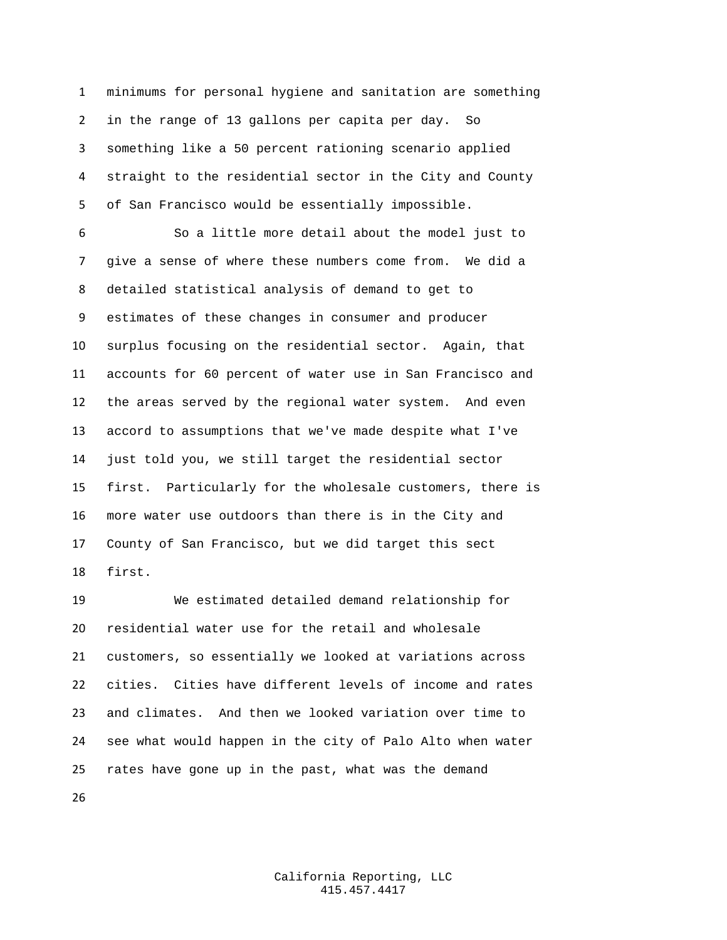minimums for personal hygiene and sanitation are something in the range of 13 gallons per capita per day. So something like a 50 percent rationing scenario applied straight to the residential sector in the City and County of San Francisco would be essentially impossible.

 So a little more detail about the model just to give a sense of where these numbers come from. We did a detailed statistical analysis of demand to get to estimates of these changes in consumer and producer surplus focusing on the residential sector. Again, that accounts for 60 percent of water use in San Francisco and the areas served by the regional water system. And even accord to assumptions that we've made despite what I've just told you, we still target the residential sector first. Particularly for the wholesale customers, there is more water use outdoors than there is in the City and County of San Francisco, but we did target this sect first.

 We estimated detailed demand relationship for residential water use for the retail and wholesale customers, so essentially we looked at variations across cities. Cities have different levels of income and rates and climates. And then we looked variation over time to see what would happen in the city of Palo Alto when water rates have gone up in the past, what was the demand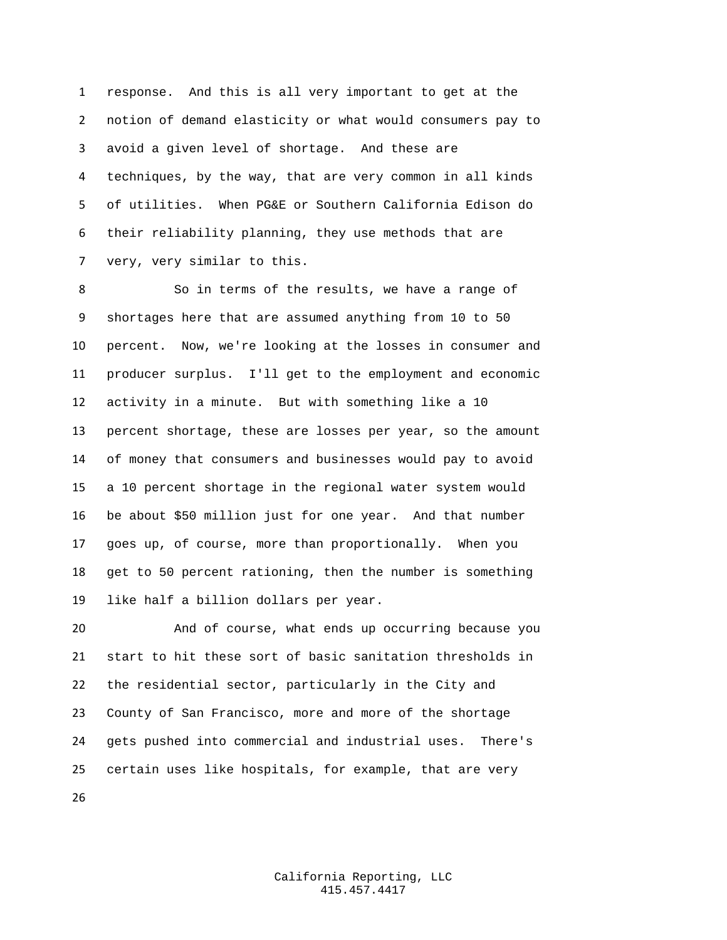response. And this is all very important to get at the notion of demand elasticity or what would consumers pay to avoid a given level of shortage. And these are techniques, by the way, that are very common in all kinds of utilities. When PG&E or Southern California Edison do their reliability planning, they use methods that are very, very similar to this.

 So in terms of the results, we have a range of shortages here that are assumed anything from 10 to 50 percent. Now, we're looking at the losses in consumer and producer surplus. I'll get to the employment and economic activity in a minute. But with something like a 10 percent shortage, these are losses per year, so the amount of money that consumers and businesses would pay to avoid a 10 percent shortage in the regional water system would be about \$50 million just for one year. And that number goes up, of course, more than proportionally. When you get to 50 percent rationing, then the number is something like half a billion dollars per year.

 And of course, what ends up occurring because you start to hit these sort of basic sanitation thresholds in the residential sector, particularly in the City and County of San Francisco, more and more of the shortage gets pushed into commercial and industrial uses. There's certain uses like hospitals, for example, that are very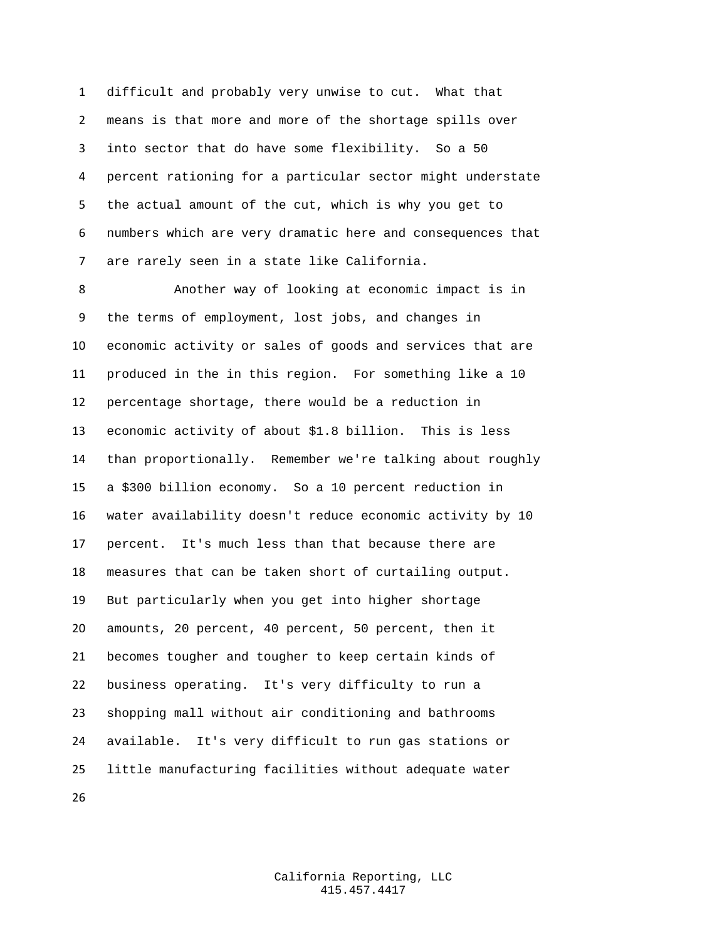difficult and probably very unwise to cut. What that means is that more and more of the shortage spills over into sector that do have some flexibility. So a 50 percent rationing for a particular sector might understate the actual amount of the cut, which is why you get to numbers which are very dramatic here and consequences that are rarely seen in a state like California.

 Another way of looking at economic impact is in the terms of employment, lost jobs, and changes in economic activity or sales of goods and services that are produced in the in this region. For something like a 10 percentage shortage, there would be a reduction in economic activity of about \$1.8 billion. This is less than proportionally. Remember we're talking about roughly a \$300 billion economy. So a 10 percent reduction in water availability doesn't reduce economic activity by 10 percent. It's much less than that because there are measures that can be taken short of curtailing output. But particularly when you get into higher shortage amounts, 20 percent, 40 percent, 50 percent, then it becomes tougher and tougher to keep certain kinds of business operating. It's very difficulty to run a shopping mall without air conditioning and bathrooms available. It's very difficult to run gas stations or little manufacturing facilities without adequate water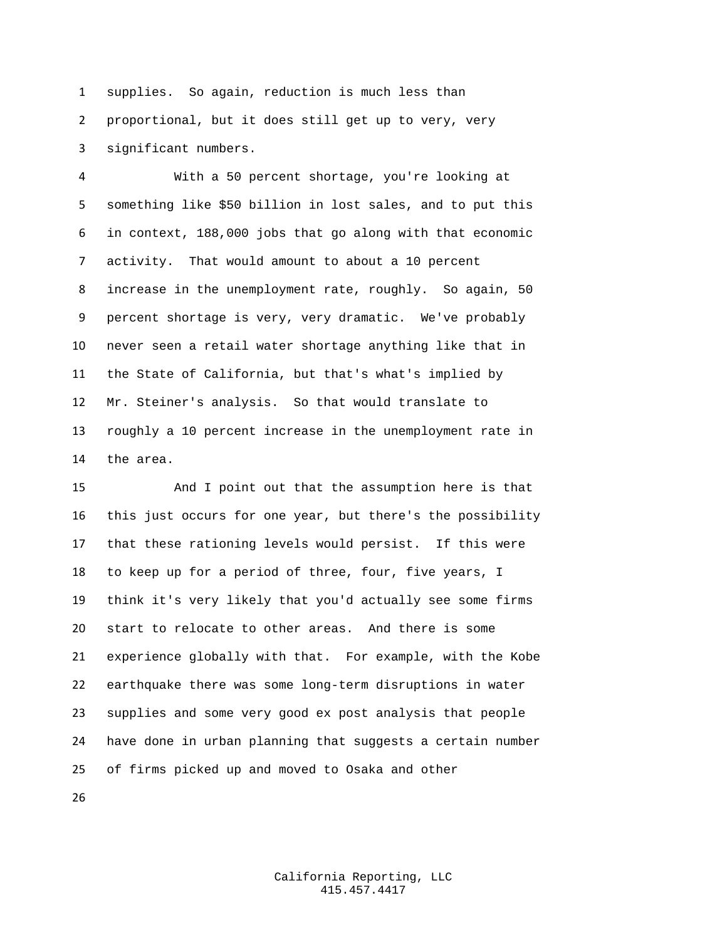supplies. So again, reduction is much less than proportional, but it does still get up to very, very significant numbers.

 With a 50 percent shortage, you're looking at something like \$50 billion in lost sales, and to put this in context, 188,000 jobs that go along with that economic activity. That would amount to about a 10 percent increase in the unemployment rate, roughly. So again, 50 percent shortage is very, very dramatic. We've probably never seen a retail water shortage anything like that in the State of California, but that's what's implied by Mr. Steiner's analysis. So that would translate to roughly a 10 percent increase in the unemployment rate in the area.

 And I point out that the assumption here is that this just occurs for one year, but there's the possibility that these rationing levels would persist. If this were to keep up for a period of three, four, five years, I think it's very likely that you'd actually see some firms start to relocate to other areas. And there is some experience globally with that. For example, with the Kobe earthquake there was some long-term disruptions in water supplies and some very good ex post analysis that people have done in urban planning that suggests a certain number of firms picked up and moved to Osaka and other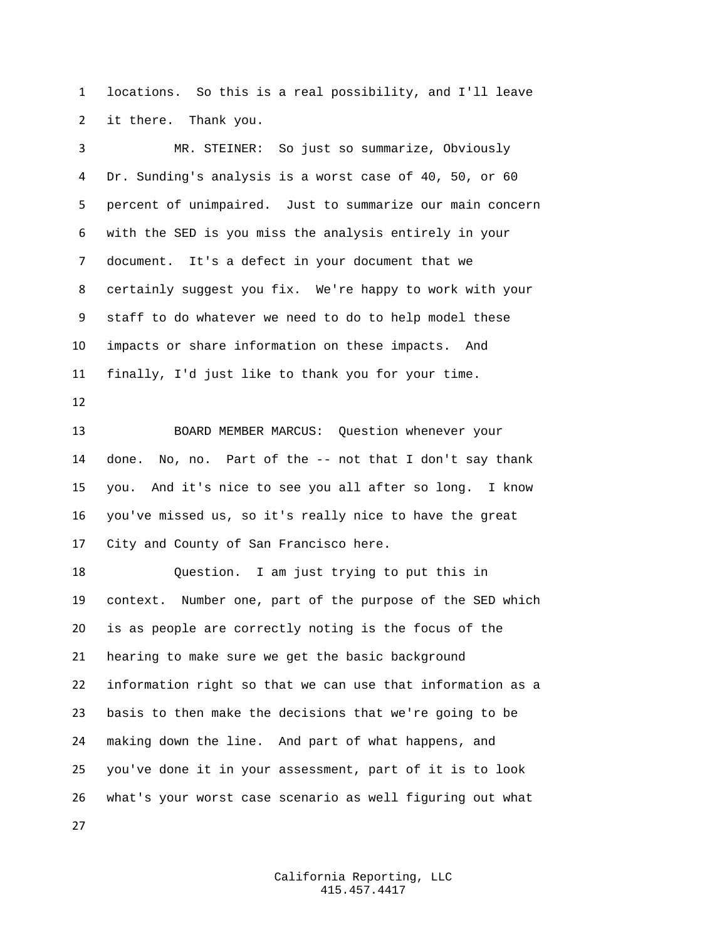locations. So this is a real possibility, and I'll leave it there. Thank you.

 MR. STEINER: So just so summarize, Obviously Dr. Sunding's analysis is a worst case of 40, 50, or 60 percent of unimpaired. Just to summarize our main concern with the SED is you miss the analysis entirely in your document. It's a defect in your document that we certainly suggest you fix. We're happy to work with your staff to do whatever we need to do to help model these impacts or share information on these impacts. And finally, I'd just like to thank you for your time. BOARD MEMBER MARCUS: Question whenever your done. No, no. Part of the -- not that I don't say thank you. And it's nice to see you all after so long. I know you've missed us, so it's really nice to have the great City and County of San Francisco here. Question. I am just trying to put this in context. Number one, part of the purpose of the SED which is as people are correctly noting is the focus of the hearing to make sure we get the basic background information right so that we can use that information as a basis to then make the decisions that we're going to be making down the line. And part of what happens, and you've done it in your assessment, part of it is to look what's your worst case scenario as well figuring out what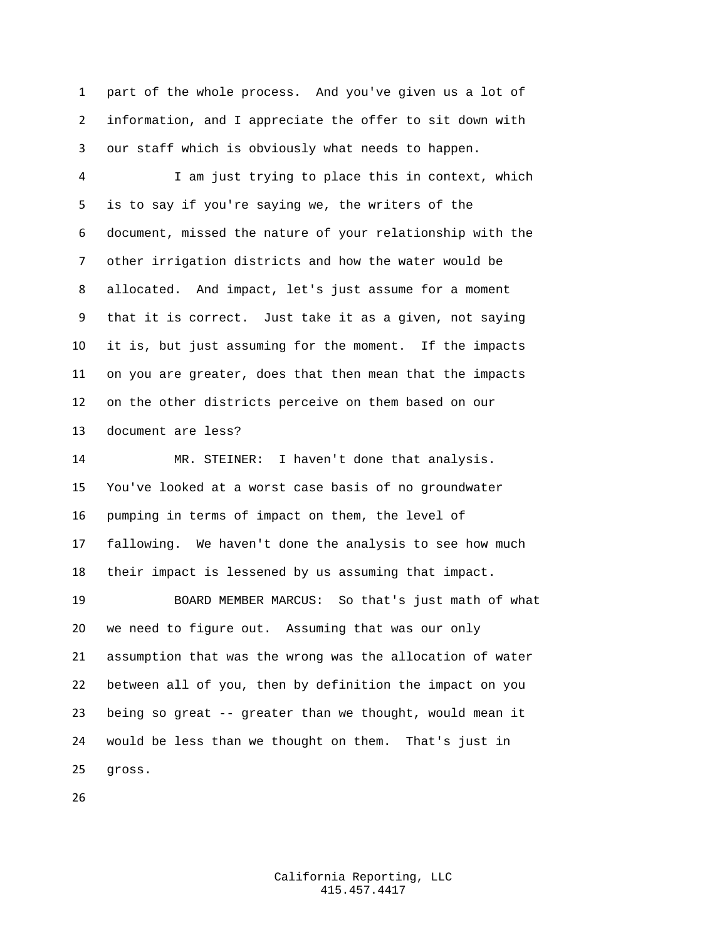part of the whole process. And you've given us a lot of information, and I appreciate the offer to sit down with our staff which is obviously what needs to happen.

 I am just trying to place this in context, which is to say if you're saying we, the writers of the document, missed the nature of your relationship with the other irrigation districts and how the water would be allocated. And impact, let's just assume for a moment that it is correct. Just take it as a given, not saying it is, but just assuming for the moment. If the impacts on you are greater, does that then mean that the impacts on the other districts perceive on them based on our document are less?

 MR. STEINER: I haven't done that analysis. You've looked at a worst case basis of no groundwater pumping in terms of impact on them, the level of fallowing. We haven't done the analysis to see how much their impact is lessened by us assuming that impact.

 BOARD MEMBER MARCUS: So that's just math of what we need to figure out. Assuming that was our only assumption that was the wrong was the allocation of water between all of you, then by definition the impact on you being so great -- greater than we thought, would mean it would be less than we thought on them. That's just in gross.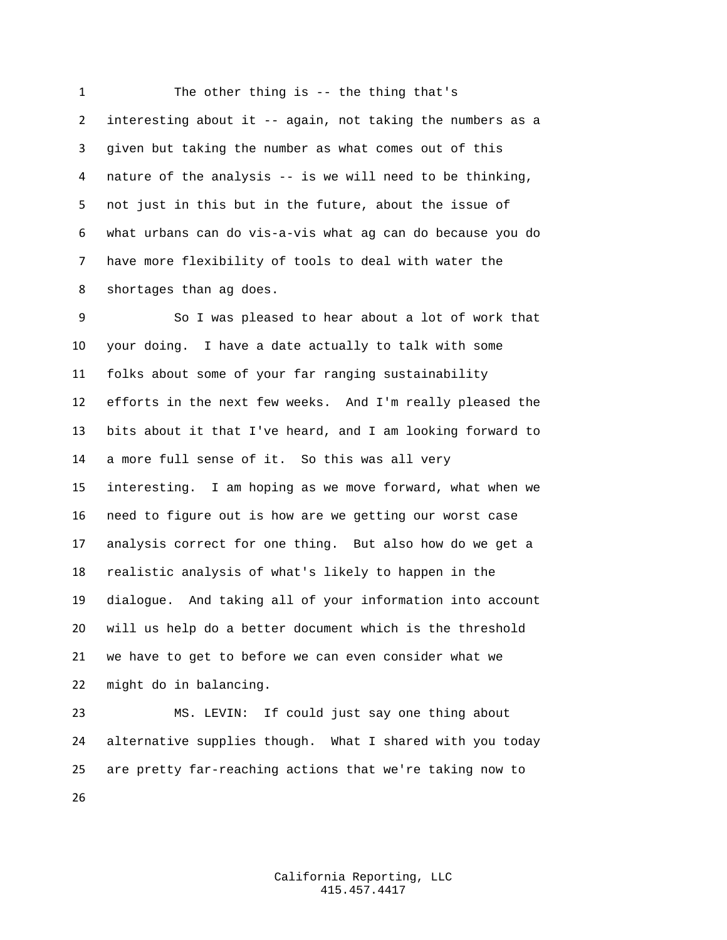The other thing is -- the thing that's interesting about it -- again, not taking the numbers as a given but taking the number as what comes out of this nature of the analysis -- is we will need to be thinking, not just in this but in the future, about the issue of what urbans can do vis-a-vis what ag can do because you do have more flexibility of tools to deal with water the shortages than ag does.

 So I was pleased to hear about a lot of work that your doing. I have a date actually to talk with some folks about some of your far ranging sustainability efforts in the next few weeks. And I'm really pleased the bits about it that I've heard, and I am looking forward to a more full sense of it. So this was all very interesting. I am hoping as we move forward, what when we need to figure out is how are we getting our worst case analysis correct for one thing. But also how do we get a realistic analysis of what's likely to happen in the dialogue. And taking all of your information into account will us help do a better document which is the threshold we have to get to before we can even consider what we might do in balancing.

 MS. LEVIN: If could just say one thing about alternative supplies though. What I shared with you today are pretty far-reaching actions that we're taking now to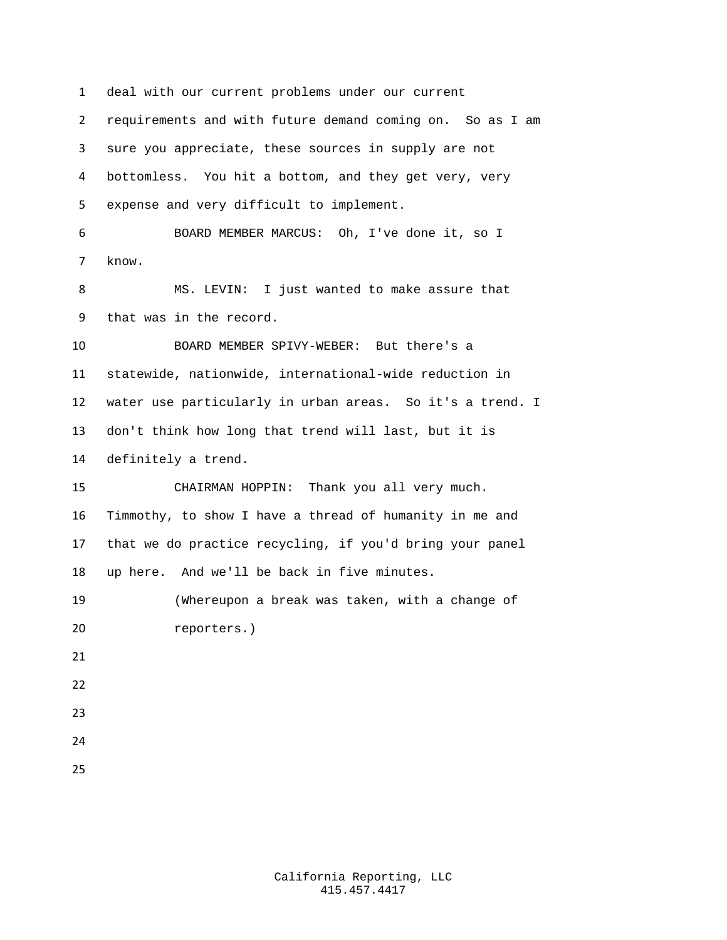deal with our current problems under our current requirements and with future demand coming on. So as I am sure you appreciate, these sources in supply are not bottomless. You hit a bottom, and they get very, very expense and very difficult to implement. BOARD MEMBER MARCUS: Oh, I've done it, so I know. MS. LEVIN: I just wanted to make assure that that was in the record. BOARD MEMBER SPIVY-WEBER: But there's a statewide, nationwide, international-wide reduction in water use particularly in urban areas. So it's a trend. I don't think how long that trend will last, but it is definitely a trend. CHAIRMAN HOPPIN: Thank you all very much. Timmothy, to show I have a thread of humanity in me and that we do practice recycling, if you'd bring your panel up here. And we'll be back in five minutes. (Whereupon a break was taken, with a change of reporters.)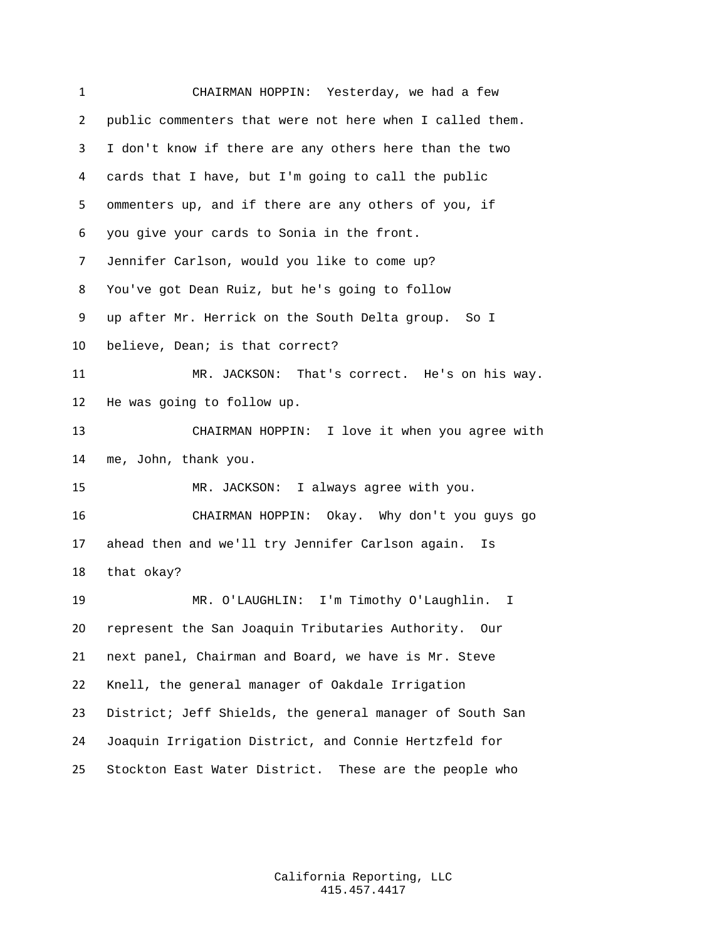CHAIRMAN HOPPIN: Yesterday, we had a few public commenters that were not here when I called them. I don't know if there are any others here than the two cards that I have, but I'm going to call the public ommenters up, and if there are any others of you, if you give your cards to Sonia in the front. Jennifer Carlson, would you like to come up? You've got Dean Ruiz, but he's going to follow up after Mr. Herrick on the South Delta group. So I believe, Dean; is that correct? MR. JACKSON: That's correct. He's on his way. He was going to follow up. CHAIRMAN HOPPIN: I love it when you agree with me, John, thank you. MR. JACKSON: I always agree with you. CHAIRMAN HOPPIN: Okay. Why don't you guys go ahead then and we'll try Jennifer Carlson again. Is that okay? MR. O'LAUGHLIN: I'm Timothy O'Laughlin. I represent the San Joaquin Tributaries Authority. Our next panel, Chairman and Board, we have is Mr. Steve Knell, the general manager of Oakdale Irrigation District; Jeff Shields, the general manager of South San Joaquin Irrigation District, and Connie Hertzfeld for Stockton East Water District. These are the people who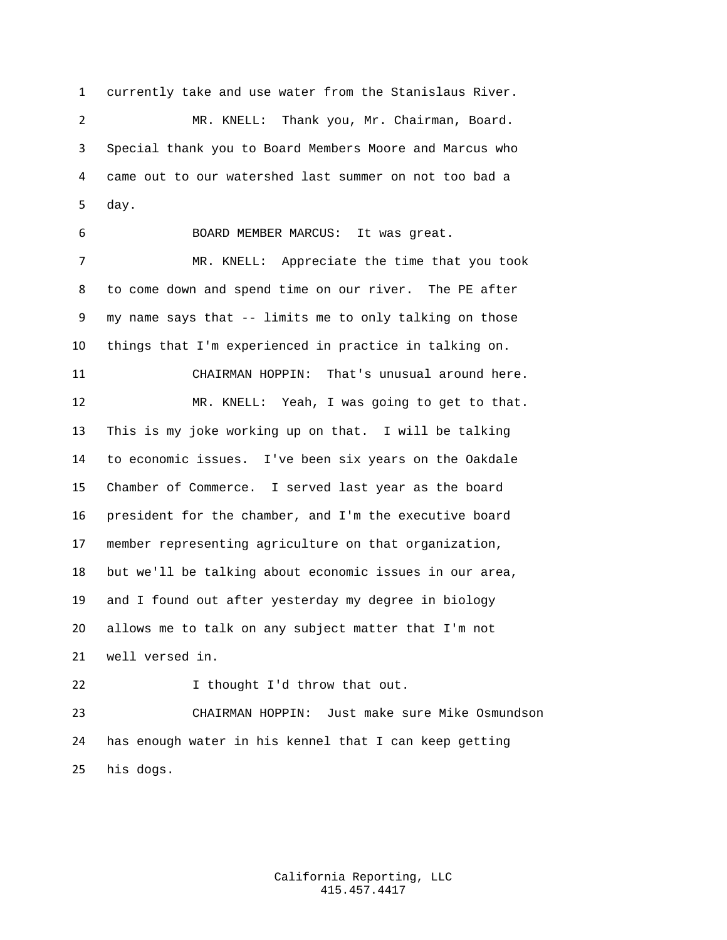currently take and use water from the Stanislaus River. MR. KNELL: Thank you, Mr. Chairman, Board. Special thank you to Board Members Moore and Marcus who came out to our watershed last summer on not too bad a day.

 BOARD MEMBER MARCUS: It was great. MR. KNELL: Appreciate the time that you took to come down and spend time on our river. The PE after my name says that -- limits me to only talking on those things that I'm experienced in practice in talking on.

CHAIRMAN HOPPIN: That's unusual around here.

 MR. KNELL: Yeah, I was going to get to that. This is my joke working up on that. I will be talking to economic issues. I've been six years on the Oakdale Chamber of Commerce. I served last year as the board president for the chamber, and I'm the executive board member representing agriculture on that organization, but we'll be talking about economic issues in our area, and I found out after yesterday my degree in biology allows me to talk on any subject matter that I'm not well versed in.

22 I thought I'd throw that out.

 CHAIRMAN HOPPIN: Just make sure Mike Osmundson has enough water in his kennel that I can keep getting his dogs.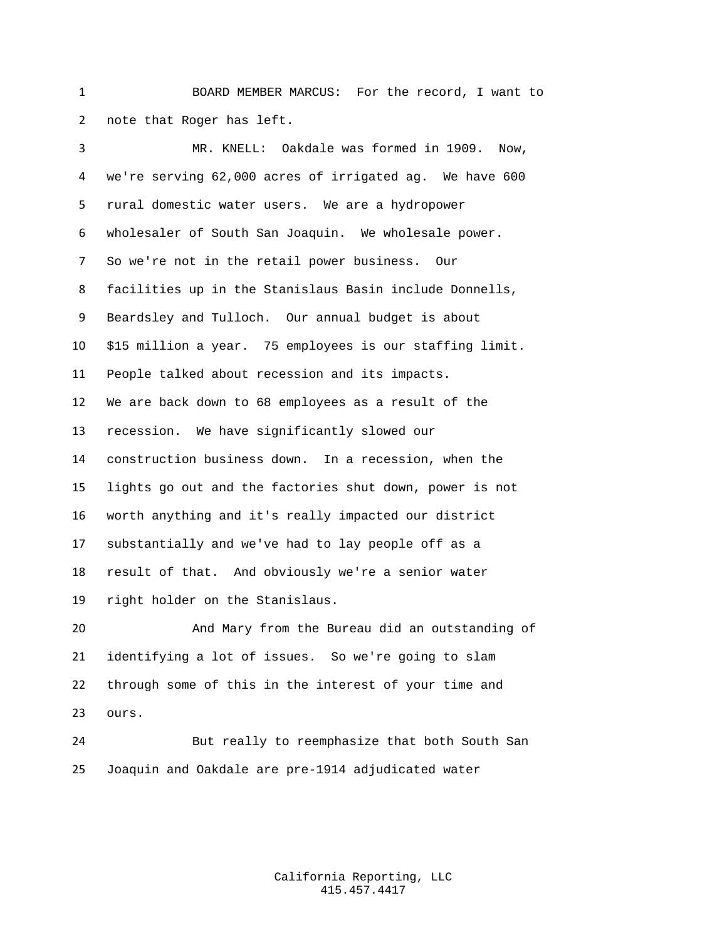BOARD MEMBER MARCUS: For the record, I want to note that Roger has left.

 MR. KNELL: Oakdale was formed in 1909. Now, we're serving 62,000 acres of irrigated ag. We have 600 rural domestic water users. We are a hydropower wholesaler of South San Joaquin. We wholesale power. So we're not in the retail power business. Our facilities up in the Stanislaus Basin include Donnells, Beardsley and Tulloch. Our annual budget is about \$15 million a year. 75 employees is our staffing limit. People talked about recession and its impacts. We are back down to 68 employees as a result of the recession. We have significantly slowed our construction business down. In a recession, when the lights go out and the factories shut down, power is not worth anything and it's really impacted our district substantially and we've had to lay people off as a result of that. And obviously we're a senior water right holder on the Stanislaus.

 And Mary from the Bureau did an outstanding of identifying a lot of issues. So we're going to slam through some of this in the interest of your time and ours.

 But really to reemphasize that both South San Joaquin and Oakdale are pre-1914 adjudicated water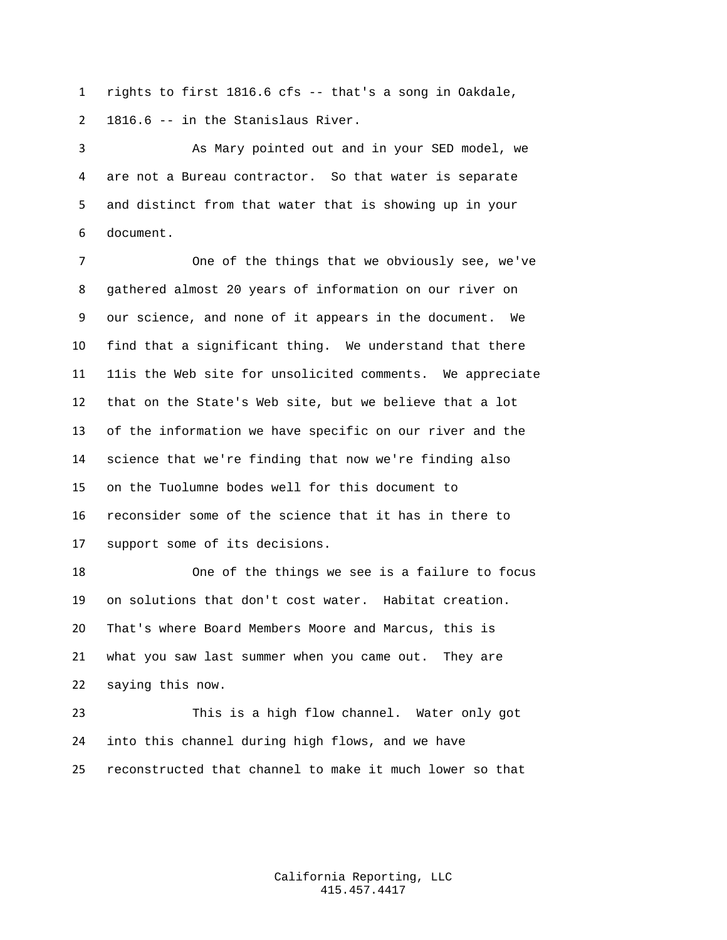rights to first 1816.6 cfs -- that's a song in Oakdale, 1816.6 -- in the Stanislaus River.

 As Mary pointed out and in your SED model, we are not a Bureau contractor. So that water is separate and distinct from that water that is showing up in your document.

 One of the things that we obviously see, we've gathered almost 20 years of information on our river on our science, and none of it appears in the document. We find that a significant thing. We understand that there 11is the Web site for unsolicited comments. We appreciate that on the State's Web site, but we believe that a lot of the information we have specific on our river and the science that we're finding that now we're finding also on the Tuolumne bodes well for this document to reconsider some of the science that it has in there to support some of its decisions.

 One of the things we see is a failure to focus on solutions that don't cost water. Habitat creation. That's where Board Members Moore and Marcus, this is what you saw last summer when you came out. They are saying this now.

 This is a high flow channel. Water only got into this channel during high flows, and we have reconstructed that channel to make it much lower so that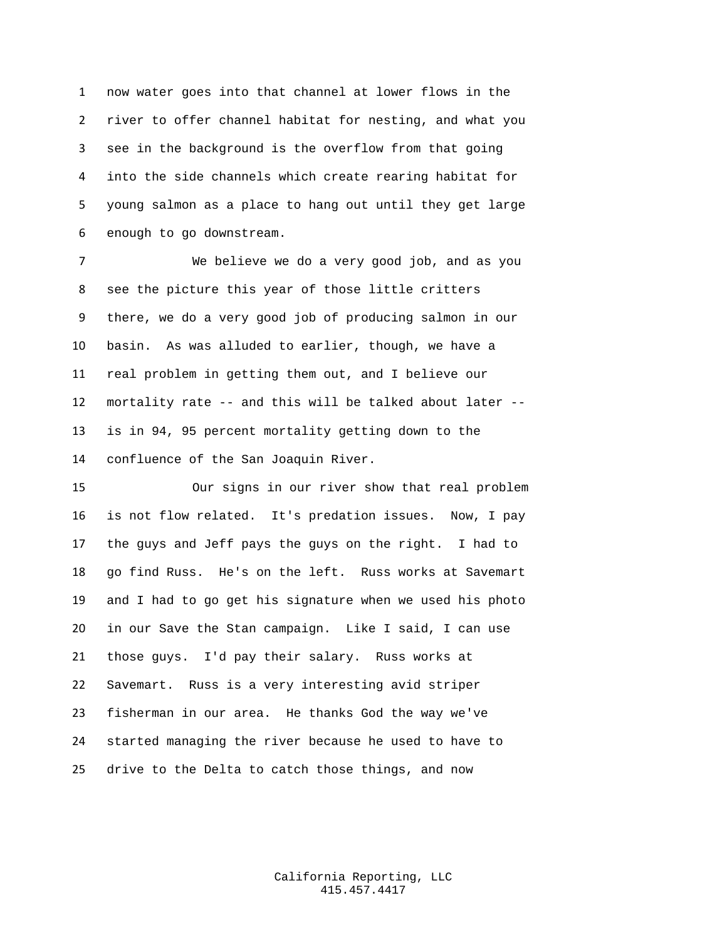now water goes into that channel at lower flows in the river to offer channel habitat for nesting, and what you see in the background is the overflow from that going into the side channels which create rearing habitat for young salmon as a place to hang out until they get large enough to go downstream.

 We believe we do a very good job, and as you see the picture this year of those little critters there, we do a very good job of producing salmon in our basin. As was alluded to earlier, though, we have a real problem in getting them out, and I believe our mortality rate -- and this will be talked about later -- is in 94, 95 percent mortality getting down to the confluence of the San Joaquin River.

 Our signs in our river show that real problem is not flow related. It's predation issues. Now, I pay the guys and Jeff pays the guys on the right. I had to go find Russ. He's on the left. Russ works at Savemart and I had to go get his signature when we used his photo in our Save the Stan campaign. Like I said, I can use those guys. I'd pay their salary. Russ works at Savemart. Russ is a very interesting avid striper fisherman in our area. He thanks God the way we've started managing the river because he used to have to drive to the Delta to catch those things, and now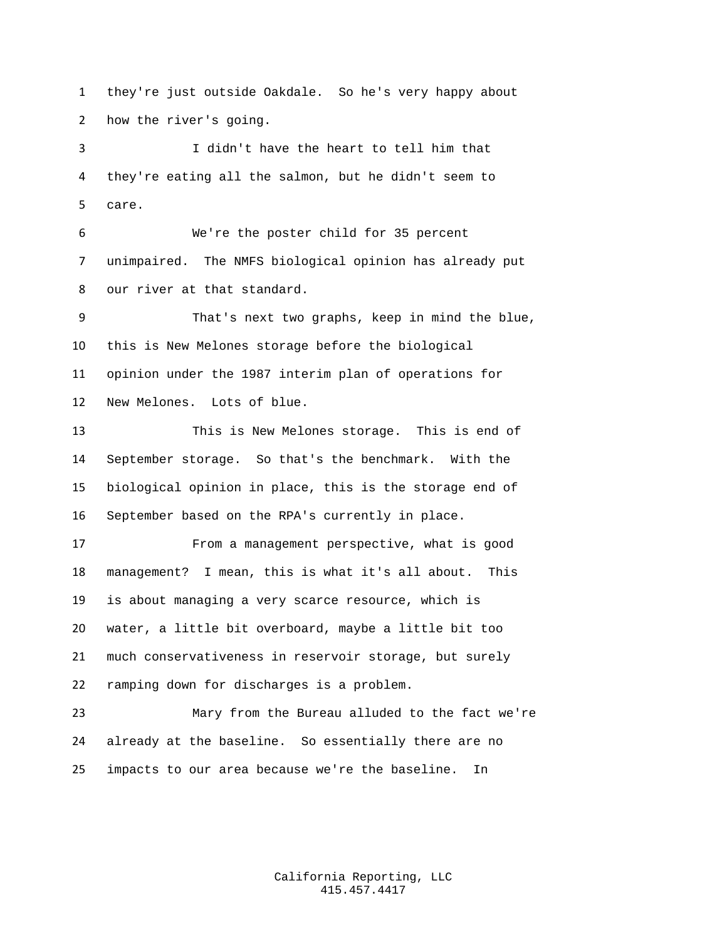they're just outside Oakdale. So he's very happy about how the river's going.

 I didn't have the heart to tell him that they're eating all the salmon, but he didn't seem to care.

 We're the poster child for 35 percent unimpaired. The NMFS biological opinion has already put our river at that standard.

 That's next two graphs, keep in mind the blue, this is New Melones storage before the biological opinion under the 1987 interim plan of operations for New Melones. Lots of blue.

 This is New Melones storage. This is end of September storage. So that's the benchmark. With the biological opinion in place, this is the storage end of September based on the RPA's currently in place.

 From a management perspective, what is good management? I mean, this is what it's all about. This is about managing a very scarce resource, which is water, a little bit overboard, maybe a little bit too much conservativeness in reservoir storage, but surely ramping down for discharges is a problem.

 Mary from the Bureau alluded to the fact we're already at the baseline. So essentially there are no impacts to our area because we're the baseline. In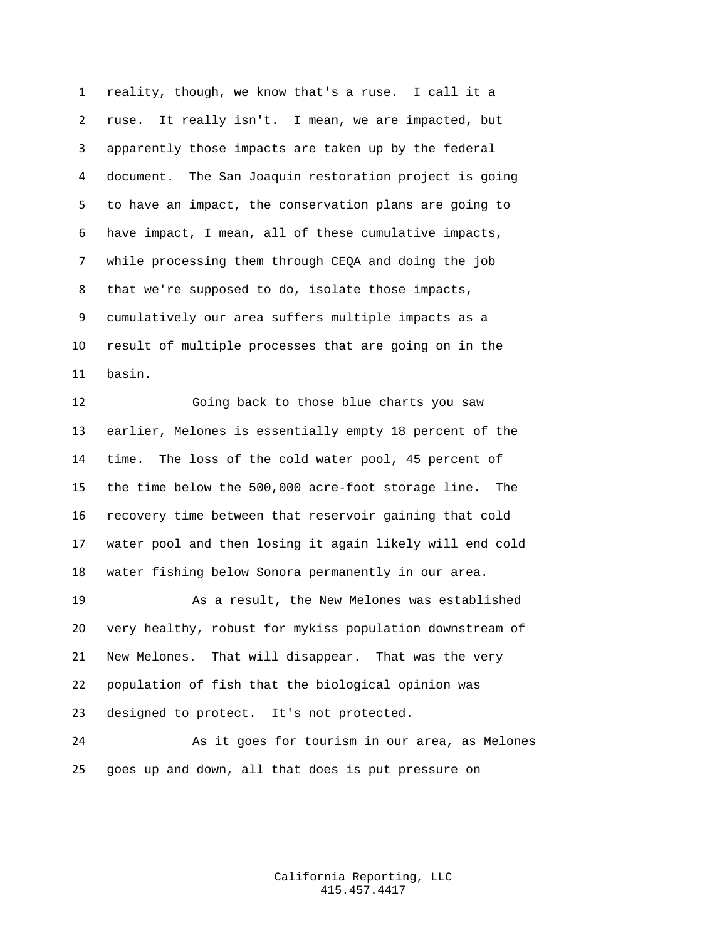reality, though, we know that's a ruse. I call it a ruse. It really isn't. I mean, we are impacted, but apparently those impacts are taken up by the federal document. The San Joaquin restoration project is going to have an impact, the conservation plans are going to have impact, I mean, all of these cumulative impacts, while processing them through CEQA and doing the job that we're supposed to do, isolate those impacts, cumulatively our area suffers multiple impacts as a result of multiple processes that are going on in the basin.

 Going back to those blue charts you saw earlier, Melones is essentially empty 18 percent of the time. The loss of the cold water pool, 45 percent of the time below the 500,000 acre-foot storage line. The recovery time between that reservoir gaining that cold water pool and then losing it again likely will end cold water fishing below Sonora permanently in our area.

 As a result, the New Melones was established very healthy, robust for mykiss population downstream of New Melones. That will disappear. That was the very population of fish that the biological opinion was designed to protect. It's not protected.

 As it goes for tourism in our area, as Melones goes up and down, all that does is put pressure on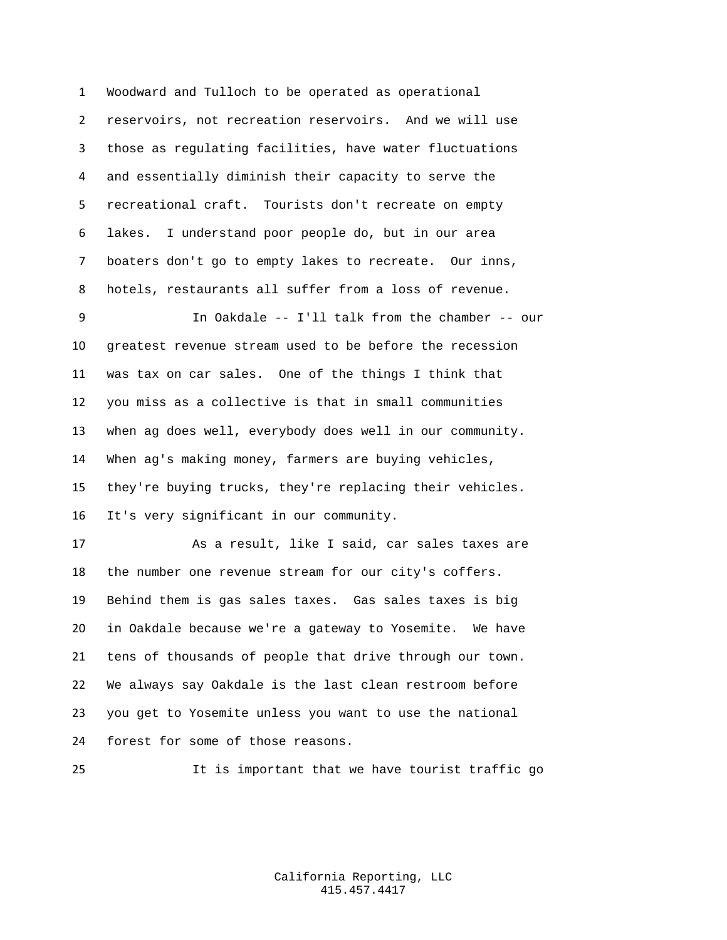Woodward and Tulloch to be operated as operational reservoirs, not recreation reservoirs. And we will use those as regulating facilities, have water fluctuations and essentially diminish their capacity to serve the recreational craft. Tourists don't recreate on empty lakes. I understand poor people do, but in our area boaters don't go to empty lakes to recreate. Our inns, hotels, restaurants all suffer from a loss of revenue.

 In Oakdale -- I'll talk from the chamber -- our greatest revenue stream used to be before the recession was tax on car sales. One of the things I think that you miss as a collective is that in small communities when ag does well, everybody does well in our community. When ag's making money, farmers are buying vehicles, they're buying trucks, they're replacing their vehicles. It's very significant in our community.

 As a result, like I said, car sales taxes are the number one revenue stream for our city's coffers. Behind them is gas sales taxes. Gas sales taxes is big in Oakdale because we're a gateway to Yosemite. We have tens of thousands of people that drive through our town. We always say Oakdale is the last clean restroom before you get to Yosemite unless you want to use the national forest for some of those reasons.

It is important that we have tourist traffic go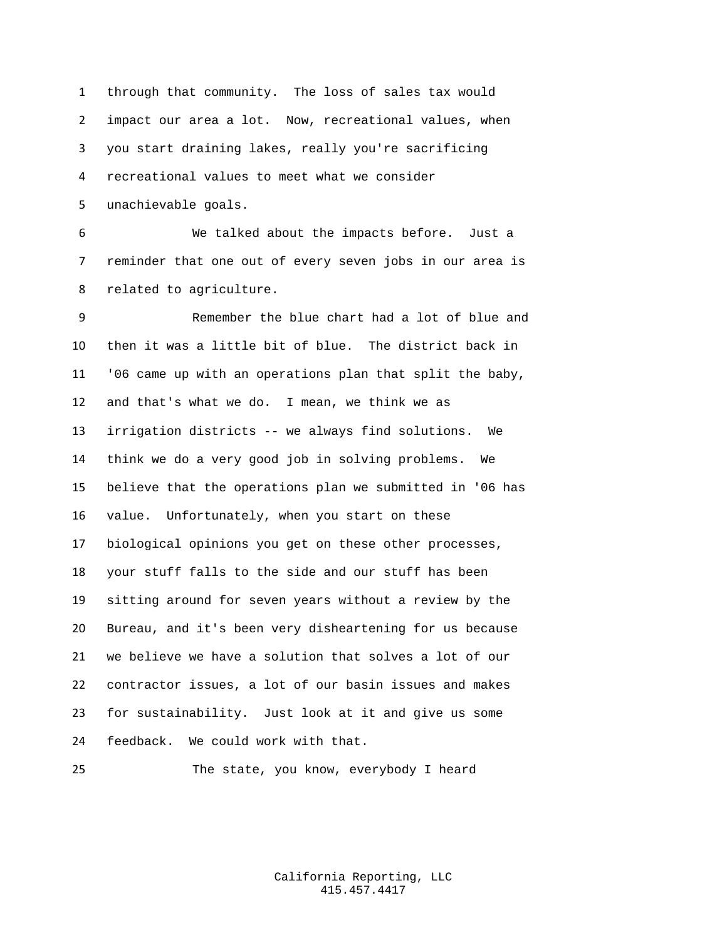through that community. The loss of sales tax would impact our area a lot. Now, recreational values, when you start draining lakes, really you're sacrificing recreational values to meet what we consider unachievable goals.

 We talked about the impacts before. Just a reminder that one out of every seven jobs in our area is related to agriculture.

 Remember the blue chart had a lot of blue and then it was a little bit of blue. The district back in '06 came up with an operations plan that split the baby, and that's what we do. I mean, we think we as irrigation districts -- we always find solutions. We think we do a very good job in solving problems. We believe that the operations plan we submitted in '06 has value. Unfortunately, when you start on these biological opinions you get on these other processes, your stuff falls to the side and our stuff has been sitting around for seven years without a review by the Bureau, and it's been very disheartening for us because we believe we have a solution that solves a lot of our contractor issues, a lot of our basin issues and makes for sustainability. Just look at it and give us some feedback. We could work with that.

The state, you know, everybody I heard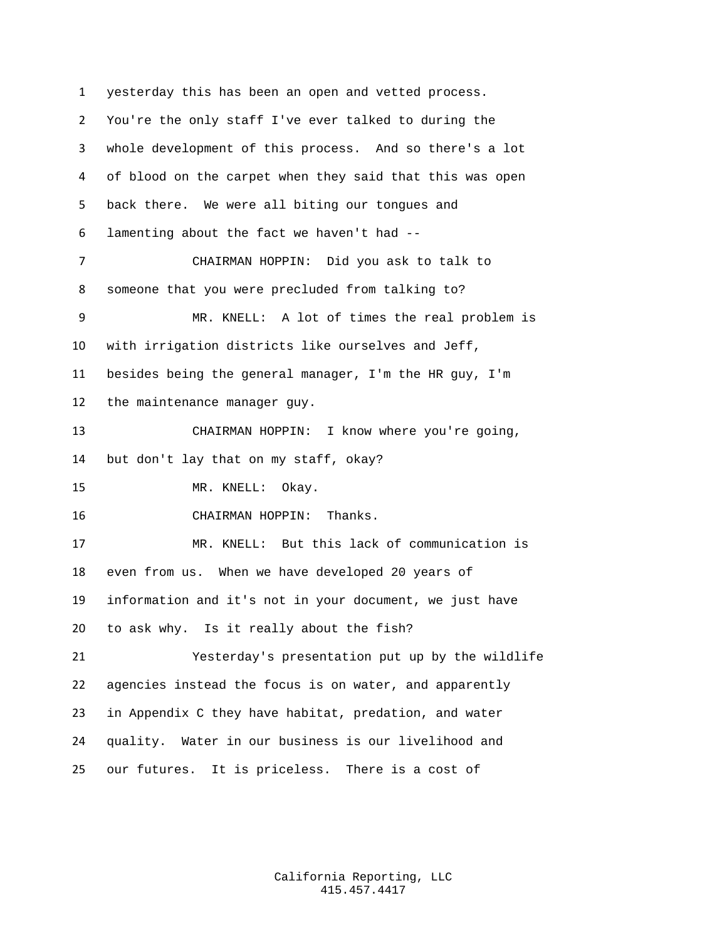yesterday this has been an open and vetted process. You're the only staff I've ever talked to during the whole development of this process. And so there's a lot of blood on the carpet when they said that this was open back there. We were all biting our tongues and lamenting about the fact we haven't had -- CHAIRMAN HOPPIN: Did you ask to talk to someone that you were precluded from talking to? MR. KNELL: A lot of times the real problem is with irrigation districts like ourselves and Jeff, besides being the general manager, I'm the HR guy, I'm the maintenance manager guy. CHAIRMAN HOPPIN: I know where you're going, but don't lay that on my staff, okay? MR. KNELL: Okay. CHAIRMAN HOPPIN: Thanks. MR. KNELL: But this lack of communication is even from us. When we have developed 20 years of information and it's not in your document, we just have to ask why. Is it really about the fish? Yesterday's presentation put up by the wildlife agencies instead the focus is on water, and apparently in Appendix C they have habitat, predation, and water quality. Water in our business is our livelihood and our futures. It is priceless. There is a cost of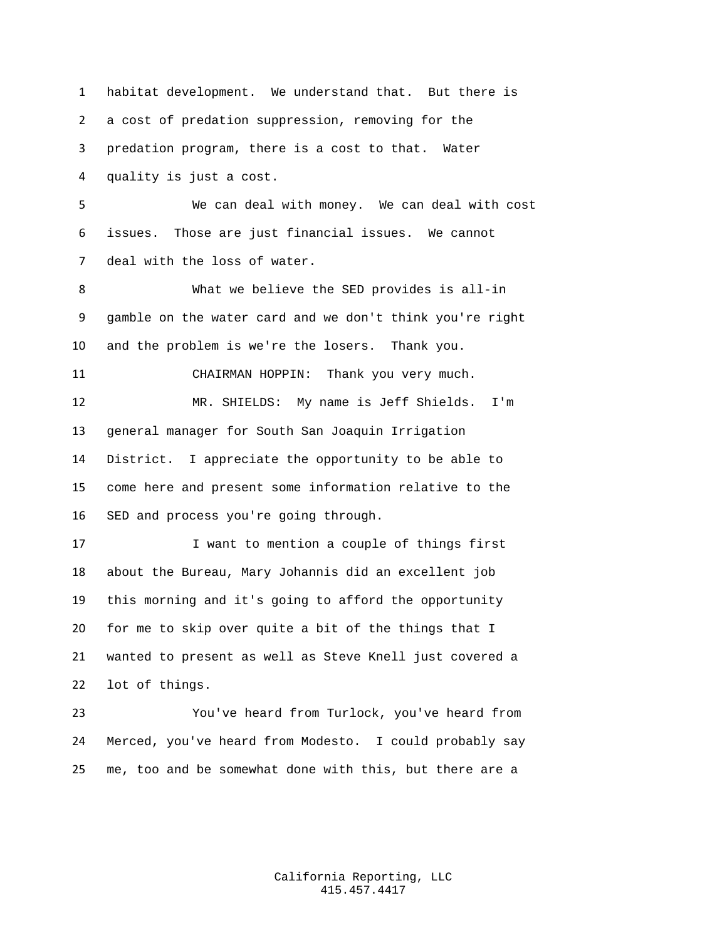habitat development. We understand that. But there is a cost of predation suppression, removing for the predation program, there is a cost to that. Water quality is just a cost. We can deal with money. We can deal with cost issues. Those are just financial issues. We cannot deal with the loss of water. What we believe the SED provides is all-in gamble on the water card and we don't think you're right and the problem is we're the losers. Thank you. CHAIRMAN HOPPIN: Thank you very much. MR. SHIELDS: My name is Jeff Shields. I'm general manager for South San Joaquin Irrigation District. I appreciate the opportunity to be able to come here and present some information relative to the SED and process you're going through. 17 I want to mention a couple of things first about the Bureau, Mary Johannis did an excellent job this morning and it's going to afford the opportunity for me to skip over quite a bit of the things that I wanted to present as well as Steve Knell just covered a

lot of things.

 You've heard from Turlock, you've heard from Merced, you've heard from Modesto. I could probably say me, too and be somewhat done with this, but there are a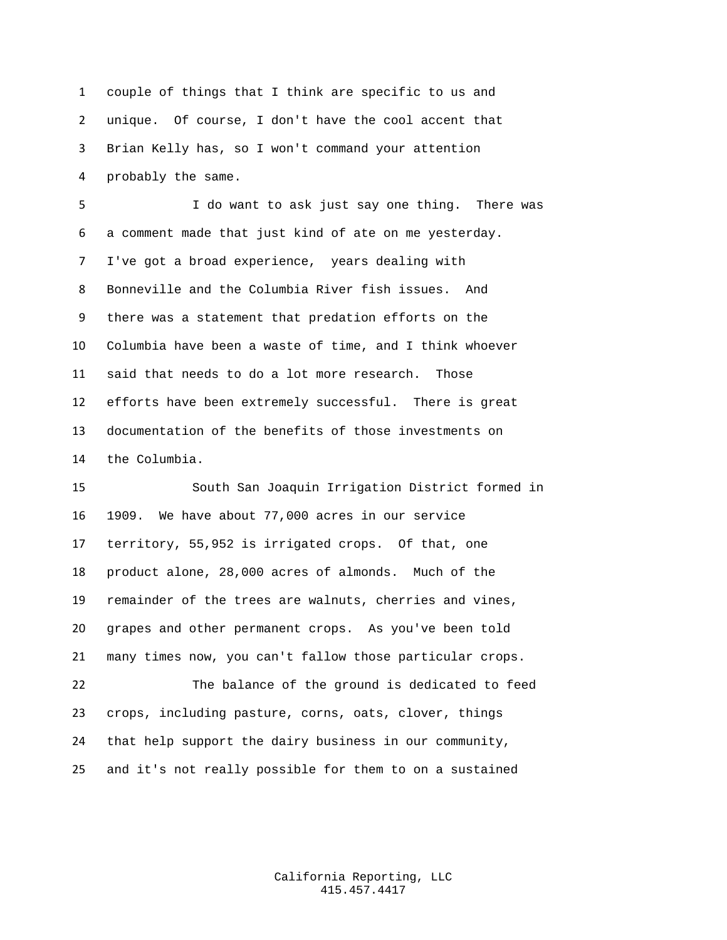couple of things that I think are specific to us and unique. Of course, I don't have the cool accent that Brian Kelly has, so I won't command your attention probably the same.

 I do want to ask just say one thing. There was a comment made that just kind of ate on me yesterday. I've got a broad experience, years dealing with Bonneville and the Columbia River fish issues. And there was a statement that predation efforts on the Columbia have been a waste of time, and I think whoever said that needs to do a lot more research. Those efforts have been extremely successful. There is great documentation of the benefits of those investments on the Columbia.

 South San Joaquin Irrigation District formed in 1909. We have about 77,000 acres in our service territory, 55,952 is irrigated crops. Of that, one product alone, 28,000 acres of almonds. Much of the remainder of the trees are walnuts, cherries and vines, grapes and other permanent crops. As you've been told many times now, you can't fallow those particular crops. The balance of the ground is dedicated to feed crops, including pasture, corns, oats, clover, things that help support the dairy business in our community, and it's not really possible for them to on a sustained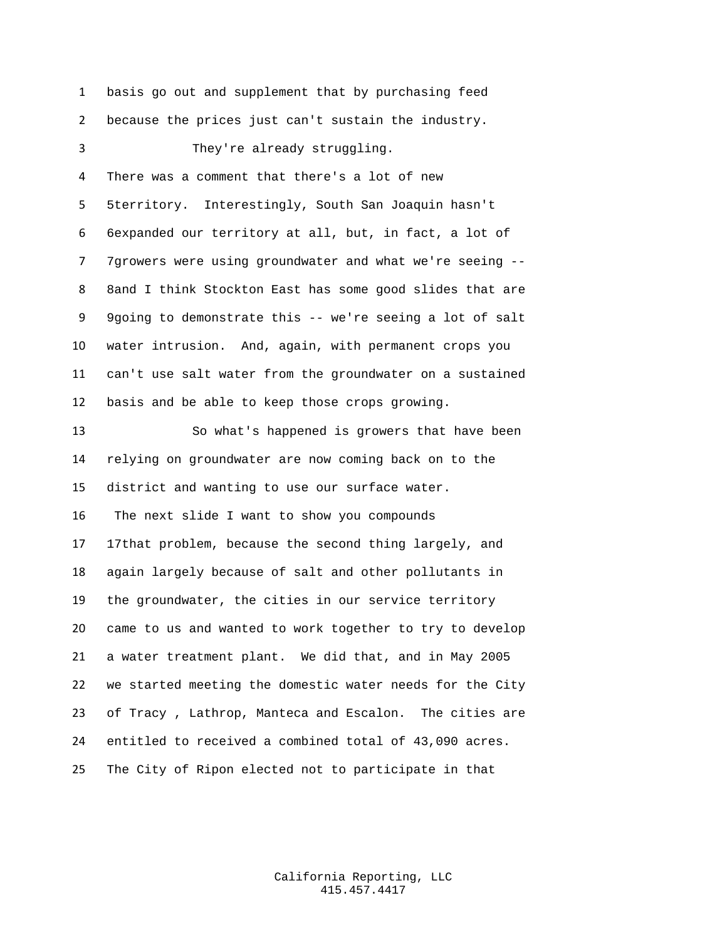basis go out and supplement that by purchasing feed because the prices just can't sustain the industry. They're already struggling. There was a comment that there's a lot of new 5territory. Interestingly, South San Joaquin hasn't 6expanded our territory at all, but, in fact, a lot of 7growers were using groundwater and what we're seeing -- 8and I think Stockton East has some good slides that are 9going to demonstrate this -- we're seeing a lot of salt water intrusion. And, again, with permanent crops you can't use salt water from the groundwater on a sustained basis and be able to keep those crops growing. So what's happened is growers that have been relying on groundwater are now coming back on to the district and wanting to use our surface water. The next slide I want to show you compounds 17that problem, because the second thing largely, and again largely because of salt and other pollutants in the groundwater, the cities in our service territory came to us and wanted to work together to try to develop a water treatment plant. We did that, and in May 2005 we started meeting the domestic water needs for the City of Tracy , Lathrop, Manteca and Escalon. The cities are entitled to received a combined total of 43,090 acres. The City of Ripon elected not to participate in that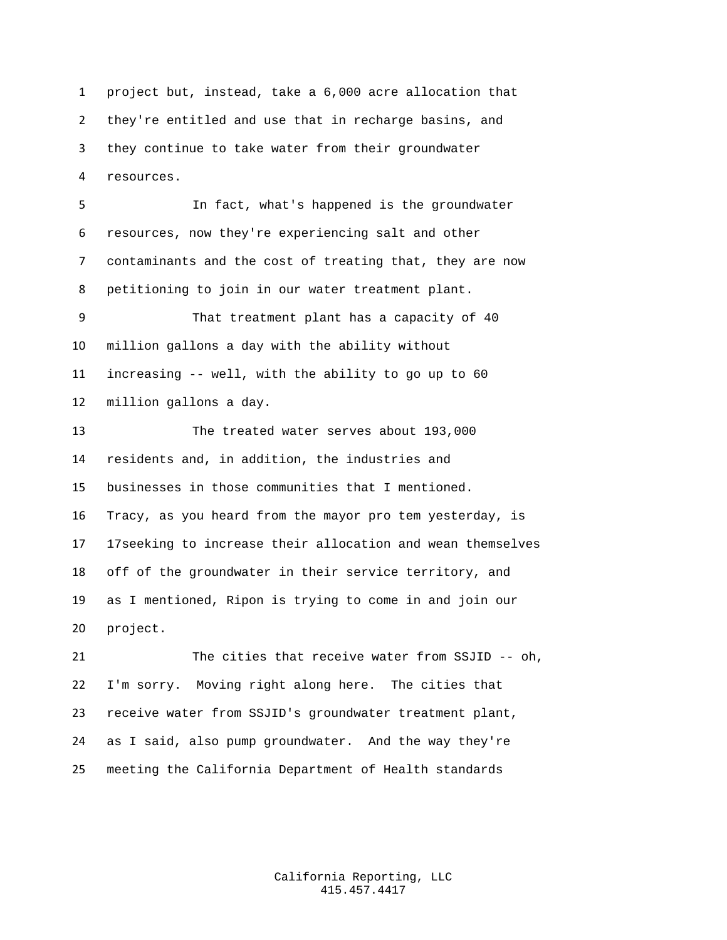project but, instead, take a 6,000 acre allocation that they're entitled and use that in recharge basins, and they continue to take water from their groundwater resources.

 In fact, what's happened is the groundwater resources, now they're experiencing salt and other contaminants and the cost of treating that, they are now petitioning to join in our water treatment plant. That treatment plant has a capacity of 40 million gallons a day with the ability without increasing -- well, with the ability to go up to 60 million gallons a day. The treated water serves about 193,000 residents and, in addition, the industries and businesses in those communities that I mentioned. Tracy, as you heard from the mayor pro tem yesterday, is

 17seeking to increase their allocation and wean themselves off of the groundwater in their service territory, and as I mentioned, Ripon is trying to come in and join our project.

 The cities that receive water from SSJID -- oh, I'm sorry. Moving right along here. The cities that receive water from SSJID's groundwater treatment plant, as I said, also pump groundwater. And the way they're meeting the California Department of Health standards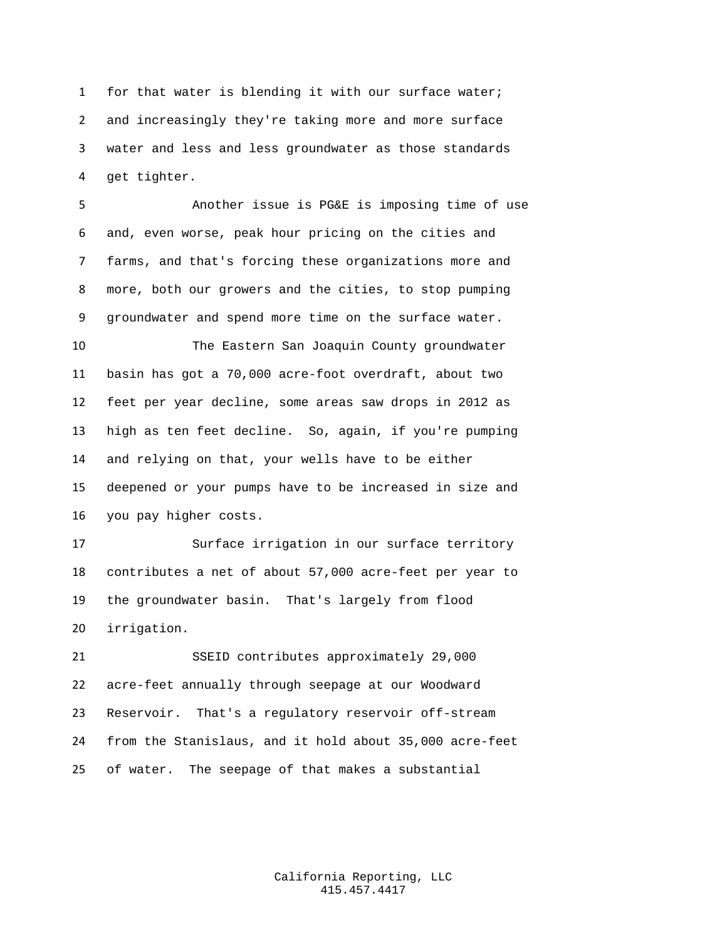for that water is blending it with our surface water; and increasingly they're taking more and more surface water and less and less groundwater as those standards get tighter.

 Another issue is PG&E is imposing time of use and, even worse, peak hour pricing on the cities and farms, and that's forcing these organizations more and more, both our growers and the cities, to stop pumping groundwater and spend more time on the surface water.

 The Eastern San Joaquin County groundwater basin has got a 70,000 acre-foot overdraft, about two feet per year decline, some areas saw drops in 2012 as high as ten feet decline. So, again, if you're pumping and relying on that, your wells have to be either deepened or your pumps have to be increased in size and you pay higher costs.

 Surface irrigation in our surface territory contributes a net of about 57,000 acre-feet per year to the groundwater basin. That's largely from flood irrigation.

 SSEID contributes approximately 29,000 acre-feet annually through seepage at our Woodward Reservoir. That's a regulatory reservoir off-stream from the Stanislaus, and it hold about 35,000 acre-feet of water. The seepage of that makes a substantial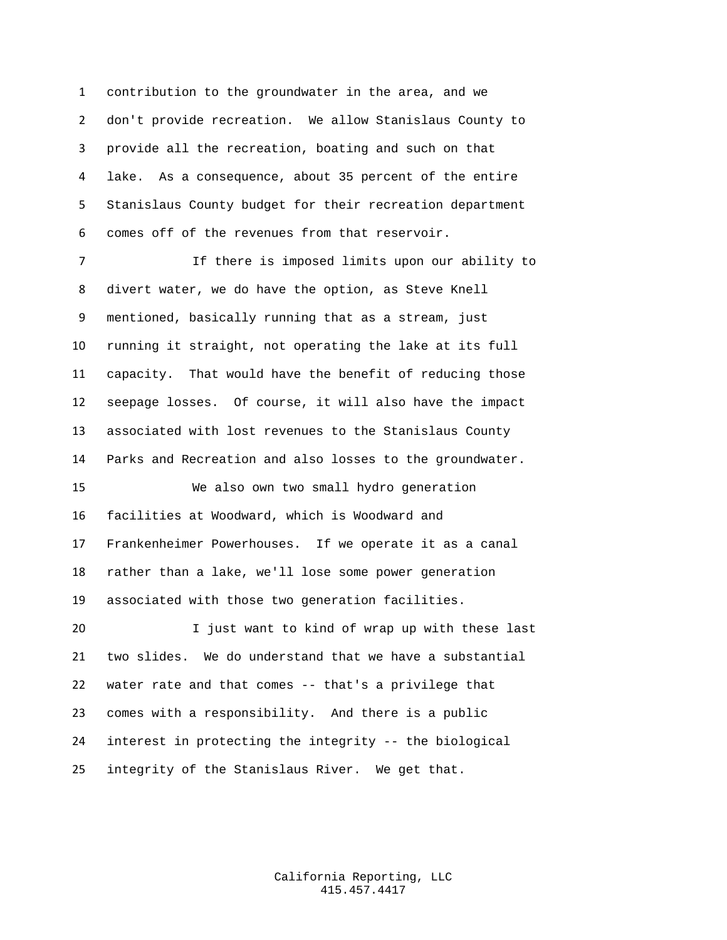contribution to the groundwater in the area, and we don't provide recreation. We allow Stanislaus County to provide all the recreation, boating and such on that lake. As a consequence, about 35 percent of the entire Stanislaus County budget for their recreation department comes off of the revenues from that reservoir.

 If there is imposed limits upon our ability to divert water, we do have the option, as Steve Knell mentioned, basically running that as a stream, just running it straight, not operating the lake at its full capacity. That would have the benefit of reducing those seepage losses. Of course, it will also have the impact associated with lost revenues to the Stanislaus County Parks and Recreation and also losses to the groundwater. We also own two small hydro generation

 facilities at Woodward, which is Woodward and Frankenheimer Powerhouses. If we operate it as a canal rather than a lake, we'll lose some power generation associated with those two generation facilities.

 I just want to kind of wrap up with these last two slides. We do understand that we have a substantial water rate and that comes -- that's a privilege that comes with a responsibility. And there is a public interest in protecting the integrity -- the biological integrity of the Stanislaus River. We get that.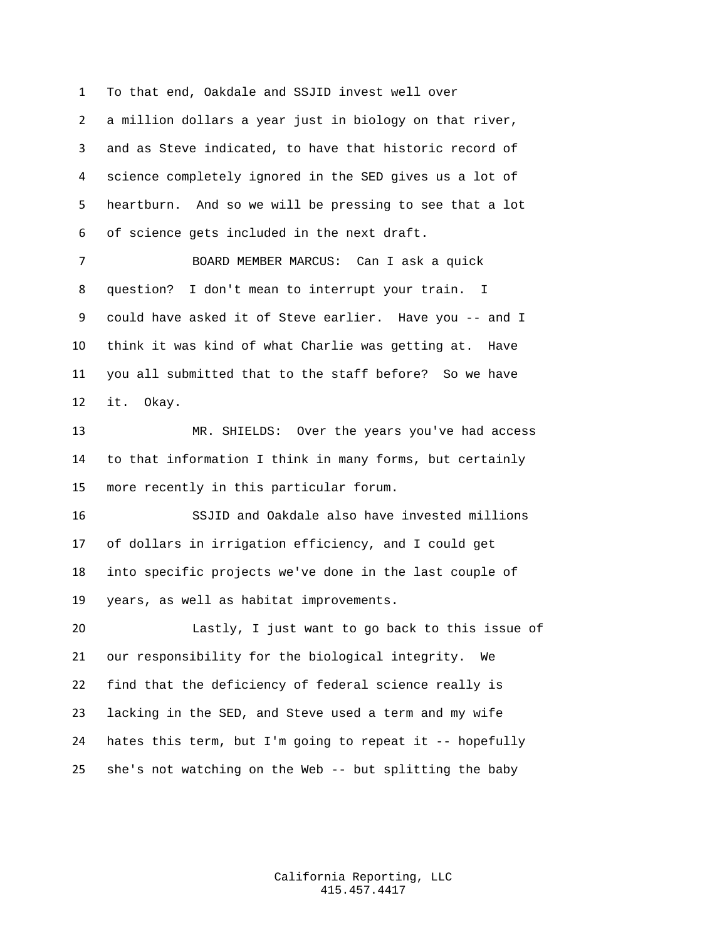To that end, Oakdale and SSJID invest well over

 a million dollars a year just in biology on that river, and as Steve indicated, to have that historic record of science completely ignored in the SED gives us a lot of heartburn. And so we will be pressing to see that a lot of science gets included in the next draft.

 BOARD MEMBER MARCUS: Can I ask a quick question? I don't mean to interrupt your train. I could have asked it of Steve earlier. Have you -- and I think it was kind of what Charlie was getting at. Have you all submitted that to the staff before? So we have it. Okay.

 MR. SHIELDS: Over the years you've had access to that information I think in many forms, but certainly more recently in this particular forum.

 SSJID and Oakdale also have invested millions of dollars in irrigation efficiency, and I could get into specific projects we've done in the last couple of years, as well as habitat improvements.

 Lastly, I just want to go back to this issue of our responsibility for the biological integrity. We find that the deficiency of federal science really is lacking in the SED, and Steve used a term and my wife hates this term, but I'm going to repeat it -- hopefully she's not watching on the Web -- but splitting the baby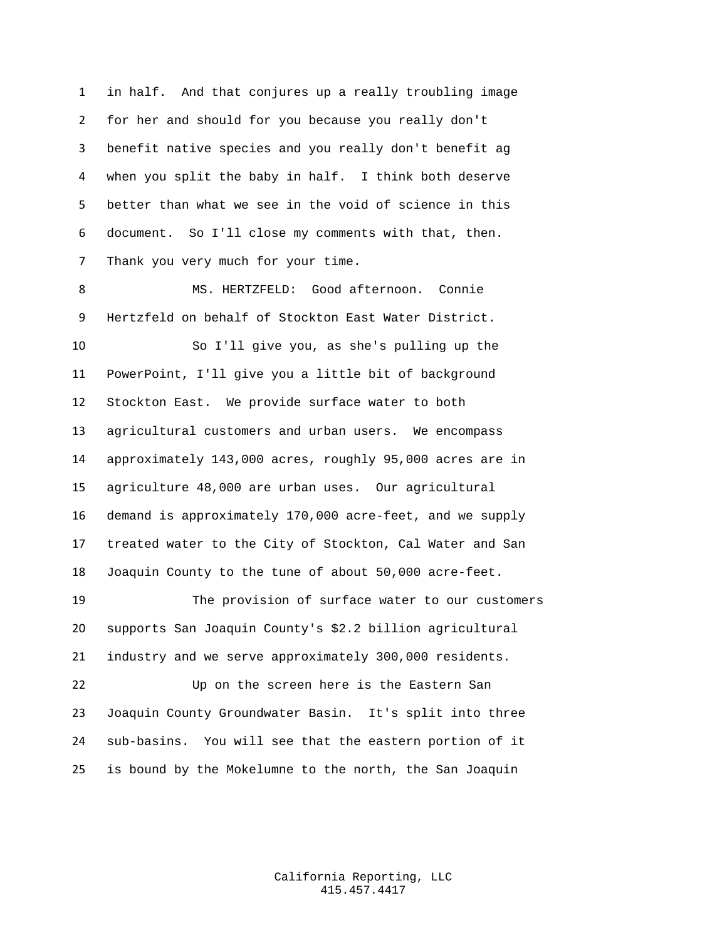in half. And that conjures up a really troubling image for her and should for you because you really don't benefit native species and you really don't benefit ag when you split the baby in half. I think both deserve better than what we see in the void of science in this document. So I'll close my comments with that, then. Thank you very much for your time.

 MS. HERTZFELD: Good afternoon. Connie Hertzfeld on behalf of Stockton East Water District.

 So I'll give you, as she's pulling up the PowerPoint, I'll give you a little bit of background Stockton East. We provide surface water to both agricultural customers and urban users. We encompass approximately 143,000 acres, roughly 95,000 acres are in agriculture 48,000 are urban uses. Our agricultural demand is approximately 170,000 acre-feet, and we supply treated water to the City of Stockton, Cal Water and San Joaquin County to the tune of about 50,000 acre-feet.

 The provision of surface water to our customers supports San Joaquin County's \$2.2 billion agricultural industry and we serve approximately 300,000 residents.

22 Up on the screen here is the Eastern San Joaquin County Groundwater Basin. It's split into three sub-basins. You will see that the eastern portion of it is bound by the Mokelumne to the north, the San Joaquin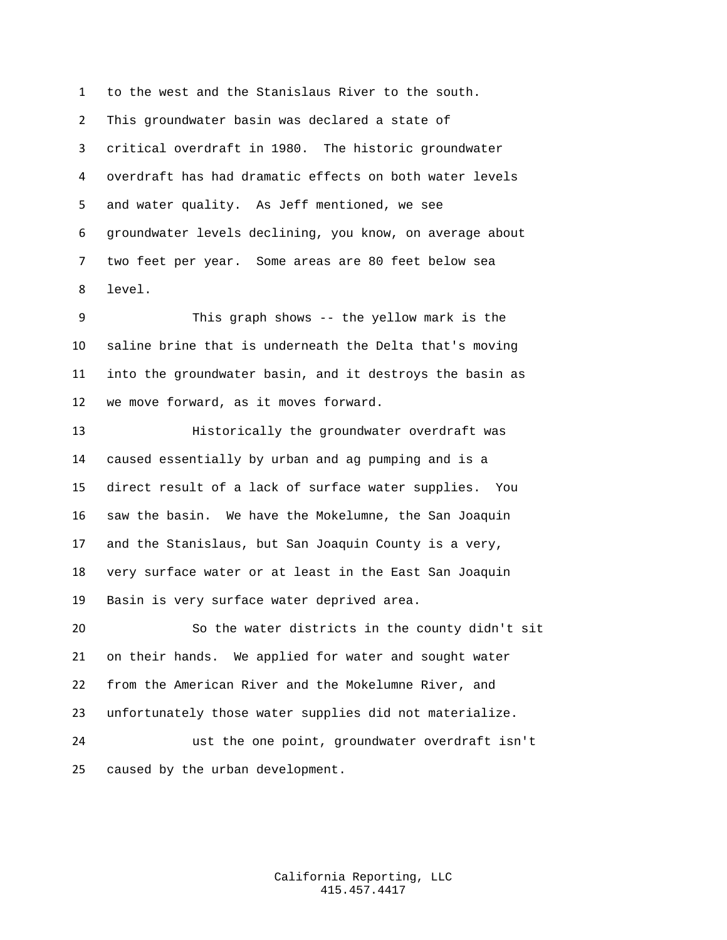to the west and the Stanislaus River to the south. This groundwater basin was declared a state of critical overdraft in 1980. The historic groundwater overdraft has had dramatic effects on both water levels and water quality. As Jeff mentioned, we see groundwater levels declining, you know, on average about two feet per year. Some areas are 80 feet below sea level.

 This graph shows -- the yellow mark is the saline brine that is underneath the Delta that's moving into the groundwater basin, and it destroys the basin as we move forward, as it moves forward.

 Historically the groundwater overdraft was caused essentially by urban and ag pumping and is a direct result of a lack of surface water supplies. You saw the basin. We have the Mokelumne, the San Joaquin and the Stanislaus, but San Joaquin County is a very, very surface water or at least in the East San Joaquin Basin is very surface water deprived area.

 So the water districts in the county didn't sit on their hands. We applied for water and sought water from the American River and the Mokelumne River, and unfortunately those water supplies did not materialize. ust the one point, groundwater overdraft isn't

caused by the urban development.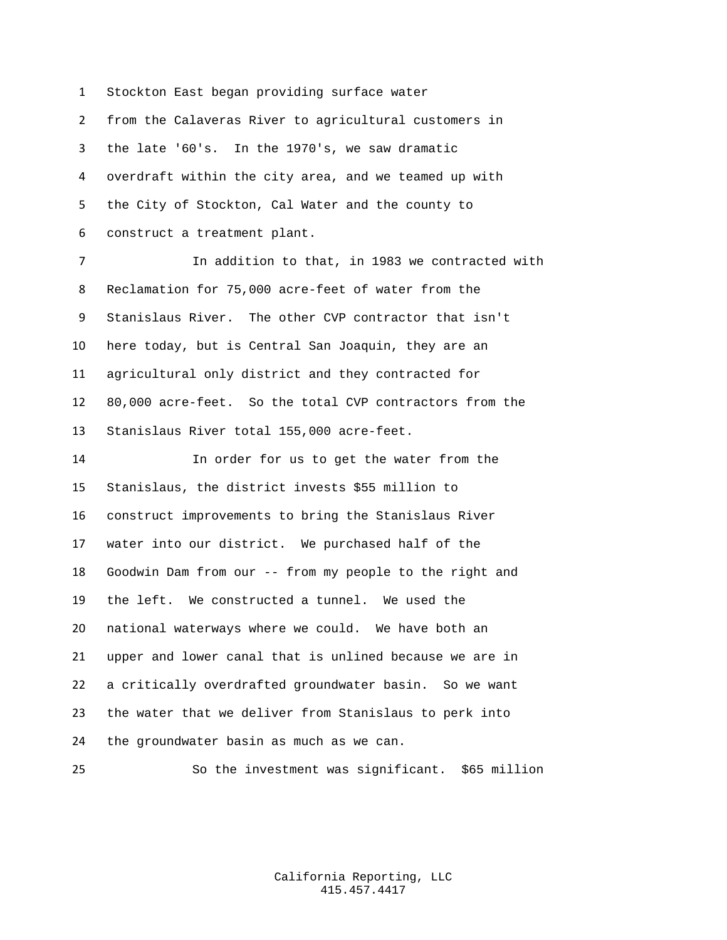Stockton East began providing surface water from the Calaveras River to agricultural customers in the late '60's. In the 1970's, we saw dramatic overdraft within the city area, and we teamed up with the City of Stockton, Cal Water and the county to construct a treatment plant.

 In addition to that, in 1983 we contracted with Reclamation for 75,000 acre-feet of water from the Stanislaus River. The other CVP contractor that isn't here today, but is Central San Joaquin, they are an agricultural only district and they contracted for 80,000 acre-feet. So the total CVP contractors from the Stanislaus River total 155,000 acre-feet.

 In order for us to get the water from the Stanislaus, the district invests \$55 million to construct improvements to bring the Stanislaus River water into our district. We purchased half of the Goodwin Dam from our -- from my people to the right and the left. We constructed a tunnel. We used the national waterways where we could. We have both an upper and lower canal that is unlined because we are in a critically overdrafted groundwater basin. So we want the water that we deliver from Stanislaus to perk into the groundwater basin as much as we can.

So the investment was significant. \$65 million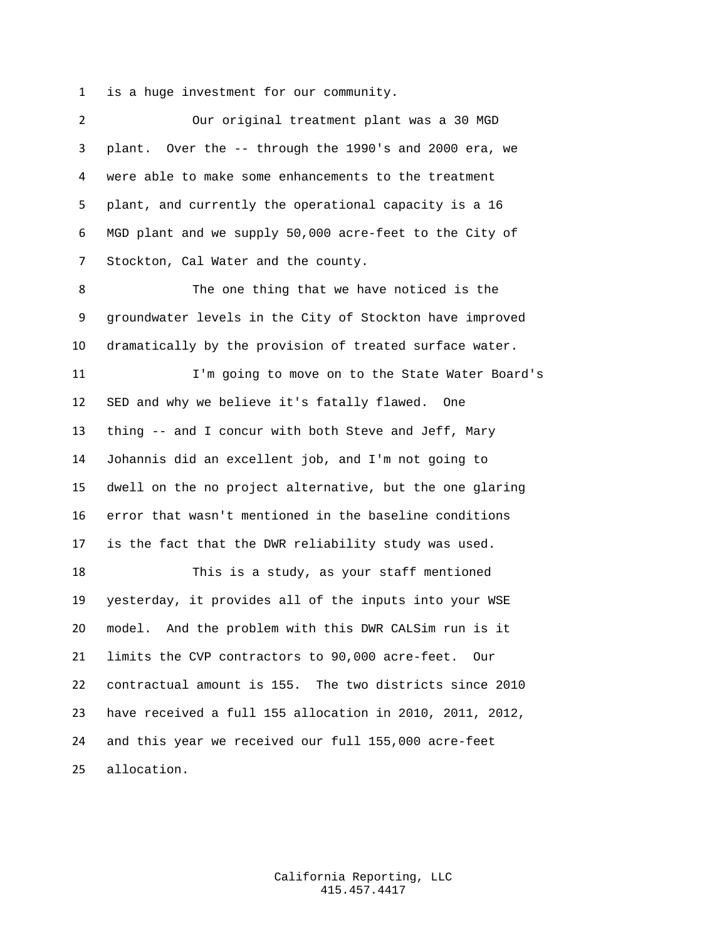is a huge investment for our community.

| $\overline{2}$ | Our original treatment plant was a 30 MGD                |
|----------------|----------------------------------------------------------|
| 3              | plant. Over the -- through the 1990's and 2000 era, we   |
| 4              | were able to make some enhancements to the treatment     |
| 5              | plant, and currently the operational capacity is a 16    |
| 6              | MGD plant and we supply 50,000 acre-feet to the City of  |
| 7              | Stockton, Cal Water and the county.                      |
| 8              | The one thing that we have noticed is the                |
| 9              | groundwater levels in the City of Stockton have improved |
| 10             | dramatically by the provision of treated surface water.  |
| 11             | I'm going to move on to the State Water Board's          |
| 12             | SED and why we believe it's fatally flawed. One          |
| 13             | thing -- and I concur with both Steve and Jeff, Mary     |
| 14             | Johannis did an excellent job, and I'm not going to      |
| 15             | dwell on the no project alternative, but the one glaring |
| 16             | error that wasn't mentioned in the baseline conditions   |
| 17             | is the fact that the DWR reliability study was used.     |
| 18             | This is a study, as your staff mentioned                 |
| 19             | yesterday, it provides all of the inputs into your WSE   |
| 20             | model. And the problem with this DWR CALSim run is it    |
| 21             | limits the CVP contractors to 90,000 acre-feet.<br>Our   |
| 22             | contractual amount is 155. The two districts since 2010  |
| 23             | have received a full 155 allocation in 2010, 2011, 2012, |
| 24             | and this year we received our full 155,000 acre-feet     |
| 25             | allocation.                                              |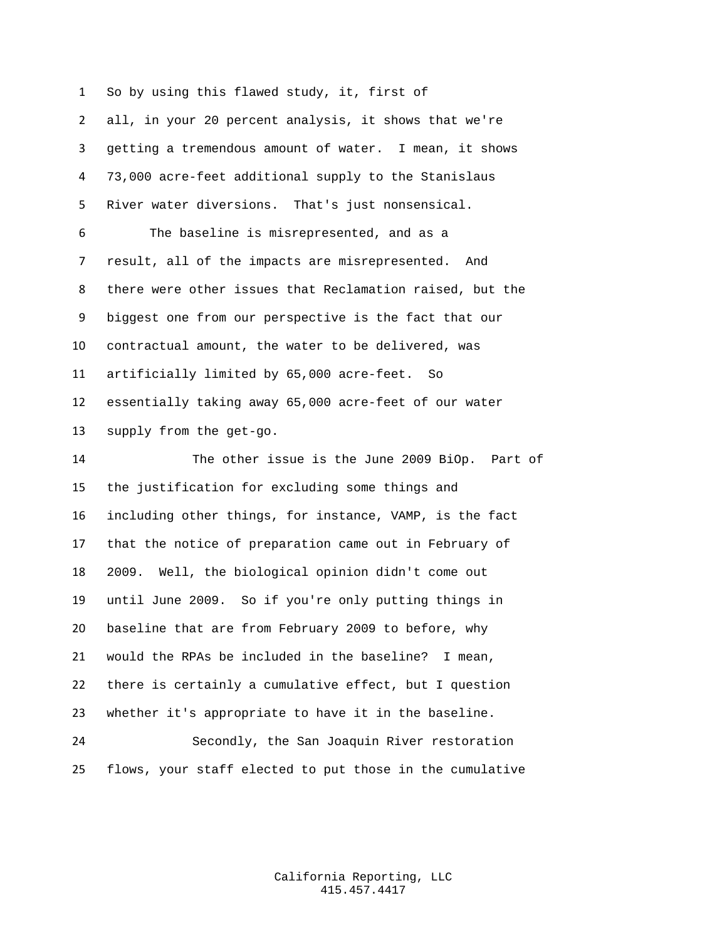So by using this flawed study, it, first of

 all, in your 20 percent analysis, it shows that we're getting a tremendous amount of water. I mean, it shows 73,000 acre-feet additional supply to the Stanislaus River water diversions. That's just nonsensical. The baseline is misrepresented, and as a result, all of the impacts are misrepresented. And there were other issues that Reclamation raised, but the biggest one from our perspective is the fact that our contractual amount, the water to be delivered, was artificially limited by 65,000 acre-feet. So essentially taking away 65,000 acre-feet of our water supply from the get-go.

 The other issue is the June 2009 BiOp. Part of the justification for excluding some things and including other things, for instance, VAMP, is the fact that the notice of preparation came out in February of 2009. Well, the biological opinion didn't come out until June 2009. So if you're only putting things in baseline that are from February 2009 to before, why would the RPAs be included in the baseline? I mean, there is certainly a cumulative effect, but I question whether it's appropriate to have it in the baseline. Secondly, the San Joaquin River restoration

flows, your staff elected to put those in the cumulative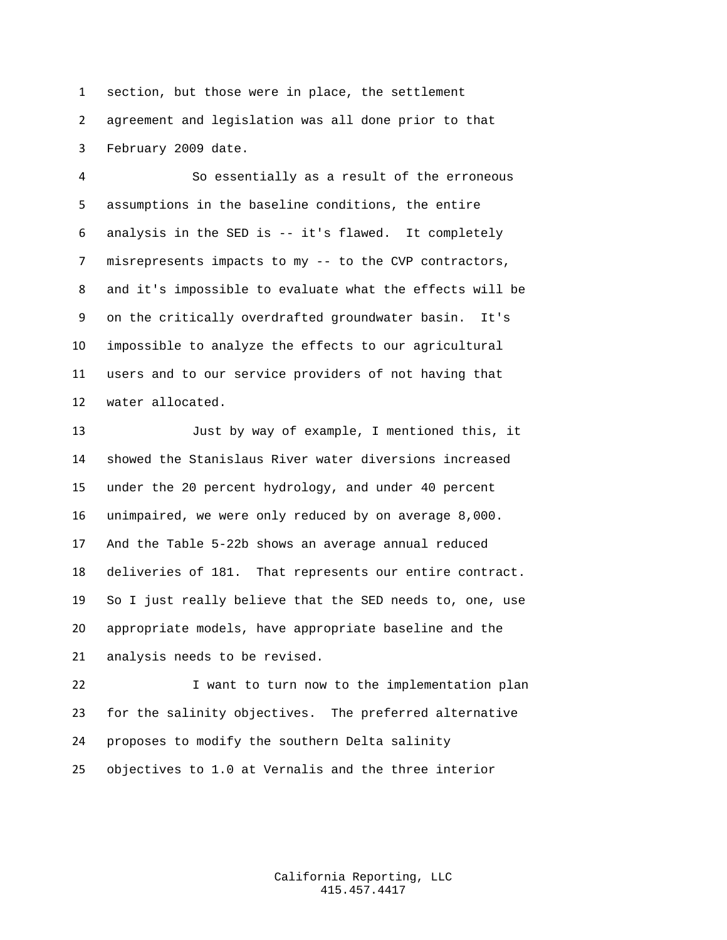section, but those were in place, the settlement agreement and legislation was all done prior to that February 2009 date.

 So essentially as a result of the erroneous assumptions in the baseline conditions, the entire analysis in the SED is -- it's flawed. It completely misrepresents impacts to my -- to the CVP contractors, and it's impossible to evaluate what the effects will be on the critically overdrafted groundwater basin. It's impossible to analyze the effects to our agricultural users and to our service providers of not having that water allocated.

 Just by way of example, I mentioned this, it showed the Stanislaus River water diversions increased under the 20 percent hydrology, and under 40 percent unimpaired, we were only reduced by on average 8,000. And the Table 5-22b shows an average annual reduced deliveries of 181. That represents our entire contract. So I just really believe that the SED needs to, one, use appropriate models, have appropriate baseline and the analysis needs to be revised.

 I want to turn now to the implementation plan for the salinity objectives. The preferred alternative proposes to modify the southern Delta salinity objectives to 1.0 at Vernalis and the three interior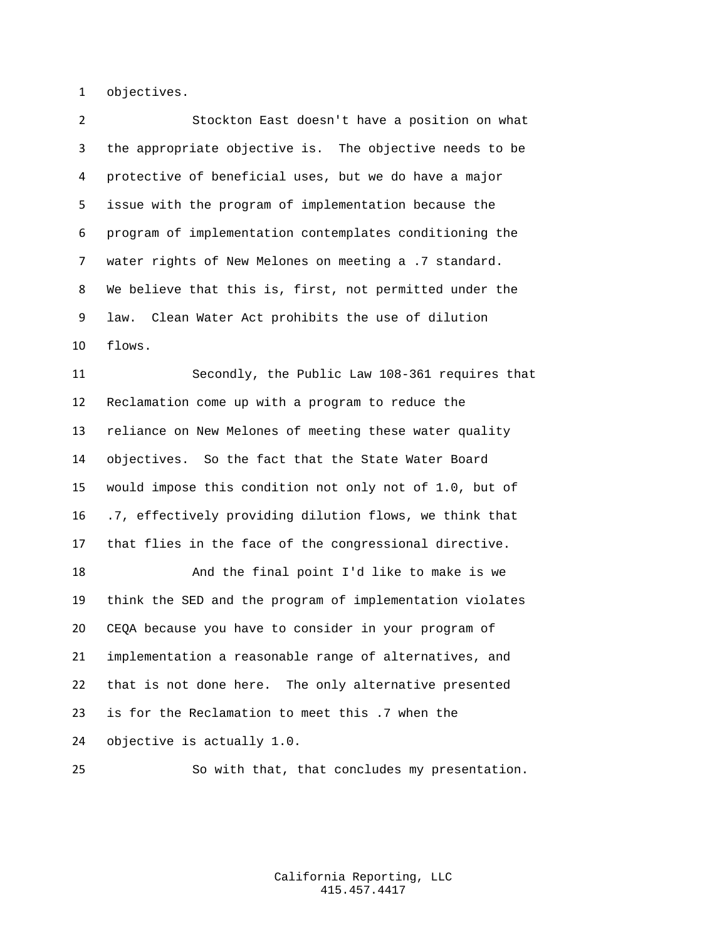objectives.

 Stockton East doesn't have a position on what the appropriate objective is. The objective needs to be protective of beneficial uses, but we do have a major issue with the program of implementation because the program of implementation contemplates conditioning the water rights of New Melones on meeting a .7 standard. We believe that this is, first, not permitted under the law. Clean Water Act prohibits the use of dilution flows.

 Secondly, the Public Law 108-361 requires that Reclamation come up with a program to reduce the reliance on New Melones of meeting these water quality objectives. So the fact that the State Water Board would impose this condition not only not of 1.0, but of .7, effectively providing dilution flows, we think that that flies in the face of the congressional directive.

 And the final point I'd like to make is we think the SED and the program of implementation violates CEQA because you have to consider in your program of implementation a reasonable range of alternatives, and that is not done here. The only alternative presented is for the Reclamation to meet this .7 when the objective is actually 1.0.

So with that, that concludes my presentation.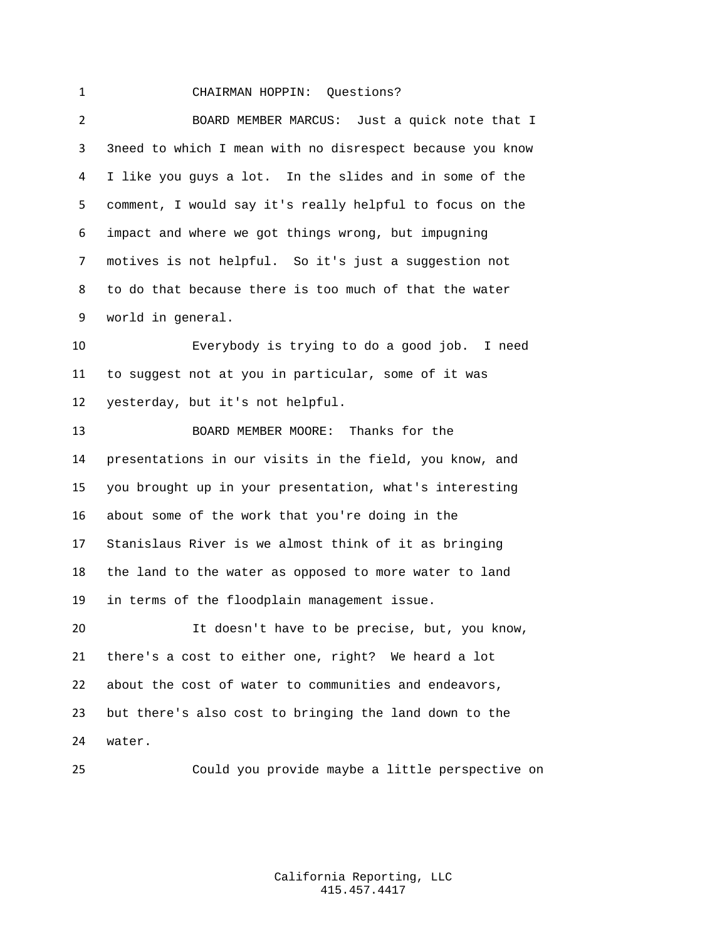## CHAIRMAN HOPPIN: Questions?

 BOARD MEMBER MARCUS: Just a quick note that I 3need to which I mean with no disrespect because you know I like you guys a lot. In the slides and in some of the comment, I would say it's really helpful to focus on the impact and where we got things wrong, but impugning motives is not helpful. So it's just a suggestion not to do that because there is too much of that the water world in general.

 Everybody is trying to do a good job. I need to suggest not at you in particular, some of it was yesterday, but it's not helpful.

 BOARD MEMBER MOORE: Thanks for the presentations in our visits in the field, you know, and you brought up in your presentation, what's interesting about some of the work that you're doing in the Stanislaus River is we almost think of it as bringing the land to the water as opposed to more water to land in terms of the floodplain management issue.

 It doesn't have to be precise, but, you know, there's a cost to either one, right? We heard a lot about the cost of water to communities and endeavors, but there's also cost to bringing the land down to the water.

Could you provide maybe a little perspective on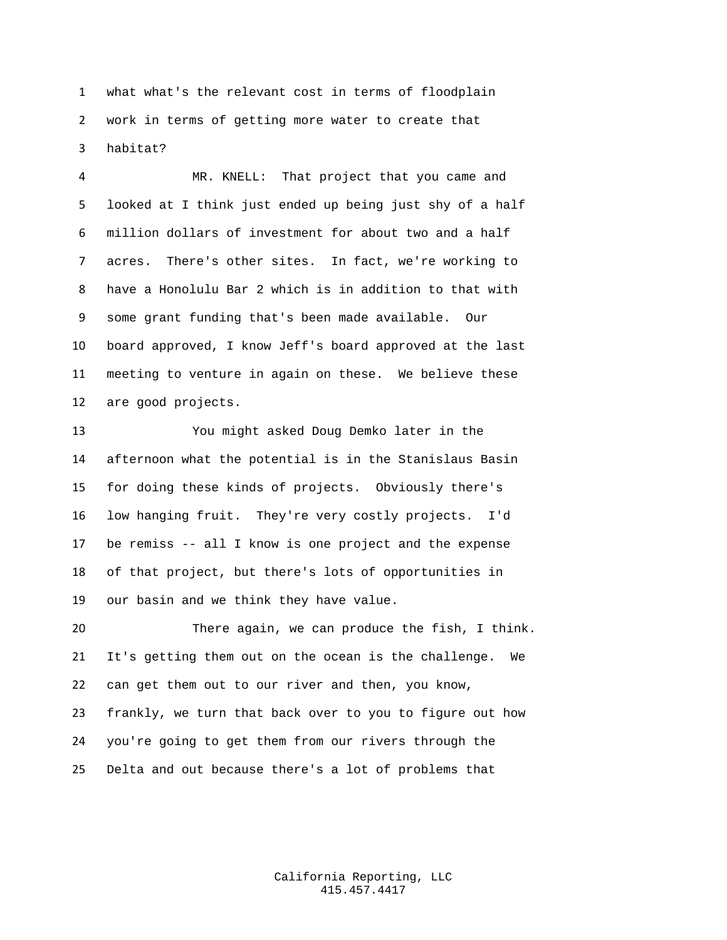what what's the relevant cost in terms of floodplain work in terms of getting more water to create that habitat?

 MR. KNELL: That project that you came and looked at I think just ended up being just shy of a half million dollars of investment for about two and a half acres. There's other sites. In fact, we're working to have a Honolulu Bar 2 which is in addition to that with some grant funding that's been made available. Our board approved, I know Jeff's board approved at the last meeting to venture in again on these. We believe these are good projects.

 You might asked Doug Demko later in the afternoon what the potential is in the Stanislaus Basin for doing these kinds of projects. Obviously there's low hanging fruit. They're very costly projects. I'd be remiss -- all I know is one project and the expense of that project, but there's lots of opportunities in our basin and we think they have value.

 There again, we can produce the fish, I think. It's getting them out on the ocean is the challenge. We can get them out to our river and then, you know, frankly, we turn that back over to you to figure out how you're going to get them from our rivers through the Delta and out because there's a lot of problems that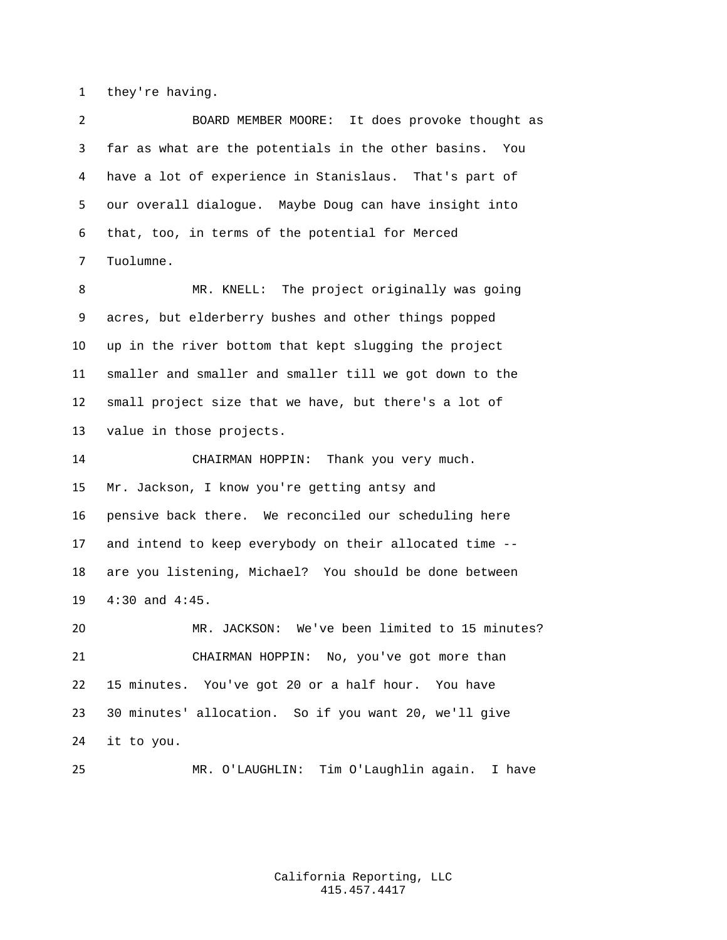they're having.

 BOARD MEMBER MOORE: It does provoke thought as far as what are the potentials in the other basins. You have a lot of experience in Stanislaus. That's part of our overall dialogue. Maybe Doug can have insight into that, too, in terms of the potential for Merced Tuolumne.

 MR. KNELL: The project originally was going acres, but elderberry bushes and other things popped up in the river bottom that kept slugging the project smaller and smaller and smaller till we got down to the small project size that we have, but there's a lot of value in those projects.

 CHAIRMAN HOPPIN: Thank you very much. Mr. Jackson, I know you're getting antsy and pensive back there. We reconciled our scheduling here and intend to keep everybody on their allocated time -- are you listening, Michael? You should be done between 4:30 and 4:45.

 MR. JACKSON: We've been limited to 15 minutes? CHAIRMAN HOPPIN: No, you've got more than 15 minutes. You've got 20 or a half hour. You have 30 minutes' allocation. So if you want 20, we'll give it to you.

MR. O'LAUGHLIN: Tim O'Laughlin again. I have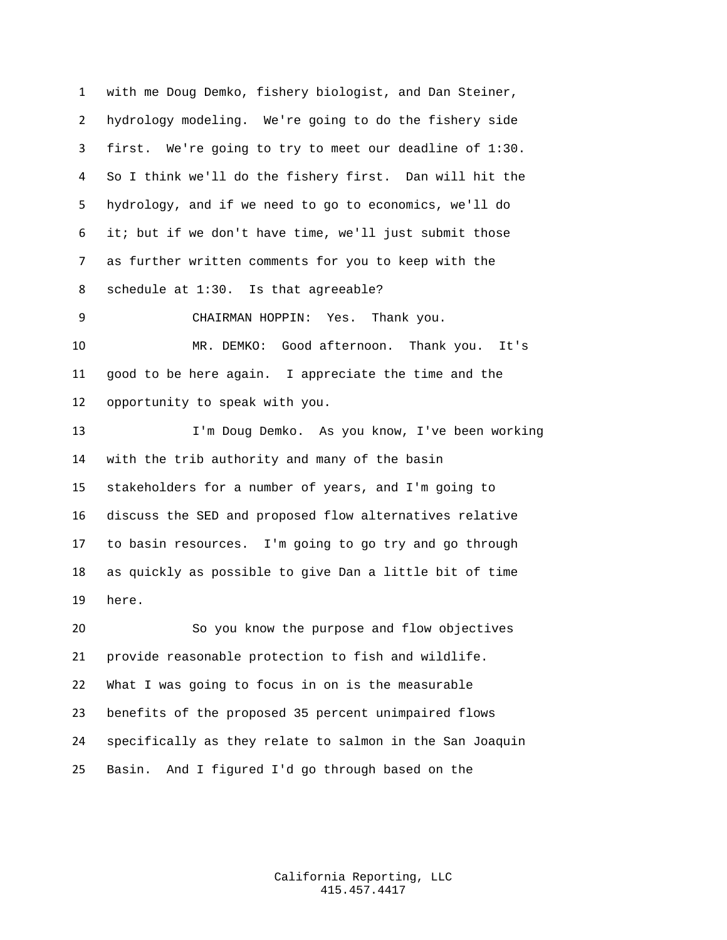with me Doug Demko, fishery biologist, and Dan Steiner, hydrology modeling. We're going to do the fishery side first. We're going to try to meet our deadline of 1:30. So I think we'll do the fishery first. Dan will hit the hydrology, and if we need to go to economics, we'll do it; but if we don't have time, we'll just submit those as further written comments for you to keep with the schedule at 1:30. Is that agreeable? CHAIRMAN HOPPIN: Yes. Thank you. MR. DEMKO: Good afternoon. Thank you. It's good to be here again. I appreciate the time and the opportunity to speak with you. I'm Doug Demko. As you know, I've been working with the trib authority and many of the basin stakeholders for a number of years, and I'm going to discuss the SED and proposed flow alternatives relative to basin resources. I'm going to go try and go through as quickly as possible to give Dan a little bit of time here. So you know the purpose and flow objectives provide reasonable protection to fish and wildlife. What I was going to focus in on is the measurable benefits of the proposed 35 percent unimpaired flows

 specifically as they relate to salmon in the San Joaquin Basin. And I figured I'd go through based on the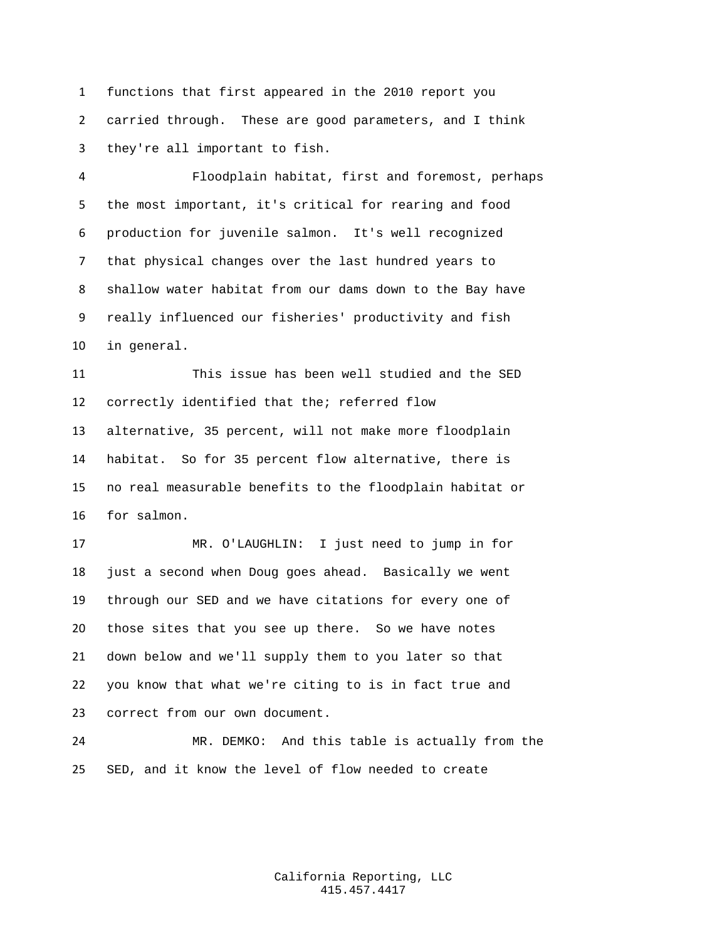functions that first appeared in the 2010 report you carried through. These are good parameters, and I think they're all important to fish.

 Floodplain habitat, first and foremost, perhaps the most important, it's critical for rearing and food production for juvenile salmon. It's well recognized that physical changes over the last hundred years to shallow water habitat from our dams down to the Bay have really influenced our fisheries' productivity and fish in general.

 This issue has been well studied and the SED correctly identified that the; referred flow alternative, 35 percent, will not make more floodplain habitat. So for 35 percent flow alternative, there is no real measurable benefits to the floodplain habitat or for salmon.

 MR. O'LAUGHLIN: I just need to jump in for just a second when Doug goes ahead. Basically we went through our SED and we have citations for every one of those sites that you see up there. So we have notes down below and we'll supply them to you later so that you know that what we're citing to is in fact true and correct from our own document.

 MR. DEMKO: And this table is actually from the SED, and it know the level of flow needed to create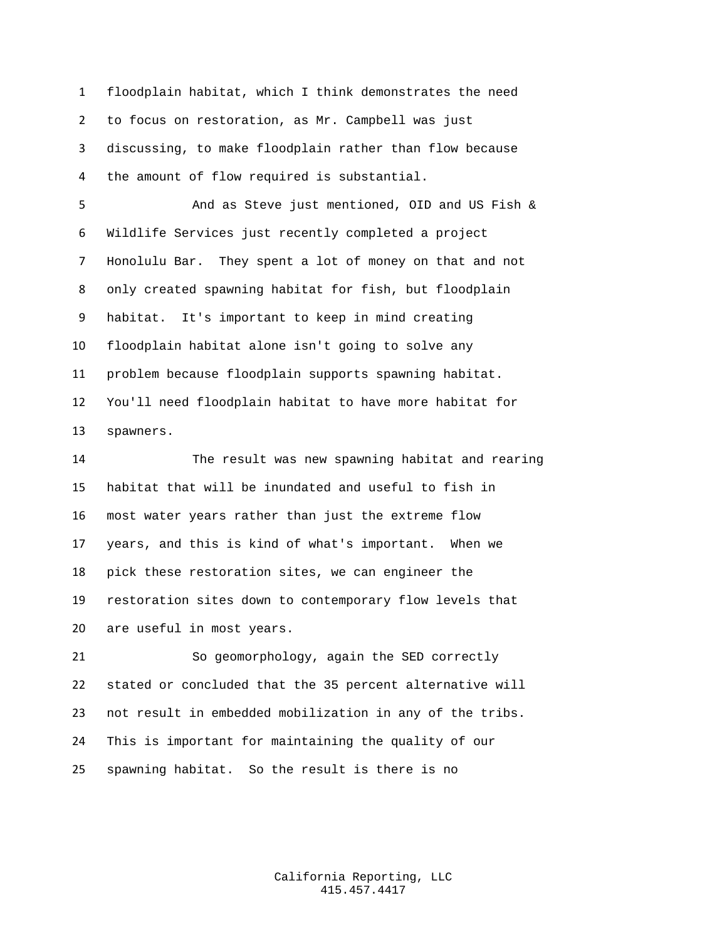floodplain habitat, which I think demonstrates the need to focus on restoration, as Mr. Campbell was just discussing, to make floodplain rather than flow because the amount of flow required is substantial.

 And as Steve just mentioned, OID and US Fish & Wildlife Services just recently completed a project Honolulu Bar. They spent a lot of money on that and not only created spawning habitat for fish, but floodplain habitat. It's important to keep in mind creating floodplain habitat alone isn't going to solve any problem because floodplain supports spawning habitat. You'll need floodplain habitat to have more habitat for spawners.

 The result was new spawning habitat and rearing habitat that will be inundated and useful to fish in most water years rather than just the extreme flow years, and this is kind of what's important. When we pick these restoration sites, we can engineer the restoration sites down to contemporary flow levels that are useful in most years.

 So geomorphology, again the SED correctly stated or concluded that the 35 percent alternative will not result in embedded mobilization in any of the tribs. This is important for maintaining the quality of our spawning habitat. So the result is there is no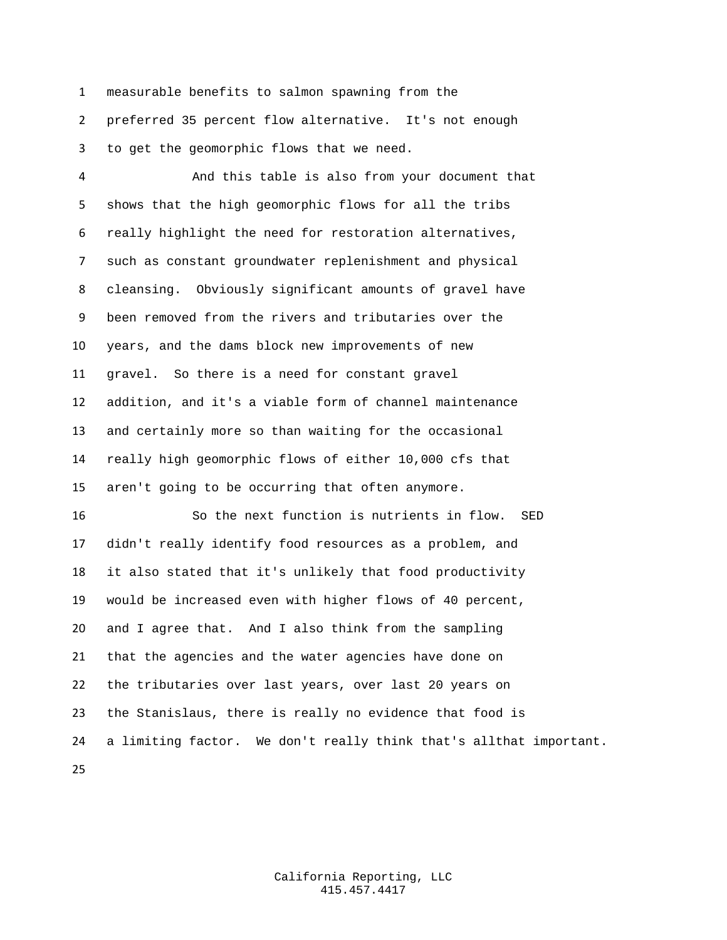measurable benefits to salmon spawning from the preferred 35 percent flow alternative. It's not enough

to get the geomorphic flows that we need.

 And this table is also from your document that shows that the high geomorphic flows for all the tribs really highlight the need for restoration alternatives, such as constant groundwater replenishment and physical cleansing. Obviously significant amounts of gravel have been removed from the rivers and tributaries over the years, and the dams block new improvements of new gravel. So there is a need for constant gravel addition, and it's a viable form of channel maintenance and certainly more so than waiting for the occasional really high geomorphic flows of either 10,000 cfs that aren't going to be occurring that often anymore.

 So the next function is nutrients in flow. SED didn't really identify food resources as a problem, and it also stated that it's unlikely that food productivity would be increased even with higher flows of 40 percent, and I agree that. And I also think from the sampling that the agencies and the water agencies have done on the tributaries over last years, over last 20 years on the Stanislaus, there is really no evidence that food is a limiting factor. We don't really think that's allthat important.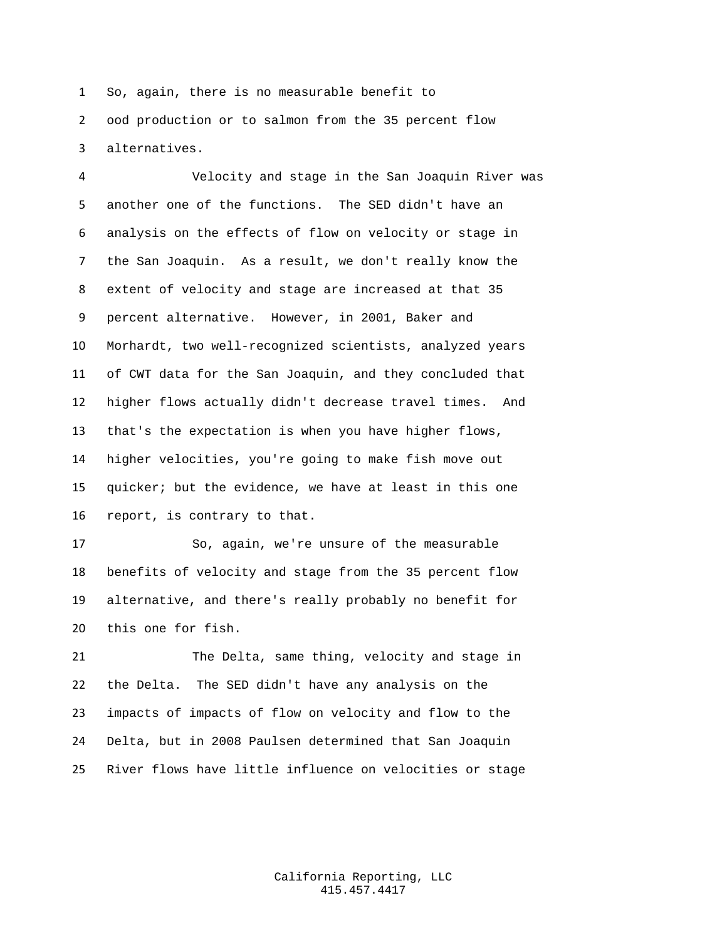So, again, there is no measurable benefit to ood production or to salmon from the 35 percent flow alternatives.

 Velocity and stage in the San Joaquin River was another one of the functions. The SED didn't have an analysis on the effects of flow on velocity or stage in the San Joaquin. As a result, we don't really know the extent of velocity and stage are increased at that 35 percent alternative. However, in 2001, Baker and Morhardt, two well-recognized scientists, analyzed years of CWT data for the San Joaquin, and they concluded that higher flows actually didn't decrease travel times. And that's the expectation is when you have higher flows, higher velocities, you're going to make fish move out quicker; but the evidence, we have at least in this one report, is contrary to that.

 So, again, we're unsure of the measurable benefits of velocity and stage from the 35 percent flow alternative, and there's really probably no benefit for this one for fish.

 The Delta, same thing, velocity and stage in the Delta. The SED didn't have any analysis on the impacts of impacts of flow on velocity and flow to the Delta, but in 2008 Paulsen determined that San Joaquin River flows have little influence on velocities or stage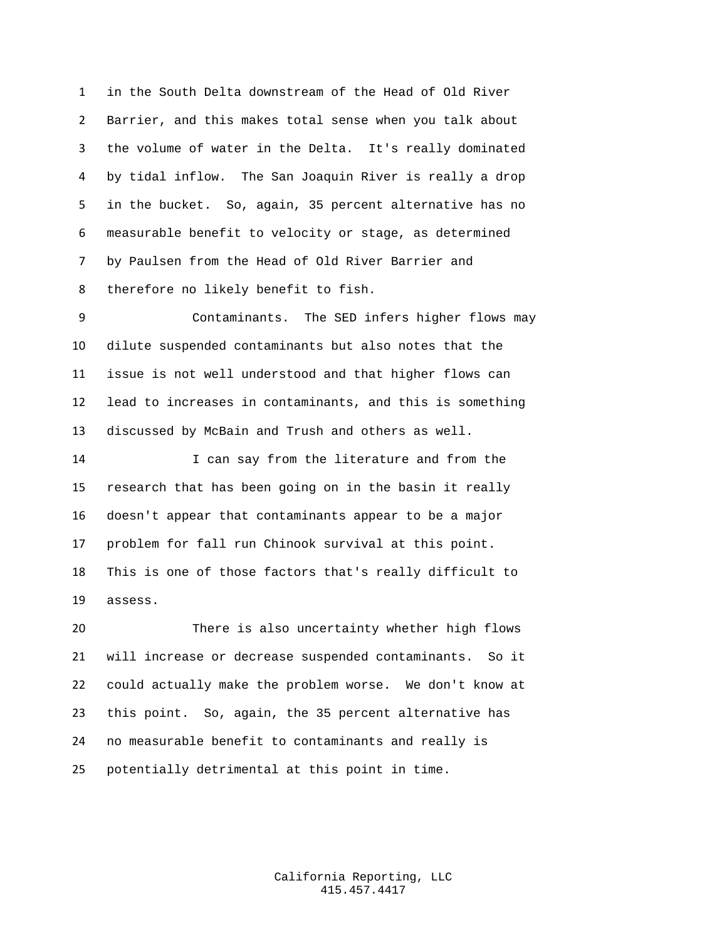in the South Delta downstream of the Head of Old River Barrier, and this makes total sense when you talk about the volume of water in the Delta. It's really dominated by tidal inflow. The San Joaquin River is really a drop in the bucket. So, again, 35 percent alternative has no measurable benefit to velocity or stage, as determined by Paulsen from the Head of Old River Barrier and therefore no likely benefit to fish.

 Contaminants. The SED infers higher flows may dilute suspended contaminants but also notes that the issue is not well understood and that higher flows can lead to increases in contaminants, and this is something discussed by McBain and Trush and others as well.

 I can say from the literature and from the research that has been going on in the basin it really doesn't appear that contaminants appear to be a major problem for fall run Chinook survival at this point. This is one of those factors that's really difficult to assess.

 There is also uncertainty whether high flows will increase or decrease suspended contaminants. So it could actually make the problem worse. We don't know at this point. So, again, the 35 percent alternative has no measurable benefit to contaminants and really is potentially detrimental at this point in time.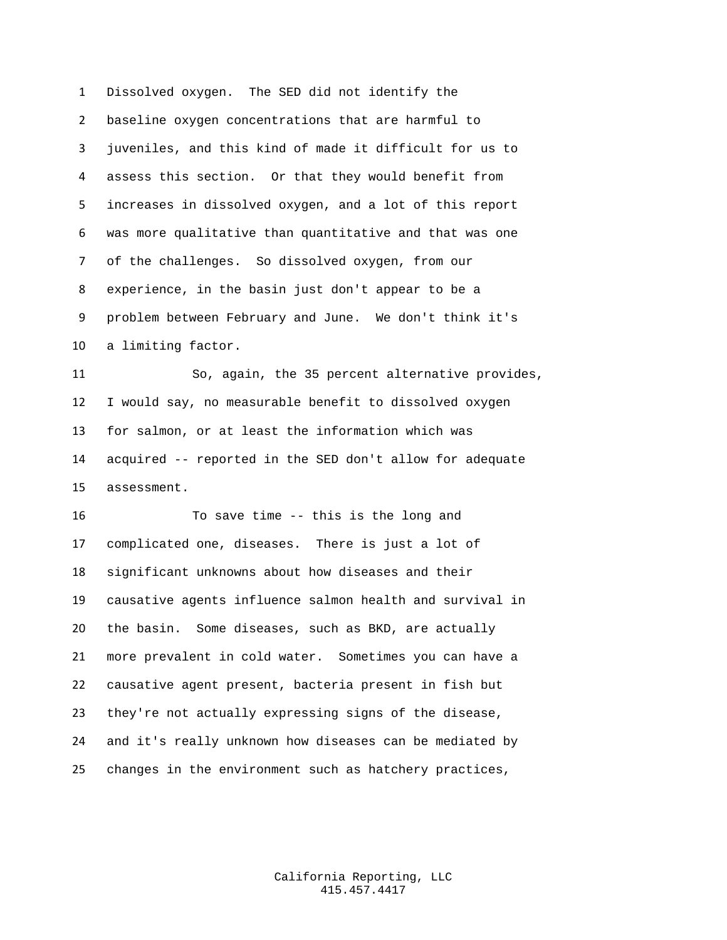Dissolved oxygen. The SED did not identify the baseline oxygen concentrations that are harmful to juveniles, and this kind of made it difficult for us to assess this section. Or that they would benefit from increases in dissolved oxygen, and a lot of this report was more qualitative than quantitative and that was one of the challenges. So dissolved oxygen, from our experience, in the basin just don't appear to be a problem between February and June. We don't think it's a limiting factor.

 So, again, the 35 percent alternative provides, I would say, no measurable benefit to dissolved oxygen for salmon, or at least the information which was acquired -- reported in the SED don't allow for adequate assessment.

 To save time -- this is the long and complicated one, diseases. There is just a lot of significant unknowns about how diseases and their causative agents influence salmon health and survival in the basin. Some diseases, such as BKD, are actually more prevalent in cold water. Sometimes you can have a causative agent present, bacteria present in fish but they're not actually expressing signs of the disease, and it's really unknown how diseases can be mediated by changes in the environment such as hatchery practices,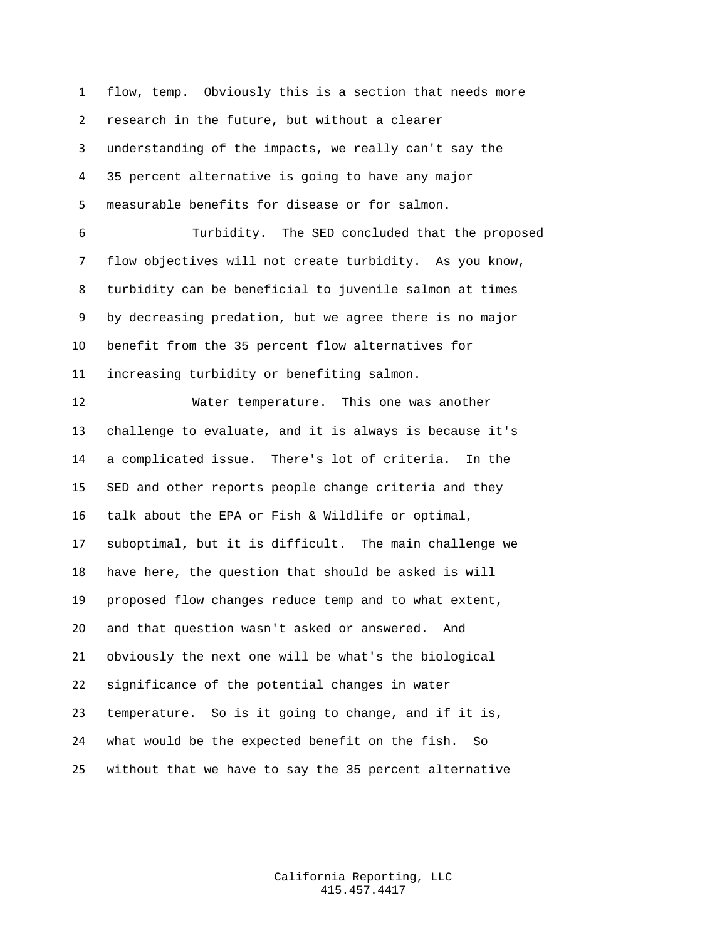flow, temp. Obviously this is a section that needs more research in the future, but without a clearer understanding of the impacts, we really can't say the 35 percent alternative is going to have any major measurable benefits for disease or for salmon.

 Turbidity. The SED concluded that the proposed flow objectives will not create turbidity. As you know, turbidity can be beneficial to juvenile salmon at times by decreasing predation, but we agree there is no major benefit from the 35 percent flow alternatives for increasing turbidity or benefiting salmon.

 Water temperature. This one was another challenge to evaluate, and it is always is because it's a complicated issue. There's lot of criteria. In the SED and other reports people change criteria and they talk about the EPA or Fish & Wildlife or optimal, suboptimal, but it is difficult. The main challenge we have here, the question that should be asked is will proposed flow changes reduce temp and to what extent, and that question wasn't asked or answered. And obviously the next one will be what's the biological significance of the potential changes in water temperature. So is it going to change, and if it is, what would be the expected benefit on the fish. So without that we have to say the 35 percent alternative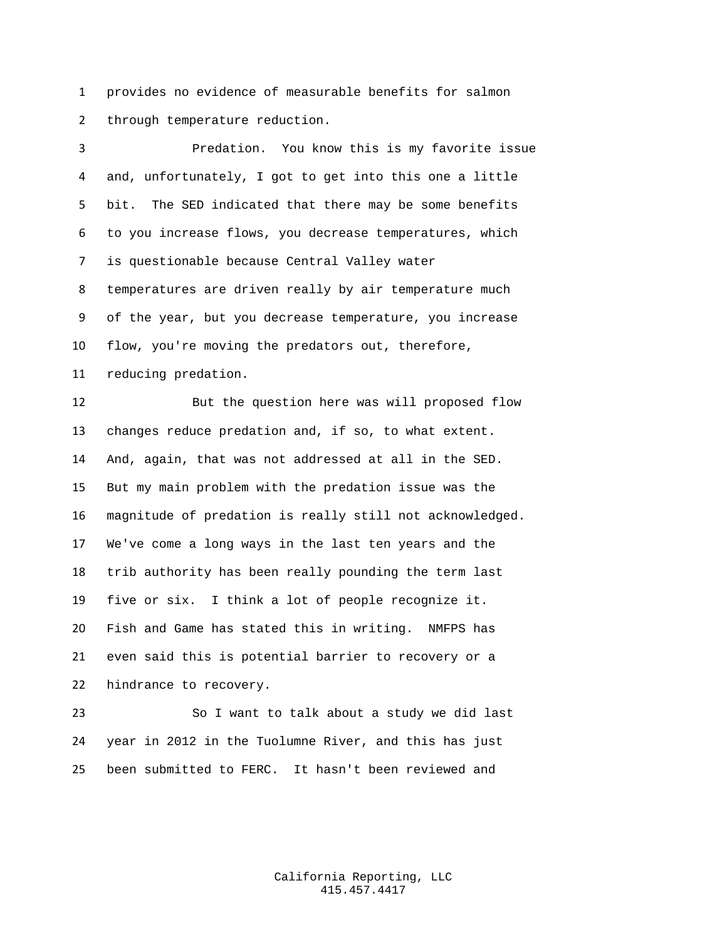provides no evidence of measurable benefits for salmon through temperature reduction.

 Predation. You know this is my favorite issue and, unfortunately, I got to get into this one a little bit. The SED indicated that there may be some benefits to you increase flows, you decrease temperatures, which is questionable because Central Valley water temperatures are driven really by air temperature much of the year, but you decrease temperature, you increase flow, you're moving the predators out, therefore, reducing predation. But the question here was will proposed flow changes reduce predation and, if so, to what extent. And, again, that was not addressed at all in the SED. But my main problem with the predation issue was the magnitude of predation is really still not acknowledged. We've come a long ways in the last ten years and the trib authority has been really pounding the term last five or six. I think a lot of people recognize it. Fish and Game has stated this in writing. NMFPS has even said this is potential barrier to recovery or a hindrance to recovery. So I want to talk about a study we did last

 year in 2012 in the Tuolumne River, and this has just been submitted to FERC. It hasn't been reviewed and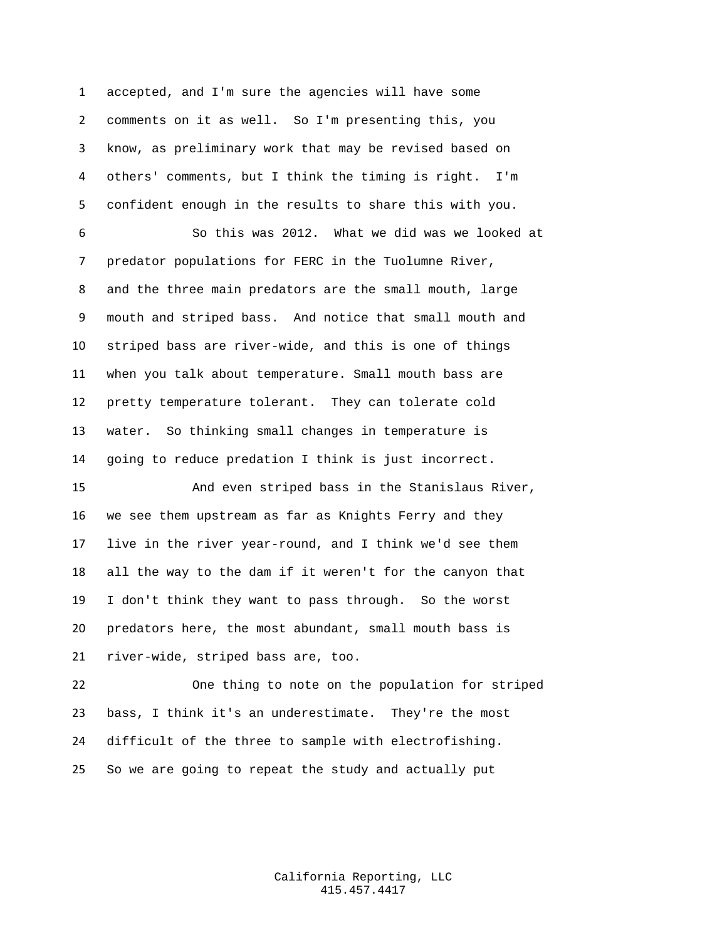accepted, and I'm sure the agencies will have some comments on it as well. So I'm presenting this, you know, as preliminary work that may be revised based on others' comments, but I think the timing is right. I'm confident enough in the results to share this with you.

 So this was 2012. What we did was we looked at predator populations for FERC in the Tuolumne River, and the three main predators are the small mouth, large mouth and striped bass. And notice that small mouth and striped bass are river-wide, and this is one of things when you talk about temperature. Small mouth bass are pretty temperature tolerant. They can tolerate cold water. So thinking small changes in temperature is going to reduce predation I think is just incorrect.

 And even striped bass in the Stanislaus River, we see them upstream as far as Knights Ferry and they live in the river year-round, and I think we'd see them all the way to the dam if it weren't for the canyon that I don't think they want to pass through. So the worst predators here, the most abundant, small mouth bass is river-wide, striped bass are, too.

 One thing to note on the population for striped bass, I think it's an underestimate. They're the most difficult of the three to sample with electrofishing. So we are going to repeat the study and actually put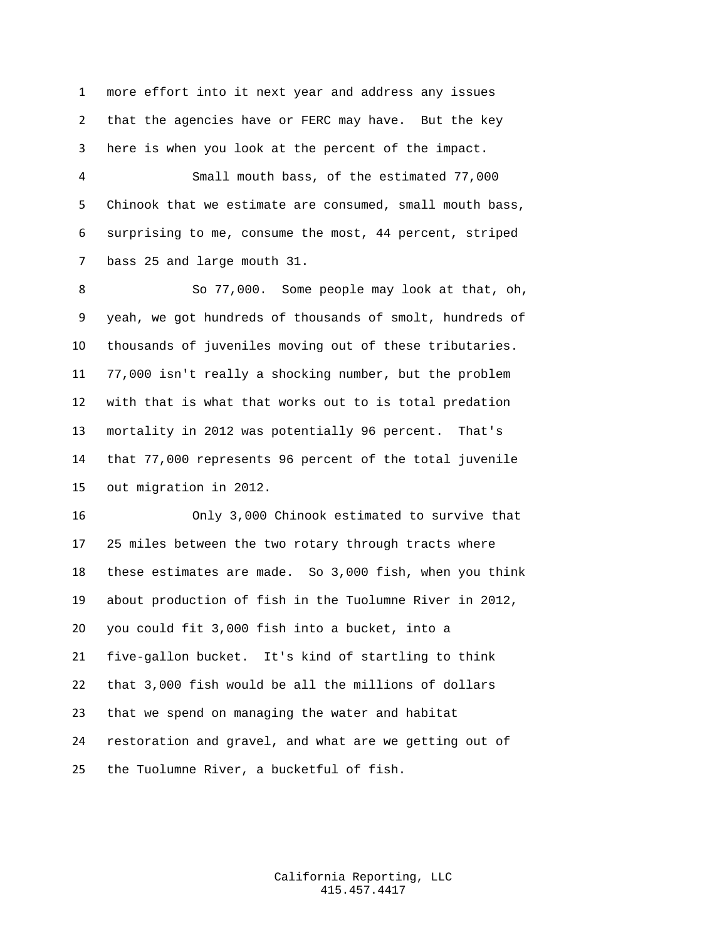more effort into it next year and address any issues that the agencies have or FERC may have. But the key here is when you look at the percent of the impact.

 Small mouth bass, of the estimated 77,000 Chinook that we estimate are consumed, small mouth bass, surprising to me, consume the most, 44 percent, striped bass 25 and large mouth 31.

 So 77,000. Some people may look at that, oh, yeah, we got hundreds of thousands of smolt, hundreds of thousands of juveniles moving out of these tributaries. 77,000 isn't really a shocking number, but the problem with that is what that works out to is total predation mortality in 2012 was potentially 96 percent. That's that 77,000 represents 96 percent of the total juvenile out migration in 2012.

 Only 3,000 Chinook estimated to survive that 25 miles between the two rotary through tracts where these estimates are made. So 3,000 fish, when you think about production of fish in the Tuolumne River in 2012, you could fit 3,000 fish into a bucket, into a five-gallon bucket. It's kind of startling to think that 3,000 fish would be all the millions of dollars that we spend on managing the water and habitat restoration and gravel, and what are we getting out of the Tuolumne River, a bucketful of fish.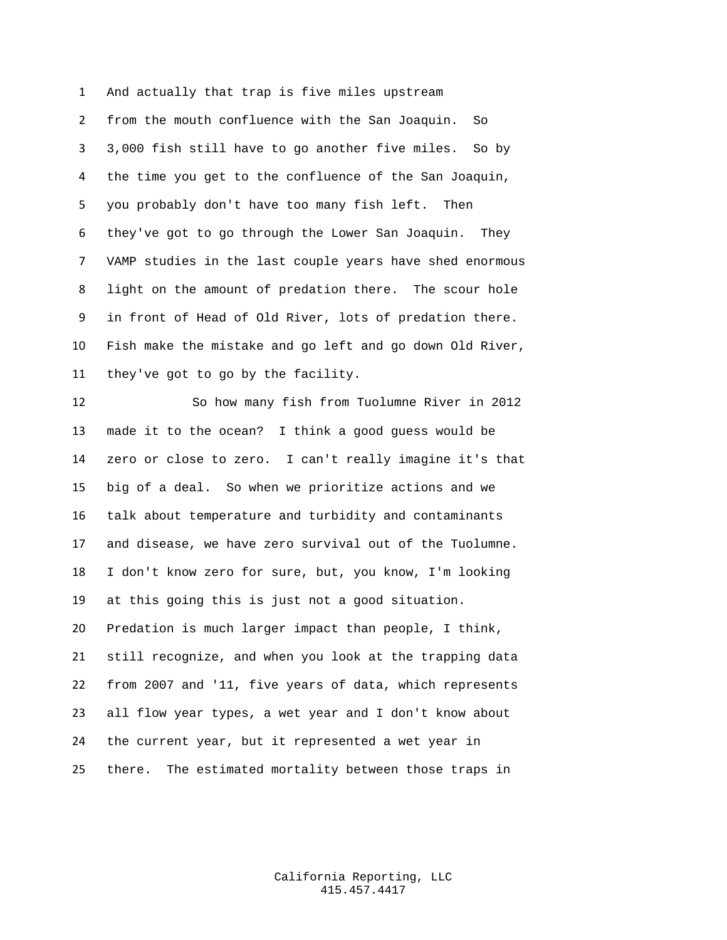And actually that trap is five miles upstream from the mouth confluence with the San Joaquin. So 3,000 fish still have to go another five miles. So by the time you get to the confluence of the San Joaquin, you probably don't have too many fish left. Then they've got to go through the Lower San Joaquin. They VAMP studies in the last couple years have shed enormous light on the amount of predation there. The scour hole in front of Head of Old River, lots of predation there. Fish make the mistake and go left and go down Old River, they've got to go by the facility.

 So how many fish from Tuolumne River in 2012 made it to the ocean? I think a good guess would be zero or close to zero. I can't really imagine it's that big of a deal. So when we prioritize actions and we talk about temperature and turbidity and contaminants and disease, we have zero survival out of the Tuolumne. I don't know zero for sure, but, you know, I'm looking at this going this is just not a good situation. Predation is much larger impact than people, I think, still recognize, and when you look at the trapping data from 2007 and '11, five years of data, which represents all flow year types, a wet year and I don't know about the current year, but it represented a wet year in there. The estimated mortality between those traps in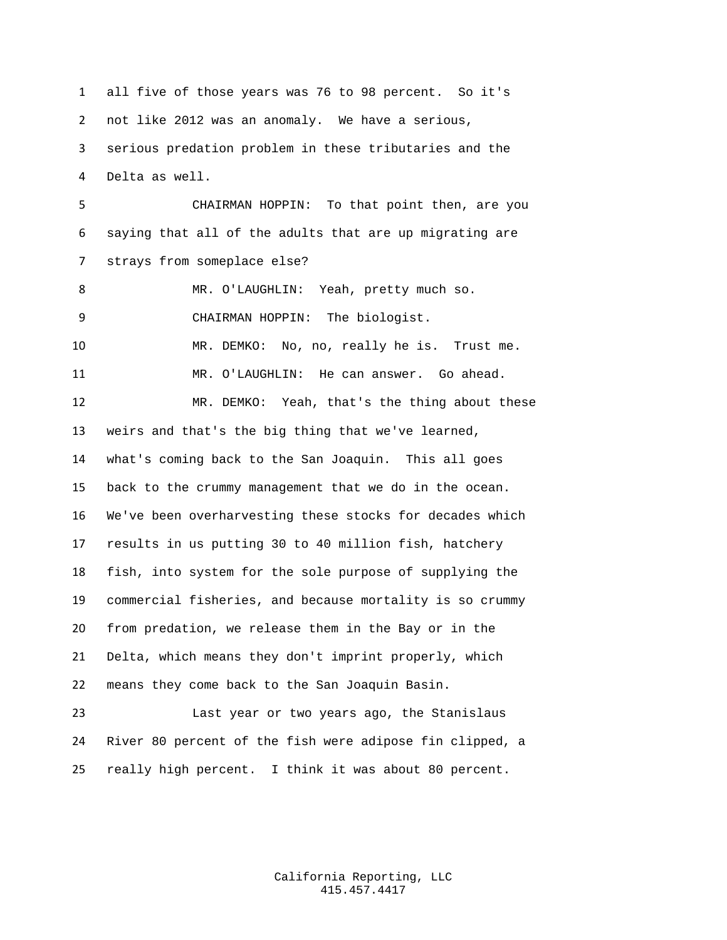all five of those years was 76 to 98 percent. So it's not like 2012 was an anomaly. We have a serious, serious predation problem in these tributaries and the Delta as well. CHAIRMAN HOPPIN: To that point then, are you saying that all of the adults that are up migrating are strays from someplace else? MR. O'LAUGHLIN: Yeah, pretty much so. CHAIRMAN HOPPIN: The biologist. MR. DEMKO: No, no, really he is. Trust me. MR. O'LAUGHLIN: He can answer. Go ahead. MR. DEMKO: Yeah, that's the thing about these weirs and that's the big thing that we've learned, what's coming back to the San Joaquin. This all goes back to the crummy management that we do in the ocean. We've been overharvesting these stocks for decades which results in us putting 30 to 40 million fish, hatchery fish, into system for the sole purpose of supplying the commercial fisheries, and because mortality is so crummy from predation, we release them in the Bay or in the Delta, which means they don't imprint properly, which means they come back to the San Joaquin Basin. Last year or two years ago, the Stanislaus River 80 percent of the fish were adipose fin clipped, a really high percent. I think it was about 80 percent.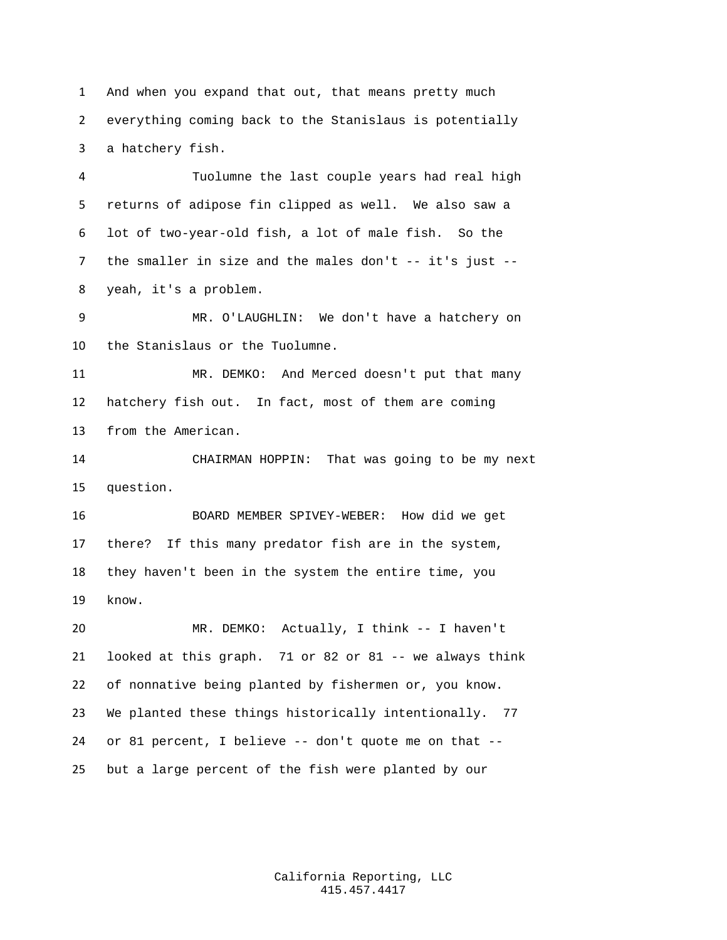And when you expand that out, that means pretty much everything coming back to the Stanislaus is potentially a hatchery fish.

 Tuolumne the last couple years had real high returns of adipose fin clipped as well. We also saw a lot of two-year-old fish, a lot of male fish. So the 7 the smaller in size and the males don't -- it's just --yeah, it's a problem.

 MR. O'LAUGHLIN: We don't have a hatchery on the Stanislaus or the Tuolumne.

 MR. DEMKO: And Merced doesn't put that many hatchery fish out. In fact, most of them are coming from the American.

 CHAIRMAN HOPPIN: That was going to be my next question.

 BOARD MEMBER SPIVEY-WEBER: How did we get there? If this many predator fish are in the system, they haven't been in the system the entire time, you know.

 MR. DEMKO: Actually, I think -- I haven't looked at this graph. 71 or 82 or 81 -- we always think of nonnative being planted by fishermen or, you know. We planted these things historically intentionally. 77 or 81 percent, I believe -- don't quote me on that -- but a large percent of the fish were planted by our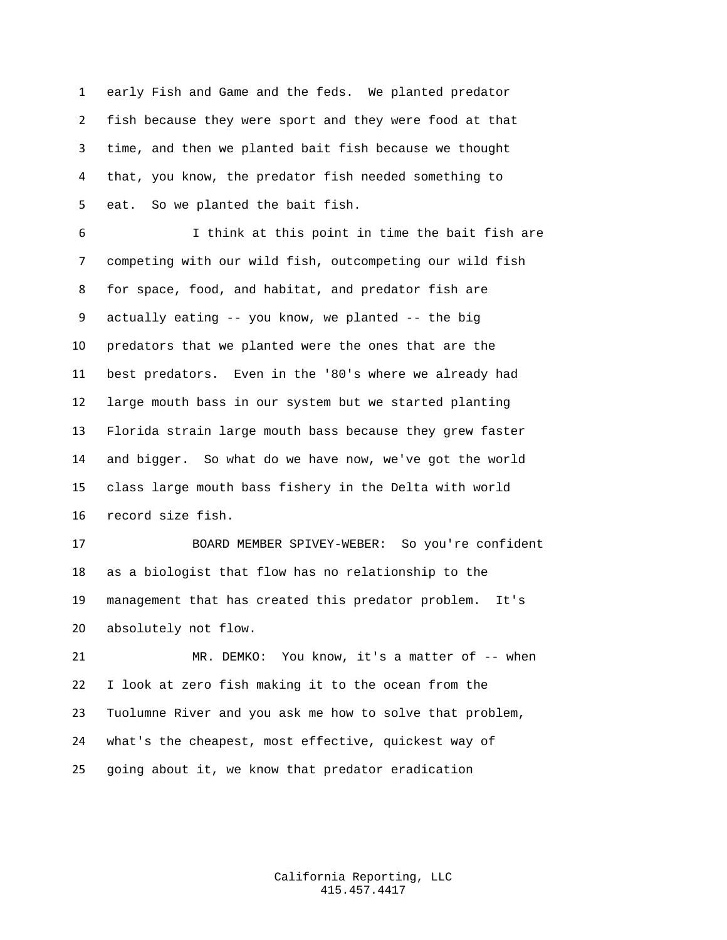early Fish and Game and the feds. We planted predator fish because they were sport and they were food at that time, and then we planted bait fish because we thought that, you know, the predator fish needed something to eat. So we planted the bait fish.

 I think at this point in time the bait fish are competing with our wild fish, outcompeting our wild fish for space, food, and habitat, and predator fish are actually eating -- you know, we planted -- the big predators that we planted were the ones that are the best predators. Even in the '80's where we already had large mouth bass in our system but we started planting Florida strain large mouth bass because they grew faster and bigger. So what do we have now, we've got the world class large mouth bass fishery in the Delta with world record size fish.

 BOARD MEMBER SPIVEY-WEBER: So you're confident as a biologist that flow has no relationship to the management that has created this predator problem. It's absolutely not flow.

 MR. DEMKO: You know, it's a matter of -- when I look at zero fish making it to the ocean from the Tuolumne River and you ask me how to solve that problem, what's the cheapest, most effective, quickest way of going about it, we know that predator eradication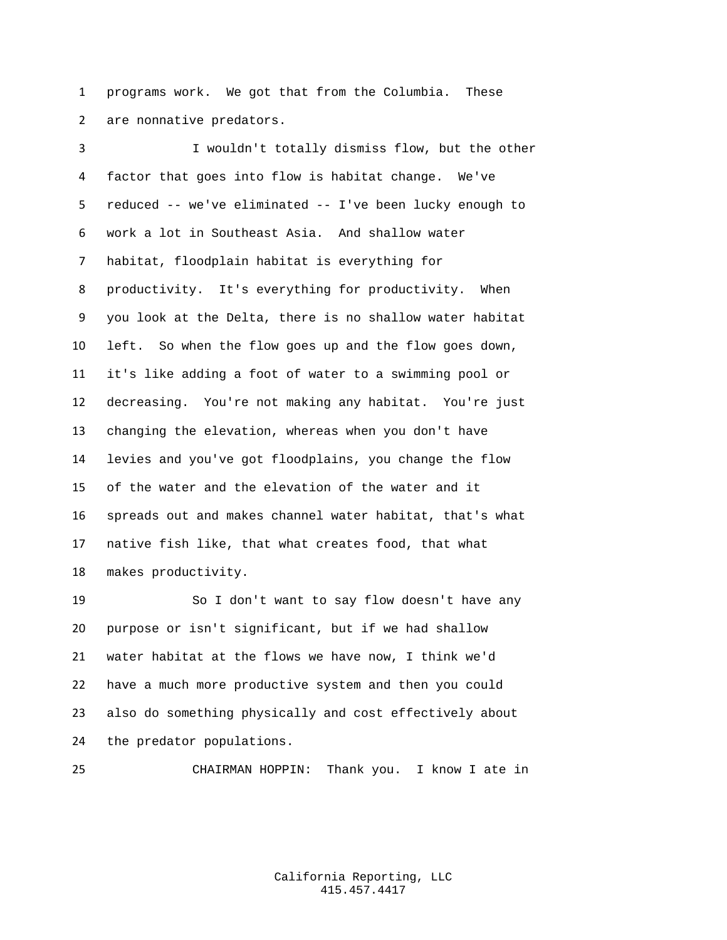programs work. We got that from the Columbia. These are nonnative predators.

 I wouldn't totally dismiss flow, but the other factor that goes into flow is habitat change. We've reduced -- we've eliminated -- I've been lucky enough to work a lot in Southeast Asia. And shallow water habitat, floodplain habitat is everything for productivity. It's everything for productivity. When you look at the Delta, there is no shallow water habitat left. So when the flow goes up and the flow goes down, it's like adding a foot of water to a swimming pool or decreasing. You're not making any habitat. You're just changing the elevation, whereas when you don't have levies and you've got floodplains, you change the flow of the water and the elevation of the water and it spreads out and makes channel water habitat, that's what native fish like, that what creates food, that what makes productivity.

 So I don't want to say flow doesn't have any purpose or isn't significant, but if we had shallow water habitat at the flows we have now, I think we'd have a much more productive system and then you could also do something physically and cost effectively about the predator populations.

CHAIRMAN HOPPIN: Thank you. I know I ate in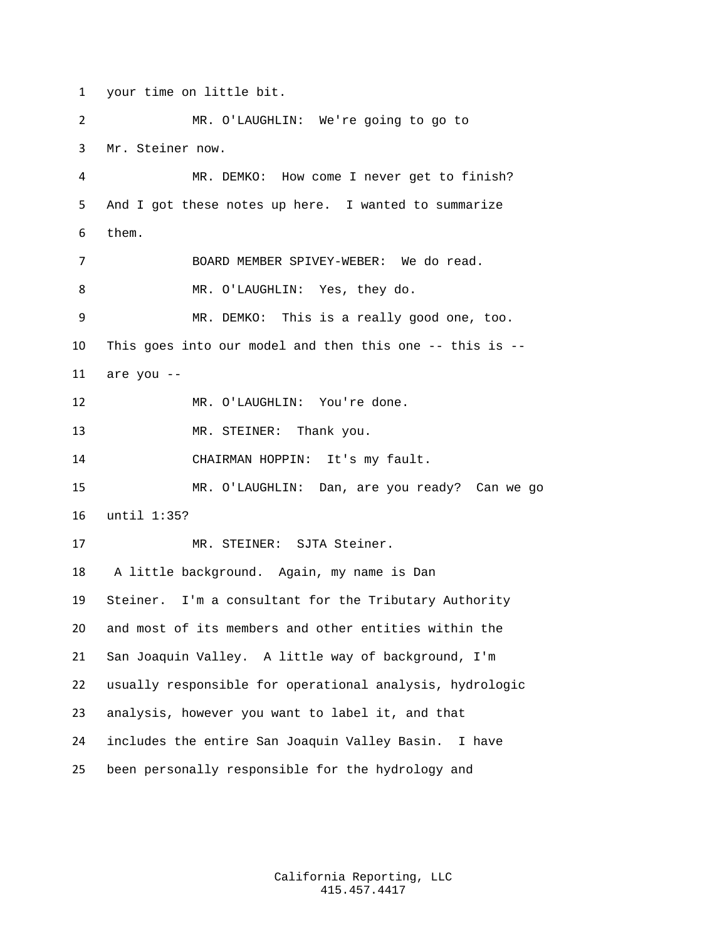your time on little bit.

 MR. O'LAUGHLIN: We're going to go to Mr. Steiner now. MR. DEMKO: How come I never get to finish? And I got these notes up here. I wanted to summarize them. BOARD MEMBER SPIVEY-WEBER: We do read. MR. O'LAUGHLIN: Yes, they do. MR. DEMKO: This is a really good one, too. This goes into our model and then this one -- this is --  $are you --$ 12 MR. O'LAUGHLIN: You're done. 13 MR. STEINER: Thank you. CHAIRMAN HOPPIN: It's my fault. MR. O'LAUGHLIN: Dan, are you ready? Can we go until 1:35? MR. STEINER: SJTA Steiner. A little background. Again, my name is Dan Steiner. I'm a consultant for the Tributary Authority and most of its members and other entities within the San Joaquin Valley. A little way of background, I'm usually responsible for operational analysis, hydrologic analysis, however you want to label it, and that includes the entire San Joaquin Valley Basin. I have been personally responsible for the hydrology and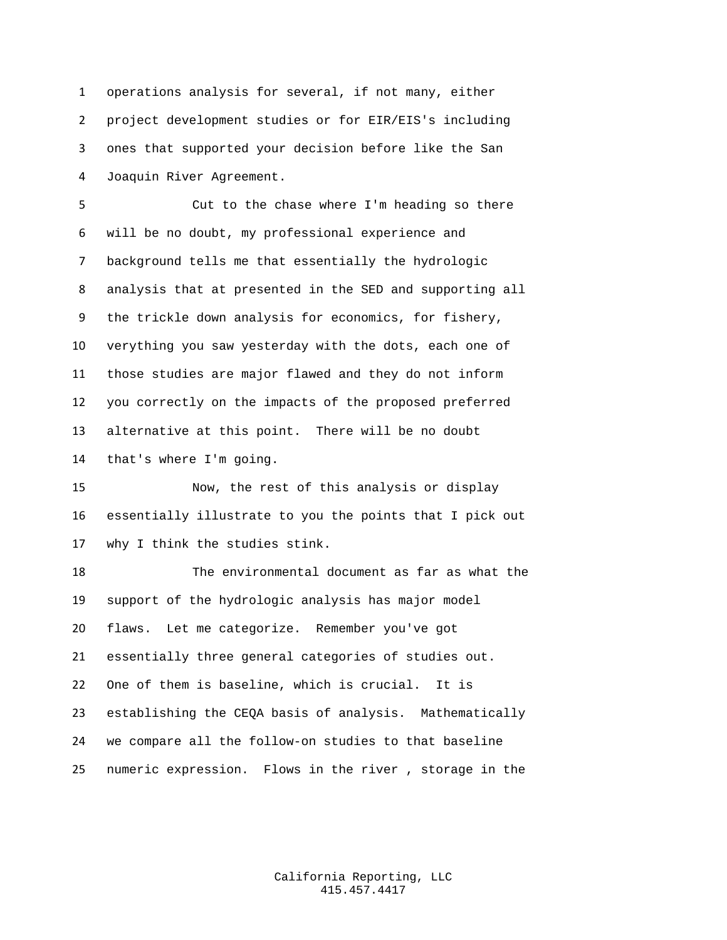operations analysis for several, if not many, either project development studies or for EIR/EIS's including ones that supported your decision before like the San Joaquin River Agreement.

 Cut to the chase where I'm heading so there will be no doubt, my professional experience and background tells me that essentially the hydrologic analysis that at presented in the SED and supporting all the trickle down analysis for economics, for fishery, verything you saw yesterday with the dots, each one of those studies are major flawed and they do not inform you correctly on the impacts of the proposed preferred alternative at this point. There will be no doubt that's where I'm going.

 Now, the rest of this analysis or display essentially illustrate to you the points that I pick out why I think the studies stink.

 The environmental document as far as what the support of the hydrologic analysis has major model flaws. Let me categorize. Remember you've got essentially three general categories of studies out. One of them is baseline, which is crucial. It is establishing the CEQA basis of analysis. Mathematically we compare all the follow-on studies to that baseline numeric expression. Flows in the river , storage in the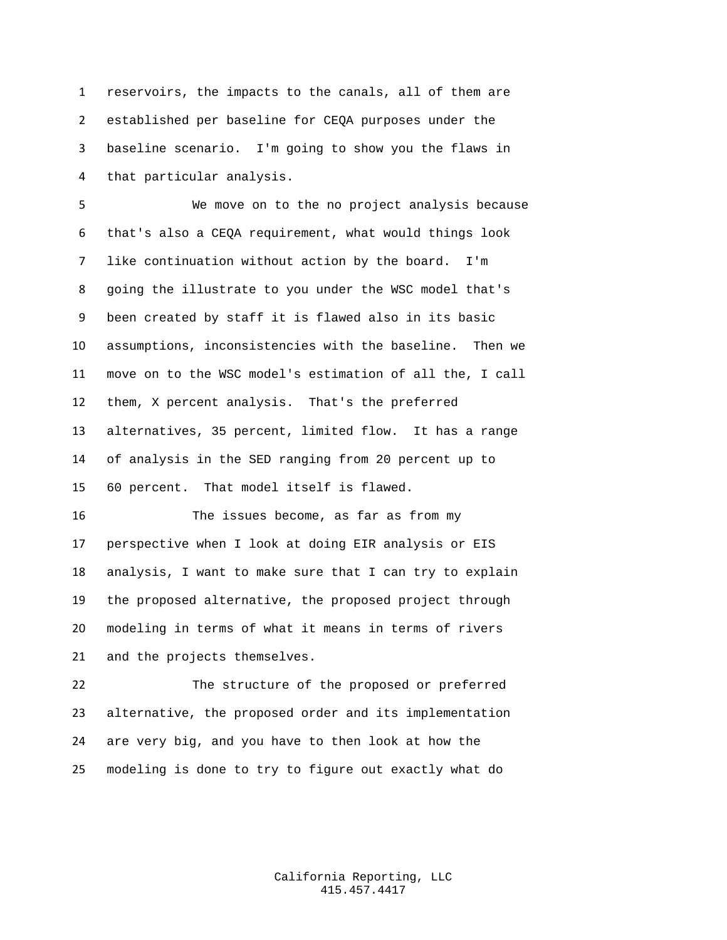reservoirs, the impacts to the canals, all of them are established per baseline for CEQA purposes under the baseline scenario. I'm going to show you the flaws in that particular analysis.

 We move on to the no project analysis because that's also a CEQA requirement, what would things look like continuation without action by the board. I'm going the illustrate to you under the WSC model that's been created by staff it is flawed also in its basic assumptions, inconsistencies with the baseline. Then we move on to the WSC model's estimation of all the, I call them, X percent analysis. That's the preferred alternatives, 35 percent, limited flow. It has a range of analysis in the SED ranging from 20 percent up to 60 percent. That model itself is flawed.

 The issues become, as far as from my perspective when I look at doing EIR analysis or EIS analysis, I want to make sure that I can try to explain the proposed alternative, the proposed project through modeling in terms of what it means in terms of rivers and the projects themselves.

 The structure of the proposed or preferred alternative, the proposed order and its implementation are very big, and you have to then look at how the modeling is done to try to figure out exactly what do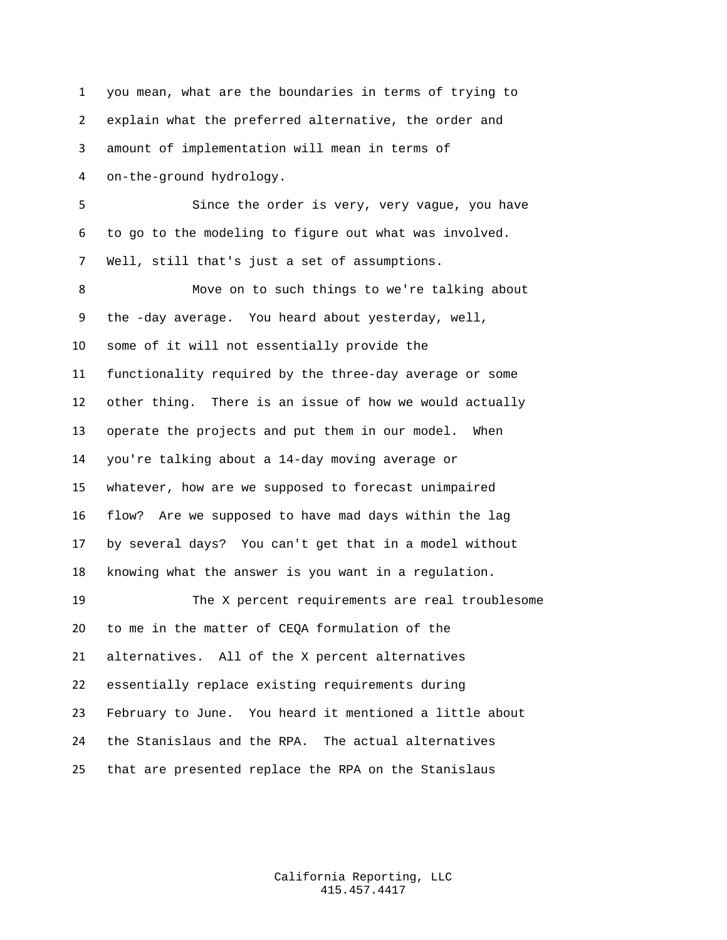you mean, what are the boundaries in terms of trying to explain what the preferred alternative, the order and amount of implementation will mean in terms of on-the-ground hydrology. Since the order is very, very vague, you have to go to the modeling to figure out what was involved. Well, still that's just a set of assumptions. Move on to such things to we're talking about the -day average. You heard about yesterday, well, some of it will not essentially provide the functionality required by the three-day average or some other thing. There is an issue of how we would actually operate the projects and put them in our model. When you're talking about a 14-day moving average or whatever, how are we supposed to forecast unimpaired flow? Are we supposed to have mad days within the lag by several days? You can't get that in a model without knowing what the answer is you want in a regulation. The X percent requirements are real troublesome to me in the matter of CEQA formulation of the alternatives. All of the X percent alternatives essentially replace existing requirements during February to June. You heard it mentioned a little about the Stanislaus and the RPA. The actual alternatives that are presented replace the RPA on the Stanislaus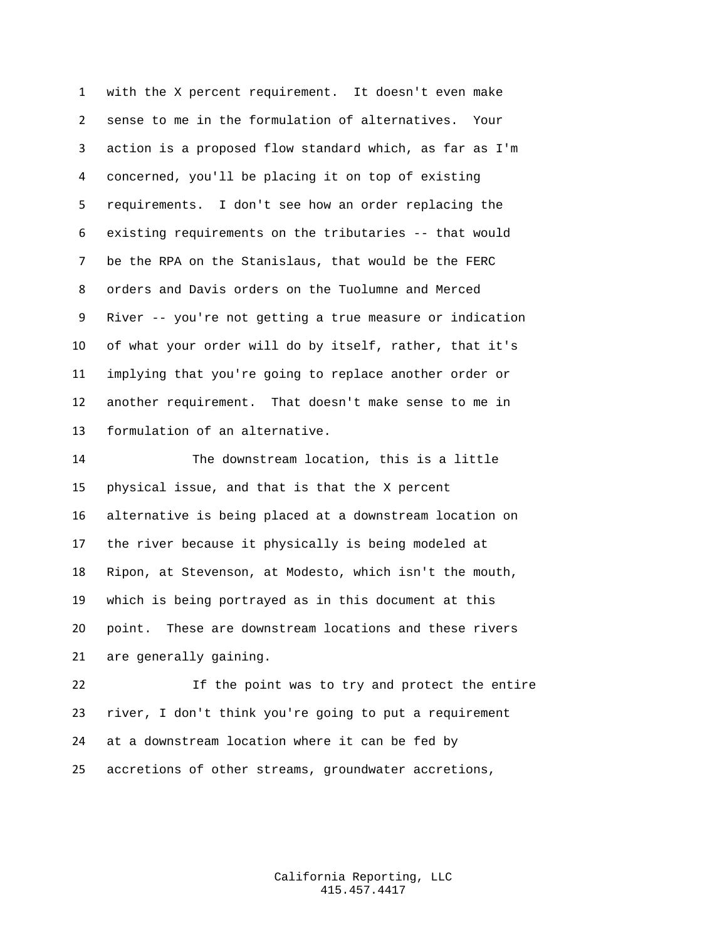with the X percent requirement. It doesn't even make sense to me in the formulation of alternatives. Your action is a proposed flow standard which, as far as I'm concerned, you'll be placing it on top of existing requirements. I don't see how an order replacing the existing requirements on the tributaries -- that would be the RPA on the Stanislaus, that would be the FERC orders and Davis orders on the Tuolumne and Merced River -- you're not getting a true measure or indication of what your order will do by itself, rather, that it's implying that you're going to replace another order or another requirement. That doesn't make sense to me in formulation of an alternative.

 The downstream location, this is a little physical issue, and that is that the X percent alternative is being placed at a downstream location on the river because it physically is being modeled at Ripon, at Stevenson, at Modesto, which isn't the mouth, which is being portrayed as in this document at this point. These are downstream locations and these rivers are generally gaining.

 If the point was to try and protect the entire river, I don't think you're going to put a requirement at a downstream location where it can be fed by accretions of other streams, groundwater accretions,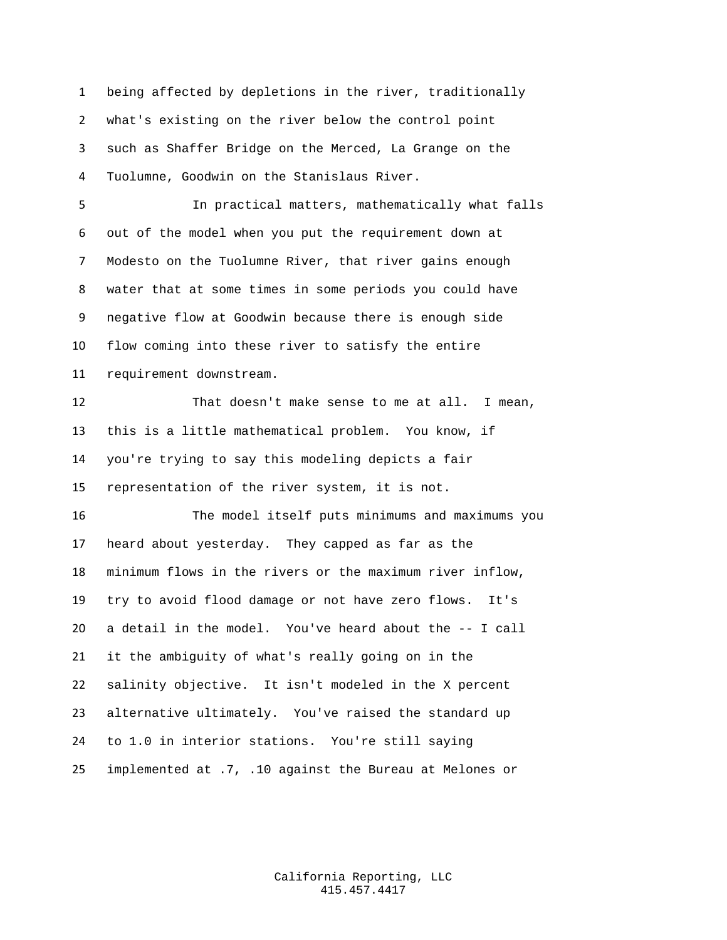being affected by depletions in the river, traditionally what's existing on the river below the control point such as Shaffer Bridge on the Merced, La Grange on the Tuolumne, Goodwin on the Stanislaus River.

 In practical matters, mathematically what falls out of the model when you put the requirement down at Modesto on the Tuolumne River, that river gains enough water that at some times in some periods you could have negative flow at Goodwin because there is enough side flow coming into these river to satisfy the entire requirement downstream.

 That doesn't make sense to me at all. I mean, this is a little mathematical problem. You know, if you're trying to say this modeling depicts a fair representation of the river system, it is not.

 The model itself puts minimums and maximums you heard about yesterday. They capped as far as the minimum flows in the rivers or the maximum river inflow, try to avoid flood damage or not have zero flows. It's a detail in the model. You've heard about the -- I call it the ambiguity of what's really going on in the salinity objective. It isn't modeled in the X percent alternative ultimately. You've raised the standard up to 1.0 in interior stations. You're still saying implemented at .7, .10 against the Bureau at Melones or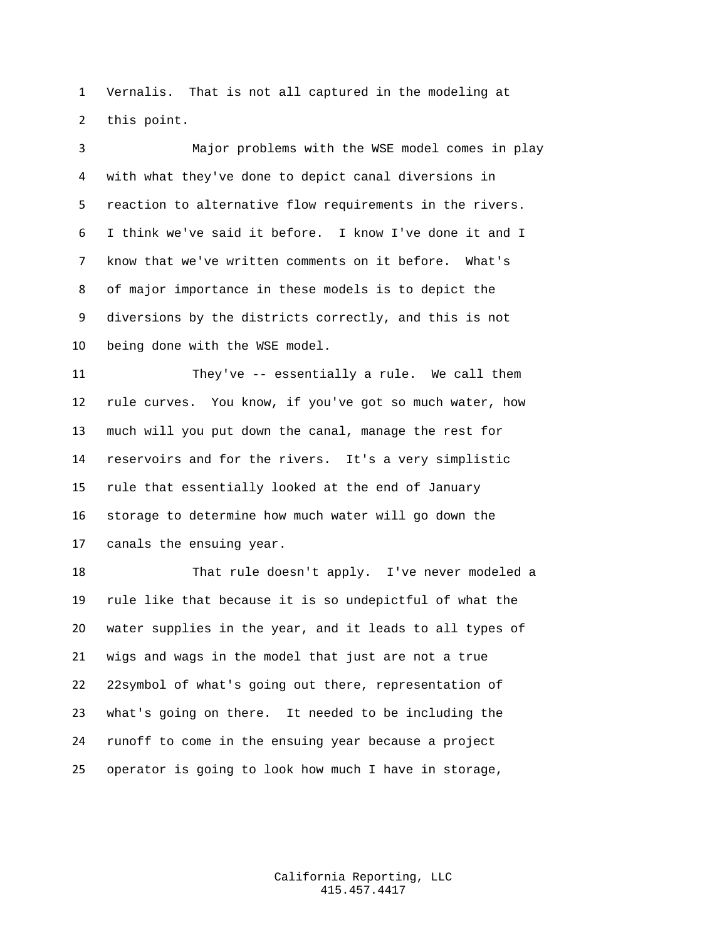Vernalis. That is not all captured in the modeling at this point.

 Major problems with the WSE model comes in play with what they've done to depict canal diversions in reaction to alternative flow requirements in the rivers. I think we've said it before. I know I've done it and I know that we've written comments on it before. What's of major importance in these models is to depict the diversions by the districts correctly, and this is not being done with the WSE model.

 They've -- essentially a rule. We call them rule curves. You know, if you've got so much water, how much will you put down the canal, manage the rest for reservoirs and for the rivers. It's a very simplistic rule that essentially looked at the end of January storage to determine how much water will go down the canals the ensuing year.

 That rule doesn't apply. I've never modeled a rule like that because it is so undepictful of what the water supplies in the year, and it leads to all types of wigs and wags in the model that just are not a true 22symbol of what's going out there, representation of what's going on there. It needed to be including the runoff to come in the ensuing year because a project operator is going to look how much I have in storage,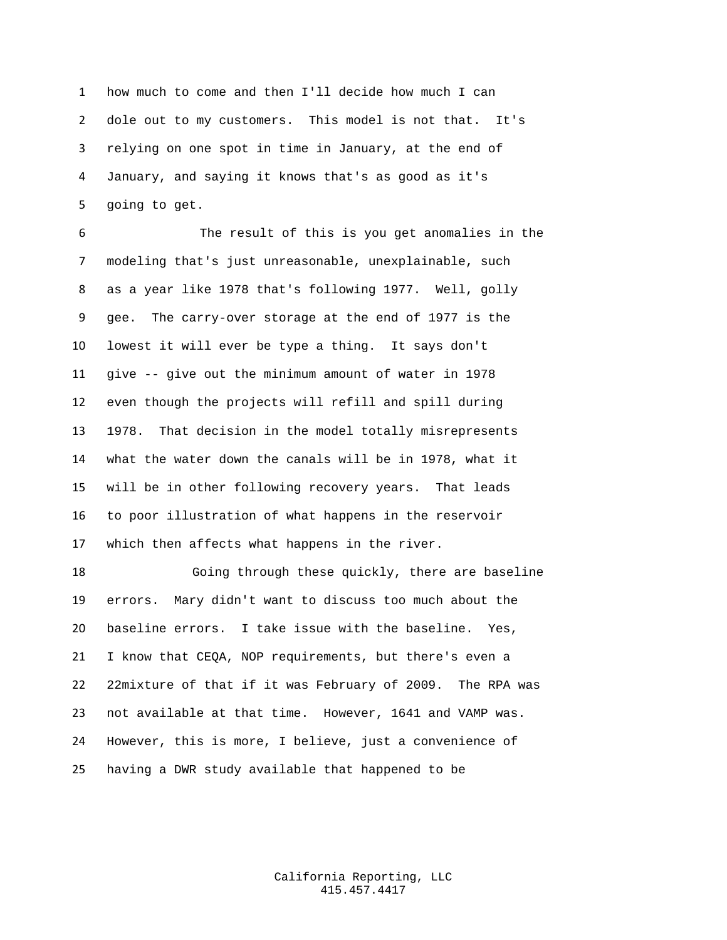how much to come and then I'll decide how much I can dole out to my customers. This model is not that. It's relying on one spot in time in January, at the end of January, and saying it knows that's as good as it's going to get.

 The result of this is you get anomalies in the modeling that's just unreasonable, unexplainable, such as a year like 1978 that's following 1977. Well, golly gee. The carry-over storage at the end of 1977 is the lowest it will ever be type a thing. It says don't give -- give out the minimum amount of water in 1978 even though the projects will refill and spill during 1978. That decision in the model totally misrepresents what the water down the canals will be in 1978, what it will be in other following recovery years. That leads to poor illustration of what happens in the reservoir which then affects what happens in the river.

 Going through these quickly, there are baseline errors. Mary didn't want to discuss too much about the baseline errors. I take issue with the baseline. Yes, I know that CEQA, NOP requirements, but there's even a 22mixture of that if it was February of 2009. The RPA was not available at that time. However, 1641 and VAMP was. However, this is more, I believe, just a convenience of having a DWR study available that happened to be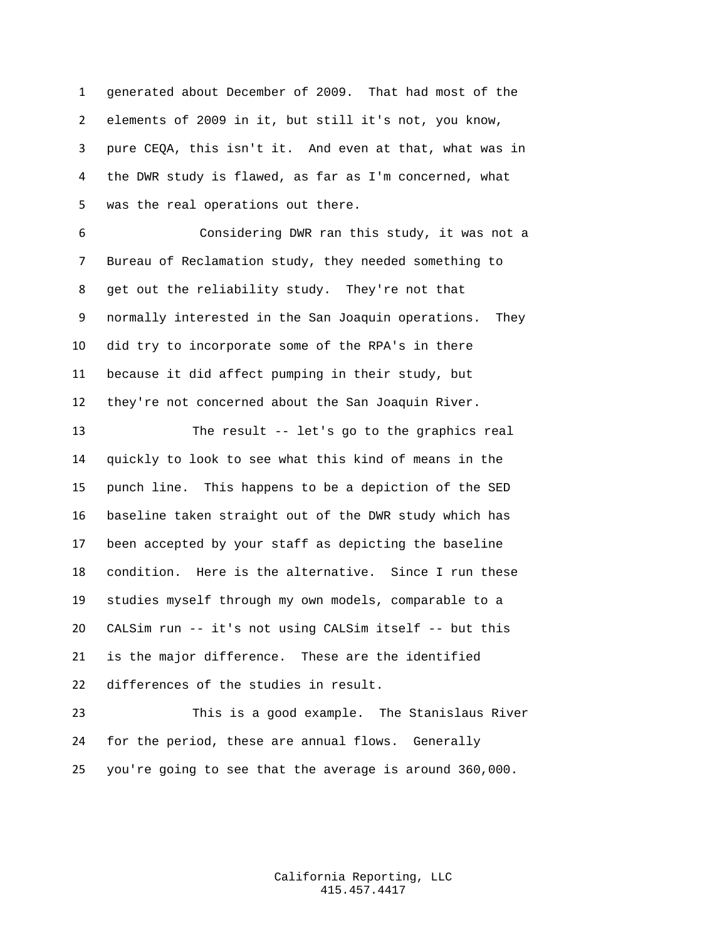generated about December of 2009. That had most of the elements of 2009 in it, but still it's not, you know, pure CEQA, this isn't it. And even at that, what was in the DWR study is flawed, as far as I'm concerned, what was the real operations out there.

 Considering DWR ran this study, it was not a Bureau of Reclamation study, they needed something to get out the reliability study. They're not that normally interested in the San Joaquin operations. They did try to incorporate some of the RPA's in there because it did affect pumping in their study, but they're not concerned about the San Joaquin River.

 The result -- let's go to the graphics real quickly to look to see what this kind of means in the punch line. This happens to be a depiction of the SED baseline taken straight out of the DWR study which has been accepted by your staff as depicting the baseline condition. Here is the alternative. Since I run these studies myself through my own models, comparable to a CALSim run -- it's not using CALSim itself -- but this is the major difference. These are the identified differences of the studies in result.

 This is a good example. The Stanislaus River for the period, these are annual flows. Generally you're going to see that the average is around 360,000.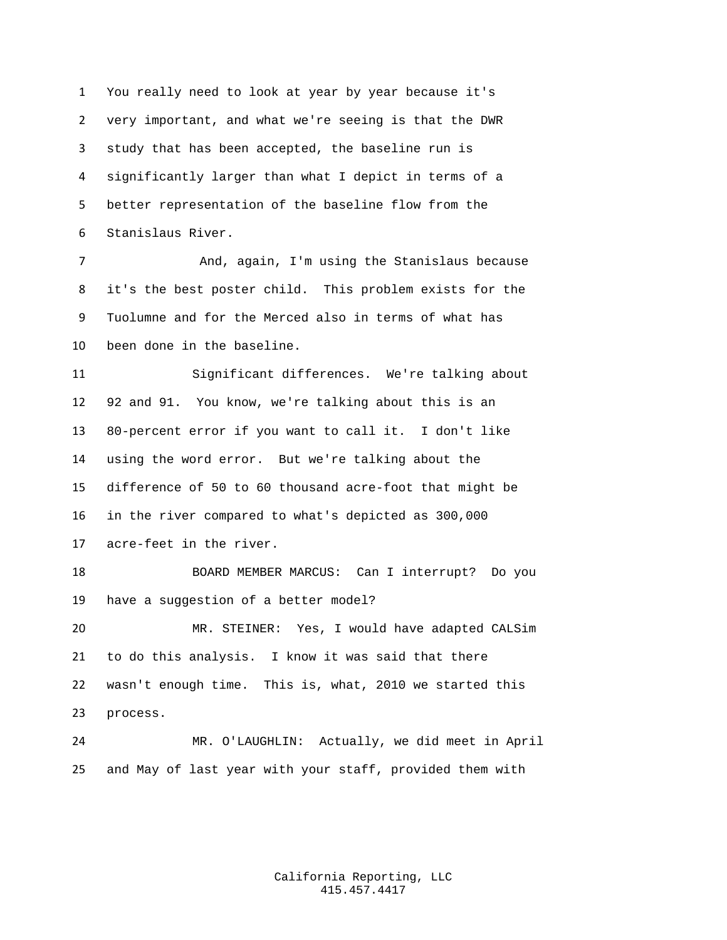You really need to look at year by year because it's very important, and what we're seeing is that the DWR study that has been accepted, the baseline run is significantly larger than what I depict in terms of a better representation of the baseline flow from the Stanislaus River.

 And, again, I'm using the Stanislaus because it's the best poster child. This problem exists for the Tuolumne and for the Merced also in terms of what has been done in the baseline.

 Significant differences. We're talking about 92 and 91. You know, we're talking about this is an 80-percent error if you want to call it. I don't like using the word error. But we're talking about the difference of 50 to 60 thousand acre-foot that might be in the river compared to what's depicted as 300,000 acre-feet in the river.

 BOARD MEMBER MARCUS: Can I interrupt? Do you have a suggestion of a better model?

 MR. STEINER: Yes, I would have adapted CALSim to do this analysis. I know it was said that there wasn't enough time. This is, what, 2010 we started this process.

 MR. O'LAUGHLIN: Actually, we did meet in April and May of last year with your staff, provided them with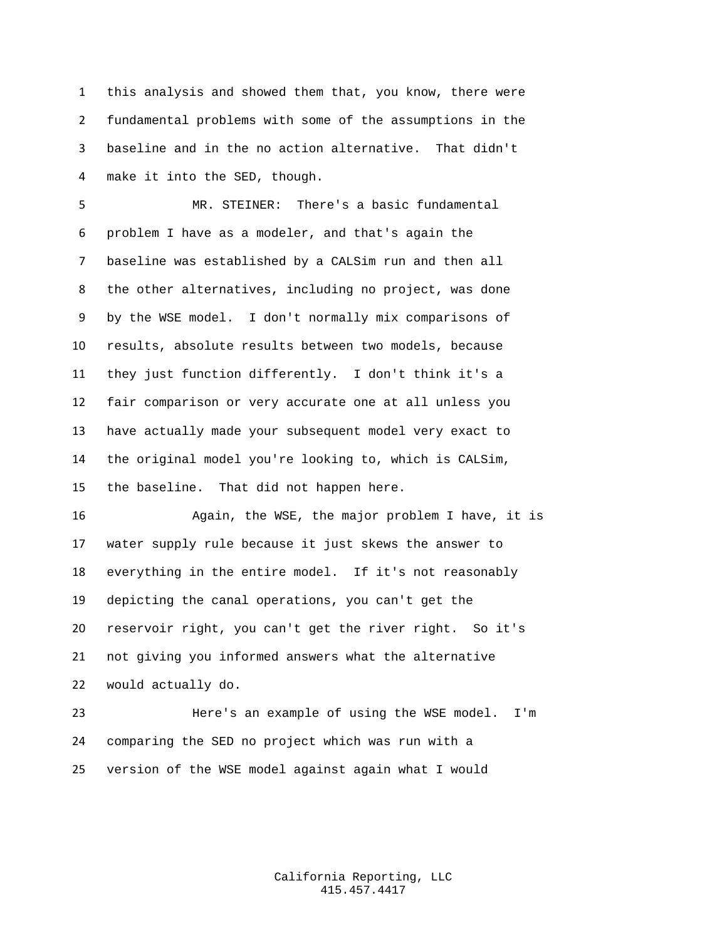this analysis and showed them that, you know, there were fundamental problems with some of the assumptions in the baseline and in the no action alternative. That didn't make it into the SED, though.

 MR. STEINER: There's a basic fundamental problem I have as a modeler, and that's again the baseline was established by a CALSim run and then all the other alternatives, including no project, was done by the WSE model. I don't normally mix comparisons of results, absolute results between two models, because they just function differently. I don't think it's a fair comparison or very accurate one at all unless you have actually made your subsequent model very exact to the original model you're looking to, which is CALSim, the baseline. That did not happen here.

 Again, the WSE, the major problem I have, it is water supply rule because it just skews the answer to everything in the entire model. If it's not reasonably depicting the canal operations, you can't get the reservoir right, you can't get the river right. So it's not giving you informed answers what the alternative would actually do.

 Here's an example of using the WSE model. I'm comparing the SED no project which was run with a version of the WSE model against again what I would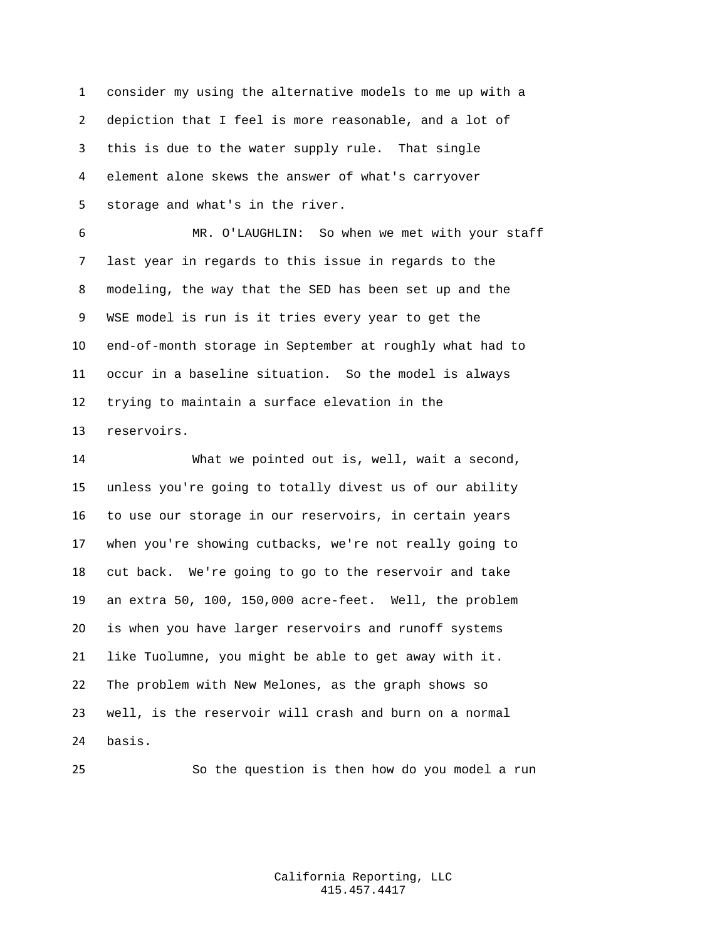consider my using the alternative models to me up with a depiction that I feel is more reasonable, and a lot of this is due to the water supply rule. That single element alone skews the answer of what's carryover storage and what's in the river.

 MR. O'LAUGHLIN: So when we met with your staff last year in regards to this issue in regards to the modeling, the way that the SED has been set up and the WSE model is run is it tries every year to get the end-of-month storage in September at roughly what had to occur in a baseline situation. So the model is always trying to maintain a surface elevation in the reservoirs.

 What we pointed out is, well, wait a second, unless you're going to totally divest us of our ability to use our storage in our reservoirs, in certain years when you're showing cutbacks, we're not really going to cut back. We're going to go to the reservoir and take an extra 50, 100, 150,000 acre-feet. Well, the problem is when you have larger reservoirs and runoff systems like Tuolumne, you might be able to get away with it. The problem with New Melones, as the graph shows so well, is the reservoir will crash and burn on a normal basis.

So the question is then how do you model a run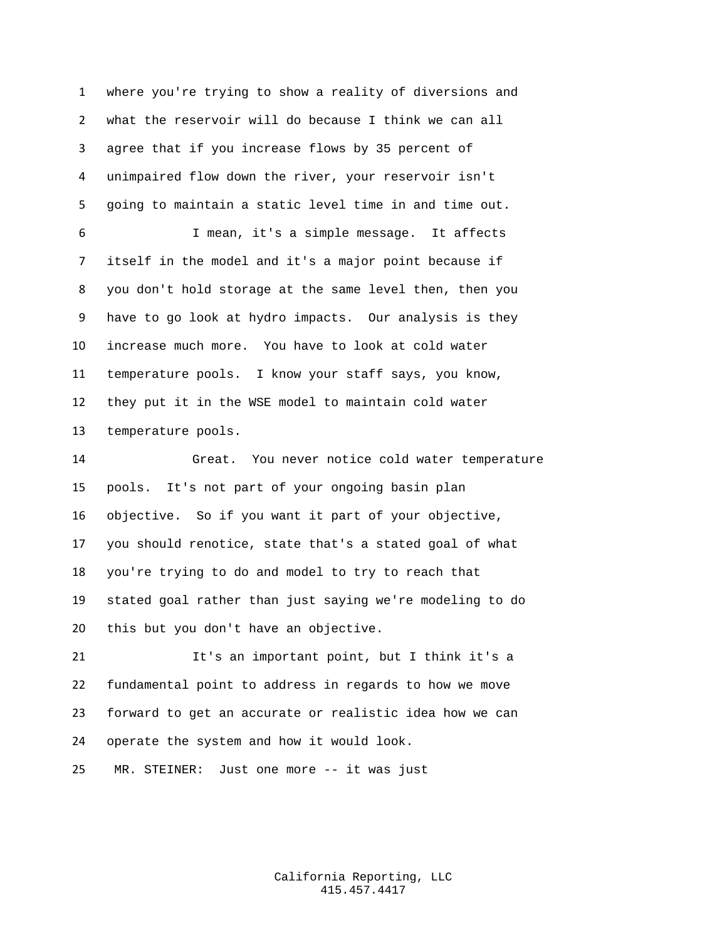where you're trying to show a reality of diversions and what the reservoir will do because I think we can all agree that if you increase flows by 35 percent of unimpaired flow down the river, your reservoir isn't going to maintain a static level time in and time out. I mean, it's a simple message. It affects itself in the model and it's a major point because if you don't hold storage at the same level then, then you have to go look at hydro impacts. Our analysis is they increase much more. You have to look at cold water temperature pools. I know your staff says, you know, they put it in the WSE model to maintain cold water temperature pools.

 Great. You never notice cold water temperature pools. It's not part of your ongoing basin plan objective. So if you want it part of your objective, you should renotice, state that's a stated goal of what you're trying to do and model to try to reach that stated goal rather than just saying we're modeling to do this but you don't have an objective.

 It's an important point, but I think it's a fundamental point to address in regards to how we move forward to get an accurate or realistic idea how we can operate the system and how it would look.

MR. STEINER: Just one more -- it was just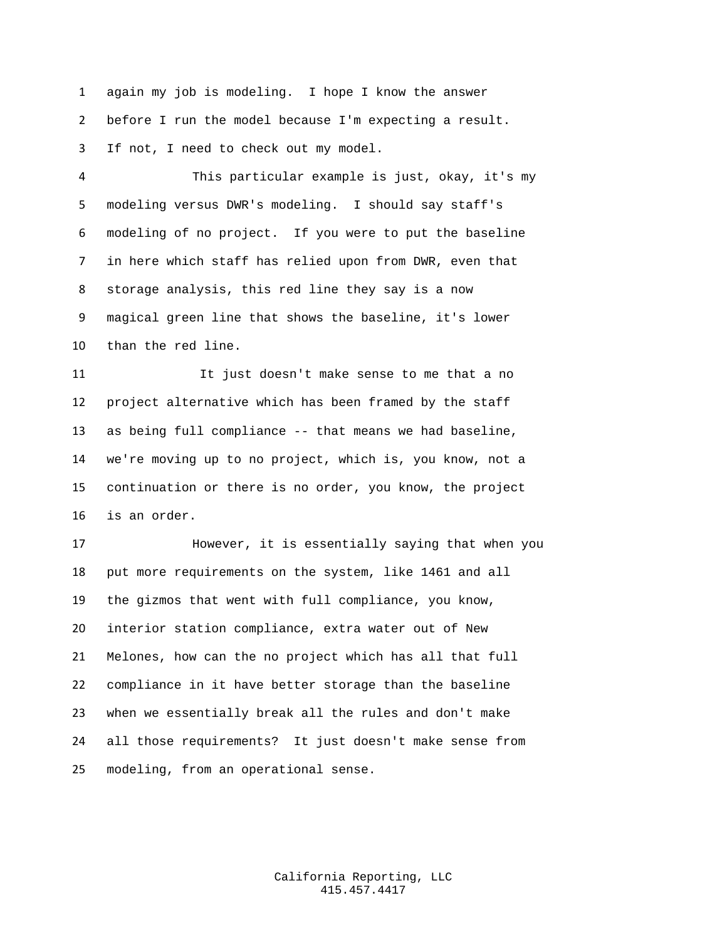again my job is modeling. I hope I know the answer before I run the model because I'm expecting a result. If not, I need to check out my model.

 This particular example is just, okay, it's my modeling versus DWR's modeling. I should say staff's modeling of no project. If you were to put the baseline in here which staff has relied upon from DWR, even that storage analysis, this red line they say is a now magical green line that shows the baseline, it's lower than the red line.

 It just doesn't make sense to me that a no project alternative which has been framed by the staff as being full compliance -- that means we had baseline, we're moving up to no project, which is, you know, not a continuation or there is no order, you know, the project is an order.

 However, it is essentially saying that when you put more requirements on the system, like 1461 and all the gizmos that went with full compliance, you know, interior station compliance, extra water out of New Melones, how can the no project which has all that full compliance in it have better storage than the baseline when we essentially break all the rules and don't make all those requirements? It just doesn't make sense from modeling, from an operational sense.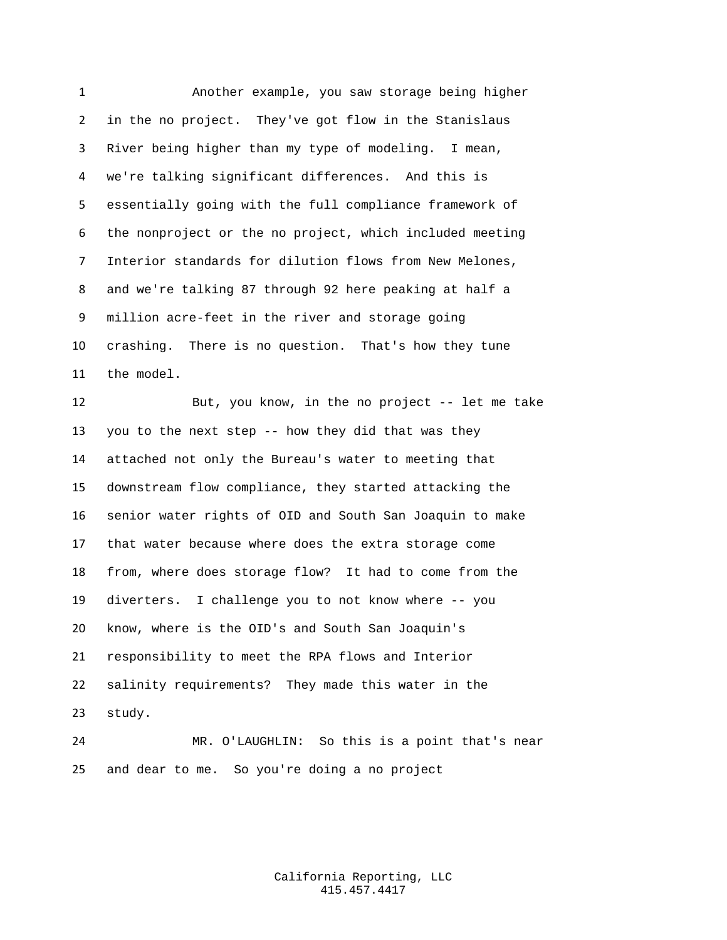Another example, you saw storage being higher in the no project. They've got flow in the Stanislaus River being higher than my type of modeling. I mean, we're talking significant differences. And this is essentially going with the full compliance framework of the nonproject or the no project, which included meeting Interior standards for dilution flows from New Melones, and we're talking 87 through 92 here peaking at half a million acre-feet in the river and storage going crashing. There is no question. That's how they tune the model. But, you know, in the no project -- let me take

 you to the next step -- how they did that was they attached not only the Bureau's water to meeting that downstream flow compliance, they started attacking the senior water rights of OID and South San Joaquin to make that water because where does the extra storage come from, where does storage flow? It had to come from the diverters. I challenge you to not know where -- you know, where is the OID's and South San Joaquin's responsibility to meet the RPA flows and Interior salinity requirements? They made this water in the study.

 MR. O'LAUGHLIN: So this is a point that's near and dear to me. So you're doing a no project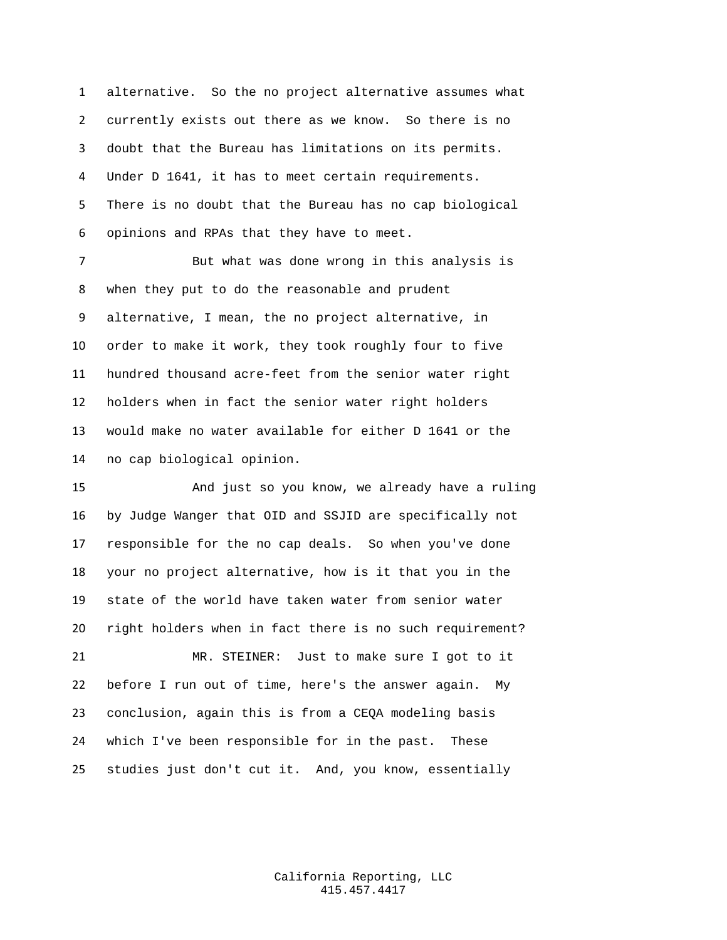alternative. So the no project alternative assumes what currently exists out there as we know. So there is no doubt that the Bureau has limitations on its permits. Under D 1641, it has to meet certain requirements. There is no doubt that the Bureau has no cap biological opinions and RPAs that they have to meet.

 But what was done wrong in this analysis is when they put to do the reasonable and prudent alternative, I mean, the no project alternative, in order to make it work, they took roughly four to five hundred thousand acre-feet from the senior water right holders when in fact the senior water right holders would make no water available for either D 1641 or the no cap biological opinion.

 And just so you know, we already have a ruling by Judge Wanger that OID and SSJID are specifically not responsible for the no cap deals. So when you've done your no project alternative, how is it that you in the state of the world have taken water from senior water right holders when in fact there is no such requirement? MR. STEINER: Just to make sure I got to it before I run out of time, here's the answer again. My conclusion, again this is from a CEQA modeling basis which I've been responsible for in the past. These

studies just don't cut it. And, you know, essentially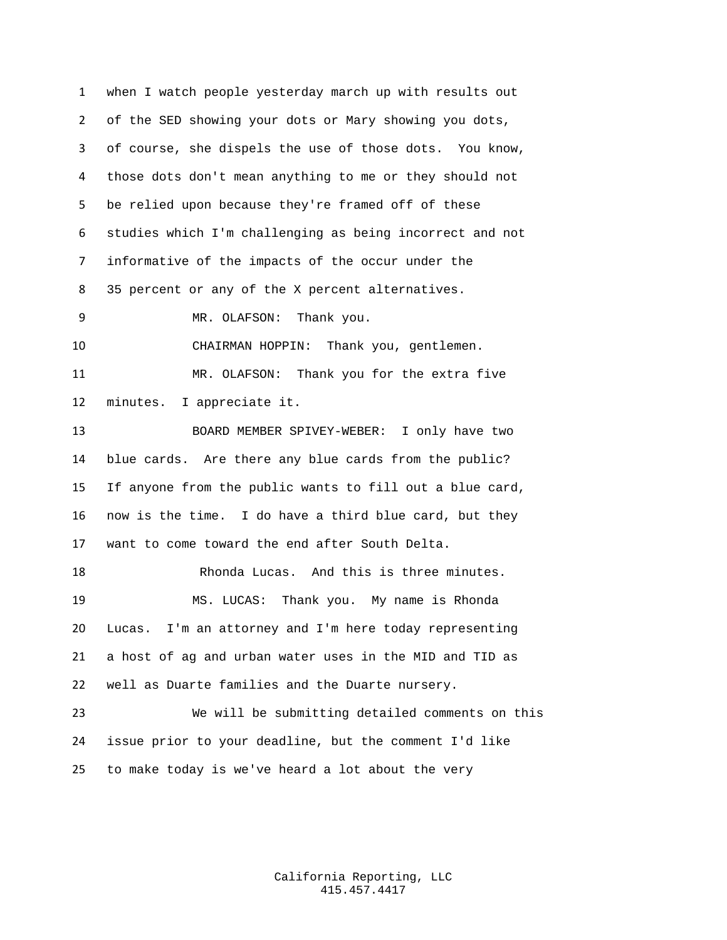when I watch people yesterday march up with results out of the SED showing your dots or Mary showing you dots, of course, she dispels the use of those dots. You know, those dots don't mean anything to me or they should not be relied upon because they're framed off of these studies which I'm challenging as being incorrect and not informative of the impacts of the occur under the 35 percent or any of the X percent alternatives. MR. OLAFSON: Thank you. CHAIRMAN HOPPIN: Thank you, gentlemen. MR. OLAFSON: Thank you for the extra five minutes. I appreciate it. BOARD MEMBER SPIVEY-WEBER: I only have two blue cards. Are there any blue cards from the public? If anyone from the public wants to fill out a blue card, now is the time. I do have a third blue card, but they want to come toward the end after South Delta. 18 Rhonda Lucas. And this is three minutes. MS. LUCAS: Thank you. My name is Rhonda Lucas. I'm an attorney and I'm here today representing a host of ag and urban water uses in the MID and TID as well as Duarte families and the Duarte nursery. We will be submitting detailed comments on this issue prior to your deadline, but the comment I'd like to make today is we've heard a lot about the very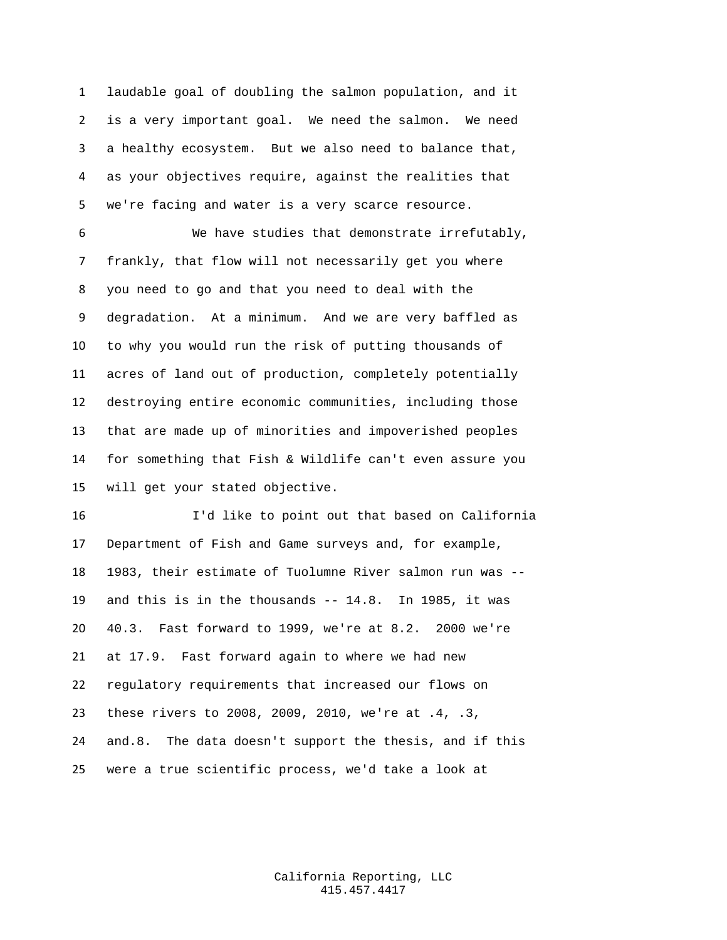laudable goal of doubling the salmon population, and it is a very important goal. We need the salmon. We need a healthy ecosystem. But we also need to balance that, as your objectives require, against the realities that we're facing and water is a very scarce resource.

 We have studies that demonstrate irrefutably, frankly, that flow will not necessarily get you where you need to go and that you need to deal with the degradation. At a minimum. And we are very baffled as to why you would run the risk of putting thousands of acres of land out of production, completely potentially destroying entire economic communities, including those that are made up of minorities and impoverished peoples for something that Fish & Wildlife can't even assure you will get your stated objective.

 I'd like to point out that based on California Department of Fish and Game surveys and, for example, 1983, their estimate of Tuolumne River salmon run was -- and this is in the thousands -- 14.8. In 1985, it was 40.3. Fast forward to 1999, we're at 8.2. 2000 we're at 17.9. Fast forward again to where we had new regulatory requirements that increased our flows on these rivers to 2008, 2009, 2010, we're at .4, .3, and.8. The data doesn't support the thesis, and if this were a true scientific process, we'd take a look at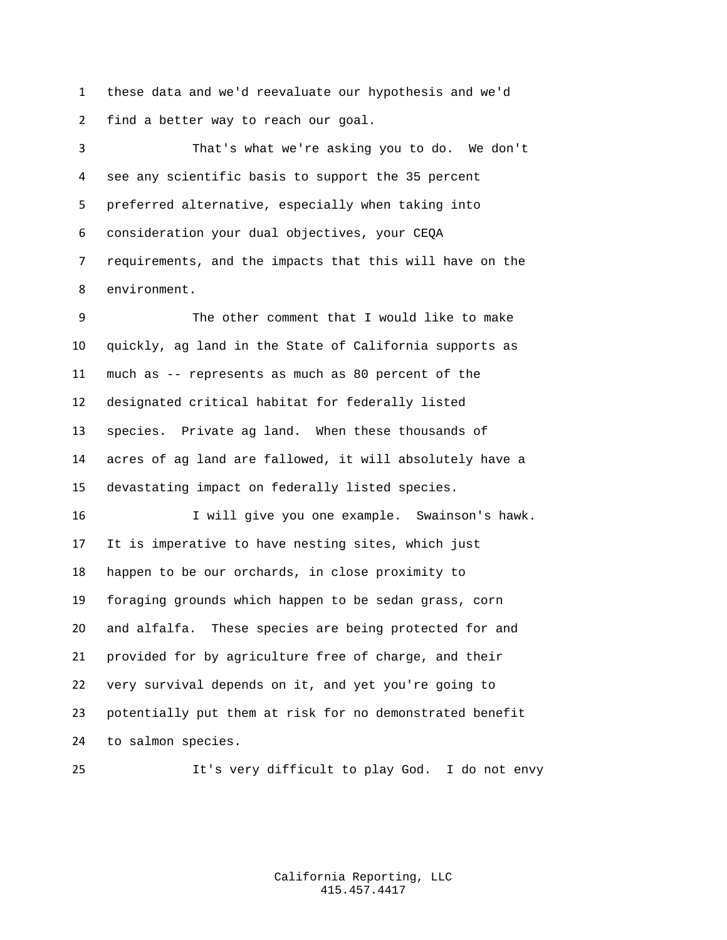these data and we'd reevaluate our hypothesis and we'd find a better way to reach our goal.

 That's what we're asking you to do. We don't see any scientific basis to support the 35 percent preferred alternative, especially when taking into consideration your dual objectives, your CEQA requirements, and the impacts that this will have on the environment.

 The other comment that I would like to make quickly, ag land in the State of California supports as much as -- represents as much as 80 percent of the designated critical habitat for federally listed species. Private ag land. When these thousands of acres of ag land are fallowed, it will absolutely have a devastating impact on federally listed species.

 I will give you one example. Swainson's hawk. It is imperative to have nesting sites, which just happen to be our orchards, in close proximity to foraging grounds which happen to be sedan grass, corn and alfalfa. These species are being protected for and provided for by agriculture free of charge, and their very survival depends on it, and yet you're going to potentially put them at risk for no demonstrated benefit to salmon species.

It's very difficult to play God. I do not envy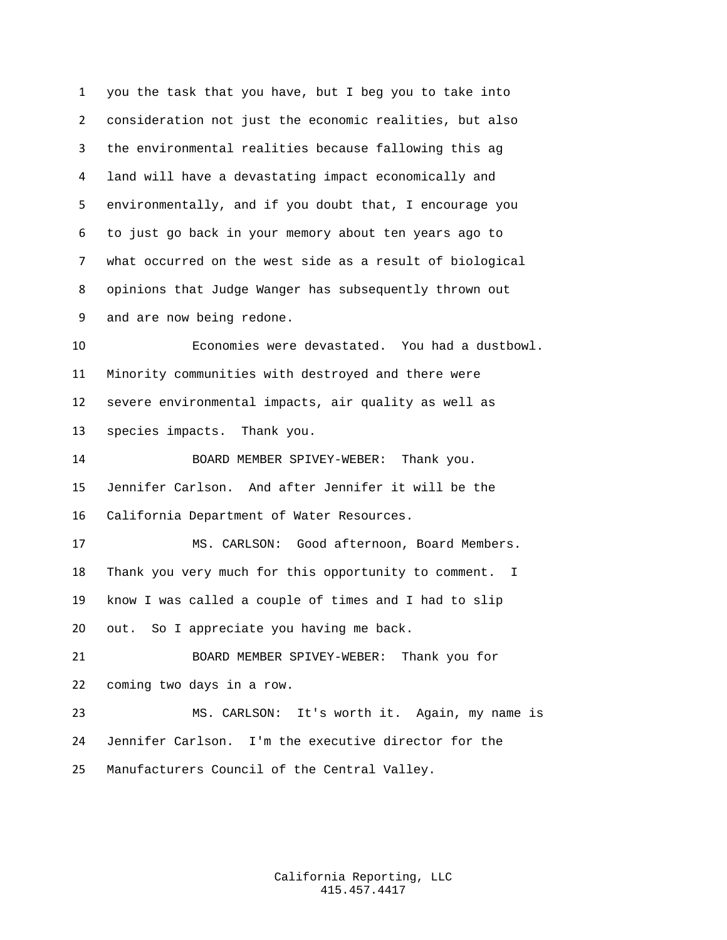you the task that you have, but I beg you to take into consideration not just the economic realities, but also the environmental realities because fallowing this ag land will have a devastating impact economically and environmentally, and if you doubt that, I encourage you to just go back in your memory about ten years ago to what occurred on the west side as a result of biological opinions that Judge Wanger has subsequently thrown out and are now being redone. Economies were devastated. You had a dustbowl. Minority communities with destroyed and there were severe environmental impacts, air quality as well as species impacts. Thank you. BOARD MEMBER SPIVEY-WEBER: Thank you. Jennifer Carlson. And after Jennifer it will be the California Department of Water Resources. MS. CARLSON: Good afternoon, Board Members. Thank you very much for this opportunity to comment. I know I was called a couple of times and I had to slip out. So I appreciate you having me back. BOARD MEMBER SPIVEY-WEBER: Thank you for coming two days in a row. MS. CARLSON: It's worth it. Again, my name is Jennifer Carlson. I'm the executive director for the Manufacturers Council of the Central Valley.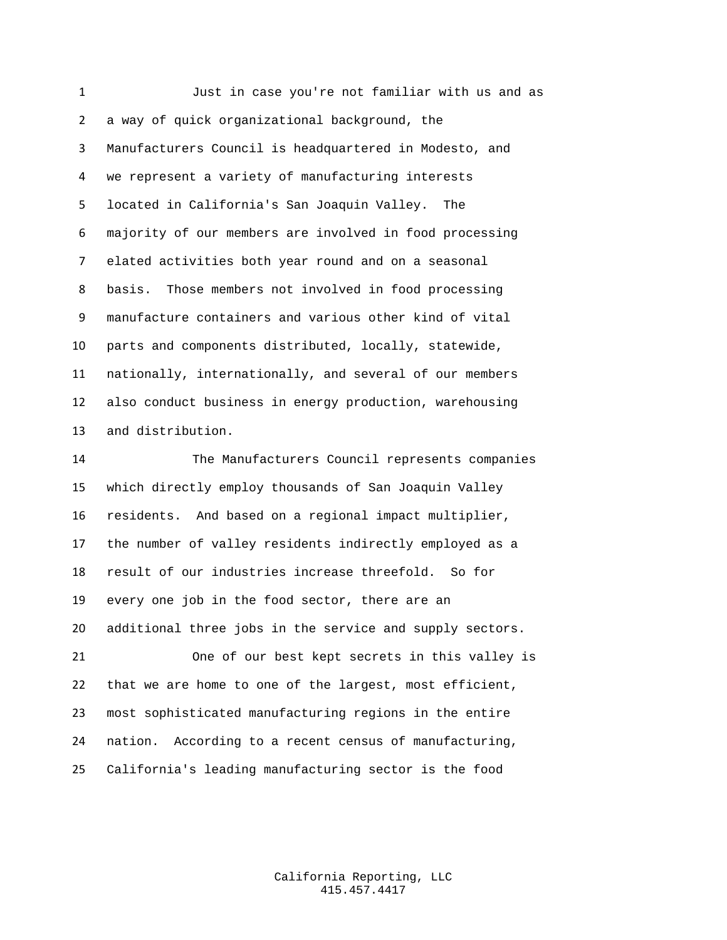Just in case you're not familiar with us and as a way of quick organizational background, the Manufacturers Council is headquartered in Modesto, and we represent a variety of manufacturing interests located in California's San Joaquin Valley. The majority of our members are involved in food processing elated activities both year round and on a seasonal basis. Those members not involved in food processing manufacture containers and various other kind of vital parts and components distributed, locally, statewide, nationally, internationally, and several of our members also conduct business in energy production, warehousing and distribution.

 The Manufacturers Council represents companies which directly employ thousands of San Joaquin Valley residents. And based on a regional impact multiplier, the number of valley residents indirectly employed as a result of our industries increase threefold. So for every one job in the food sector, there are an additional three jobs in the service and supply sectors. One of our best kept secrets in this valley is that we are home to one of the largest, most efficient, most sophisticated manufacturing regions in the entire nation. According to a recent census of manufacturing,

California's leading manufacturing sector is the food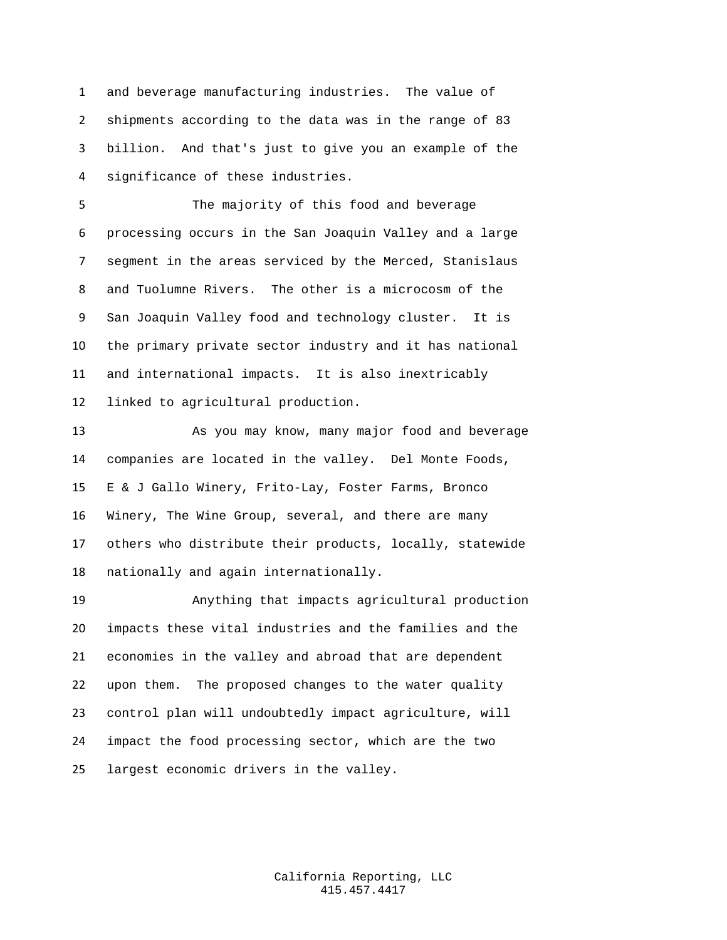and beverage manufacturing industries. The value of shipments according to the data was in the range of 83 billion. And that's just to give you an example of the significance of these industries.

 The majority of this food and beverage processing occurs in the San Joaquin Valley and a large segment in the areas serviced by the Merced, Stanislaus and Tuolumne Rivers. The other is a microcosm of the San Joaquin Valley food and technology cluster. It is the primary private sector industry and it has national and international impacts. It is also inextricably linked to agricultural production.

 As you may know, many major food and beverage companies are located in the valley. Del Monte Foods, E & J Gallo Winery, Frito-Lay, Foster Farms, Bronco Winery, The Wine Group, several, and there are many others who distribute their products, locally, statewide nationally and again internationally.

 Anything that impacts agricultural production impacts these vital industries and the families and the economies in the valley and abroad that are dependent upon them. The proposed changes to the water quality control plan will undoubtedly impact agriculture, will impact the food processing sector, which are the two largest economic drivers in the valley.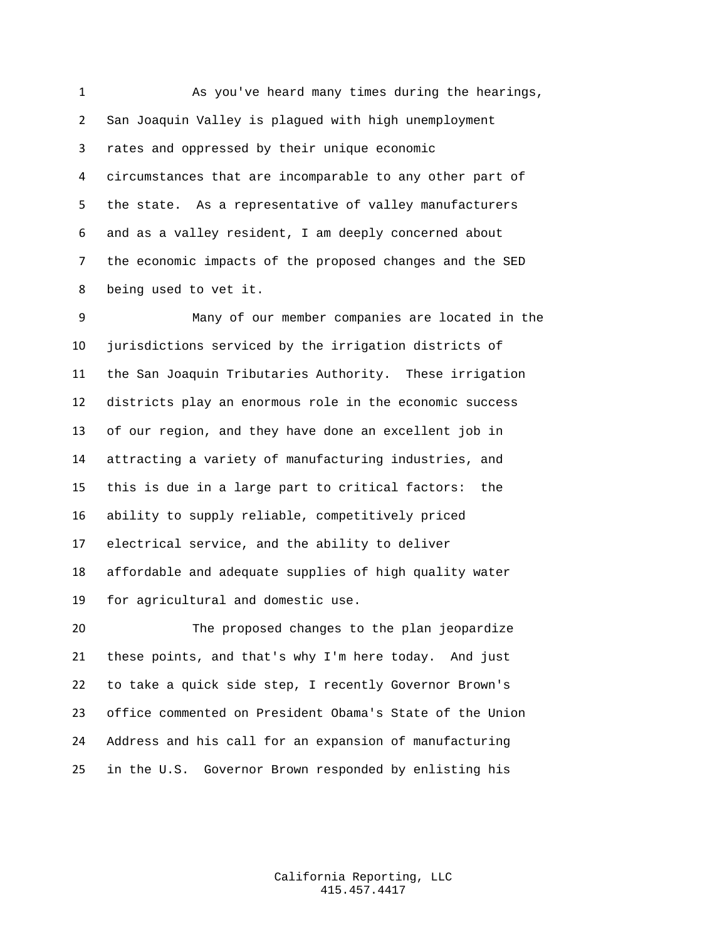As you've heard many times during the hearings, San Joaquin Valley is plagued with high unemployment rates and oppressed by their unique economic circumstances that are incomparable to any other part of the state. As a representative of valley manufacturers and as a valley resident, I am deeply concerned about the economic impacts of the proposed changes and the SED being used to vet it.

 Many of our member companies are located in the jurisdictions serviced by the irrigation districts of the San Joaquin Tributaries Authority. These irrigation districts play an enormous role in the economic success of our region, and they have done an excellent job in attracting a variety of manufacturing industries, and this is due in a large part to critical factors: the ability to supply reliable, competitively priced electrical service, and the ability to deliver affordable and adequate supplies of high quality water for agricultural and domestic use.

 The proposed changes to the plan jeopardize these points, and that's why I'm here today. And just to take a quick side step, I recently Governor Brown's office commented on President Obama's State of the Union Address and his call for an expansion of manufacturing in the U.S. Governor Brown responded by enlisting his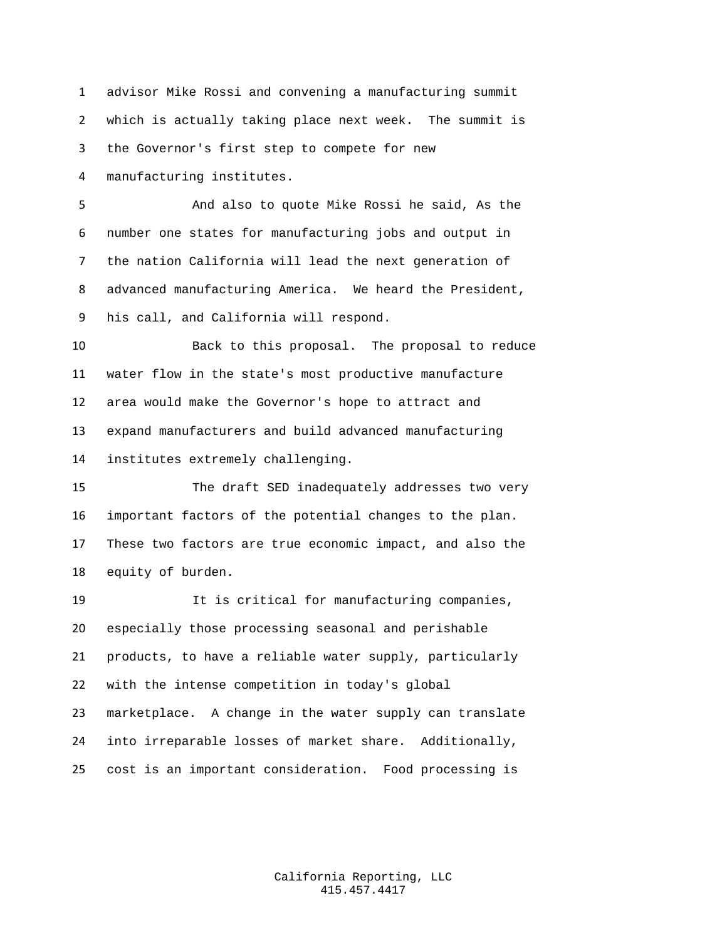advisor Mike Rossi and convening a manufacturing summit which is actually taking place next week. The summit is the Governor's first step to compete for new

manufacturing institutes.

 And also to quote Mike Rossi he said, As the number one states for manufacturing jobs and output in the nation California will lead the next generation of advanced manufacturing America. We heard the President, his call, and California will respond.

 Back to this proposal. The proposal to reduce water flow in the state's most productive manufacture area would make the Governor's hope to attract and expand manufacturers and build advanced manufacturing institutes extremely challenging.

 The draft SED inadequately addresses two very important factors of the potential changes to the plan. These two factors are true economic impact, and also the equity of burden.

 It is critical for manufacturing companies, especially those processing seasonal and perishable products, to have a reliable water supply, particularly with the intense competition in today's global marketplace. A change in the water supply can translate into irreparable losses of market share. Additionally, cost is an important consideration. Food processing is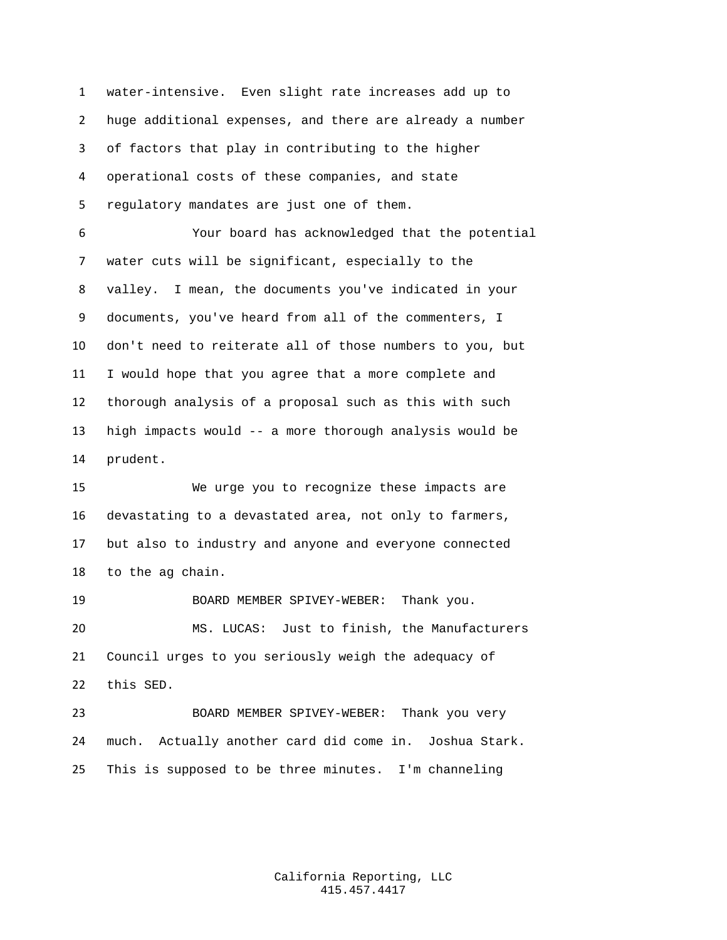water-intensive. Even slight rate increases add up to huge additional expenses, and there are already a number of factors that play in contributing to the higher operational costs of these companies, and state regulatory mandates are just one of them. Your board has acknowledged that the potential water cuts will be significant, especially to the valley. I mean, the documents you've indicated in your documents, you've heard from all of the commenters, I don't need to reiterate all of those numbers to you, but I would hope that you agree that a more complete and thorough analysis of a proposal such as this with such high impacts would -- a more thorough analysis would be prudent.

 We urge you to recognize these impacts are devastating to a devastated area, not only to farmers, but also to industry and anyone and everyone connected to the ag chain.

 BOARD MEMBER SPIVEY-WEBER: Thank you. MS. LUCAS: Just to finish, the Manufacturers Council urges to you seriously weigh the adequacy of this SED.

 BOARD MEMBER SPIVEY-WEBER: Thank you very much. Actually another card did come in. Joshua Stark. This is supposed to be three minutes. I'm channeling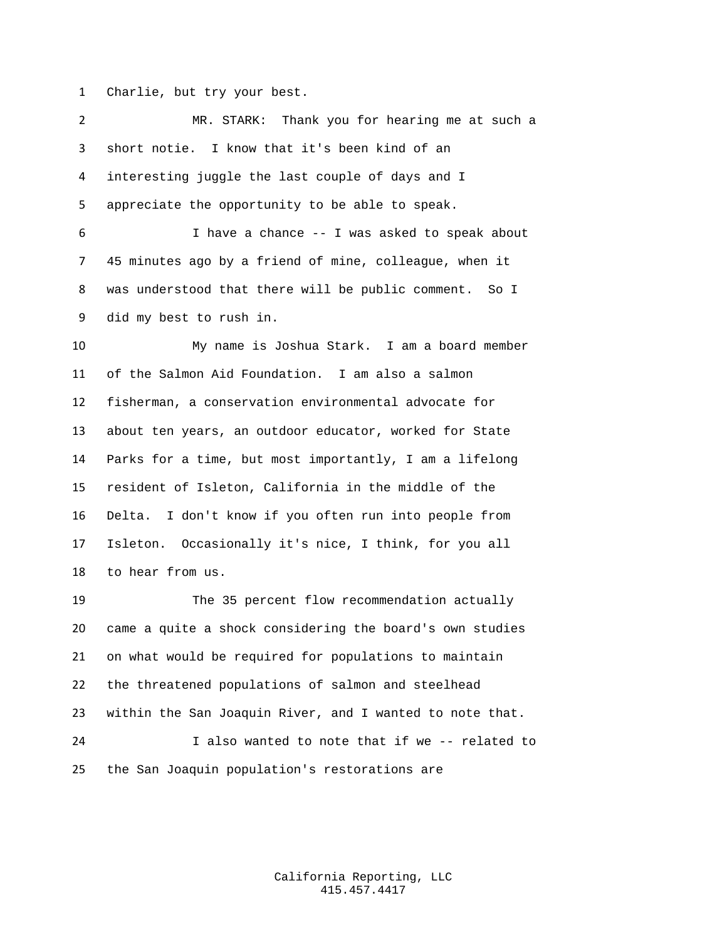Charlie, but try your best.

 MR. STARK: Thank you for hearing me at such a short notie. I know that it's been kind of an interesting juggle the last couple of days and I appreciate the opportunity to be able to speak. I have a chance -- I was asked to speak about 45 minutes ago by a friend of mine, colleague, when it was understood that there will be public comment. So I did my best to rush in. My name is Joshua Stark. I am a board member of the Salmon Aid Foundation. I am also a salmon fisherman, a conservation environmental advocate for about ten years, an outdoor educator, worked for State Parks for a time, but most importantly, I am a lifelong resident of Isleton, California in the middle of the Delta. I don't know if you often run into people from Isleton. Occasionally it's nice, I think, for you all to hear from us. The 35 percent flow recommendation actually came a quite a shock considering the board's own studies on what would be required for populations to maintain the threatened populations of salmon and steelhead

 within the San Joaquin River, and I wanted to note that. I also wanted to note that if we -- related to the San Joaquin population's restorations are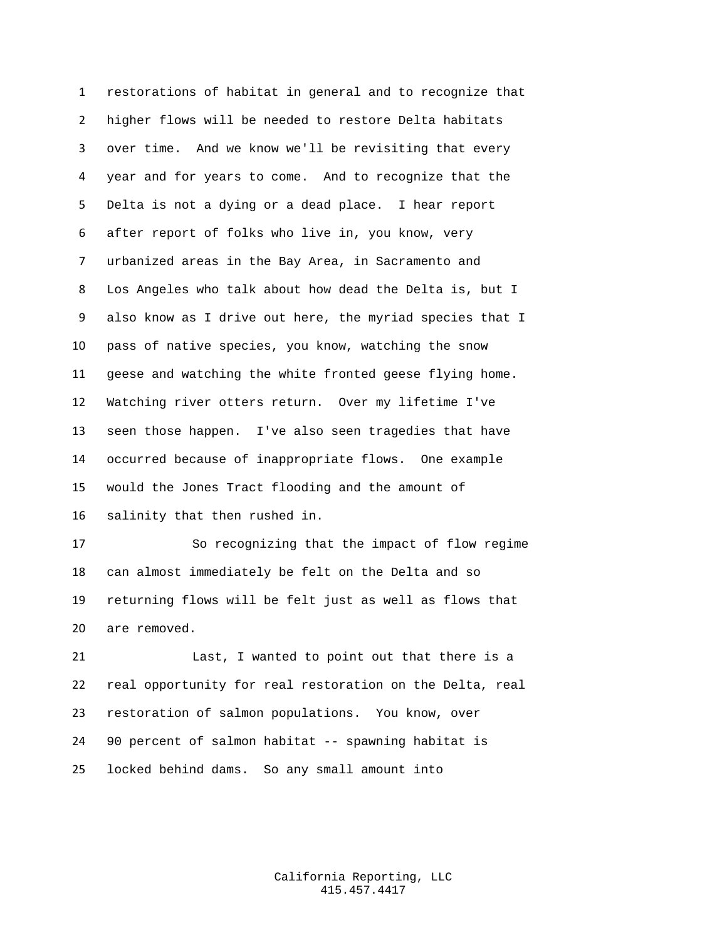restorations of habitat in general and to recognize that higher flows will be needed to restore Delta habitats over time. And we know we'll be revisiting that every year and for years to come. And to recognize that the Delta is not a dying or a dead place. I hear report after report of folks who live in, you know, very urbanized areas in the Bay Area, in Sacramento and Los Angeles who talk about how dead the Delta is, but I also know as I drive out here, the myriad species that I pass of native species, you know, watching the snow geese and watching the white fronted geese flying home. Watching river otters return. Over my lifetime I've seen those happen. I've also seen tragedies that have occurred because of inappropriate flows. One example would the Jones Tract flooding and the amount of salinity that then rushed in.

 So recognizing that the impact of flow regime can almost immediately be felt on the Delta and so returning flows will be felt just as well as flows that are removed.

 Last, I wanted to point out that there is a real opportunity for real restoration on the Delta, real restoration of salmon populations. You know, over 90 percent of salmon habitat -- spawning habitat is locked behind dams. So any small amount into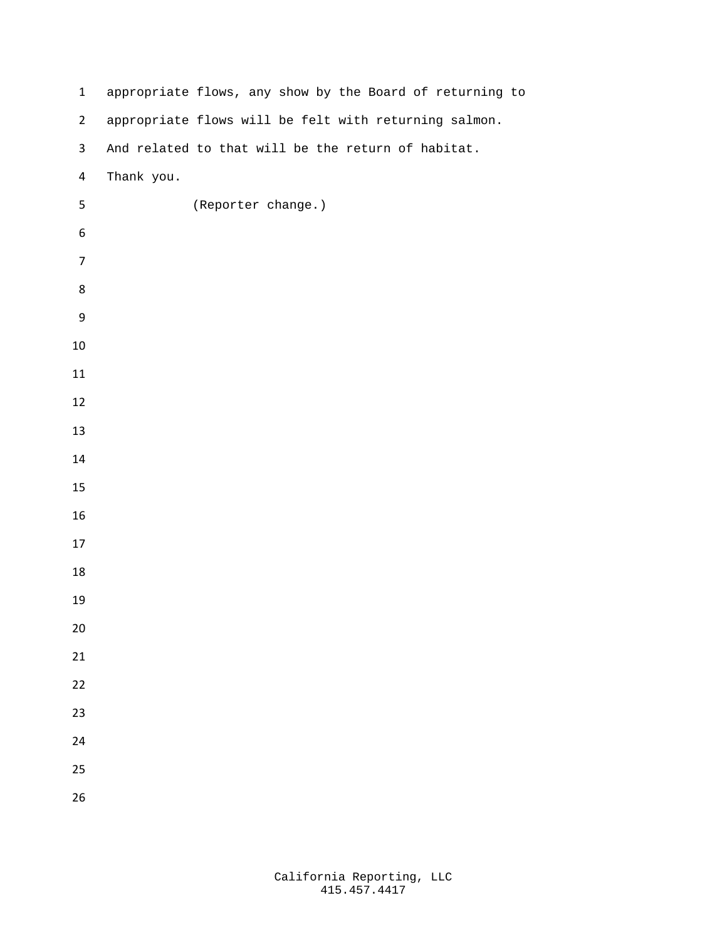| $\mathbf{1}$   | appropriate flows, any show by the Board of returning to |
|----------------|----------------------------------------------------------|
| $\overline{2}$ | appropriate flows will be felt with returning salmon.    |
| $\mathbf{3}$   | And related to that will be the return of habitat.       |
| 4              | Thank you.                                               |
| 5              | (Reporter change.)                                       |
| 6              |                                                          |
| $\overline{7}$ |                                                          |
| 8              |                                                          |
| 9              |                                                          |
| $10\,$         |                                                          |
| 11             |                                                          |
| 12             |                                                          |
| 13             |                                                          |
| 14             |                                                          |
| 15             |                                                          |
| 16             |                                                          |
| 17             |                                                          |
| 18             |                                                          |
| 19             |                                                          |
| $20\,$         |                                                          |
| 21             |                                                          |
| 22             |                                                          |
| 23             |                                                          |
| 24             |                                                          |
| 25             |                                                          |
| 26             |                                                          |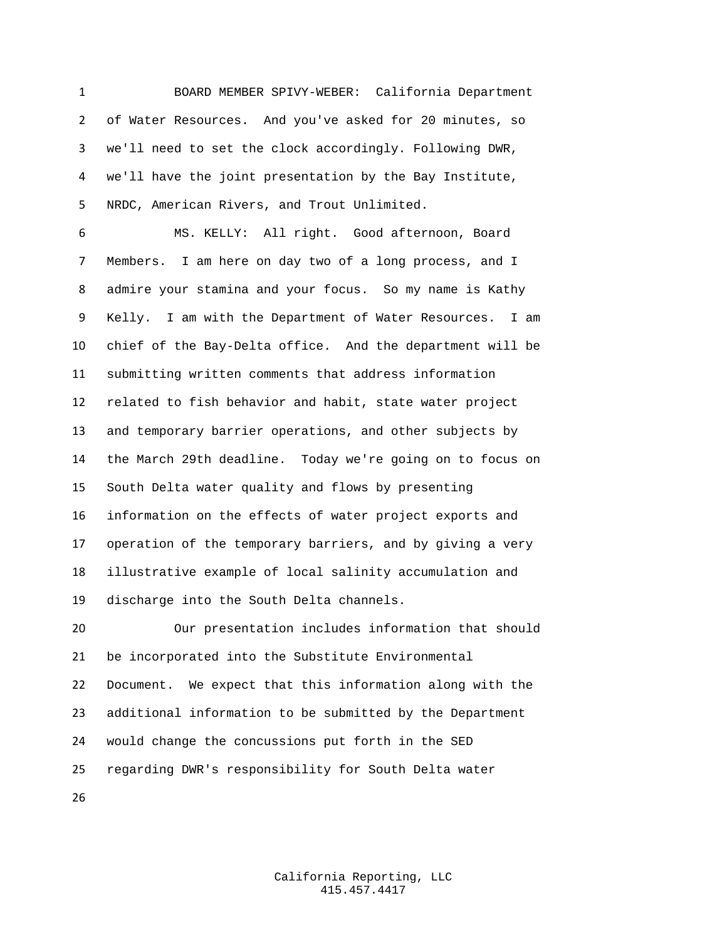BOARD MEMBER SPIVY-WEBER: California Department of Water Resources. And you've asked for 20 minutes, so we'll need to set the clock accordingly. Following DWR, we'll have the joint presentation by the Bay Institute, NRDC, American Rivers, and Trout Unlimited.

 MS. KELLY: All right. Good afternoon, Board Members. I am here on day two of a long process, and I admire your stamina and your focus. So my name is Kathy Kelly. I am with the Department of Water Resources. I am chief of the Bay-Delta office. And the department will be submitting written comments that address information related to fish behavior and habit, state water project and temporary barrier operations, and other subjects by the March 29th deadline. Today we're going on to focus on South Delta water quality and flows by presenting information on the effects of water project exports and operation of the temporary barriers, and by giving a very illustrative example of local salinity accumulation and discharge into the South Delta channels.

 Our presentation includes information that should be incorporated into the Substitute Environmental Document. We expect that this information along with the additional information to be submitted by the Department would change the concussions put forth in the SED regarding DWR's responsibility for South Delta water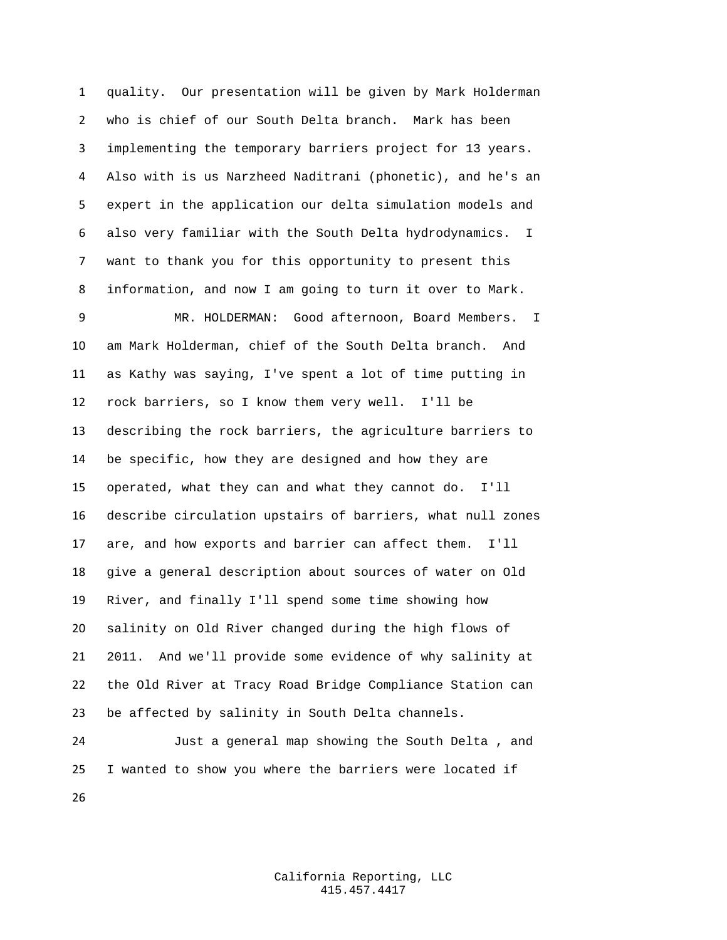quality. Our presentation will be given by Mark Holderman who is chief of our South Delta branch. Mark has been implementing the temporary barriers project for 13 years. Also with is us Narzheed Naditrani (phonetic), and he's an expert in the application our delta simulation models and also very familiar with the South Delta hydrodynamics. I want to thank you for this opportunity to present this information, and now I am going to turn it over to Mark.

 MR. HOLDERMAN: Good afternoon, Board Members. I am Mark Holderman, chief of the South Delta branch. And as Kathy was saying, I've spent a lot of time putting in rock barriers, so I know them very well. I'll be describing the rock barriers, the agriculture barriers to be specific, how they are designed and how they are operated, what they can and what they cannot do. I'll describe circulation upstairs of barriers, what null zones are, and how exports and barrier can affect them. I'll give a general description about sources of water on Old River, and finally I'll spend some time showing how salinity on Old River changed during the high flows of 2011. And we'll provide some evidence of why salinity at the Old River at Tracy Road Bridge Compliance Station can be affected by salinity in South Delta channels.

 Just a general map showing the South Delta , and I wanted to show you where the barriers were located if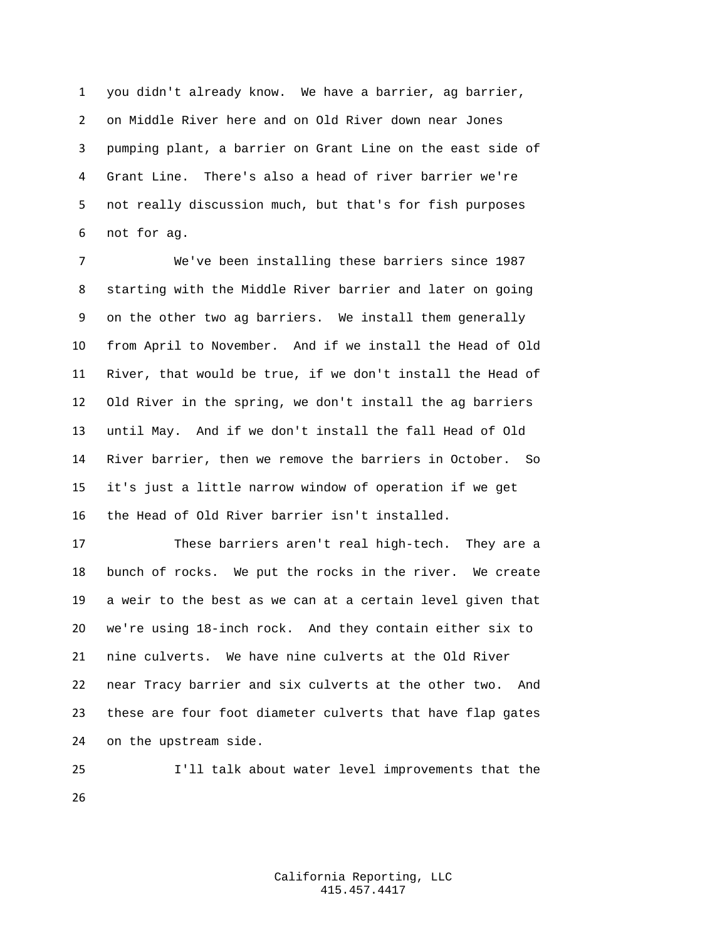you didn't already know. We have a barrier, ag barrier, on Middle River here and on Old River down near Jones pumping plant, a barrier on Grant Line on the east side of Grant Line. There's also a head of river barrier we're not really discussion much, but that's for fish purposes not for ag.

 We've been installing these barriers since 1987 starting with the Middle River barrier and later on going on the other two ag barriers. We install them generally from April to November. And if we install the Head of Old River, that would be true, if we don't install the Head of Old River in the spring, we don't install the ag barriers until May. And if we don't install the fall Head of Old River barrier, then we remove the barriers in October. So it's just a little narrow window of operation if we get the Head of Old River barrier isn't installed.

 These barriers aren't real high-tech. They are a bunch of rocks. We put the rocks in the river. We create a weir to the best as we can at a certain level given that we're using 18-inch rock. And they contain either six to nine culverts. We have nine culverts at the Old River near Tracy barrier and six culverts at the other two. And these are four foot diameter culverts that have flap gates on the upstream side.

 I'll talk about water level improvements that the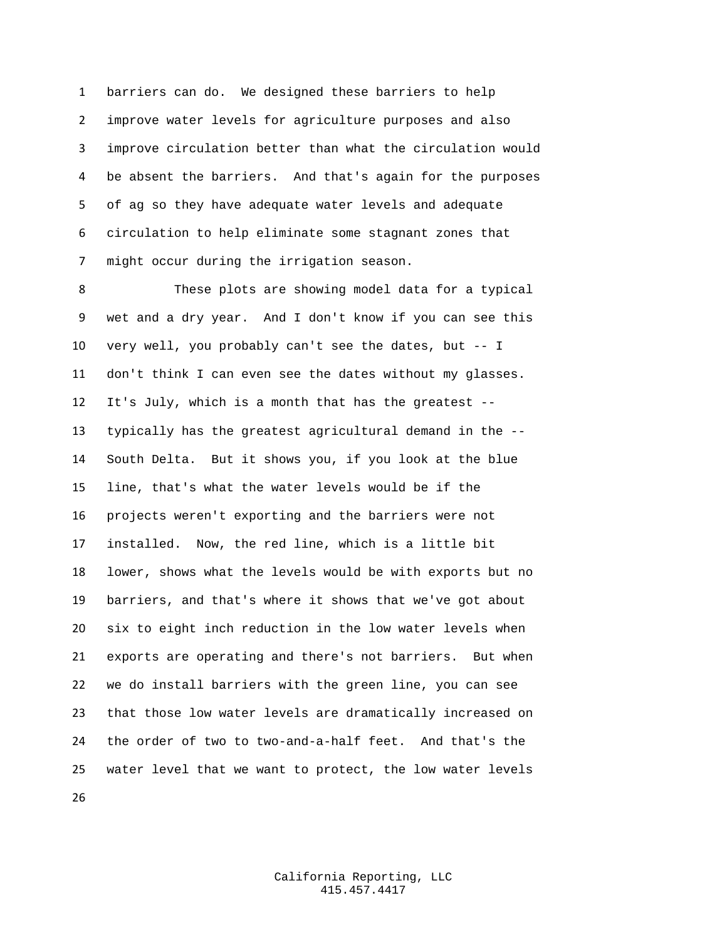barriers can do. We designed these barriers to help improve water levels for agriculture purposes and also improve circulation better than what the circulation would be absent the barriers. And that's again for the purposes of ag so they have adequate water levels and adequate circulation to help eliminate some stagnant zones that might occur during the irrigation season.

 These plots are showing model data for a typical wet and a dry year. And I don't know if you can see this very well, you probably can't see the dates, but -- I don't think I can even see the dates without my glasses. It's July, which is a month that has the greatest -- typically has the greatest agricultural demand in the -- South Delta. But it shows you, if you look at the blue line, that's what the water levels would be if the projects weren't exporting and the barriers were not installed. Now, the red line, which is a little bit lower, shows what the levels would be with exports but no barriers, and that's where it shows that we've got about six to eight inch reduction in the low water levels when exports are operating and there's not barriers. But when we do install barriers with the green line, you can see that those low water levels are dramatically increased on the order of two to two-and-a-half feet. And that's the water level that we want to protect, the low water levels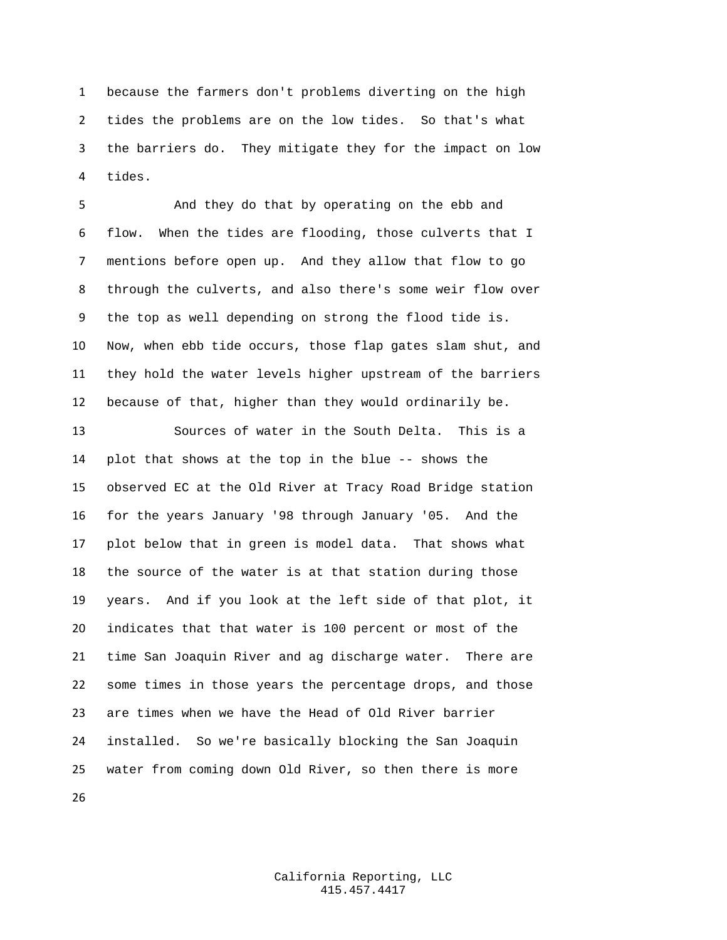because the farmers don't problems diverting on the high tides the problems are on the low tides. So that's what the barriers do. They mitigate they for the impact on low tides.

 And they do that by operating on the ebb and flow. When the tides are flooding, those culverts that I mentions before open up. And they allow that flow to go through the culverts, and also there's some weir flow over the top as well depending on strong the flood tide is. Now, when ebb tide occurs, those flap gates slam shut, and they hold the water levels higher upstream of the barriers because of that, higher than they would ordinarily be.

 Sources of water in the South Delta. This is a plot that shows at the top in the blue -- shows the observed EC at the Old River at Tracy Road Bridge station for the years January '98 through January '05. And the plot below that in green is model data. That shows what the source of the water is at that station during those years. And if you look at the left side of that plot, it indicates that that water is 100 percent or most of the time San Joaquin River and ag discharge water. There are some times in those years the percentage drops, and those are times when we have the Head of Old River barrier installed. So we're basically blocking the San Joaquin water from coming down Old River, so then there is more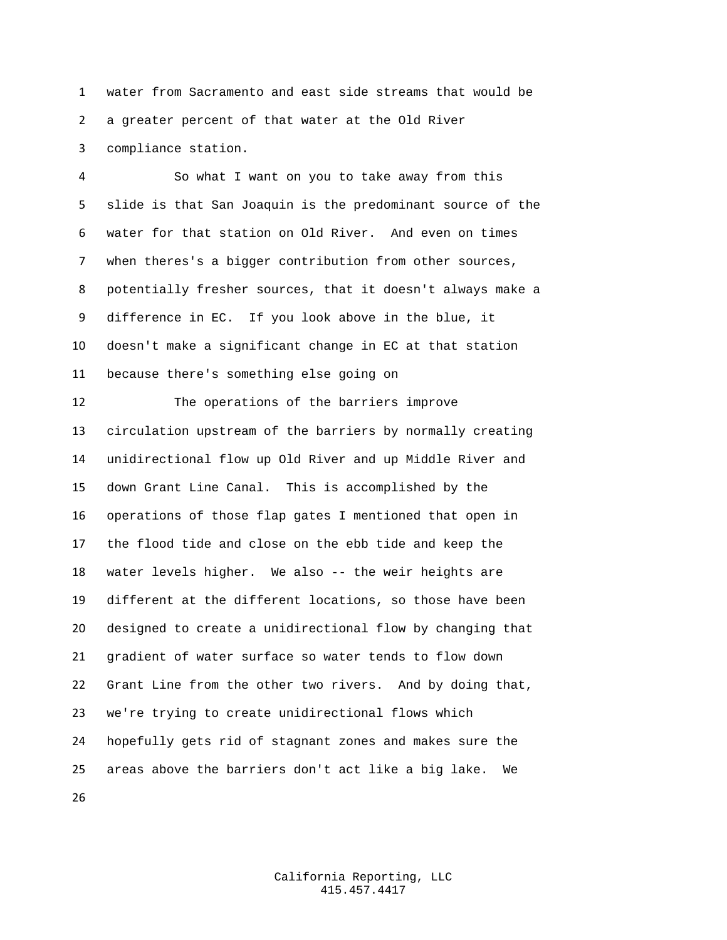water from Sacramento and east side streams that would be a greater percent of that water at the Old River compliance station.

 So what I want on you to take away from this slide is that San Joaquin is the predominant source of the water for that station on Old River. And even on times when theres's a bigger contribution from other sources, potentially fresher sources, that it doesn't always make a difference in EC. If you look above in the blue, it doesn't make a significant change in EC at that station because there's something else going on The operations of the barriers improve circulation upstream of the barriers by normally creating unidirectional flow up Old River and up Middle River and down Grant Line Canal. This is accomplished by the operations of those flap gates I mentioned that open in the flood tide and close on the ebb tide and keep the water levels higher. We also -- the weir heights are different at the different locations, so those have been designed to create a unidirectional flow by changing that gradient of water surface so water tends to flow down Grant Line from the other two rivers. And by doing that, we're trying to create unidirectional flows which hopefully gets rid of stagnant zones and makes sure the areas above the barriers don't act like a big lake. We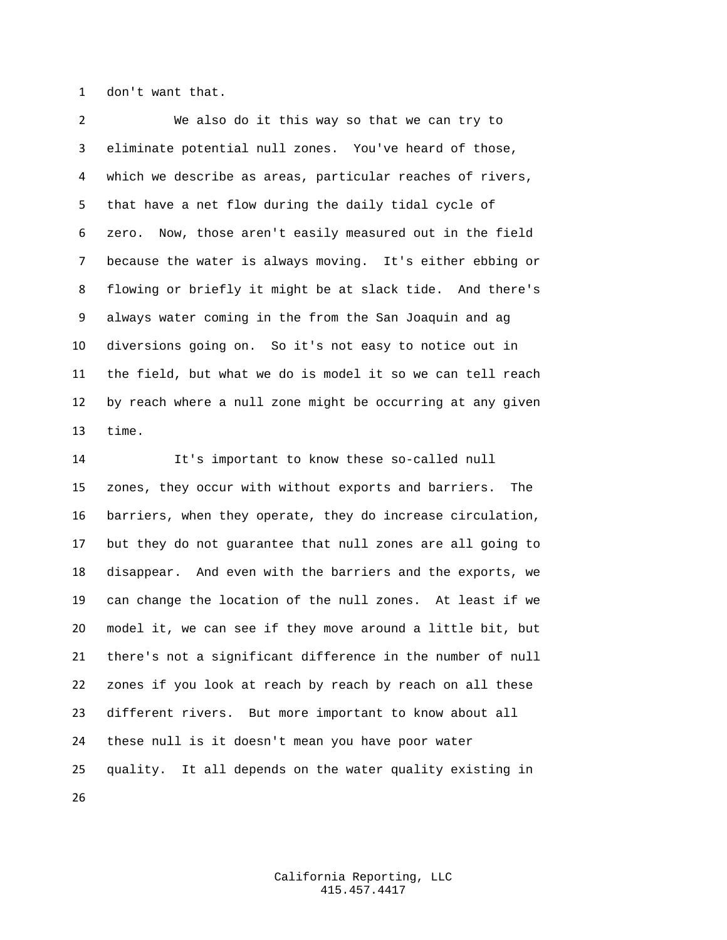don't want that.

 We also do it this way so that we can try to eliminate potential null zones. You've heard of those, which we describe as areas, particular reaches of rivers, that have a net flow during the daily tidal cycle of zero. Now, those aren't easily measured out in the field because the water is always moving. It's either ebbing or flowing or briefly it might be at slack tide. And there's always water coming in the from the San Joaquin and ag diversions going on. So it's not easy to notice out in the field, but what we do is model it so we can tell reach by reach where a null zone might be occurring at any given time.

 It's important to know these so-called null zones, they occur with without exports and barriers. The barriers, when they operate, they do increase circulation, but they do not guarantee that null zones are all going to disappear. And even with the barriers and the exports, we can change the location of the null zones. At least if we model it, we can see if they move around a little bit, but there's not a significant difference in the number of null zones if you look at reach by reach by reach on all these different rivers. But more important to know about all these null is it doesn't mean you have poor water quality. It all depends on the water quality existing in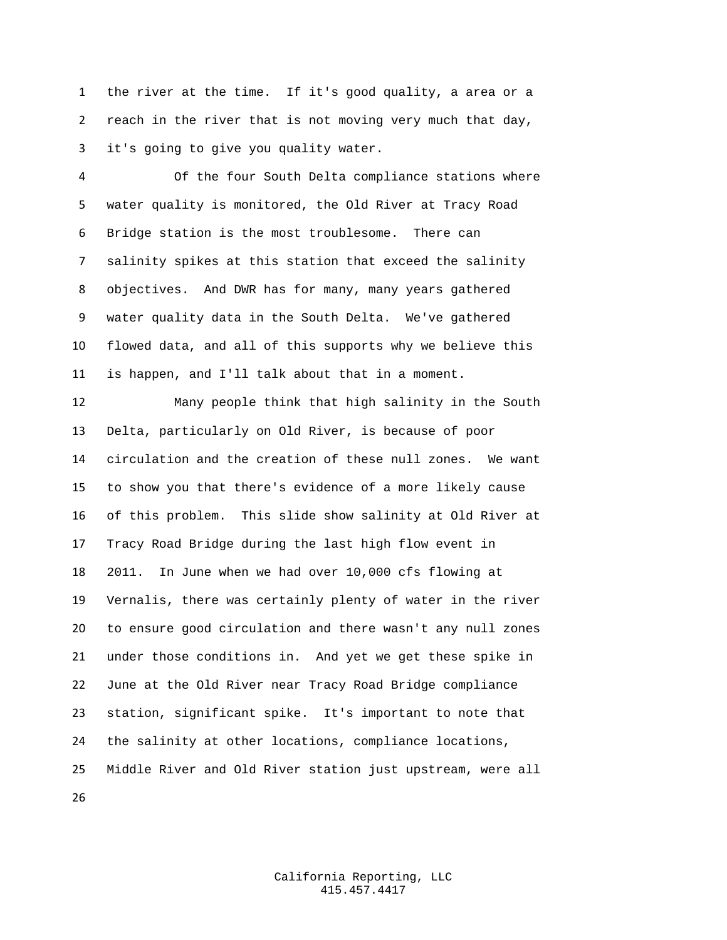the river at the time. If it's good quality, a area or a reach in the river that is not moving very much that day, it's going to give you quality water.

 Of the four South Delta compliance stations where water quality is monitored, the Old River at Tracy Road Bridge station is the most troublesome. There can salinity spikes at this station that exceed the salinity objectives. And DWR has for many, many years gathered water quality data in the South Delta. We've gathered flowed data, and all of this supports why we believe this is happen, and I'll talk about that in a moment.

 Many people think that high salinity in the South Delta, particularly on Old River, is because of poor circulation and the creation of these null zones. We want to show you that there's evidence of a more likely cause of this problem. This slide show salinity at Old River at Tracy Road Bridge during the last high flow event in 2011. In June when we had over 10,000 cfs flowing at Vernalis, there was certainly plenty of water in the river to ensure good circulation and there wasn't any null zones under those conditions in. And yet we get these spike in June at the Old River near Tracy Road Bridge compliance station, significant spike. It's important to note that the salinity at other locations, compliance locations, Middle River and Old River station just upstream, were all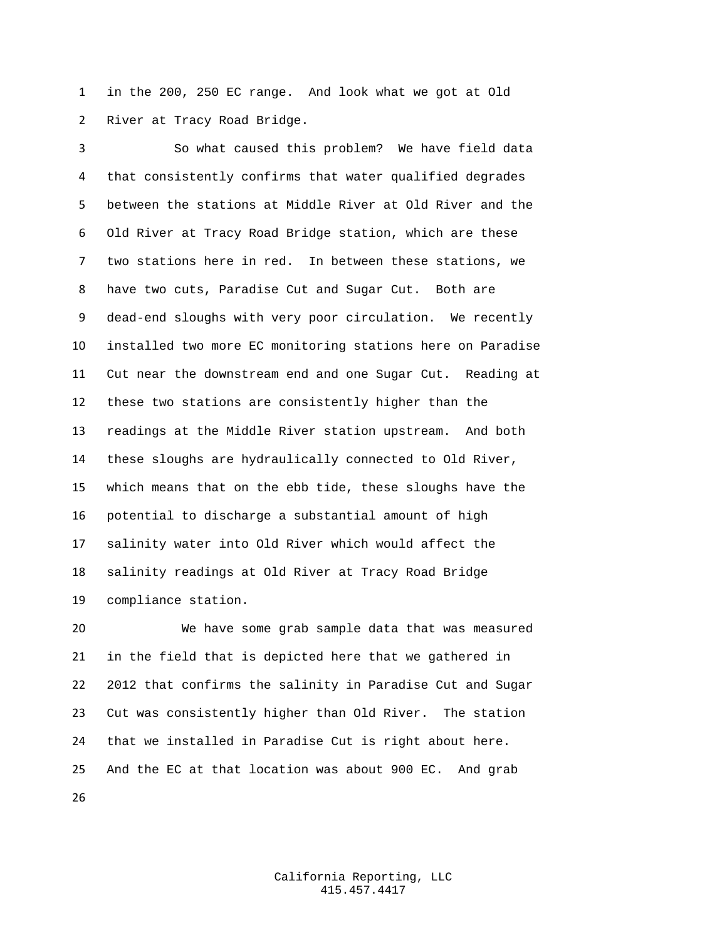in the 200, 250 EC range. And look what we got at Old River at Tracy Road Bridge.

 So what caused this problem? We have field data that consistently confirms that water qualified degrades between the stations at Middle River at Old River and the Old River at Tracy Road Bridge station, which are these two stations here in red. In between these stations, we have two cuts, Paradise Cut and Sugar Cut. Both are dead-end sloughs with very poor circulation. We recently installed two more EC monitoring stations here on Paradise Cut near the downstream end and one Sugar Cut. Reading at these two stations are consistently higher than the readings at the Middle River station upstream. And both these sloughs are hydraulically connected to Old River, which means that on the ebb tide, these sloughs have the potential to discharge a substantial amount of high salinity water into Old River which would affect the salinity readings at Old River at Tracy Road Bridge compliance station.

 We have some grab sample data that was measured in the field that is depicted here that we gathered in 2012 that confirms the salinity in Paradise Cut and Sugar Cut was consistently higher than Old River. The station that we installed in Paradise Cut is right about here. And the EC at that location was about 900 EC. And grab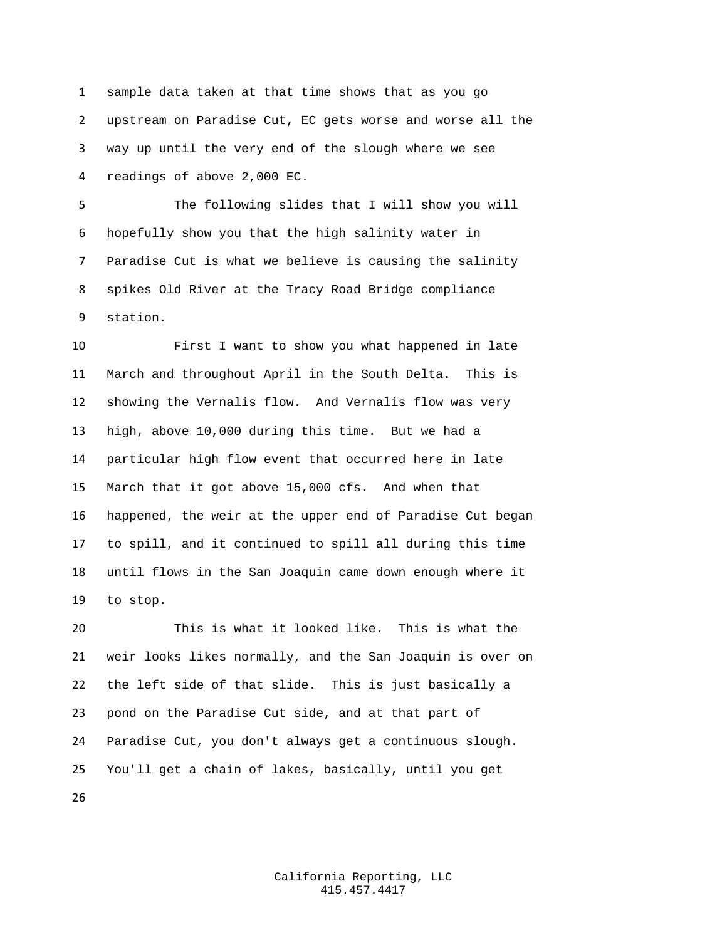sample data taken at that time shows that as you go upstream on Paradise Cut, EC gets worse and worse all the way up until the very end of the slough where we see readings of above 2,000 EC.

 The following slides that I will show you will hopefully show you that the high salinity water in Paradise Cut is what we believe is causing the salinity spikes Old River at the Tracy Road Bridge compliance station.

 First I want to show you what happened in late March and throughout April in the South Delta. This is showing the Vernalis flow. And Vernalis flow was very high, above 10,000 during this time. But we had a particular high flow event that occurred here in late March that it got above 15,000 cfs. And when that happened, the weir at the upper end of Paradise Cut began to spill, and it continued to spill all during this time until flows in the San Joaquin came down enough where it to stop.

 This is what it looked like. This is what the weir looks likes normally, and the San Joaquin is over on the left side of that slide. This is just basically a pond on the Paradise Cut side, and at that part of Paradise Cut, you don't always get a continuous slough. You'll get a chain of lakes, basically, until you get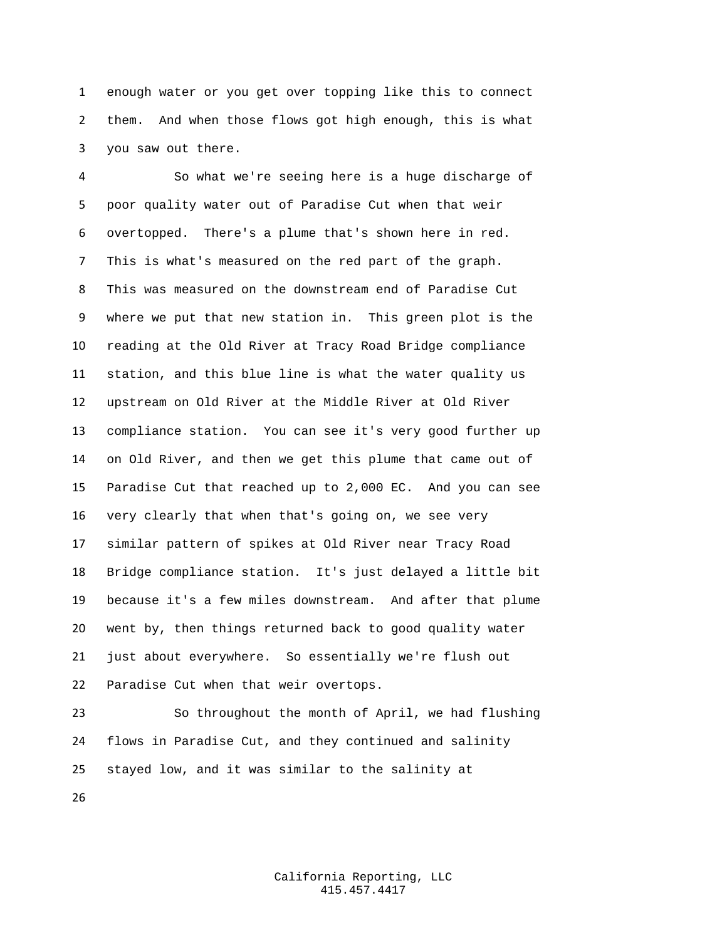enough water or you get over topping like this to connect them. And when those flows got high enough, this is what you saw out there.

 So what we're seeing here is a huge discharge of poor quality water out of Paradise Cut when that weir overtopped. There's a plume that's shown here in red. This is what's measured on the red part of the graph. This was measured on the downstream end of Paradise Cut where we put that new station in. This green plot is the reading at the Old River at Tracy Road Bridge compliance station, and this blue line is what the water quality us upstream on Old River at the Middle River at Old River compliance station. You can see it's very good further up on Old River, and then we get this plume that came out of Paradise Cut that reached up to 2,000 EC. And you can see very clearly that when that's going on, we see very similar pattern of spikes at Old River near Tracy Road Bridge compliance station. It's just delayed a little bit because it's a few miles downstream. And after that plume went by, then things returned back to good quality water just about everywhere. So essentially we're flush out Paradise Cut when that weir overtops.

 So throughout the month of April, we had flushing flows in Paradise Cut, and they continued and salinity stayed low, and it was similar to the salinity at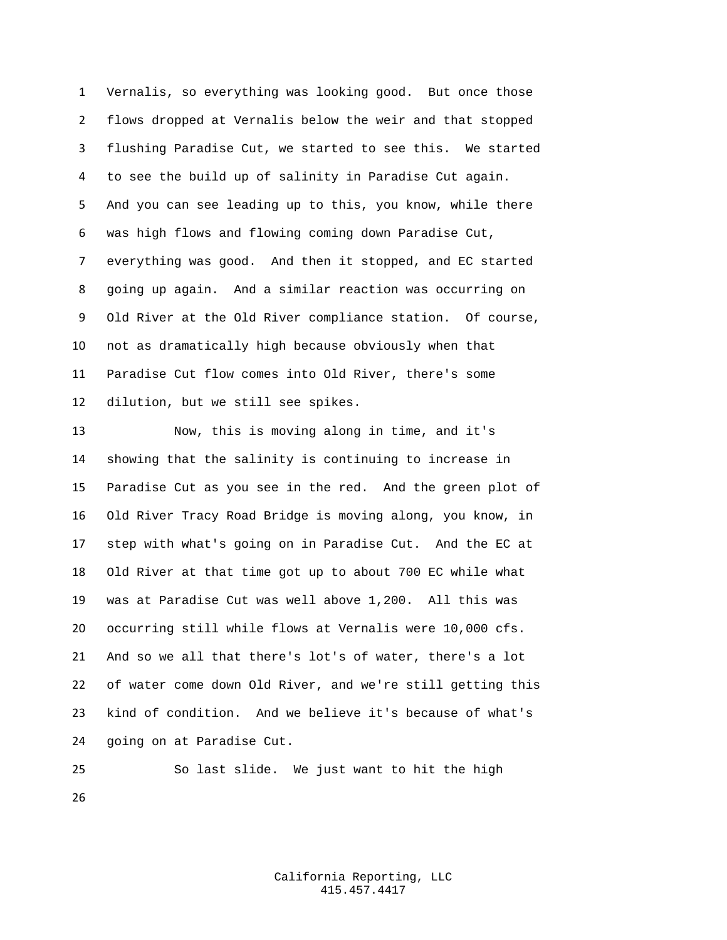Vernalis, so everything was looking good. But once those flows dropped at Vernalis below the weir and that stopped flushing Paradise Cut, we started to see this. We started to see the build up of salinity in Paradise Cut again. And you can see leading up to this, you know, while there was high flows and flowing coming down Paradise Cut, everything was good. And then it stopped, and EC started going up again. And a similar reaction was occurring on Old River at the Old River compliance station. Of course, not as dramatically high because obviously when that Paradise Cut flow comes into Old River, there's some dilution, but we still see spikes.

 Now, this is moving along in time, and it's showing that the salinity is continuing to increase in Paradise Cut as you see in the red. And the green plot of Old River Tracy Road Bridge is moving along, you know, in step with what's going on in Paradise Cut. And the EC at Old River at that time got up to about 700 EC while what was at Paradise Cut was well above 1,200. All this was occurring still while flows at Vernalis were 10,000 cfs. And so we all that there's lot's of water, there's a lot of water come down Old River, and we're still getting this kind of condition. And we believe it's because of what's going on at Paradise Cut.

 So last slide. We just want to hit the high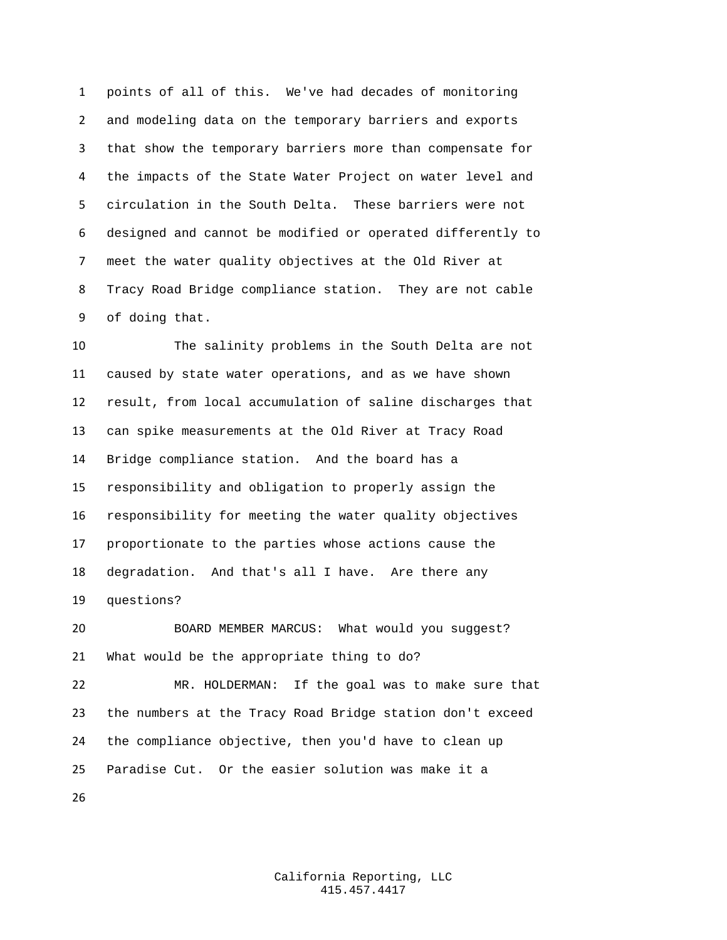points of all of this. We've had decades of monitoring and modeling data on the temporary barriers and exports that show the temporary barriers more than compensate for the impacts of the State Water Project on water level and circulation in the South Delta. These barriers were not designed and cannot be modified or operated differently to meet the water quality objectives at the Old River at Tracy Road Bridge compliance station. They are not cable of doing that.

 The salinity problems in the South Delta are not caused by state water operations, and as we have shown result, from local accumulation of saline discharges that can spike measurements at the Old River at Tracy Road Bridge compliance station. And the board has a responsibility and obligation to properly assign the responsibility for meeting the water quality objectives proportionate to the parties whose actions cause the degradation. And that's all I have. Are there any questions?

 BOARD MEMBER MARCUS: What would you suggest? What would be the appropriate thing to do? MR. HOLDERMAN: If the goal was to make sure that the numbers at the Tracy Road Bridge station don't exceed the compliance objective, then you'd have to clean up Paradise Cut. Or the easier solution was make it a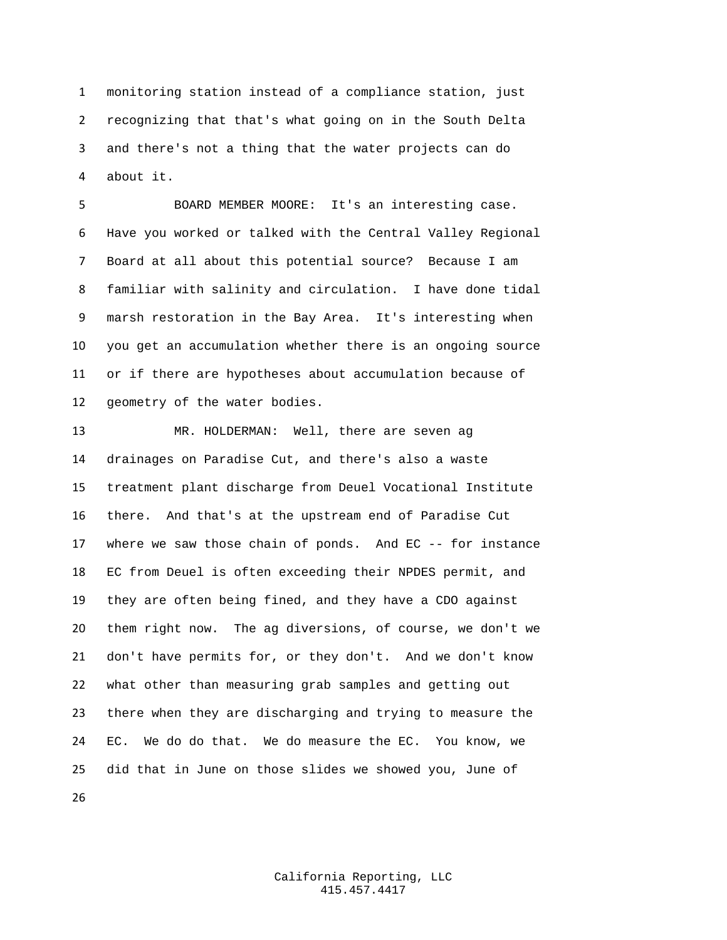monitoring station instead of a compliance station, just recognizing that that's what going on in the South Delta and there's not a thing that the water projects can do about it.

 BOARD MEMBER MOORE: It's an interesting case. Have you worked or talked with the Central Valley Regional Board at all about this potential source? Because I am familiar with salinity and circulation. I have done tidal marsh restoration in the Bay Area. It's interesting when you get an accumulation whether there is an ongoing source or if there are hypotheses about accumulation because of geometry of the water bodies.

 MR. HOLDERMAN: Well, there are seven ag drainages on Paradise Cut, and there's also a waste treatment plant discharge from Deuel Vocational Institute there. And that's at the upstream end of Paradise Cut where we saw those chain of ponds. And EC -- for instance EC from Deuel is often exceeding their NPDES permit, and they are often being fined, and they have a CDO against them right now. The ag diversions, of course, we don't we don't have permits for, or they don't. And we don't know what other than measuring grab samples and getting out there when they are discharging and trying to measure the EC. We do do that. We do measure the EC. You know, we did that in June on those slides we showed you, June of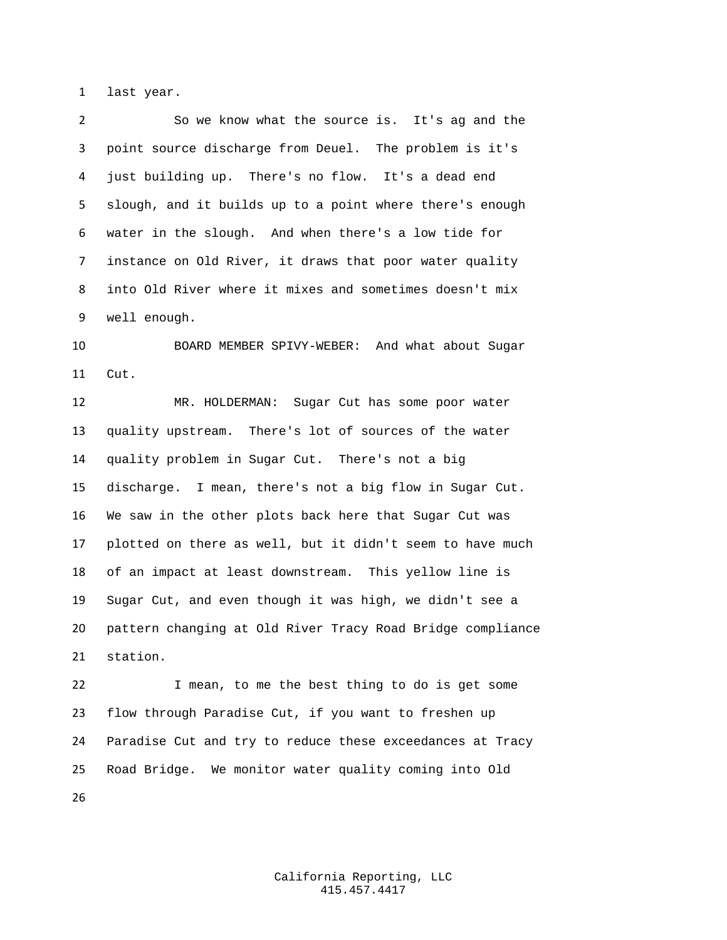last year.

 So we know what the source is. It's ag and the point source discharge from Deuel. The problem is it's just building up. There's no flow. It's a dead end slough, and it builds up to a point where there's enough water in the slough. And when there's a low tide for instance on Old River, it draws that poor water quality into Old River where it mixes and sometimes doesn't mix well enough.

 BOARD MEMBER SPIVY-WEBER: And what about Sugar Cut.

 MR. HOLDERMAN: Sugar Cut has some poor water quality upstream. There's lot of sources of the water quality problem in Sugar Cut. There's not a big discharge. I mean, there's not a big flow in Sugar Cut. We saw in the other plots back here that Sugar Cut was plotted on there as well, but it didn't seem to have much of an impact at least downstream. This yellow line is Sugar Cut, and even though it was high, we didn't see a pattern changing at Old River Tracy Road Bridge compliance station.

 I mean, to me the best thing to do is get some flow through Paradise Cut, if you want to freshen up Paradise Cut and try to reduce these exceedances at Tracy Road Bridge. We monitor water quality coming into Old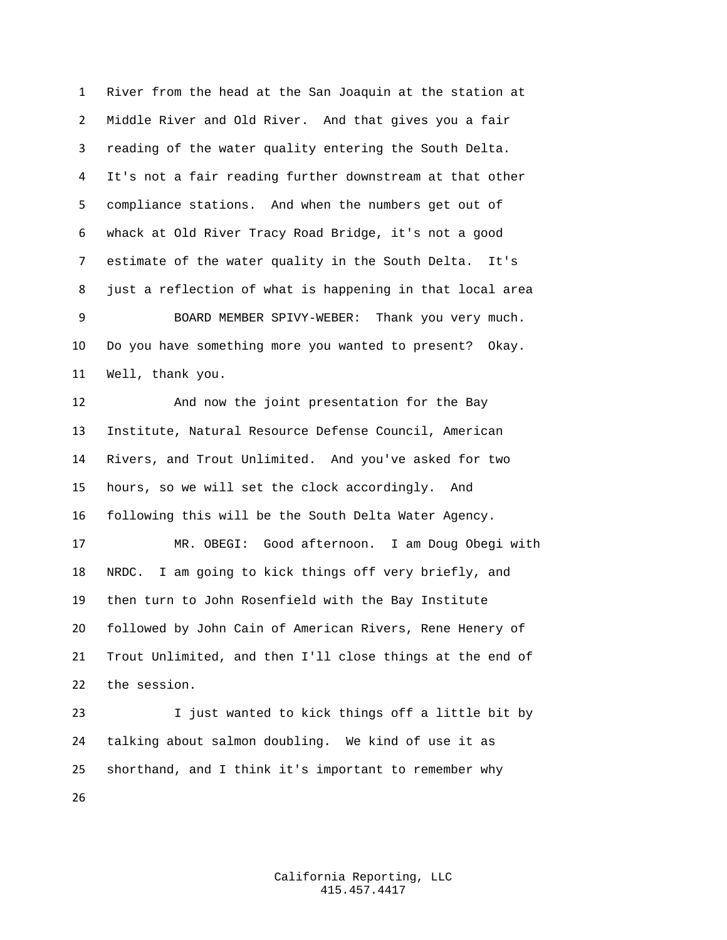River from the head at the San Joaquin at the station at Middle River and Old River. And that gives you a fair reading of the water quality entering the South Delta. It's not a fair reading further downstream at that other compliance stations. And when the numbers get out of whack at Old River Tracy Road Bridge, it's not a good estimate of the water quality in the South Delta. It's just a reflection of what is happening in that local area BOARD MEMBER SPIVY-WEBER: Thank you very much. Do you have something more you wanted to present? Okay. Well, thank you. And now the joint presentation for the Bay Institute, Natural Resource Defense Council, American Rivers, and Trout Unlimited. And you've asked for two hours, so we will set the clock accordingly. And following this will be the South Delta Water Agency. MR. OBEGI: Good afternoon. I am Doug Obegi with NRDC. I am going to kick things off very briefly, and then turn to John Rosenfield with the Bay Institute followed by John Cain of American Rivers, Rene Henery of Trout Unlimited, and then I'll close things at the end of the session.

 I just wanted to kick things off a little bit by talking about salmon doubling. We kind of use it as shorthand, and I think it's important to remember why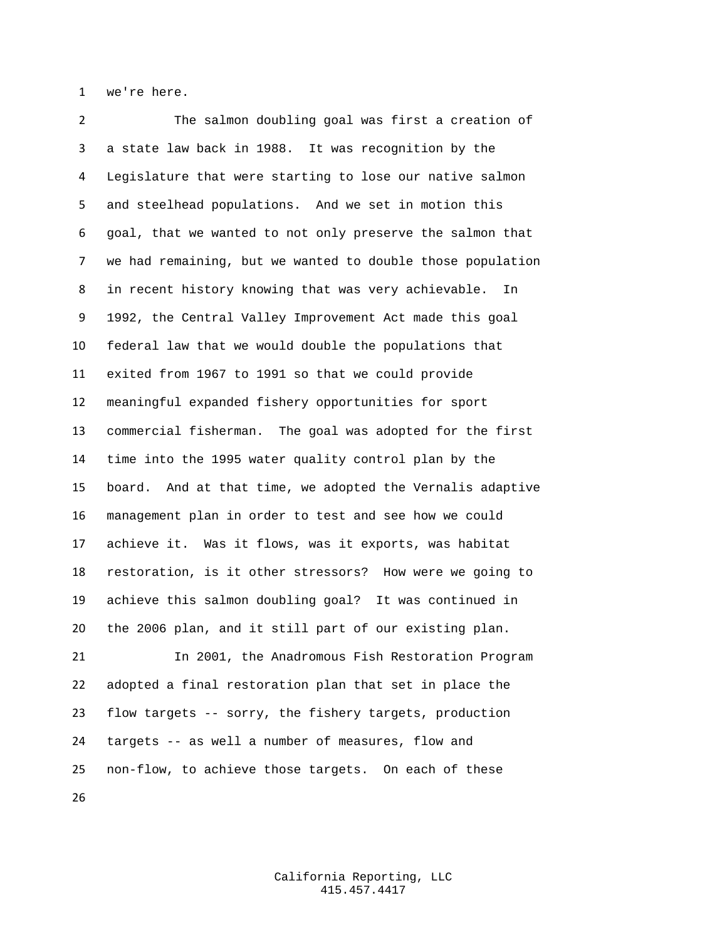we're here.

 The salmon doubling goal was first a creation of a state law back in 1988. It was recognition by the Legislature that were starting to lose our native salmon and steelhead populations. And we set in motion this goal, that we wanted to not only preserve the salmon that we had remaining, but we wanted to double those population in recent history knowing that was very achievable. In 1992, the Central Valley Improvement Act made this goal federal law that we would double the populations that exited from 1967 to 1991 so that we could provide meaningful expanded fishery opportunities for sport commercial fisherman. The goal was adopted for the first time into the 1995 water quality control plan by the board. And at that time, we adopted the Vernalis adaptive management plan in order to test and see how we could achieve it. Was it flows, was it exports, was habitat restoration, is it other stressors? How were we going to achieve this salmon doubling goal? It was continued in the 2006 plan, and it still part of our existing plan. In 2001, the Anadromous Fish Restoration Program

 adopted a final restoration plan that set in place the flow targets -- sorry, the fishery targets, production targets -- as well a number of measures, flow and non-flow, to achieve those targets. On each of these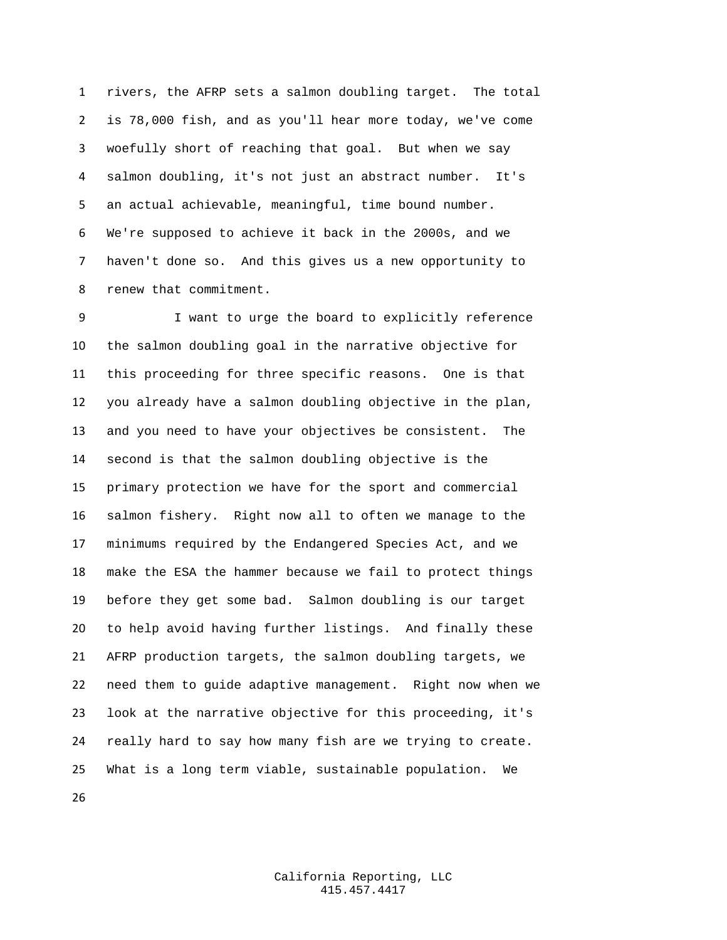rivers, the AFRP sets a salmon doubling target. The total is 78,000 fish, and as you'll hear more today, we've come woefully short of reaching that goal. But when we say salmon doubling, it's not just an abstract number. It's an actual achievable, meaningful, time bound number. We're supposed to achieve it back in the 2000s, and we haven't done so. And this gives us a new opportunity to renew that commitment.

 I want to urge the board to explicitly reference the salmon doubling goal in the narrative objective for this proceeding for three specific reasons. One is that you already have a salmon doubling objective in the plan, and you need to have your objectives be consistent. The second is that the salmon doubling objective is the primary protection we have for the sport and commercial salmon fishery. Right now all to often we manage to the minimums required by the Endangered Species Act, and we make the ESA the hammer because we fail to protect things before they get some bad. Salmon doubling is our target to help avoid having further listings. And finally these AFRP production targets, the salmon doubling targets, we need them to guide adaptive management. Right now when we look at the narrative objective for this proceeding, it's really hard to say how many fish are we trying to create. What is a long term viable, sustainable population. We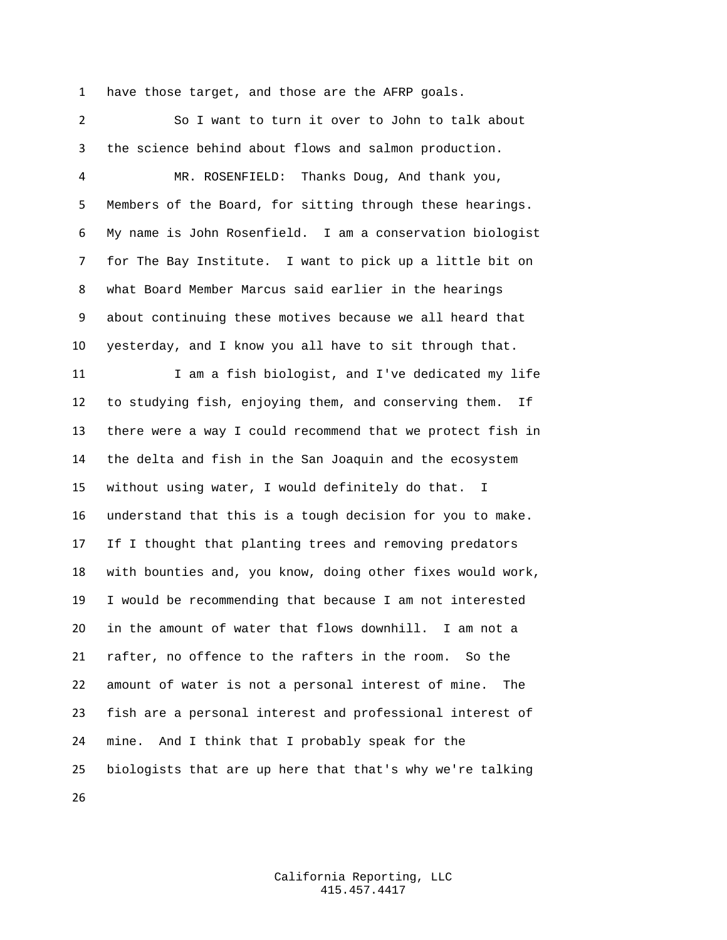have those target, and those are the AFRP goals.

 So I want to turn it over to John to talk about the science behind about flows and salmon production. MR. ROSENFIELD: Thanks Doug, And thank you, Members of the Board, for sitting through these hearings. My name is John Rosenfield. I am a conservation biologist for The Bay Institute. I want to pick up a little bit on what Board Member Marcus said earlier in the hearings about continuing these motives because we all heard that yesterday, and I know you all have to sit through that. 11 I am a fish biologist, and I've dedicated my life to studying fish, enjoying them, and conserving them. If there were a way I could recommend that we protect fish in the delta and fish in the San Joaquin and the ecosystem without using water, I would definitely do that. I understand that this is a tough decision for you to make. If I thought that planting trees and removing predators with bounties and, you know, doing other fixes would work, I would be recommending that because I am not interested in the amount of water that flows downhill. I am not a rafter, no offence to the rafters in the room. So the amount of water is not a personal interest of mine. The fish are a personal interest and professional interest of mine. And I think that I probably speak for the biologists that are up here that that's why we're talking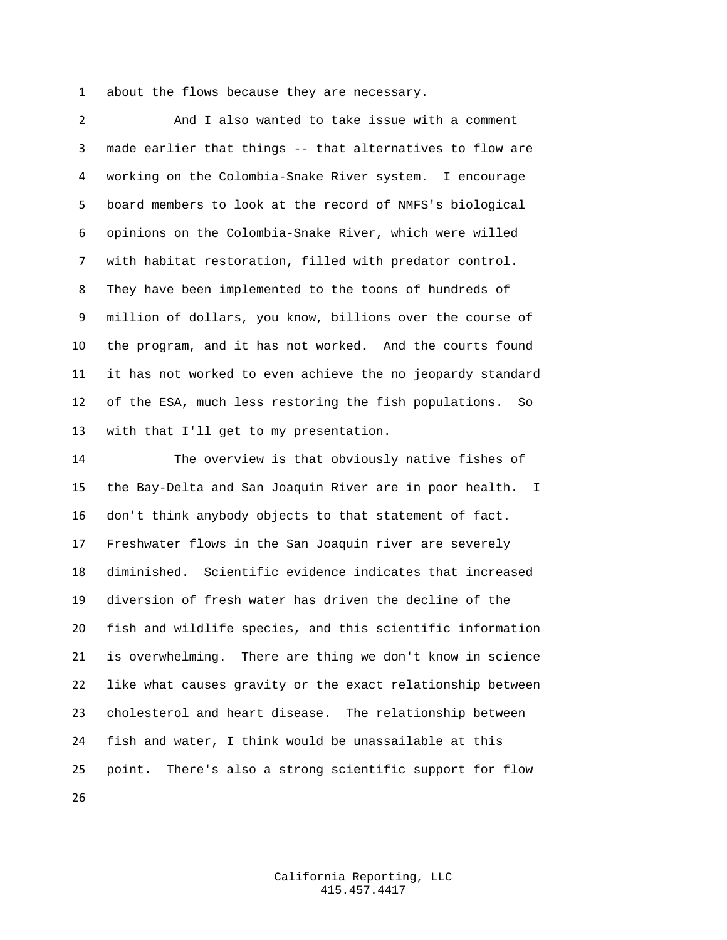about the flows because they are necessary.

 And I also wanted to take issue with a comment made earlier that things -- that alternatives to flow are working on the Colombia-Snake River system. I encourage board members to look at the record of NMFS's biological opinions on the Colombia-Snake River, which were willed with habitat restoration, filled with predator control. They have been implemented to the toons of hundreds of million of dollars, you know, billions over the course of the program, and it has not worked. And the courts found it has not worked to even achieve the no jeopardy standard of the ESA, much less restoring the fish populations. So with that I'll get to my presentation.

 The overview is that obviously native fishes of the Bay-Delta and San Joaquin River are in poor health. I don't think anybody objects to that statement of fact. Freshwater flows in the San Joaquin river are severely diminished. Scientific evidence indicates that increased diversion of fresh water has driven the decline of the fish and wildlife species, and this scientific information is overwhelming. There are thing we don't know in science like what causes gravity or the exact relationship between cholesterol and heart disease. The relationship between fish and water, I think would be unassailable at this point. There's also a strong scientific support for flow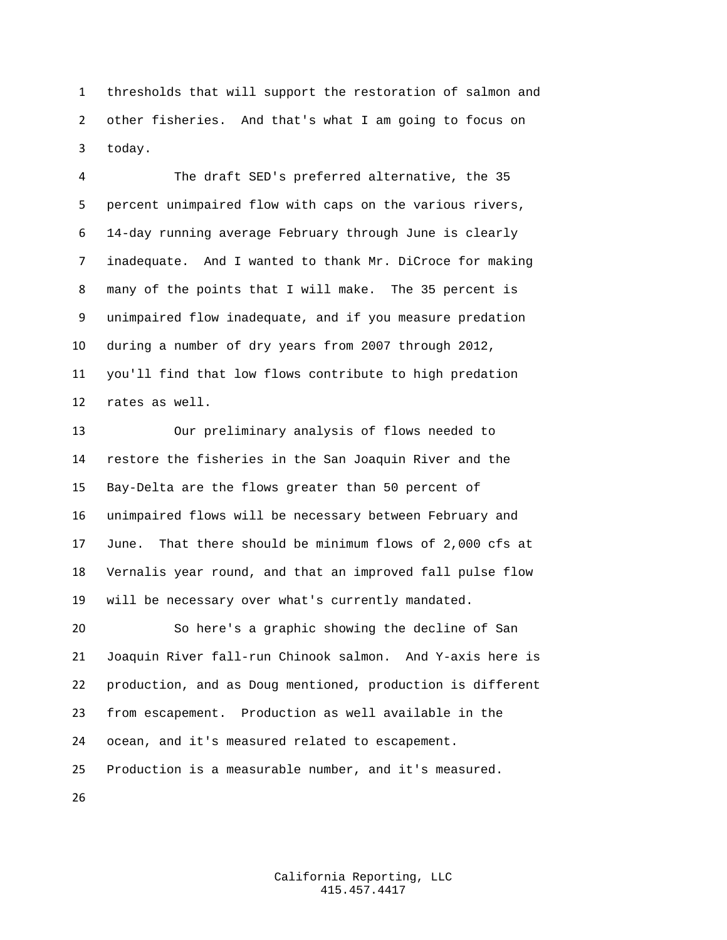thresholds that will support the restoration of salmon and other fisheries. And that's what I am going to focus on today.

 The draft SED's preferred alternative, the 35 percent unimpaired flow with caps on the various rivers, 14-day running average February through June is clearly inadequate. And I wanted to thank Mr. DiCroce for making many of the points that I will make. The 35 percent is unimpaired flow inadequate, and if you measure predation during a number of dry years from 2007 through 2012, you'll find that low flows contribute to high predation rates as well.

 Our preliminary analysis of flows needed to restore the fisheries in the San Joaquin River and the Bay-Delta are the flows greater than 50 percent of unimpaired flows will be necessary between February and June. That there should be minimum flows of 2,000 cfs at Vernalis year round, and that an improved fall pulse flow will be necessary over what's currently mandated.

 So here's a graphic showing the decline of San Joaquin River fall-run Chinook salmon. And Y-axis here is production, and as Doug mentioned, production is different from escapement. Production as well available in the ocean, and it's measured related to escapement. Production is a measurable number, and it's measured.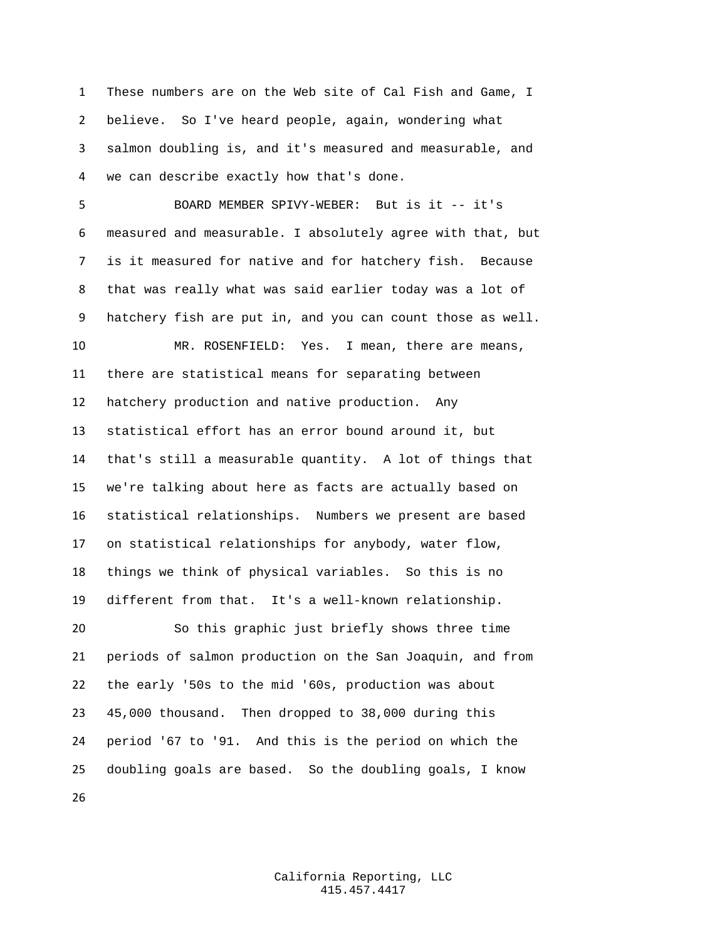These numbers are on the Web site of Cal Fish and Game, I believe. So I've heard people, again, wondering what salmon doubling is, and it's measured and measurable, and we can describe exactly how that's done.

 BOARD MEMBER SPIVY-WEBER: But is it -- it's measured and measurable. I absolutely agree with that, but is it measured for native and for hatchery fish. Because that was really what was said earlier today was a lot of hatchery fish are put in, and you can count those as well.

 MR. ROSENFIELD: Yes. I mean, there are means, there are statistical means for separating between hatchery production and native production. Any statistical effort has an error bound around it, but that's still a measurable quantity. A lot of things that we're talking about here as facts are actually based on statistical relationships. Numbers we present are based on statistical relationships for anybody, water flow, things we think of physical variables. So this is no different from that. It's a well-known relationship. So this graphic just briefly shows three time periods of salmon production on the San Joaquin, and from the early '50s to the mid '60s, production was about 45,000 thousand. Then dropped to 38,000 during this period '67 to '91. And this is the period on which the doubling goals are based. So the doubling goals, I know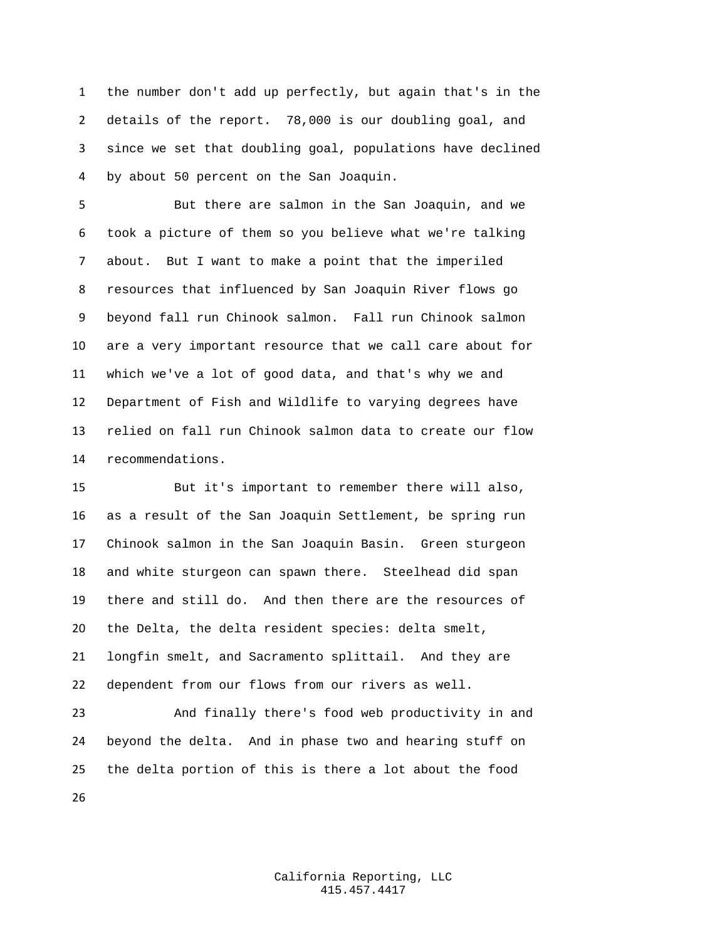the number don't add up perfectly, but again that's in the details of the report. 78,000 is our doubling goal, and since we set that doubling goal, populations have declined by about 50 percent on the San Joaquin.

 But there are salmon in the San Joaquin, and we took a picture of them so you believe what we're talking about. But I want to make a point that the imperiled resources that influenced by San Joaquin River flows go beyond fall run Chinook salmon. Fall run Chinook salmon are a very important resource that we call care about for which we've a lot of good data, and that's why we and Department of Fish and Wildlife to varying degrees have relied on fall run Chinook salmon data to create our flow recommendations.

 But it's important to remember there will also, as a result of the San Joaquin Settlement, be spring run Chinook salmon in the San Joaquin Basin. Green sturgeon and white sturgeon can spawn there. Steelhead did span there and still do. And then there are the resources of the Delta, the delta resident species: delta smelt, longfin smelt, and Sacramento splittail. And they are dependent from our flows from our rivers as well.

 And finally there's food web productivity in and beyond the delta. And in phase two and hearing stuff on the delta portion of this is there a lot about the food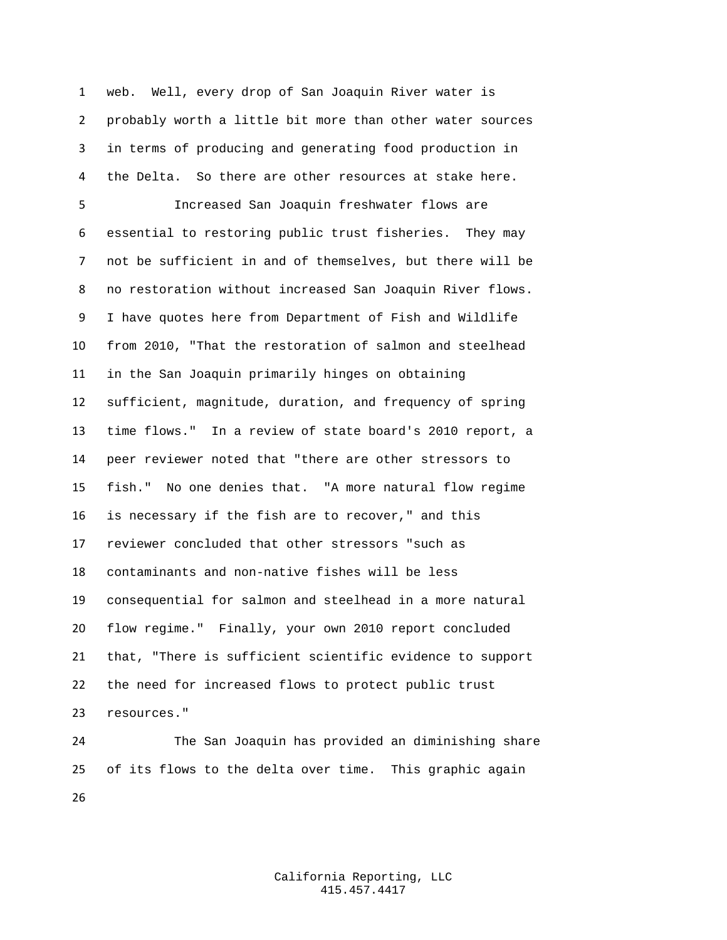web. Well, every drop of San Joaquin River water is probably worth a little bit more than other water sources in terms of producing and generating food production in the Delta. So there are other resources at stake here.

 Increased San Joaquin freshwater flows are essential to restoring public trust fisheries. They may not be sufficient in and of themselves, but there will be no restoration without increased San Joaquin River flows. I have quotes here from Department of Fish and Wildlife from 2010, "That the restoration of salmon and steelhead in the San Joaquin primarily hinges on obtaining sufficient, magnitude, duration, and frequency of spring time flows." In a review of state board's 2010 report, a peer reviewer noted that "there are other stressors to fish." No one denies that. "A more natural flow regime is necessary if the fish are to recover," and this reviewer concluded that other stressors "such as contaminants and non-native fishes will be less consequential for salmon and steelhead in a more natural flow regime." Finally, your own 2010 report concluded that, "There is sufficient scientific evidence to support the need for increased flows to protect public trust resources."

 The San Joaquin has provided an diminishing share of its flows to the delta over time. This graphic again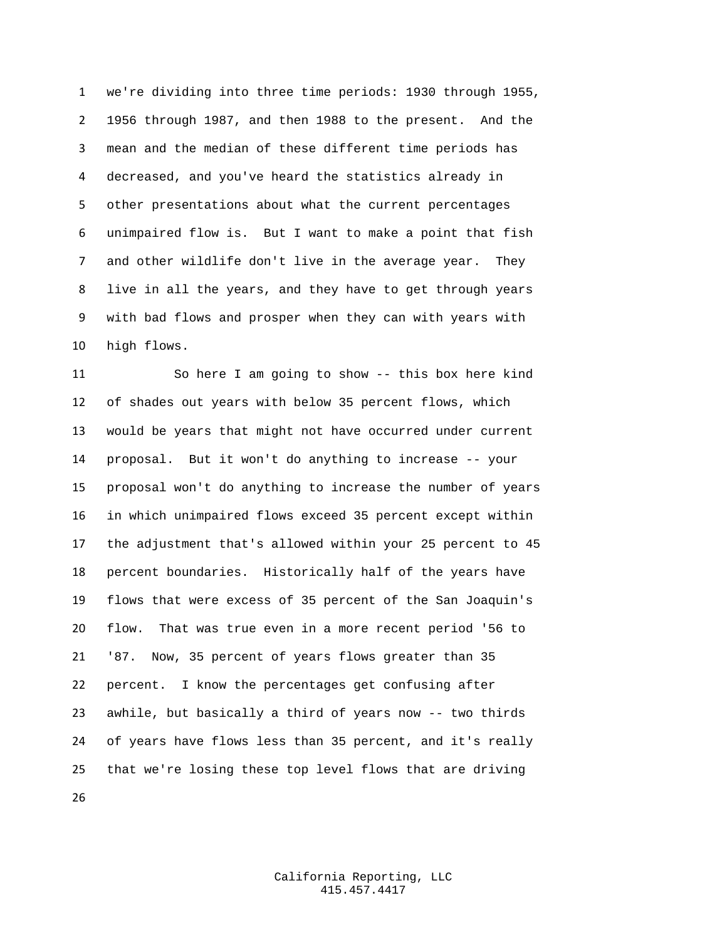we're dividing into three time periods: 1930 through 1955, 1956 through 1987, and then 1988 to the present. And the mean and the median of these different time periods has decreased, and you've heard the statistics already in other presentations about what the current percentages unimpaired flow is. But I want to make a point that fish and other wildlife don't live in the average year. They live in all the years, and they have to get through years with bad flows and prosper when they can with years with high flows.

 So here I am going to show -- this box here kind of shades out years with below 35 percent flows, which would be years that might not have occurred under current proposal. But it won't do anything to increase -- your proposal won't do anything to increase the number of years in which unimpaired flows exceed 35 percent except within the adjustment that's allowed within your 25 percent to 45 percent boundaries. Historically half of the years have flows that were excess of 35 percent of the San Joaquin's flow. That was true even in a more recent period '56 to '87. Now, 35 percent of years flows greater than 35 percent. I know the percentages get confusing after awhile, but basically a third of years now -- two thirds of years have flows less than 35 percent, and it's really that we're losing these top level flows that are driving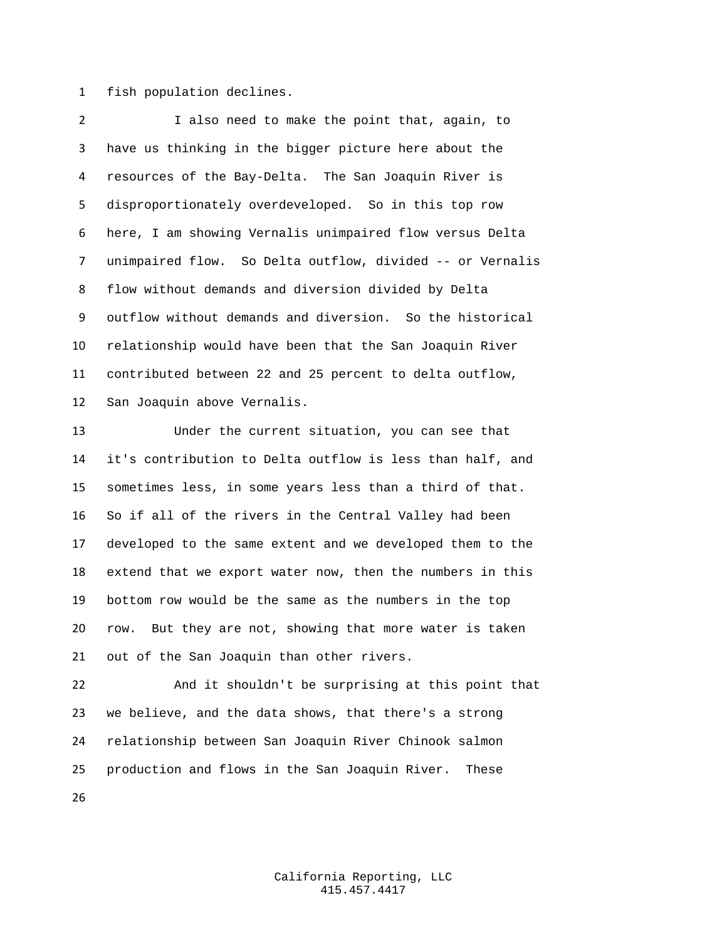fish population declines.

 I also need to make the point that, again, to have us thinking in the bigger picture here about the resources of the Bay-Delta. The San Joaquin River is disproportionately overdeveloped. So in this top row here, I am showing Vernalis unimpaired flow versus Delta unimpaired flow. So Delta outflow, divided -- or Vernalis flow without demands and diversion divided by Delta outflow without demands and diversion. So the historical relationship would have been that the San Joaquin River contributed between 22 and 25 percent to delta outflow, San Joaquin above Vernalis.

 Under the current situation, you can see that it's contribution to Delta outflow is less than half, and sometimes less, in some years less than a third of that. So if all of the rivers in the Central Valley had been developed to the same extent and we developed them to the extend that we export water now, then the numbers in this bottom row would be the same as the numbers in the top row. But they are not, showing that more water is taken out of the San Joaquin than other rivers.

 And it shouldn't be surprising at this point that we believe, and the data shows, that there's a strong relationship between San Joaquin River Chinook salmon production and flows in the San Joaquin River. These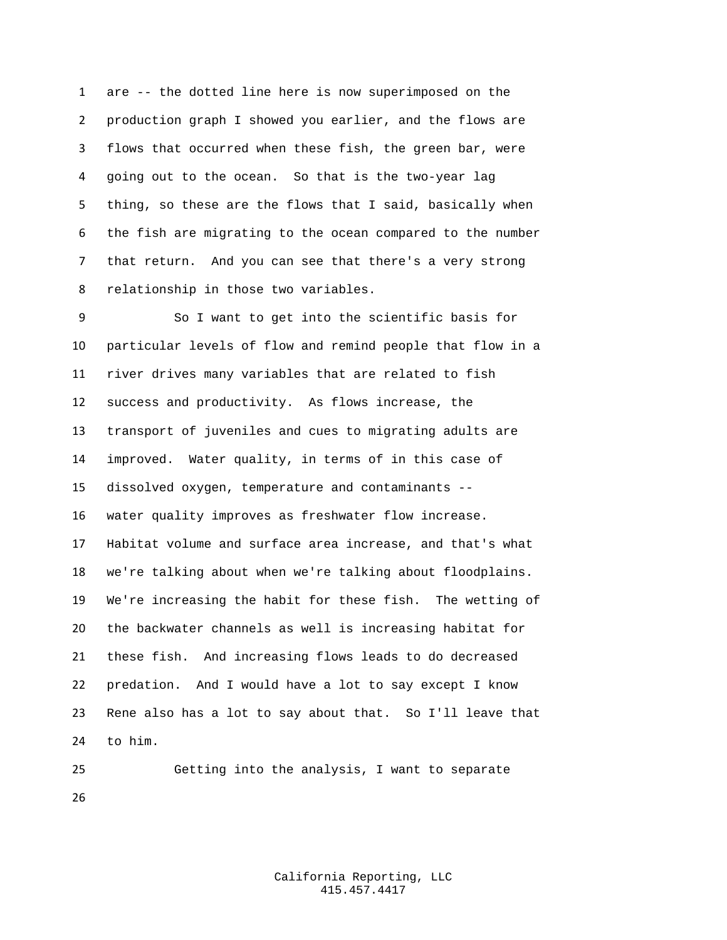are -- the dotted line here is now superimposed on the production graph I showed you earlier, and the flows are flows that occurred when these fish, the green bar, were going out to the ocean. So that is the two-year lag thing, so these are the flows that I said, basically when the fish are migrating to the ocean compared to the number that return. And you can see that there's a very strong relationship in those two variables.

 So I want to get into the scientific basis for particular levels of flow and remind people that flow in a river drives many variables that are related to fish success and productivity. As flows increase, the transport of juveniles and cues to migrating adults are improved. Water quality, in terms of in this case of dissolved oxygen, temperature and contaminants -- water quality improves as freshwater flow increase. Habitat volume and surface area increase, and that's what we're talking about when we're talking about floodplains. We're increasing the habit for these fish. The wetting of the backwater channels as well is increasing habitat for these fish. And increasing flows leads to do decreased predation. And I would have a lot to say except I know Rene also has a lot to say about that. So I'll leave that to him.

 Getting into the analysis, I want to separate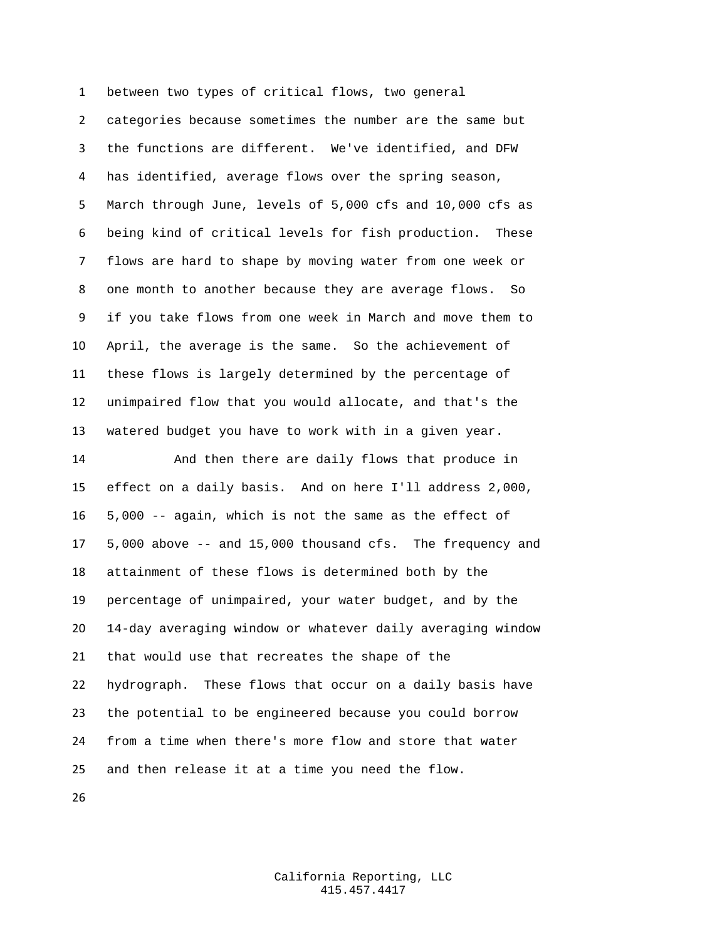between two types of critical flows, two general categories because sometimes the number are the same but the functions are different. We've identified, and DFW has identified, average flows over the spring season, March through June, levels of 5,000 cfs and 10,000 cfs as being kind of critical levels for fish production. These flows are hard to shape by moving water from one week or one month to another because they are average flows. So if you take flows from one week in March and move them to April, the average is the same. So the achievement of these flows is largely determined by the percentage of unimpaired flow that you would allocate, and that's the watered budget you have to work with in a given year. And then there are daily flows that produce in effect on a daily basis. And on here I'll address 2,000, 5,000 -- again, which is not the same as the effect of 5,000 above -- and 15,000 thousand cfs. The frequency and attainment of these flows is determined both by the percentage of unimpaired, your water budget, and by the 14-day averaging window or whatever daily averaging window that would use that recreates the shape of the hydrograph. These flows that occur on a daily basis have the potential to be engineered because you could borrow

 from a time when there's more flow and store that water and then release it at a time you need the flow.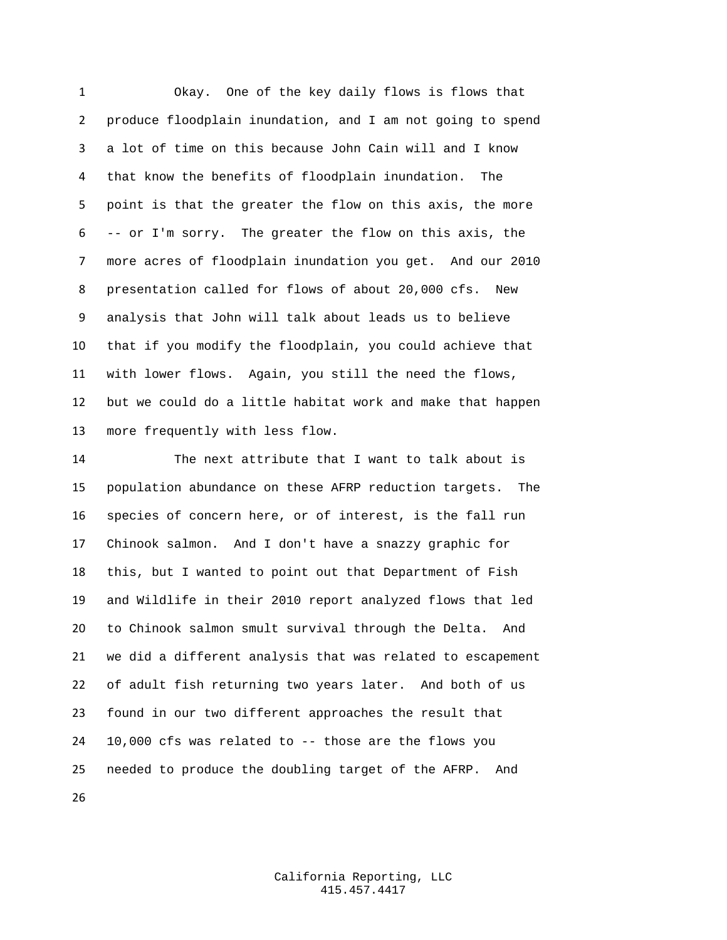Okay. One of the key daily flows is flows that produce floodplain inundation, and I am not going to spend a lot of time on this because John Cain will and I know that know the benefits of floodplain inundation. The point is that the greater the flow on this axis, the more -- or I'm sorry. The greater the flow on this axis, the more acres of floodplain inundation you get. And our 2010 presentation called for flows of about 20,000 cfs. New analysis that John will talk about leads us to believe that if you modify the floodplain, you could achieve that with lower flows. Again, you still the need the flows, but we could do a little habitat work and make that happen more frequently with less flow.

 The next attribute that I want to talk about is population abundance on these AFRP reduction targets. The species of concern here, or of interest, is the fall run Chinook salmon. And I don't have a snazzy graphic for this, but I wanted to point out that Department of Fish and Wildlife in their 2010 report analyzed flows that led to Chinook salmon smult survival through the Delta. And we did a different analysis that was related to escapement of adult fish returning two years later. And both of us found in our two different approaches the result that 10,000 cfs was related to -- those are the flows you needed to produce the doubling target of the AFRP. And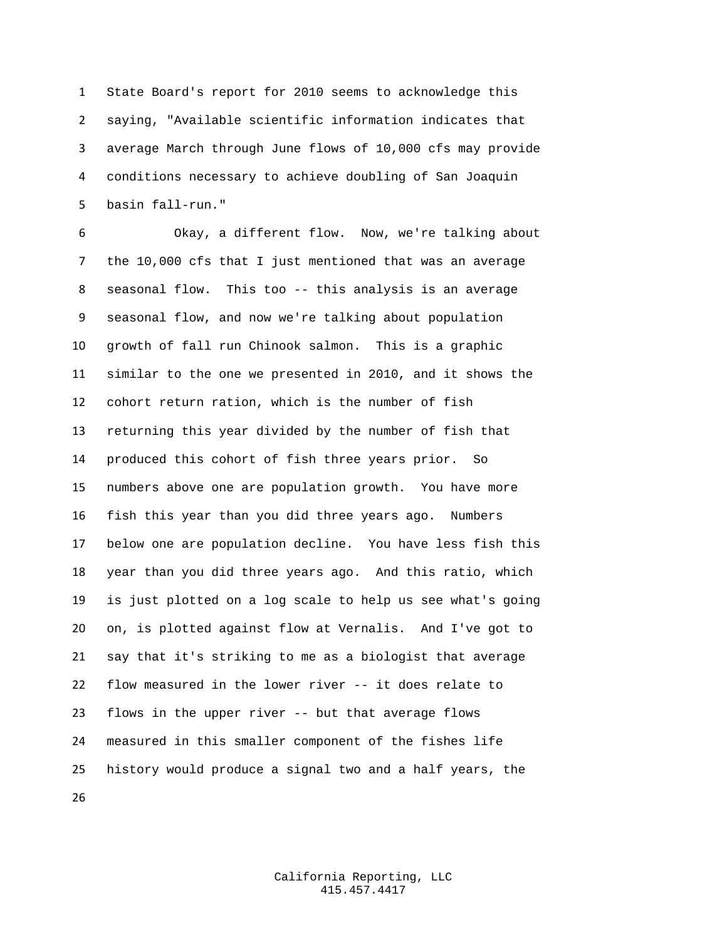State Board's report for 2010 seems to acknowledge this saying, "Available scientific information indicates that average March through June flows of 10,000 cfs may provide conditions necessary to achieve doubling of San Joaquin basin fall-run."

 Okay, a different flow. Now, we're talking about the 10,000 cfs that I just mentioned that was an average seasonal flow. This too -- this analysis is an average seasonal flow, and now we're talking about population growth of fall run Chinook salmon. This is a graphic similar to the one we presented in 2010, and it shows the cohort return ration, which is the number of fish returning this year divided by the number of fish that produced this cohort of fish three years prior. So numbers above one are population growth. You have more fish this year than you did three years ago. Numbers below one are population decline. You have less fish this year than you did three years ago. And this ratio, which is just plotted on a log scale to help us see what's going on, is plotted against flow at Vernalis. And I've got to say that it's striking to me as a biologist that average flow measured in the lower river -- it does relate to flows in the upper river -- but that average flows measured in this smaller component of the fishes life history would produce a signal two and a half years, the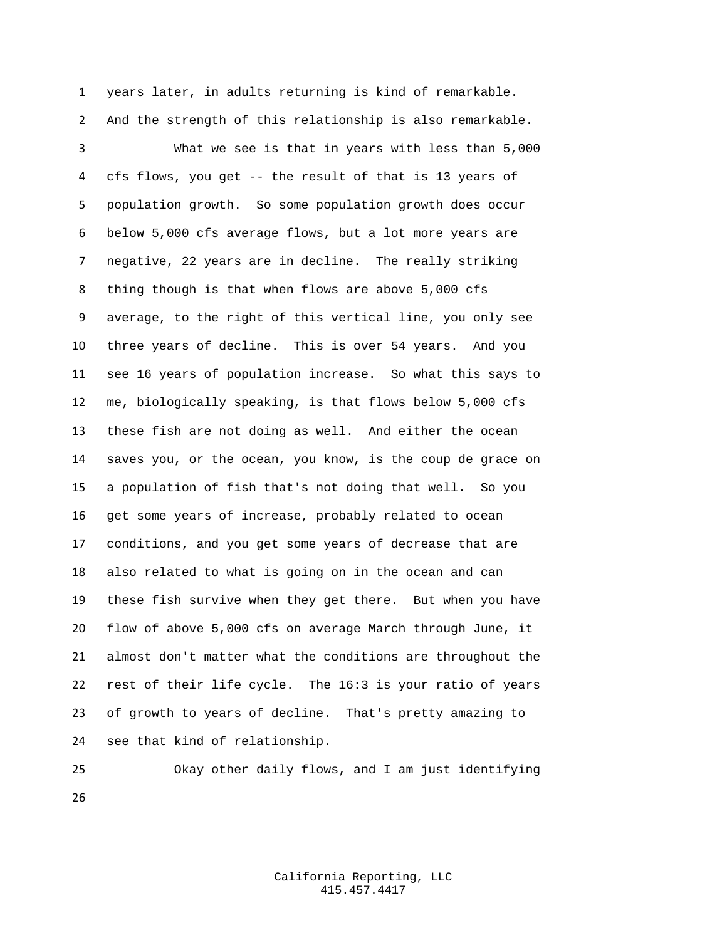years later, in adults returning is kind of remarkable. And the strength of this relationship is also remarkable.

 What we see is that in years with less than 5,000 cfs flows, you get -- the result of that is 13 years of population growth. So some population growth does occur below 5,000 cfs average flows, but a lot more years are negative, 22 years are in decline. The really striking thing though is that when flows are above 5,000 cfs average, to the right of this vertical line, you only see three years of decline. This is over 54 years. And you see 16 years of population increase. So what this says to me, biologically speaking, is that flows below 5,000 cfs these fish are not doing as well. And either the ocean saves you, or the ocean, you know, is the coup de grace on a population of fish that's not doing that well. So you get some years of increase, probably related to ocean conditions, and you get some years of decrease that are also related to what is going on in the ocean and can these fish survive when they get there. But when you have flow of above 5,000 cfs on average March through June, it almost don't matter what the conditions are throughout the rest of their life cycle. The 16:3 is your ratio of years of growth to years of decline. That's pretty amazing to see that kind of relationship.

 Okay other daily flows, and I am just identifying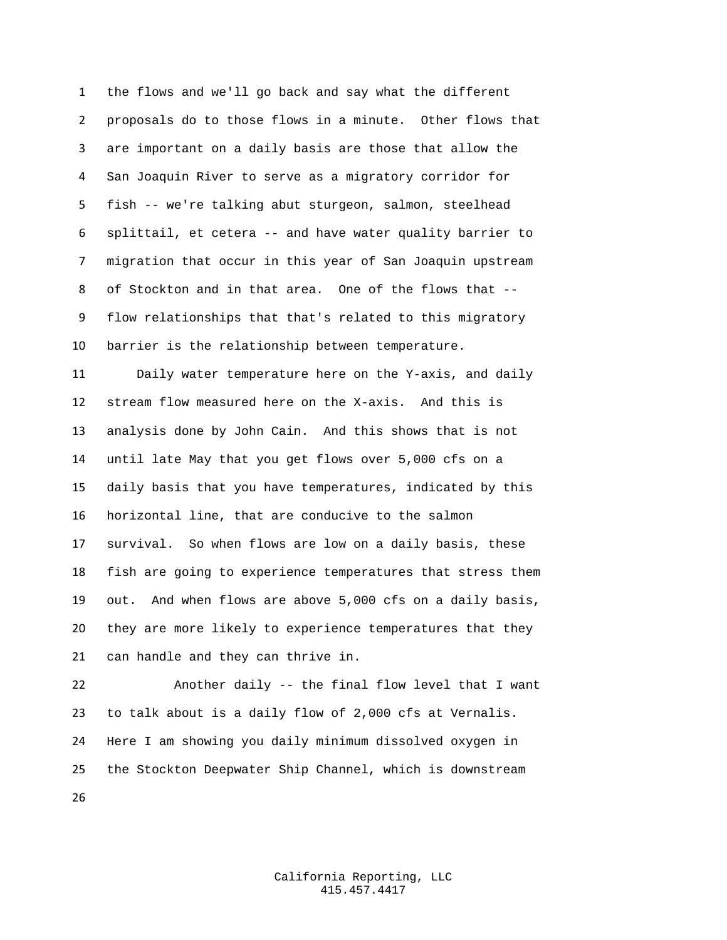the flows and we'll go back and say what the different proposals do to those flows in a minute. Other flows that are important on a daily basis are those that allow the San Joaquin River to serve as a migratory corridor for fish -- we're talking abut sturgeon, salmon, steelhead splittail, et cetera -- and have water quality barrier to migration that occur in this year of San Joaquin upstream of Stockton and in that area. One of the flows that -- flow relationships that that's related to this migratory barrier is the relationship between temperature. Daily water temperature here on the Y-axis, and daily

 stream flow measured here on the X-axis. And this is analysis done by John Cain. And this shows that is not until late May that you get flows over 5,000 cfs on a daily basis that you have temperatures, indicated by this horizontal line, that are conducive to the salmon survival. So when flows are low on a daily basis, these fish are going to experience temperatures that stress them out. And when flows are above 5,000 cfs on a daily basis, they are more likely to experience temperatures that they can handle and they can thrive in.

 Another daily -- the final flow level that I want to talk about is a daily flow of 2,000 cfs at Vernalis. Here I am showing you daily minimum dissolved oxygen in the Stockton Deepwater Ship Channel, which is downstream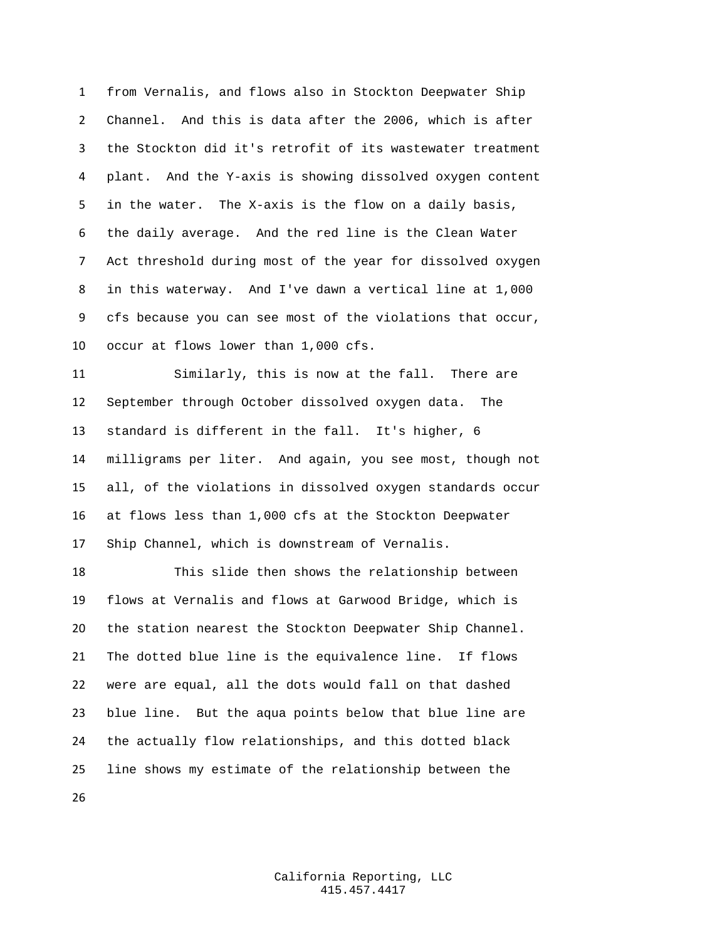from Vernalis, and flows also in Stockton Deepwater Ship Channel. And this is data after the 2006, which is after the Stockton did it's retrofit of its wastewater treatment plant. And the Y-axis is showing dissolved oxygen content in the water. The X-axis is the flow on a daily basis, the daily average. And the red line is the Clean Water Act threshold during most of the year for dissolved oxygen in this waterway. And I've dawn a vertical line at 1,000 cfs because you can see most of the violations that occur, occur at flows lower than 1,000 cfs.

 Similarly, this is now at the fall. There are September through October dissolved oxygen data. The standard is different in the fall. It's higher, 6 milligrams per liter. And again, you see most, though not all, of the violations in dissolved oxygen standards occur at flows less than 1,000 cfs at the Stockton Deepwater Ship Channel, which is downstream of Vernalis.

 This slide then shows the relationship between flows at Vernalis and flows at Garwood Bridge, which is the station nearest the Stockton Deepwater Ship Channel. The dotted blue line is the equivalence line. If flows were are equal, all the dots would fall on that dashed blue line. But the aqua points below that blue line are the actually flow relationships, and this dotted black line shows my estimate of the relationship between the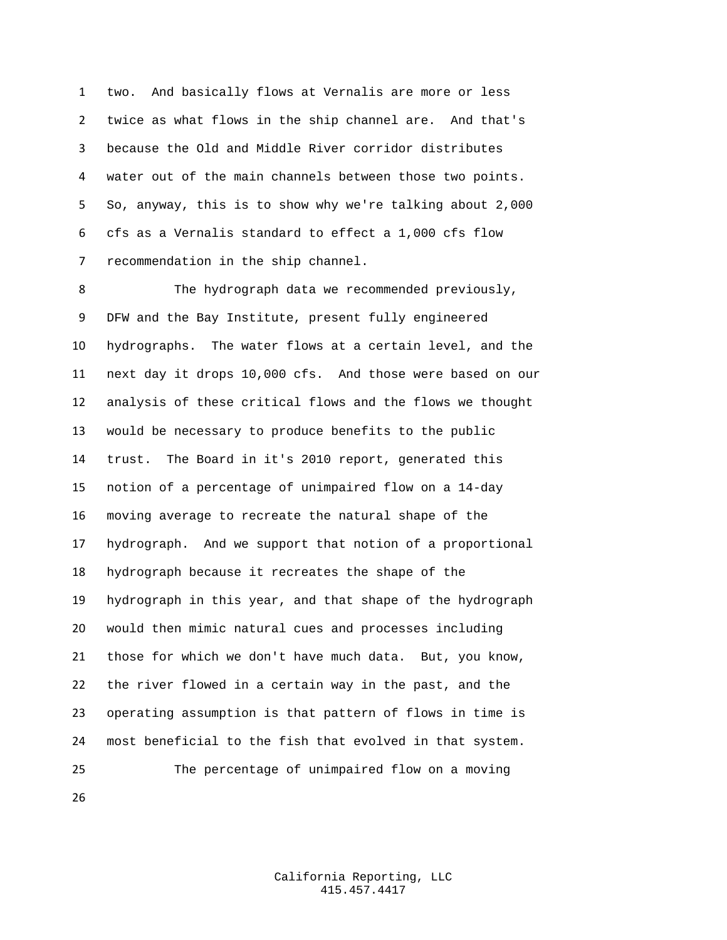two. And basically flows at Vernalis are more or less twice as what flows in the ship channel are. And that's because the Old and Middle River corridor distributes water out of the main channels between those two points. So, anyway, this is to show why we're talking about 2,000 cfs as a Vernalis standard to effect a 1,000 cfs flow recommendation in the ship channel.

 The hydrograph data we recommended previously, DFW and the Bay Institute, present fully engineered hydrographs. The water flows at a certain level, and the next day it drops 10,000 cfs. And those were based on our analysis of these critical flows and the flows we thought would be necessary to produce benefits to the public trust. The Board in it's 2010 report, generated this notion of a percentage of unimpaired flow on a 14-day moving average to recreate the natural shape of the hydrograph. And we support that notion of a proportional hydrograph because it recreates the shape of the hydrograph in this year, and that shape of the hydrograph would then mimic natural cues and processes including those for which we don't have much data. But, you know, the river flowed in a certain way in the past, and the operating assumption is that pattern of flows in time is most beneficial to the fish that evolved in that system. The percentage of unimpaired flow on a moving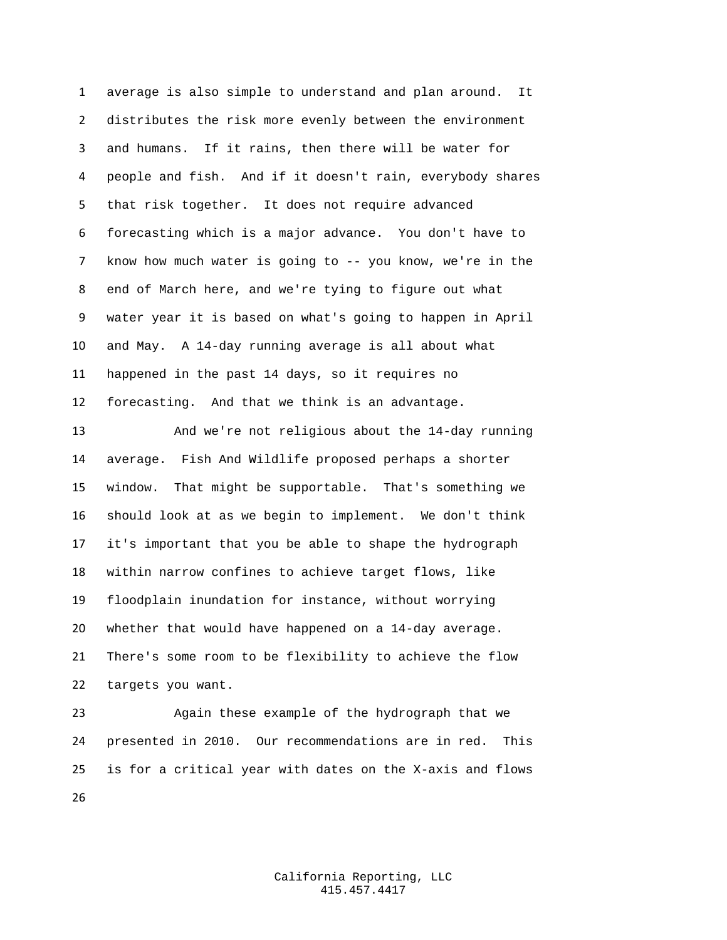average is also simple to understand and plan around. It distributes the risk more evenly between the environment and humans. If it rains, then there will be water for people and fish. And if it doesn't rain, everybody shares that risk together. It does not require advanced forecasting which is a major advance. You don't have to know how much water is going to -- you know, we're in the end of March here, and we're tying to figure out what water year it is based on what's going to happen in April and May. A 14-day running average is all about what happened in the past 14 days, so it requires no forecasting. And that we think is an advantage.

 And we're not religious about the 14-day running average. Fish And Wildlife proposed perhaps a shorter window. That might be supportable. That's something we should look at as we begin to implement. We don't think it's important that you be able to shape the hydrograph within narrow confines to achieve target flows, like floodplain inundation for instance, without worrying whether that would have happened on a 14-day average. There's some room to be flexibility to achieve the flow targets you want.

 Again these example of the hydrograph that we presented in 2010. Our recommendations are in red. This is for a critical year with dates on the X-axis and flows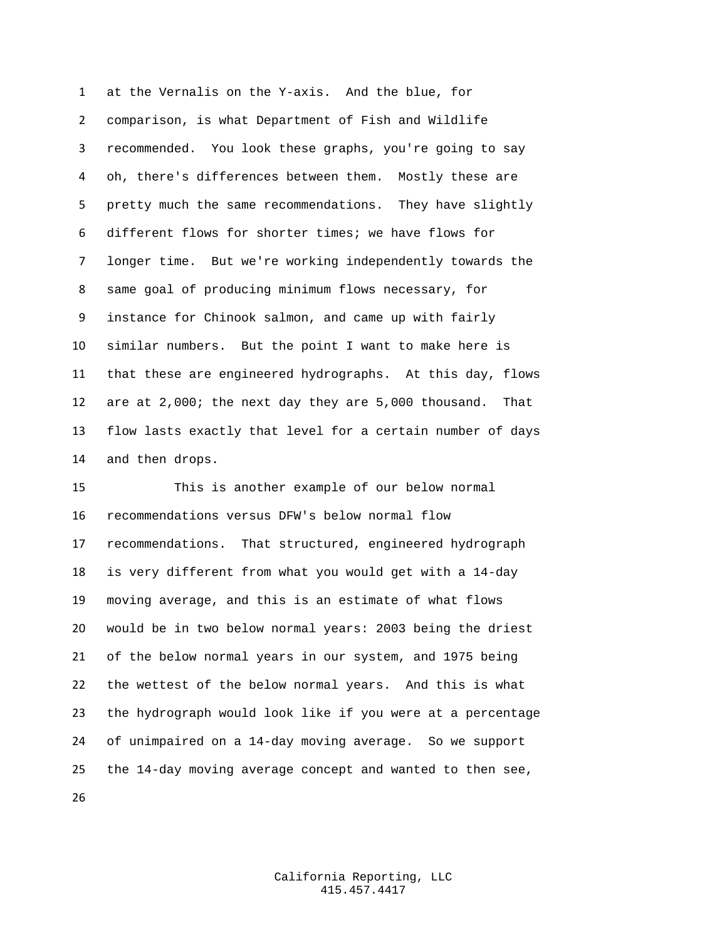at the Vernalis on the Y-axis. And the blue, for comparison, is what Department of Fish and Wildlife recommended. You look these graphs, you're going to say oh, there's differences between them. Mostly these are pretty much the same recommendations. They have slightly different flows for shorter times; we have flows for longer time. But we're working independently towards the same goal of producing minimum flows necessary, for instance for Chinook salmon, and came up with fairly similar numbers. But the point I want to make here is that these are engineered hydrographs. At this day, flows are at 2,000; the next day they are 5,000 thousand. That flow lasts exactly that level for a certain number of days and then drops.

 This is another example of our below normal recommendations versus DFW's below normal flow recommendations. That structured, engineered hydrograph is very different from what you would get with a 14-day moving average, and this is an estimate of what flows would be in two below normal years: 2003 being the driest of the below normal years in our system, and 1975 being the wettest of the below normal years. And this is what the hydrograph would look like if you were at a percentage of unimpaired on a 14-day moving average. So we support the 14-day moving average concept and wanted to then see,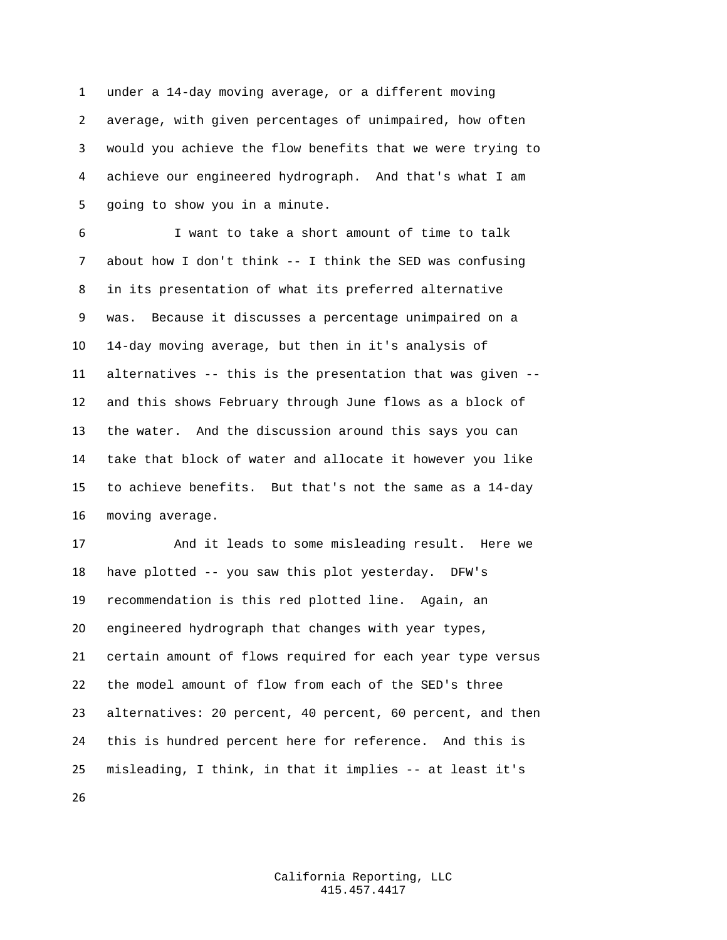under a 14-day moving average, or a different moving average, with given percentages of unimpaired, how often would you achieve the flow benefits that we were trying to achieve our engineered hydrograph. And that's what I am going to show you in a minute.

 I want to take a short amount of time to talk about how I don't think -- I think the SED was confusing in its presentation of what its preferred alternative was. Because it discusses a percentage unimpaired on a 14-day moving average, but then in it's analysis of alternatives -- this is the presentation that was given -- and this shows February through June flows as a block of the water. And the discussion around this says you can take that block of water and allocate it however you like to achieve benefits. But that's not the same as a 14-day moving average.

 And it leads to some misleading result. Here we have plotted -- you saw this plot yesterday. DFW's recommendation is this red plotted line. Again, an engineered hydrograph that changes with year types, certain amount of flows required for each year type versus the model amount of flow from each of the SED's three alternatives: 20 percent, 40 percent, 60 percent, and then this is hundred percent here for reference. And this is misleading, I think, in that it implies -- at least it's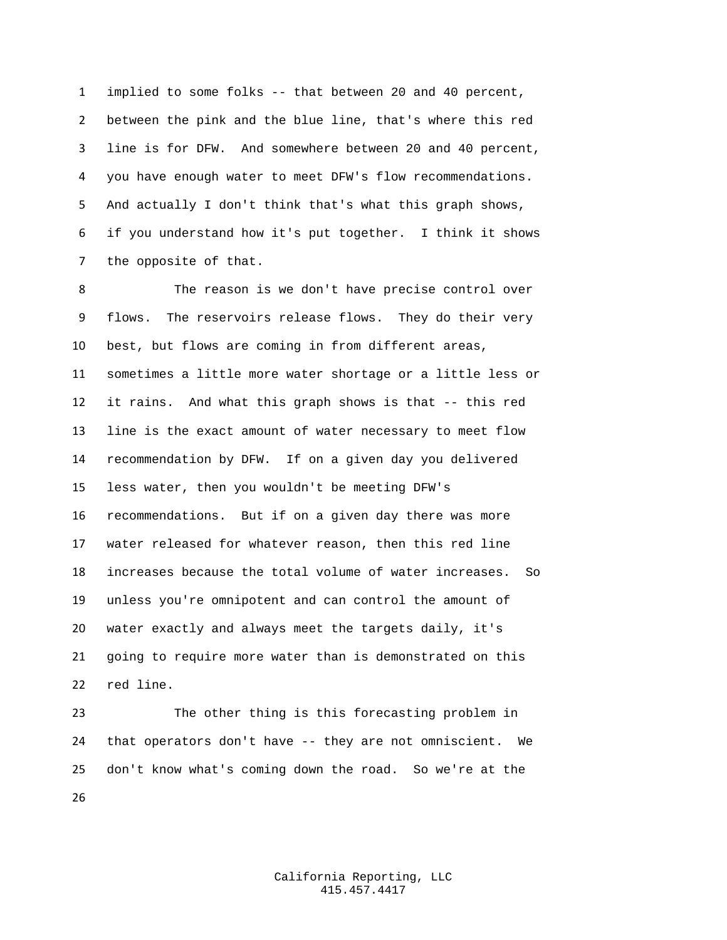implied to some folks -- that between 20 and 40 percent, between the pink and the blue line, that's where this red line is for DFW. And somewhere between 20 and 40 percent, you have enough water to meet DFW's flow recommendations. And actually I don't think that's what this graph shows, if you understand how it's put together. I think it shows the opposite of that.

 The reason is we don't have precise control over flows. The reservoirs release flows. They do their very best, but flows are coming in from different areas, sometimes a little more water shortage or a little less or it rains. And what this graph shows is that -- this red line is the exact amount of water necessary to meet flow recommendation by DFW. If on a given day you delivered less water, then you wouldn't be meeting DFW's recommendations. But if on a given day there was more water released for whatever reason, then this red line increases because the total volume of water increases. So unless you're omnipotent and can control the amount of water exactly and always meet the targets daily, it's going to require more water than is demonstrated on this red line.

 The other thing is this forecasting problem in that operators don't have -- they are not omniscient. We don't know what's coming down the road. So we're at the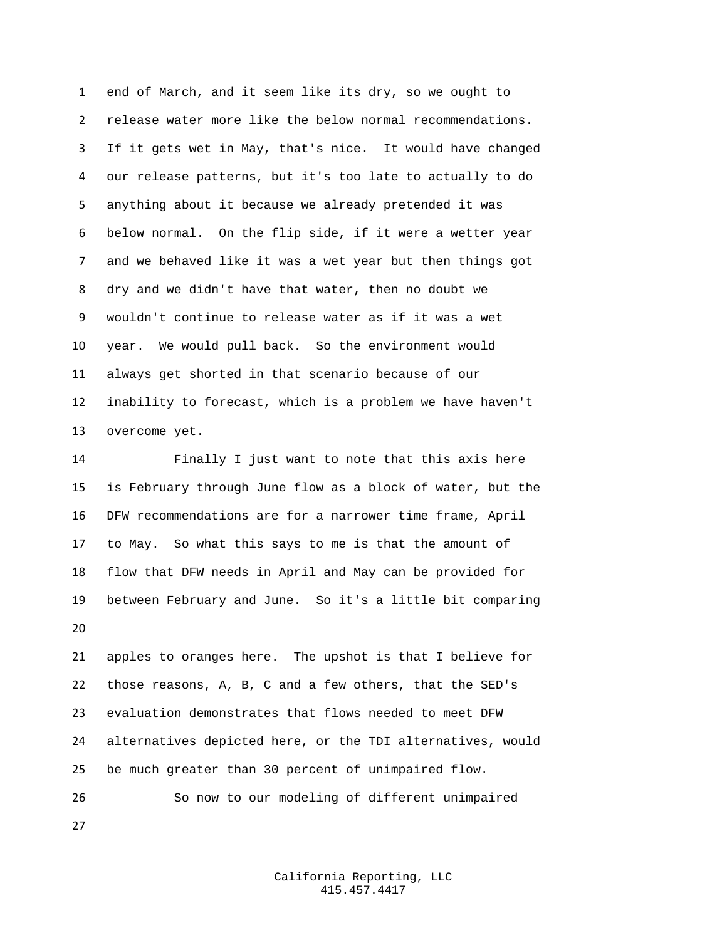end of March, and it seem like its dry, so we ought to release water more like the below normal recommendations. If it gets wet in May, that's nice. It would have changed our release patterns, but it's too late to actually to do anything about it because we already pretended it was below normal. On the flip side, if it were a wetter year and we behaved like it was a wet year but then things got dry and we didn't have that water, then no doubt we wouldn't continue to release water as if it was a wet year. We would pull back. So the environment would always get shorted in that scenario because of our inability to forecast, which is a problem we have haven't overcome yet.

 Finally I just want to note that this axis here is February through June flow as a block of water, but the DFW recommendations are for a narrower time frame, April to May. So what this says to me is that the amount of flow that DFW needs in April and May can be provided for between February and June. So it's a little bit comparing 

 apples to oranges here. The upshot is that I believe for those reasons, A, B, C and a few others, that the SED's evaluation demonstrates that flows needed to meet DFW alternatives depicted here, or the TDI alternatives, would be much greater than 30 percent of unimpaired flow.

 So now to our modeling of different unimpaired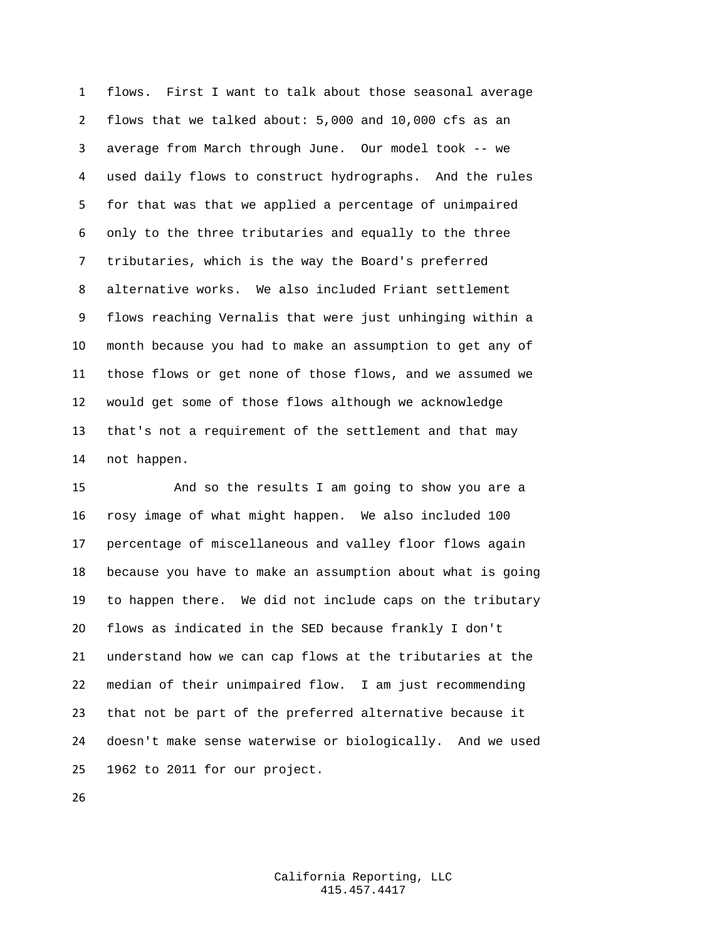flows. First I want to talk about those seasonal average flows that we talked about: 5,000 and 10,000 cfs as an average from March through June. Our model took -- we used daily flows to construct hydrographs. And the rules for that was that we applied a percentage of unimpaired only to the three tributaries and equally to the three tributaries, which is the way the Board's preferred alternative works. We also included Friant settlement flows reaching Vernalis that were just unhinging within a month because you had to make an assumption to get any of those flows or get none of those flows, and we assumed we would get some of those flows although we acknowledge that's not a requirement of the settlement and that may not happen.

 And so the results I am going to show you are a rosy image of what might happen. We also included 100 percentage of miscellaneous and valley floor flows again because you have to make an assumption about what is going to happen there. We did not include caps on the tributary flows as indicated in the SED because frankly I don't understand how we can cap flows at the tributaries at the median of their unimpaired flow. I am just recommending that not be part of the preferred alternative because it doesn't make sense waterwise or biologically. And we used 1962 to 2011 for our project.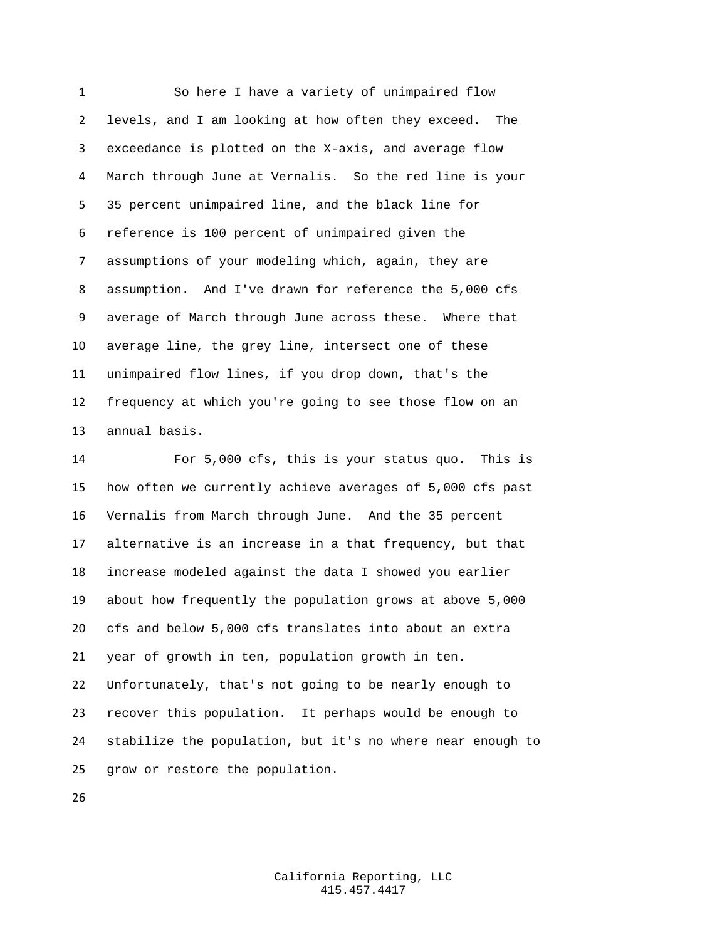So here I have a variety of unimpaired flow levels, and I am looking at how often they exceed. The exceedance is plotted on the X-axis, and average flow March through June at Vernalis. So the red line is your 35 percent unimpaired line, and the black line for reference is 100 percent of unimpaired given the assumptions of your modeling which, again, they are assumption. And I've drawn for reference the 5,000 cfs average of March through June across these. Where that average line, the grey line, intersect one of these unimpaired flow lines, if you drop down, that's the frequency at which you're going to see those flow on an annual basis.

 For 5,000 cfs, this is your status quo. This is how often we currently achieve averages of 5,000 cfs past Vernalis from March through June. And the 35 percent alternative is an increase in a that frequency, but that increase modeled against the data I showed you earlier about how frequently the population grows at above 5,000 cfs and below 5,000 cfs translates into about an extra year of growth in ten, population growth in ten. Unfortunately, that's not going to be nearly enough to recover this population. It perhaps would be enough to stabilize the population, but it's no where near enough to grow or restore the population.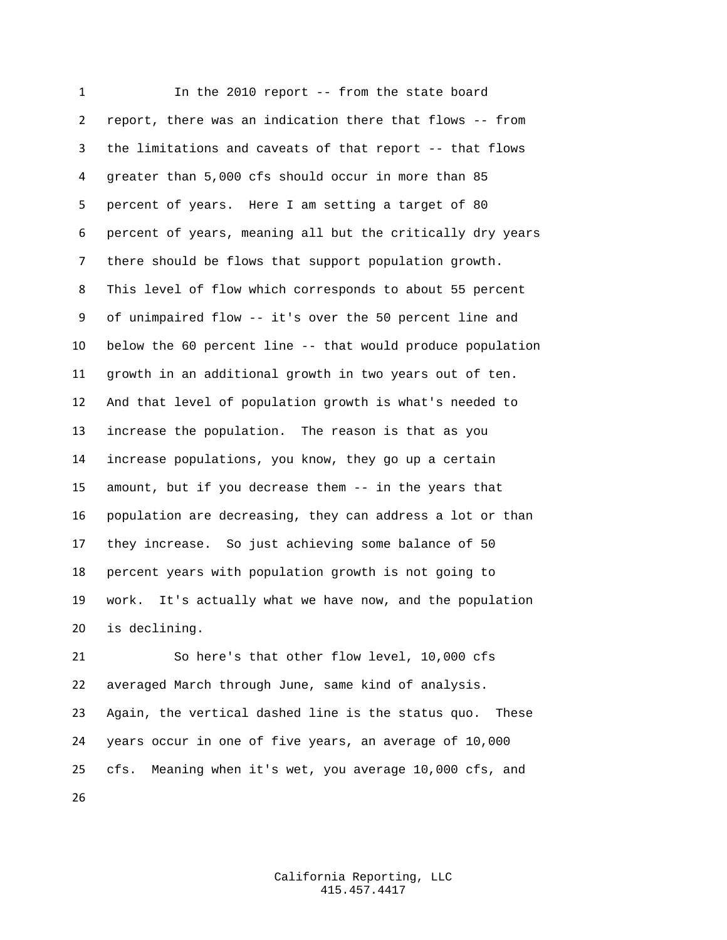In the 2010 report -- from the state board report, there was an indication there that flows -- from the limitations and caveats of that report -- that flows greater than 5,000 cfs should occur in more than 85 percent of years. Here I am setting a target of 80 percent of years, meaning all but the critically dry years there should be flows that support population growth. This level of flow which corresponds to about 55 percent of unimpaired flow -- it's over the 50 percent line and below the 60 percent line -- that would produce population growth in an additional growth in two years out of ten. And that level of population growth is what's needed to increase the population. The reason is that as you increase populations, you know, they go up a certain amount, but if you decrease them -- in the years that population are decreasing, they can address a lot or than they increase. So just achieving some balance of 50 percent years with population growth is not going to work. It's actually what we have now, and the population is declining.

 So here's that other flow level, 10,000 cfs averaged March through June, same kind of analysis. Again, the vertical dashed line is the status quo. These years occur in one of five years, an average of 10,000 cfs. Meaning when it's wet, you average 10,000 cfs, and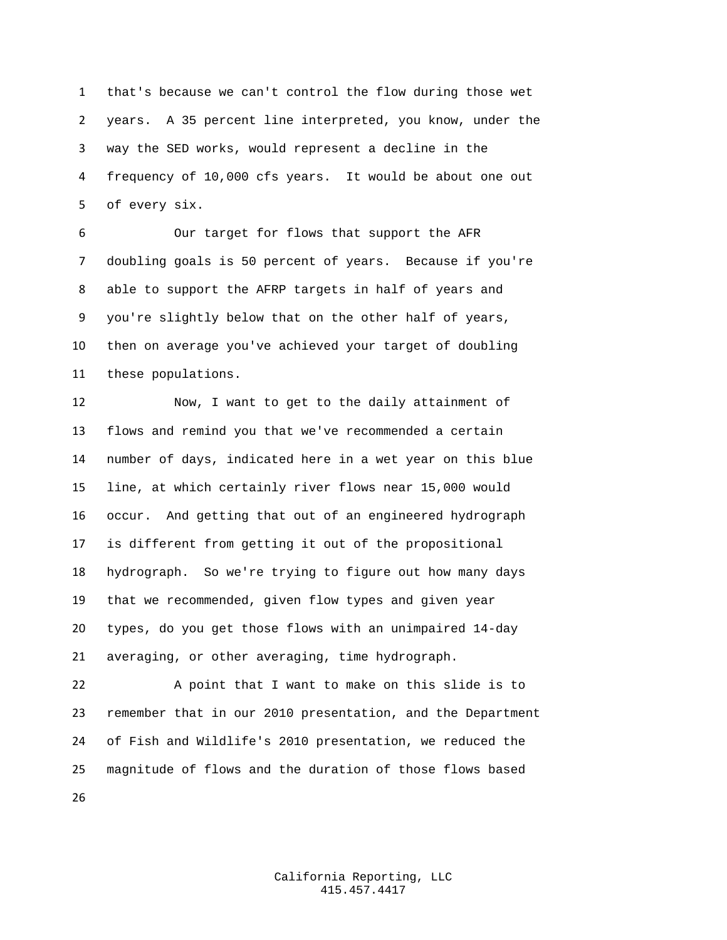that's because we can't control the flow during those wet years. A 35 percent line interpreted, you know, under the way the SED works, would represent a decline in the frequency of 10,000 cfs years. It would be about one out of every six.

 Our target for flows that support the AFR doubling goals is 50 percent of years. Because if you're able to support the AFRP targets in half of years and you're slightly below that on the other half of years, then on average you've achieved your target of doubling these populations.

 Now, I want to get to the daily attainment of flows and remind you that we've recommended a certain number of days, indicated here in a wet year on this blue line, at which certainly river flows near 15,000 would occur. And getting that out of an engineered hydrograph is different from getting it out of the propositional hydrograph. So we're trying to figure out how many days that we recommended, given flow types and given year types, do you get those flows with an unimpaired 14-day averaging, or other averaging, time hydrograph.

 A point that I want to make on this slide is to remember that in our 2010 presentation, and the Department of Fish and Wildlife's 2010 presentation, we reduced the magnitude of flows and the duration of those flows based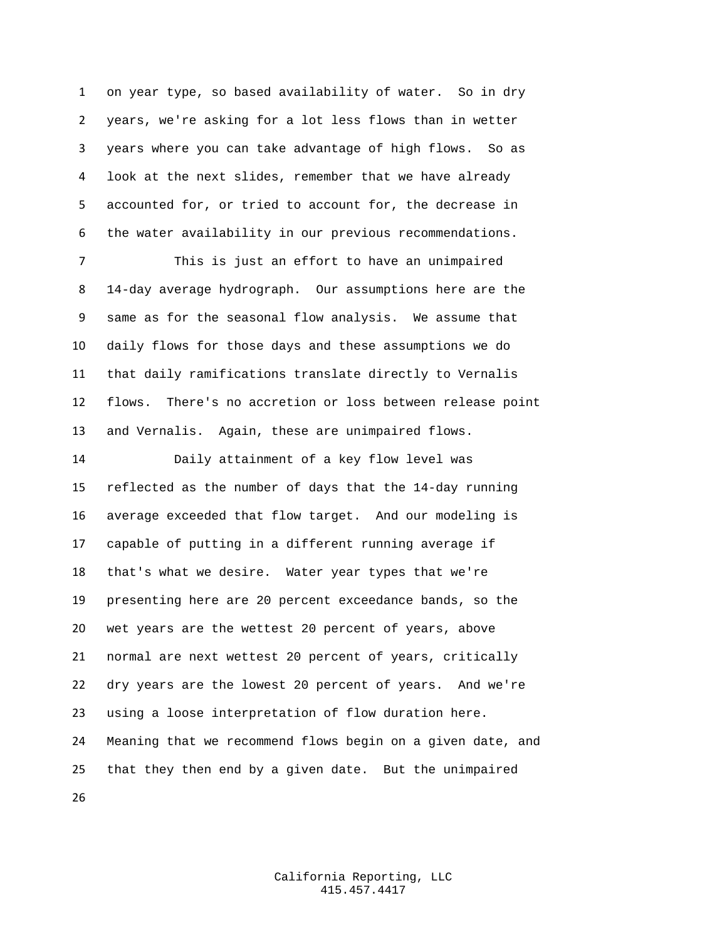on year type, so based availability of water. So in dry years, we're asking for a lot less flows than in wetter years where you can take advantage of high flows. So as look at the next slides, remember that we have already accounted for, or tried to account for, the decrease in the water availability in our previous recommendations.

 This is just an effort to have an unimpaired 14-day average hydrograph. Our assumptions here are the same as for the seasonal flow analysis. We assume that daily flows for those days and these assumptions we do that daily ramifications translate directly to Vernalis flows. There's no accretion or loss between release point and Vernalis. Again, these are unimpaired flows.

 Daily attainment of a key flow level was reflected as the number of days that the 14-day running average exceeded that flow target. And our modeling is capable of putting in a different running average if that's what we desire. Water year types that we're presenting here are 20 percent exceedance bands, so the wet years are the wettest 20 percent of years, above normal are next wettest 20 percent of years, critically dry years are the lowest 20 percent of years. And we're using a loose interpretation of flow duration here. Meaning that we recommend flows begin on a given date, and that they then end by a given date. But the unimpaired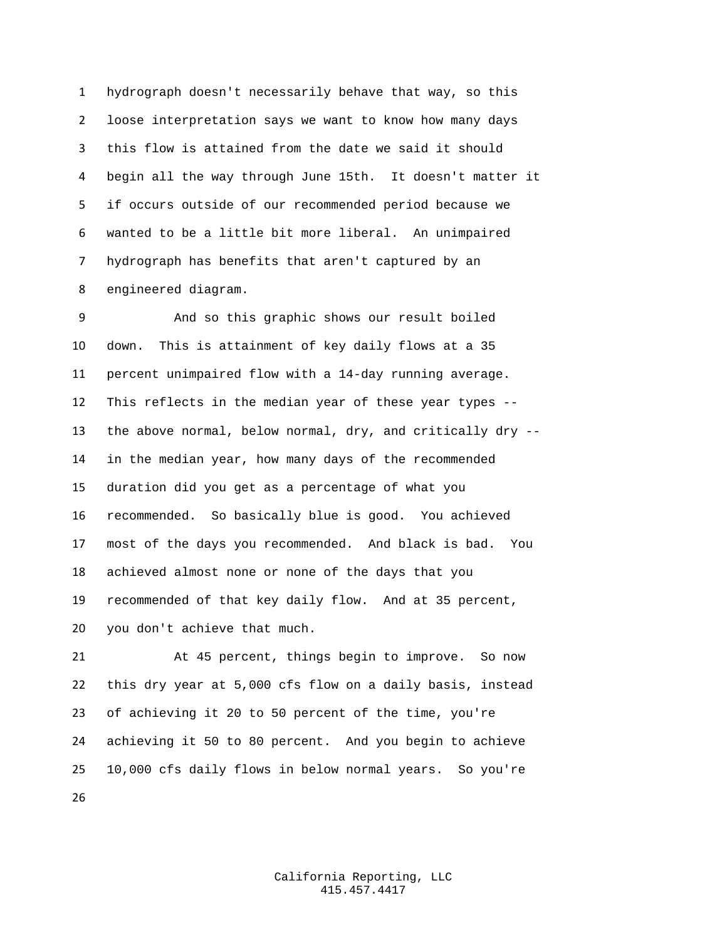hydrograph doesn't necessarily behave that way, so this loose interpretation says we want to know how many days this flow is attained from the date we said it should begin all the way through June 15th. It doesn't matter it if occurs outside of our recommended period because we wanted to be a little bit more liberal. An unimpaired hydrograph has benefits that aren't captured by an engineered diagram.

 And so this graphic shows our result boiled down. This is attainment of key daily flows at a 35 percent unimpaired flow with a 14-day running average. This reflects in the median year of these year types -- the above normal, below normal, dry, and critically dry -- in the median year, how many days of the recommended duration did you get as a percentage of what you recommended. So basically blue is good. You achieved most of the days you recommended. And black is bad. You achieved almost none or none of the days that you recommended of that key daily flow. And at 35 percent, you don't achieve that much.

 At 45 percent, things begin to improve. So now this dry year at 5,000 cfs flow on a daily basis, instead of achieving it 20 to 50 percent of the time, you're achieving it 50 to 80 percent. And you begin to achieve 10,000 cfs daily flows in below normal years. So you're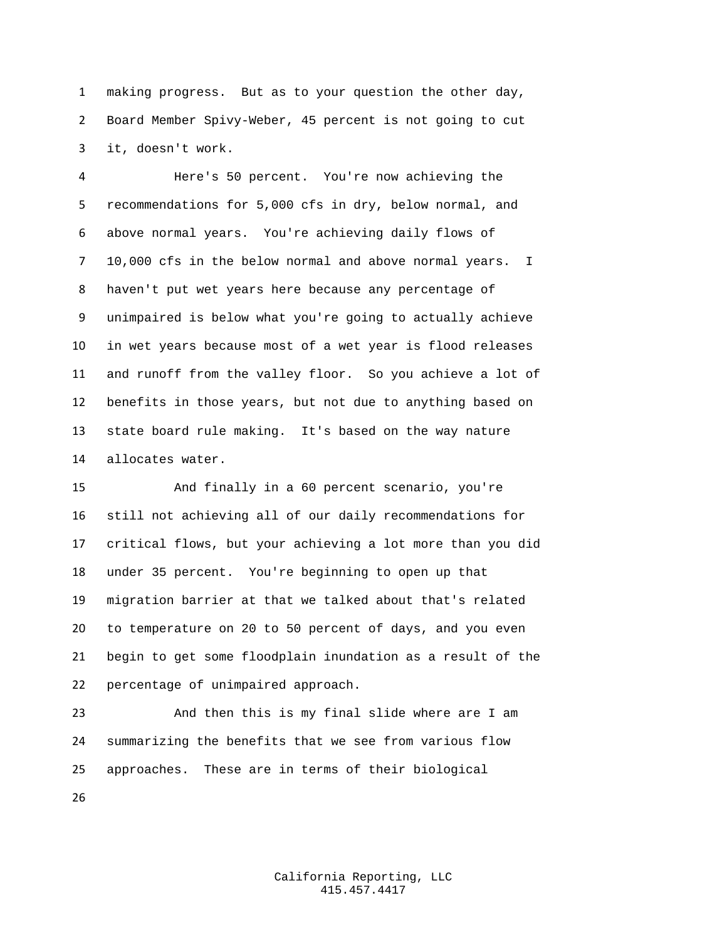making progress. But as to your question the other day, Board Member Spivy-Weber, 45 percent is not going to cut it, doesn't work.

 Here's 50 percent. You're now achieving the recommendations for 5,000 cfs in dry, below normal, and above normal years. You're achieving daily flows of 10,000 cfs in the below normal and above normal years. I haven't put wet years here because any percentage of unimpaired is below what you're going to actually achieve in wet years because most of a wet year is flood releases and runoff from the valley floor. So you achieve a lot of benefits in those years, but not due to anything based on state board rule making. It's based on the way nature allocates water.

 And finally in a 60 percent scenario, you're still not achieving all of our daily recommendations for critical flows, but your achieving a lot more than you did under 35 percent. You're beginning to open up that migration barrier at that we talked about that's related to temperature on 20 to 50 percent of days, and you even begin to get some floodplain inundation as a result of the percentage of unimpaired approach.

 And then this is my final slide where are I am summarizing the benefits that we see from various flow approaches. These are in terms of their biological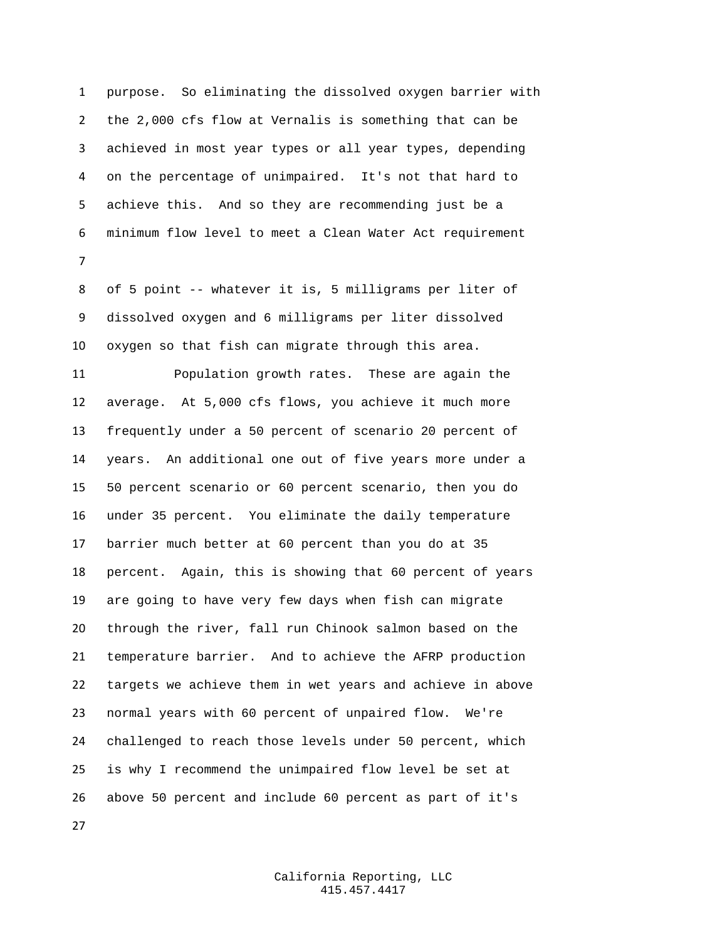purpose. So eliminating the dissolved oxygen barrier with the 2,000 cfs flow at Vernalis is something that can be achieved in most year types or all year types, depending on the percentage of unimpaired. It's not that hard to achieve this. And so they are recommending just be a minimum flow level to meet a Clean Water Act requirement 

 of 5 point -- whatever it is, 5 milligrams per liter of dissolved oxygen and 6 milligrams per liter dissolved oxygen so that fish can migrate through this area.

 Population growth rates. These are again the average. At 5,000 cfs flows, you achieve it much more frequently under a 50 percent of scenario 20 percent of years. An additional one out of five years more under a 50 percent scenario or 60 percent scenario, then you do under 35 percent. You eliminate the daily temperature barrier much better at 60 percent than you do at 35 percent. Again, this is showing that 60 percent of years are going to have very few days when fish can migrate through the river, fall run Chinook salmon based on the temperature barrier. And to achieve the AFRP production targets we achieve them in wet years and achieve in above normal years with 60 percent of unpaired flow. We're challenged to reach those levels under 50 percent, which is why I recommend the unimpaired flow level be set at above 50 percent and include 60 percent as part of it's

> California Reporting, LLC 415.457.4417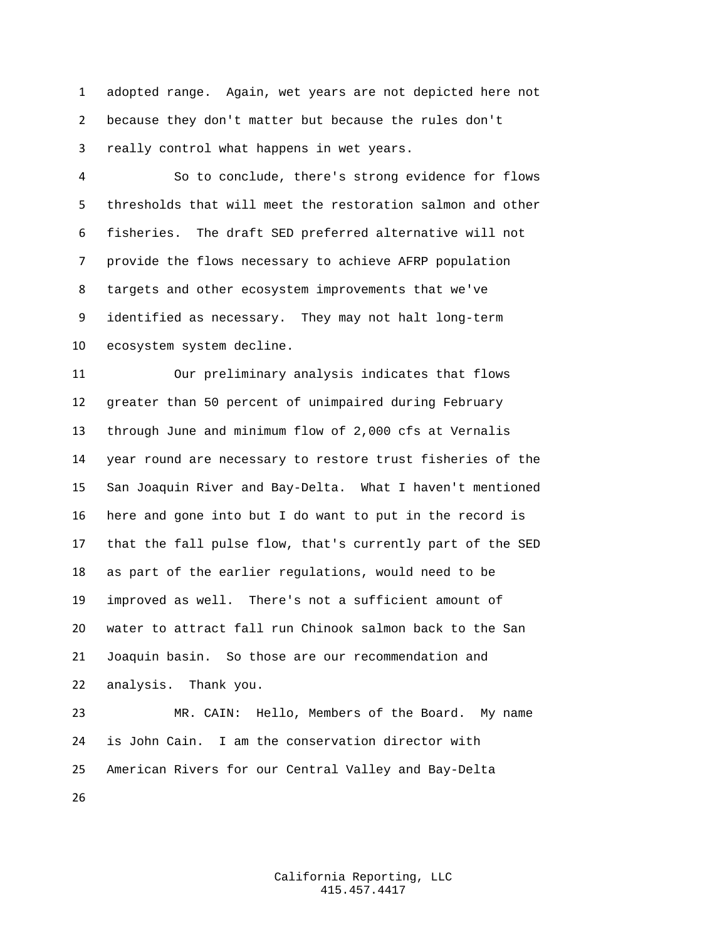adopted range. Again, wet years are not depicted here not because they don't matter but because the rules don't really control what happens in wet years.

 So to conclude, there's strong evidence for flows thresholds that will meet the restoration salmon and other fisheries. The draft SED preferred alternative will not provide the flows necessary to achieve AFRP population targets and other ecosystem improvements that we've identified as necessary. They may not halt long-term ecosystem system decline.

 Our preliminary analysis indicates that flows greater than 50 percent of unimpaired during February through June and minimum flow of 2,000 cfs at Vernalis year round are necessary to restore trust fisheries of the San Joaquin River and Bay-Delta. What I haven't mentioned here and gone into but I do want to put in the record is that the fall pulse flow, that's currently part of the SED as part of the earlier regulations, would need to be improved as well. There's not a sufficient amount of water to attract fall run Chinook salmon back to the San Joaquin basin. So those are our recommendation and analysis. Thank you.

 MR. CAIN: Hello, Members of the Board. My name is John Cain. I am the conservation director with American Rivers for our Central Valley and Bay-Delta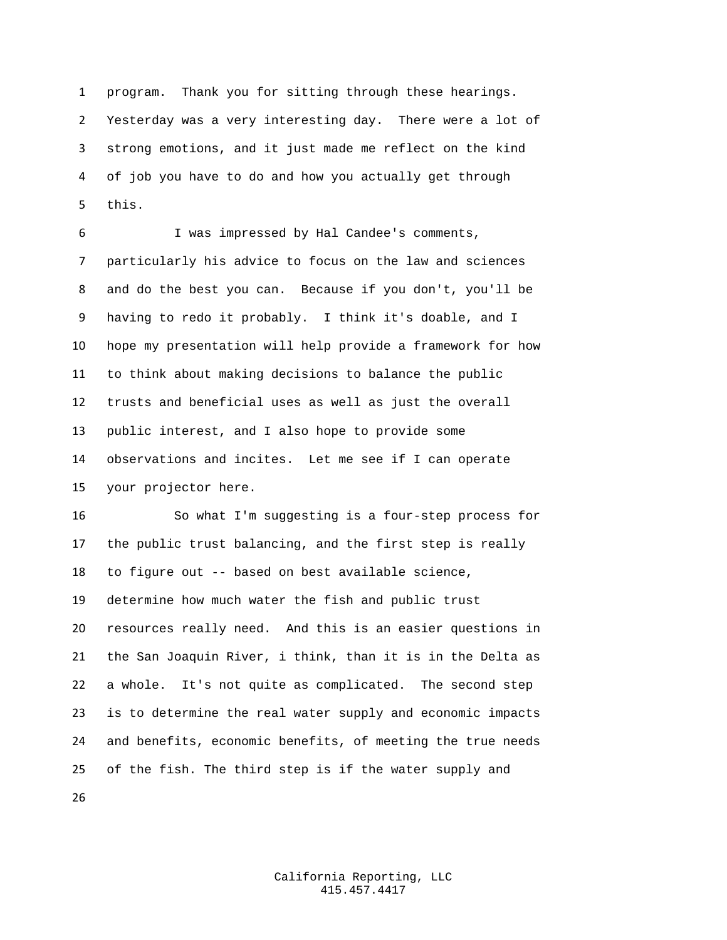program. Thank you for sitting through these hearings. Yesterday was a very interesting day. There were a lot of strong emotions, and it just made me reflect on the kind of job you have to do and how you actually get through this.

 I was impressed by Hal Candee's comments, particularly his advice to focus on the law and sciences and do the best you can. Because if you don't, you'll be having to redo it probably. I think it's doable, and I hope my presentation will help provide a framework for how to think about making decisions to balance the public trusts and beneficial uses as well as just the overall public interest, and I also hope to provide some observations and incites. Let me see if I can operate your projector here.

 So what I'm suggesting is a four-step process for the public trust balancing, and the first step is really to figure out -- based on best available science, determine how much water the fish and public trust resources really need. And this is an easier questions in the San Joaquin River, i think, than it is in the Delta as a whole. It's not quite as complicated. The second step is to determine the real water supply and economic impacts and benefits, economic benefits, of meeting the true needs of the fish. The third step is if the water supply and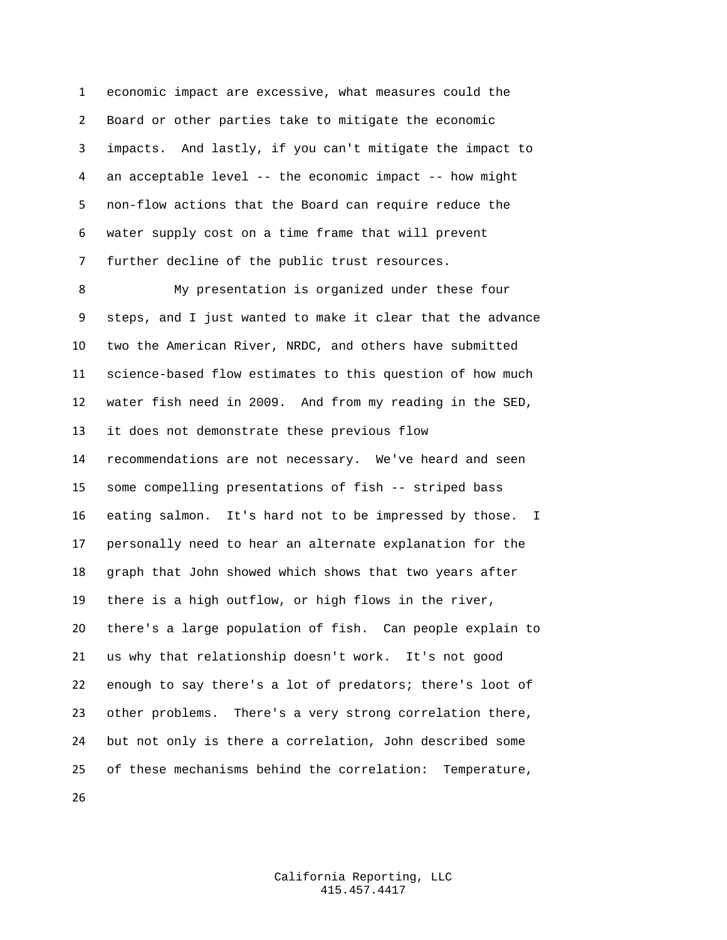economic impact are excessive, what measures could the Board or other parties take to mitigate the economic impacts. And lastly, if you can't mitigate the impact to an acceptable level -- the economic impact -- how might non-flow actions that the Board can require reduce the water supply cost on a time frame that will prevent further decline of the public trust resources.

 My presentation is organized under these four steps, and I just wanted to make it clear that the advance two the American River, NRDC, and others have submitted science-based flow estimates to this question of how much water fish need in 2009. And from my reading in the SED, it does not demonstrate these previous flow recommendations are not necessary. We've heard and seen some compelling presentations of fish -- striped bass eating salmon. It's hard not to be impressed by those. I personally need to hear an alternate explanation for the graph that John showed which shows that two years after there is a high outflow, or high flows in the river, there's a large population of fish. Can people explain to us why that relationship doesn't work. It's not good enough to say there's a lot of predators; there's loot of other problems. There's a very strong correlation there, but not only is there a correlation, John described some of these mechanisms behind the correlation: Temperature,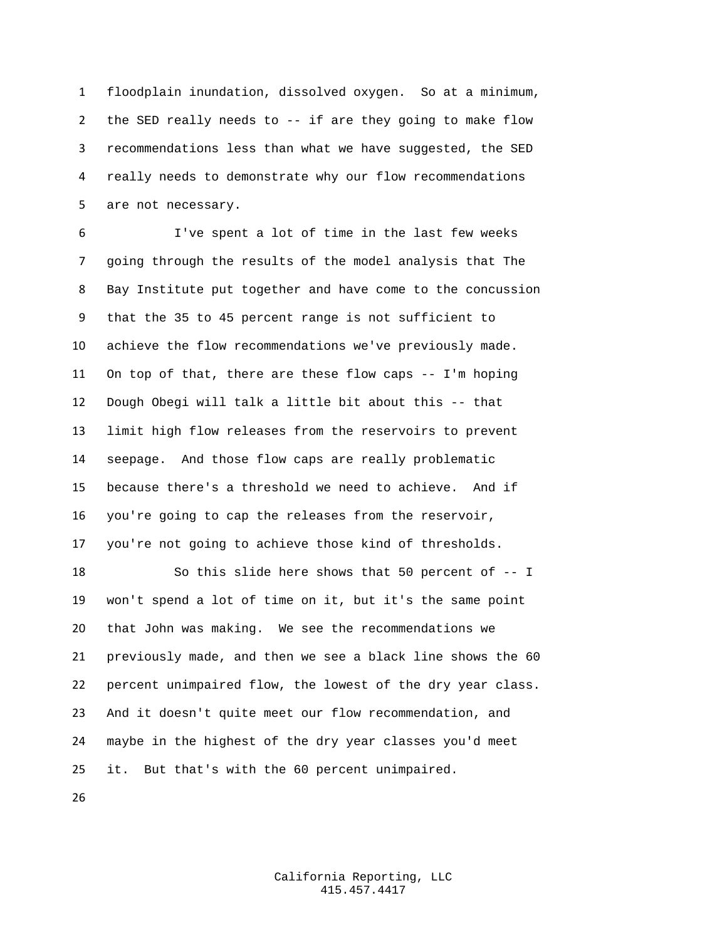floodplain inundation, dissolved oxygen. So at a minimum, the SED really needs to -- if are they going to make flow recommendations less than what we have suggested, the SED really needs to demonstrate why our flow recommendations are not necessary.

 I've spent a lot of time in the last few weeks going through the results of the model analysis that The Bay Institute put together and have come to the concussion that the 35 to 45 percent range is not sufficient to achieve the flow recommendations we've previously made. On top of that, there are these flow caps -- I'm hoping Dough Obegi will talk a little bit about this -- that limit high flow releases from the reservoirs to prevent seepage. And those flow caps are really problematic because there's a threshold we need to achieve. And if you're going to cap the releases from the reservoir, you're not going to achieve those kind of thresholds.

 So this slide here shows that 50 percent of -- I won't spend a lot of time on it, but it's the same point that John was making. We see the recommendations we previously made, and then we see a black line shows the 60 percent unimpaired flow, the lowest of the dry year class. And it doesn't quite meet our flow recommendation, and maybe in the highest of the dry year classes you'd meet it. But that's with the 60 percent unimpaired.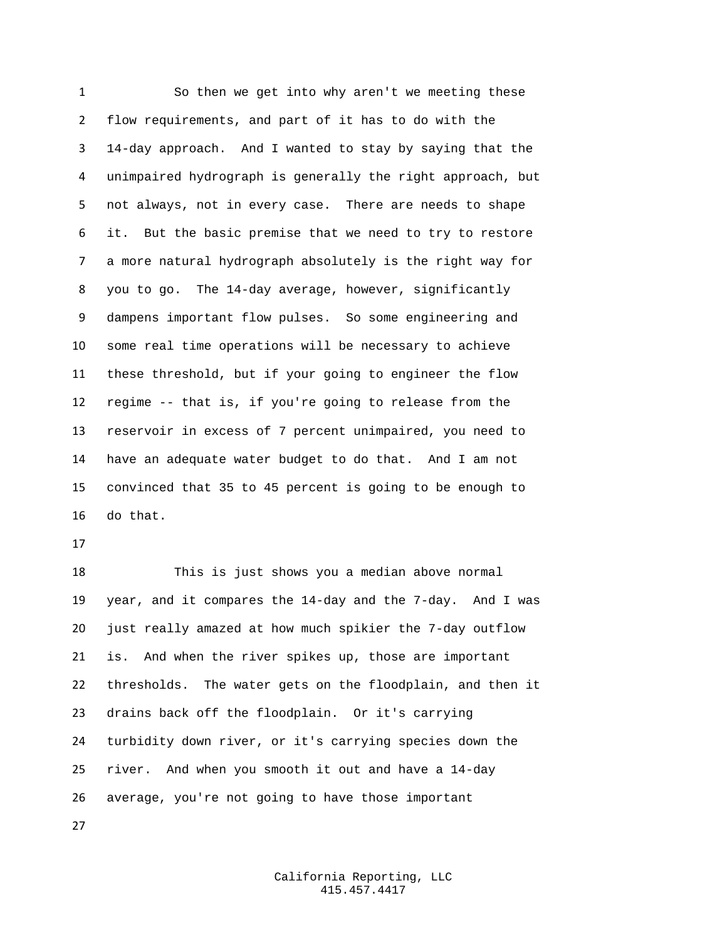So then we get into why aren't we meeting these flow requirements, and part of it has to do with the 14-day approach. And I wanted to stay by saying that the unimpaired hydrograph is generally the right approach, but not always, not in every case. There are needs to shape it. But the basic premise that we need to try to restore a more natural hydrograph absolutely is the right way for you to go. The 14-day average, however, significantly dampens important flow pulses. So some engineering and some real time operations will be necessary to achieve these threshold, but if your going to engineer the flow regime -- that is, if you're going to release from the reservoir in excess of 7 percent unimpaired, you need to have an adequate water budget to do that. And I am not convinced that 35 to 45 percent is going to be enough to do that.

 This is just shows you a median above normal year, and it compares the 14-day and the 7-day. And I was just really amazed at how much spikier the 7-day outflow is. And when the river spikes up, those are important thresholds. The water gets on the floodplain, and then it drains back off the floodplain. Or it's carrying turbidity down river, or it's carrying species down the river. And when you smooth it out and have a 14-day average, you're not going to have those important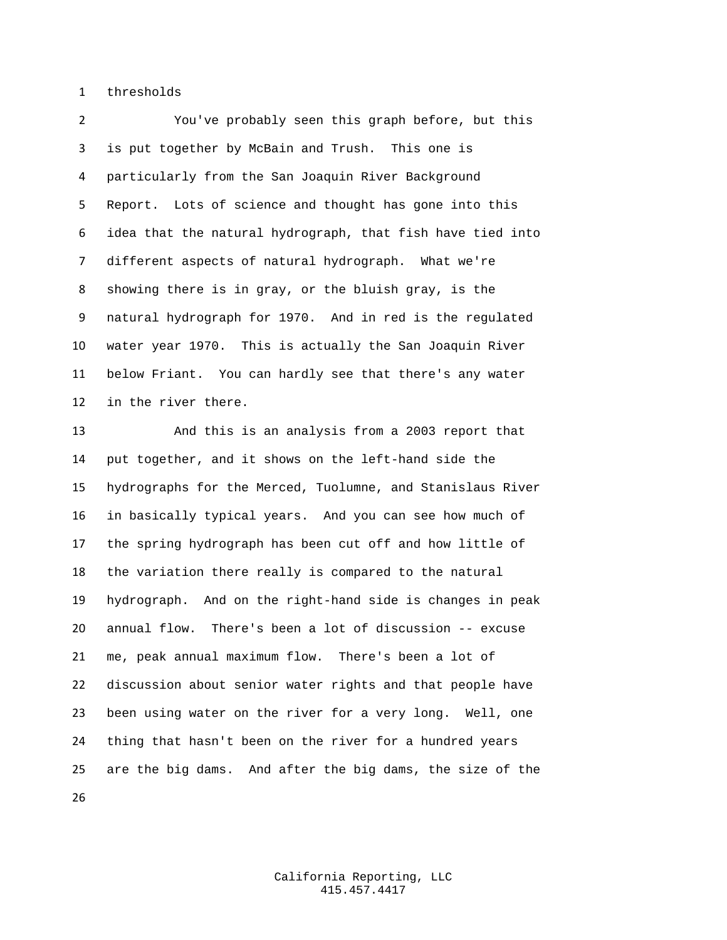thresholds

 You've probably seen this graph before, but this is put together by McBain and Trush. This one is particularly from the San Joaquin River Background Report. Lots of science and thought has gone into this idea that the natural hydrograph, that fish have tied into different aspects of natural hydrograph. What we're showing there is in gray, or the bluish gray, is the natural hydrograph for 1970. And in red is the regulated water year 1970. This is actually the San Joaquin River below Friant. You can hardly see that there's any water in the river there.

 And this is an analysis from a 2003 report that put together, and it shows on the left-hand side the hydrographs for the Merced, Tuolumne, and Stanislaus River in basically typical years. And you can see how much of the spring hydrograph has been cut off and how little of the variation there really is compared to the natural hydrograph. And on the right-hand side is changes in peak annual flow. There's been a lot of discussion -- excuse me, peak annual maximum flow. There's been a lot of discussion about senior water rights and that people have been using water on the river for a very long. Well, one thing that hasn't been on the river for a hundred years are the big dams. And after the big dams, the size of the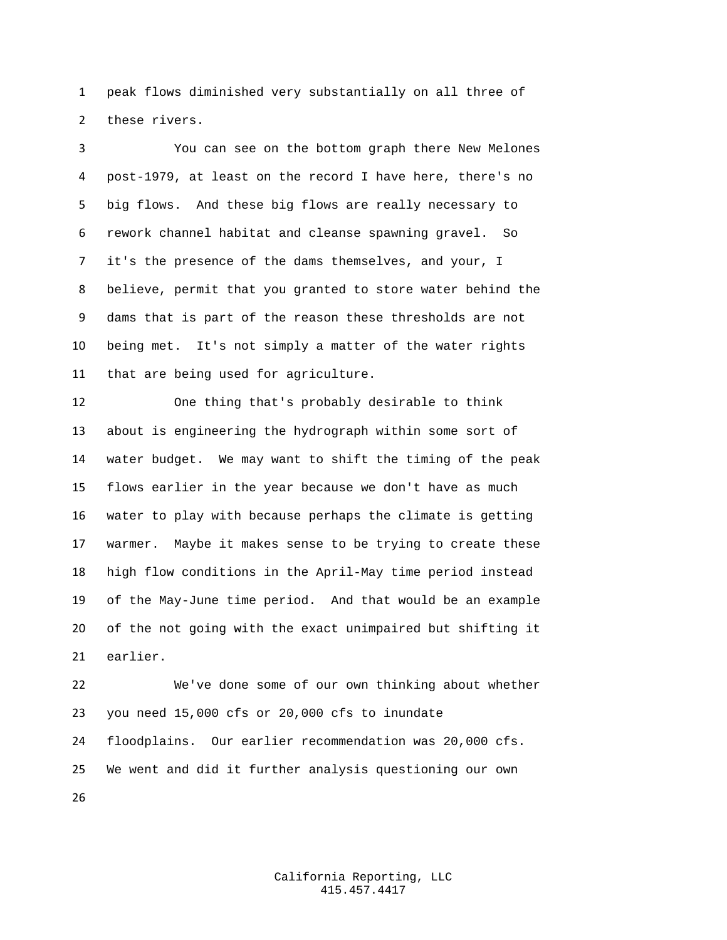peak flows diminished very substantially on all three of these rivers.

 You can see on the bottom graph there New Melones post-1979, at least on the record I have here, there's no big flows. And these big flows are really necessary to rework channel habitat and cleanse spawning gravel. So it's the presence of the dams themselves, and your, I believe, permit that you granted to store water behind the dams that is part of the reason these thresholds are not being met. It's not simply a matter of the water rights that are being used for agriculture.

 One thing that's probably desirable to think about is engineering the hydrograph within some sort of water budget. We may want to shift the timing of the peak flows earlier in the year because we don't have as much water to play with because perhaps the climate is getting warmer. Maybe it makes sense to be trying to create these high flow conditions in the April-May time period instead of the May-June time period. And that would be an example of the not going with the exact unimpaired but shifting it earlier.

 We've done some of our own thinking about whether you need 15,000 cfs or 20,000 cfs to inundate floodplains. Our earlier recommendation was 20,000 cfs. We went and did it further analysis questioning our own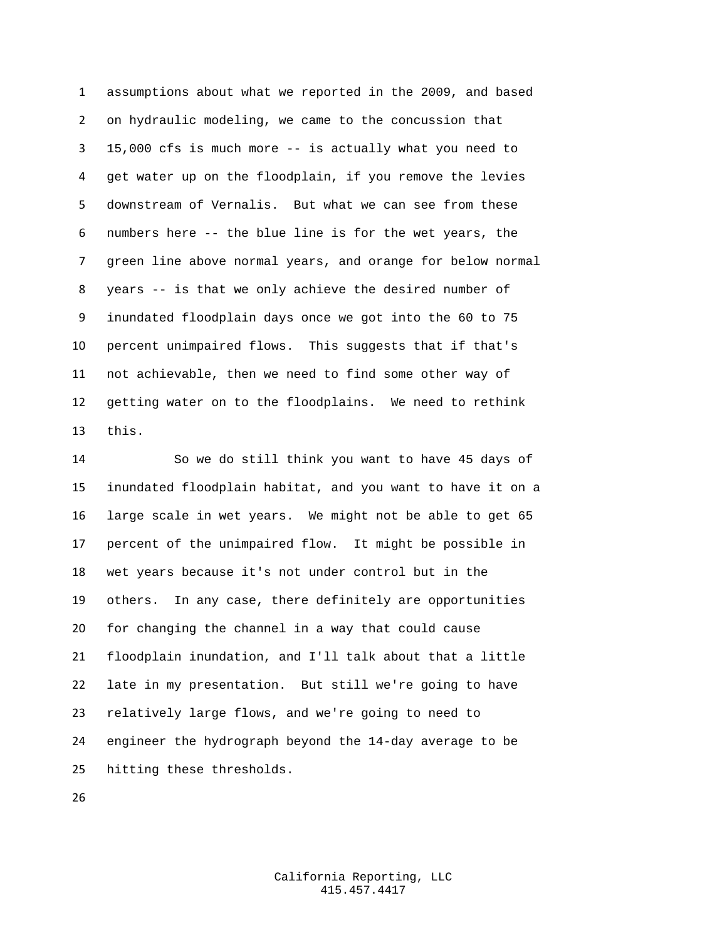assumptions about what we reported in the 2009, and based on hydraulic modeling, we came to the concussion that 15,000 cfs is much more -- is actually what you need to get water up on the floodplain, if you remove the levies downstream of Vernalis. But what we can see from these numbers here -- the blue line is for the wet years, the green line above normal years, and orange for below normal years -- is that we only achieve the desired number of inundated floodplain days once we got into the 60 to 75 percent unimpaired flows. This suggests that if that's not achievable, then we need to find some other way of getting water on to the floodplains. We need to rethink this.

 So we do still think you want to have 45 days of inundated floodplain habitat, and you want to have it on a large scale in wet years. We might not be able to get 65 percent of the unimpaired flow. It might be possible in wet years because it's not under control but in the others. In any case, there definitely are opportunities for changing the channel in a way that could cause floodplain inundation, and I'll talk about that a little late in my presentation. But still we're going to have relatively large flows, and we're going to need to engineer the hydrograph beyond the 14-day average to be hitting these thresholds.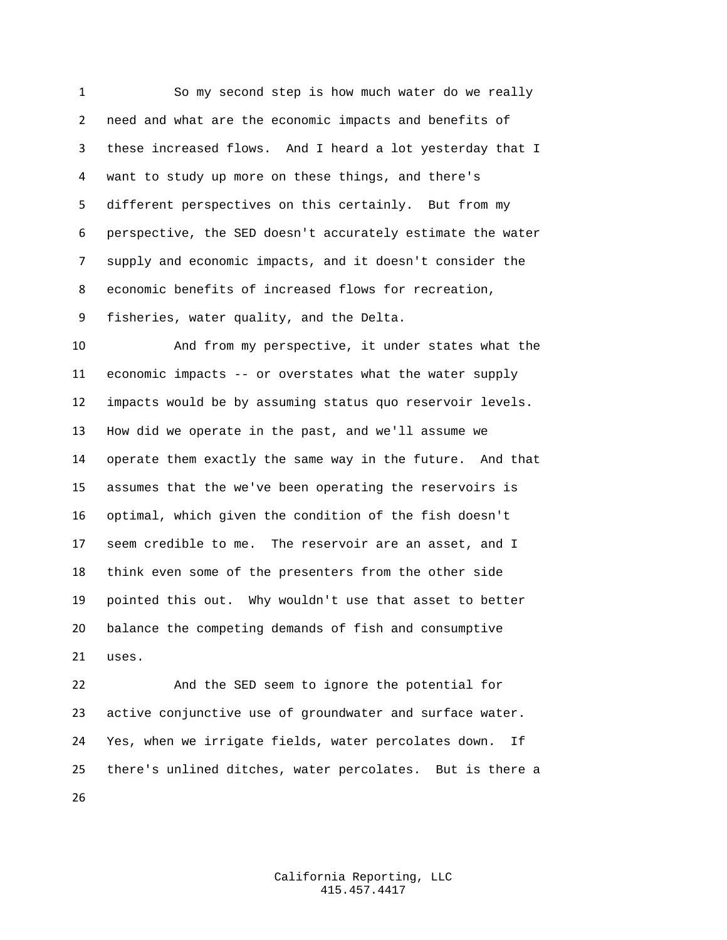So my second step is how much water do we really need and what are the economic impacts and benefits of these increased flows. And I heard a lot yesterday that I want to study up more on these things, and there's different perspectives on this certainly. But from my perspective, the SED doesn't accurately estimate the water supply and economic impacts, and it doesn't consider the economic benefits of increased flows for recreation, fisheries, water quality, and the Delta.

 And from my perspective, it under states what the economic impacts -- or overstates what the water supply impacts would be by assuming status quo reservoir levels. How did we operate in the past, and we'll assume we operate them exactly the same way in the future. And that assumes that the we've been operating the reservoirs is optimal, which given the condition of the fish doesn't seem credible to me. The reservoir are an asset, and I think even some of the presenters from the other side pointed this out. Why wouldn't use that asset to better balance the competing demands of fish and consumptive uses.

 And the SED seem to ignore the potential for active conjunctive use of groundwater and surface water. Yes, when we irrigate fields, water percolates down. If there's unlined ditches, water percolates. But is there a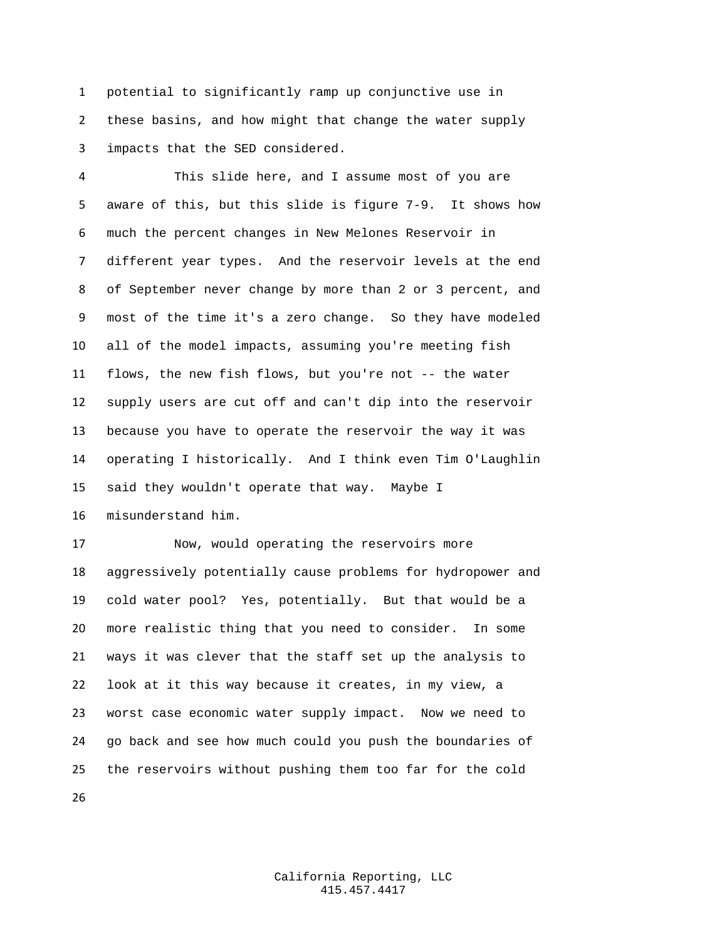potential to significantly ramp up conjunctive use in these basins, and how might that change the water supply impacts that the SED considered.

 This slide here, and I assume most of you are aware of this, but this slide is figure 7-9. It shows how much the percent changes in New Melones Reservoir in different year types. And the reservoir levels at the end of September never change by more than 2 or 3 percent, and most of the time it's a zero change. So they have modeled all of the model impacts, assuming you're meeting fish flows, the new fish flows, but you're not -- the water supply users are cut off and can't dip into the reservoir because you have to operate the reservoir the way it was operating I historically. And I think even Tim O'Laughlin said they wouldn't operate that way. Maybe I misunderstand him.

 Now, would operating the reservoirs more aggressively potentially cause problems for hydropower and cold water pool? Yes, potentially. But that would be a more realistic thing that you need to consider. In some ways it was clever that the staff set up the analysis to look at it this way because it creates, in my view, a worst case economic water supply impact. Now we need to go back and see how much could you push the boundaries of the reservoirs without pushing them too far for the cold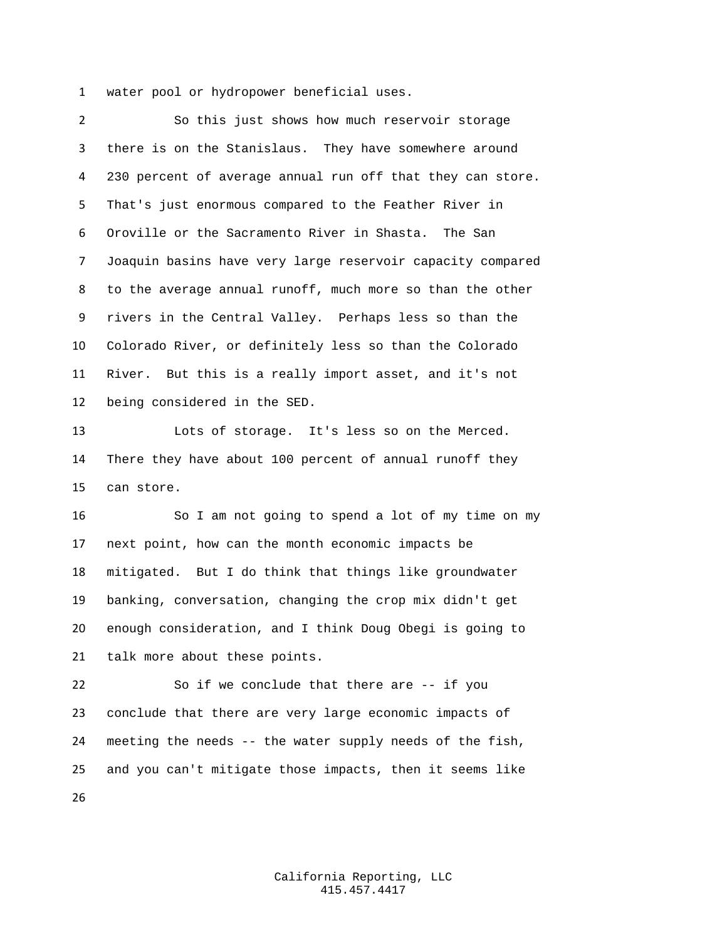water pool or hydropower beneficial uses.

 So this just shows how much reservoir storage there is on the Stanislaus. They have somewhere around 230 percent of average annual run off that they can store. That's just enormous compared to the Feather River in Oroville or the Sacramento River in Shasta. The San Joaquin basins have very large reservoir capacity compared to the average annual runoff, much more so than the other rivers in the Central Valley. Perhaps less so than the Colorado River, or definitely less so than the Colorado River. But this is a really import asset, and it's not being considered in the SED.

 Lots of storage. It's less so on the Merced. There they have about 100 percent of annual runoff they can store.

 So I am not going to spend a lot of my time on my next point, how can the month economic impacts be mitigated. But I do think that things like groundwater banking, conversation, changing the crop mix didn't get enough consideration, and I think Doug Obegi is going to talk more about these points.

 So if we conclude that there are -- if you conclude that there are very large economic impacts of meeting the needs -- the water supply needs of the fish, and you can't mitigate those impacts, then it seems like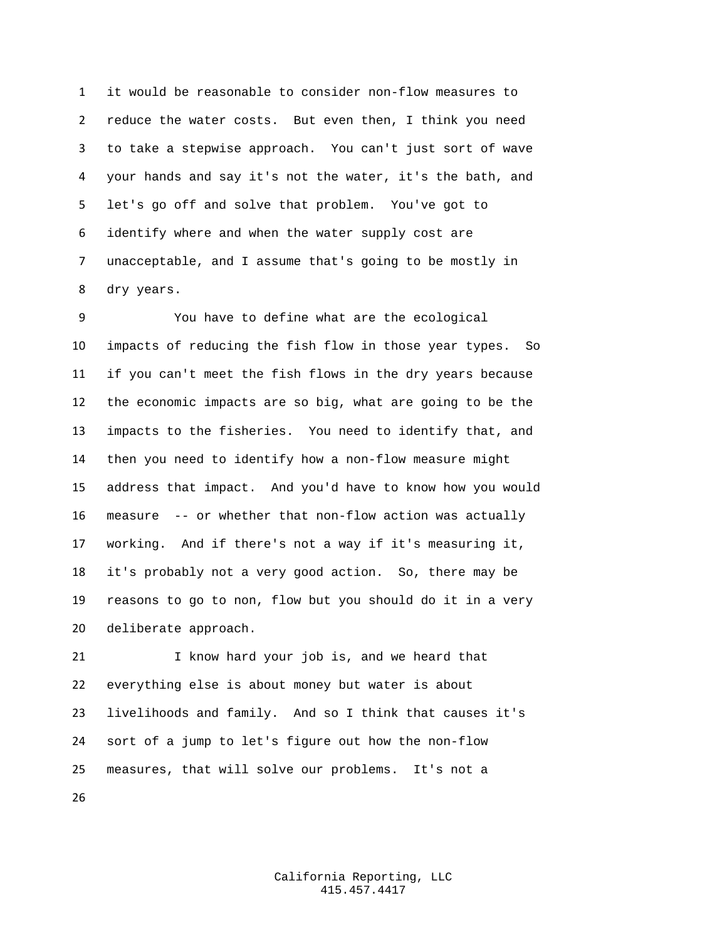it would be reasonable to consider non-flow measures to reduce the water costs. But even then, I think you need to take a stepwise approach. You can't just sort of wave your hands and say it's not the water, it's the bath, and let's go off and solve that problem. You've got to identify where and when the water supply cost are unacceptable, and I assume that's going to be mostly in dry years.

 You have to define what are the ecological impacts of reducing the fish flow in those year types. So if you can't meet the fish flows in the dry years because the economic impacts are so big, what are going to be the impacts to the fisheries. You need to identify that, and then you need to identify how a non-flow measure might address that impact. And you'd have to know how you would measure -- or whether that non-flow action was actually working. And if there's not a way if it's measuring it, it's probably not a very good action. So, there may be reasons to go to non, flow but you should do it in a very deliberate approach.

 I know hard your job is, and we heard that everything else is about money but water is about livelihoods and family. And so I think that causes it's sort of a jump to let's figure out how the non-flow measures, that will solve our problems. It's not a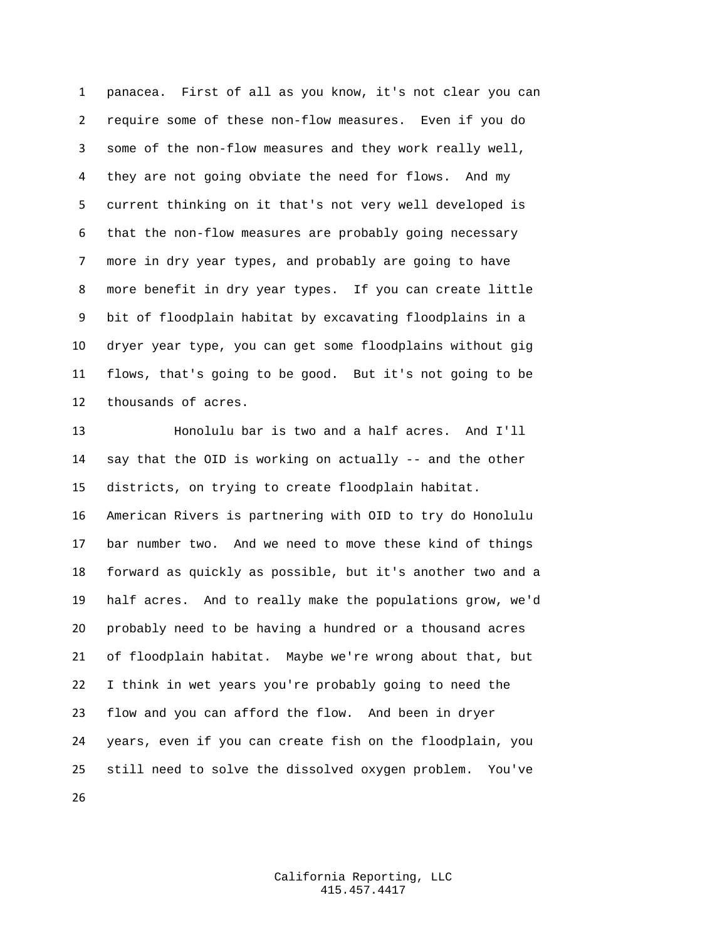panacea. First of all as you know, it's not clear you can require some of these non-flow measures. Even if you do some of the non-flow measures and they work really well, they are not going obviate the need for flows. And my current thinking on it that's not very well developed is that the non-flow measures are probably going necessary more in dry year types, and probably are going to have more benefit in dry year types. If you can create little bit of floodplain habitat by excavating floodplains in a dryer year type, you can get some floodplains without gig flows, that's going to be good. But it's not going to be thousands of acres.

 Honolulu bar is two and a half acres. And I'll say that the OID is working on actually -- and the other districts, on trying to create floodplain habitat. American Rivers is partnering with OID to try do Honolulu bar number two. And we need to move these kind of things forward as quickly as possible, but it's another two and a half acres. And to really make the populations grow, we'd

 probably need to be having a hundred or a thousand acres of floodplain habitat. Maybe we're wrong about that, but I think in wet years you're probably going to need the flow and you can afford the flow. And been in dryer years, even if you can create fish on the floodplain, you still need to solve the dissolved oxygen problem. You've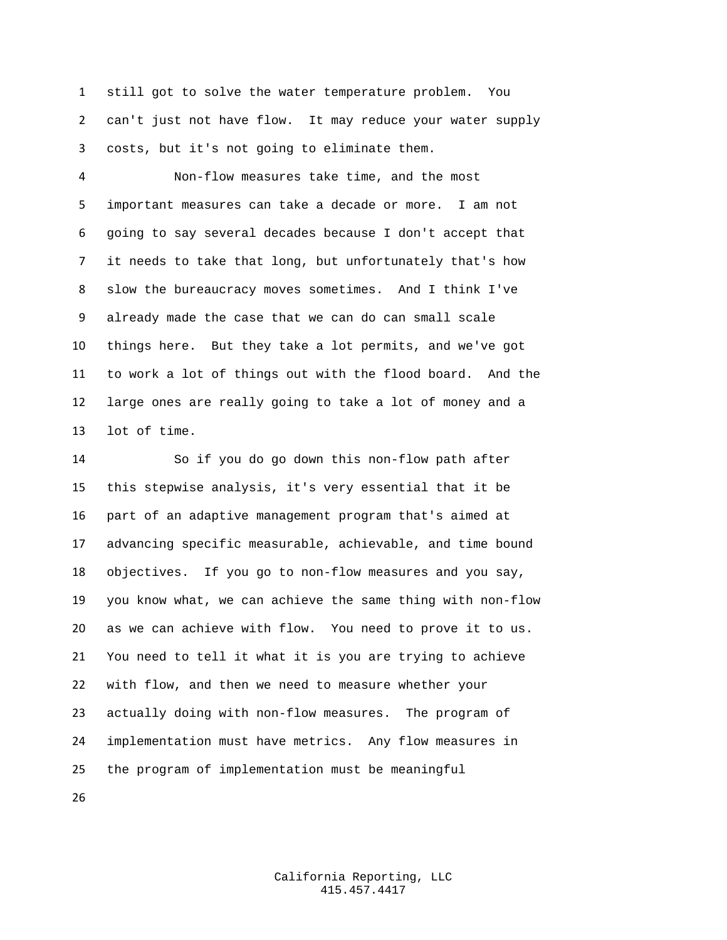still got to solve the water temperature problem. You can't just not have flow. It may reduce your water supply costs, but it's not going to eliminate them.

 Non-flow measures take time, and the most important measures can take a decade or more. I am not going to say several decades because I don't accept that it needs to take that long, but unfortunately that's how slow the bureaucracy moves sometimes. And I think I've already made the case that we can do can small scale things here. But they take a lot permits, and we've got to work a lot of things out with the flood board. And the large ones are really going to take a lot of money and a lot of time.

 So if you do go down this non-flow path after this stepwise analysis, it's very essential that it be part of an adaptive management program that's aimed at advancing specific measurable, achievable, and time bound objectives. If you go to non-flow measures and you say, you know what, we can achieve the same thing with non-flow as we can achieve with flow. You need to prove it to us. You need to tell it what it is you are trying to achieve with flow, and then we need to measure whether your actually doing with non-flow measures. The program of implementation must have metrics. Any flow measures in the program of implementation must be meaningful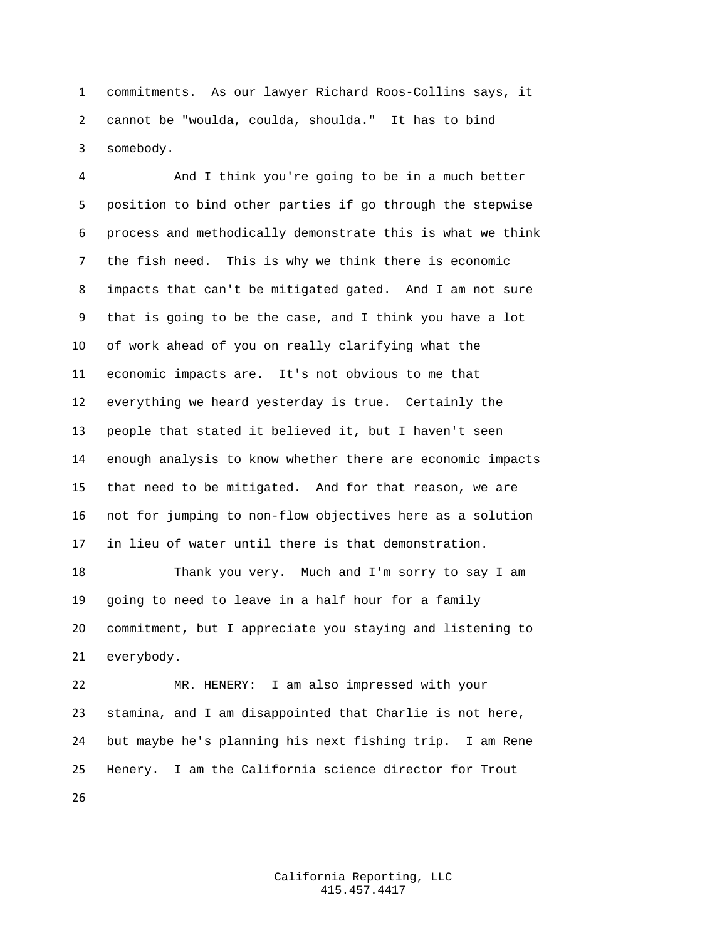commitments. As our lawyer Richard Roos-Collins says, it cannot be "woulda, coulda, shoulda." It has to bind somebody.

 And I think you're going to be in a much better position to bind other parties if go through the stepwise process and methodically demonstrate this is what we think the fish need. This is why we think there is economic impacts that can't be mitigated gated. And I am not sure that is going to be the case, and I think you have a lot of work ahead of you on really clarifying what the economic impacts are. It's not obvious to me that everything we heard yesterday is true. Certainly the people that stated it believed it, but I haven't seen enough analysis to know whether there are economic impacts that need to be mitigated. And for that reason, we are not for jumping to non-flow objectives here as a solution in lieu of water until there is that demonstration.

 Thank you very. Much and I'm sorry to say I am going to need to leave in a half hour for a family commitment, but I appreciate you staying and listening to everybody.

 MR. HENERY: I am also impressed with your stamina, and I am disappointed that Charlie is not here, but maybe he's planning his next fishing trip. I am Rene Henery. I am the California science director for Trout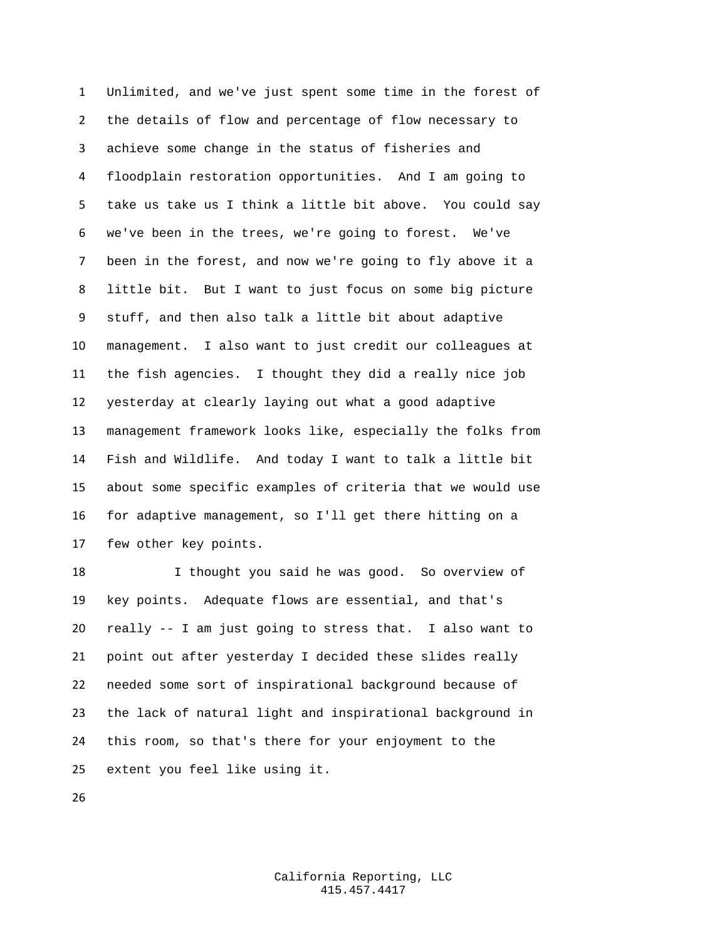Unlimited, and we've just spent some time in the forest of the details of flow and percentage of flow necessary to achieve some change in the status of fisheries and floodplain restoration opportunities. And I am going to take us take us I think a little bit above. You could say we've been in the trees, we're going to forest. We've been in the forest, and now we're going to fly above it a little bit. But I want to just focus on some big picture stuff, and then also talk a little bit about adaptive management. I also want to just credit our colleagues at the fish agencies. I thought they did a really nice job yesterday at clearly laying out what a good adaptive management framework looks like, especially the folks from Fish and Wildlife. And today I want to talk a little bit about some specific examples of criteria that we would use for adaptive management, so I'll get there hitting on a few other key points.

 I thought you said he was good. So overview of key points. Adequate flows are essential, and that's really -- I am just going to stress that. I also want to point out after yesterday I decided these slides really needed some sort of inspirational background because of the lack of natural light and inspirational background in this room, so that's there for your enjoyment to the extent you feel like using it.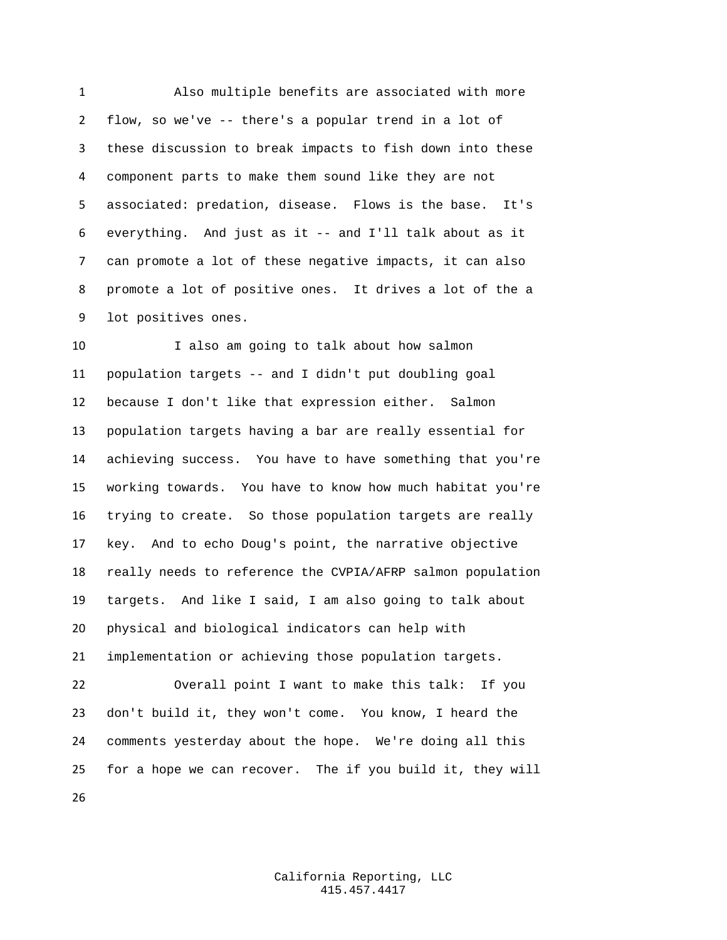Also multiple benefits are associated with more flow, so we've -- there's a popular trend in a lot of these discussion to break impacts to fish down into these component parts to make them sound like they are not associated: predation, disease. Flows is the base. It's everything. And just as it -- and I'll talk about as it can promote a lot of these negative impacts, it can also promote a lot of positive ones. It drives a lot of the a lot positives ones.

 I also am going to talk about how salmon population targets -- and I didn't put doubling goal because I don't like that expression either. Salmon population targets having a bar are really essential for achieving success. You have to have something that you're working towards. You have to know how much habitat you're trying to create. So those population targets are really key. And to echo Doug's point, the narrative objective really needs to reference the CVPIA/AFRP salmon population targets. And like I said, I am also going to talk about physical and biological indicators can help with implementation or achieving those population targets. Overall point I want to make this talk: If you don't build it, they won't come. You know, I heard the

 comments yesterday about the hope. We're doing all this for a hope we can recover. The if you build it, they will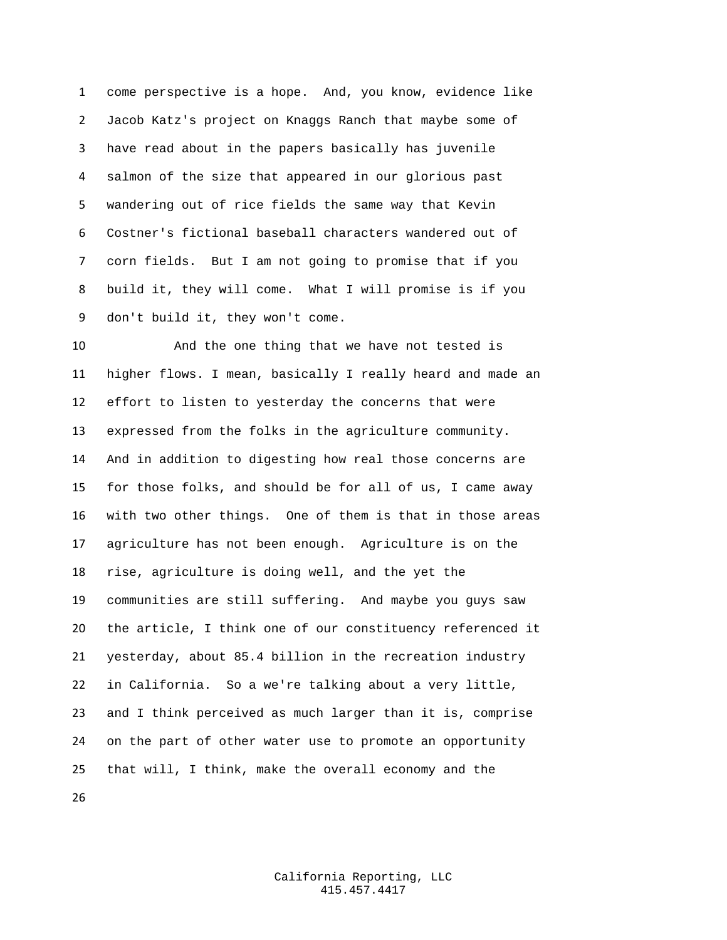come perspective is a hope. And, you know, evidence like Jacob Katz's project on Knaggs Ranch that maybe some of have read about in the papers basically has juvenile salmon of the size that appeared in our glorious past wandering out of rice fields the same way that Kevin Costner's fictional baseball characters wandered out of corn fields. But I am not going to promise that if you build it, they will come. What I will promise is if you don't build it, they won't come.

 And the one thing that we have not tested is higher flows. I mean, basically I really heard and made an effort to listen to yesterday the concerns that were expressed from the folks in the agriculture community. And in addition to digesting how real those concerns are for those folks, and should be for all of us, I came away with two other things. One of them is that in those areas agriculture has not been enough. Agriculture is on the rise, agriculture is doing well, and the yet the communities are still suffering. And maybe you guys saw the article, I think one of our constituency referenced it yesterday, about 85.4 billion in the recreation industry in California. So a we're talking about a very little, and I think perceived as much larger than it is, comprise on the part of other water use to promote an opportunity that will, I think, make the overall economy and the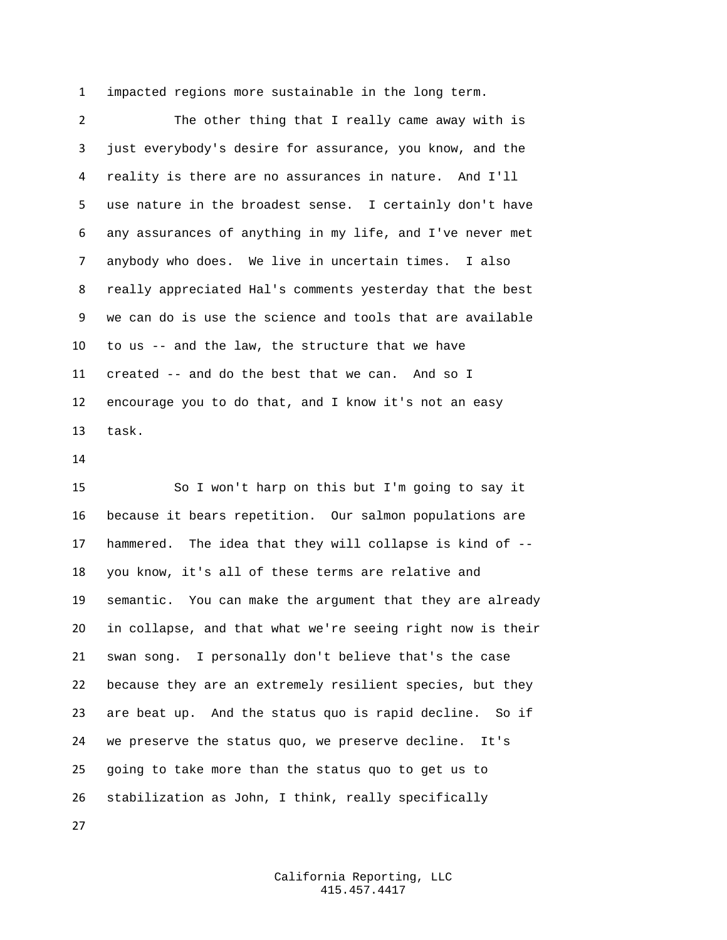impacted regions more sustainable in the long term.

 The other thing that I really came away with is just everybody's desire for assurance, you know, and the reality is there are no assurances in nature. And I'll use nature in the broadest sense. I certainly don't have any assurances of anything in my life, and I've never met anybody who does. We live in uncertain times. I also really appreciated Hal's comments yesterday that the best we can do is use the science and tools that are available to us -- and the law, the structure that we have created -- and do the best that we can. And so I encourage you to do that, and I know it's not an easy task.

 So I won't harp on this but I'm going to say it because it bears repetition. Our salmon populations are hammered. The idea that they will collapse is kind of -- you know, it's all of these terms are relative and semantic. You can make the argument that they are already in collapse, and that what we're seeing right now is their swan song. I personally don't believe that's the case because they are an extremely resilient species, but they are beat up. And the status quo is rapid decline. So if we preserve the status quo, we preserve decline. It's going to take more than the status quo to get us to stabilization as John, I think, really specifically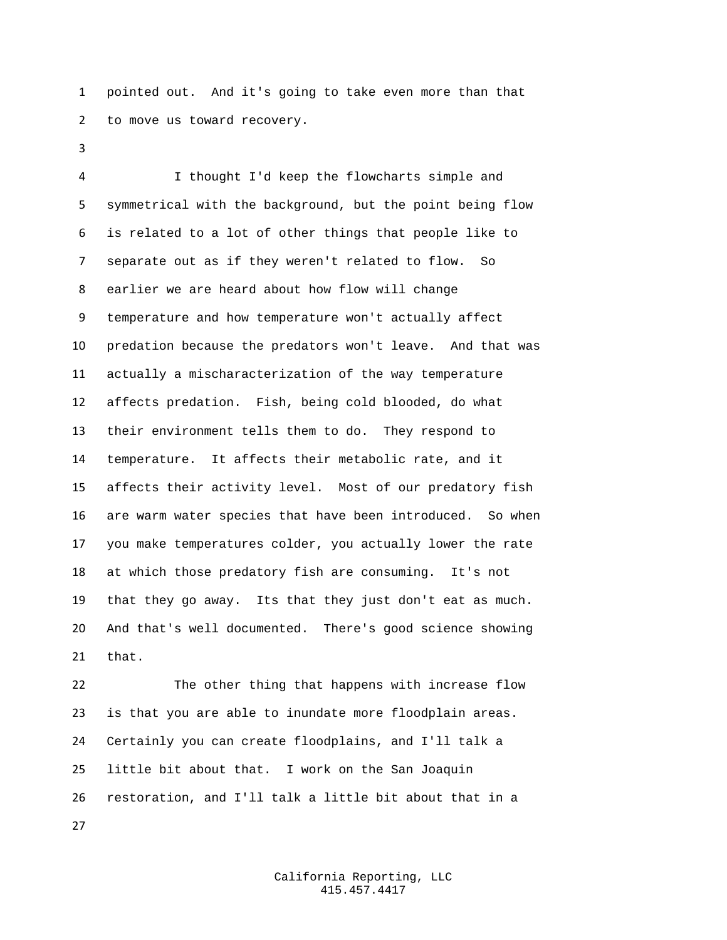pointed out. And it's going to take even more than that to move us toward recovery.

 I thought I'd keep the flowcharts simple and symmetrical with the background, but the point being flow is related to a lot of other things that people like to separate out as if they weren't related to flow. So earlier we are heard about how flow will change temperature and how temperature won't actually affect predation because the predators won't leave. And that was actually a mischaracterization of the way temperature affects predation. Fish, being cold blooded, do what their environment tells them to do. They respond to temperature. It affects their metabolic rate, and it affects their activity level. Most of our predatory fish are warm water species that have been introduced. So when you make temperatures colder, you actually lower the rate at which those predatory fish are consuming. It's not that they go away. Its that they just don't eat as much. And that's well documented. There's good science showing that.

 The other thing that happens with increase flow is that you are able to inundate more floodplain areas. Certainly you can create floodplains, and I'll talk a little bit about that. I work on the San Joaquin restoration, and I'll talk a little bit about that in a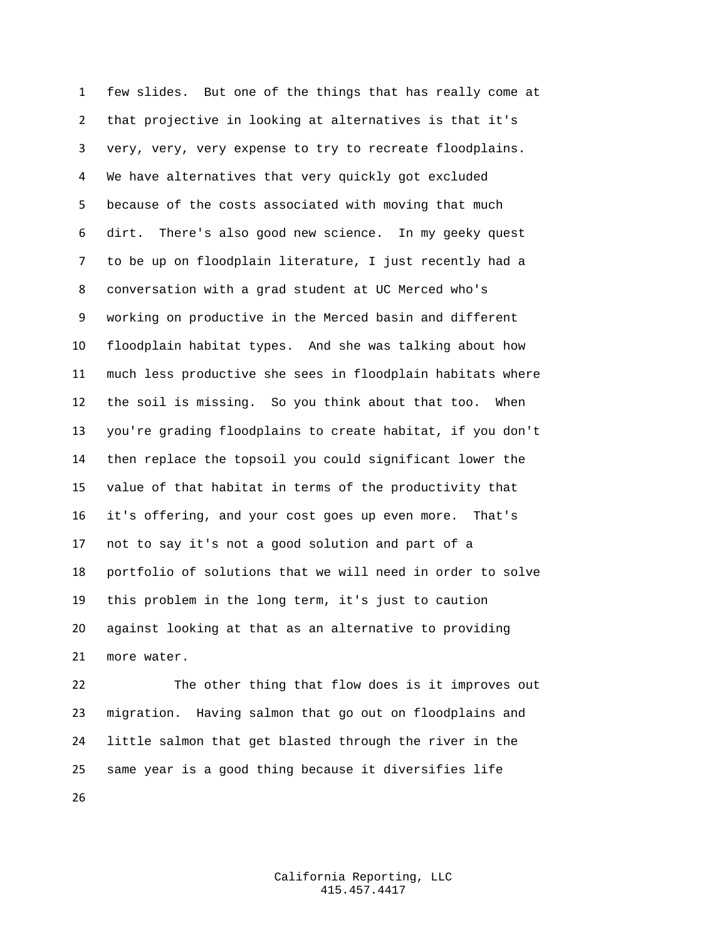few slides. But one of the things that has really come at that projective in looking at alternatives is that it's very, very, very expense to try to recreate floodplains. We have alternatives that very quickly got excluded because of the costs associated with moving that much dirt. There's also good new science. In my geeky quest to be up on floodplain literature, I just recently had a conversation with a grad student at UC Merced who's working on productive in the Merced basin and different floodplain habitat types. And she was talking about how much less productive she sees in floodplain habitats where the soil is missing. So you think about that too. When you're grading floodplains to create habitat, if you don't then replace the topsoil you could significant lower the value of that habitat in terms of the productivity that it's offering, and your cost goes up even more. That's not to say it's not a good solution and part of a portfolio of solutions that we will need in order to solve this problem in the long term, it's just to caution against looking at that as an alternative to providing more water.

 The other thing that flow does is it improves out migration. Having salmon that go out on floodplains and little salmon that get blasted through the river in the same year is a good thing because it diversifies life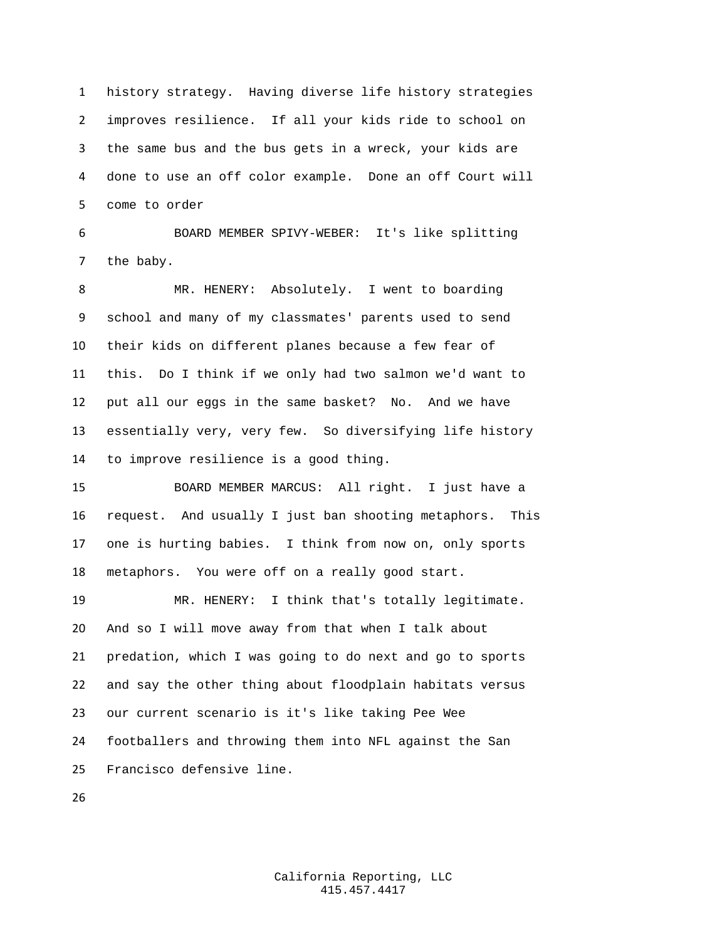history strategy. Having diverse life history strategies improves resilience. If all your kids ride to school on the same bus and the bus gets in a wreck, your kids are done to use an off color example. Done an off Court will come to order

 BOARD MEMBER SPIVY-WEBER: It's like splitting the baby.

 MR. HENERY: Absolutely. I went to boarding school and many of my classmates' parents used to send their kids on different planes because a few fear of this. Do I think if we only had two salmon we'd want to put all our eggs in the same basket? No. And we have essentially very, very few. So diversifying life history to improve resilience is a good thing.

 BOARD MEMBER MARCUS: All right. I just have a request. And usually I just ban shooting metaphors. This one is hurting babies. I think from now on, only sports metaphors. You were off on a really good start.

 MR. HENERY: I think that's totally legitimate. And so I will move away from that when I talk about predation, which I was going to do next and go to sports and say the other thing about floodplain habitats versus our current scenario is it's like taking Pee Wee footballers and throwing them into NFL against the San Francisco defensive line.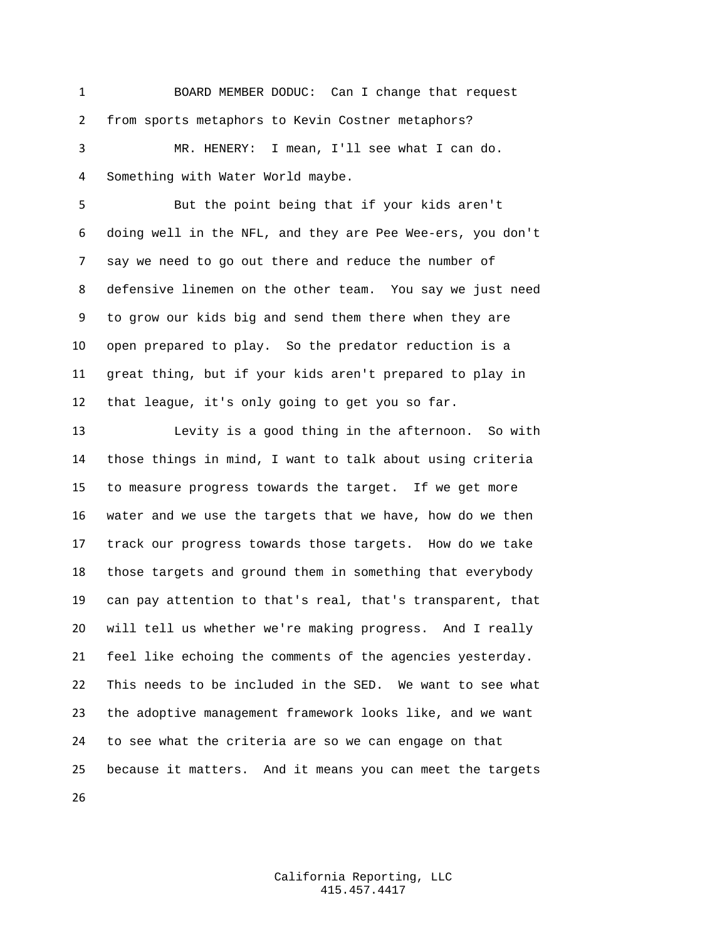BOARD MEMBER DODUC: Can I change that request from sports metaphors to Kevin Costner metaphors? MR. HENERY: I mean, I'll see what I can do.

Something with Water World maybe.

 But the point being that if your kids aren't doing well in the NFL, and they are Pee Wee-ers, you don't say we need to go out there and reduce the number of defensive linemen on the other team. You say we just need to grow our kids big and send them there when they are open prepared to play. So the predator reduction is a great thing, but if your kids aren't prepared to play in that league, it's only going to get you so far.

 Levity is a good thing in the afternoon. So with those things in mind, I want to talk about using criteria to measure progress towards the target. If we get more water and we use the targets that we have, how do we then track our progress towards those targets. How do we take those targets and ground them in something that everybody can pay attention to that's real, that's transparent, that will tell us whether we're making progress. And I really feel like echoing the comments of the agencies yesterday. This needs to be included in the SED. We want to see what the adoptive management framework looks like, and we want to see what the criteria are so we can engage on that because it matters. And it means you can meet the targets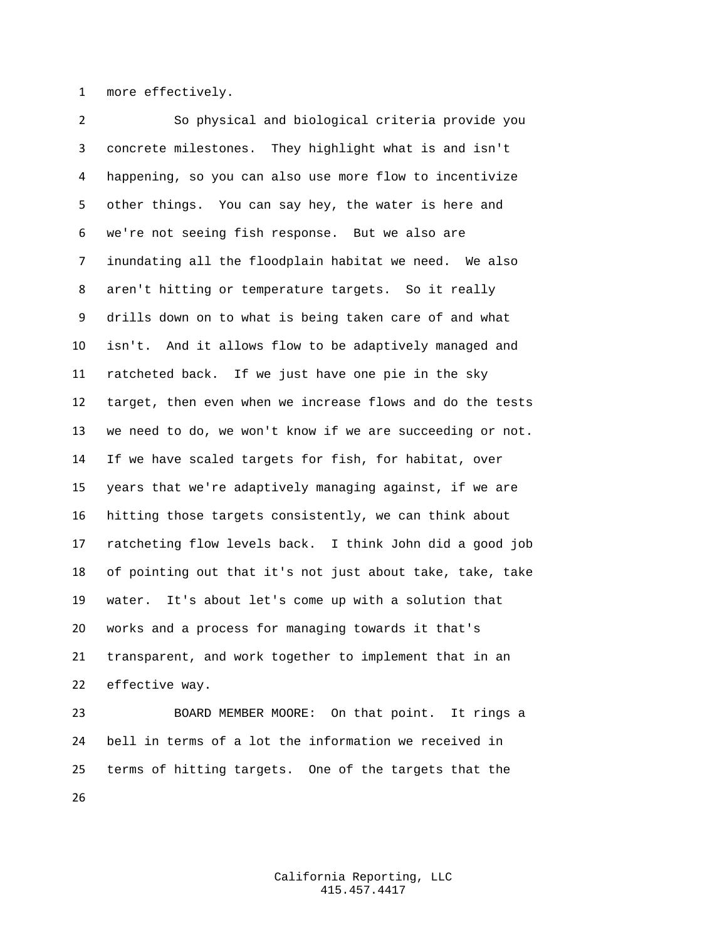more effectively.

 So physical and biological criteria provide you concrete milestones. They highlight what is and isn't happening, so you can also use more flow to incentivize other things. You can say hey, the water is here and we're not seeing fish response. But we also are inundating all the floodplain habitat we need. We also aren't hitting or temperature targets. So it really drills down on to what is being taken care of and what isn't. And it allows flow to be adaptively managed and ratcheted back. If we just have one pie in the sky target, then even when we increase flows and do the tests we need to do, we won't know if we are succeeding or not. If we have scaled targets for fish, for habitat, over years that we're adaptively managing against, if we are hitting those targets consistently, we can think about ratcheting flow levels back. I think John did a good job of pointing out that it's not just about take, take, take water. It's about let's come up with a solution that works and a process for managing towards it that's transparent, and work together to implement that in an effective way.

 BOARD MEMBER MOORE: On that point. It rings a bell in terms of a lot the information we received in terms of hitting targets. One of the targets that the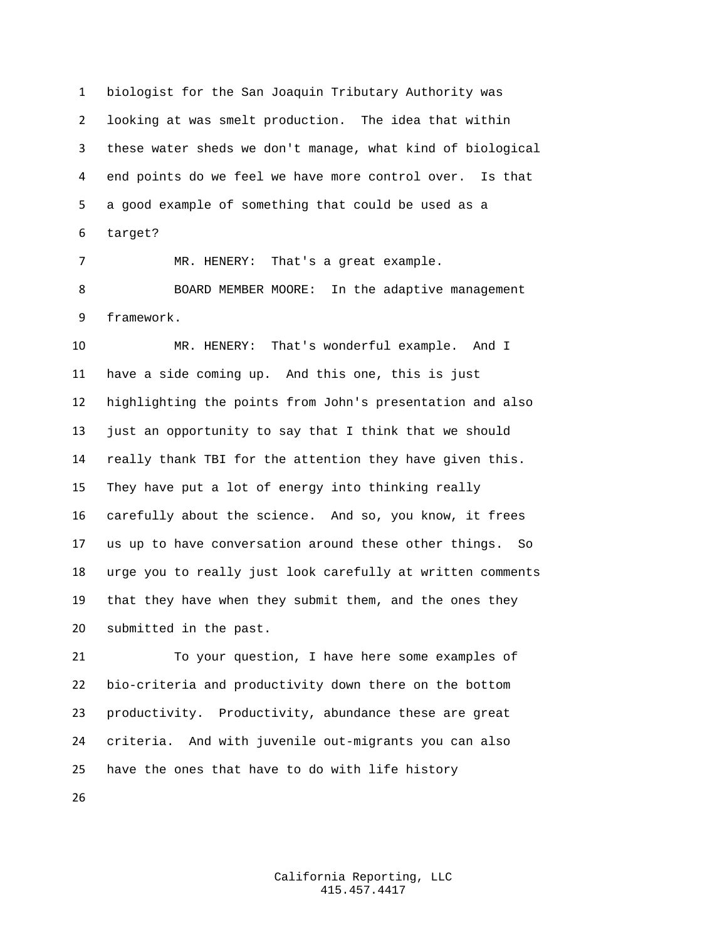biologist for the San Joaquin Tributary Authority was looking at was smelt production. The idea that within these water sheds we don't manage, what kind of biological end points do we feel we have more control over. Is that a good example of something that could be used as a target?

 MR. HENERY: That's a great example. BOARD MEMBER MOORE: In the adaptive management framework.

 MR. HENERY: That's wonderful example. And I have a side coming up. And this one, this is just highlighting the points from John's presentation and also just an opportunity to say that I think that we should really thank TBI for the attention they have given this. They have put a lot of energy into thinking really carefully about the science. And so, you know, it frees us up to have conversation around these other things. So urge you to really just look carefully at written comments that they have when they submit them, and the ones they submitted in the past.

 To your question, I have here some examples of bio-criteria and productivity down there on the bottom productivity. Productivity, abundance these are great criteria. And with juvenile out-migrants you can also have the ones that have to do with life history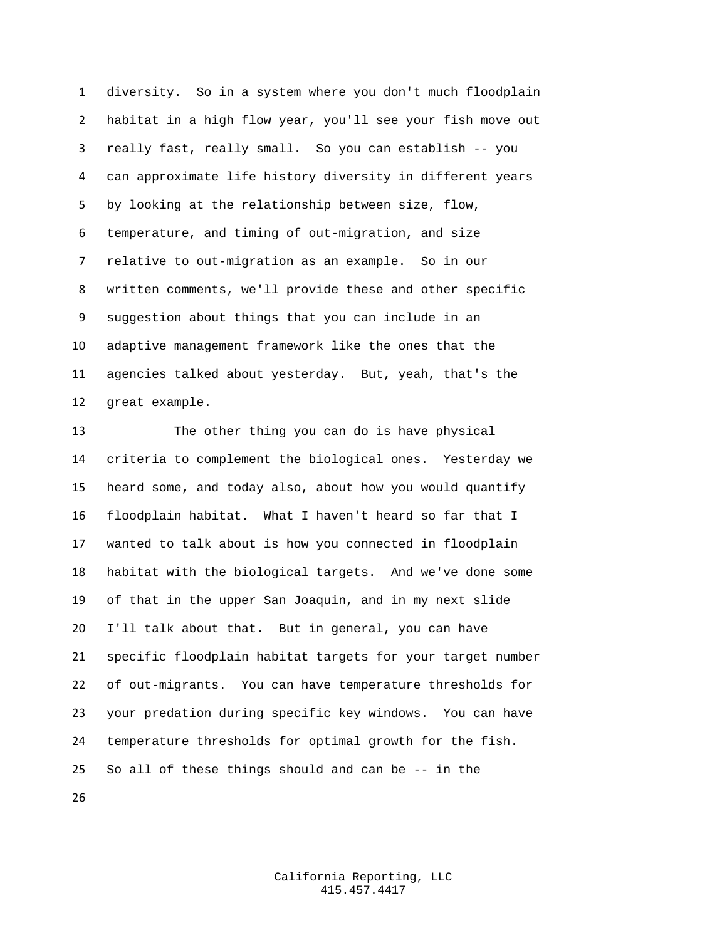diversity. So in a system where you don't much floodplain habitat in a high flow year, you'll see your fish move out really fast, really small. So you can establish -- you can approximate life history diversity in different years by looking at the relationship between size, flow, temperature, and timing of out-migration, and size relative to out-migration as an example. So in our written comments, we'll provide these and other specific suggestion about things that you can include in an adaptive management framework like the ones that the agencies talked about yesterday. But, yeah, that's the great example.

 The other thing you can do is have physical criteria to complement the biological ones. Yesterday we heard some, and today also, about how you would quantify floodplain habitat. What I haven't heard so far that I wanted to talk about is how you connected in floodplain habitat with the biological targets. And we've done some of that in the upper San Joaquin, and in my next slide I'll talk about that. But in general, you can have specific floodplain habitat targets for your target number of out-migrants. You can have temperature thresholds for your predation during specific key windows. You can have temperature thresholds for optimal growth for the fish. So all of these things should and can be -- in the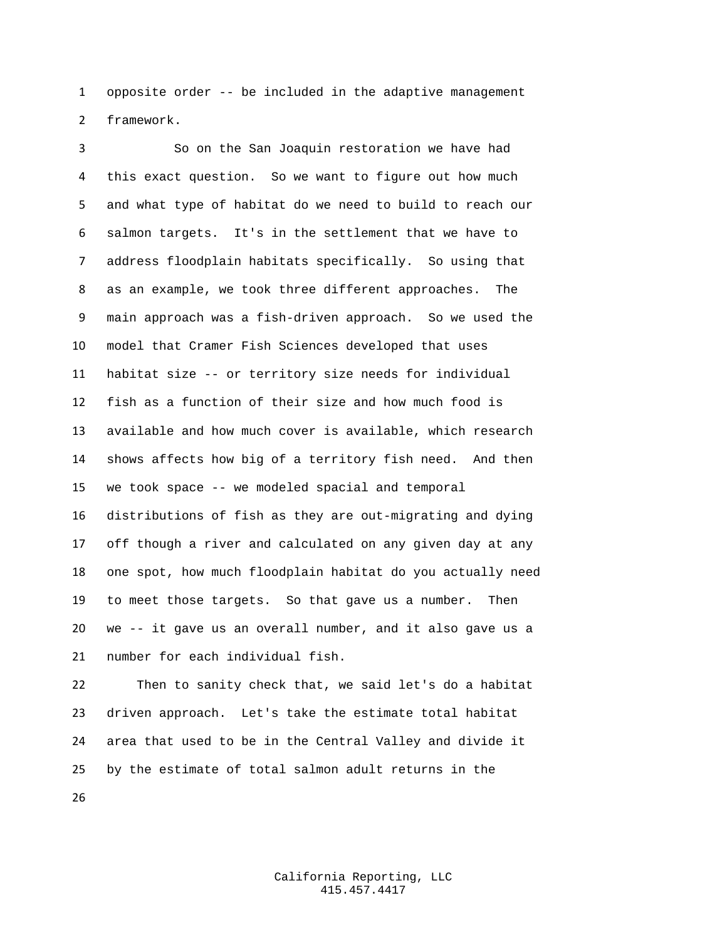opposite order -- be included in the adaptive management framework.

 So on the San Joaquin restoration we have had this exact question. So we want to figure out how much and what type of habitat do we need to build to reach our salmon targets. It's in the settlement that we have to address floodplain habitats specifically. So using that as an example, we took three different approaches. The main approach was a fish-driven approach. So we used the model that Cramer Fish Sciences developed that uses habitat size -- or territory size needs for individual fish as a function of their size and how much food is available and how much cover is available, which research shows affects how big of a territory fish need. And then we took space -- we modeled spacial and temporal distributions of fish as they are out-migrating and dying off though a river and calculated on any given day at any one spot, how much floodplain habitat do you actually need to meet those targets. So that gave us a number. Then we -- it gave us an overall number, and it also gave us a number for each individual fish.

 Then to sanity check that, we said let's do a habitat driven approach. Let's take the estimate total habitat area that used to be in the Central Valley and divide it by the estimate of total salmon adult returns in the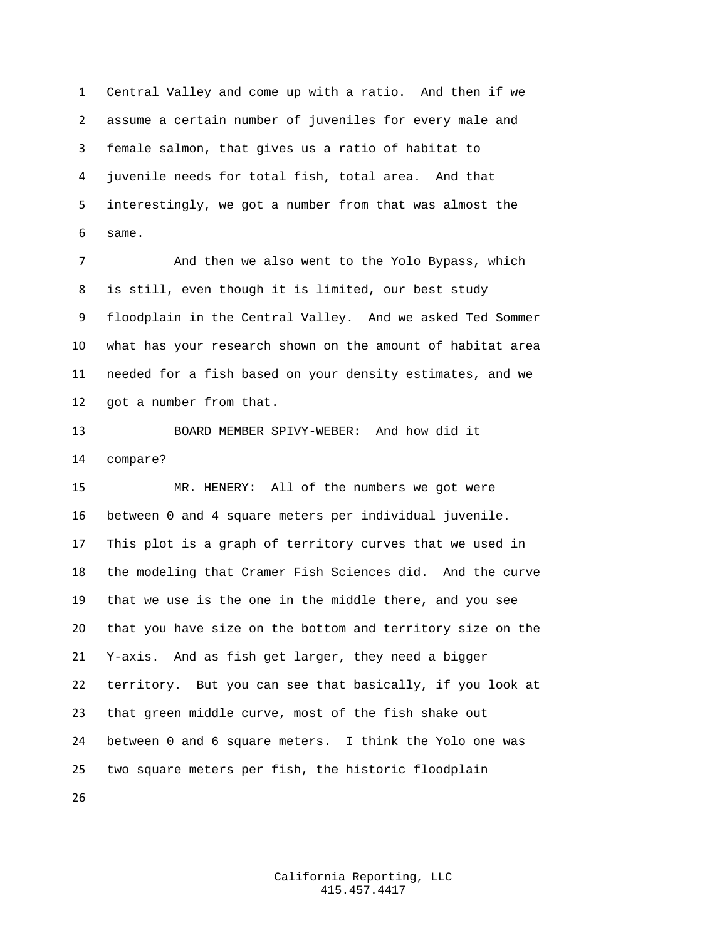Central Valley and come up with a ratio. And then if we assume a certain number of juveniles for every male and female salmon, that gives us a ratio of habitat to juvenile needs for total fish, total area. And that interestingly, we got a number from that was almost the same.

 And then we also went to the Yolo Bypass, which is still, even though it is limited, our best study floodplain in the Central Valley. And we asked Ted Sommer what has your research shown on the amount of habitat area needed for a fish based on your density estimates, and we got a number from that.

 BOARD MEMBER SPIVY-WEBER: And how did it compare?

 MR. HENERY: All of the numbers we got were between 0 and 4 square meters per individual juvenile. This plot is a graph of territory curves that we used in the modeling that Cramer Fish Sciences did. And the curve that we use is the one in the middle there, and you see that you have size on the bottom and territory size on the Y-axis. And as fish get larger, they need a bigger territory. But you can see that basically, if you look at that green middle curve, most of the fish shake out between 0 and 6 square meters. I think the Yolo one was two square meters per fish, the historic floodplain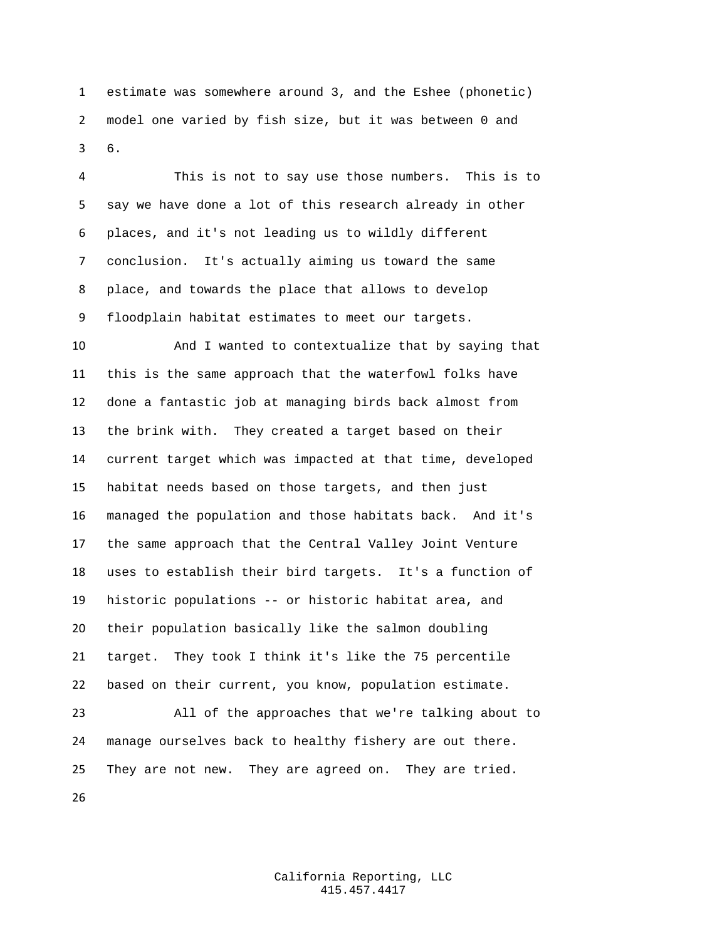estimate was somewhere around 3, and the Eshee (phonetic) model one varied by fish size, but it was between 0 and 6.

 This is not to say use those numbers. This is to say we have done a lot of this research already in other places, and it's not leading us to wildly different conclusion. It's actually aiming us toward the same place, and towards the place that allows to develop floodplain habitat estimates to meet our targets.

 And I wanted to contextualize that by saying that this is the same approach that the waterfowl folks have done a fantastic job at managing birds back almost from the brink with. They created a target based on their current target which was impacted at that time, developed habitat needs based on those targets, and then just managed the population and those habitats back. And it's the same approach that the Central Valley Joint Venture uses to establish their bird targets. It's a function of historic populations -- or historic habitat area, and their population basically like the salmon doubling target. They took I think it's like the 75 percentile based on their current, you know, population estimate.

 All of the approaches that we're talking about to manage ourselves back to healthy fishery are out there. They are not new. They are agreed on. They are tried.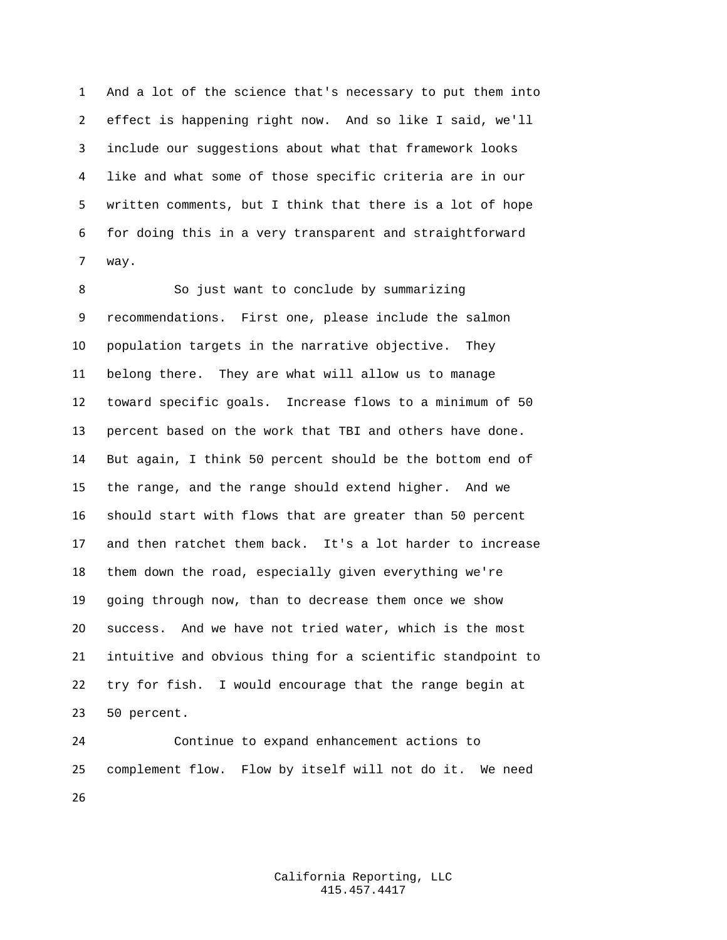And a lot of the science that's necessary to put them into effect is happening right now. And so like I said, we'll include our suggestions about what that framework looks like and what some of those specific criteria are in our written comments, but I think that there is a lot of hope for doing this in a very transparent and straightforward way.

 So just want to conclude by summarizing recommendations. First one, please include the salmon population targets in the narrative objective. They belong there. They are what will allow us to manage toward specific goals. Increase flows to a minimum of 50 percent based on the work that TBI and others have done. But again, I think 50 percent should be the bottom end of the range, and the range should extend higher. And we should start with flows that are greater than 50 percent and then ratchet them back. It's a lot harder to increase them down the road, especially given everything we're going through now, than to decrease them once we show success. And we have not tried water, which is the most intuitive and obvious thing for a scientific standpoint to try for fish. I would encourage that the range begin at 50 percent.

 Continue to expand enhancement actions to complement flow. Flow by itself will not do it. We need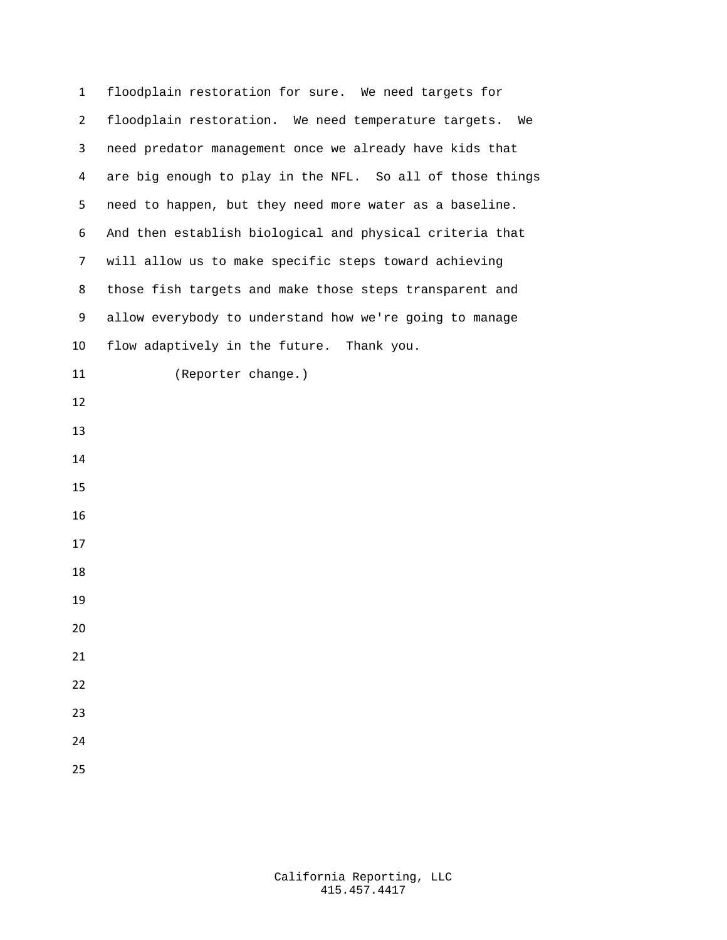| 1              | floodplain restoration for sure. We need targets for      |
|----------------|-----------------------------------------------------------|
| $\overline{2}$ | floodplain restoration. We need temperature targets. We   |
| 3              | need predator management once we already have kids that   |
| 4              | are big enough to play in the NFL. So all of those things |
| 5              | need to happen, but they need more water as a baseline.   |
| 6              | And then establish biological and physical criteria that  |
| 7              | will allow us to make specific steps toward achieving     |
| 8              | those fish targets and make those steps transparent and   |
| 9              | allow everybody to understand how we're going to manage   |
| 10             | flow adaptively in the future. Thank you.                 |
| 11             | (Reporter change.)                                        |
| 12             |                                                           |
| 13             |                                                           |
| 14             |                                                           |
| 15             |                                                           |
| 16             |                                                           |
| 17             |                                                           |
| 18             |                                                           |
| 19             |                                                           |
| 20             |                                                           |
| 21             |                                                           |
| 22             |                                                           |
| 23             |                                                           |
| 24             |                                                           |
| 25             |                                                           |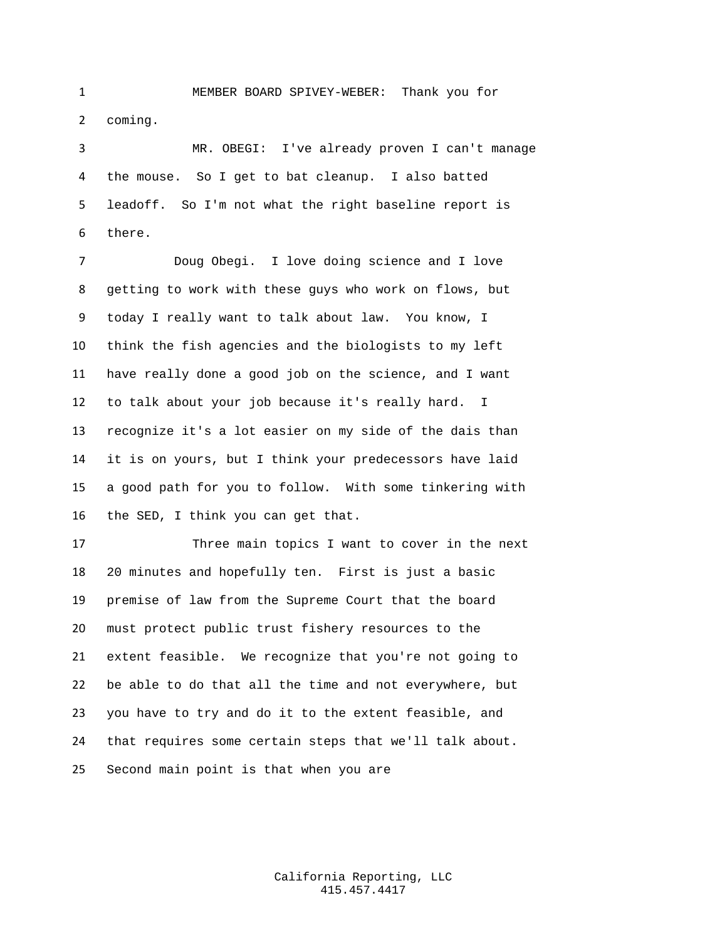MEMBER BOARD SPIVEY-WEBER: Thank you for coming.

 MR. OBEGI: I've already proven I can't manage the mouse. So I get to bat cleanup. I also batted leadoff. So I'm not what the right baseline report is there.

 Doug Obegi. I love doing science and I love getting to work with these guys who work on flows, but today I really want to talk about law. You know, I think the fish agencies and the biologists to my left have really done a good job on the science, and I want to talk about your job because it's really hard. I recognize it's a lot easier on my side of the dais than it is on yours, but I think your predecessors have laid a good path for you to follow. With some tinkering with the SED, I think you can get that.

 Three main topics I want to cover in the next 20 minutes and hopefully ten. First is just a basic premise of law from the Supreme Court that the board must protect public trust fishery resources to the extent feasible. We recognize that you're not going to be able to do that all the time and not everywhere, but you have to try and do it to the extent feasible, and that requires some certain steps that we'll talk about. Second main point is that when you are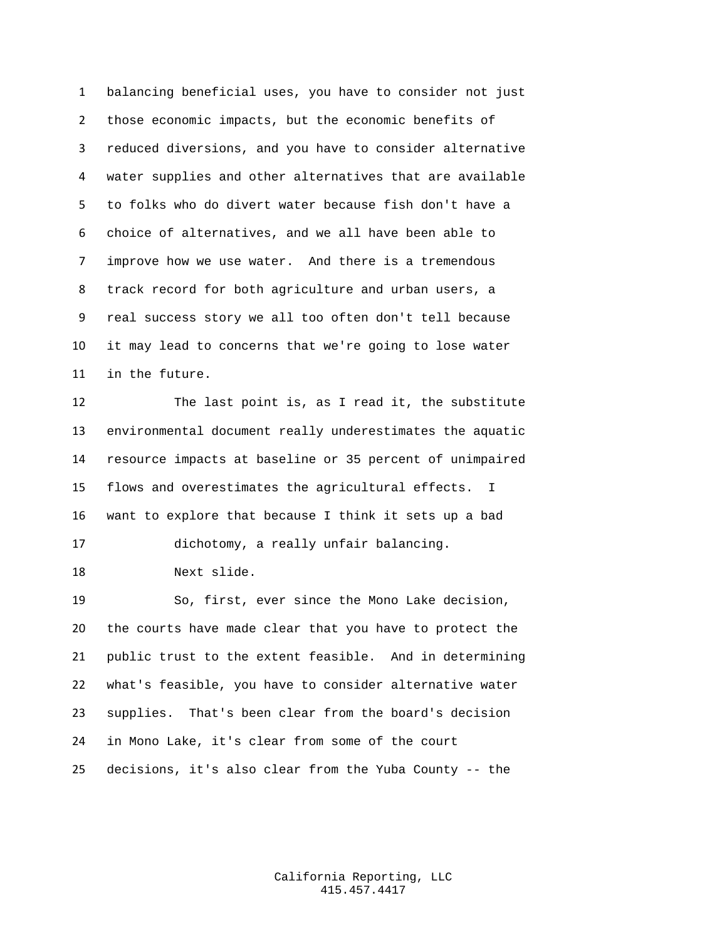balancing beneficial uses, you have to consider not just those economic impacts, but the economic benefits of reduced diversions, and you have to consider alternative water supplies and other alternatives that are available to folks who do divert water because fish don't have a choice of alternatives, and we all have been able to improve how we use water. And there is a tremendous track record for both agriculture and urban users, a real success story we all too often don't tell because it may lead to concerns that we're going to lose water in the future.

 The last point is, as I read it, the substitute environmental document really underestimates the aquatic resource impacts at baseline or 35 percent of unimpaired flows and overestimates the agricultural effects. I want to explore that because I think it sets up a bad dichotomy, a really unfair balancing.

Next slide.

 So, first, ever since the Mono Lake decision, the courts have made clear that you have to protect the public trust to the extent feasible. And in determining what's feasible, you have to consider alternative water supplies. That's been clear from the board's decision in Mono Lake, it's clear from some of the court decisions, it's also clear from the Yuba County -- the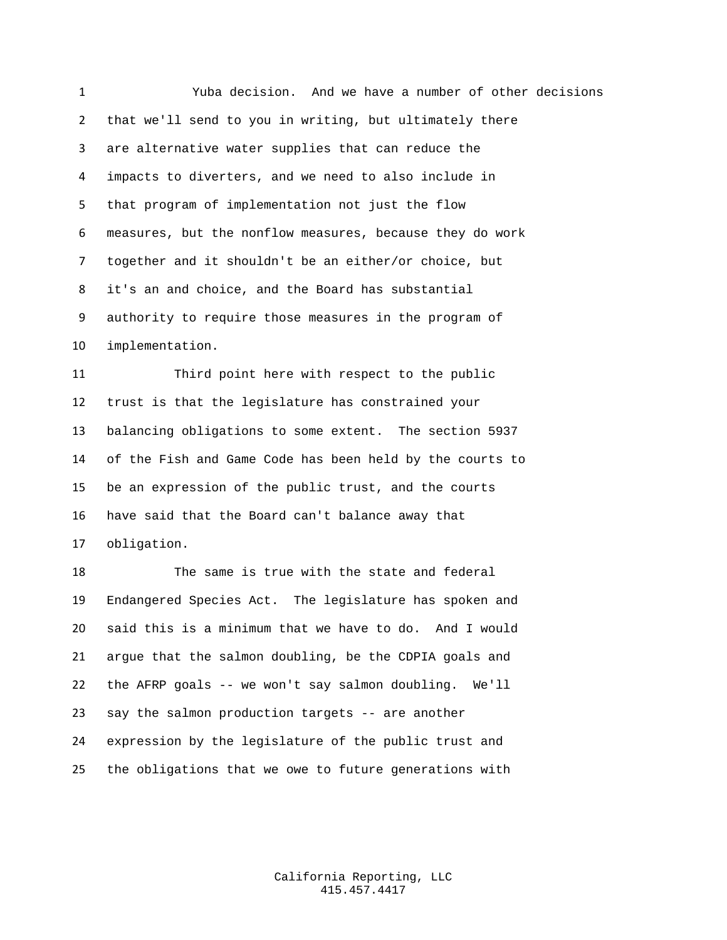Yuba decision. And we have a number of other decisions that we'll send to you in writing, but ultimately there are alternative water supplies that can reduce the impacts to diverters, and we need to also include in that program of implementation not just the flow measures, but the nonflow measures, because they do work together and it shouldn't be an either/or choice, but it's an and choice, and the Board has substantial authority to require those measures in the program of implementation.

 Third point here with respect to the public trust is that the legislature has constrained your balancing obligations to some extent. The section 5937 of the Fish and Game Code has been held by the courts to be an expression of the public trust, and the courts have said that the Board can't balance away that obligation.

 The same is true with the state and federal Endangered Species Act. The legislature has spoken and said this is a minimum that we have to do. And I would argue that the salmon doubling, be the CDPIA goals and the AFRP goals -- we won't say salmon doubling. We'll say the salmon production targets -- are another expression by the legislature of the public trust and the obligations that we owe to future generations with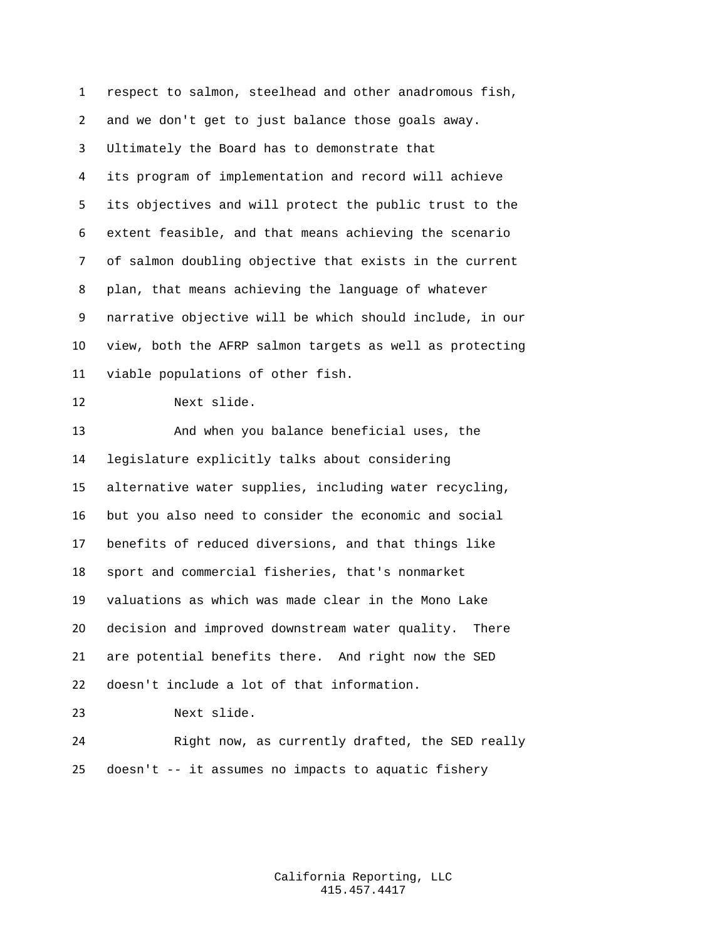respect to salmon, steelhead and other anadromous fish, and we don't get to just balance those goals away. Ultimately the Board has to demonstrate that its program of implementation and record will achieve its objectives and will protect the public trust to the extent feasible, and that means achieving the scenario of salmon doubling objective that exists in the current plan, that means achieving the language of whatever narrative objective will be which should include, in our view, both the AFRP salmon targets as well as protecting viable populations of other fish. Next slide. And when you balance beneficial uses, the legislature explicitly talks about considering alternative water supplies, including water recycling, but you also need to consider the economic and social benefits of reduced diversions, and that things like sport and commercial fisheries, that's nonmarket valuations as which was made clear in the Mono Lake decision and improved downstream water quality. There are potential benefits there. And right now the SED doesn't include a lot of that information. Next slide. Right now, as currently drafted, the SED really doesn't -- it assumes no impacts to aquatic fishery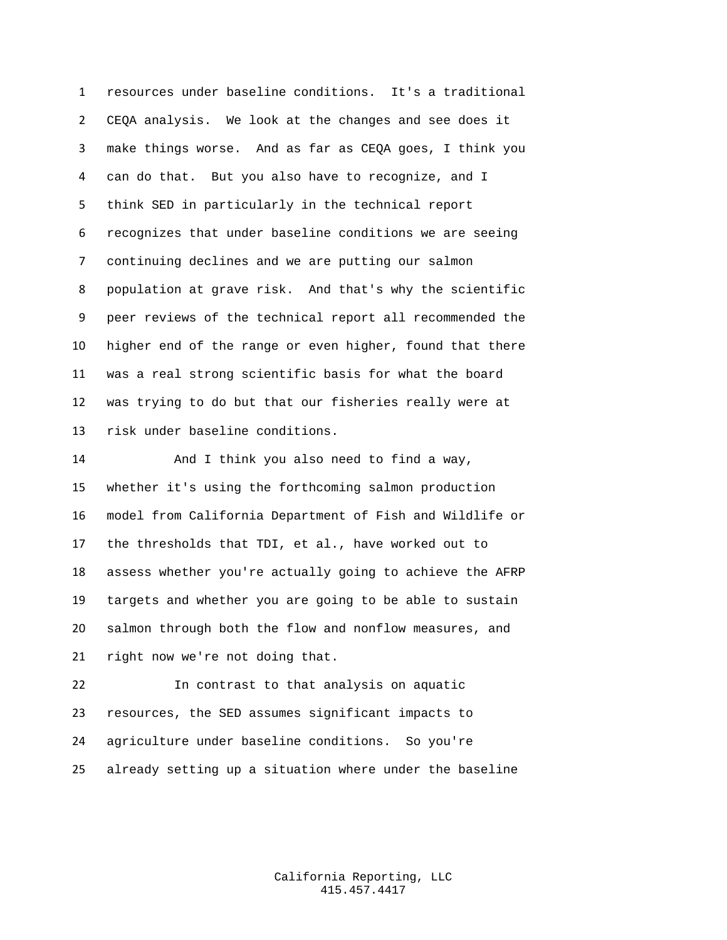resources under baseline conditions. It's a traditional CEQA analysis. We look at the changes and see does it make things worse. And as far as CEQA goes, I think you can do that. But you also have to recognize, and I think SED in particularly in the technical report recognizes that under baseline conditions we are seeing continuing declines and we are putting our salmon population at grave risk. And that's why the scientific peer reviews of the technical report all recommended the higher end of the range or even higher, found that there was a real strong scientific basis for what the board was trying to do but that our fisheries really were at risk under baseline conditions.

 And I think you also need to find a way, whether it's using the forthcoming salmon production model from California Department of Fish and Wildlife or the thresholds that TDI, et al., have worked out to assess whether you're actually going to achieve the AFRP targets and whether you are going to be able to sustain salmon through both the flow and nonflow measures, and right now we're not doing that.

 In contrast to that analysis on aquatic resources, the SED assumes significant impacts to agriculture under baseline conditions. So you're already setting up a situation where under the baseline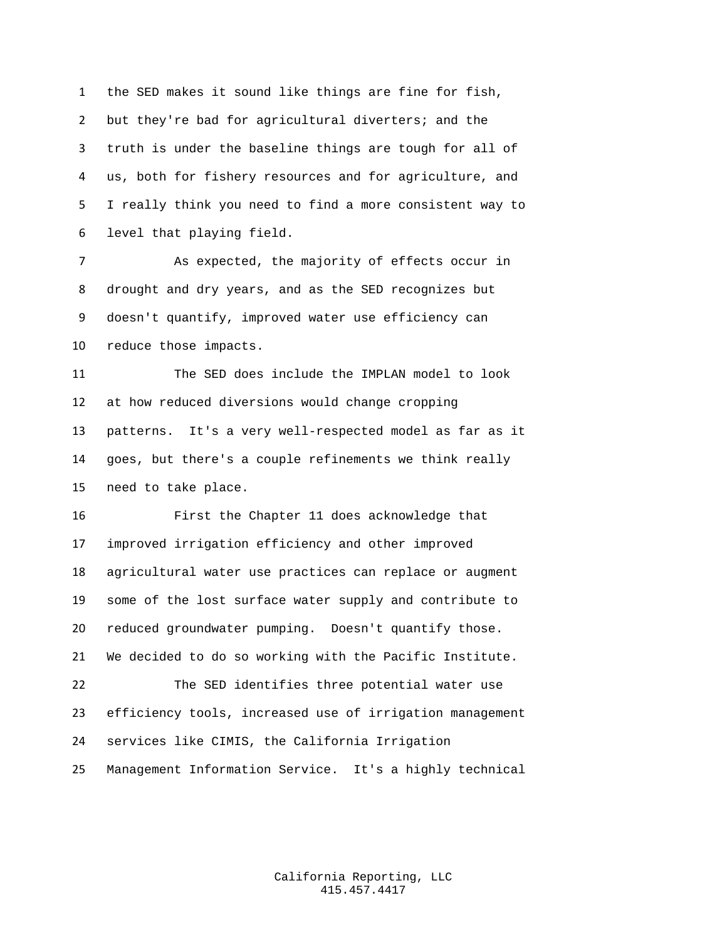the SED makes it sound like things are fine for fish, but they're bad for agricultural diverters; and the truth is under the baseline things are tough for all of us, both for fishery resources and for agriculture, and I really think you need to find a more consistent way to level that playing field.

 As expected, the majority of effects occur in drought and dry years, and as the SED recognizes but doesn't quantify, improved water use efficiency can reduce those impacts.

 The SED does include the IMPLAN model to look at how reduced diversions would change cropping patterns. It's a very well-respected model as far as it goes, but there's a couple refinements we think really need to take place.

 First the Chapter 11 does acknowledge that improved irrigation efficiency and other improved agricultural water use practices can replace or augment some of the lost surface water supply and contribute to reduced groundwater pumping. Doesn't quantify those. We decided to do so working with the Pacific Institute. The SED identifies three potential water use efficiency tools, increased use of irrigation management

services like CIMIS, the California Irrigation

Management Information Service. It's a highly technical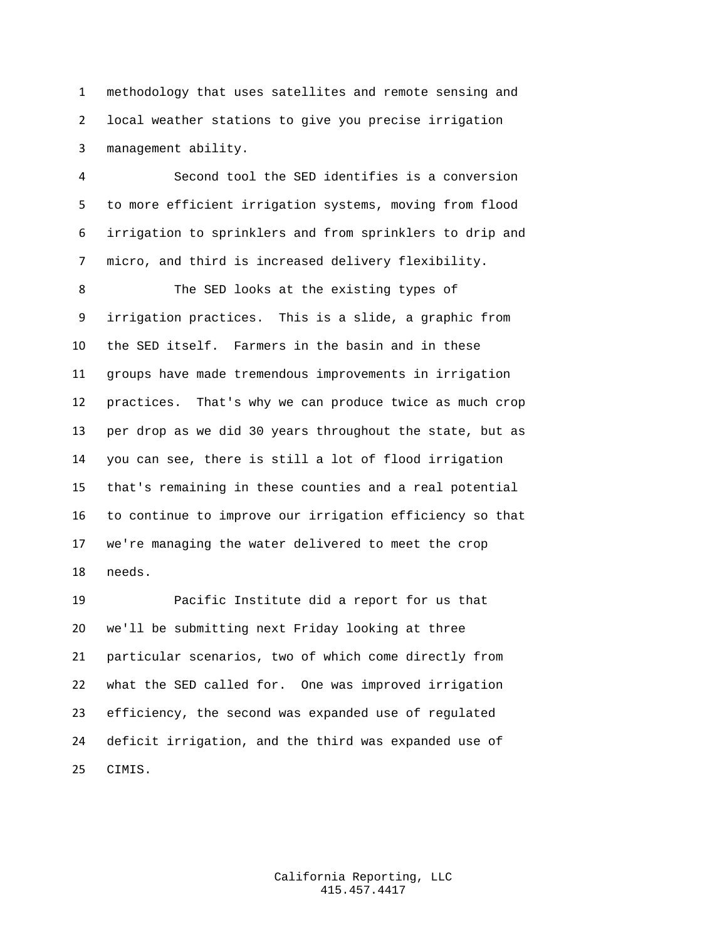methodology that uses satellites and remote sensing and local weather stations to give you precise irrigation management ability.

 Second tool the SED identifies is a conversion to more efficient irrigation systems, moving from flood irrigation to sprinklers and from sprinklers to drip and micro, and third is increased delivery flexibility.

 The SED looks at the existing types of irrigation practices. This is a slide, a graphic from the SED itself. Farmers in the basin and in these groups have made tremendous improvements in irrigation practices. That's why we can produce twice as much crop per drop as we did 30 years throughout the state, but as you can see, there is still a lot of flood irrigation that's remaining in these counties and a real potential to continue to improve our irrigation efficiency so that we're managing the water delivered to meet the crop needs.

 Pacific Institute did a report for us that we'll be submitting next Friday looking at three particular scenarios, two of which come directly from what the SED called for. One was improved irrigation efficiency, the second was expanded use of regulated deficit irrigation, and the third was expanded use of CIMIS.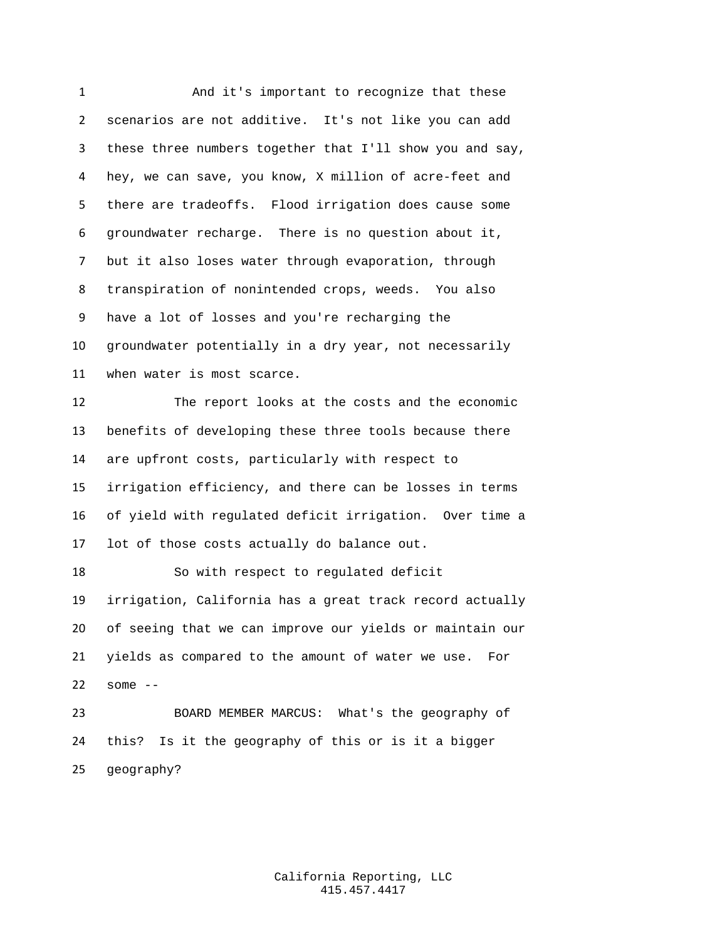1 And it's important to recognize that these scenarios are not additive. It's not like you can add these three numbers together that I'll show you and say, hey, we can save, you know, X million of acre-feet and there are tradeoffs. Flood irrigation does cause some groundwater recharge. There is no question about it, but it also loses water through evaporation, through transpiration of nonintended crops, weeds. You also have a lot of losses and you're recharging the groundwater potentially in a dry year, not necessarily when water is most scarce. The report looks at the costs and the economic benefits of developing these three tools because there are upfront costs, particularly with respect to irrigation efficiency, and there can be losses in terms of yield with regulated deficit irrigation. Over time a lot of those costs actually do balance out. So with respect to regulated deficit irrigation, California has a great track record actually of seeing that we can improve our yields or maintain our yields as compared to the amount of water we use. For some -- BOARD MEMBER MARCUS: What's the geography of this? Is it the geography of this or is it a bigger geography?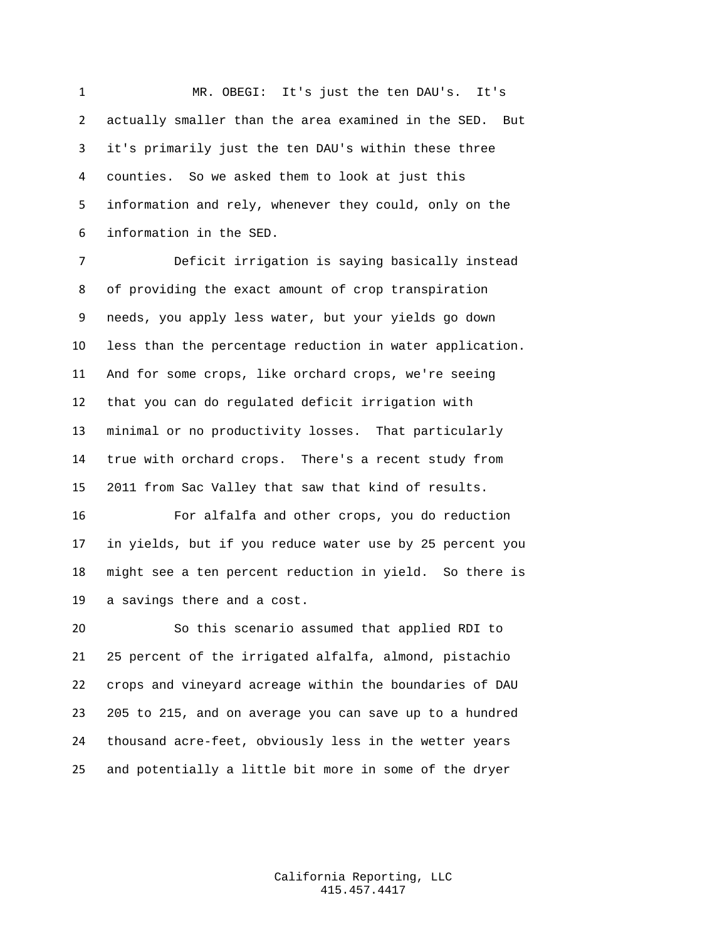MR. OBEGI: It's just the ten DAU's. It's actually smaller than the area examined in the SED. But it's primarily just the ten DAU's within these three counties. So we asked them to look at just this information and rely, whenever they could, only on the information in the SED.

 Deficit irrigation is saying basically instead of providing the exact amount of crop transpiration needs, you apply less water, but your yields go down less than the percentage reduction in water application. And for some crops, like orchard crops, we're seeing that you can do regulated deficit irrigation with minimal or no productivity losses. That particularly true with orchard crops. There's a recent study from 2011 from Sac Valley that saw that kind of results.

 For alfalfa and other crops, you do reduction in yields, but if you reduce water use by 25 percent you might see a ten percent reduction in yield. So there is a savings there and a cost.

 So this scenario assumed that applied RDI to 25 percent of the irrigated alfalfa, almond, pistachio crops and vineyard acreage within the boundaries of DAU 205 to 215, and on average you can save up to a hundred thousand acre-feet, obviously less in the wetter years and potentially a little bit more in some of the dryer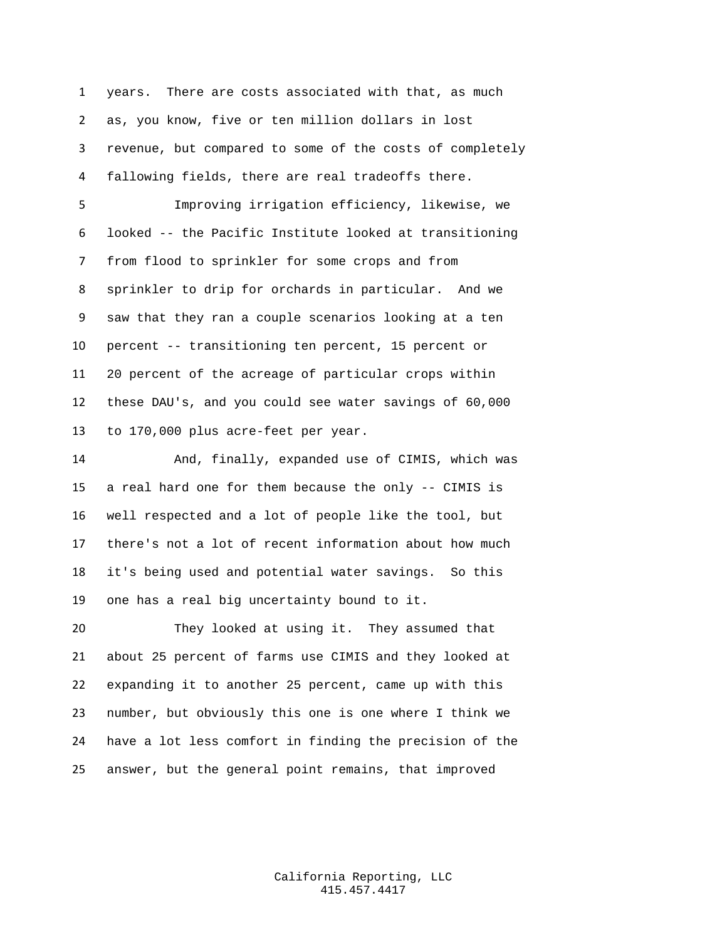years. There are costs associated with that, as much as, you know, five or ten million dollars in lost revenue, but compared to some of the costs of completely fallowing fields, there are real tradeoffs there.

 Improving irrigation efficiency, likewise, we looked -- the Pacific Institute looked at transitioning from flood to sprinkler for some crops and from sprinkler to drip for orchards in particular. And we saw that they ran a couple scenarios looking at a ten percent -- transitioning ten percent, 15 percent or 20 percent of the acreage of particular crops within these DAU's, and you could see water savings of 60,000 to 170,000 plus acre-feet per year.

 And, finally, expanded use of CIMIS, which was a real hard one for them because the only -- CIMIS is well respected and a lot of people like the tool, but there's not a lot of recent information about how much it's being used and potential water savings. So this one has a real big uncertainty bound to it.

 They looked at using it. They assumed that about 25 percent of farms use CIMIS and they looked at expanding it to another 25 percent, came up with this number, but obviously this one is one where I think we have a lot less comfort in finding the precision of the answer, but the general point remains, that improved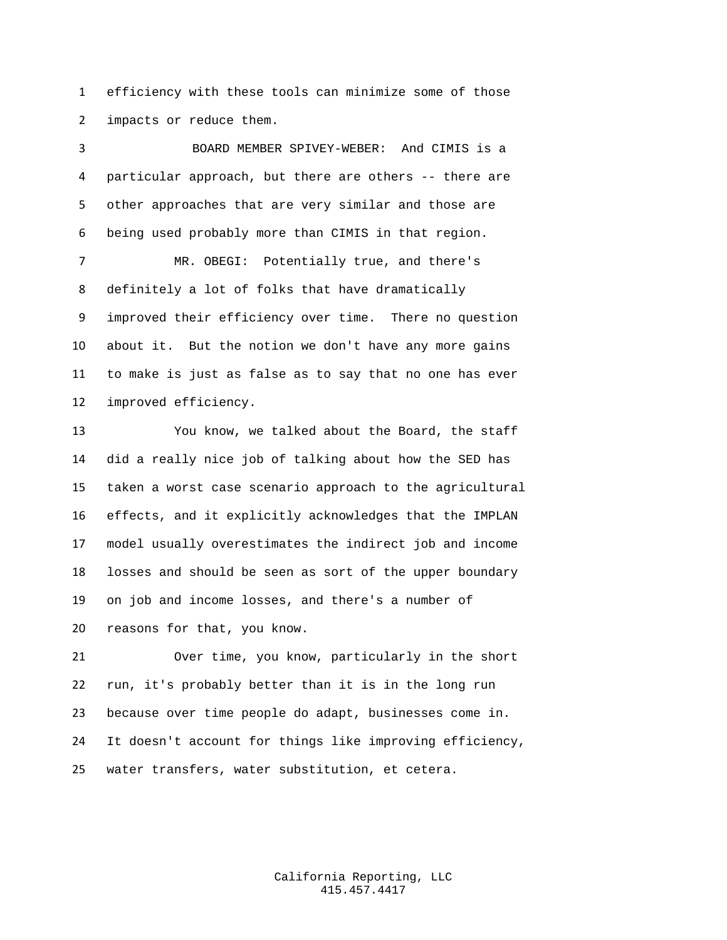efficiency with these tools can minimize some of those impacts or reduce them.

 BOARD MEMBER SPIVEY-WEBER: And CIMIS is a particular approach, but there are others -- there are other approaches that are very similar and those are being used probably more than CIMIS in that region.

 MR. OBEGI: Potentially true, and there's definitely a lot of folks that have dramatically improved their efficiency over time. There no question about it. But the notion we don't have any more gains to make is just as false as to say that no one has ever improved efficiency.

 You know, we talked about the Board, the staff did a really nice job of talking about how the SED has taken a worst case scenario approach to the agricultural effects, and it explicitly acknowledges that the IMPLAN model usually overestimates the indirect job and income losses and should be seen as sort of the upper boundary on job and income losses, and there's a number of reasons for that, you know.

 Over time, you know, particularly in the short run, it's probably better than it is in the long run because over time people do adapt, businesses come in. It doesn't account for things like improving efficiency, water transfers, water substitution, et cetera.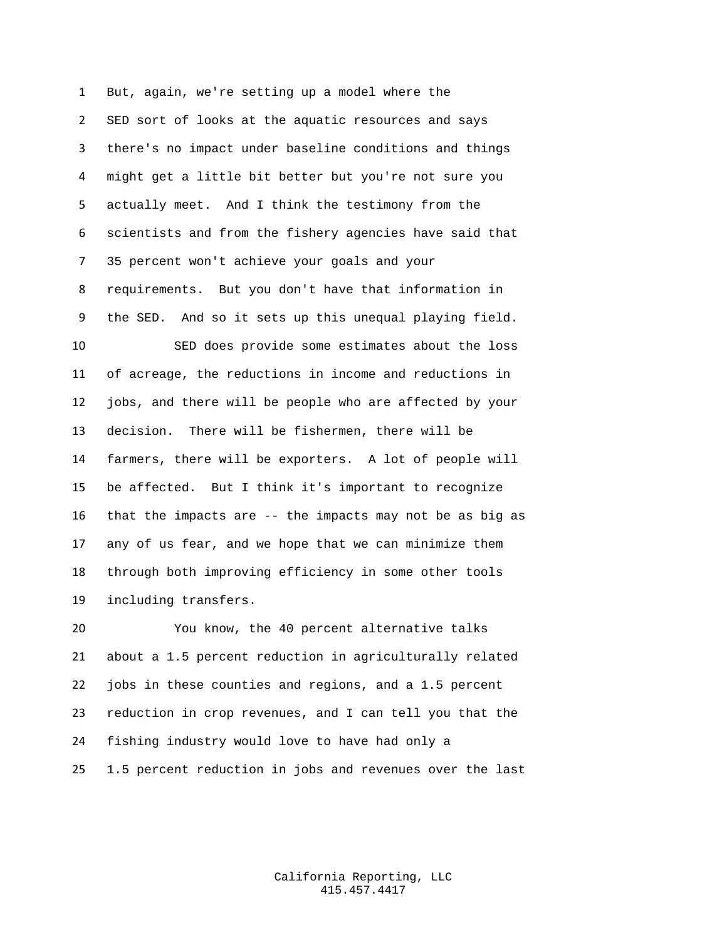But, again, we're setting up a model where the SED sort of looks at the aquatic resources and says there's no impact under baseline conditions and things might get a little bit better but you're not sure you actually meet. And I think the testimony from the scientists and from the fishery agencies have said that 35 percent won't achieve your goals and your requirements. But you don't have that information in the SED. And so it sets up this unequal playing field. SED does provide some estimates about the loss of acreage, the reductions in income and reductions in jobs, and there will be people who are affected by your decision. There will be fishermen, there will be farmers, there will be exporters. A lot of people will be affected. But I think it's important to recognize that the impacts are -- the impacts may not be as big as any of us fear, and we hope that we can minimize them through both improving efficiency in some other tools including transfers.

 You know, the 40 percent alternative talks about a 1.5 percent reduction in agriculturally related jobs in these counties and regions, and a 1.5 percent reduction in crop revenues, and I can tell you that the fishing industry would love to have had only a 1.5 percent reduction in jobs and revenues over the last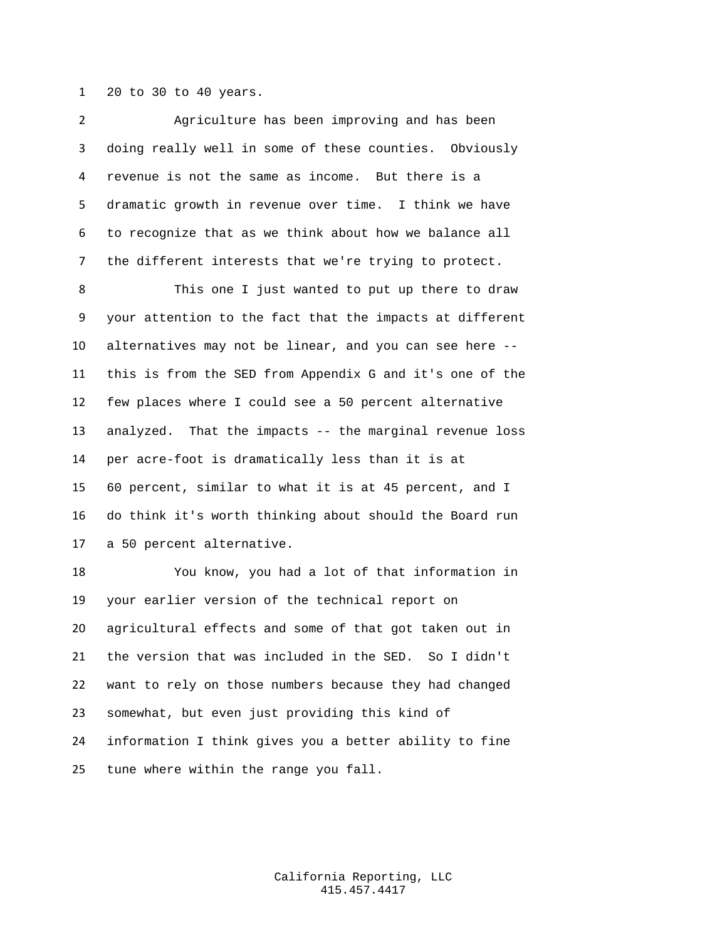20 to 30 to 40 years.

 Agriculture has been improving and has been doing really well in some of these counties. Obviously revenue is not the same as income. But there is a dramatic growth in revenue over time. I think we have to recognize that as we think about how we balance all the different interests that we're trying to protect. This one I just wanted to put up there to draw your attention to the fact that the impacts at different alternatives may not be linear, and you can see here -- this is from the SED from Appendix G and it's one of the few places where I could see a 50 percent alternative analyzed. That the impacts -- the marginal revenue loss per acre-foot is dramatically less than it is at 60 percent, similar to what it is at 45 percent, and I do think it's worth thinking about should the Board run a 50 percent alternative.

 You know, you had a lot of that information in your earlier version of the technical report on agricultural effects and some of that got taken out in the version that was included in the SED. So I didn't want to rely on those numbers because they had changed somewhat, but even just providing this kind of information I think gives you a better ability to fine tune where within the range you fall.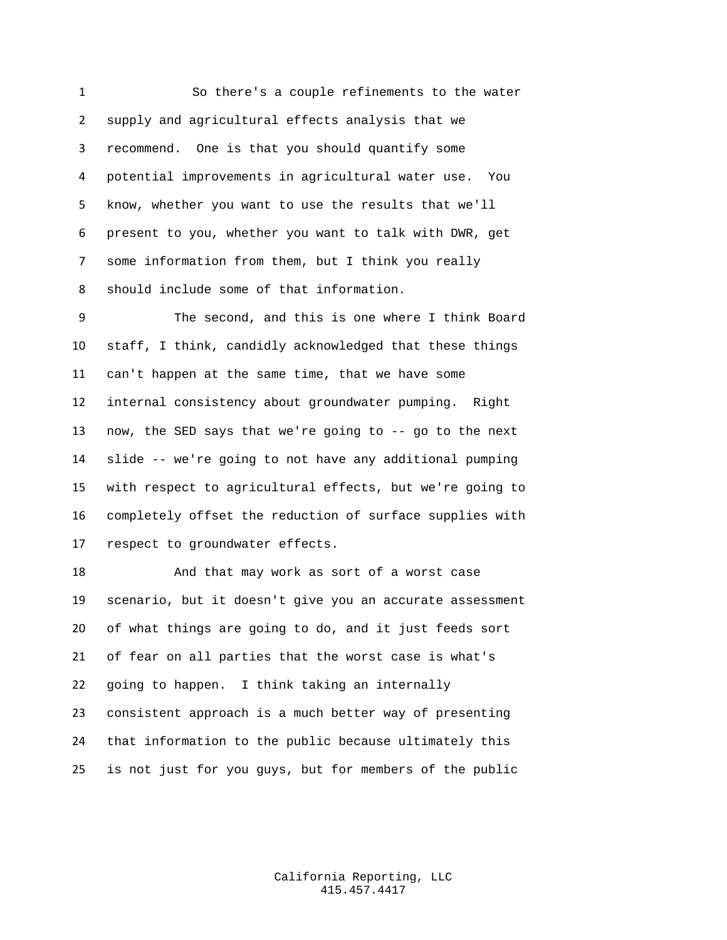So there's a couple refinements to the water supply and agricultural effects analysis that we recommend. One is that you should quantify some potential improvements in agricultural water use. You know, whether you want to use the results that we'll present to you, whether you want to talk with DWR, get some information from them, but I think you really should include some of that information.

 The second, and this is one where I think Board staff, I think, candidly acknowledged that these things can't happen at the same time, that we have some internal consistency about groundwater pumping. Right now, the SED says that we're going to -- go to the next slide -- we're going to not have any additional pumping with respect to agricultural effects, but we're going to completely offset the reduction of surface supplies with respect to groundwater effects.

18 And that may work as sort of a worst case scenario, but it doesn't give you an accurate assessment of what things are going to do, and it just feeds sort of fear on all parties that the worst case is what's going to happen. I think taking an internally consistent approach is a much better way of presenting that information to the public because ultimately this is not just for you guys, but for members of the public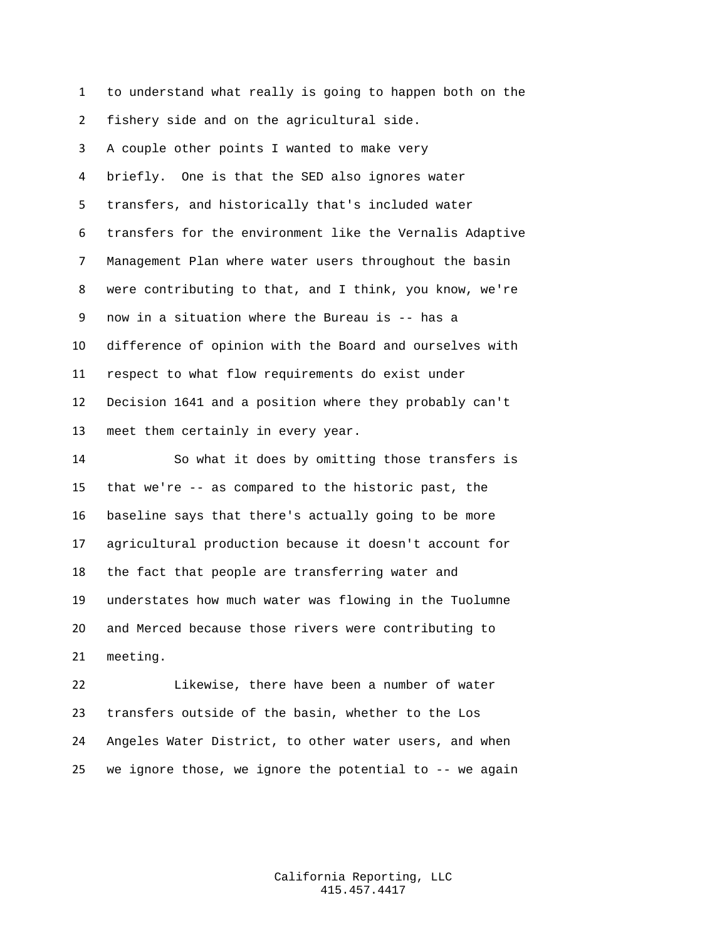to understand what really is going to happen both on the fishery side and on the agricultural side. A couple other points I wanted to make very briefly. One is that the SED also ignores water transfers, and historically that's included water transfers for the environment like the Vernalis Adaptive Management Plan where water users throughout the basin were contributing to that, and I think, you know, we're now in a situation where the Bureau is -- has a difference of opinion with the Board and ourselves with respect to what flow requirements do exist under Decision 1641 and a position where they probably can't meet them certainly in every year. So what it does by omitting those transfers is that we're -- as compared to the historic past, the

 baseline says that there's actually going to be more agricultural production because it doesn't account for the fact that people are transferring water and understates how much water was flowing in the Tuolumne and Merced because those rivers were contributing to meeting.

 Likewise, there have been a number of water transfers outside of the basin, whether to the Los Angeles Water District, to other water users, and when we ignore those, we ignore the potential to -- we again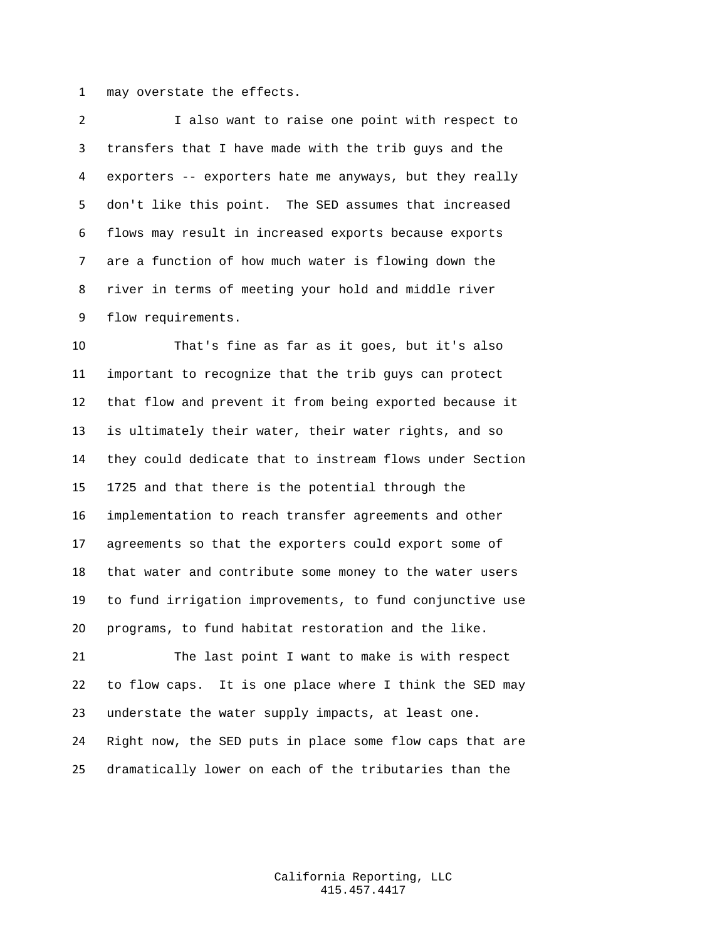may overstate the effects.

 I also want to raise one point with respect to transfers that I have made with the trib guys and the exporters -- exporters hate me anyways, but they really don't like this point. The SED assumes that increased flows may result in increased exports because exports are a function of how much water is flowing down the river in terms of meeting your hold and middle river flow requirements.

 That's fine as far as it goes, but it's also important to recognize that the trib guys can protect that flow and prevent it from being exported because it is ultimately their water, their water rights, and so they could dedicate that to instream flows under Section 1725 and that there is the potential through the implementation to reach transfer agreements and other agreements so that the exporters could export some of that water and contribute some money to the water users to fund irrigation improvements, to fund conjunctive use programs, to fund habitat restoration and the like.

 The last point I want to make is with respect to flow caps. It is one place where I think the SED may understate the water supply impacts, at least one. Right now, the SED puts in place some flow caps that are dramatically lower on each of the tributaries than the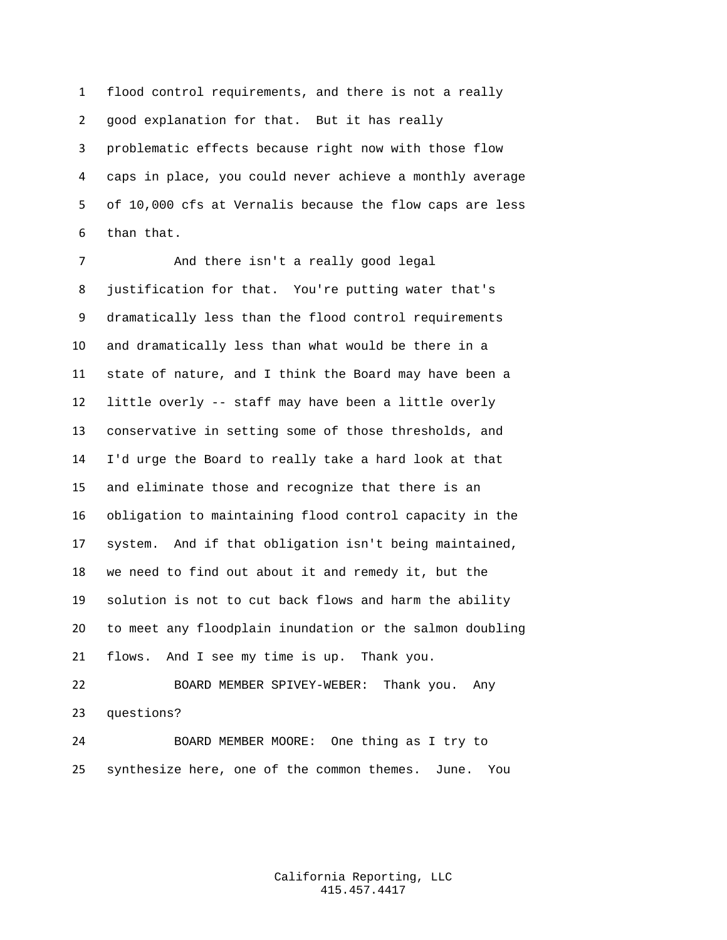flood control requirements, and there is not a really good explanation for that. But it has really problematic effects because right now with those flow caps in place, you could never achieve a monthly average of 10,000 cfs at Vernalis because the flow caps are less than that.

 And there isn't a really good legal justification for that. You're putting water that's dramatically less than the flood control requirements and dramatically less than what would be there in a state of nature, and I think the Board may have been a little overly -- staff may have been a little overly conservative in setting some of those thresholds, and I'd urge the Board to really take a hard look at that and eliminate those and recognize that there is an obligation to maintaining flood control capacity in the system. And if that obligation isn't being maintained, we need to find out about it and remedy it, but the solution is not to cut back flows and harm the ability to meet any floodplain inundation or the salmon doubling flows. And I see my time is up. Thank you.

 BOARD MEMBER SPIVEY-WEBER: Thank you. Any questions?

 BOARD MEMBER MOORE: One thing as I try to synthesize here, one of the common themes. June. You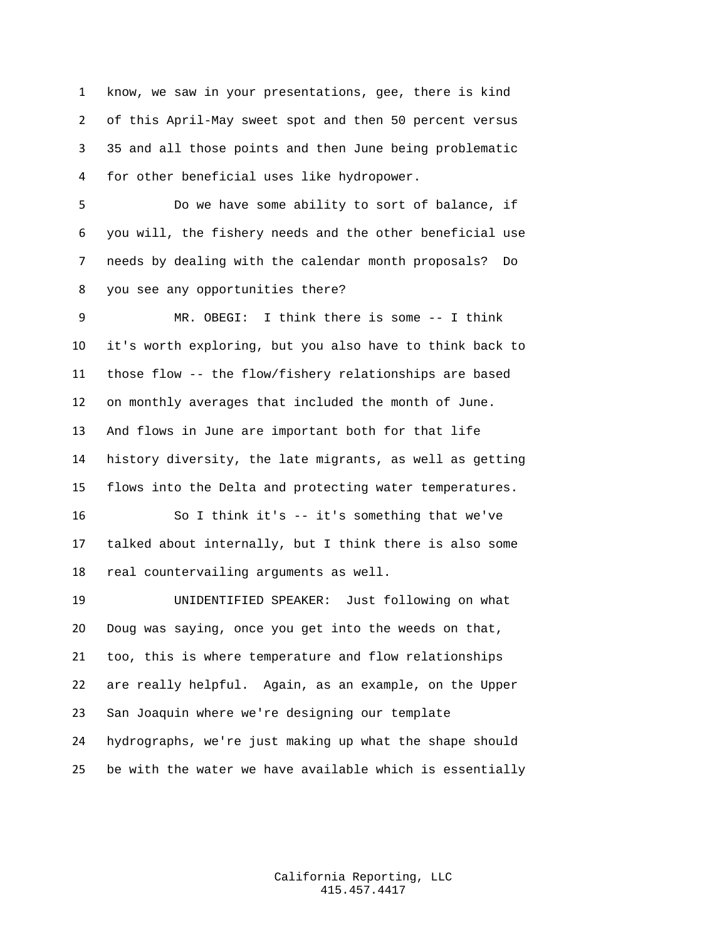know, we saw in your presentations, gee, there is kind of this April-May sweet spot and then 50 percent versus 35 and all those points and then June being problematic for other beneficial uses like hydropower.

 Do we have some ability to sort of balance, if you will, the fishery needs and the other beneficial use needs by dealing with the calendar month proposals? Do you see any opportunities there?

 MR. OBEGI: I think there is some -- I think it's worth exploring, but you also have to think back to those flow -- the flow/fishery relationships are based on monthly averages that included the month of June. And flows in June are important both for that life history diversity, the late migrants, as well as getting flows into the Delta and protecting water temperatures.

 So I think it's -- it's something that we've talked about internally, but I think there is also some real countervailing arguments as well.

 UNIDENTIFIED SPEAKER: Just following on what Doug was saying, once you get into the weeds on that, too, this is where temperature and flow relationships are really helpful. Again, as an example, on the Upper San Joaquin where we're designing our template hydrographs, we're just making up what the shape should be with the water we have available which is essentially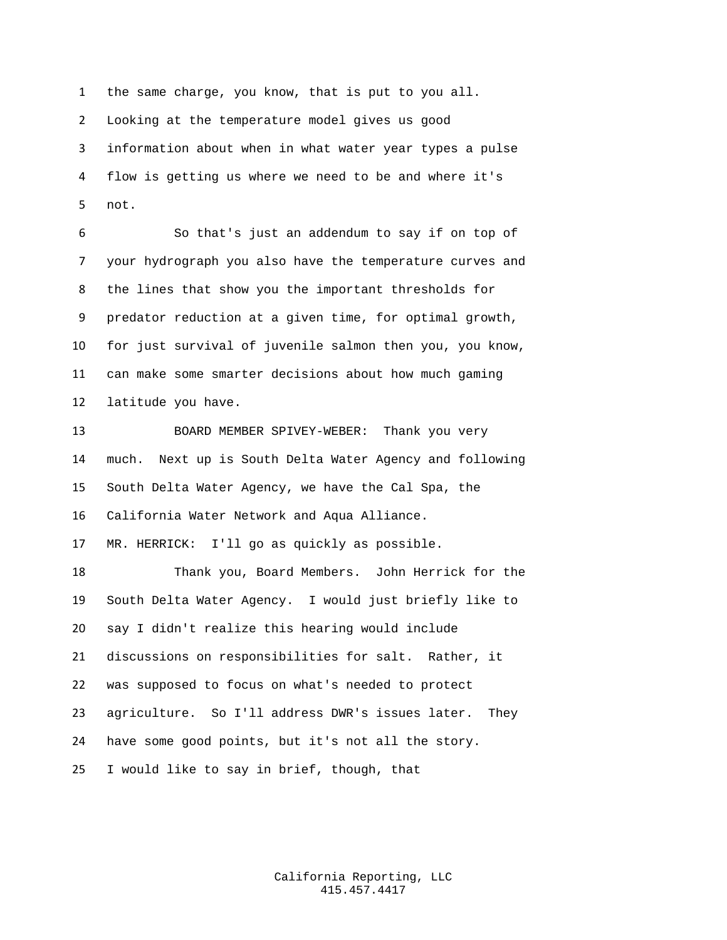the same charge, you know, that is put to you all. Looking at the temperature model gives us good information about when in what water year types a pulse flow is getting us where we need to be and where it's not.

 So that's just an addendum to say if on top of your hydrograph you also have the temperature curves and the lines that show you the important thresholds for predator reduction at a given time, for optimal growth, for just survival of juvenile salmon then you, you know, can make some smarter decisions about how much gaming latitude you have.

 BOARD MEMBER SPIVEY-WEBER: Thank you very much. Next up is South Delta Water Agency and following South Delta Water Agency, we have the Cal Spa, the California Water Network and Aqua Alliance.

MR. HERRICK: I'll go as quickly as possible.

 Thank you, Board Members. John Herrick for the South Delta Water Agency. I would just briefly like to say I didn't realize this hearing would include discussions on responsibilities for salt. Rather, it was supposed to focus on what's needed to protect agriculture. So I'll address DWR's issues later. They have some good points, but it's not all the story. I would like to say in brief, though, that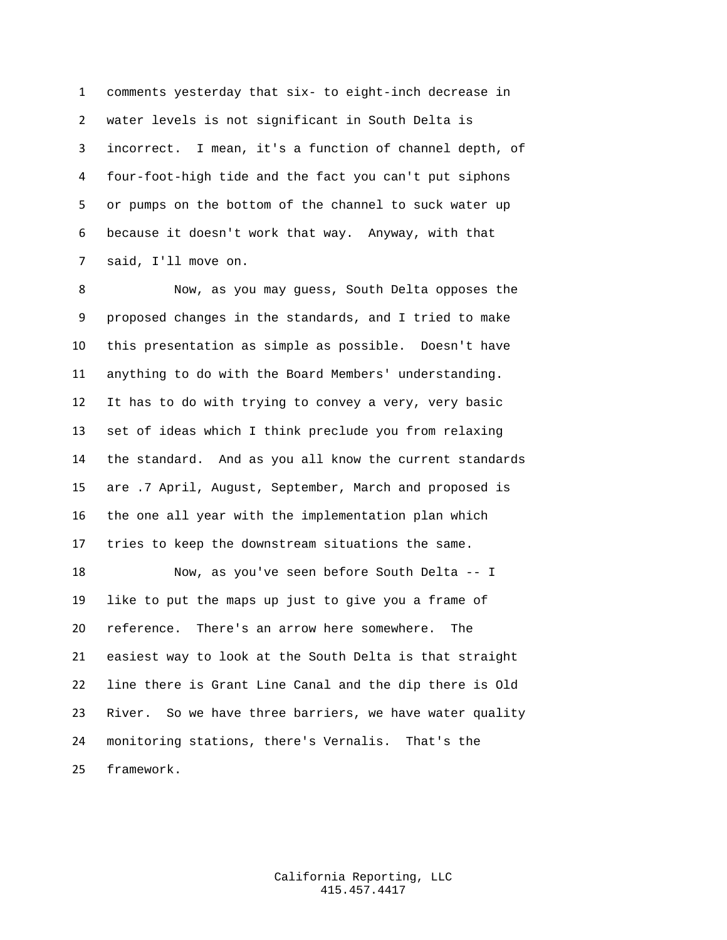comments yesterday that six- to eight-inch decrease in water levels is not significant in South Delta is incorrect. I mean, it's a function of channel depth, of four-foot-high tide and the fact you can't put siphons or pumps on the bottom of the channel to suck water up because it doesn't work that way. Anyway, with that said, I'll move on.

 Now, as you may guess, South Delta opposes the proposed changes in the standards, and I tried to make this presentation as simple as possible. Doesn't have anything to do with the Board Members' understanding. It has to do with trying to convey a very, very basic set of ideas which I think preclude you from relaxing the standard. And as you all know the current standards are .7 April, August, September, March and proposed is the one all year with the implementation plan which tries to keep the downstream situations the same. Now, as you've seen before South Delta -- I

 like to put the maps up just to give you a frame of reference. There's an arrow here somewhere. The easiest way to look at the South Delta is that straight line there is Grant Line Canal and the dip there is Old River. So we have three barriers, we have water quality monitoring stations, there's Vernalis. That's the framework.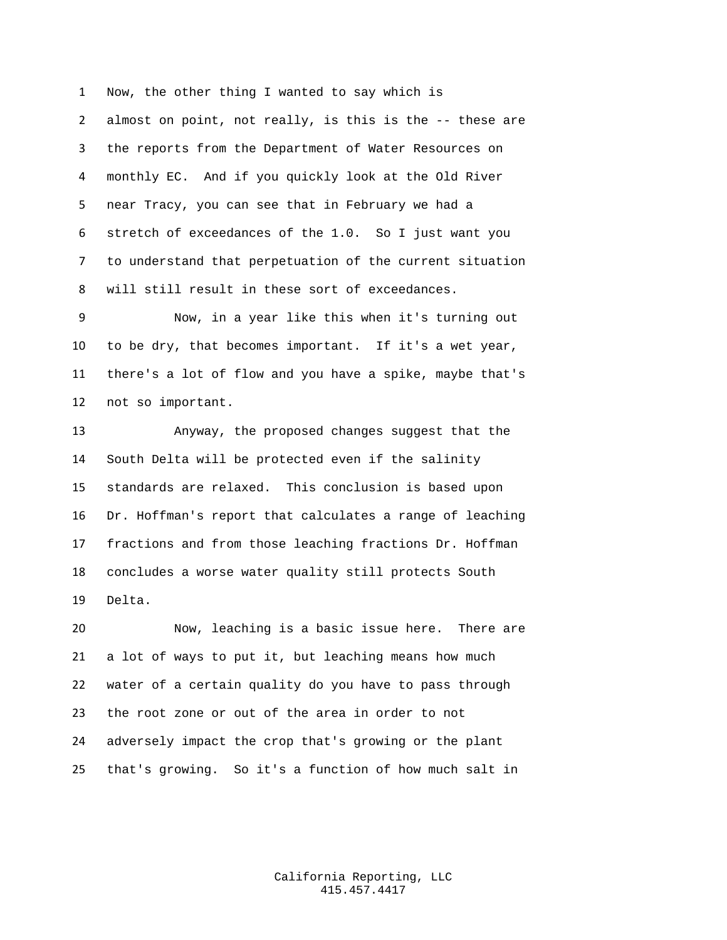Now, the other thing I wanted to say which is almost on point, not really, is this is the -- these are the reports from the Department of Water Resources on monthly EC. And if you quickly look at the Old River near Tracy, you can see that in February we had a stretch of exceedances of the 1.0. So I just want you to understand that perpetuation of the current situation will still result in these sort of exceedances.

 Now, in a year like this when it's turning out to be dry, that becomes important. If it's a wet year, there's a lot of flow and you have a spike, maybe that's not so important.

 Anyway, the proposed changes suggest that the South Delta will be protected even if the salinity standards are relaxed. This conclusion is based upon Dr. Hoffman's report that calculates a range of leaching fractions and from those leaching fractions Dr. Hoffman concludes a worse water quality still protects South Delta.

 Now, leaching is a basic issue here. There are a lot of ways to put it, but leaching means how much water of a certain quality do you have to pass through the root zone or out of the area in order to not adversely impact the crop that's growing or the plant that's growing. So it's a function of how much salt in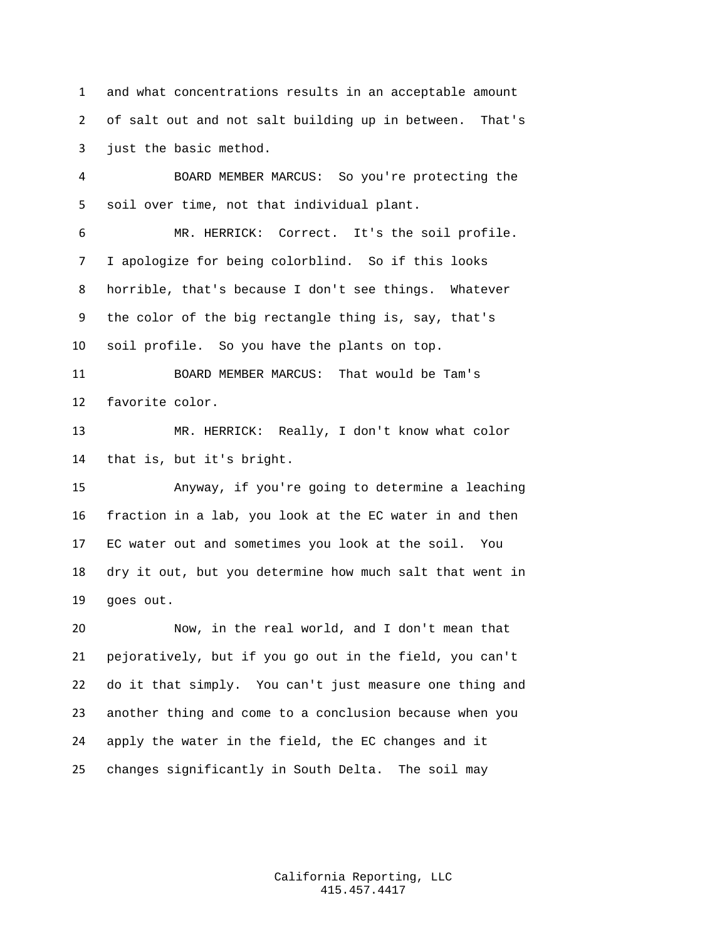and what concentrations results in an acceptable amount of salt out and not salt building up in between. That's just the basic method.

 BOARD MEMBER MARCUS: So you're protecting the soil over time, not that individual plant.

 MR. HERRICK: Correct. It's the soil profile. I apologize for being colorblind. So if this looks horrible, that's because I don't see things. Whatever the color of the big rectangle thing is, say, that's soil profile. So you have the plants on top.

 BOARD MEMBER MARCUS: That would be Tam's favorite color.

 MR. HERRICK: Really, I don't know what color that is, but it's bright.

 Anyway, if you're going to determine a leaching fraction in a lab, you look at the EC water in and then EC water out and sometimes you look at the soil. You dry it out, but you determine how much salt that went in goes out.

 Now, in the real world, and I don't mean that pejoratively, but if you go out in the field, you can't do it that simply. You can't just measure one thing and another thing and come to a conclusion because when you apply the water in the field, the EC changes and it changes significantly in South Delta. The soil may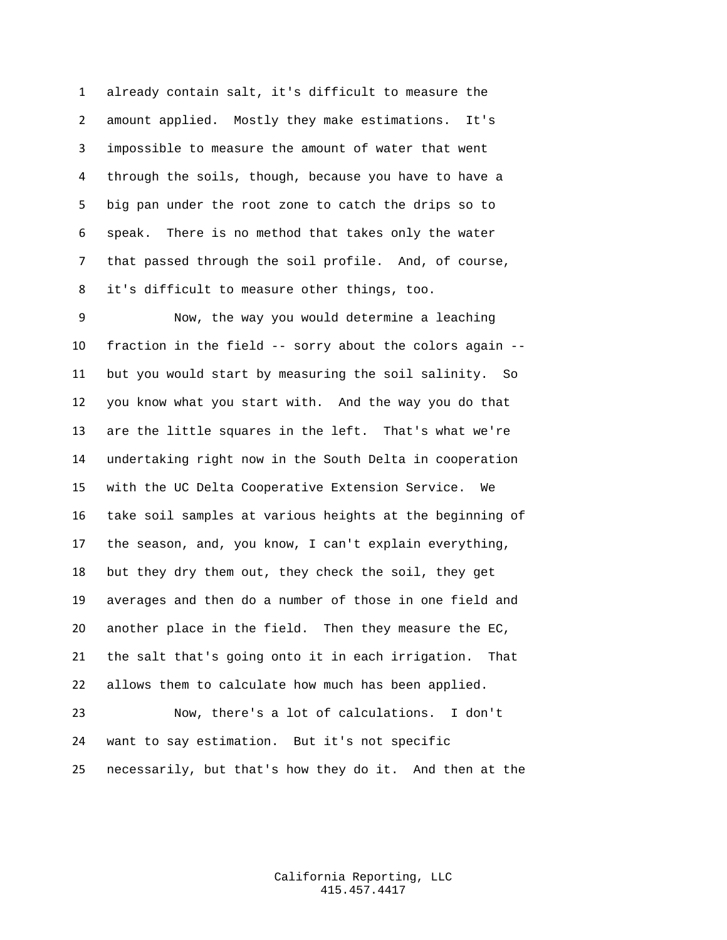already contain salt, it's difficult to measure the amount applied. Mostly they make estimations. It's impossible to measure the amount of water that went through the soils, though, because you have to have a big pan under the root zone to catch the drips so to speak. There is no method that takes only the water that passed through the soil profile. And, of course, it's difficult to measure other things, too.

 Now, the way you would determine a leaching fraction in the field -- sorry about the colors again -- but you would start by measuring the soil salinity. So you know what you start with. And the way you do that are the little squares in the left. That's what we're undertaking right now in the South Delta in cooperation with the UC Delta Cooperative Extension Service. We take soil samples at various heights at the beginning of the season, and, you know, I can't explain everything, but they dry them out, they check the soil, they get averages and then do a number of those in one field and another place in the field. Then they measure the EC, the salt that's going onto it in each irrigation. That allows them to calculate how much has been applied.

 Now, there's a lot of calculations. I don't want to say estimation. But it's not specific necessarily, but that's how they do it. And then at the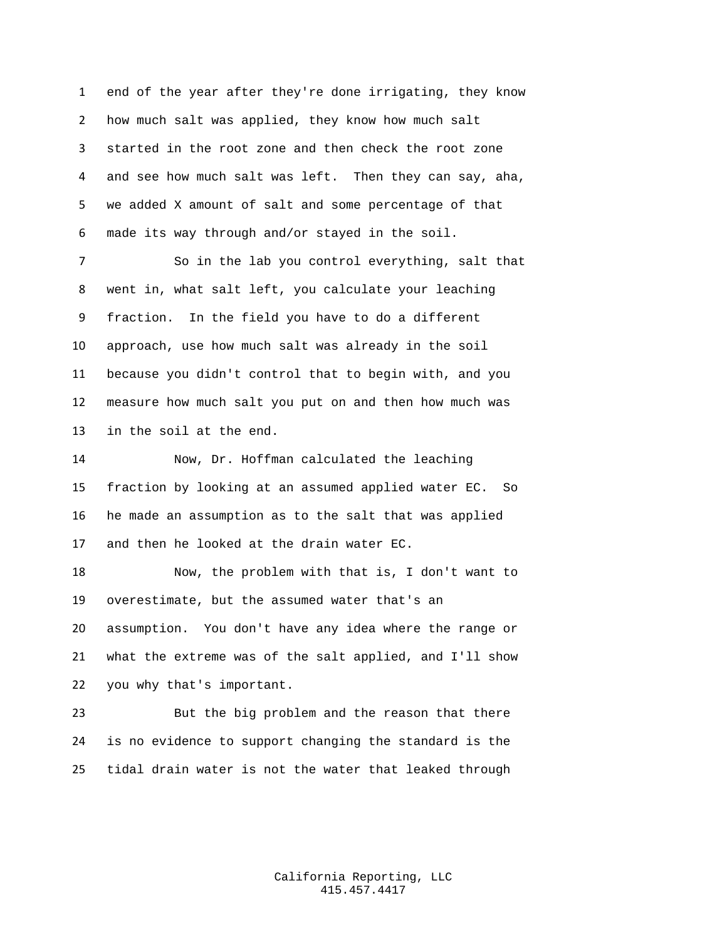end of the year after they're done irrigating, they know how much salt was applied, they know how much salt started in the root zone and then check the root zone and see how much salt was left. Then they can say, aha, we added X amount of salt and some percentage of that made its way through and/or stayed in the soil.

 So in the lab you control everything, salt that went in, what salt left, you calculate your leaching fraction. In the field you have to do a different approach, use how much salt was already in the soil because you didn't control that to begin with, and you measure how much salt you put on and then how much was in the soil at the end.

 Now, Dr. Hoffman calculated the leaching fraction by looking at an assumed applied water EC. So he made an assumption as to the salt that was applied and then he looked at the drain water EC.

 Now, the problem with that is, I don't want to overestimate, but the assumed water that's an assumption. You don't have any idea where the range or what the extreme was of the salt applied, and I'll show you why that's important.

 But the big problem and the reason that there is no evidence to support changing the standard is the tidal drain water is not the water that leaked through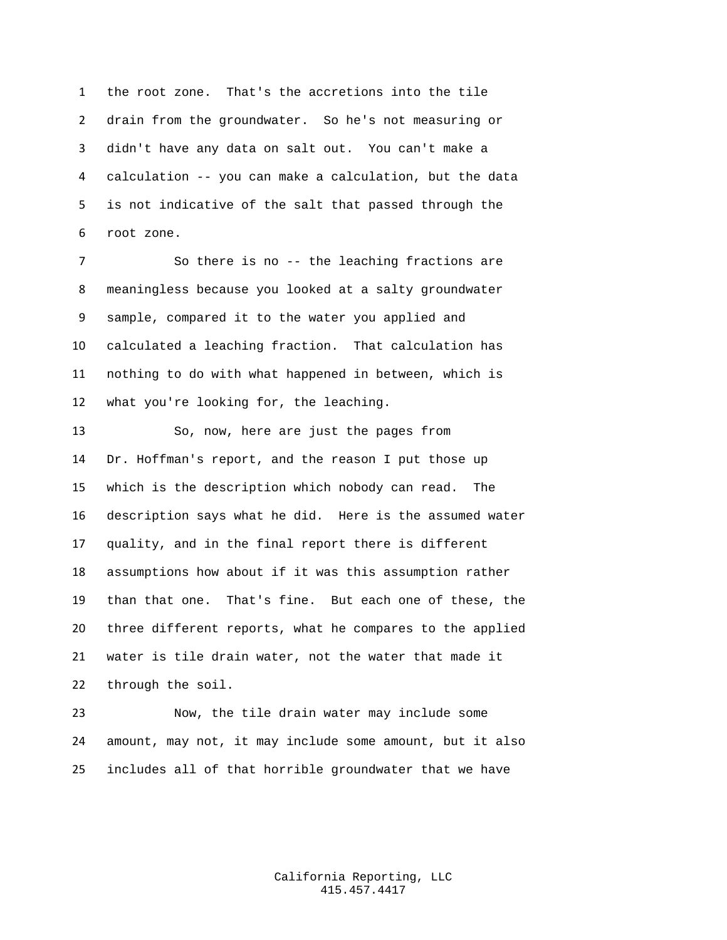the root zone. That's the accretions into the tile drain from the groundwater. So he's not measuring or didn't have any data on salt out. You can't make a calculation -- you can make a calculation, but the data is not indicative of the salt that passed through the root zone.

 So there is no -- the leaching fractions are meaningless because you looked at a salty groundwater sample, compared it to the water you applied and calculated a leaching fraction. That calculation has nothing to do with what happened in between, which is what you're looking for, the leaching.

 So, now, here are just the pages from Dr. Hoffman's report, and the reason I put those up which is the description which nobody can read. The description says what he did. Here is the assumed water quality, and in the final report there is different assumptions how about if it was this assumption rather than that one. That's fine. But each one of these, the three different reports, what he compares to the applied water is tile drain water, not the water that made it through the soil.

 Now, the tile drain water may include some amount, may not, it may include some amount, but it also includes all of that horrible groundwater that we have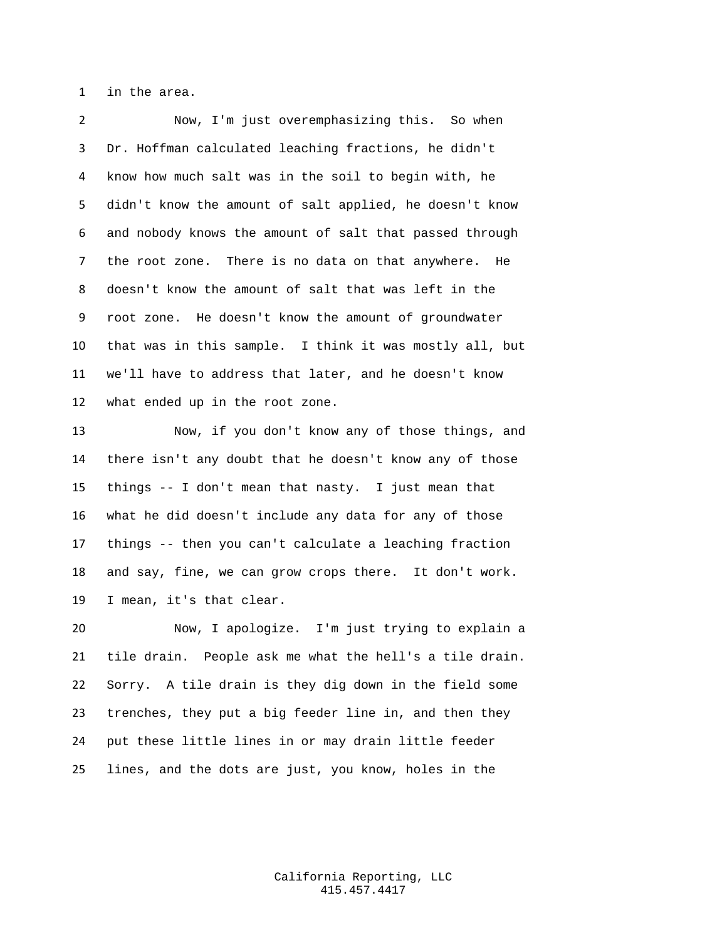in the area.

 Now, I'm just overemphasizing this. So when Dr. Hoffman calculated leaching fractions, he didn't know how much salt was in the soil to begin with, he didn't know the amount of salt applied, he doesn't know and nobody knows the amount of salt that passed through the root zone. There is no data on that anywhere. He doesn't know the amount of salt that was left in the root zone. He doesn't know the amount of groundwater that was in this sample. I think it was mostly all, but we'll have to address that later, and he doesn't know what ended up in the root zone.

 Now, if you don't know any of those things, and there isn't any doubt that he doesn't know any of those things -- I don't mean that nasty. I just mean that what he did doesn't include any data for any of those things -- then you can't calculate a leaching fraction and say, fine, we can grow crops there. It don't work. I mean, it's that clear.

 Now, I apologize. I'm just trying to explain a tile drain. People ask me what the hell's a tile drain. Sorry. A tile drain is they dig down in the field some trenches, they put a big feeder line in, and then they put these little lines in or may drain little feeder lines, and the dots are just, you know, holes in the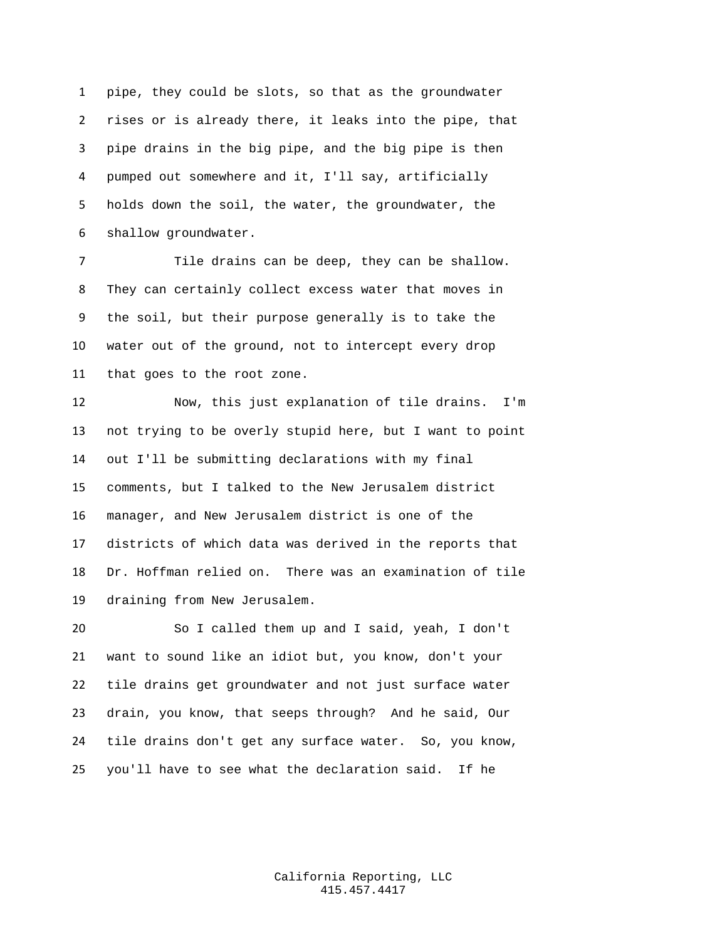pipe, they could be slots, so that as the groundwater rises or is already there, it leaks into the pipe, that pipe drains in the big pipe, and the big pipe is then pumped out somewhere and it, I'll say, artificially holds down the soil, the water, the groundwater, the shallow groundwater.

 Tile drains can be deep, they can be shallow. They can certainly collect excess water that moves in the soil, but their purpose generally is to take the water out of the ground, not to intercept every drop that goes to the root zone.

 Now, this just explanation of tile drains. I'm not trying to be overly stupid here, but I want to point out I'll be submitting declarations with my final comments, but I talked to the New Jerusalem district manager, and New Jerusalem district is one of the districts of which data was derived in the reports that Dr. Hoffman relied on. There was an examination of tile draining from New Jerusalem.

 So I called them up and I said, yeah, I don't want to sound like an idiot but, you know, don't your tile drains get groundwater and not just surface water drain, you know, that seeps through? And he said, Our tile drains don't get any surface water. So, you know, you'll have to see what the declaration said. If he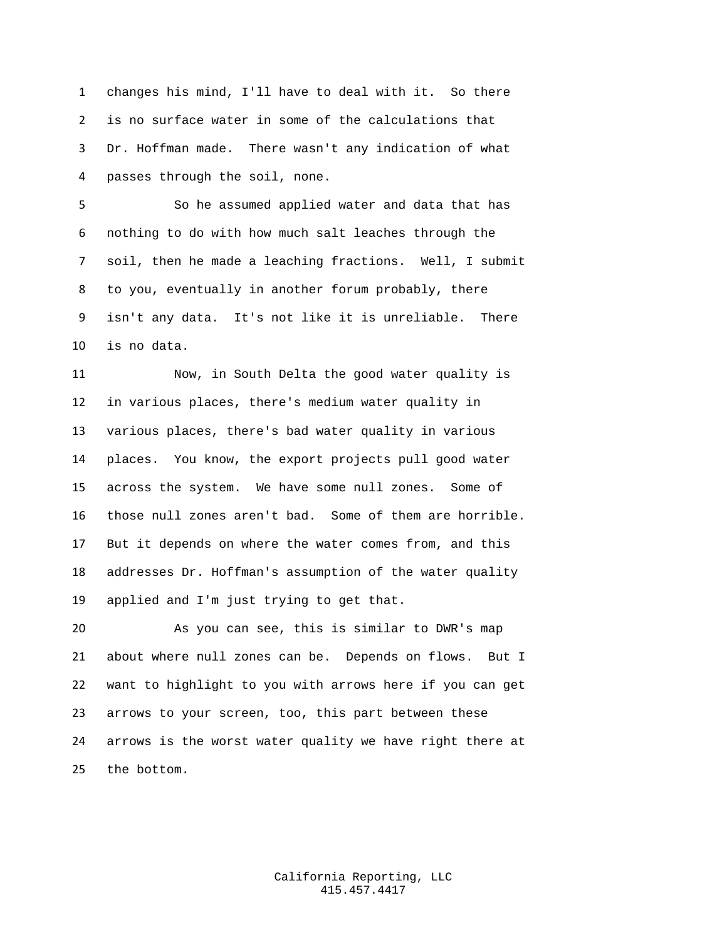changes his mind, I'll have to deal with it. So there is no surface water in some of the calculations that Dr. Hoffman made. There wasn't any indication of what passes through the soil, none.

 So he assumed applied water and data that has nothing to do with how much salt leaches through the soil, then he made a leaching fractions. Well, I submit to you, eventually in another forum probably, there isn't any data. It's not like it is unreliable. There is no data.

 Now, in South Delta the good water quality is in various places, there's medium water quality in various places, there's bad water quality in various places. You know, the export projects pull good water across the system. We have some null zones. Some of those null zones aren't bad. Some of them are horrible. But it depends on where the water comes from, and this addresses Dr. Hoffman's assumption of the water quality applied and I'm just trying to get that.

 As you can see, this is similar to DWR's map about where null zones can be. Depends on flows. But I want to highlight to you with arrows here if you can get arrows to your screen, too, this part between these arrows is the worst water quality we have right there at the bottom.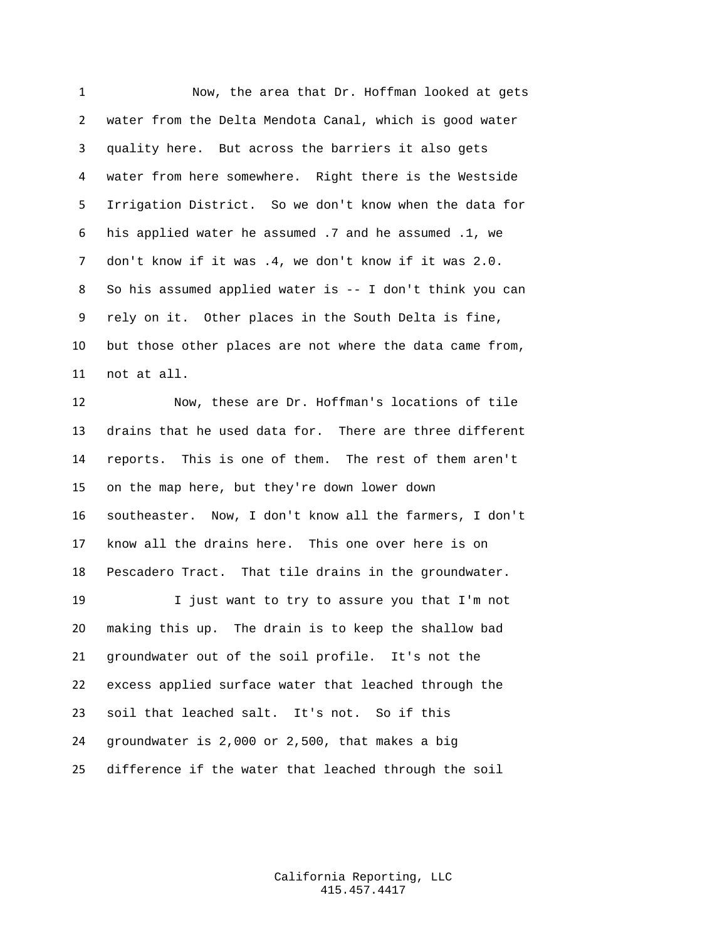Now, the area that Dr. Hoffman looked at gets water from the Delta Mendota Canal, which is good water quality here. But across the barriers it also gets water from here somewhere. Right there is the Westside Irrigation District. So we don't know when the data for his applied water he assumed .7 and he assumed .1, we don't know if it was .4, we don't know if it was 2.0. So his assumed applied water is -- I don't think you can rely on it. Other places in the South Delta is fine, but those other places are not where the data came from, not at all.

 Now, these are Dr. Hoffman's locations of tile drains that he used data for. There are three different reports. This is one of them. The rest of them aren't on the map here, but they're down lower down southeaster. Now, I don't know all the farmers, I don't know all the drains here. This one over here is on Pescadero Tract. That tile drains in the groundwater.

 I just want to try to assure you that I'm not making this up. The drain is to keep the shallow bad groundwater out of the soil profile. It's not the excess applied surface water that leached through the soil that leached salt. It's not. So if this groundwater is 2,000 or 2,500, that makes a big difference if the water that leached through the soil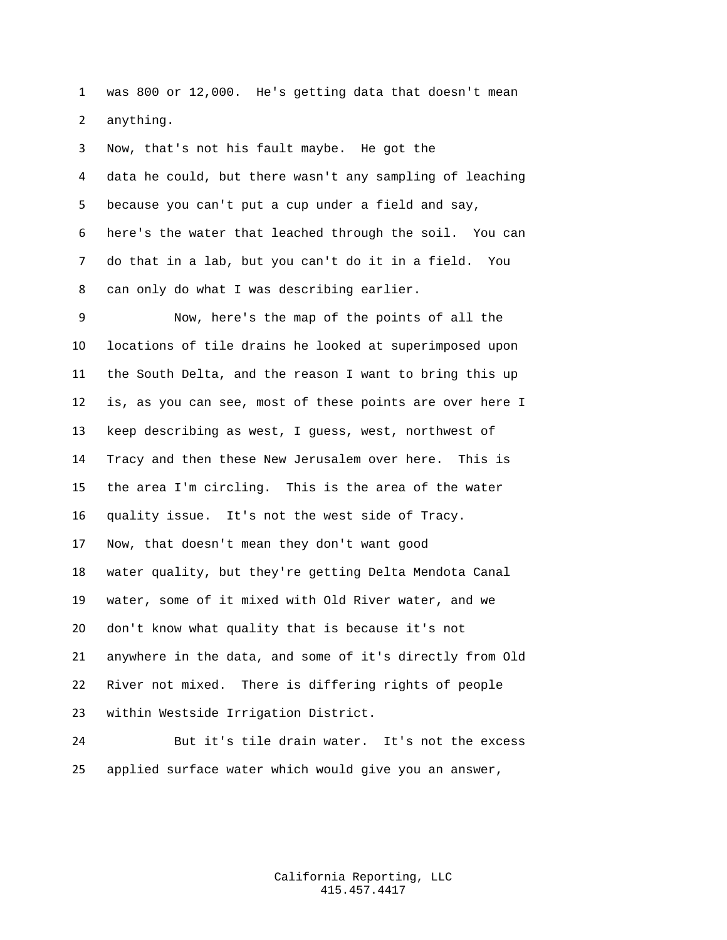was 800 or 12,000. He's getting data that doesn't mean anything.

 Now, that's not his fault maybe. He got the data he could, but there wasn't any sampling of leaching because you can't put a cup under a field and say, here's the water that leached through the soil. You can do that in a lab, but you can't do it in a field. You can only do what I was describing earlier.

 Now, here's the map of the points of all the locations of tile drains he looked at superimposed upon the South Delta, and the reason I want to bring this up is, as you can see, most of these points are over here I keep describing as west, I guess, west, northwest of Tracy and then these New Jerusalem over here. This is the area I'm circling. This is the area of the water quality issue. It's not the west side of Tracy. Now, that doesn't mean they don't want good water quality, but they're getting Delta Mendota Canal water, some of it mixed with Old River water, and we don't know what quality that is because it's not anywhere in the data, and some of it's directly from Old River not mixed. There is differing rights of people within Westside Irrigation District.

 But it's tile drain water. It's not the excess applied surface water which would give you an answer,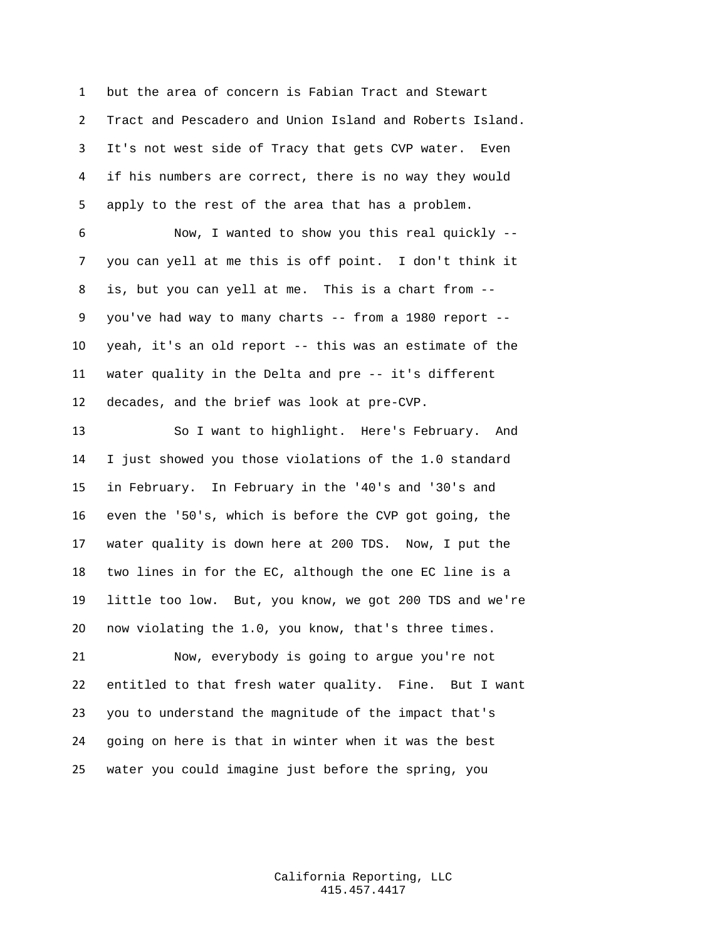but the area of concern is Fabian Tract and Stewart Tract and Pescadero and Union Island and Roberts Island. It's not west side of Tracy that gets CVP water. Even if his numbers are correct, there is no way they would apply to the rest of the area that has a problem.

 Now, I wanted to show you this real quickly -- you can yell at me this is off point. I don't think it is, but you can yell at me. This is a chart from -- you've had way to many charts -- from a 1980 report -- yeah, it's an old report -- this was an estimate of the water quality in the Delta and pre -- it's different decades, and the brief was look at pre-CVP.

 So I want to highlight. Here's February. And I just showed you those violations of the 1.0 standard in February. In February in the '40's and '30's and even the '50's, which is before the CVP got going, the water quality is down here at 200 TDS. Now, I put the two lines in for the EC, although the one EC line is a little too low. But, you know, we got 200 TDS and we're now violating the 1.0, you know, that's three times.

 Now, everybody is going to argue you're not entitled to that fresh water quality. Fine. But I want you to understand the magnitude of the impact that's going on here is that in winter when it was the best water you could imagine just before the spring, you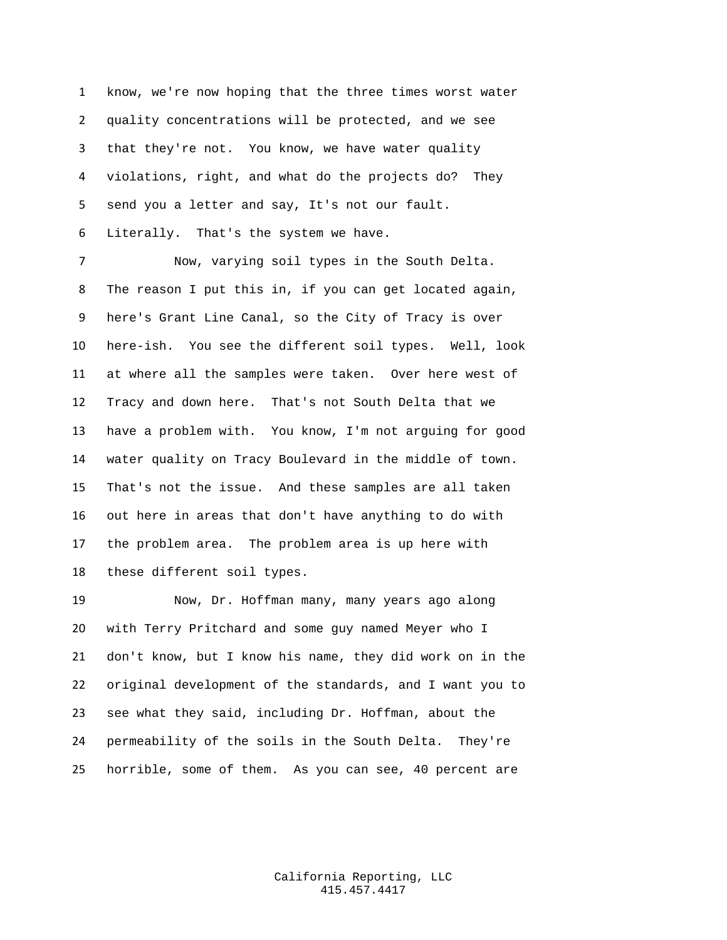know, we're now hoping that the three times worst water quality concentrations will be protected, and we see that they're not. You know, we have water quality violations, right, and what do the projects do? They send you a letter and say, It's not our fault. Literally. That's the system we have.

 Now, varying soil types in the South Delta. The reason I put this in, if you can get located again, here's Grant Line Canal, so the City of Tracy is over here-ish. You see the different soil types. Well, look at where all the samples were taken. Over here west of Tracy and down here. That's not South Delta that we have a problem with. You know, I'm not arguing for good water quality on Tracy Boulevard in the middle of town. That's not the issue. And these samples are all taken out here in areas that don't have anything to do with the problem area. The problem area is up here with these different soil types.

 Now, Dr. Hoffman many, many years ago along with Terry Pritchard and some guy named Meyer who I don't know, but I know his name, they did work on in the original development of the standards, and I want you to see what they said, including Dr. Hoffman, about the permeability of the soils in the South Delta. They're horrible, some of them. As you can see, 40 percent are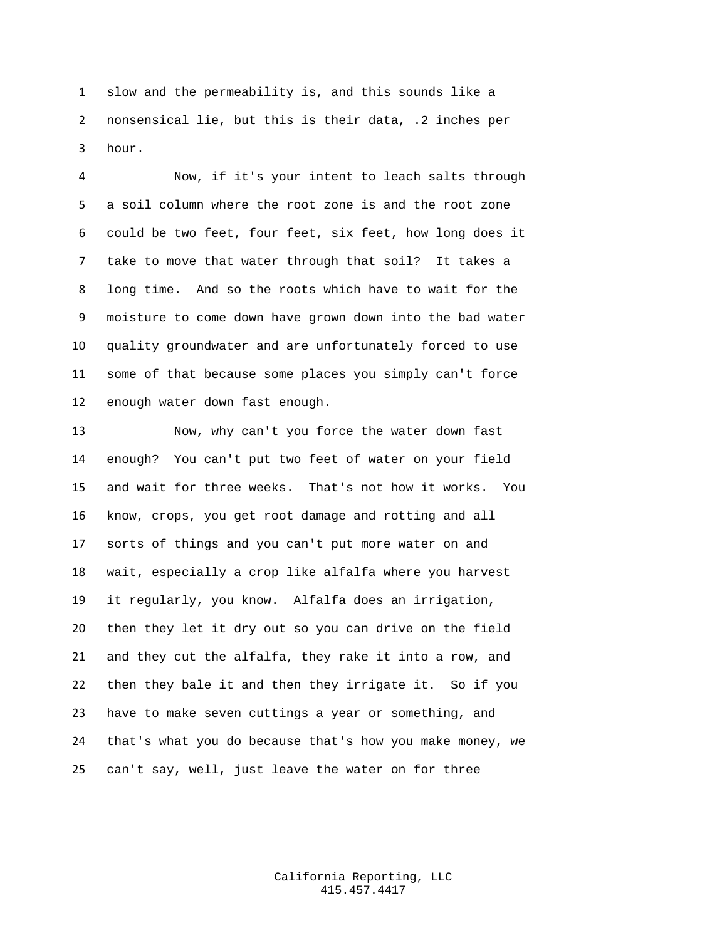slow and the permeability is, and this sounds like a nonsensical lie, but this is their data, .2 inches per hour.

 Now, if it's your intent to leach salts through a soil column where the root zone is and the root zone could be two feet, four feet, six feet, how long does it take to move that water through that soil? It takes a long time. And so the roots which have to wait for the moisture to come down have grown down into the bad water quality groundwater and are unfortunately forced to use some of that because some places you simply can't force enough water down fast enough.

 Now, why can't you force the water down fast enough? You can't put two feet of water on your field and wait for three weeks. That's not how it works. You know, crops, you get root damage and rotting and all sorts of things and you can't put more water on and wait, especially a crop like alfalfa where you harvest it regularly, you know. Alfalfa does an irrigation, then they let it dry out so you can drive on the field and they cut the alfalfa, they rake it into a row, and then they bale it and then they irrigate it. So if you have to make seven cuttings a year or something, and that's what you do because that's how you make money, we can't say, well, just leave the water on for three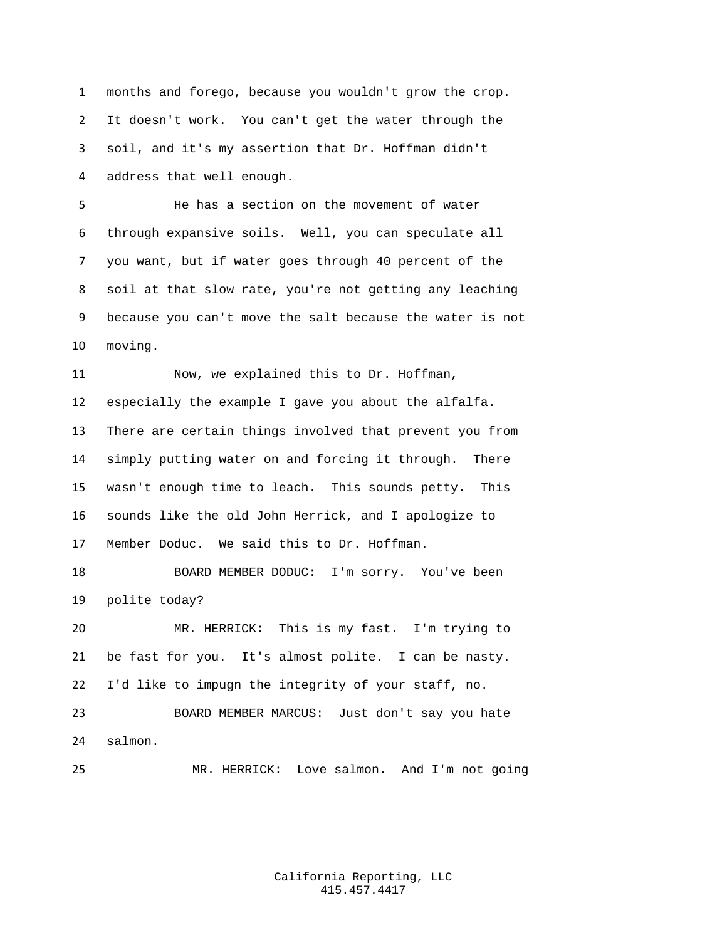months and forego, because you wouldn't grow the crop. It doesn't work. You can't get the water through the soil, and it's my assertion that Dr. Hoffman didn't address that well enough.

 He has a section on the movement of water through expansive soils. Well, you can speculate all you want, but if water goes through 40 percent of the soil at that slow rate, you're not getting any leaching because you can't move the salt because the water is not moving.

 Now, we explained this to Dr. Hoffman, especially the example I gave you about the alfalfa. There are certain things involved that prevent you from simply putting water on and forcing it through. There wasn't enough time to leach. This sounds petty. This sounds like the old John Herrick, and I apologize to Member Doduc. We said this to Dr. Hoffman.

 BOARD MEMBER DODUC: I'm sorry. You've been polite today?

 MR. HERRICK: This is my fast. I'm trying to be fast for you. It's almost polite. I can be nasty. I'd like to impugn the integrity of your staff, no.

 BOARD MEMBER MARCUS: Just don't say you hate salmon.

MR. HERRICK: Love salmon. And I'm not going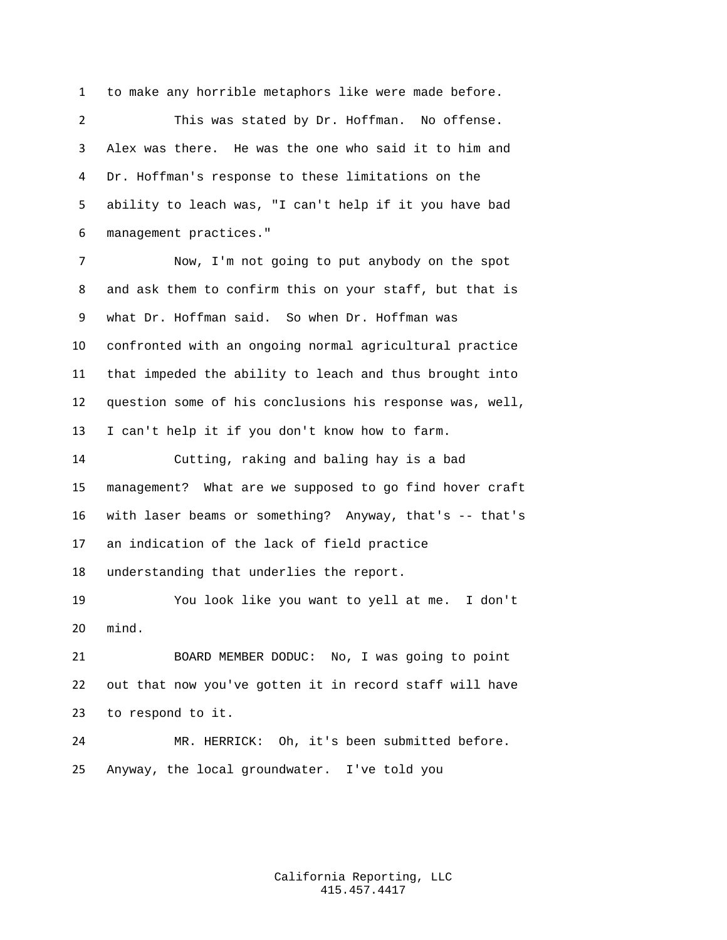to make any horrible metaphors like were made before.

 This was stated by Dr. Hoffman. No offense. Alex was there. He was the one who said it to him and Dr. Hoffman's response to these limitations on the ability to leach was, "I can't help if it you have bad management practices."

 Now, I'm not going to put anybody on the spot and ask them to confirm this on your staff, but that is what Dr. Hoffman said. So when Dr. Hoffman was confronted with an ongoing normal agricultural practice that impeded the ability to leach and thus brought into question some of his conclusions his response was, well, I can't help it if you don't know how to farm.

 Cutting, raking and baling hay is a bad management? What are we supposed to go find hover craft with laser beams or something? Anyway, that's -- that's an indication of the lack of field practice understanding that underlies the report.

 You look like you want to yell at me. I don't mind.

 BOARD MEMBER DODUC: No, I was going to point out that now you've gotten it in record staff will have to respond to it.

 MR. HERRICK: Oh, it's been submitted before. Anyway, the local groundwater. I've told you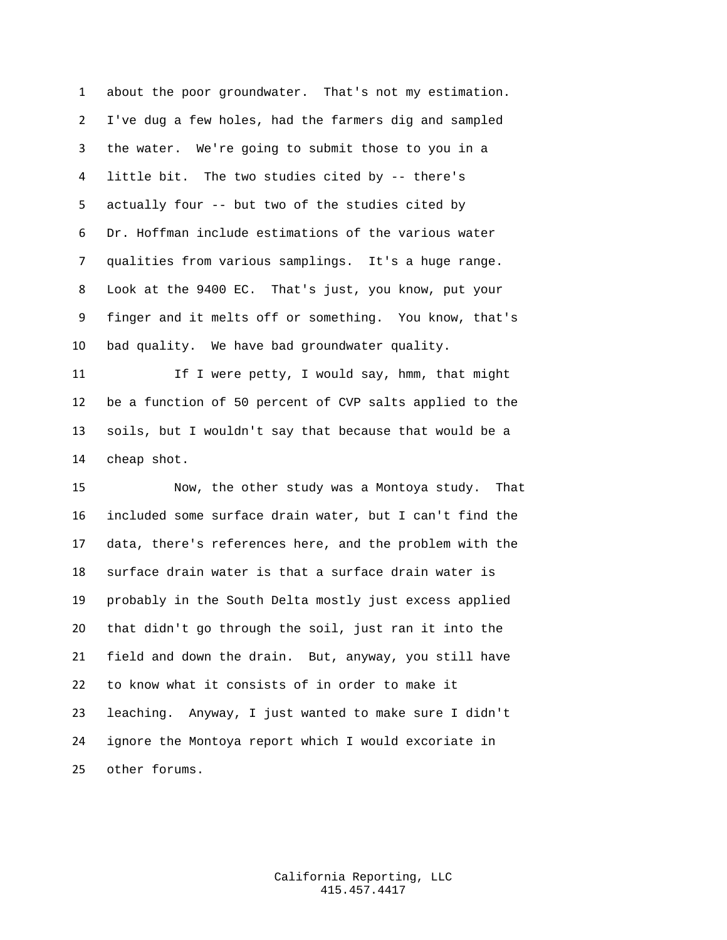about the poor groundwater. That's not my estimation. I've dug a few holes, had the farmers dig and sampled the water. We're going to submit those to you in a little bit. The two studies cited by -- there's actually four -- but two of the studies cited by Dr. Hoffman include estimations of the various water qualities from various samplings. It's a huge range. Look at the 9400 EC. That's just, you know, put your finger and it melts off or something. You know, that's bad quality. We have bad groundwater quality.

11 If I were petty, I would say, hmm, that might be a function of 50 percent of CVP salts applied to the soils, but I wouldn't say that because that would be a cheap shot.

 Now, the other study was a Montoya study. That included some surface drain water, but I can't find the data, there's references here, and the problem with the surface drain water is that a surface drain water is probably in the South Delta mostly just excess applied that didn't go through the soil, just ran it into the field and down the drain. But, anyway, you still have to know what it consists of in order to make it leaching. Anyway, I just wanted to make sure I didn't ignore the Montoya report which I would excoriate in other forums.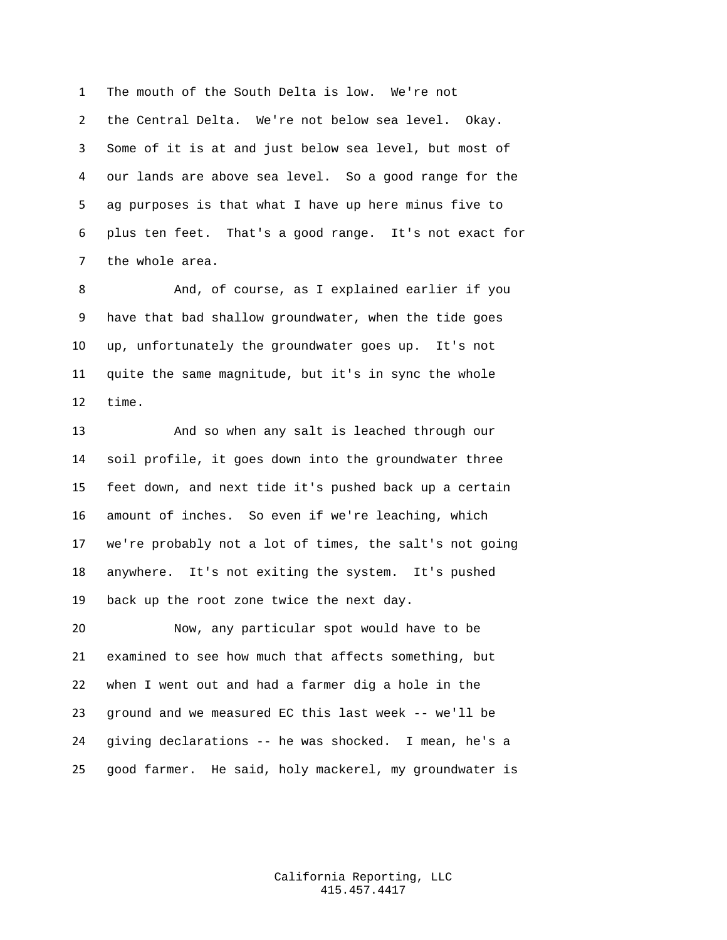The mouth of the South Delta is low. We're not the Central Delta. We're not below sea level. Okay. Some of it is at and just below sea level, but most of our lands are above sea level. So a good range for the ag purposes is that what I have up here minus five to plus ten feet. That's a good range. It's not exact for the whole area.

 And, of course, as I explained earlier if you have that bad shallow groundwater, when the tide goes up, unfortunately the groundwater goes up. It's not quite the same magnitude, but it's in sync the whole time.

 And so when any salt is leached through our soil profile, it goes down into the groundwater three feet down, and next tide it's pushed back up a certain amount of inches. So even if we're leaching, which we're probably not a lot of times, the salt's not going anywhere. It's not exiting the system. It's pushed back up the root zone twice the next day.

 Now, any particular spot would have to be examined to see how much that affects something, but when I went out and had a farmer dig a hole in the ground and we measured EC this last week -- we'll be giving declarations -- he was shocked. I mean, he's a good farmer. He said, holy mackerel, my groundwater is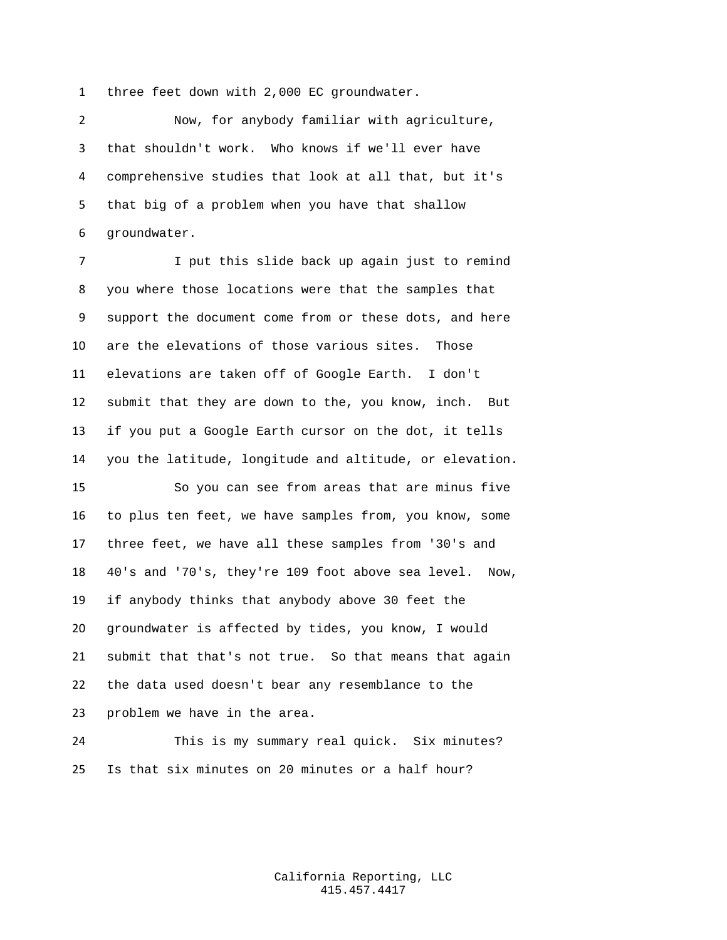three feet down with 2,000 EC groundwater.

 Now, for anybody familiar with agriculture, that shouldn't work. Who knows if we'll ever have comprehensive studies that look at all that, but it's that big of a problem when you have that shallow groundwater.

 I put this slide back up again just to remind you where those locations were that the samples that support the document come from or these dots, and here are the elevations of those various sites. Those elevations are taken off of Google Earth. I don't submit that they are down to the, you know, inch. But if you put a Google Earth cursor on the dot, it tells you the latitude, longitude and altitude, or elevation.

 So you can see from areas that are minus five to plus ten feet, we have samples from, you know, some three feet, we have all these samples from '30's and 40's and '70's, they're 109 foot above sea level. Now, if anybody thinks that anybody above 30 feet the groundwater is affected by tides, you know, I would submit that that's not true. So that means that again the data used doesn't bear any resemblance to the problem we have in the area.

 This is my summary real quick. Six minutes? Is that six minutes on 20 minutes or a half hour?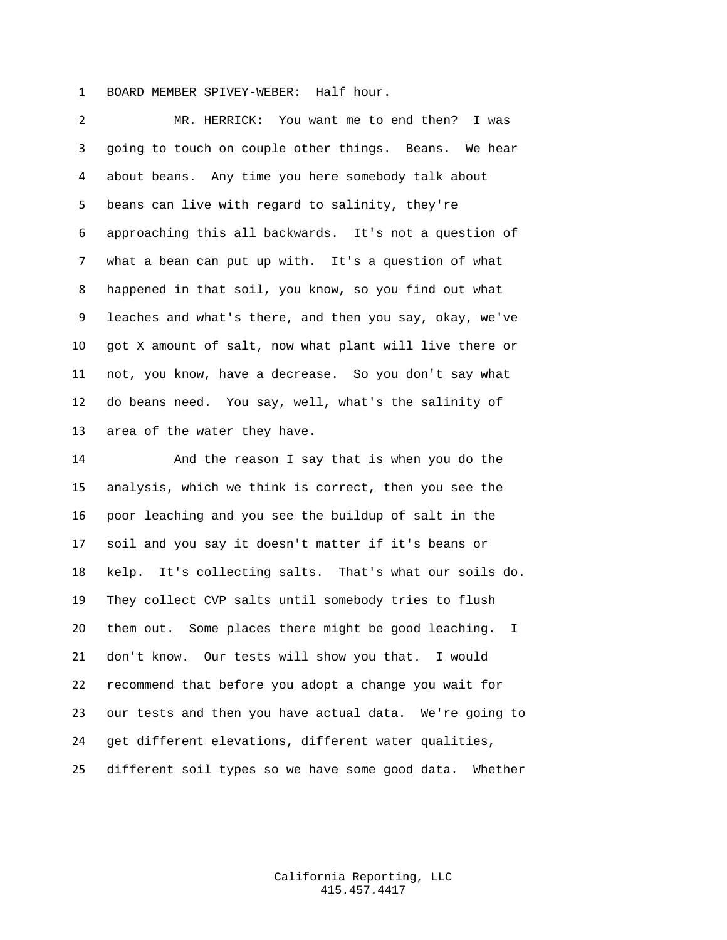BOARD MEMBER SPIVEY-WEBER: Half hour.

 MR. HERRICK: You want me to end then? I was going to touch on couple other things. Beans. We hear about beans. Any time you here somebody talk about beans can live with regard to salinity, they're approaching this all backwards. It's not a question of what a bean can put up with. It's a question of what happened in that soil, you know, so you find out what leaches and what's there, and then you say, okay, we've got X amount of salt, now what plant will live there or not, you know, have a decrease. So you don't say what do beans need. You say, well, what's the salinity of area of the water they have.

 And the reason I say that is when you do the analysis, which we think is correct, then you see the poor leaching and you see the buildup of salt in the soil and you say it doesn't matter if it's beans or kelp. It's collecting salts. That's what our soils do. They collect CVP salts until somebody tries to flush them out. Some places there might be good leaching. I don't know. Our tests will show you that. I would recommend that before you adopt a change you wait for our tests and then you have actual data. We're going to get different elevations, different water qualities, different soil types so we have some good data. Whether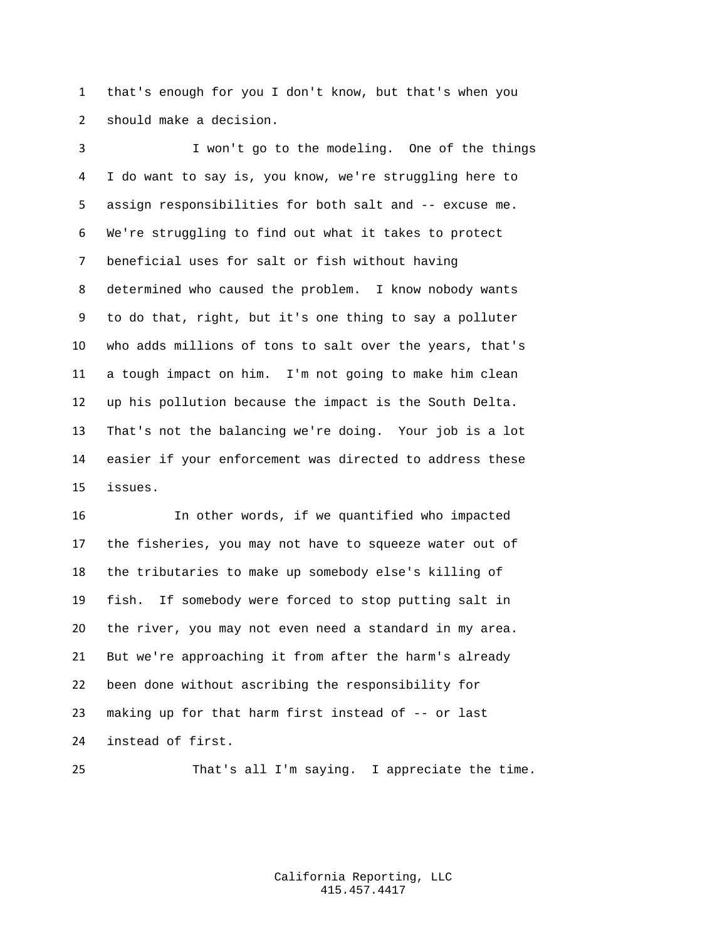that's enough for you I don't know, but that's when you should make a decision.

 I won't go to the modeling. One of the things I do want to say is, you know, we're struggling here to assign responsibilities for both salt and -- excuse me. We're struggling to find out what it takes to protect beneficial uses for salt or fish without having determined who caused the problem. I know nobody wants to do that, right, but it's one thing to say a polluter who adds millions of tons to salt over the years, that's a tough impact on him. I'm not going to make him clean up his pollution because the impact is the South Delta. That's not the balancing we're doing. Your job is a lot easier if your enforcement was directed to address these issues.

 In other words, if we quantified who impacted the fisheries, you may not have to squeeze water out of the tributaries to make up somebody else's killing of fish. If somebody were forced to stop putting salt in the river, you may not even need a standard in my area. But we're approaching it from after the harm's already been done without ascribing the responsibility for making up for that harm first instead of -- or last instead of first.

That's all I'm saying. I appreciate the time.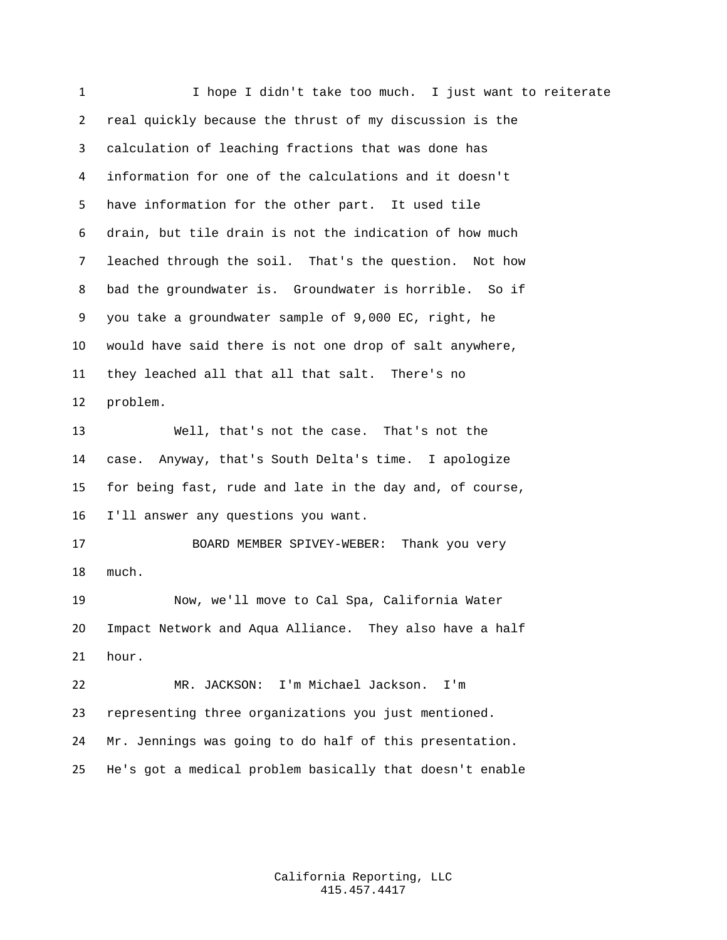I hope I didn't take too much. I just want to reiterate real quickly because the thrust of my discussion is the calculation of leaching fractions that was done has information for one of the calculations and it doesn't have information for the other part. It used tile drain, but tile drain is not the indication of how much leached through the soil. That's the question. Not how bad the groundwater is. Groundwater is horrible. So if you take a groundwater sample of 9,000 EC, right, he would have said there is not one drop of salt anywhere, they leached all that all that salt. There's no problem. Well, that's not the case. That's not the case. Anyway, that's South Delta's time. I apologize for being fast, rude and late in the day and, of course, I'll answer any questions you want. BOARD MEMBER SPIVEY-WEBER: Thank you very much. Now, we'll move to Cal Spa, California Water Impact Network and Aqua Alliance. They also have a half hour. MR. JACKSON: I'm Michael Jackson. I'm representing three organizations you just mentioned. Mr. Jennings was going to do half of this presentation. He's got a medical problem basically that doesn't enable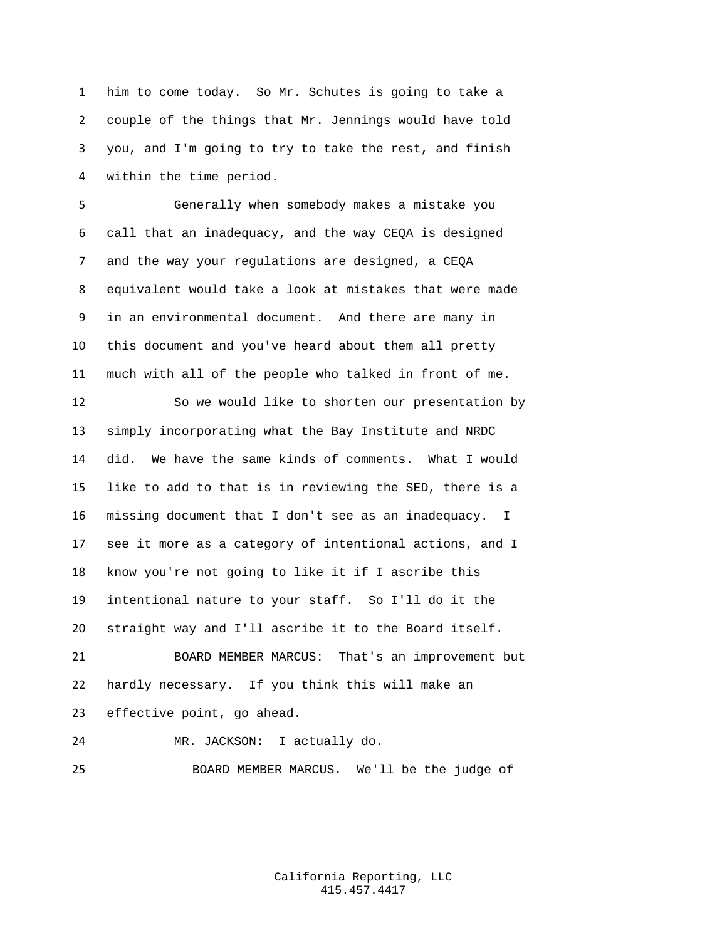him to come today. So Mr. Schutes is going to take a couple of the things that Mr. Jennings would have told you, and I'm going to try to take the rest, and finish within the time period.

 Generally when somebody makes a mistake you call that an inadequacy, and the way CEQA is designed and the way your regulations are designed, a CEQA equivalent would take a look at mistakes that were made in an environmental document. And there are many in this document and you've heard about them all pretty much with all of the people who talked in front of me.

 So we would like to shorten our presentation by simply incorporating what the Bay Institute and NRDC did. We have the same kinds of comments. What I would like to add to that is in reviewing the SED, there is a missing document that I don't see as an inadequacy. I see it more as a category of intentional actions, and I know you're not going to like it if I ascribe this intentional nature to your staff. So I'll do it the straight way and I'll ascribe it to the Board itself.

 BOARD MEMBER MARCUS: That's an improvement but hardly necessary. If you think this will make an effective point, go ahead.

MR. JACKSON: I actually do.

BOARD MEMBER MARCUS. We'll be the judge of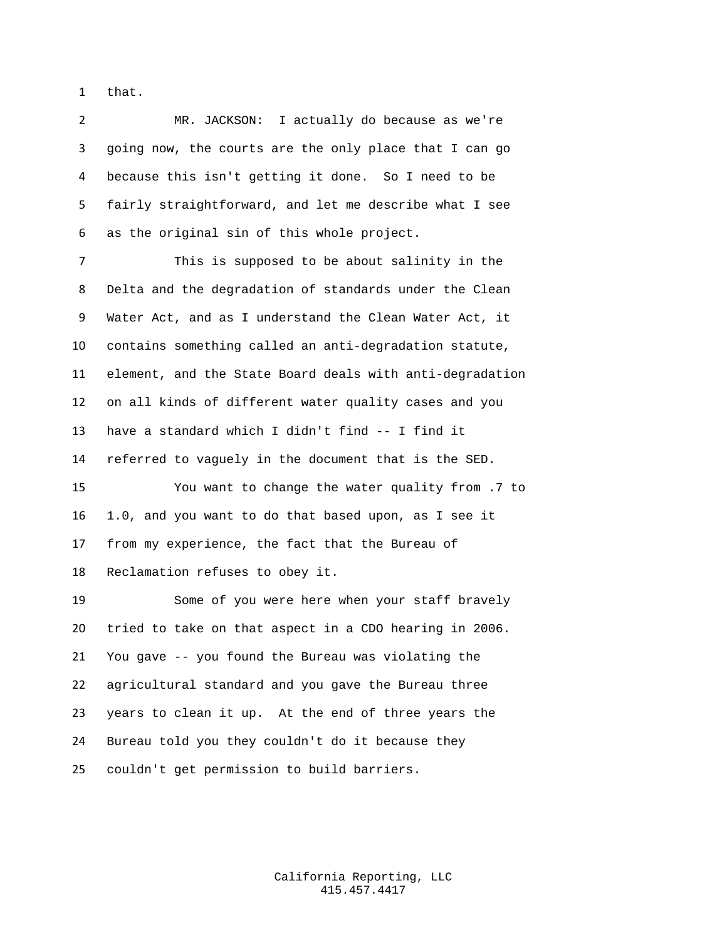that.

 MR. JACKSON: I actually do because as we're going now, the courts are the only place that I can go because this isn't getting it done. So I need to be fairly straightforward, and let me describe what I see as the original sin of this whole project.

 This is supposed to be about salinity in the Delta and the degradation of standards under the Clean Water Act, and as I understand the Clean Water Act, it contains something called an anti-degradation statute, element, and the State Board deals with anti-degradation on all kinds of different water quality cases and you have a standard which I didn't find -- I find it referred to vaguely in the document that is the SED.

 You want to change the water quality from .7 to 1.0, and you want to do that based upon, as I see it from my experience, the fact that the Bureau of Reclamation refuses to obey it.

 Some of you were here when your staff bravely tried to take on that aspect in a CDO hearing in 2006. You gave -- you found the Bureau was violating the agricultural standard and you gave the Bureau three years to clean it up. At the end of three years the Bureau told you they couldn't do it because they couldn't get permission to build barriers.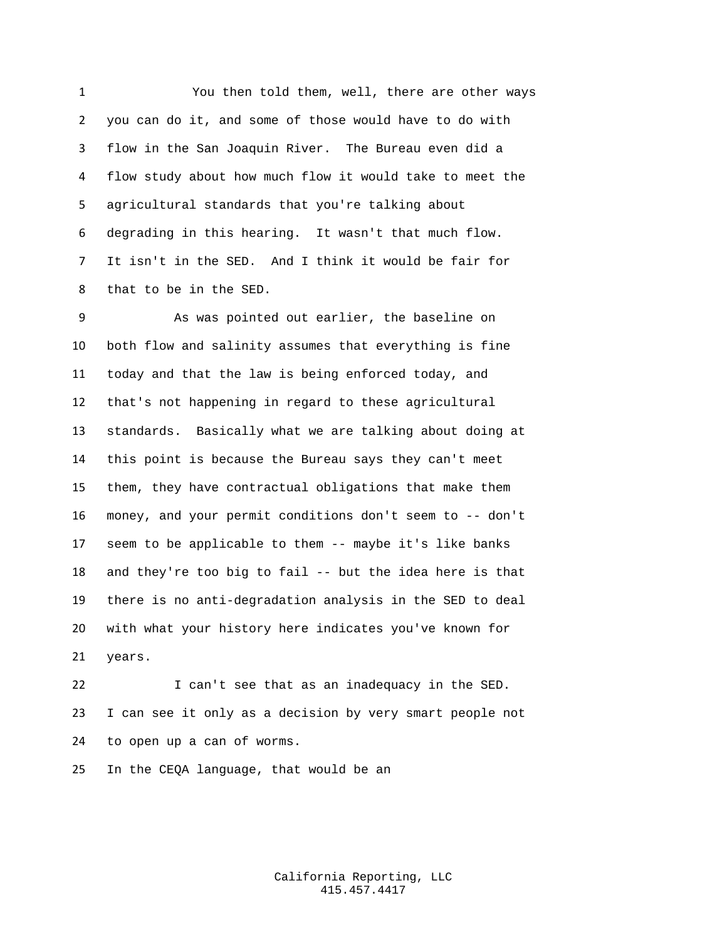You then told them, well, there are other ways you can do it, and some of those would have to do with flow in the San Joaquin River. The Bureau even did a flow study about how much flow it would take to meet the agricultural standards that you're talking about degrading in this hearing. It wasn't that much flow. It isn't in the SED. And I think it would be fair for that to be in the SED.

 As was pointed out earlier, the baseline on both flow and salinity assumes that everything is fine today and that the law is being enforced today, and that's not happening in regard to these agricultural standards. Basically what we are talking about doing at this point is because the Bureau says they can't meet them, they have contractual obligations that make them money, and your permit conditions don't seem to -- don't seem to be applicable to them -- maybe it's like banks and they're too big to fail -- but the idea here is that there is no anti-degradation analysis in the SED to deal with what your history here indicates you've known for years.

 I can't see that as an inadequacy in the SED. I can see it only as a decision by very smart people not to open up a can of worms.

In the CEQA language, that would be an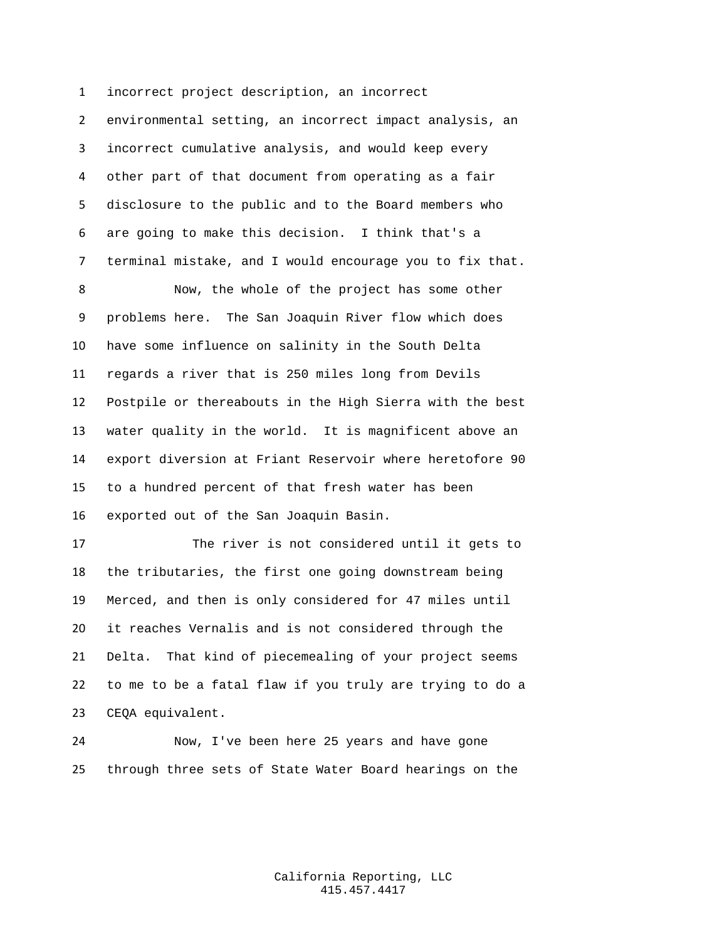environmental setting, an incorrect impact analysis, an incorrect cumulative analysis, and would keep every other part of that document from operating as a fair disclosure to the public and to the Board members who are going to make this decision. I think that's a terminal mistake, and I would encourage you to fix that.

incorrect project description, an incorrect

 Now, the whole of the project has some other problems here. The San Joaquin River flow which does have some influence on salinity in the South Delta regards a river that is 250 miles long from Devils Postpile or thereabouts in the High Sierra with the best water quality in the world. It is magnificent above an export diversion at Friant Reservoir where heretofore 90 to a hundred percent of that fresh water has been exported out of the San Joaquin Basin.

 The river is not considered until it gets to the tributaries, the first one going downstream being Merced, and then is only considered for 47 miles until it reaches Vernalis and is not considered through the Delta. That kind of piecemealing of your project seems to me to be a fatal flaw if you truly are trying to do a CEQA equivalent.

 Now, I've been here 25 years and have gone through three sets of State Water Board hearings on the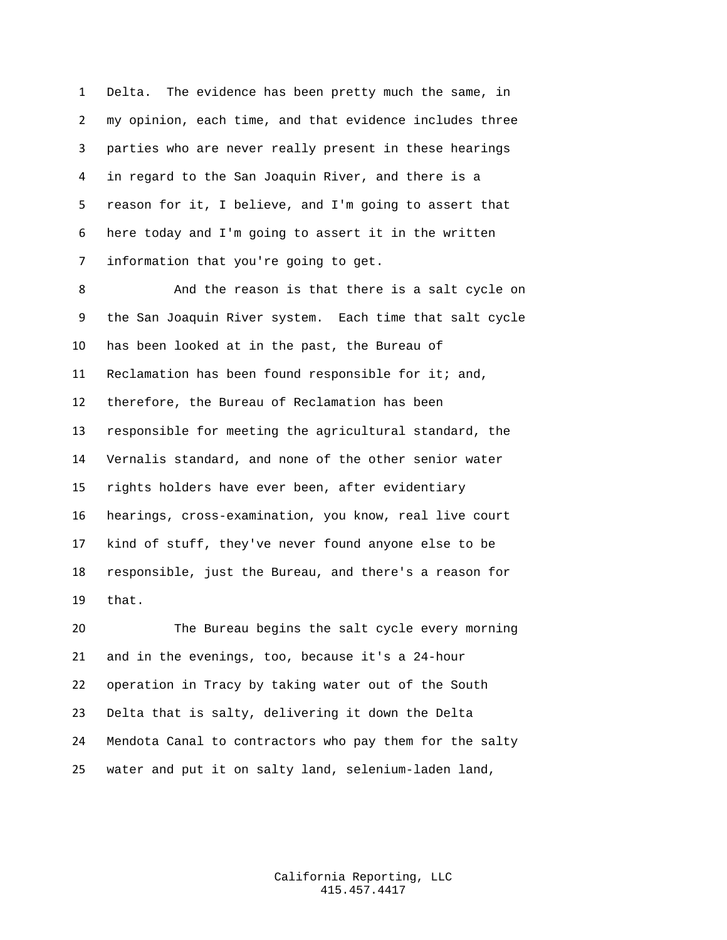Delta. The evidence has been pretty much the same, in my opinion, each time, and that evidence includes three parties who are never really present in these hearings in regard to the San Joaquin River, and there is a reason for it, I believe, and I'm going to assert that here today and I'm going to assert it in the written information that you're going to get.

 And the reason is that there is a salt cycle on the San Joaquin River system. Each time that salt cycle has been looked at in the past, the Bureau of Reclamation has been found responsible for it; and, therefore, the Bureau of Reclamation has been responsible for meeting the agricultural standard, the Vernalis standard, and none of the other senior water rights holders have ever been, after evidentiary hearings, cross-examination, you know, real live court kind of stuff, they've never found anyone else to be responsible, just the Bureau, and there's a reason for that.

 The Bureau begins the salt cycle every morning and in the evenings, too, because it's a 24-hour operation in Tracy by taking water out of the South Delta that is salty, delivering it down the Delta Mendota Canal to contractors who pay them for the salty water and put it on salty land, selenium-laden land,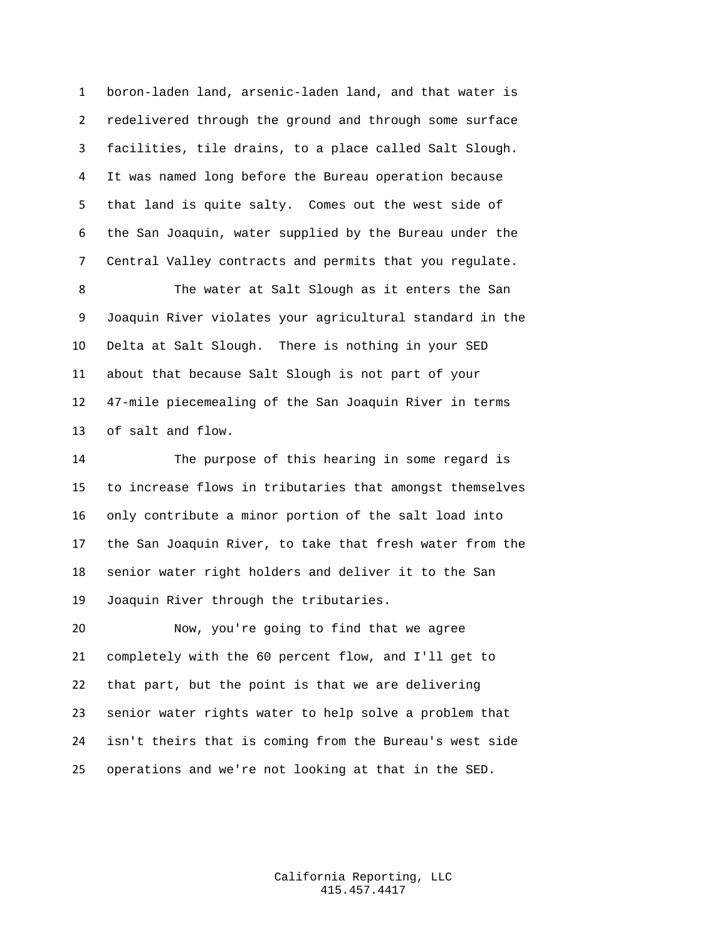boron-laden land, arsenic-laden land, and that water is redelivered through the ground and through some surface facilities, tile drains, to a place called Salt Slough. It was named long before the Bureau operation because that land is quite salty. Comes out the west side of the San Joaquin, water supplied by the Bureau under the Central Valley contracts and permits that you regulate.

 The water at Salt Slough as it enters the San Joaquin River violates your agricultural standard in the Delta at Salt Slough. There is nothing in your SED about that because Salt Slough is not part of your 47-mile piecemealing of the San Joaquin River in terms of salt and flow.

 The purpose of this hearing in some regard is to increase flows in tributaries that amongst themselves only contribute a minor portion of the salt load into the San Joaquin River, to take that fresh water from the senior water right holders and deliver it to the San Joaquin River through the tributaries.

 Now, you're going to find that we agree completely with the 60 percent flow, and I'll get to that part, but the point is that we are delivering senior water rights water to help solve a problem that isn't theirs that is coming from the Bureau's west side operations and we're not looking at that in the SED.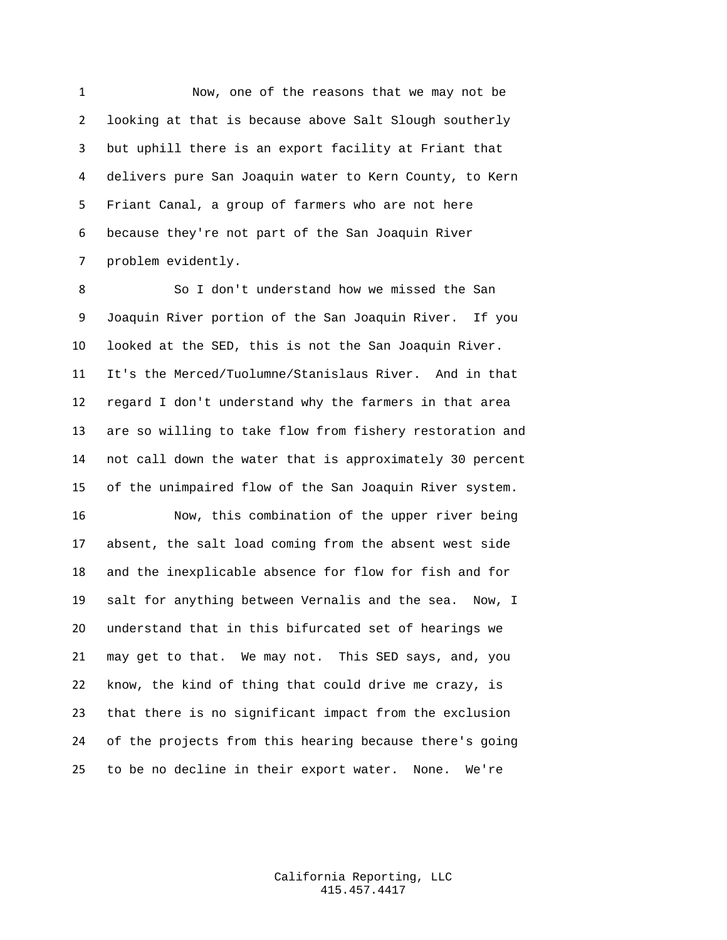Now, one of the reasons that we may not be looking at that is because above Salt Slough southerly but uphill there is an export facility at Friant that delivers pure San Joaquin water to Kern County, to Kern Friant Canal, a group of farmers who are not here because they're not part of the San Joaquin River problem evidently.

 So I don't understand how we missed the San Joaquin River portion of the San Joaquin River. If you looked at the SED, this is not the San Joaquin River. It's the Merced/Tuolumne/Stanislaus River. And in that regard I don't understand why the farmers in that area are so willing to take flow from fishery restoration and not call down the water that is approximately 30 percent of the unimpaired flow of the San Joaquin River system.

 Now, this combination of the upper river being absent, the salt load coming from the absent west side and the inexplicable absence for flow for fish and for salt for anything between Vernalis and the sea. Now, I understand that in this bifurcated set of hearings we may get to that. We may not. This SED says, and, you know, the kind of thing that could drive me crazy, is that there is no significant impact from the exclusion of the projects from this hearing because there's going to be no decline in their export water. None. We're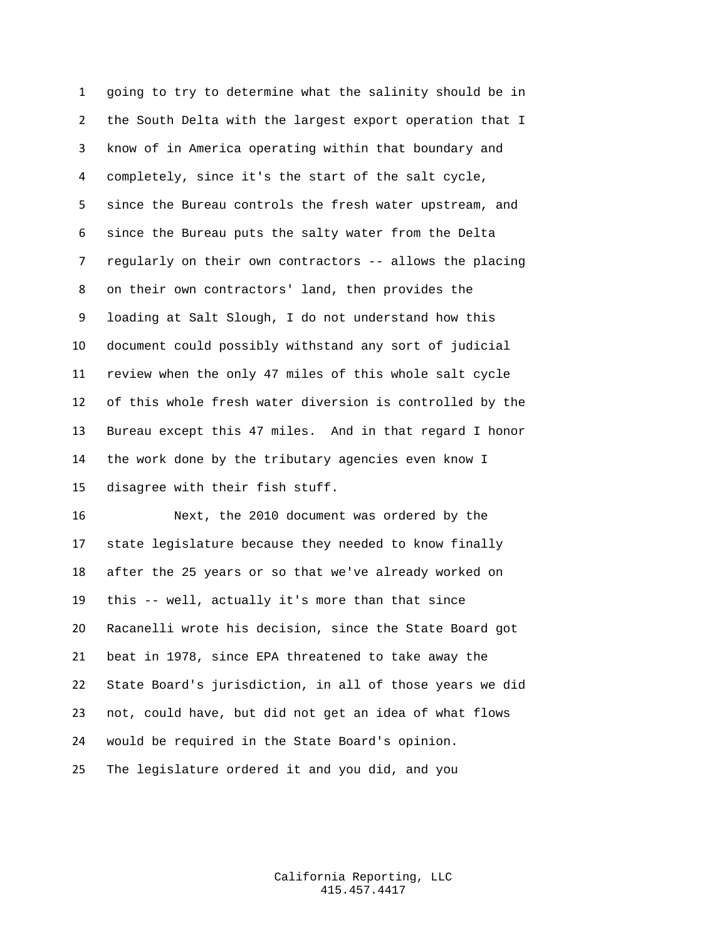going to try to determine what the salinity should be in the South Delta with the largest export operation that I know of in America operating within that boundary and completely, since it's the start of the salt cycle, since the Bureau controls the fresh water upstream, and since the Bureau puts the salty water from the Delta regularly on their own contractors -- allows the placing on their own contractors' land, then provides the loading at Salt Slough, I do not understand how this document could possibly withstand any sort of judicial review when the only 47 miles of this whole salt cycle of this whole fresh water diversion is controlled by the Bureau except this 47 miles. And in that regard I honor the work done by the tributary agencies even know I disagree with their fish stuff.

 Next, the 2010 document was ordered by the state legislature because they needed to know finally after the 25 years or so that we've already worked on this -- well, actually it's more than that since Racanelli wrote his decision, since the State Board got beat in 1978, since EPA threatened to take away the State Board's jurisdiction, in all of those years we did not, could have, but did not get an idea of what flows would be required in the State Board's opinion. The legislature ordered it and you did, and you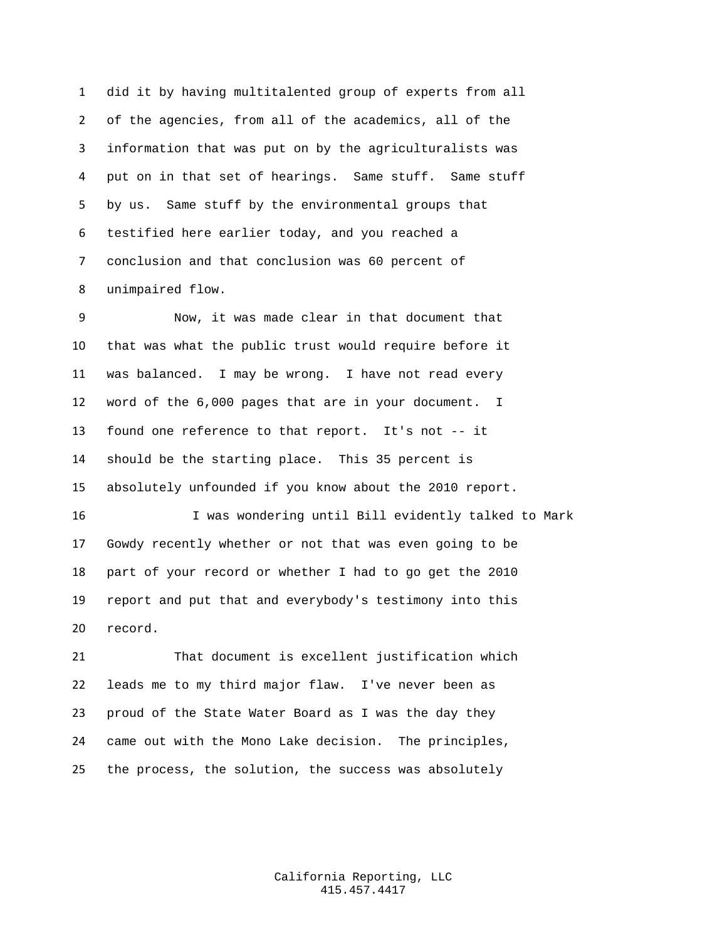did it by having multitalented group of experts from all of the agencies, from all of the academics, all of the information that was put on by the agriculturalists was put on in that set of hearings. Same stuff. Same stuff by us. Same stuff by the environmental groups that testified here earlier today, and you reached a conclusion and that conclusion was 60 percent of unimpaired flow.

 Now, it was made clear in that document that that was what the public trust would require before it was balanced. I may be wrong. I have not read every word of the 6,000 pages that are in your document. I found one reference to that report. It's not -- it should be the starting place. This 35 percent is absolutely unfounded if you know about the 2010 report.

 I was wondering until Bill evidently talked to Mark Gowdy recently whether or not that was even going to be part of your record or whether I had to go get the 2010 report and put that and everybody's testimony into this record.

 That document is excellent justification which leads me to my third major flaw. I've never been as proud of the State Water Board as I was the day they came out with the Mono Lake decision. The principles, the process, the solution, the success was absolutely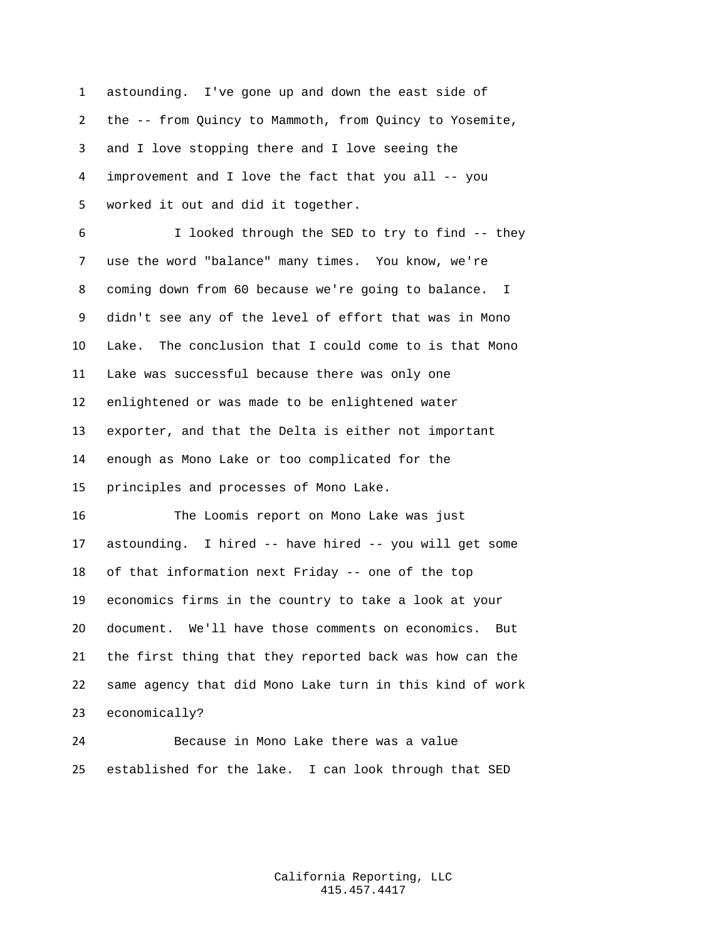astounding. I've gone up and down the east side of the -- from Quincy to Mammoth, from Quincy to Yosemite, and I love stopping there and I love seeing the improvement and I love the fact that you all -- you worked it out and did it together.

 I looked through the SED to try to find -- they use the word "balance" many times. You know, we're coming down from 60 because we're going to balance. I didn't see any of the level of effort that was in Mono Lake. The conclusion that I could come to is that Mono Lake was successful because there was only one enlightened or was made to be enlightened water exporter, and that the Delta is either not important enough as Mono Lake or too complicated for the principles and processes of Mono Lake.

 The Loomis report on Mono Lake was just astounding. I hired -- have hired -- you will get some of that information next Friday -- one of the top economics firms in the country to take a look at your document. We'll have those comments on economics. But the first thing that they reported back was how can the same agency that did Mono Lake turn in this kind of work economically?

 Because in Mono Lake there was a value established for the lake. I can look through that SED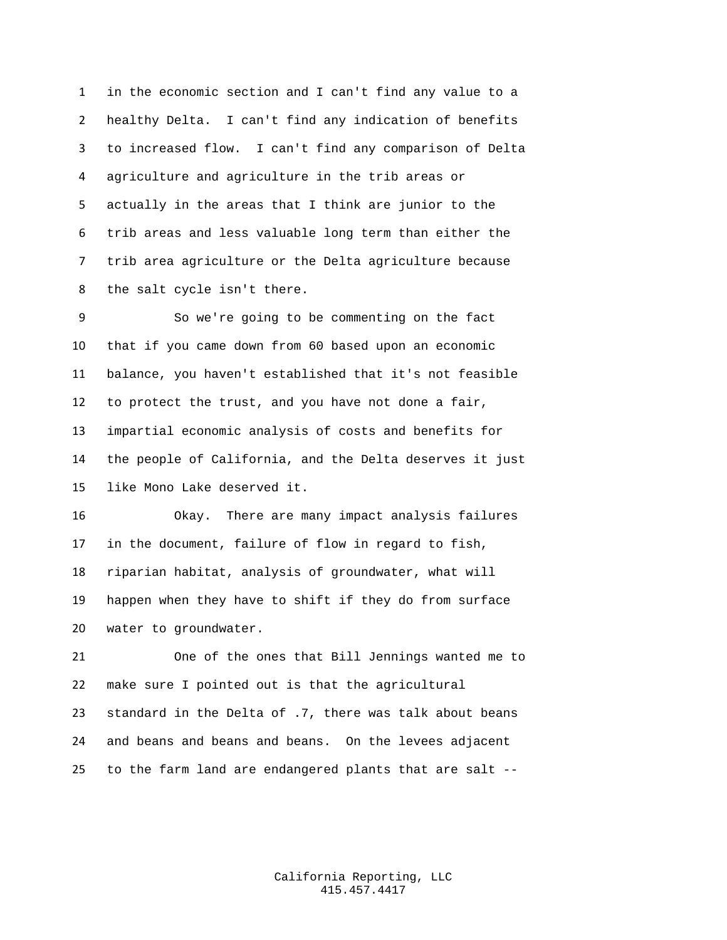in the economic section and I can't find any value to a healthy Delta. I can't find any indication of benefits to increased flow. I can't find any comparison of Delta agriculture and agriculture in the trib areas or actually in the areas that I think are junior to the trib areas and less valuable long term than either the trib area agriculture or the Delta agriculture because the salt cycle isn't there.

 So we're going to be commenting on the fact that if you came down from 60 based upon an economic balance, you haven't established that it's not feasible to protect the trust, and you have not done a fair, impartial economic analysis of costs and benefits for the people of California, and the Delta deserves it just like Mono Lake deserved it.

 Okay. There are many impact analysis failures in the document, failure of flow in regard to fish, riparian habitat, analysis of groundwater, what will happen when they have to shift if they do from surface water to groundwater.

 One of the ones that Bill Jennings wanted me to make sure I pointed out is that the agricultural standard in the Delta of .7, there was talk about beans and beans and beans and beans. On the levees adjacent to the farm land are endangered plants that are salt --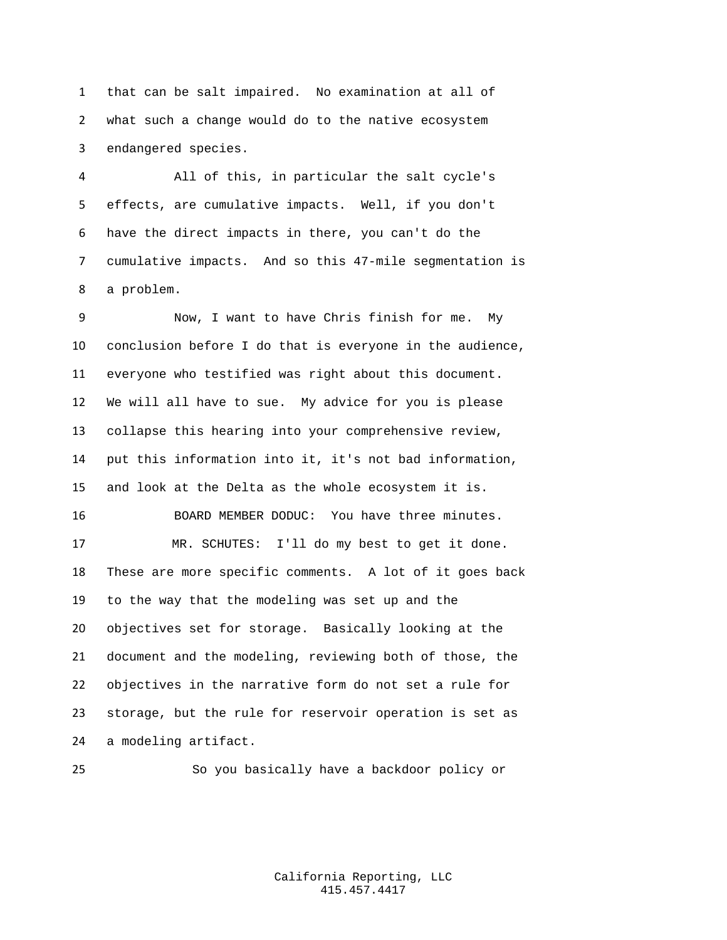that can be salt impaired. No examination at all of what such a change would do to the native ecosystem endangered species.

 All of this, in particular the salt cycle's effects, are cumulative impacts. Well, if you don't have the direct impacts in there, you can't do the cumulative impacts. And so this 47-mile segmentation is a problem.

 Now, I want to have Chris finish for me. My conclusion before I do that is everyone in the audience, everyone who testified was right about this document. We will all have to sue. My advice for you is please collapse this hearing into your comprehensive review, put this information into it, it's not bad information, and look at the Delta as the whole ecosystem it is. BOARD MEMBER DODUC: You have three minutes. MR. SCHUTES: I'll do my best to get it done. These are more specific comments. A lot of it goes back to the way that the modeling was set up and the objectives set for storage. Basically looking at the document and the modeling, reviewing both of those, the objectives in the narrative form do not set a rule for storage, but the rule for reservoir operation is set as a modeling artifact.

So you basically have a backdoor policy or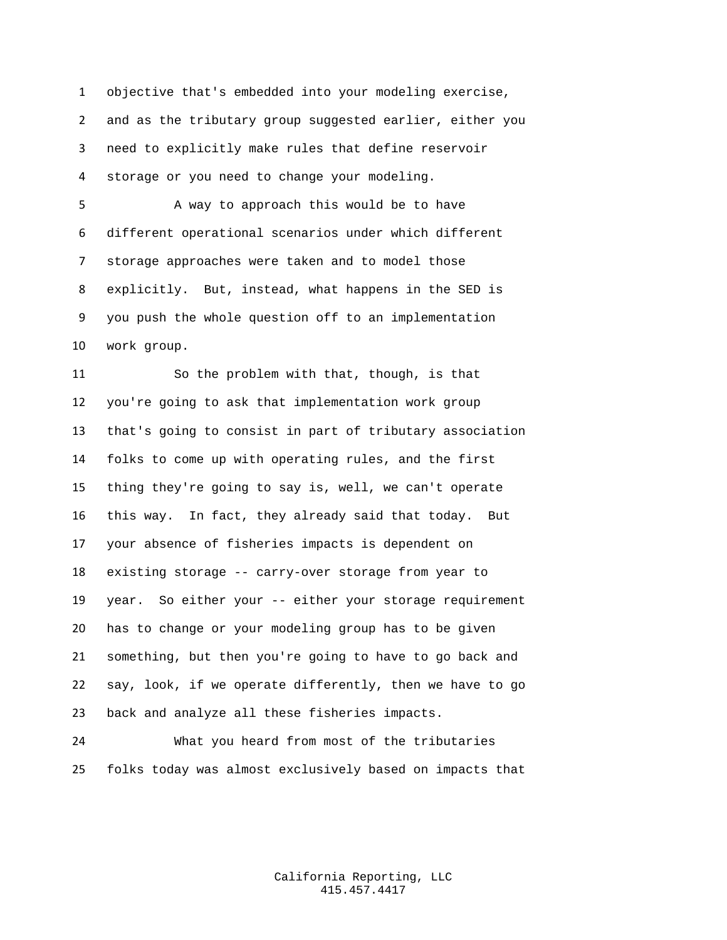objective that's embedded into your modeling exercise, and as the tributary group suggested earlier, either you need to explicitly make rules that define reservoir storage or you need to change your modeling.

 A way to approach this would be to have different operational scenarios under which different storage approaches were taken and to model those explicitly. But, instead, what happens in the SED is you push the whole question off to an implementation work group.

 So the problem with that, though, is that you're going to ask that implementation work group that's going to consist in part of tributary association folks to come up with operating rules, and the first thing they're going to say is, well, we can't operate this way. In fact, they already said that today. But your absence of fisheries impacts is dependent on existing storage -- carry-over storage from year to year. So either your -- either your storage requirement has to change or your modeling group has to be given something, but then you're going to have to go back and say, look, if we operate differently, then we have to go back and analyze all these fisheries impacts.

 What you heard from most of the tributaries folks today was almost exclusively based on impacts that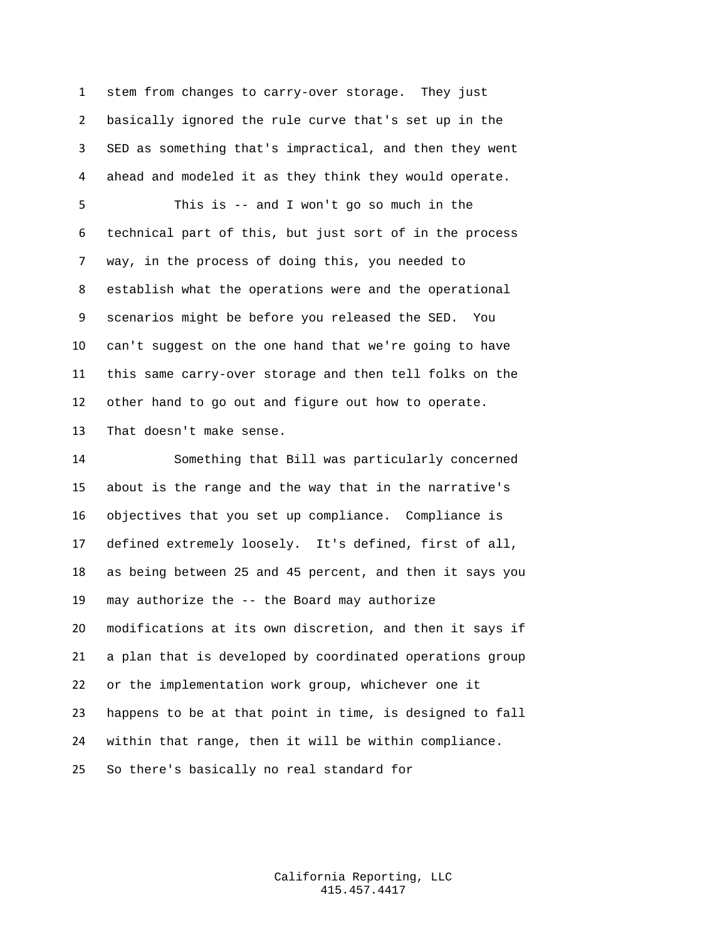stem from changes to carry-over storage. They just basically ignored the rule curve that's set up in the SED as something that's impractical, and then they went ahead and modeled it as they think they would operate.

 This is -- and I won't go so much in the technical part of this, but just sort of in the process way, in the process of doing this, you needed to establish what the operations were and the operational scenarios might be before you released the SED. You can't suggest on the one hand that we're going to have this same carry-over storage and then tell folks on the other hand to go out and figure out how to operate. That doesn't make sense.

 Something that Bill was particularly concerned about is the range and the way that in the narrative's objectives that you set up compliance. Compliance is defined extremely loosely. It's defined, first of all, as being between 25 and 45 percent, and then it says you may authorize the -- the Board may authorize modifications at its own discretion, and then it says if a plan that is developed by coordinated operations group or the implementation work group, whichever one it happens to be at that point in time, is designed to fall within that range, then it will be within compliance. So there's basically no real standard for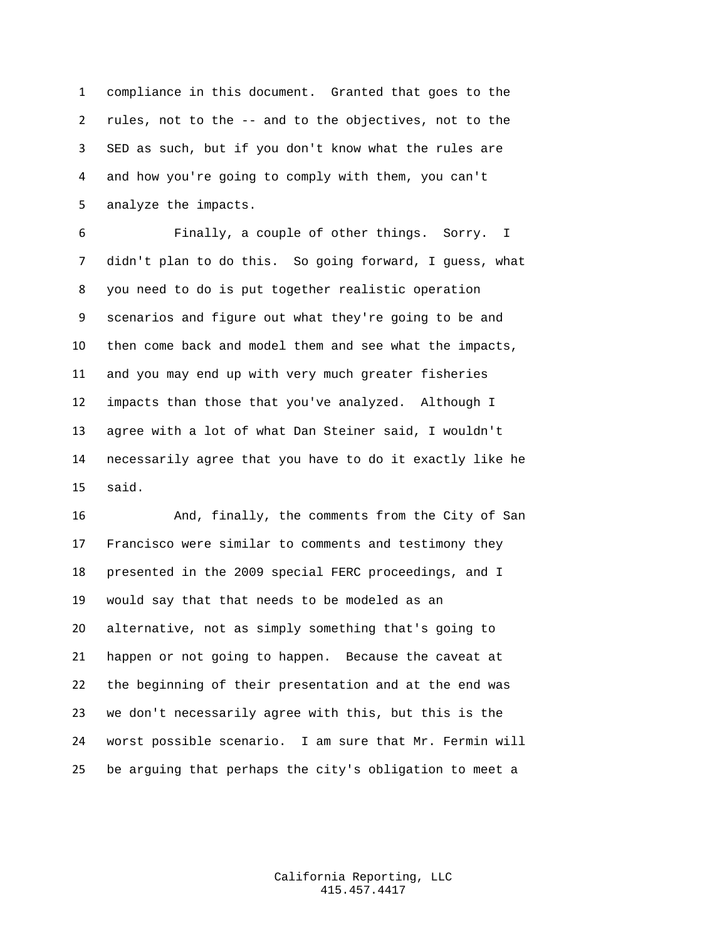compliance in this document. Granted that goes to the rules, not to the -- and to the objectives, not to the SED as such, but if you don't know what the rules are and how you're going to comply with them, you can't analyze the impacts.

 Finally, a couple of other things. Sorry. I didn't plan to do this. So going forward, I guess, what you need to do is put together realistic operation scenarios and figure out what they're going to be and then come back and model them and see what the impacts, and you may end up with very much greater fisheries impacts than those that you've analyzed. Although I agree with a lot of what Dan Steiner said, I wouldn't necessarily agree that you have to do it exactly like he said.

 And, finally, the comments from the City of San Francisco were similar to comments and testimony they presented in the 2009 special FERC proceedings, and I would say that that needs to be modeled as an alternative, not as simply something that's going to happen or not going to happen. Because the caveat at the beginning of their presentation and at the end was we don't necessarily agree with this, but this is the worst possible scenario. I am sure that Mr. Fermin will be arguing that perhaps the city's obligation to meet a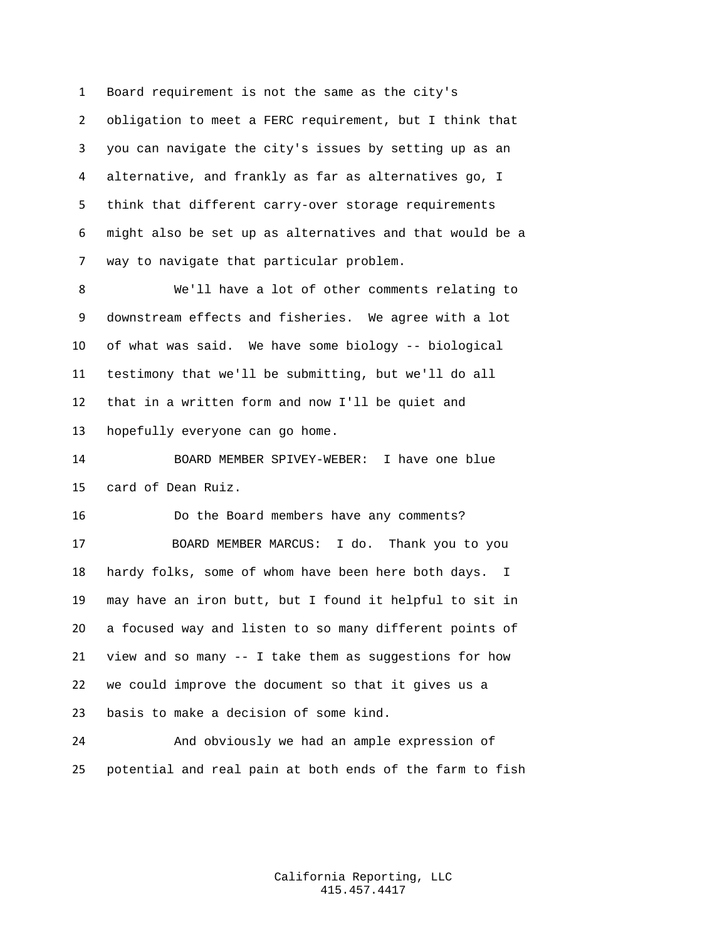Board requirement is not the same as the city's obligation to meet a FERC requirement, but I think that you can navigate the city's issues by setting up as an alternative, and frankly as far as alternatives go, I think that different carry-over storage requirements might also be set up as alternatives and that would be a way to navigate that particular problem.

 We'll have a lot of other comments relating to downstream effects and fisheries. We agree with a lot of what was said. We have some biology -- biological testimony that we'll be submitting, but we'll do all that in a written form and now I'll be quiet and hopefully everyone can go home.

 BOARD MEMBER SPIVEY-WEBER: I have one blue card of Dean Ruiz.

 Do the Board members have any comments? BOARD MEMBER MARCUS: I do. Thank you to you hardy folks, some of whom have been here both days. I may have an iron butt, but I found it helpful to sit in a focused way and listen to so many different points of view and so many -- I take them as suggestions for how we could improve the document so that it gives us a basis to make a decision of some kind.

 And obviously we had an ample expression of potential and real pain at both ends of the farm to fish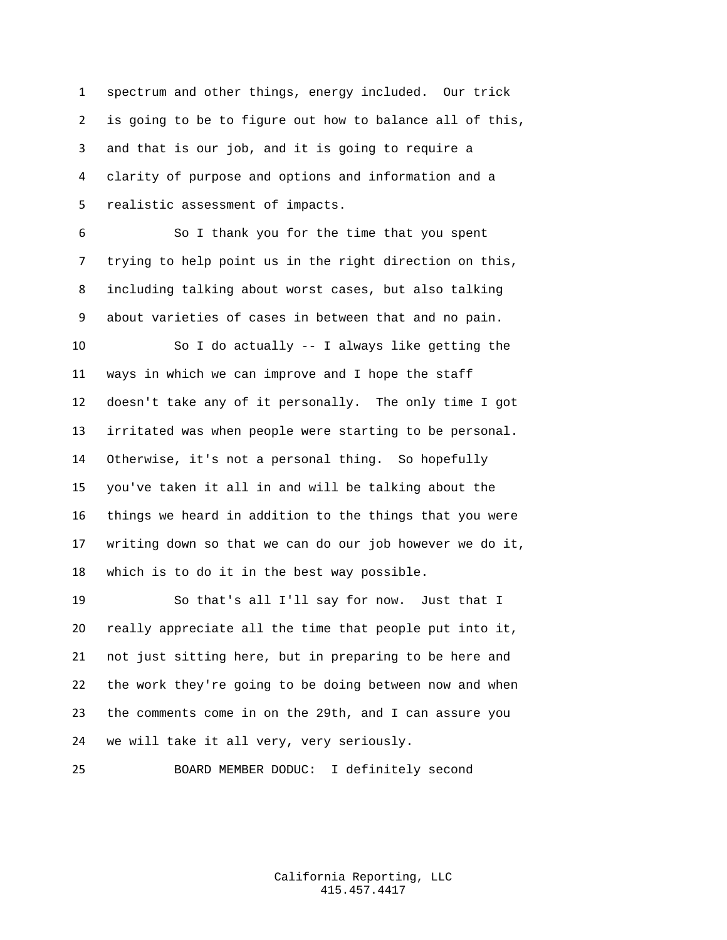spectrum and other things, energy included. Our trick is going to be to figure out how to balance all of this, and that is our job, and it is going to require a clarity of purpose and options and information and a realistic assessment of impacts.

 So I thank you for the time that you spent trying to help point us in the right direction on this, including talking about worst cases, but also talking about varieties of cases in between that and no pain.

 So I do actually -- I always like getting the ways in which we can improve and I hope the staff doesn't take any of it personally. The only time I got irritated was when people were starting to be personal. Otherwise, it's not a personal thing. So hopefully you've taken it all in and will be talking about the things we heard in addition to the things that you were writing down so that we can do our job however we do it, which is to do it in the best way possible.

 So that's all I'll say for now. Just that I really appreciate all the time that people put into it, not just sitting here, but in preparing to be here and the work they're going to be doing between now and when the comments come in on the 29th, and I can assure you we will take it all very, very seriously.

BOARD MEMBER DODUC: I definitely second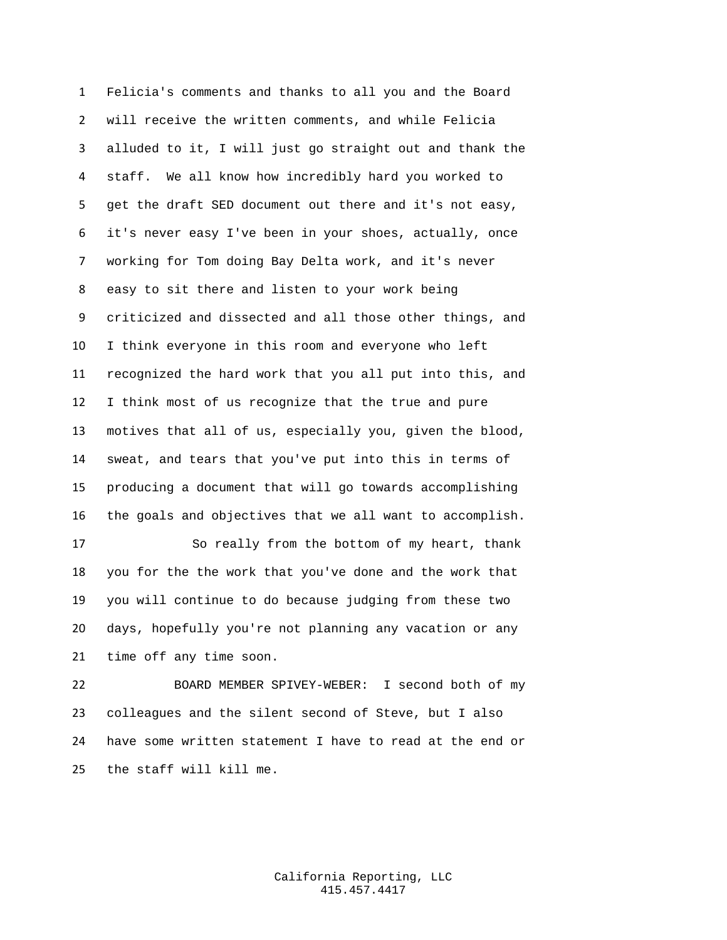Felicia's comments and thanks to all you and the Board will receive the written comments, and while Felicia alluded to it, I will just go straight out and thank the staff. We all know how incredibly hard you worked to get the draft SED document out there and it's not easy, it's never easy I've been in your shoes, actually, once working for Tom doing Bay Delta work, and it's never easy to sit there and listen to your work being criticized and dissected and all those other things, and I think everyone in this room and everyone who left recognized the hard work that you all put into this, and I think most of us recognize that the true and pure motives that all of us, especially you, given the blood, sweat, and tears that you've put into this in terms of producing a document that will go towards accomplishing the goals and objectives that we all want to accomplish. So really from the bottom of my heart, thank you for the the work that you've done and the work that you will continue to do because judging from these two

 days, hopefully you're not planning any vacation or any time off any time soon.

 BOARD MEMBER SPIVEY-WEBER: I second both of my colleagues and the silent second of Steve, but I also have some written statement I have to read at the end or the staff will kill me.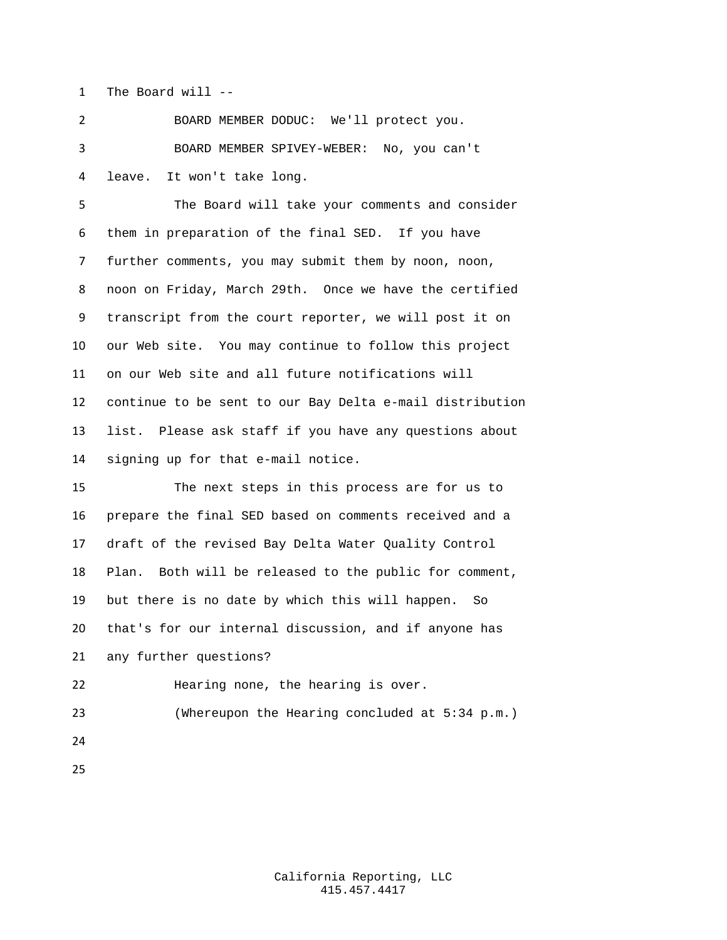The Board will --

 BOARD MEMBER DODUC: We'll protect you. BOARD MEMBER SPIVEY-WEBER: No, you can't leave. It won't take long.

 The Board will take your comments and consider them in preparation of the final SED. If you have further comments, you may submit them by noon, noon, noon on Friday, March 29th. Once we have the certified transcript from the court reporter, we will post it on our Web site. You may continue to follow this project on our Web site and all future notifications will continue to be sent to our Bay Delta e-mail distribution list. Please ask staff if you have any questions about signing up for that e-mail notice.

 The next steps in this process are for us to prepare the final SED based on comments received and a draft of the revised Bay Delta Water Quality Control Plan. Both will be released to the public for comment, but there is no date by which this will happen. So that's for our internal discussion, and if anyone has any further questions? Hearing none, the hearing is over.

(Whereupon the Hearing concluded at 5:34 p.m.)